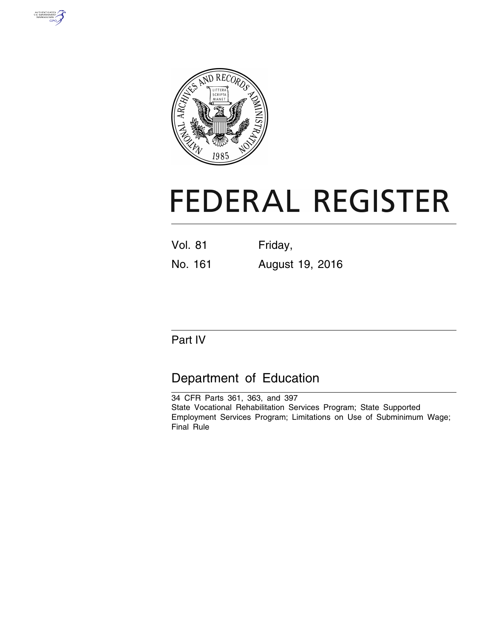



# **FEDERAL REGISTER**

- Vol. 81 Friday,
- No. 161 August 19, 2016

# Part IV

# Department of Education

34 CFR Parts 361, 363, and 397 State Vocational Rehabilitation Services Program; State Supported Employment Services Program; Limitations on Use of Subminimum Wage; Final Rule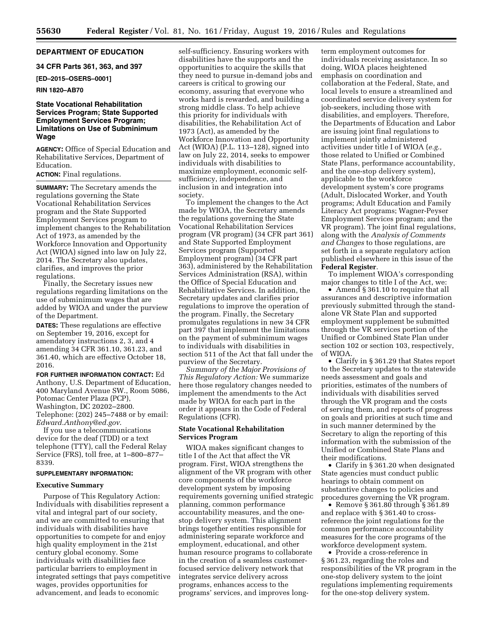## **DEPARTMENT OF EDUCATION**

**34 CFR Parts 361, 363, and 397** 

**[ED–2015–OSERS–0001]** 

#### **RIN 1820–AB70**

## **State Vocational Rehabilitation Services Program; State Supported Employment Services Program; Limitations on Use of Subminimum Wage**

**AGENCY:** Office of Special Education and Rehabilitative Services, Department of Education.

**ACTION:** Final regulations.

**SUMMARY:** The Secretary amends the regulations governing the State Vocational Rehabilitation Services program and the State Supported Employment Services program to implement changes to the Rehabilitation Act of 1973, as amended by the Workforce Innovation and Opportunity Act (WIOA) signed into law on July 22, 2014. The Secretary also updates, clarifies, and improves the prior regulations.

Finally, the Secretary issues new regulations regarding limitations on the use of subminimum wages that are added by WIOA and under the purview of the Department.

**DATES:** These regulations are effective on September 19, 2016, except for amendatory instructions 2, 3, and 4 amending 34 CFR 361.10, 361.23, and 361.40, which are effective October 18, 2016.

**FOR FURTHER INFORMATION CONTACT:** Ed Anthony, U.S. Department of Education, 400 Maryland Avenue SW., Room 5086, Potomac Center Plaza (PCP), Washington, DC 20202–2800. Telephone: (202) 245–7488 or by email: *[Edward.Anthony@ed.gov](mailto:Edward.Anthony@ed.gov)*.

If you use a telecommunications device for the deaf (TDD) or a text telephone (TTY), call the Federal Relay Service (FRS), toll free, at 1–800–877– 8339.

## **SUPPLEMENTARY INFORMATION:**

#### **Executive Summary**

Purpose of This Regulatory Action: Individuals with disabilities represent a vital and integral part of our society, and we are committed to ensuring that individuals with disabilities have opportunities to compete for and enjoy high quality employment in the 21st century global economy. Some individuals with disabilities face particular barriers to employment in integrated settings that pays competitive wages, provides opportunities for advancement, and leads to economic

self-sufficiency. Ensuring workers with disabilities have the supports and the opportunities to acquire the skills that they need to pursue in-demand jobs and careers is critical to growing our economy, assuring that everyone who works hard is rewarded, and building a strong middle class. To help achieve this priority for individuals with disabilities, the Rehabilitation Act of 1973 (Act), as amended by the Workforce Innovation and Opportunity Act (WIOA) (P.L. 113–128), signed into law on July 22, 2014, seeks to empower individuals with disabilities to maximize employment, economic selfsufficiency, independence, and inclusion in and integration into society.

To implement the changes to the Act made by WIOA, the Secretary amends the regulations governing the State Vocational Rehabilitation Services program (VR program) (34 CFR part 361) and State Supported Employment Services program (Supported Employment program) (34 CFR part 363), administered by the Rehabilitation Services Administration (RSA), within the Office of Special Education and Rehabilitative Services. In addition, the Secretary updates and clarifies prior regulations to improve the operation of the program. Finally, the Secretary promulgates regulations in new 34 CFR part 397 that implement the limitations on the payment of subminimum wages to individuals with disabilities in section 511 of the Act that fall under the purview of the Secretary.

*Summary of the Major Provisions of This Regulatory Action:* We summarize here those regulatory changes needed to implement the amendments to the Act made by WIOA for each part in the order it appears in the Code of Federal Regulations (CFR).

## **State Vocational Rehabilitation Services Program**

WIOA makes significant changes to title I of the Act that affect the VR program. First, WIOA strengthens the alignment of the VR program with other core components of the workforce development system by imposing requirements governing unified strategic planning, common performance accountability measures, and the onestop delivery system. This alignment brings together entities responsible for administering separate workforce and employment, educational, and other human resource programs to collaborate in the creation of a seamless customerfocused service delivery network that integrates service delivery across programs, enhances access to the programs' services, and improves long-

term employment outcomes for individuals receiving assistance. In so doing, WIOA places heightened emphasis on coordination and collaboration at the Federal, State, and local levels to ensure a streamlined and coordinated service delivery system for job-seekers, including those with disabilities, and employers. Therefore, the Departments of Education and Labor are issuing joint final regulations to implement jointly administered activities under title I of WIOA (*e.g.,*  those related to Unified or Combined State Plans, performance accountability, and the one-stop delivery system), applicable to the workforce development system's core programs (Adult, Dislocated Worker, and Youth programs; Adult Education and Family Literacy Act programs; Wagner-Peyser Employment Services program; and the VR program). The joint final regulations, along with the *Analysis of Comments and Changes* to those regulations, are set forth in a separate regulatory action published elsewhere in this issue of the **Federal Register**.

To implement WIOA's corresponding major changes to title I of the Act, we:

• Amend § 361.10 to require that all assurances and descriptive information previously submitted through the standalone VR State Plan and supported employment supplement be submitted through the VR services portion of the Unified or Combined State Plan under section 102 or section 103, respectively, of WIOA.

• Clarify in § 361.29 that States report to the Secretary updates to the statewide needs assessment and goals and priorities, estimates of the numbers of individuals with disabilities served through the VR program and the costs of serving them, and reports of progress on goals and priorities at such time and in such manner determined by the Secretary to align the reporting of this information with the submission of the Unified or Combined State Plans and their modifications.

• Clarify in § 361.20 when designated State agencies must conduct public hearings to obtain comment on substantive changes to policies and procedures governing the VR program.

• Remove § 361.80 through § 361.89 and replace with § 361.40 to crossreference the joint regulations for the common performance accountability measures for the core programs of the workforce development system.

• Provide a cross-reference in § 361.23, regarding the roles and responsibilities of the VR program in the one-stop delivery system to the joint regulations implementing requirements for the one-stop delivery system.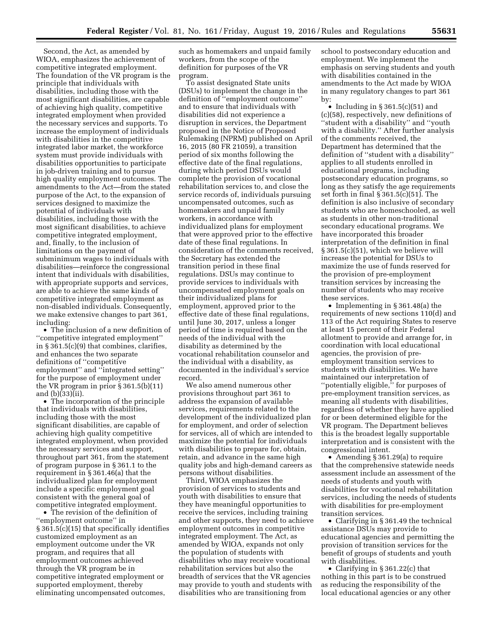Second, the Act, as amended by WIOA, emphasizes the achievement of competitive integrated employment. The foundation of the VR program is the principle that individuals with disabilities, including those with the most significant disabilities, are capable of achieving high quality, competitive integrated employment when provided the necessary services and supports. To increase the employment of individuals with disabilities in the competitive integrated labor market, the workforce system must provide individuals with disabilities opportunities to participate in job-driven training and to pursue high quality employment outcomes. The amendments to the Act—from the stated purpose of the Act, to the expansion of services designed to maximize the potential of individuals with disabilities, including those with the most significant disabilities, to achieve competitive integrated employment, and, finally, to the inclusion of limitations on the payment of subminimum wages to individuals with disabilities—reinforce the congressional intent that individuals with disabilities, with appropriate supports and services, are able to achieve the same kinds of competitive integrated employment as non-disabled individuals. Consequently, we make extensive changes to part 361, including:

• The inclusion of a new definition of ''competitive integrated employment'' in § 361.5(c)(9) that combines, clarifies, and enhances the two separate definitions of ''competitive employment'' and ''integrated setting'' for the purpose of employment under the VR program in prior § 361.5(b)(11) and (b)(33)(ii).

• The incorporation of the principle that individuals with disabilities, including those with the most significant disabilities, are capable of achieving high quality competitive integrated employment, when provided the necessary services and support, throughout part 361, from the statement of program purpose in § 361.1 to the requirement in § 361.46(a) that the individualized plan for employment include a specific employment goal consistent with the general goal of competitive integrated employment.

• The revision of the definition of ''employment outcome'' in § 361.5(c)(15) that specifically identifies customized employment as an employment outcome under the VR program, and requires that all employment outcomes achieved through the VR program be in competitive integrated employment or supported employment, thereby eliminating uncompensated outcomes,

such as homemakers and unpaid family workers, from the scope of the definition for purposes of the VR program.

To assist designated State units (DSUs) to implement the change in the definition of ''employment outcome'' and to ensure that individuals with disabilities did not experience a disruption in services, the Department proposed in the Notice of Proposed Rulemaking (NPRM) published on April 16, 2015 (80 FR 21059), a transition period of six months following the effective date of the final regulations, during which period DSUs would complete the provision of vocational rehabilitation services to, and close the service records of, individuals pursuing uncompensated outcomes, such as homemakers and unpaid family workers, in accordance with individualized plans for employment that were approved prior to the effective date of these final regulations. In consideration of the comments received, the Secretary has extended the transition period in these final regulations. DSUs may continue to provide services to individuals with uncompensated employment goals on their individualized plans for employment, approved prior to the effective date of these final regulations, until June 30, 2017, unless a longer period of time is required based on the needs of the individual with the disability as determined by the vocational rehabilitation counselor and the individual with a disability, as documented in the individual's service record.

We also amend numerous other provisions throughout part 361 to address the expansion of available services, requirements related to the development of the individualized plan for employment, and order of selection for services, all of which are intended to maximize the potential for individuals with disabilities to prepare for, obtain, retain, and advance in the same high quality jobs and high-demand careers as persons without disabilities.

Third, WIOA emphasizes the provision of services to students and youth with disabilities to ensure that they have meaningful opportunities to receive the services, including training and other supports, they need to achieve employment outcomes in competitive integrated employment. The Act, as amended by WIOA, expands not only the population of students with disabilities who may receive vocational rehabilitation services but also the breadth of services that the VR agencies may provide to youth and students with disabilities who are transitioning from

school to postsecondary education and employment. We implement the emphasis on serving students and youth with disabilities contained in the amendments to the Act made by WIOA in many regulatory changes to part 361 by:

• Including in § 361.5(c)(51) and (c)(58), respectively, new definitions of ''student with a disability'' and ''youth with a disability.'' After further analysis of the comments received, the Department has determined that the definition of ''student with a disability'' applies to all students enrolled in educational programs, including postsecondary education programs, so long as they satisfy the age requirements set forth in final § 361.5(c)(51). The definition is also inclusive of secondary students who are homeschooled, as well as students in other non-traditional secondary educational programs. We have incorporated this broader interpretation of the definition in final § 361.5(c)(51), which we believe will increase the potential for DSUs to maximize the use of funds reserved for the provision of pre-employment transition services by increasing the number of students who may receive these services.

• Implementing in § 361.48(a) the requirements of new sections 110(d) and 113 of the Act requiring States to reserve at least 15 percent of their Federal allotment to provide and arrange for, in coordination with local educational agencies, the provision of preemployment transition services to students with disabilities. We have maintained our interpretation of "potentially eligible," for purposes of pre-employment transition services, as meaning all students with disabilities, regardless of whether they have applied for or been determined eligible for the VR program. The Department believes this is the broadest legally supportable interpretation and is consistent with the congressional intent.

• Amending § 361.29(a) to require that the comprehensive statewide needs assessment include an assessment of the needs of students and youth with disabilities for vocational rehabilitation services, including the needs of students with disabilities for pre-employment transition services.

• Clarifying in § 361.49 the technical assistance DSUs may provide to educational agencies and permitting the provision of transition services for the benefit of groups of students and youth with disabilities.

• Clarifying in § 361.22(c) that nothing in this part is to be construed as reducing the responsibility of the local educational agencies or any other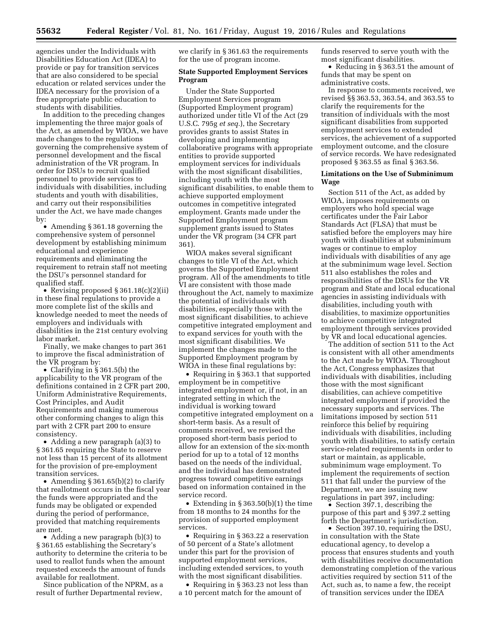agencies under the Individuals with Disabilities Education Act (IDEA) to provide or pay for transition services that are also considered to be special education or related services under the IDEA necessary for the provision of a free appropriate public education to students with disabilities.

In addition to the preceding changes implementing the three major goals of the Act, as amended by WIOA, we have made changes to the regulations governing the comprehensive system of personnel development and the fiscal administration of the VR program. In order for DSUs to recruit qualified personnel to provide services to individuals with disabilities, including students and youth with disabilities, and carry out their responsibilities under the Act, we have made changes by:

• Amending § 361.18 governing the comprehensive system of personnel development by establishing minimum educational and experience requirements and eliminating the requirement to retrain staff not meeting the DSU's personnel standard for qualified staff.

• Revising proposed § 361.18(c)(2)(ii) in these final regulations to provide a more complete list of the skills and knowledge needed to meet the needs of employers and individuals with disabilities in the 21st century evolving labor market.

Finally, we make changes to part 361 to improve the fiscal administration of the VR program by:

• Clarifying in § 361.5(b) the applicability to the VR program of the definitions contained in 2 CFR part 200, Uniform Administrative Requirements, Cost Principles, and Audit Requirements and making numerous other conforming changes to align this part with 2 CFR part 200 to ensure consistency.

• Adding a new paragraph (a)(3) to § 361.65 requiring the State to reserve not less than 15 percent of its allotment for the provision of pre-employment transition services.

• Amending § 361.65(b)(2) to clarify that reallotment occurs in the fiscal year the funds were appropriated and the funds may be obligated or expended during the period of performance, provided that matching requirements are met.

• Adding a new paragraph (b)(3) to § 361.65 establishing the Secretary's authority to determine the criteria to be used to reallot funds when the amount requested exceeds the amount of funds available for reallotment.

Since publication of the NPRM, as a result of further Departmental review,

we clarify in § 361.63 the requirements for the use of program income.

## **State Supported Employment Services Program**

Under the State Supported Employment Services program (Supported Employment program) authorized under title VI of the Act (29 U.S.C. 795g *et seq.*), the Secretary provides grants to assist States in developing and implementing collaborative programs with appropriate entities to provide supported employment services for individuals with the most significant disabilities, including youth with the most significant disabilities, to enable them to achieve supported employment outcomes in competitive integrated employment. Grants made under the Supported Employment program supplement grants issued to States under the VR program (34 CFR part 361).

WIOA makes several significant changes to title VI of the Act, which governs the Supported Employment program. All of the amendments to title VI are consistent with those made throughout the Act, namely to maximize the potential of individuals with disabilities, especially those with the most significant disabilities, to achieve competitive integrated employment and to expand services for youth with the most significant disabilities. We implement the changes made to the Supported Employment program by WIOA in these final regulations by:

• Requiring in § 363.1 that supported employment be in competitive integrated employment or, if not, in an integrated setting in which the individual is working toward competitive integrated employment on a short-term basis. As a result of comments received, we revised the proposed short-term basis period to allow for an extension of the six-month period for up to a total of 12 months based on the needs of the individual, and the individual has demonstrated progress toward competitive earnings based on information contained in the service record.

• Extending in § 363.50(b)(1) the time from 18 months to 24 months for the provision of supported employment services.

• Requiring in § 363.22 a reservation of 50 percent of a State's allotment under this part for the provision of supported employment services, including extended services, to youth with the most significant disabilities.

• Requiring in § 363.23 not less than a 10 percent match for the amount of

funds reserved to serve youth with the most significant disabilities.

• Reducing in § 363.51 the amount of funds that may be spent on administrative costs.

In response to comments received, we revised §§ 363.53, 363.54, and 363.55 to clarify the requirements for the transition of individuals with the most significant disabilities from supported employment services to extended services, the achievement of a supported employment outcome, and the closure of service records. We have redesignated proposed § 363.55 as final § 363.56.

## **Limitations on the Use of Subminimum Wage**

Section 511 of the Act, as added by WIOA, imposes requirements on employers who hold special wage certificates under the Fair Labor Standards Act (FLSA) that must be satisfied before the employers may hire youth with disabilities at subminimum wages or continue to employ individuals with disabilities of any age at the subminimum wage level. Section 511 also establishes the roles and responsibilities of the DSUs for the VR program and State and local educational agencies in assisting individuals with disabilities, including youth with disabilities, to maximize opportunities to achieve competitive integrated employment through services provided by VR and local educational agencies.

The addition of section 511 to the Act is consistent with all other amendments to the Act made by WIOA. Throughout the Act, Congress emphasizes that individuals with disabilities, including those with the most significant disabilities, can achieve competitive integrated employment if provided the necessary supports and services. The limitations imposed by section 511 reinforce this belief by requiring individuals with disabilities, including youth with disabilities, to satisfy certain service-related requirements in order to start or maintain, as applicable, subminimum wage employment. To implement the requirements of section 511 that fall under the purview of the Department, we are issuing new regulations in part 397, including:

• Section 397.1, describing the purpose of this part and § 397.2 setting forth the Department's jurisdiction.

• Section 397.10, requiring the DSU, in consultation with the State educational agency, to develop a process that ensures students and youth with disabilities receive documentation demonstrating completion of the various activities required by section 511 of the Act, such as, to name a few, the receipt of transition services under the IDEA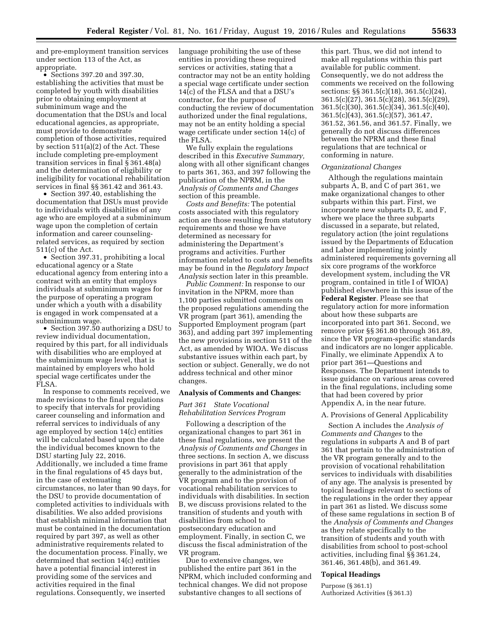and pre-employment transition services under section 113 of the Act, as appropriate.

• Sections 397.20 and 397.30, establishing the activities that must be completed by youth with disabilities prior to obtaining employment at subminimum wage and the documentation that the DSUs and local educational agencies, as appropriate, must provide to demonstrate completion of those activities, required by section 511(a)(2) of the Act. These include completing pre-employment transition services in final § 361.48(a) and the determination of eligibility or ineligibility for vocational rehabilitation services in final §§ 361.42 and 361.43.

• Section 397.40, establishing the documentation that DSUs must provide to individuals with disabilities of any age who are employed at a subminimum wage upon the completion of certain information and career counselingrelated services, as required by section 511(c) of the Act.

• Section 397.31, prohibiting a local educational agency or a State educational agency from entering into a contract with an entity that employs individuals at subminimum wages for the purpose of operating a program under which a youth with a disability is engaged in work compensated at a subminimum wage.

• Section 397.50 authorizing a DSU to review individual documentation, required by this part, for all individuals with disabilities who are employed at the subminimum wage level, that is maintained by employers who hold special wage certificates under the FLSA.

In response to comments received, we made revisions to the final regulations to specify that intervals for providing career counseling and information and referral services to individuals of any age employed by section 14(c) entities will be calculated based upon the date the individual becomes known to the DSU starting July 22, 2016. Additionally, we included a time frame in the final regulations of 45 days but, in the case of extenuating circumstances, no later than 90 days, for the DSU to provide documentation of completed activities to individuals with disabilities. We also added provisions that establish minimal information that must be contained in the documentation required by part 397, as well as other administrative requirements related to the documentation process. Finally, we determined that section 14(c) entities have a potential financial interest in providing some of the services and activities required in the final regulations. Consequently, we inserted

language prohibiting the use of these entities in providing these required services or activities, stating that a contractor may not be an entity holding a special wage certificate under section 14(c) of the FLSA and that a DSU's contractor, for the purpose of conducting the review of documentation authorized under the final regulations, may not be an entity holding a special wage certificate under section 14(c) of the FLSA.

We fully explain the regulations described in this *Executive Summary,*  along with all other significant changes to parts 361, 363, and 397 following the publication of the NPRM, in the *Analysis of Comments and Changes*  section of this preamble.

*Costs and Benefits:* The potential costs associated with this regulatory action are those resulting from statutory requirements and those we have determined as necessary for administering the Department's programs and activities. Further information related to costs and benefits may be found in the *Regulatory Impact Analysis* section later in this preamble.

*Public Comment:* In response to our invitation in the NPRM, more than 1,100 parties submitted comments on the proposed regulations amending the VR program (part 361), amending the Supported Employment program (part 363), and adding part 397 implementing the new provisions in section 511 of the Act, as amended by WIOA. We discuss substantive issues within each part, by section or subject. Generally, we do not address technical and other minor changes.

## **Analysis of Comments and Changes:**

## *Part 361 State Vocational Rehabilitation Services Program*

Following a description of the organizational changes to part 361 in these final regulations, we present the *Analysis of Comments and Changes* in three sections. In section A, we discuss provisions in part 361 that apply generally to the administration of the VR program and to the provision of vocational rehabilitation services to individuals with disabilities. In section B, we discuss provisions related to the transition of students and youth with disabilities from school to postsecondary education and employment. Finally, in section C, we discuss the fiscal administration of the VR program.

Due to extensive changes, we published the entire part 361 in the NPRM, which included conforming and technical changes. We did not propose substantive changes to all sections of

this part. Thus, we did not intend to make all regulations within this part available for public comment. Consequently, we do not address the comments we received on the following sections: §§ 361.5(c)(18), 361.5(c)(24), 361.5(c)(27), 361.5(c)(28), 361.5(c)(29), 361.5(c)(30), 361.5(c)(34), 361.5(c)(40), 361.5(c)(43), 361.5(c)(57), 361.47, 361.52, 361.56, and 361.57. Finally, we generally do not discuss differences between the NPRM and these final regulations that are technical or conforming in nature.

### *Organizational Changes*

Although the regulations maintain subparts  $\breve{A}$ , B, and C of part 361, we make organizational changes to other subparts within this part. First, we incorporate new subparts D, E, and F, where we place the three subparts discussed in a separate, but related, regulatory action (the joint regulations issued by the Departments of Education and Labor implementing jointly administered requirements governing all six core programs of the workforce development system, including the VR program, contained in title I of WIOA) published elsewhere in this issue of the **Federal Register**. Please see that regulatory action for more information about how these subparts are incorporated into part 361. Second, we remove prior §§ 361.80 through 361.89, since the VR program-specific standards and indicators are no longer applicable. Finally, we eliminate Appendix A to prior part 361—Questions and Responses. The Department intends to issue guidance on various areas covered in the final regulations, including some that had been covered by prior Appendix A, in the near future.

## A. Provisions of General Applicability

Section A includes the *Analysis of Comments and Changes* to the regulations in subparts A and B of part 361 that pertain to the administration of the VR program generally and to the provision of vocational rehabilitation services to individuals with disabilities of any age. The analysis is presented by topical headings relevant to sections of the regulations in the order they appear in part 361 as listed. We discuss some of these same regulations in section B of the *Analysis of Comments and Changes*  as they relate specifically to the transition of students and youth with disabilities from school to post-school activities, including final §§ 361.24, 361.46, 361.48(b), and 361.49.

## **Topical Headings**

Purpose (§ 361.1) Authorized Activities (§ 361.3)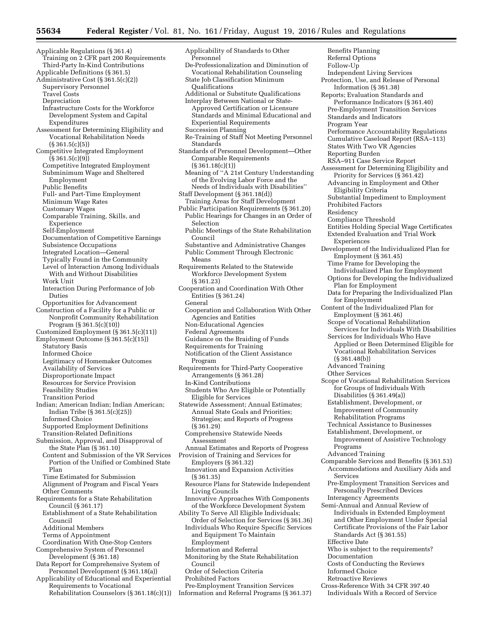Applicable Regulations (§ 361.4) Training on 2 CFR part 200 Requirements Third-Party In-Kind Contributions Applicable Definitions (§ 361.5) Administrative Cost (§ 361.5(c)(2)) Supervisory Personnel Travel Costs Depreciation Infrastructure Costs for the Workforce Development System and Capital Expenditures Assessment for Determining Eligibility and Vocational Rehabilitation Needs  $(S361.5(c)(5))$ Competitive Integrated Employment (§ 361.5(c)(9)) Competitive Integrated Employment Subminimum Wage and Sheltered Employment Public Benefits Full- and Part-Time Employment Minimum Wage Rates Customary Wages Comparable Training, Skills, and Experience Self-Employment Documentation of Competitive Earnings Subsistence Occupations Integrated Location—General Typically Found in the Community Level of Interaction Among Individuals With and Without Disabilities Work Unit Interaction During Performance of Job Duties Opportunities for Advancement Construction of a Facility for a Public or Nonprofit Community Rehabilitation Program (§ 361.5(c)(10)) Customized Employment (§ 361.5(c)(11)) Employment Outcome (§ 361.5(c)(15)) Statutory Basis Informed Choice Legitimacy of Homemaker Outcomes Availability of Services Disproportionate Impact Resources for Service Provision Feasibility Studies Transition Period Indian; American Indian; Indian American; Indian Tribe (§ 361.5(c)(25)) Informed Choice Supported Employment Definitions Transition-Related Definitions Submission, Approval, and Disapproval of the State Plan (§ 361.10) Content and Submission of the VR Services Portion of the Unified or Combined State Plan Time Estimated for Submission Alignment of Program and Fiscal Years Other Comments Requirements for a State Rehabilitation Council (§ 361.17) Establishment of a State Rehabilitation Council Additional Members Terms of Appointment Coordination With One-Stop Centers Comprehensive System of Personnel Development (§ 361.18) Data Report for Comprehensive System of Personnel Development (§ 361.18(a)) Applicability of Educational and Experiential

- Requirements to Vocational Rehabilitation Counselors (§ 361.18(c)(1))
- Applicability of Standards to Other Personnel De-Professionalization and Diminution of Vocational Rehabilitation Counseling State Job Classification Minimum Qualifications Additional or Substitute Qualifications Interplay Between National or State-Approved Certification or Licensure Standards and Minimal Educational and Experiential Requirements Succession Planning Re-Training of Staff Not Meeting Personnel Standards Standards of Personnel Development—Other Comparable Requirements  $(S361.18(c)(1))$ Meaning of ''A 21st Century Understanding of the Evolving Labor Force and the Needs of Individuals with Disabilities'' Staff Development (§ 361.18(d)) Training Areas for Staff Development Public Participation Requirements (§ 361.20) Public Hearings for Changes in an Order of Selection Public Meetings of the State Rehabilitation Council Substantive and Administrative Changes Public Comment Through Electronic Means Requirements Related to the Statewide Workforce Development System (§ 361.23) Cooperation and Coordination With Other Entities (§ 361.24) General Cooperation and Collaboration With Other Agencies and Entities Non-Educational Agencies Federal Agreements Guidance on the Braiding of Funds Requirements for Training Notification of the Client Assistance Program Requirements for Third-Party Cooperative Arrangements (§ 361.28) In-Kind Contributions Students Who Are Eligible or Potentially Eligible for Services Statewide Assessment; Annual Estimates; Annual State Goals and Priorities; Strategies; and Reports of Progress (§ 361.29) Comprehensive Statewide Needs Assessment Annual Estimates and Reports of Progress Provision of Training and Services for Employers (§ 361.32) Innovation and Expansion Activities (§ 361.35) Resource Plans for Statewide Independent Living Councils Innovative Approaches With Components of the Workforce Development System Ability To Serve All Eligible Individuals; Order of Selection for Services (§ 361.36) Individuals Who Require Specific Services and Equipment To Maintain Employment Information and Referral Monitoring by the State Rehabilitation Council
- Order of Selection Criteria
- Prohibited Factors
- Pre-Employment Transition Services Information and Referral Programs (§ 361.37)

Benefits Planning Referral Options Follow-Up Independent Living Services Protection, Use, and Release of Personal Information (§ 361.38) Reports; Evaluation Standards and Performance Indicators (§ 361.40) Pre-Employment Transition Services Standards and Indicators Program Year Performance Accountability Regulations Cumulative Caseload Report (RSA–113) States With Two VR Agencies Reporting Burden RSA–911 Case Service Report Assessment for Determining Eligibility and Priority for Services (§ 361.42) Advancing in Employment and Other Eligibility Criteria Substantial Impediment to Employment Prohibited Factors Residency Compliance Threshold Entities Holding Special Wage Certificates Extended Evaluation and Trial Work **Experiences** Development of the Individualized Plan for Employment (§ 361.45) Time Frame for Developing the Individualized Plan for Employment Options for Developing the Individualized Plan for Employment Data for Preparing the Individualized Plan for Employment Content of the Individualized Plan for Employment (§ 361.46) Scope of Vocational Rehabilitation Services for Individuals With Disabilities Services for Individuals Who Have Applied or Been Determined Eligible for Vocational Rehabilitation Services (§ 361.48(b)) Advanced Training Other Services Scope of Vocational Rehabilitation Services for Groups of Individuals With Disabilities (§ 361.49(a)) Establishment, Development, or Improvement of Community Rehabilitation Programs Technical Assistance to Businesses Establishment, Development, or Improvement of Assistive Technology Programs Advanced Training Comparable Services and Benefits (§ 361.53) Accommodations and Auxiliary Aids and Services Pre-Employment Transition Services and Personally Prescribed Devices Interagency Agreements Semi-Annual and Annual Review of Individuals in Extended Employment and Other Employment Under Special Certificate Provisions of the Fair Labor Standards Act (§ 361.55) Effective Date Who is subject to the requirements? Documentation Costs of Conducting the Reviews Informed Choice Retroactive Reviews

Cross-Reference With 34 CFR 397.40 Individuals With a Record of Service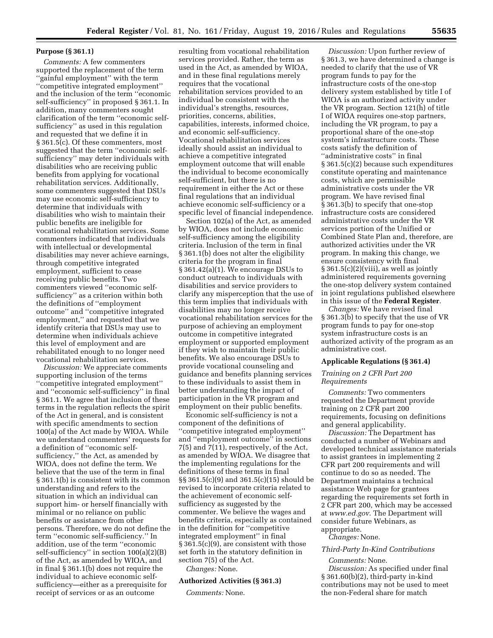## **Purpose (§ 361.1)**

*Comments:* A few commenters supported the replacement of the term ''gainful employment'' with the term ''competitive integrated employment'' and the inclusion of the term ''economic self-sufficiency'' in proposed § 361.1. In addition, many commenters sought clarification of the term ''economic selfsufficiency'' as used in this regulation and requested that we define it in § 361.5(c). Of these commenters, most suggested that the term ''economic selfsufficiency'' may deter individuals with disabilities who are receiving public benefits from applying for vocational rehabilitation services. Additionally, some commenters suggested that DSUs may use economic self-sufficiency to determine that individuals with disabilities who wish to maintain their public benefits are ineligible for vocational rehabilitation services. Some commenters indicated that individuals with intellectual or developmental disabilities may never achieve earnings, through competitive integrated employment, sufficient to cease receiving public benefits. Two commenters viewed ''economic selfsufficiency'' as a criterion within both the definitions of ''employment outcome'' and ''competitive integrated employment,'' and requested that we identify criteria that DSUs may use to determine when individuals achieve this level of employment and are rehabilitated enough to no longer need vocational rehabilitation services.

*Discussion:* We appreciate comments supporting inclusion of the terms ''competitive integrated employment'' and ''economic self-sufficiency'' in final § 361.1. We agree that inclusion of these terms in the regulation reflects the spirit of the Act in general, and is consistent with specific amendments to section 100(a) of the Act made by WIOA. While we understand commenters' requests for a definition of ''economic selfsufficiency,'' the Act, as amended by WIOA, does not define the term. We believe that the use of the term in final § 361.1(b) is consistent with its common understanding and refers to the situation in which an individual can support him- or herself financially with minimal or no reliance on public benefits or assistance from other persons. Therefore, we do not define the term ''economic self-sufficiency.'' In addition, use of the term ''economic self-sufficiency'' in section 100(a)(2)(B) of the Act, as amended by WIOA, and in final § 361.1(b) does not require the individual to achieve economic selfsufficiency—either as a prerequisite for receipt of services or as an outcome

resulting from vocational rehabilitation services provided. Rather, the term as used in the Act, as amended by WIOA, and in these final regulations merely requires that the vocational rehabilitation services provided to an individual be consistent with the individual's strengths, resources, priorities, concerns, abilities, capabilities, interests, informed choice, and economic self-sufficiency. Vocational rehabilitation services ideally should assist an individual to achieve a competitive integrated employment outcome that will enable the individual to become economically self-sufficient, but there is no requirement in either the Act or these final regulations that an individual achieve economic self-sufficiency or a specific level of financial independence.

Section 102(a) of the Act, as amended by WIOA, does not include economic self-sufficiency among the eligibility criteria. Inclusion of the term in final § 361.1(b) does not alter the eligibility criteria for the program in final § 361.42(a)(1). We encourage DSUs to conduct outreach to individuals with disabilities and service providers to clarify any misperception that the use of this term implies that individuals with disabilities may no longer receive vocational rehabilitation services for the purpose of achieving an employment outcome in competitive integrated employment or supported employment if they wish to maintain their public benefits. We also encourage DSUs to provide vocational counseling and guidance and benefits planning services to these individuals to assist them in better understanding the impact of participation in the VR program and employment on their public benefits.

Economic self-sufficiency is not a component of the definitions of ''competitive integrated employment'' and ''employment outcome'' in sections 7(5) and 7(11), respectively, of the Act, as amended by WIOA. We disagree that the implementing regulations for the definitions of these terms in final §§ 361.5(c)(9) and 361.5(c)(15) should be revised to incorporate criteria related to the achievement of economic selfsufficiency as suggested by the commenter. We believe the wages and benefits criteria, especially as contained in the definition for ''competitive integrated employment'' in final § 361.5(c)(9), are consistent with those set forth in the statutory definition in section 7(5) of the Act.

*Changes:* None.

### **Authorized Activities (§ 361.3)**

*Comments:* None.

*Discussion:* Upon further review of § 361.3, we have determined a change is needed to clarify that the use of VR program funds to pay for the infrastructure costs of the one-stop delivery system established by title I of WIOA is an authorized activity under the VR program. Section 121(h) of title I of WIOA requires one-stop partners, including the VR program, to pay a proportional share of the one-stop system's infrastructure costs. These costs satisfy the definition of ''administrative costs'' in final § 361.5(c)(2) because such expenditures constitute operating and maintenance costs, which are permissible administrative costs under the VR program. We have revised final § 361.3(b) to specify that one-stop infrastructure costs are considered administrative costs under the VR services portion of the Unified or Combined State Plan and, therefore, are authorized activities under the VR program. In making this change, we ensure consistency with final  $§ 361.5(c)(2)(viii)$ , as well as jointly administered requirements governing the one-stop delivery system contained in joint regulations published elsewhere in this issue of the **Federal Register**.

*Changes:* We have revised final § 361.3(b) to specify that the use of VR program funds to pay for one-stop system infrastructure costs is an authorized activity of the program as an administrative cost.

#### **Applicable Regulations (§ 361.4)**

## *Training on 2 CFR Part 200 Requirements*

*Comments:* Two commenters requested the Department provide training on 2 CFR part 200 requirements, focusing on definitions and general applicability.

*Discussion:* The Department has conducted a number of Webinars and developed technical assistance materials to assist grantees in implementing 2 CFR part 200 requirements and will continue to do so as needed. The Department maintains a technical assistance Web page for grantees regarding the requirements set forth in 2 CFR part 200, which may be accessed at *[www.ed.gov](http://www.ed.gov)*. The Department will consider future Webinars, as appropriate.

*Changes:* None.

## *Third-Party In-Kind Contributions*

*Comments:* None.

*Discussion:* As specified under final § 361.60(b)(2), third-party in-kind contributions may not be used to meet the non-Federal share for match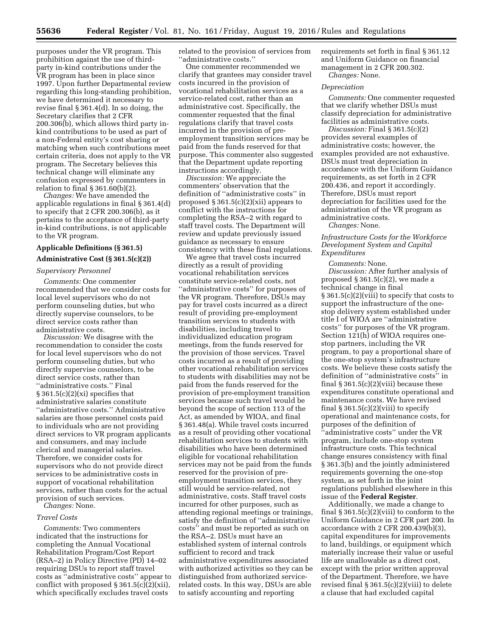purposes under the VR program. This prohibition against the use of thirdparty in-kind contributions under the VR program has been in place since 1997. Upon further Departmental review regarding this long-standing prohibition, we have determined it necessary to revise final § 361.4(d). In so doing, the Secretary clarifies that 2 CFR 200.306(b), which allows third party inkind contributions to be used as part of a non-Federal entity's cost sharing or matching when such contributions meet certain criteria, does not apply to the VR program. The Secretary believes this technical change will eliminate any confusion expressed by commenters in relation to final § 361.60(b)(2).

*Changes:* We have amended the applicable regulations in final § 361.4(d) to specify that 2 CFR 200.306(b), as it pertains to the acceptance of third-party in-kind contributions, is not applicable to the VR program.

#### **Applicable Definitions (§ 361.5)**

#### **Administrative Cost (§ 361.5(c)(2))**

## *Supervisory Personnel*

*Comments:* One commenter recommended that we consider costs for local level supervisors who do not perform counseling duties, but who directly supervise counselors, to be direct service costs rather than administrative costs.

*Discussion:* We disagree with the recommendation to consider the costs for local level supervisors who do not perform counseling duties, but who directly supervise counselors, to be direct service costs, rather than ''administrative costs.'' Final  $\S 361.5(c)(2)(xi)$  specifies that administrative salaries constitute ''administrative costs.'' Administrative salaries are those personnel costs paid to individuals who are not providing direct services to VR program applicants and consumers, and may include clerical and managerial salaries. Therefore, we consider costs for supervisors who do not provide direct services to be administrative costs in support of vocational rehabilitation services, rather than costs for the actual provision of such services. *Changes:* None.

#### *Travel Costs*

*Comments:* Two commenters indicated that the instructions for completing the Annual Vocational Rehabilitation Program/Cost Report (RSA–2) in Policy Directive (PD) 14–02 requiring DSUs to report staff travel costs as ''administrative costs'' appear to conflict with proposed § 361.5(c)(2)(xii), which specifically excludes travel costs

related to the provision of services from ''administrative costs.''

One commenter recommended we clarify that grantees may consider travel costs incurred in the provision of vocational rehabilitation services as a service-related cost, rather than an administrative cost. Specifically, the commenter requested that the final regulations clarify that travel costs incurred in the provision of preemployment transition services may be paid from the funds reserved for that purpose. This commenter also suggested that the Department update reporting instructions accordingly.

*Discussion:* We appreciate the commenters' observation that the definition of ''administrative costs'' in proposed  $\S 361.5(c)(2)(xii)$  appears to conflict with the instructions for completing the RSA–2 with regard to staff travel costs. The Department will review and update previously issued guidance as necessary to ensure consistency with these final regulations.

We agree that travel costs incurred directly as a result of providing vocational rehabilitation services constitute service-related costs, not ''administrative costs'' for purposes of the VR program. Therefore, DSUs may pay for travel costs incurred as a direct result of providing pre-employment transition services to students with disabilities, including travel to individualized education program meetings, from the funds reserved for the provision of those services. Travel costs incurred as a result of providing other vocational rehabilitation services to students with disabilities may not be paid from the funds reserved for the provision of pre-employment transition services because such travel would be beyond the scope of section 113 of the Act, as amended by WIOA, and final § 361.48(a). While travel costs incurred as a result of providing other vocational rehabilitation services to students with disabilities who have been determined eligible for vocational rehabilitation services may not be paid from the funds reserved for the provision of preemployment transition services, they still would be service-related, not administrative, costs. Staff travel costs incurred for other purposes, such as attending regional meetings or trainings, satisfy the definition of ''administrative costs'' and must be reported as such on the RSA–2. DSUs must have an established system of internal controls sufficient to record and track administrative expenditures associated with authorized activities so they can be distinguished from authorized servicerelated costs. In this way, DSUs are able to satisfy accounting and reporting

requirements set forth in final § 361.12 and Uniform Guidance on financial management in 2 CFR 200.302.

*Changes:* None.

## *Depreciation*

*Comments:* One commenter requested that we clarify whether DSUs must classify depreciation for administrative facilities as administrative costs.

*Discussion:* Final § 361.5(c)(2) provides several examples of administrative costs; however, the examples provided are not exhaustive. DSUs must treat depreciation in accordance with the Uniform Guidance requirements, as set forth in 2 CFR 200.436, and report it accordingly. Therefore, DSUs must report depreciation for facilities used for the administration of the VR program as administrative costs.

*Changes:* None.

*Infrastructure Costs for the Workforce Development System and Capital Expenditures* 

*Comments:* None.

*Discussion:* After further analysis of proposed § 361.5(c)(2), we made a technical change in final § 361.5(c)(2)(viii) to specify that costs to support the infrastructure of the onestop delivery system established under title I of WIOA are ''administrative costs'' for purposes of the VR program. Section 121(h) of WIOA requires onestop partners, including the VR program, to pay a proportional share of the one-stop system's infrastructure costs. We believe these costs satisfy the definition of ''administrative costs'' in final  $\S 361.5(c)(2)(viii)$  because these expenditures constitute operational and maintenance costs. We have revised final  $\S 361.5(c)(2)(viii)$  to specify operational and maintenance costs, for purposes of the definition of ''administrative costs'' under the VR program, include one-stop system infrastructure costs. This technical change ensures consistency with final § 361.3(b) and the jointly administered requirements governing the one-stop system, as set forth in the joint regulations published elsewhere in this issue of the **Federal Register**.

Additionally, we made a change to final  $\S 361.5(c)(2)(viii)$  to conform to the Uniform Guidance in 2 CFR part 200. In accordance with 2 CFR 200.439(b)(3), capital expenditures for improvements to land, buildings, or equipment which materially increase their value or useful life are unallowable as a direct cost, except with the prior written approval of the Department. Therefore, we have revised final § 361.5(c)(2)(viii) to delete a clause that had excluded capital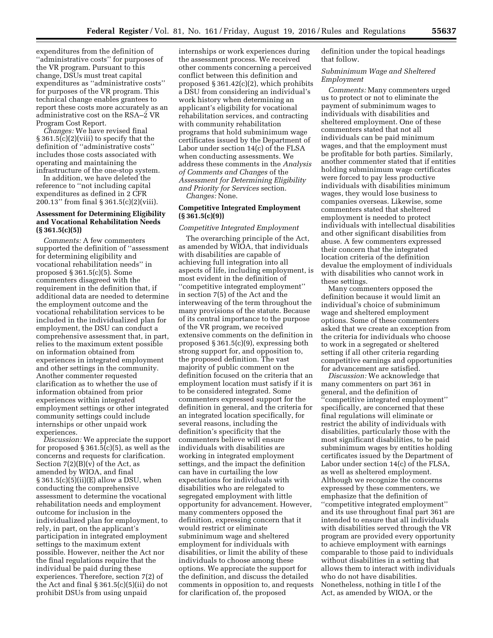expenditures from the definition of ''administrative costs'' for purposes of the VR program. Pursuant to this change, DSUs must treat capital expenditures as ''administrative costs'' for purposes of the VR program. This technical change enables grantees to report these costs more accurately as an administrative cost on the RSA–2 VR Program Cost Report.

*Changes:* We have revised final § 361.5(c)(2)(viii) to specify that the definition of ''administrative costs'' includes those costs associated with operating and maintaining the infrastructure of the one-stop system.

In addition, we have deleted the reference to ''not including capital expenditures as defined in 2 CFR 200.13'' from final § 361.5(c)(2)(viii).

## **Assessment for Determining Eligibility and Vocational Rehabilitation Needs (§ 361.5(c)(5))**

*Comments:* A few commenters supported the definition of ''assessment for determining eligibility and vocational rehabilitation needs'' in proposed § 361.5(c)(5). Some commenters disagreed with the requirement in the definition that, if additional data are needed to determine the employment outcome and the vocational rehabilitation services to be included in the individualized plan for employment, the DSU can conduct a comprehensive assessment that, in part, relies to the maximum extent possible on information obtained from experiences in integrated employment and other settings in the community. Another commenter requested clarification as to whether the use of information obtained from prior experiences within integrated employment settings or other integrated community settings could include internships or other unpaid work experiences.

*Discussion:* We appreciate the support for proposed  $\S 361.5(c)(5)$ , as well as the concerns and requests for clarification. Section  $7(2)(B)(v)$  of the Act, as amended by WIOA, and final  $\S 361.5(c)(5)(ii)(E)$  allow a DSU, when conducting the comprehensive assessment to determine the vocational rehabilitation needs and employment outcome for inclusion in the individualized plan for employment, to rely, in part, on the applicant's participation in integrated employment settings to the maximum extent possible. However, neither the Act nor the final regulations require that the individual be paid during these experiences. Therefore, section 7(2) of the Act and final § 361.5(c)(5)(ii) do not prohibit DSUs from using unpaid

internships or work experiences during the assessment process. We received other comments concerning a perceived conflict between this definition and proposed § 361.42(c)(2), which prohibits a DSU from considering an individual's work history when determining an applicant's eligibility for vocational rehabilitation services, and contracting with community rehabilitation programs that hold subminimum wage certificates issued by the Department of Labor under section 14(c) of the FLSA when conducting assessments. We address these comments in the *Analysis of Comments and Changes* of the *Assessment for Determining Eligibility and Priority for Services* section. *Changes:* None.

## **Competitive Integrated Employment (§ 361.5(c)(9))**

#### *Competitive Integrated Employment*

The overarching principle of the Act, as amended by WIOA, that individuals with disabilities are capable of achieving full integration into all aspects of life, including employment, is most evident in the definition of ''competitive integrated employment'' in section 7(5) of the Act and the interweaving of the term throughout the many provisions of the statute. Because of its central importance to the purpose of the VR program, we received extensive comments on the definition in proposed § 361.5(c)(9), expressing both strong support for, and opposition to, the proposed definition. The vast majority of public comment on the definition focused on the criteria that an employment location must satisfy if it is to be considered integrated. Some commenters expressed support for the definition in general, and the criteria for an integrated location specifically, for several reasons, including the definition's specificity that the commenters believe will ensure individuals with disabilities are working in integrated employment settings, and the impact the definition can have in curtailing the low expectations for individuals with disabilities who are relegated to segregated employment with little opportunity for advancement. However, many commenters opposed the definition, expressing concern that it would restrict or eliminate subminimum wage and sheltered employment for individuals with disabilities, or limit the ability of these individuals to choose among these options. We appreciate the support for the definition, and discuss the detailed comments in opposition to, and requests for clarification of, the proposed

definition under the topical headings that follow.

## *Subminimum Wage and Sheltered Employment*

*Comments:* Many commenters urged us to protect or not to eliminate the payment of subminimum wages to individuals with disabilities and sheltered employment. One of these commenters stated that not all individuals can be paid minimum wages, and that the employment must be profitable for both parties. Similarly, another commenter stated that if entities holding subminimum wage certificates were forced to pay less productive individuals with disabilities minimum wages, they would lose business to companies overseas. Likewise, some commenters stated that sheltered employment is needed to protect individuals with intellectual disabilities and other significant disabilities from abuse. A few commenters expressed their concern that the integrated location criteria of the definition devalue the employment of individuals with disabilities who cannot work in these settings.

Many commenters opposed the definition because it would limit an individual's choice of subminimum wage and sheltered employment options. Some of these commenters asked that we create an exception from the criteria for individuals who choose to work in a segregated or sheltered setting if all other criteria regarding competitive earnings and opportunities for advancement are satisfied.

*Discussion:* We acknowledge that many commenters on part 361 in general, and the definition of ''competitive integrated employment'' specifically, are concerned that these final regulations will eliminate or restrict the ability of individuals with disabilities, particularly those with the most significant disabilities, to be paid subminimum wages by entities holding certificates issued by the Department of Labor under section 14(c) of the FLSA, as well as sheltered employment. Although we recognize the concerns expressed by these commenters, we emphasize that the definition of ''competitive integrated employment'' and its use throughout final part 361 are intended to ensure that all individuals with disabilities served through the VR program are provided every opportunity to achieve employment with earnings comparable to those paid to individuals without disabilities in a setting that allows them to interact with individuals who do not have disabilities. Nonetheless, nothing in title I of the Act, as amended by WIOA, or the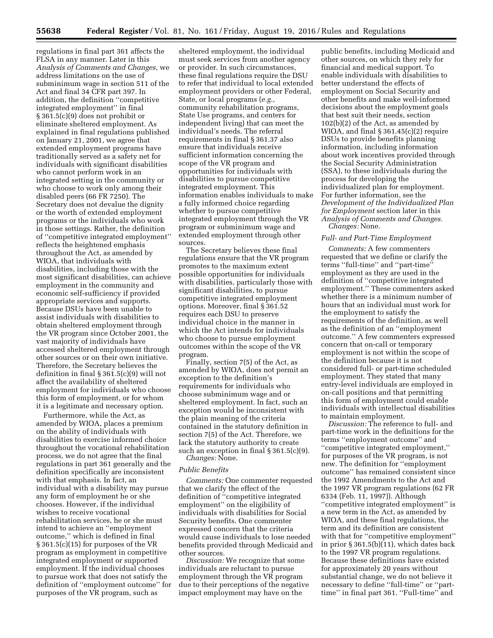regulations in final part 361 affects the FLSA in any manner. Later in this *Analysis of Comments and Changes,* we address limitations on the use of subminimum wage in section 511 of the Act and final 34 CFR part 397. In addition, the definition ''competitive integrated employment'' in final § 361.5(c)(9) does not prohibit or eliminate sheltered employment. As explained in final regulations published on January 21, 2001, we agree that extended employment programs have traditionally served as a safety net for individuals with significant disabilities who cannot perform work in an integrated setting in the community or who choose to work only among their disabled peers (66 FR 7250). The Secretary does not devalue the dignity or the worth of extended employment programs or the individuals who work in those settings. Rather, the definition of ''competitive integrated employment'' reflects the heightened emphasis throughout the Act, as amended by WIOA, that individuals with disabilities, including those with the most significant disabilities, can achieve employment in the community and economic self-sufficiency if provided appropriate services and supports. Because DSUs have been unable to assist individuals with disabilities to obtain sheltered employment through the VR program since October 2001, the vast majority of individuals have accessed sheltered employment through other sources or on their own initiative. Therefore, the Secretary believes the definition in final § 361.5(c)(9) will not affect the availability of sheltered employment for individuals who choose this form of employment, or for whom it is a legitimate and necessary option.

Furthermore, while the Act, as amended by WIOA, places a premium on the ability of individuals with disabilities to exercise informed choice throughout the vocational rehabilitation process, we do not agree that the final regulations in part 361 generally and the definition specifically are inconsistent with that emphasis. In fact, an individual with a disability may pursue any form of employment he or she chooses. However, if the individual wishes to receive vocational rehabilitation services, he or she must intend to achieve an ''employment outcome,'' which is defined in final § 361.5(c)(15) for purposes of the VR program as employment in competitive integrated employment or supported employment. If the individual chooses to pursue work that does not satisfy the definition of ''employment outcome'' for purposes of the VR program, such as

sheltered employment, the individual must seek services from another agency or provider. In such circumstances, these final regulations require the DSU to refer that individual to local extended employment providers or other Federal, State, or local programs (*e.g.,*  community rehabilitation programs, State Use programs, and centers for independent living) that can meet the individual's needs. The referral requirements in final § 361.37 also ensure that individuals receive sufficient information concerning the scope of the VR program and opportunities for individuals with disabilities to pursue competitive integrated employment. This information enables individuals to make a fully informed choice regarding whether to pursue competitive integrated employment through the VR program or subminimum wage and extended employment through other sources.

The Secretary believes these final regulations ensure that the VR program promotes to the maximum extent possible opportunities for individuals with disabilities, particularly those with significant disabilities, to pursue competitive integrated employment options. Moreover, final § 361.52 requires each DSU to preserve individual choice in the manner in which the Act intends for individuals who choose to pursue employment outcomes within the scope of the VR program.

Finally, section 7(5) of the Act, as amended by WIOA, does not permit an exception to the definition's requirements for individuals who choose subminimum wage and or sheltered employment. In fact, such an exception would be inconsistent with the plain meaning of the criteria contained in the statutory definition in section 7(5) of the Act. Therefore, we lack the statutory authority to create such an exception in final § 361.5(c)(9). *Changes:* None.

## *Public Benefits*

*Comments:* One commenter requested that we clarify the effect of the definition of ''competitive integrated employment'' on the eligibility of individuals with disabilities for Social Security benefits. One commenter expressed concern that the criteria would cause individuals to lose needed benefits provided through Medicaid and other sources.

*Discussion:* We recognize that some individuals are reluctant to pursue employment through the VR program due to their perceptions of the negative impact employment may have on the

public benefits, including Medicaid and other sources, on which they rely for financial and medical support. To enable individuals with disabilities to better understand the effects of employment on Social Security and other benefits and make well-informed decisions about the employment goals that best suit their needs, section 102(b)(2) of the Act, as amended by WIOA, and final  $\S 361.45(c)(2)$  require DSUs to provide benefits planning information, including information about work incentives provided through the Social Security Administration (SSA), to these individuals during the process for developing the individualized plan for employment. For further information, see the *Development of the Individualized Plan for Employment* section later in this *Analysis of Comments and Changes. Changes:* None.

#### *Full- and Part-Time Employment*

*Comments:* A few commenters requested that we define or clarify the terms ''full-time'' and ''part-time'' employment as they are used in the definition of ''competitive integrated employment.'' These commenters asked whether there is a minimum number of hours that an individual must work for the employment to satisfy the requirements of the definition, as well as the definition of an ''employment outcome.'' A few commenters expressed concern that on-call or temporary employment is not within the scope of the definition because it is not considered full- or part-time scheduled employment. They stated that many entry-level individuals are employed in on-call positions and that permitting this form of employment could enable individuals with intellectual disabilities to maintain employment.

*Discussion:* The reference to full- and part-time work in the definitions for the terms ''employment outcome'' and ''competitive integrated employment,'' for purposes of the VR program, is not new. The definition for ''employment outcome'' has remained consistent since the 1992 Amendments to the Act and the 1997 VR program regulations (62 FR 6334 (Feb. 11, 1997)). Although ''competitive integrated employment'' is a new term in the Act, as amended by WIOA, and these final regulations, the term and its definition are consistent with that for ''competitive employment'' in prior § 361.5(b)(11), which dates back to the 1997 VR program regulations. Because these definitions have existed for approximately 20 years without substantial change, we do not believe it necessary to define ''full-time'' or ''parttime'' in final part 361. ''Full-time'' and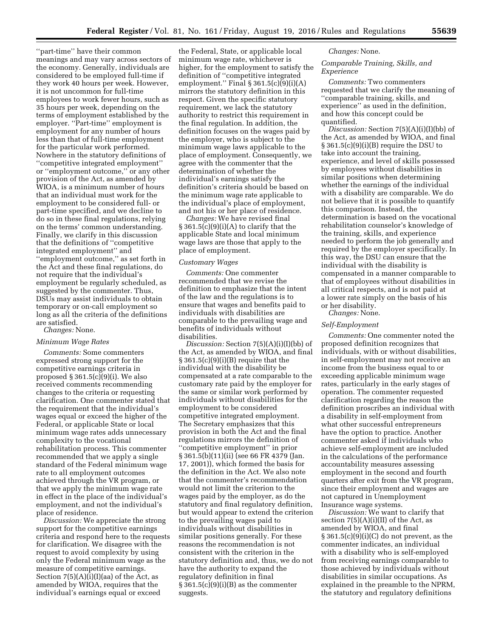''part-time'' have their common meanings and may vary across sectors of the economy. Generally, individuals are considered to be employed full-time if they work 40 hours per week. However, it is not uncommon for full-time employees to work fewer hours, such as 35 hours per week, depending on the terms of employment established by the employer. ''Part-time'' employment is employment for any number of hours less than that of full-time employment for the particular work performed. Nowhere in the statutory definitions of ''competitive integrated employment'' or ''employment outcome,'' or any other provision of the Act, as amended by WIOA, is a minimum number of hours that an individual must work for the employment to be considered full- or part-time specified, and we decline to do so in these final regulations, relying on the terms' common understanding. Finally, we clarify in this discussion that the definitions of ''competitive integrated employment'' and ''employment outcome,'' as set forth in the Act and these final regulations, do not require that the individual's employment be regularly scheduled, as suggested by the commenter. Thus, DSUs may assist individuals to obtain temporary or on-call employment so long as all the criteria of the definitions are satisfied. *Changes:* None.

## *Minimum Wage Rates*

*Comments:* Some commenters expressed strong support for the competitive earnings criteria in proposed § 361.5(c)(9)(i). We also received comments recommending changes to the criteria or requesting clarification. One commenter stated that the requirement that the individual's wages equal or exceed the higher of the Federal, or applicable State or local minimum wage rates adds unnecessary complexity to the vocational rehabilitation process. This commenter recommended that we apply a single standard of the Federal minimum wage rate to all employment outcomes achieved through the VR program, or that we apply the minimum wage rate in effect in the place of the individual's employment, and not the individual's place of residence.

*Discussion:* We appreciate the strong support for the competitive earnings criteria and respond here to the requests for clarification. We disagree with the request to avoid complexity by using only the Federal minimum wage as the measure of competitive earnings. Section  $7(5)(A)(i)(I)(aa)$  of the Act, as amended by WIOA, requires that the individual's earnings equal or exceed

the Federal, State, or applicable local minimum wage rate, whichever is higher, for the employment to satisfy the definition of ''competitive integrated employment.'' Final § 361.5(c)(9)(i)(A) mirrors the statutory definition in this respect. Given the specific statutory requirement, we lack the statutory authority to restrict this requirement in the final regulation. In addition, the definition focuses on the wages paid by the employer, who is subject to the minimum wage laws applicable to the place of employment. Consequently, we agree with the commenter that the determination of whether the individual's earnings satisfy the definition's criteria should be based on the minimum wage rate applicable to the individual's place of employment, and not his or her place of residence.

*Changes:* We have revised final  $\S 361.5(c)(9)(i)(A)$  to clarify that the applicable State and local minimum wage laws are those that apply to the place of employment.

#### *Customary Wages*

*Comments:* One commenter recommended that we revise the definition to emphasize that the intent of the law and the regulations is to ensure that wages and benefits paid to individuals with disabilities are comparable to the prevailing wage and benefits of individuals without disabilities.

*Discussion:* Section 7(5)(A)(i)(I)(bb) of the Act, as amended by WIOA, and final  $\S 361.5(c)(9)(i)(B)$  require that the individual with the disability be compensated at a rate comparable to the customary rate paid by the employer for the same or similar work performed by individuals without disabilities for the employment to be considered competitive integrated employment. The Secretary emphasizes that this provision in both the Act and the final regulations mirrors the definition of ''competitive employment'' in prior § 361.5(b)(11)(ii) (see 66 FR 4379 (Jan. 17, 2001)), which formed the basis for the definition in the Act. We also note that the commenter's recommendation would not limit the criterion to the wages paid by the employer, as do the statutory and final regulatory definition, but would appear to extend the criterion to the prevailing wages paid to individuals without disabilities in similar positions generally. For these reasons the recommendation is not consistent with the criterion in the statutory definition and, thus, we do not have the authority to expand the regulatory definition in final  $§ 361.5(c)(9)(i)(B)$  as the commenter suggests.

#### *Changes:* None.

## *Comparable Training, Skills, and Experience*

*Comments:* Two commenters requested that we clarify the meaning of ''comparable training, skills, and experience'' as used in the definition, and how this concept could be quantified.

*Discussion:* Section 7(5)(A)(i)(I)(bb) of the Act, as amended by WIOA, and final § 361.5(c)(9)(i)(B) require the DSU to take into account the training, experience, and level of skills possessed by employees without disabilities in similar positions when determining whether the earnings of the individual with a disability are comparable. We do not believe that it is possible to quantify this comparison. Instead, the determination is based on the vocational rehabilitation counselor's knowledge of the training, skills, and experience needed to perform the job generally and required by the employer specifically. In this way, the DSU can ensure that the individual with the disability is compensated in a manner comparable to that of employees without disabilities in all critical respects, and is not paid at a lower rate simply on the basis of his or her disability.

*Changes:* None.

#### *Self-Employment*

*Comments:* One commenter noted the proposed definition recognizes that individuals, with or without disabilities, in self-employment may not receive an income from the business equal to or exceeding applicable minimum wage rates, particularly in the early stages of operation. The commenter requested clarification regarding the reason the definition proscribes an individual with a disability in self-employment from what other successful entrepreneurs have the option to practice. Another commenter asked if individuals who achieve self-employment are included in the calculations of the performance accountability measures assessing employment in the second and fourth quarters after exit from the VR program, since their employment and wages are not captured in Unemployment Insurance wage systems.

*Discussion:* We want to clarify that section  $7(5)(A)(i)(II)$  of the Act, as amended by WIOA, and final  $§ 361.5(c)(9)(i)(C)$  do not prevent, as the commenter indicates, an individual with a disability who is self-employed from receiving earnings comparable to those achieved by individuals without disabilities in similar occupations. As explained in the preamble to the NPRM, the statutory and regulatory definitions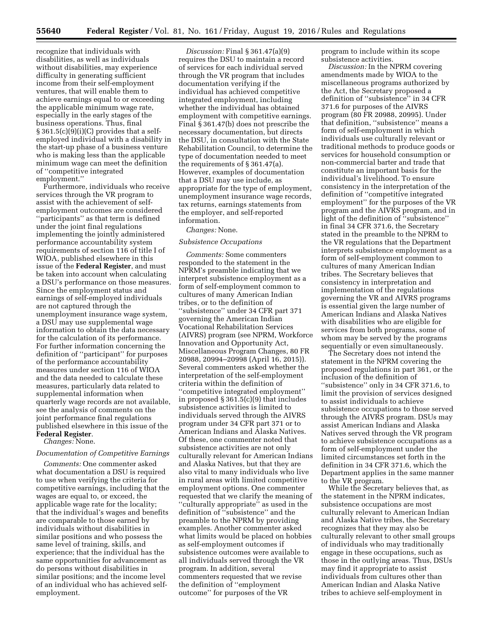recognize that individuals with disabilities, as well as individuals without disabilities, may experience difficulty in generating sufficient income from their self-employment ventures, that will enable them to achieve earnings equal to or exceeding the applicable minimum wage rate, especially in the early stages of the business operations. Thus, final  $§ 361.5(c)(9)(i)(C)$  provides that a selfemployed individual with a disability in the start-up phase of a business venture who is making less than the applicable minimum wage can meet the definition of ''competitive integrated employment.''

Furthermore, individuals who receive services through the VR program to assist with the achievement of selfemployment outcomes are considered ''participants'' as that term is defined under the joint final regulations implementing the jointly administered performance accountability system requirements of section 116 of title I of WIOA, published elsewhere in this issue of the **Federal Register**, and must be taken into account when calculating a DSU's performance on those measures. Since the employment status and earnings of self-employed individuals are not captured through the unemployment insurance wage system, a DSU may use supplemental wage information to obtain the data necessary for the calculation of its performance. For further information concerning the definition of ''participant'' for purposes of the performance accountability measures under section 116 of WIOA and the data needed to calculate these measures, particularly data related to supplemental information when quarterly wage records are not available, see the analysis of comments on the joint performance final regulations published elsewhere in this issue of the **Federal Register**.

*Changes:* None.

## *Documentation of Competitive Earnings*

*Comments:* One commenter asked what documentation a DSU is required to use when verifying the criteria for competitive earnings, including that the wages are equal to, or exceed, the applicable wage rate for the locality; that the individual's wages and benefits are comparable to those earned by individuals without disabilities in similar positions and who possess the same level of training, skills, and experience; that the individual has the same opportunities for advancement as do persons without disabilities in similar positions; and the income level of an individual who has achieved selfemployment.

*Discussion:* Final § 361.47(a)(9) requires the DSU to maintain a record of services for each individual served through the VR program that includes documentation verifying if the individual has achieved competitive integrated employment, including whether the individual has obtained employment with competitive earnings. Final § 361.47(b) does not prescribe the necessary documentation, but directs the DSU, in consultation with the State Rehabilitation Council, to determine the type of documentation needed to meet the requirements of § 361.47(a). However, examples of documentation that a DSU may use include, as appropriate for the type of employment, unemployment insurance wage records, tax returns, earnings statements from the employer, and self-reported information.

#### *Changes:* None.

#### *Subsistence Occupations*

*Comments:* Some commenters responded to the statement in the NPRM's preamble indicating that we interpret subsistence employment as a form of self-employment common to cultures of many American Indian tribes, or to the definition of ''subsistence'' under 34 CFR part 371 governing the American Indian Vocational Rehabilitation Services (AIVRS) program (see NPRM, Workforce Innovation and Opportunity Act, Miscellaneous Program Changes, 80 FR 20988, 20994–20998 (April 16, 2015)). Several commenters asked whether the interpretation of the self-employment criteria within the definition of ''competitive integrated employment'' in proposed § 361.5(c)(9) that includes subsistence activities is limited to individuals served through the AIVRS program under 34 CFR part 371 or to American Indians and Alaska Natives. Of these, one commenter noted that subsistence activities are not only culturally relevant for American Indians and Alaska Natives, but that they are also vital to many individuals who live in rural areas with limited competitive employment options. One commenter requested that we clarify the meaning of ''culturally appropriate'' as used in the definition of ''subsistence'' and the preamble to the NPRM by providing examples. Another commenter asked what limits would be placed on hobbies as self-employment outcomes if subsistence outcomes were available to all individuals served through the VR program. In addition, several commenters requested that we revise the definition of ''employment outcome'' for purposes of the VR

program to include within its scope subsistence activities.

*Discussion:* In the NPRM covering amendments made by WIOA to the miscellaneous programs authorized by the Act, the Secretary proposed a definition of ''subsistence'' in 34 CFR 371.6 for purposes of the AIVRS program (80 FR 20988, 20995). Under that definition, ''subsistence'' means a form of self-employment in which individuals use culturally relevant or traditional methods to produce goods or services for household consumption or non-commercial barter and trade that constitute an important basis for the individual's livelihood. To ensure consistency in the interpretation of the definition of ''competitive integrated employment'' for the purposes of the VR program and the AIVRS program, and in light of the definition of ''subsistence'' in final 34 CFR 371.6, the Secretary stated in the preamble to the NPRM to the VR regulations that the Department interprets subsistence employment as a form of self-employment common to cultures of many American Indian tribes. The Secretary believes that consistency in interpretation and implementation of the regulations governing the VR and AIVRS programs is essential given the large number of American Indians and Alaska Natives with disabilities who are eligible for services from both programs, some of whom may be served by the programs sequentially or even simultaneously.

The Secretary does not intend the statement in the NPRM covering the proposed regulations in part 361, or the inclusion of the definition of ''subsistence'' only in 34 CFR 371.6, to limit the provision of services designed to assist individuals to achieve subsistence occupations to those served through the AIVRS program. DSUs may assist American Indians and Alaska Natives served through the VR program to achieve subsistence occupations as a form of self-employment under the limited circumstances set forth in the definition in 34 CFR 371.6, which the Department applies in the same manner to the VR program.

While the Secretary believes that, as the statement in the NPRM indicates, subsistence occupations are most culturally relevant to American Indian and Alaska Native tribes, the Secretary recognizes that they may also be culturally relevant to other small groups of individuals who may traditionally engage in these occupations, such as those in the outlying areas. Thus, DSUs may find it appropriate to assist individuals from cultures other than American Indian and Alaska Native tribes to achieve self-employment in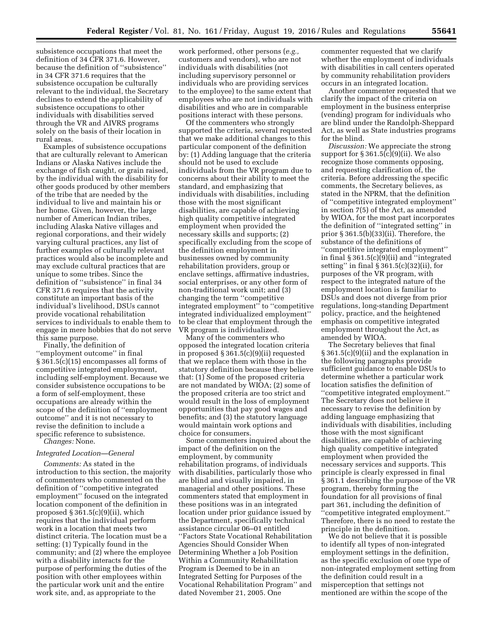subsistence occupations that meet the definition of 34 CFR 371.6. However, because the definition of ''subsistence'' in 34 CFR 371.6 requires that the subsistence occupation be culturally relevant to the individual, the Secretary declines to extend the applicability of subsistence occupations to other individuals with disabilities served through the VR and AIVRS programs solely on the basis of their location in rural areas.

Examples of subsistence occupations that are culturally relevant to American Indians or Alaska Natives include the exchange of fish caught, or grain raised, by the individual with the disability for other goods produced by other members of the tribe that are needed by the individual to live and maintain his or her home. Given, however, the large number of American Indian tribes, including Alaska Native villages and regional corporations, and their widely varying cultural practices, any list of further examples of culturally relevant practices would also be incomplete and may exclude cultural practices that are unique to some tribes. Since the definition of ''subsistence'' in final 34 CFR 371.6 requires that the activity constitute an important basis of the individual's livelihood, DSUs cannot provide vocational rehabilitation services to individuals to enable them to engage in mere hobbies that do not serve this same purpose.

Finally, the definition of ''employment outcome'' in final § 361.5(c)(15) encompasses all forms of competitive integrated employment, including self-employment. Because we consider subsistence occupations to be a form of self-employment, these occupations are already within the scope of the definition of ''employment outcome'' and it is not necessary to revise the definition to include a specific reference to subsistence. *Changes:* None.

#### *Integrated Location—General*

*Comments:* As stated in the introduction to this section, the majority of commenters who commented on the definition of ''competitive integrated employment'' focused on the integrated location component of the definition in proposed  $§ 361.5(c)(9)(ii)$ , which requires that the individual perform work in a location that meets two distinct criteria. The location must be a setting: (1) Typically found in the community; and (2) where the employee with a disability interacts for the purpose of performing the duties of the position with other employees within the particular work unit and the entire work site, and, as appropriate to the

work performed, other persons (*e.g.,*  customers and vendors), who are not individuals with disabilities (not including supervisory personnel or individuals who are providing services to the employee) to the same extent that employees who are not individuals with disabilities and who are in comparable positions interact with these persons.

Of the commenters who strongly supported the criteria, several requested that we make additional changes to this particular component of the definition by: (1) Adding language that the criteria should not be used to exclude individuals from the VR program due to concerns about their ability to meet the standard, and emphasizing that individuals with disabilities, including those with the most significant disabilities, are capable of achieving high quality competitive integrated employment when provided the necessary skills and supports; (2) specifically excluding from the scope of the definition employment in businesses owned by community rehabilitation providers, group or enclave settings, affirmative industries, social enterprises, or any other form of non-traditional work unit; and (3) changing the term ''competitive integrated employment'' to ''competitive integrated individualized employment'' to be clear that employment through the VR program is individualized.

Many of the commenters who opposed the integrated location criteria in proposed § 361.5(c)(9)(ii) requested that we replace them with those in the statutory definition because they believe that: (1) Some of the proposed criteria are not mandated by WIOA; (2) some of the proposed criteria are too strict and would result in the loss of employment opportunities that pay good wages and benefits; and (3) the statutory language would maintain work options and choice for consumers.

Some commenters inquired about the impact of the definition on the employment, by community rehabilitation programs, of individuals with disabilities, particularly those who are blind and visually impaired, in managerial and other positions. These commenters stated that employment in these positions was in an integrated location under prior guidance issued by the Department, specifically technical assistance circular 06–01 entitled ''Factors State Vocational Rehabilitation Agencies Should Consider When Determining Whether a Job Position Within a Community Rehabilitation Program is Deemed to be in an Integrated Setting for Purposes of the Vocational Rehabilitation Program'' and dated November 21, 2005. One

commenter requested that we clarify whether the employment of individuals with disabilities in call centers operated by community rehabilitation providers occurs in an integrated location.

Another commenter requested that we clarify the impact of the criteria on employment in the business enterprise (vending) program for individuals who are blind under the Randolph-Sheppard Act, as well as State industries programs for the blind.

*Discussion:* We appreciate the strong support for  $\S 361.5(c)(9)(ii)$ . We also recognize those comments opposing, and requesting clarification of, the criteria. Before addressing the specific comments, the Secretary believes, as stated in the NPRM, that the definition of ''competitive integrated employment'' in section 7(5) of the Act, as amended by WIOA, for the most part incorporates the definition of ''integrated setting'' in prior § 361.5(b)(33)(ii). Therefore, the substance of the definitions of ''competitive integrated employment'' in final  $\S 361.5(c)(9)(ii)$  and "integrated setting'' in final § 361.5(c)(32)(ii), for purposes of the VR program, with respect to the integrated nature of the employment location is familiar to DSUs and does not diverge from prior regulations, long-standing Department policy, practice, and the heightened emphasis on competitive integrated employment throughout the Act, as amended by WIOA.

The Secretary believes that final § 361.5(c)(9)(ii) and the explanation in the following paragraphs provide sufficient guidance to enable DSUs to determine whether a particular work location satisfies the definition of ''competitive integrated employment.'' The Secretary does not believe it necessary to revise the definition by adding language emphasizing that individuals with disabilities, including those with the most significant disabilities, are capable of achieving high quality competitive integrated employment when provided the necessary services and supports. This principle is clearly expressed in final § 361.1 describing the purpose of the VR program, thereby forming the foundation for all provisions of final part 361, including the definition of ''competitive integrated employment.'' Therefore, there is no need to restate the principle in the definition.

We do not believe that it is possible to identify all types of non-integrated employment settings in the definition, as the specific exclusion of one type of non-integrated employment setting from the definition could result in a misperception that settings not mentioned are within the scope of the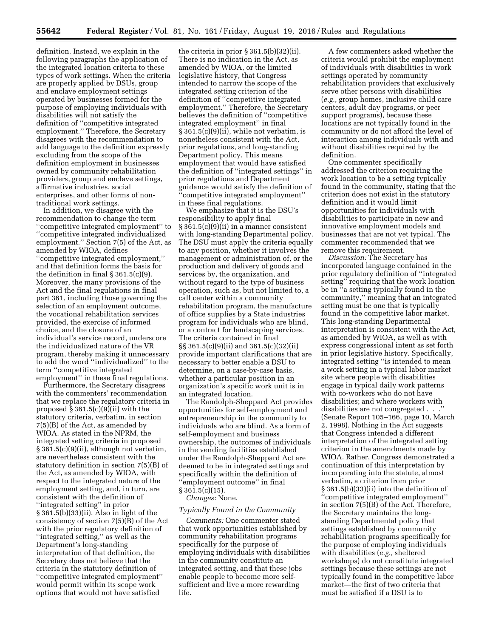definition. Instead, we explain in the following paragraphs the application of the integrated location criteria to these types of work settings. When the criteria are properly applied by DSUs, group and enclave employment settings operated by businesses formed for the purpose of employing individuals with disabilities will not satisfy the definition of ''competitive integrated employment.'' Therefore, the Secretary disagrees with the recommendation to add language to the definition expressly excluding from the scope of the definition employment in businesses owned by community rehabilitation providers, group and enclave settings, affirmative industries, social enterprises, and other forms of nontraditional work settings.

In addition, we disagree with the recommendation to change the term ''competitive integrated employment'' to ''competitive integrated individualized employment.'' Section 7(5) of the Act, as amended by WIOA, defines ''competitive integrated employment,'' and that definition forms the basis for the definition in final § 361.5(c)(9). Moreover, the many provisions of the Act and the final regulations in final part 361, including those governing the selection of an employment outcome, the vocational rehabilitation services provided, the exercise of informed choice, and the closure of an individual's service record, underscore the individualized nature of the VR program, thereby making it unnecessary to add the word ''individualized'' to the term ''competitive integrated employment'' in these final regulations.

Furthermore, the Secretary disagrees with the commenters' recommendation that we replace the regulatory criteria in proposed § 361.5(c)(9)(ii) with the statutory criteria, verbatim, in section 7(5)(B) of the Act, as amended by WIOA. As stated in the NPRM, the integrated setting criteria in proposed § 361.5(c)(9)(ii), although not verbatim, are nevertheless consistent with the statutory definition in section 7(5)(B) of the Act, as amended by WIOA, with respect to the integrated nature of the employment setting, and, in turn, are consistent with the definition of ''integrated setting'' in prior § 361.5(b)(33)(ii). Also in light of the consistency of section 7(5)(B) of the Act with the prior regulatory definition of ''integrated setting,'' as well as the Department's long-standing interpretation of that definition, the Secretary does not believe that the criteria in the statutory definition of ''competitive integrated employment'' would permit within its scope work options that would not have satisfied

the criteria in prior § 361.5(b)(32)(ii). There is no indication in the Act, as amended by WIOA, or the limited legislative history, that Congress intended to narrow the scope of the integrated setting criterion of the definition of ''competitive integrated employment.'' Therefore, the Secretary believes the definition of ''competitive integrated employment'' in final § 361.5(c)(9)(ii), while not verbatim, is nonetheless consistent with the Act, prior regulations, and long-standing Department policy. This means employment that would have satisfied the definition of ''integrated settings'' in prior regulations and Department guidance would satisfy the definition of ''competitive integrated employment'' in these final regulations.

We emphasize that it is the DSU's responsibility to apply final § 361.5(c)(9)(ii) in a manner consistent with long-standing Departmental policy. The DSU must apply the criteria equally to any position, whether it involves the management or administration of, or the production and delivery of goods and services by, the organization, and without regard to the type of business operation, such as, but not limited to, a call center within a community rehabilitation program, the manufacture of office supplies by a State industries program for individuals who are blind, or a contract for landscaping services. The criteria contained in final §§ 361.5(c)(9)(ii) and 361.5(c)(32)(ii) provide important clarifications that are necessary to better enable a DSU to determine, on a case-by-case basis, whether a particular position in an organization's specific work unit is in an integrated location.

The Randolph-Sheppard Act provides opportunities for self-employment and entrepreneurship in the community to individuals who are blind. As a form of self-employment and business ownership, the outcomes of individuals in the vending facilities established under the Randolph-Sheppard Act are deemed to be in integrated settings and specifically within the definition of ''employment outcome'' in final § 361.5(c)(15). *Changes:* None.

# *Typically Found in the Community*

*Comments:* One commenter stated that work opportunities established by community rehabilitation programs specifically for the purpose of employing individuals with disabilities in the community constitute an integrated setting, and that these jobs enable people to become more selfsufficient and live a more rewarding life.

A few commenters asked whether the criteria would prohibit the employment of individuals with disabilities in work settings operated by community rehabilitation providers that exclusively serve other persons with disabilities (*e.g.,* group homes, inclusive child care centers, adult day programs, or peer support programs), because these locations are not typically found in the community or do not afford the level of interaction among individuals with and without disabilities required by the definition.

One commenter specifically addressed the criterion requiring the work location to be a setting typically found in the community, stating that the criterion does not exist in the statutory definition and it would limit opportunities for individuals with disabilities to participate in new and innovative employment models and businesses that are not yet typical. The commenter recommended that we remove this requirement.

*Discussion:* The Secretary has incorporated language contained in the prior regulatory definition of ''integrated setting'' requiring that the work location be in ''a setting typically found in the community,'' meaning that an integrated setting must be one that is typically found in the competitive labor market. This long-standing Departmental interpretation is consistent with the Act, as amended by WIOA, as well as with express congressional intent as set forth in prior legislative history. Specifically, integrated setting ''is intended to mean a work setting in a typical labor market site where people with disabilities engage in typical daily work patterns with co-workers who do not have disabilities; and where workers with disabilities are not congregated . . .'' (Senate Report 105–166, page 10, March 2, 1998). Nothing in the Act suggests that Congress intended a different interpretation of the integrated setting criterion in the amendments made by WIOA. Rather, Congress demonstrated a continuation of this interpretation by incorporating into the statute, almost verbatim, a criterion from prior § 361.5(b)(33)(ii) into the definition of ''competitive integrated employment'' in section 7(5)(B) of the Act. Therefore, the Secretary maintains the longstanding Departmental policy that settings established by community rehabilitation programs specifically for the purpose of employing individuals with disabilities (*e.g.,* sheltered workshops) do not constitute integrated settings because these settings are not typically found in the competitive labor market—the first of two criteria that must be satisfied if a DSU is to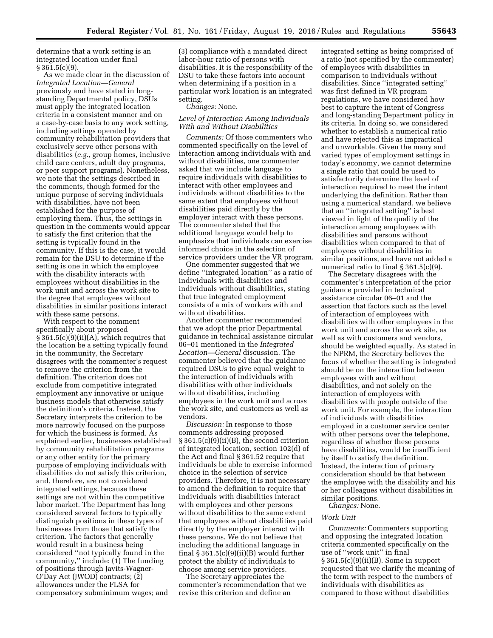determine that a work setting is an integrated location under final  $\S 361.5(c)(9)$ .

As we made clear in the discussion of *Integrated Location—General*  previously and have stated in longstanding Departmental policy, DSUs must apply the integrated location criteria in a consistent manner and on a case-by-case basis to any work setting, including settings operated by community rehabilitation providers that exclusively serve other persons with disabilities (*e.g.,* group homes, inclusive child care centers, adult day programs, or peer support programs). Nonetheless, we note that the settings described in the comments, though formed for the unique purpose of serving individuals with disabilities, have not been established for the purpose of employing them. Thus, the settings in question in the comments would appear to satisfy the first criterion that the setting is typically found in the community. If this is the case, it would remain for the DSU to determine if the setting is one in which the employee with the disability interacts with employees without disabilities in the work unit and across the work site to the degree that employees without disabilities in similar positions interact with these same persons.

With respect to the comment specifically about proposed  $\S 361.5(c)(9)(ii)(A)$ , which requires that the location be a setting typically found in the community, the Secretary disagrees with the commenter's request to remove the criterion from the definition. The criterion does not exclude from competitive integrated employment any innovative or unique business models that otherwise satisfy the definition's criteria. Instead, the Secretary interprets the criterion to be more narrowly focused on the purpose for which the business is formed. As explained earlier, businesses established by community rehabilitation programs or any other entity for the primary purpose of employing individuals with disabilities do not satisfy this criterion, and, therefore, are not considered integrated settings, because these settings are not within the competitive labor market. The Department has long considered several factors to typically distinguish positions in these types of businesses from those that satisfy the criterion. The factors that generally would result in a business being considered ''not typically found in the community,'' include: (1) The funding of positions through Javits-Wagner-O'Day Act (JWOD) contracts; (2) allowances under the FLSA for compensatory subminimum wages; and

(3) compliance with a mandated direct labor-hour ratio of persons with disabilities. It is the responsibility of the DSU to take these factors into account when determining if a position in a particular work location is an integrated setting.

## *Changes:* None.

## *Level of Interaction Among Individuals With and Without Disabilities*

*Comments:* Of those commenters who commented specifically on the level of interaction among individuals with and without disabilities, one commenter asked that we include language to require individuals with disabilities to interact with other employees and individuals without disabilities to the same extent that employees without disabilities paid directly by the employer interact with these persons. The commenter stated that the additional language would help to emphasize that individuals can exercise informed choice in the selection of service providers under the VR program.

One commenter suggested that we define ''integrated location'' as a ratio of individuals with disabilities and individuals without disabilities, stating that true integrated employment consists of a mix of workers with and without disabilities.

Another commenter recommended that we adopt the prior Departmental guidance in technical assistance circular 06–01 mentioned in the *Integrated Location—General* discussion. The commenter believed that the guidance required DSUs to give equal weight to the interaction of individuals with disabilities with other individuals without disabilities, including employees in the work unit and across the work site, and customers as well as vendors.

*Discussion:* In response to those comments addressing proposed § 361.5(c)(9)(ii)(B), the second criterion of integrated location, section 102(d) of the Act and final § 361.52 require that individuals be able to exercise informed choice in the selection of service providers. Therefore, it is not necessary to amend the definition to require that individuals with disabilities interact with employees and other persons without disabilities to the same extent that employees without disabilities paid directly by the employer interact with these persons. We do not believe that including the additional language in final  $\S 361.5(c)(9)(ii)(B)$  would further protect the ability of individuals to choose among service providers.

The Secretary appreciates the commenter's recommendation that we revise this criterion and define an

integrated setting as being comprised of a ratio (not specified by the commenter) of employees with disabilities in comparison to individuals without disabilities. Since ''integrated setting'' was first defined in VR program regulations, we have considered how best to capture the intent of Congress and long-standing Department policy in its criteria. In doing so, we considered whether to establish a numerical ratio and have rejected this as impractical and unworkable. Given the many and varied types of employment settings in today's economy, we cannot determine a single ratio that could be used to satisfactorily determine the level of interaction required to meet the intent underlying the definition. Rather than using a numerical standard, we believe that an ''integrated setting'' is best viewed in light of the quality of the interaction among employees with disabilities and persons without disabilities when compared to that of employees without disabilities in similar positions, and have not added a numerical ratio to final § 361.5(c)(9).

The Secretary disagrees with the commenter's interpretation of the prior guidance provided in technical assistance circular 06–01 and the assertion that factors such as the level of interaction of employees with disabilities with other employees in the work unit and across the work site, as well as with customers and vendors, should be weighted equally. As stated in the NPRM, the Secretary believes the focus of whether the setting is integrated should be on the interaction between employees with and without disabilities, and not solely on the interaction of employees with disabilities with people outside of the work unit. For example, the interaction of individuals with disabilities employed in a customer service center with other persons over the telephone, regardless of whether these persons have disabilities, would be insufficient by itself to satisfy the definition. Instead, the interaction of primary consideration should be that between the employee with the disability and his or her colleagues without disabilities in similar positions. *Changes:* None.

# *Work Unit*

*Comments:* Commenters supporting and opposing the integrated location criteria commented specifically on the use of ''work unit'' in final § 361.5(c)(9)(ii)(B). Some in support requested that we clarify the meaning of the term with respect to the numbers of individuals with disabilities as compared to those without disabilities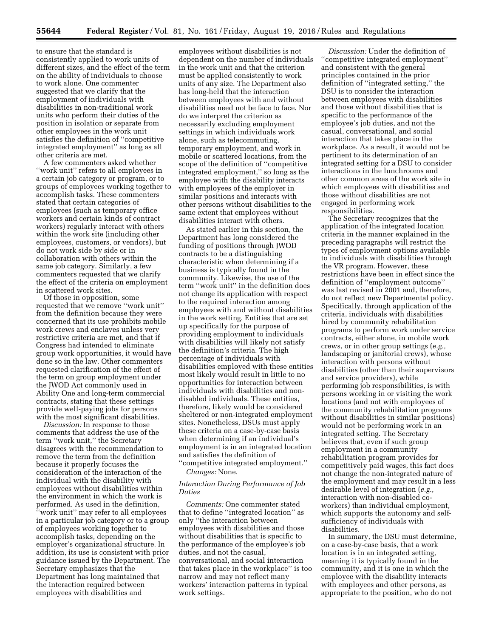to ensure that the standard is consistently applied to work units of different sizes, and the effect of the term on the ability of individuals to choose to work alone. One commenter suggested that we clarify that the employment of individuals with disabilities in non-traditional work units who perform their duties of the position in isolation or separate from other employees in the work unit satisfies the definition of ''competitive integrated employment'' as long as all other criteria are met.

A few commenters asked whether ''work unit'' refers to all employees in a certain job category or program, or to groups of employees working together to accomplish tasks. These commenters stated that certain categories of employees (such as temporary office workers and certain kinds of contract workers) regularly interact with others within the work site (including other employees, customers, or vendors), but do not work side by side or in collaboration with others within the same job category. Similarly, a few commenters requested that we clarify the effect of the criteria on employment in scattered work sites.

Of those in opposition, some requested that we remove ''work unit'' from the definition because they were concerned that its use prohibits mobile work crews and enclaves unless very restrictive criteria are met, and that if Congress had intended to eliminate group work opportunities, it would have done so in the law. Other commenters requested clarification of the effect of the term on group employment under the JWOD Act commonly used in Ability One and long-term commercial contracts, stating that these settings provide well-paying jobs for persons with the most significant disabilities.

*Discussion:* In response to those comments that address the use of the term ''work unit,'' the Secretary disagrees with the recommendation to remove the term from the definition because it properly focuses the consideration of the interaction of the individual with the disability with employees without disabilities within the environment in which the work is performed. As used in the definition, ''work unit'' may refer to all employees in a particular job category or to a group of employees working together to accomplish tasks, depending on the employer's organizational structure. In addition, its use is consistent with prior guidance issued by the Department. The Secretary emphasizes that the Department has long maintained that the interaction required between employees with disabilities and

employees without disabilities is not dependent on the number of individuals in the work unit and that the criterion must be applied consistently to work units of any size. The Department also has long-held that the interaction between employees with and without disabilities need not be face to face. Nor do we interpret the criterion as necessarily excluding employment settings in which individuals work alone, such as telecommuting, temporary employment, and work in mobile or scattered locations, from the scope of the definition of ''competitive integrated employment,'' so long as the employee with the disability interacts with employees of the employer in similar positions and interacts with other persons without disabilities to the same extent that employees without disabilities interact with others.

As stated earlier in this section, the Department has long considered the funding of positions through JWOD contracts to be a distinguishing characteristic when determining if a business is typically found in the community. Likewise, the use of the term ''work unit'' in the definition does not change its application with respect to the required interaction among employees with and without disabilities in the work setting. Entities that are set up specifically for the purpose of providing employment to individuals with disabilities will likely not satisfy the definition's criteria. The high percentage of individuals with disabilities employed with these entities most likely would result in little to no opportunities for interaction between individuals with disabilities and nondisabled individuals. These entities, therefore, likely would be considered sheltered or non-integrated employment sites. Nonetheless, DSUs must apply these criteria on a case-by-case basis when determining if an individual's employment is in an integrated location and satisfies the definition of ''competitive integrated employment.''

*Changes:* None.

## *Interaction During Performance of Job Duties*

*Comments:* One commenter stated that to define ''integrated location'' as only ''the interaction between employees with disabilities and those without disabilities that is specific to the performance of the employee's job duties, and not the casual, conversational, and social interaction that takes place in the workplace'' is too narrow and may not reflect many workers' interaction patterns in typical work settings.

*Discussion:* Under the definition of ''competitive integrated employment'' and consistent with the general principles contained in the prior definition of ''integrated setting,'' the DSU is to consider the interaction between employees with disabilities and those without disabilities that is specific to the performance of the employee's job duties, and not the casual, conversational, and social interaction that takes place in the workplace. As a result, it would not be pertinent to its determination of an integrated setting for a DSU to consider interactions in the lunchrooms and other common areas of the work site in which employees with disabilities and those without disabilities are not engaged in performing work responsibilities.

The Secretary recognizes that the application of the integrated location criteria in the manner explained in the preceding paragraphs will restrict the types of employment options available to individuals with disabilities through the VR program. However, these restrictions have been in effect since the definition of ''employment outcome'' was last revised in 2001 and, therefore, do not reflect new Departmental policy. Specifically, through application of the criteria, individuals with disabilities hired by community rehabilitation programs to perform work under service contracts, either alone, in mobile work crews, or in other group settings (*e.g.,*  landscaping or janitorial crews), whose interaction with persons without disabilities (other than their supervisors and service providers), while performing job responsibilities, is with persons working in or visiting the work locations (and not with employees of the community rehabilitation programs without disabilities in similar positions) would not be performing work in an integrated setting. The Secretary believes that, even if such group employment in a community rehabilitation program provides for competitively paid wages, this fact does not change the non-integrated nature of the employment and may result in a less desirable level of integration (*e.g.,*  interaction with non-disabled coworkers) than individual employment, which supports the autonomy and selfsufficiency of individuals with disabilities.

In summary, the DSU must determine, on a case-by-case basis, that a work location is in an integrated setting, meaning it is typically found in the community, and it is one in which the employee with the disability interacts with employees and other persons, as appropriate to the position, who do not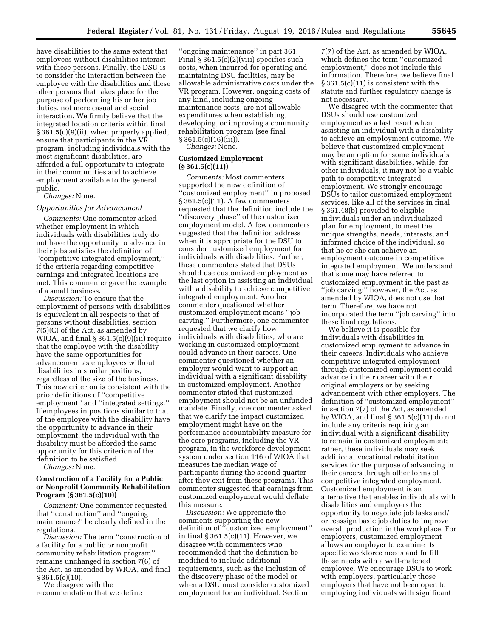have disabilities to the same extent that employees without disabilities interact with these persons. Finally, the DSU is to consider the interaction between the employee with the disabilities and these other persons that takes place for the purpose of performing his or her job duties, not mere casual and social interaction. We firmly believe that the integrated location criteria within final § 361.5(c)(9)(ii), when properly applied, ensure that participants in the VR program, including individuals with the most significant disabilities, are afforded a full opportunity to integrate in their communities and to achieve employment available to the general public.

*Changes:* None.

#### *Opportunities for Advancement*

*Comments:* One commenter asked whether employment in which individuals with disabilities truly do not have the opportunity to advance in their jobs satisfies the definition of ''competitive integrated employment,'' if the criteria regarding competitive earnings and integrated locations are met. This commenter gave the example of a small business.

*Discussion:* To ensure that the employment of persons with disabilities is equivalent in all respects to that of persons without disabilities, section 7(5)(C) of the Act, as amended by WIOA, and final § 361.5(c)(9)(iii) require that the employee with the disability have the same opportunities for advancement as employees without disabilities in similar positions, regardless of the size of the business. This new criterion is consistent with the prior definitions of ''competitive employment'' and ''integrated settings.'' If employees in positions similar to that of the employee with the disability have the opportunity to advance in their employment, the individual with the disability must be afforded the same opportunity for this criterion of the definition to be satisfied.

*Changes:* None.

## **Construction of a Facility for a Public or Nonprofit Community Rehabilitation Program (§ 361.5(c)(10))**

*Comment:* One commenter requested that ''construction'' and ''ongoing maintenance'' be clearly defined in the regulations.

*Discussion:* The term ''construction of a facility for a public or nonprofit community rehabilitation program'' remains unchanged in section 7(6) of the Act, as amended by WIOA, and final  $\S 361.5(c)(10)$ .

We disagree with the recommendation that we define

''ongoing maintenance'' in part 361. Final § 361.5(c)(2)(viii) specifies such costs, when incurred for operating and maintaining DSU facilities, may be allowable administrative costs under the VR program. However, ongoing costs of any kind, including ongoing maintenance costs, are not allowable expenditures when establishing, developing, or improving a community rehabilitation program (see final  $§ 361.5(c)(16)(iii)$ .

*Changes:* None.

## **Customized Employment (§ 361.5(c)(11))**

*Comments:* Most commenters supported the new definition of ''customized employment'' in proposed § 361.5(c)(11). A few commenters requested that the definition include the ''discovery phase'' of the customized employment model. A few commenters suggested that the definition address when it is appropriate for the DSU to consider customized employment for individuals with disabilities. Further, these commenters stated that DSUs should use customized employment as the last option in assisting an individual with a disability to achieve competitive integrated employment. Another commenter questioned whether customized employment means ''job carving.'' Furthermore, one commenter requested that we clarify how individuals with disabilities, who are working in customized employment, could advance in their careers. One commenter questioned whether an employer would want to support an individual with a significant disability in customized employment. Another commenter stated that customized employment should not be an unfunded mandate. Finally, one commenter asked that we clarify the impact customized employment might have on the performance accountability measure for the core programs, including the VR program, in the workforce development system under section 116 of WIOA that measures the median wage of participants during the second quarter after they exit from these programs. This commenter suggested that earnings from customized employment would deflate this measure.

*Discussion:* We appreciate the comments supporting the new definition of ''customized employment'' in final § 361.5(c)(11). However, we disagree with commenters who recommended that the definition be modified to include additional requirements, such as the inclusion of the discovery phase of the model or when a DSU must consider customized employment for an individual. Section

7(7) of the Act, as amended by WIOA, which defines the term ''customized employment,'' does not include this information. Therefore, we believe final § 361.5(c)(11) is consistent with the statute and further regulatory change is not necessary.

We disagree with the commenter that DSUs should use customized employment as a last resort when assisting an individual with a disability to achieve an employment outcome. We believe that customized employment may be an option for some individuals with significant disabilities, while, for other individuals, it may not be a viable path to competitive integrated employment. We strongly encourage DSUs to tailor customized employment services, like all of the services in final § 361.48(b) provided to eligible individuals under an individualized plan for employment, to meet the unique strengths, needs, interests, and informed choice of the individual, so that he or she can achieve an employment outcome in competitive integrated employment. We understand that some may have referred to customized employment in the past as ''job carving;'' however, the Act, as amended by WIOA, does not use that term. Therefore, we have not incorporated the term ''job carving'' into these final regulations.

We believe it is possible for individuals with disabilities in customized employment to advance in their careers. Individuals who achieve competitive integrated employment through customized employment could advance in their career with their original employers or by seeking advancement with other employers. The definition of ''customized employment'' in section 7(7) of the Act, as amended by WIOA, and final § 361.5(c)(11) do not include any criteria requiring an individual with a significant disability to remain in customized employment; rather, these individuals may seek additional vocational rehabilitation services for the purpose of advancing in their careers through other forms of competitive integrated employment. Customized employment is an alternative that enables individuals with disabilities and employers the opportunity to negotiate job tasks and/ or reassign basic job duties to improve overall production in the workplace. For employers, customized employment allows an employer to examine its specific workforce needs and fulfill those needs with a well-matched employee. We encourage DSUs to work with employers, particularly those employers that have not been open to employing individuals with significant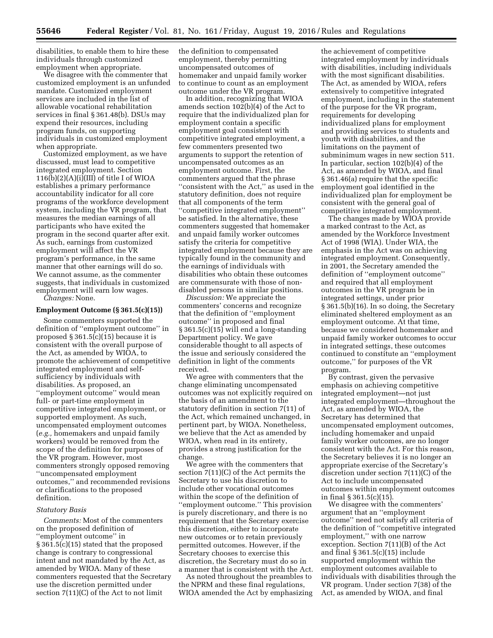disabilities, to enable them to hire these individuals through customized employment when appropriate.

We disagree with the commenter that customized employment is an unfunded mandate. Customized employment services are included in the list of allowable vocational rehabilitation services in final § 361.48(b). DSUs may expend their resources, including program funds, on supporting individuals in customized employment when appropriate.

Customized employment, as we have discussed, must lead to competitive integrated employment. Section  $116(b)(2)(A)(i)(III)$  of title I of WIOA establishes a primary performance accountability indicator for all core programs of the workforce development system, including the VR program, that measures the median earnings of all participants who have exited the program in the second quarter after exit. As such, earnings from customized employment will affect the VR program's performance, in the same manner that other earnings will do so. We cannot assume, as the commenter suggests, that individuals in customized employment will earn low wages.

*Changes:* None.

## **Employment Outcome (§ 361.5(c)(15))**

Some commenters supported the definition of ''employment outcome'' in proposed § 361.5(c)(15) because it is consistent with the overall purpose of the Act, as amended by WIOA, to promote the achievement of competitive integrated employment and selfsufficiency by individuals with disabilities. As proposed, an ''employment outcome'' would mean full- or part-time employment in competitive integrated employment, or supported employment. As such, uncompensated employment outcomes (*e.g.,* homemakers and unpaid family workers) would be removed from the scope of the definition for purposes of the VR program. However, most commenters strongly opposed removing ''uncompensated employment outcomes,'' and recommended revisions or clarifications to the proposed definition.

#### *Statutory Basis*

*Comments:* Most of the commenters on the proposed definition of ''employment outcome'' in § 361.5(c)(15) stated that the proposed change is contrary to congressional intent and not mandated by the Act, as amended by WIOA. Many of these commenters requested that the Secretary use the discretion permitted under section 7(11)(C) of the Act to not limit

the definition to compensated employment, thereby permitting uncompensated outcomes of homemaker and unpaid family worker to continue to count as an employment outcome under the VR program.

In addition, recognizing that WIOA amends section 102(b)(4) of the Act to require that the individualized plan for employment contain a specific employment goal consistent with competitive integrated employment, a few commenters presented two arguments to support the retention of uncompensated outcomes as an employment outcome. First, the commenters argued that the phrase ''consistent with the Act,'' as used in the statutory definition, does not require that all components of the term ''competitive integrated employment'' be satisfied. In the alternative, these commenters suggested that homemaker and unpaid family worker outcomes satisfy the criteria for competitive integrated employment because they are typically found in the community and the earnings of individuals with disabilities who obtain these outcomes are commensurate with those of nondisabled persons in similar positions.

*Discussion:* We appreciate the commenters' concerns and recognize that the definition of ''employment outcome'' in proposed and final § 361.5(c)(15) will end a long-standing Department policy. We gave considerable thought to all aspects of the issue and seriously considered the definition in light of the comments received.

We agree with commenters that the change eliminating uncompensated outcomes was not explicitly required on the basis of an amendment to the statutory definition in section 7(11) of the Act, which remained unchanged, in pertinent part, by WIOA. Nonetheless, we believe that the Act as amended by WIOA, when read in its entirety, provides a strong justification for the change.

We agree with the commenters that section 7(11)(C) of the Act permits the Secretary to use his discretion to include other vocational outcomes within the scope of the definition of ''employment outcome.'' This provision is purely discretionary, and there is no requirement that the Secretary exercise this discretion, either to incorporate new outcomes or to retain previously permitted outcomes. However, if the Secretary chooses to exercise this discretion, the Secretary must do so in a manner that is consistent with the Act.

As noted throughout the preambles to the NPRM and these final regulations, WIOA amended the Act by emphasizing

the achievement of competitive integrated employment by individuals with disabilities, including individuals with the most significant disabilities. The Act, as amended by WIOA, refers extensively to competitive integrated employment, including in the statement of the purpose for the VR program, requirements for developing individualized plans for employment and providing services to students and youth with disabilities, and the limitations on the payment of subminimum wages in new section 511. In particular, section 102(b)(4) of the Act, as amended by WIOA, and final § 361.46(a) require that the specific employment goal identified in the individualized plan for employment be consistent with the general goal of competitive integrated employment.

The changes made by WIOA provide a marked contrast to the Act, as amended by the Workforce Investment Act of 1998 (WIA). Under WIA, the emphasis in the Act was on achieving integrated employment. Consequently, in 2001, the Secretary amended the definition of ''employment outcome'' and required that all employment outcomes in the VR program be in integrated settings, under prior § 361.5(b)(16). In so doing, the Secretary eliminated sheltered employment as an employment outcome. At that time, because we considered homemaker and unpaid family worker outcomes to occur in integrated settings, these outcomes continued to constitute an ''employment outcome,'' for purposes of the VR program.

By contrast, given the pervasive emphasis on achieving competitive integrated employment—not just integrated employment—throughout the Act, as amended by WIOA, the Secretary has determined that uncompensated employment outcomes, including homemaker and unpaid family worker outcomes, are no longer consistent with the Act. For this reason, the Secretary believes it is no longer an appropriate exercise of the Secretary's discretion under section 7(11)(C) of the Act to include uncompensated outcomes within employment outcomes in final § 361.5(c)(15).

We disagree with the commenters' argument that an ''employment outcome'' need not satisfy all criteria of the definition of ''competitive integrated employment,'' with one narrow exception. Section 7(11)(B) of the Act and final § 361.5(c)(15) include supported employment within the employment outcomes available to individuals with disabilities through the VR program. Under section 7(38) of the Act, as amended by WIOA, and final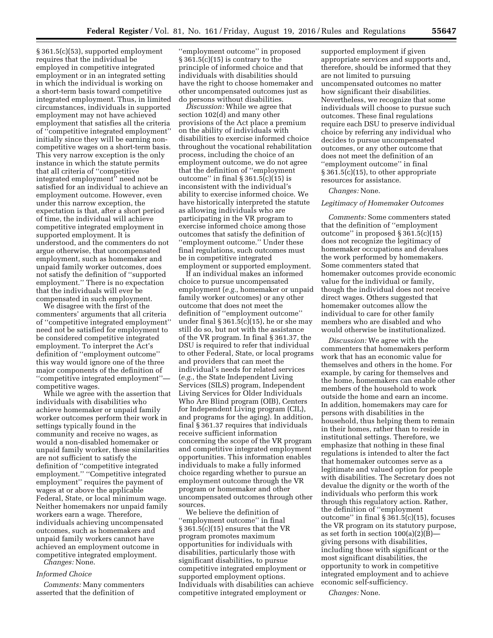§ 361.5(c)(53), supported employment requires that the individual be employed in competitive integrated employment or in an integrated setting in which the individual is working on a short-term basis toward competitive integrated employment. Thus, in limited circumstances, individuals in supported employment may not have achieved employment that satisfies all the criteria of ''competitive integrated employment'' initially since they will be earning noncompetitive wages on a short-term basis. This very narrow exception is the only instance in which the statute permits that all criteria of ''competitive integrated employment'' need not be satisfied for an individual to achieve an employment outcome. However, even under this narrow exception, the expectation is that, after a short period of time, the individual will achieve competitive integrated employment in supported employment. It is understood, and the commenters do not argue otherwise, that uncompensated employment, such as homemaker and unpaid family worker outcomes, does not satisfy the definition of ''supported employment.'' There is no expectation that the individuals will ever be compensated in such employment.

We disagree with the first of the commenters' arguments that all criteria of ''competitive integrated employment'' need not be satisfied for employment to be considered competitive integrated employment. To interpret the Act's definition of ''employment outcome'' this way would ignore one of the three major components of the definition of ''competitive integrated employment'' competitive wages.

While we agree with the assertion that individuals with disabilities who achieve homemaker or unpaid family worker outcomes perform their work in settings typically found in the community and receive no wages, as would a non-disabled homemaker or unpaid family worker, these similarities are not sufficient to satisfy the definition of ''competitive integrated employment.'' ''Competitive integrated employment'' requires the payment of wages at or above the applicable Federal, State, or local minimum wage. Neither homemakers nor unpaid family workers earn a wage. Therefore, individuals achieving uncompensated outcomes, such as homemakers and unpaid family workers cannot have achieved an employment outcome in competitive integrated employment. *Changes:* None.

## *Informed Choice*

*Comments:* Many commenters asserted that the definition of

''employment outcome'' in proposed § 361.5(c)(15) is contrary to the principle of informed choice and that individuals with disabilities should have the right to choose homemaker and other uncompensated outcomes just as do persons without disabilities.

*Discussion:* While we agree that section 102(d) and many other provisions of the Act place a premium on the ability of individuals with disabilities to exercise informed choice throughout the vocational rehabilitation process, including the choice of an employment outcome, we do not agree that the definition of ''employment outcome" in final  $\S 361.5(c)(15)$  is inconsistent with the individual's ability to exercise informed choice. We have historically interpreted the statute as allowing individuals who are participating in the VR program to exercise informed choice among those outcomes that satisfy the definition of ''employment outcome.'' Under these final regulations, such outcomes must be in competitive integrated employment or supported employment.

If an individual makes an informed choice to pursue uncompensated employment (*e.g.,* homemaker or unpaid family worker outcomes) or any other outcome that does not meet the definition of ''employment outcome'' under final  $\S 361.5(c)(15)$ , he or she may still do so, but not with the assistance of the VR program. In final § 361.37, the DSU is required to refer that individual to other Federal, State, or local programs and providers that can meet the individual's needs for related services (*e.g.,* the State Independent Living Services (SILS) program, Independent Living Services for Older Individuals Who Are Blind program (OIB), Centers for Independent Living program (CIL), and programs for the aging). In addition, final § 361.37 requires that individuals receive sufficient information concerning the scope of the VR program and competitive integrated employment opportunities. This information enables individuals to make a fully informed choice regarding whether to pursue an employment outcome through the VR program or homemaker and other uncompensated outcomes through other sources.

We believe the definition of ''employment outcome'' in final § 361.5(c)(15) ensures that the VR program promotes maximum opportunities for individuals with disabilities, particularly those with significant disabilities, to pursue competitive integrated employment or supported employment options. Individuals with disabilities can achieve competitive integrated employment or

supported employment if given appropriate services and supports and, therefore, should be informed that they are not limited to pursuing uncompensated outcomes no matter how significant their disabilities. Nevertheless, we recognize that some individuals will choose to pursue such outcomes. These final regulations require each DSU to preserve individual choice by referring any individual who decides to pursue uncompensated outcomes, or any other outcome that does not meet the definition of an ''employment outcome'' in final § 361.5(c)(15), to other appropriate resources for assistance.

## *Changes:* None.

#### *Legitimacy of Homemaker Outcomes*

*Comments:* Some commenters stated that the definition of ''employment outcome'' in proposed § 361.5(c)(15) does not recognize the legitimacy of homemaker occupations and devalues the work performed by homemakers. Some commenters stated that homemaker outcomes provide economic value for the individual or family, though the individual does not receive direct wages. Others suggested that homemaker outcomes allow the individual to care for other family members who are disabled and who would otherwise be institutionalized.

*Discussion:* We agree with the commenters that homemakers perform work that has an economic value for themselves and others in the home. For example, by caring for themselves and the home, homemakers can enable other members of the household to work outside the home and earn an income. In addition, homemakers may care for persons with disabilities in the household, thus helping them to remain in their homes, rather than to reside in institutional settings. Therefore, we emphasize that nothing in these final regulations is intended to alter the fact that homemaker outcomes serve as a legitimate and valued option for people with disabilities. The Secretary does not devalue the dignity or the worth of the individuals who perform this work through this regulatory action. Rather, the definition of ''employment outcome'' in final § 361.5(c)(15), focuses the VR program on its statutory purpose, as set forth in section  $100(a)(2)(B)$  giving persons with disabilities, including those with significant or the most significant disabilities, the opportunity to work in competitive integrated employment and to achieve economic self-sufficiency.

*Changes:* None.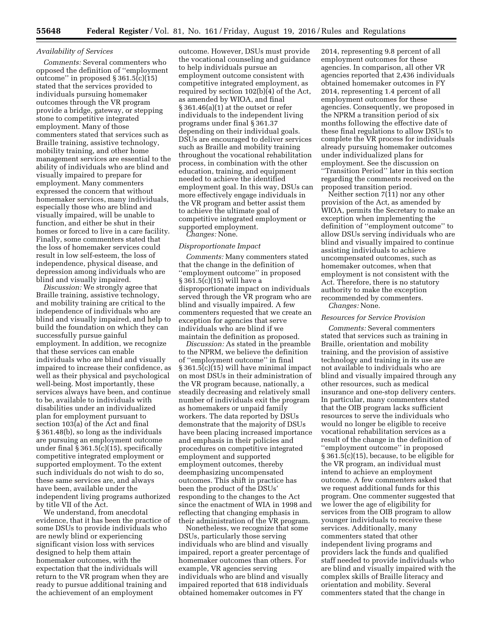## *Availability of Services*

*Comments:* Several commenters who opposed the definition of ''employment outcome" in proposed  $\S 361.5(c)(15)$ stated that the services provided to individuals pursuing homemaker outcomes through the VR program provide a bridge, gateway, or stepping stone to competitive integrated employment. Many of those commenters stated that services such as Braille training, assistive technology, mobility training, and other home management services are essential to the ability of individuals who are blind and visually impaired to prepare for employment. Many commenters expressed the concern that without homemaker services, many individuals, especially those who are blind and visually impaired, will be unable to function, and either be shut in their homes or forced to live in a care facility. Finally, some commenters stated that the loss of homemaker services could result in low self-esteem, the loss of independence, physical disease, and depression among individuals who are blind and visually impaired.

*Discussion:* We strongly agree that Braille training, assistive technology, and mobility training are critical to the independence of individuals who are blind and visually impaired, and help to build the foundation on which they can successfully pursue gainful employment. In addition, we recognize that these services can enable individuals who are blind and visually impaired to increase their confidence, as well as their physical and psychological well-being. Most importantly, these services always have been, and continue to be, available to individuals with disabilities under an individualized plan for employment pursuant to section 103(a) of the Act and final § 361.48(b), so long as the individuals are pursuing an employment outcome under final § 361.5(c)(15), specifically competitive integrated employment or supported employment. To the extent such individuals do not wish to do so, these same services are, and always have been, available under the independent living programs authorized by title VII of the Act.

We understand, from anecdotal evidence, that it has been the practice of some DSUs to provide individuals who are newly blind or experiencing significant vision loss with services designed to help them attain homemaker outcomes, with the expectation that the individuals will return to the VR program when they are ready to pursue additional training and the achievement of an employment

outcome. However, DSUs must provide the vocational counseling and guidance to help individuals pursue an employment outcome consistent with competitive integrated employment, as required by section 102(b)(4) of the Act, as amended by WIOA, and final § 361.46(a)(1) at the outset or refer individuals to the independent living programs under final § 361.37 depending on their individual goals. DSUs are encouraged to deliver services such as Braille and mobility training throughout the vocational rehabilitation process, in combination with the other education, training, and equipment needed to achieve the identified employment goal. In this way, DSUs can more effectively engage individuals in the VR program and better assist them to achieve the ultimate goal of competitive integrated employment or supported employment.

*Changes:* None.

## *Disproportionate Impact*

*Comments:* Many commenters stated that the change in the definition of ''employment outcome'' in proposed § 361.5(c)(15) will have a disproportionate impact on individuals served through the VR program who are blind and visually impaired. A few commenters requested that we create an exception for agencies that serve individuals who are blind if we maintain the definition as proposed.

*Discussion:* As stated in the preamble to the NPRM, we believe the definition of ''employment outcome'' in final  $\S 361.5(c)(15)$  will have minimal impact on most DSUs in their administration of the VR program because, nationally, a steadily decreasing and relatively small number of individuals exit the program as homemakers or unpaid family workers. The data reported by DSUs demonstrate that the majority of DSUs have been placing increased importance and emphasis in their policies and procedures on competitive integrated employment and supported employment outcomes, thereby deemphasizing uncompensated outcomes. This shift in practice has been the product of the DSUs' responding to the changes to the Act since the enactment of WIA in 1998 and reflecting that changing emphasis in their administration of the VR program.

Nonetheless, we recognize that some DSUs, particularly those serving individuals who are blind and visually impaired, report a greater percentage of homemaker outcomes than others. For example, VR agencies serving individuals who are blind and visually impaired reported that 618 individuals obtained homemaker outcomes in FY

2014, representing 9.8 percent of all employment outcomes for these agencies. In comparison, all other VR agencies reported that 2,436 individuals obtained homemaker outcomes in FY 2014, representing 1.4 percent of all employment outcomes for these agencies. Consequently, we proposed in the NPRM a transition period of six months following the effective date of these final regulations to allow DSUs to complete the VR process for individuals already pursuing homemaker outcomes under individualized plans for employment. See the discussion on ''Transition Period'' later in this section regarding the comments received on the proposed transition period.

Neither section 7(11) nor any other provision of the Act, as amended by WIOA, permits the Secretary to make an exception when implementing the definition of ''employment outcome'' to allow DSUs serving individuals who are blind and visually impaired to continue assisting individuals to achieve uncompensated outcomes, such as homemaker outcomes, when that employment is not consistent with the Act. Therefore, there is no statutory authority to make the exception recommended by commenters. *Changes:* None.

#### *Resources for Service Provision*

*Comments:* Several commenters stated that services such as training in Braille, orientation and mobility training, and the provision of assistive technology and training in its use are not available to individuals who are blind and visually impaired through any other resources, such as medical insurance and one-stop delivery centers. In particular, many commenters stated that the OIB program lacks sufficient resources to serve the individuals who would no longer be eligible to receive vocational rehabilitation services as a result of the change in the definition of ''employment outcome'' in proposed § 361.5(c)(15), because, to be eligible for the VR program, an individual must intend to achieve an employment outcome. A few commenters asked that we request additional funds for this program. One commenter suggested that we lower the age of eligibility for services from the OIB program to allow younger individuals to receive these services. Additionally, many commenters stated that other independent living programs and providers lack the funds and qualified staff needed to provide individuals who are blind and visually impaired with the complex skills of Braille literacy and orientation and mobility. Several commenters stated that the change in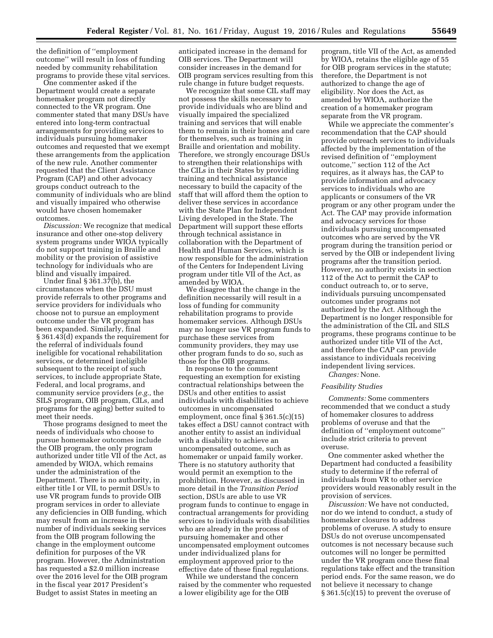the definition of ''employment outcome'' will result in loss of funding needed by community rehabilitation programs to provide these vital services.

One commenter asked if the Department would create a separate homemaker program not directly connected to the VR program. One commenter stated that many DSUs have entered into long-term contractual arrangements for providing services to individuals pursuing homemaker outcomes and requested that we exempt these arrangements from the application of the new rule. Another commenter requested that the Client Assistance Program (CAP) and other advocacy groups conduct outreach to the community of individuals who are blind and visually impaired who otherwise would have chosen homemaker outcomes.

*Discussion:* We recognize that medical insurance and other one-stop delivery system programs under WIOA typically do not support training in Braille and mobility or the provision of assistive technology for individuals who are blind and visually impaired.

Under final § 361.37(b), the circumstances when the DSU must provide referrals to other programs and service providers for individuals who choose not to pursue an employment outcome under the VR program has been expanded. Similarly, final § 361.43(d) expands the requirement for the referral of individuals found ineligible for vocational rehabilitation services, or determined ineligible subsequent to the receipt of such services, to include appropriate State, Federal, and local programs, and community service providers (*e.g.,* the SILS program, OIB program, CILs, and programs for the aging) better suited to meet their needs.

Those programs designed to meet the needs of individuals who choose to pursue homemaker outcomes include the OIB program, the only program authorized under title VII of the Act, as amended by WIOA, which remains under the administration of the Department. There is no authority, in either title I or VII, to permit DSUs to use VR program funds to provide OIB program services in order to alleviate any deficiencies in OIB funding, which may result from an increase in the number of individuals seeking services from the OIB program following the change in the employment outcome definition for purposes of the VR program. However, the Administration has requested a \$2.0 million increase over the 2016 level for the OIB program in the fiscal year 2017 President's Budget to assist States in meeting an

anticipated increase in the demand for OIB services. The Department will consider increases in the demand for OIB program services resulting from this rule change in future budget requests.

We recognize that some CIL staff may not possess the skills necessary to provide individuals who are blind and visually impaired the specialized training and services that will enable them to remain in their homes and care for themselves, such as training in Braille and orientation and mobility. Therefore, we strongly encourage DSUs to strengthen their relationships with the CILs in their States by providing training and technical assistance necessary to build the capacity of the staff that will afford them the option to deliver these services in accordance with the State Plan for Independent Living developed in the State. The Department will support these efforts through technical assistance in collaboration with the Department of Health and Human Services, which is now responsible for the administration of the Centers for Independent Living program under title VII of the Act, as amended by WIOA.

We disagree that the change in the definition necessarily will result in a loss of funding for community rehabilitation programs to provide homemaker services. Although DSUs may no longer use VR program funds to purchase these services from community providers, they may use other program funds to do so, such as those for the OIB programs.

In response to the comment requesting an exemption for existing contractual relationships between the DSUs and other entities to assist individuals with disabilities to achieve outcomes in uncompensated employment, once final § 361.5(c)(15) takes effect a DSU cannot contract with another entity to assist an individual with a disability to achieve an uncompensated outcome, such as homemaker or unpaid family worker. There is no statutory authority that would permit an exemption to the prohibition. However, as discussed in more detail in the *Transition Period*  section, DSUs are able to use VR program funds to continue to engage in contractual arrangements for providing services to individuals with disabilities who are already in the process of pursuing homemaker and other uncompensated employment outcomes under individualized plans for employment approved prior to the effective date of these final regulations.

While we understand the concern raised by the commenter who requested a lower eligibility age for the OIB

program, title VII of the Act, as amended by WIOA, retains the eligible age of 55 for OIB program services in the statute; therefore, the Department is not authorized to change the age of eligibility. Nor does the Act, as amended by WIOA, authorize the creation of a homemaker program separate from the VR program.

While we appreciate the commenter's recommendation that the CAP should provide outreach services to individuals affected by the implementation of the revised definition of ''employment outcome,'' section 112 of the Act requires, as it always has, the CAP to provide information and advocacy services to individuals who are applicants or consumers of the VR program or any other program under the Act. The CAP may provide information and advocacy services for those individuals pursuing uncompensated outcomes who are served by the VR program during the transition period or served by the OIB or independent living programs after the transition period. However, no authority exists in section 112 of the Act to permit the CAP to conduct outreach to, or to serve, individuals pursuing uncompensated outcomes under programs not authorized by the Act. Although the Department is no longer responsible for the administration of the CIL and SILS programs, these programs continue to be authorized under title VII of the Act, and therefore the CAP can provide assistance to individuals receiving independent living services.

*Changes:* None.

## *Feasibility Studies*

*Comments:* Some commenters recommended that we conduct a study of homemaker closures to address problems of overuse and that the definition of ''employment outcome'' include strict criteria to prevent overuse.

One commenter asked whether the Department had conducted a feasibility study to determine if the referral of individuals from VR to other service providers would reasonably result in the provision of services.

*Discussion:* We have not conducted, nor do we intend to conduct, a study of homemaker closures to address problems of overuse. A study to ensure DSUs do not overuse uncompensated outcomes is not necessary because such outcomes will no longer be permitted under the VR program once these final regulations take effect and the transition period ends. For the same reason, we do not believe it necessary to change § 361.5(c)(15) to prevent the overuse of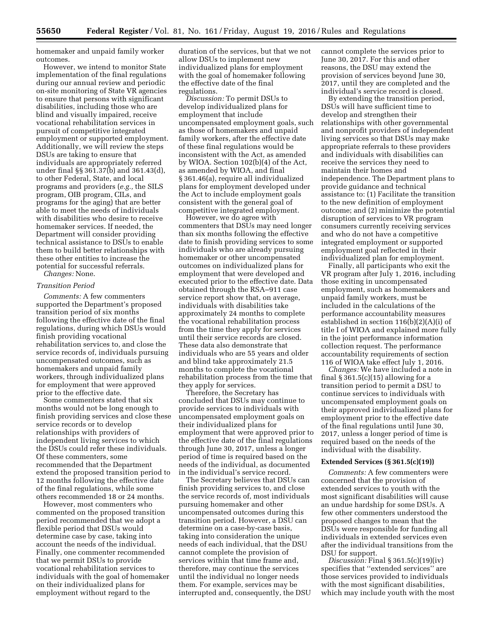homemaker and unpaid family worker outcomes.

However, we intend to monitor State implementation of the final regulations during our annual review and periodic on-site monitoring of State VR agencies to ensure that persons with significant disabilities, including those who are blind and visually impaired, receive vocational rehabilitation services in pursuit of competitive integrated employment or supported employment. Additionally, we will review the steps DSUs are taking to ensure that individuals are appropriately referred under final §§ 361.37(b) and 361.43(d), to other Federal, State, and local programs and providers (*e.g.,* the SILS program, OIB program, CILs, and programs for the aging) that are better able to meet the needs of individuals with disabilities who desire to receive homemaker services. If needed, the Department will consider providing technical assistance to DSUs to enable them to build better relationships with these other entities to increase the potential for successful referrals.

*Changes:* None.

## *Transition Period*

*Comments:* A few commenters supported the Department's proposed transition period of six months following the effective date of the final regulations, during which DSUs would finish providing vocational rehabilitation services to, and close the service records of, individuals pursuing uncompensated outcomes, such as homemakers and unpaid family workers, through individualized plans for employment that were approved prior to the effective date.

Some commenters stated that six months would not be long enough to finish providing services and close these service records or to develop relationships with providers of independent living services to which the DSUs could refer these individuals. Of these commenters, some recommended that the Department extend the proposed transition period to 12 months following the effective date of the final regulations, while some others recommended 18 or 24 months.

However, most commenters who commented on the proposed transition period recommended that we adopt a flexible period that DSUs would determine case by case, taking into account the needs of the individual. Finally, one commenter recommended that we permit DSUs to provide vocational rehabilitation services to individuals with the goal of homemaker on their individualized plans for employment without regard to the

duration of the services, but that we not allow DSUs to implement new individualized plans for employment with the goal of homemaker following the effective date of the final regulations.

*Discussion:* To permit DSUs to develop individualized plans for employment that include uncompensated employment goals, such as those of homemakers and unpaid family workers, after the effective date of these final regulations would be inconsistent with the Act, as amended by WIOA. Section 102(b)(4) of the Act, as amended by WIOA, and final § 361.46(a), require all individualized plans for employment developed under the Act to include employment goals consistent with the general goal of competitive integrated employment.

However, we do agree with commenters that DSUs may need longer than six months following the effective date to finish providing services to some individuals who are already pursuing homemaker or other uncompensated outcomes on individualized plans for employment that were developed and executed prior to the effective date. Data obtained through the RSA–911 case service report show that, on average, individuals with disabilities take approximately 24 months to complete the vocational rehabilitation process from the time they apply for services until their service records are closed. These data also demonstrate that individuals who are 55 years and older and blind take approximately 21.5 months to complete the vocational rehabilitation process from the time that they apply for services.

Therefore, the Secretary has concluded that DSUs may continue to provide services to individuals with uncompensated employment goals on their individualized plans for employment that were approved prior to the effective date of the final regulations through June 30, 2017, unless a longer period of time is required based on the needs of the individual, as documented in the individual's service record.

The Secretary believes that DSUs can finish providing services to, and close the service records of, most individuals pursuing homemaker and other uncompensated outcomes during this transition period. However, a DSU can determine on a case-by-case basis, taking into consideration the unique needs of each individual, that the DSU cannot complete the provision of services within that time frame and, therefore, may continue the services until the individual no longer needs them. For example, services may be interrupted and, consequently, the DSU cannot complete the services prior to June 30, 2017. For this and other reasons, the DSU may extend the provision of services beyond June 30, 2017, until they are completed and the individual's service record is closed.

By extending the transition period, DSUs will have sufficient time to develop and strengthen their relationships with other governmental and nonprofit providers of independent living services so that DSUs may make appropriate referrals to these providers and individuals with disabilities can receive the services they need to maintain their homes and independence. The Department plans to provide guidance and technical assistance to: (1) Facilitate the transition to the new definition of employment outcome; and (2) minimize the potential disruption of services to VR program consumers currently receiving services and who do not have a competitive integrated employment or supported employment goal reflected in their individualized plan for employment.

Finally, all participants who exit the VR program after July 1, 2016, including those exiting in uncompensated employment, such as homemakers and unpaid family workers, must be included in the calculations of the performance accountability measures established in section 116(b)(2)(A)(i) of title I of WIOA and explained more fully in the joint performance information collection request. The performance accountability requirements of section 116 of WIOA take effect July 1, 2016.

*Changes:* We have included a note in final  $\S 361.5(c)(15)$  allowing for a transition period to permit a DSU to continue services to individuals with uncompensated employment goals on their approved individualized plans for employment prior to the effective date of the final regulations until June 30, 2017, unless a longer period of time is required based on the needs of the individual with the disability.

#### **Extended Services (§ 361.5(c)(19))**

*Comments:* A few commenters were concerned that the provision of extended services to youth with the most significant disabilities will cause an undue hardship for some DSUs. A few other commenters understood the proposed changes to mean that the DSUs were responsible for funding all individuals in extended services even after the individual transitions from the DSU for support.

*Discussion:* Final § 361.5(c)(19)(iv) specifies that ''extended services'' are those services provided to individuals with the most significant disabilities, which may include youth with the most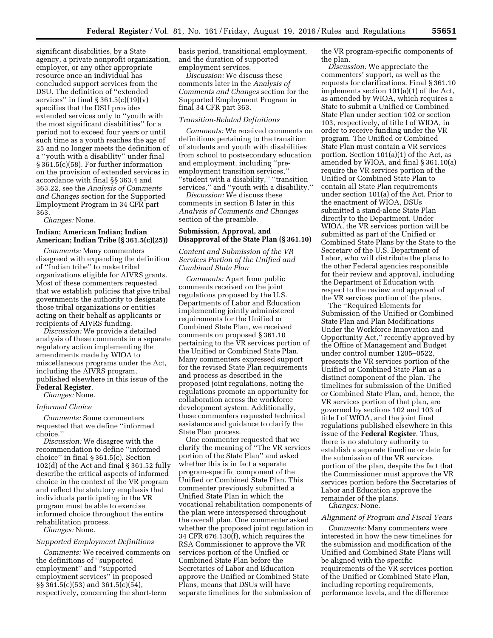significant disabilities, by a State agency, a private nonprofit organization, employer, or any other appropriate resource once an individual has concluded support services from the DSU. The definition of ''extended services" in final  $\S 361.5(c)(19)(v)$ specifies that the DSU provides extended services only to ''youth with the most significant disabilities'' for a period not to exceed four years or until such time as a youth reaches the age of 25 and no longer meets the definition of a ''youth with a disability'' under final § 361.5(c)(58). For further information on the provision of extended services in accordance with final §§ 363.4 and 363.22, see the *Analysis of Comments and Changes* section for the Supported Employment Program in 34 CFR part 363.

*Changes:* None.

## **Indian; American Indian; Indian American; Indian Tribe (§ 361.5(c)(25))**

*Comments:* Many commenters disagreed with expanding the definition of ''Indian tribe'' to make tribal organizations eligible for AIVRS grants. Most of these commenters requested that we establish policies that give tribal governments the authority to designate those tribal organizations or entities acting on their behalf as applicants or recipients of AIVRS funding.

*Discussion:* We provide a detailed analysis of these comments in a separate regulatory action implementing the amendments made by WIOA to miscellaneous programs under the Act, including the AIVRS program, published elsewhere in this issue of the **Federal Register**.

*Changes:* None.

#### *Informed Choice*

*Comments:* Some commenters requested that we define ''informed choice.''

*Discussion:* We disagree with the recommendation to define ''informed choice'' in final § 361.5(c). Section 102(d) of the Act and final § 361.52 fully describe the critical aspects of informed choice in the context of the VR program and reflect the statutory emphasis that individuals participating in the VR program must be able to exercise informed choice throughout the entire rehabilitation process.

*Changes:* None.

#### *Supported Employment Definitions*

*Comments:* We received comments on the definitions of ''supported employment'' and ''supported employment services'' in proposed §§ 361.5(c)(53) and 361.5(c)(54), respectively, concerning the short-term

basis period, transitional employment, and the duration of supported employment services.

*Discussion:* We discuss these comments later in the *Analysis of Comments and Changes* section for the Supported Employment Program in final 34 CFR part 363.

#### *Transition-Related Definitions*

*Comments:* We received comments on definitions pertaining to the transition of students and youth with disabilities from school to postsecondary education and employment, including ''preemployment transition services,'' ''student with a disability,'' ''transition services,'' and ''youth with a disability.''

*Discussion:* We discuss these comments in section B later in this *Analysis of Comments and Changes*  section of the preamble.

## **Submission, Approval, and Disapproval of the State Plan (§ 361.10)**

## *Content and Submission of the VR Services Portion of the Unified and Combined State Plan*

*Comments:* Apart from public comments received on the joint regulations proposed by the U.S. Departments of Labor and Education implementing jointly administered requirements for the Unified or Combined State Plan, we received comments on proposed § 361.10 pertaining to the VR services portion of the Unified or Combined State Plan. Many commenters expressed support for the revised State Plan requirements and process as described in the proposed joint regulations, noting the regulations promote an opportunity for collaboration across the workforce development system. Additionally, these commenters requested technical assistance and guidance to clarify the State Plan process.

One commenter requested that we clarify the meaning of ''The VR services portion of the State Plan'' and asked whether this is in fact a separate program-specific component of the Unified or Combined State Plan. This commenter previously submitted a Unified State Plan in which the vocational rehabilitation components of the plan were interspersed throughout the overall plan. One commenter asked whether the proposed joint regulation in 34 CFR 676.130(f), which requires the RSA Commissioner to approve the VR services portion of the Unified or Combined State Plan before the Secretaries of Labor and Education approve the Unified or Combined State Plans, means that DSUs will have separate timelines for the submission of

the VR program-specific components of the plan.

*Discussion:* We appreciate the commenters' support, as well as the requests for clarifications. Final § 361.10 implements section 101(a)(1) of the Act, as amended by WIOA, which requires a State to submit a Unified or Combined State Plan under section 102 or section 103, respectively, of title I of WIOA, in order to receive funding under the VR program. The Unified or Combined State Plan must contain a VR services portion. Section 101(a)(1) of the Act, as amended by WIOA, and final § 361.10(a) require the VR services portion of the Unified or Combined State Plan to contain all State Plan requirements under section 101(a) of the Act. Prior to the enactment of WIOA, DSUs submitted a stand-alone State Plan directly to the Department. Under WIOA, the VR services portion will be submitted as part of the Unified or Combined State Plans by the State to the Secretary of the U.S. Department of Labor, who will distribute the plans to the other Federal agencies responsible for their review and approval, including the Department of Education with respect to the review and approval of the VR services portion of the plans.

The ''Required Elements for Submission of the Unified or Combined State Plan and Plan Modifications Under the Workforce Innovation and Opportunity Act,'' recently approved by the Office of Management and Budget under control number 1205–0522, presents the VR services portion of the Unified or Combined State Plan as a distinct component of the plan. The timelines for submission of the Unified or Combined State Plan, and, hence, the VR services portion of that plan, are governed by sections 102 and 103 of title I of WIOA, and the joint final regulations published elsewhere in this issue of the **Federal Register**. Thus, there is no statutory authority to establish a separate timeline or date for the submission of the VR services portion of the plan, despite the fact that the Commissioner must approve the VR services portion before the Secretaries of Labor and Education approve the remainder of the plans.

*Changes:* None.

#### *Alignment of Program and Fiscal Years*

*Comments:* Many commenters were interested in how the new timelines for the submission and modification of the Unified and Combined State Plans will be aligned with the specific requirements of the VR services portion of the Unified or Combined State Plan, including reporting requirements, performance levels, and the difference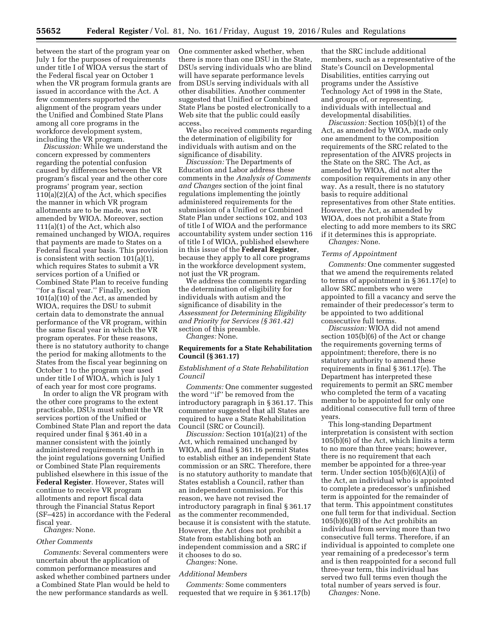between the start of the program year on July 1 for the purposes of requirements under title I of WIOA versus the start of the Federal fiscal year on October 1 when the VR program formula grants are issued in accordance with the Act. A few commenters supported the alignment of the program years under the Unified and Combined State Plans among all core programs in the workforce development system, including the VR program.

*Discussion:* While we understand the concern expressed by commenters regarding the potential confusion caused by differences between the VR program's fiscal year and the other core programs' program year, section  $110(a)(2)(A)$  of the Act, which specifies the manner in which VR program allotments are to be made, was not amended by WIOA. Moreover, section 111(a)(1) of the Act, which also remained unchanged by WIOA, requires that payments are made to States on a Federal fiscal year basis. This provision is consistent with section 101(a)(1), which requires States to submit a VR services portion of a Unified or Combined State Plan to receive funding ''for a fiscal year.'' Finally, section 101(a)(10) of the Act, as amended by WIOA, requires the DSU to submit certain data to demonstrate the annual performance of the VR program, within the same fiscal year in which the VR program operates. For these reasons, there is no statutory authority to change the period for making allotments to the States from the fiscal year beginning on October 1 to the program year used under title I of WIOA, which is July 1 of each year for most core programs.

In order to align the VR program with the other core programs to the extent practicable, DSUs must submit the VR services portion of the Unified or Combined State Plan and report the data required under final § 361.40 in a manner consistent with the jointly administered requirements set forth in the joint regulations governing Unified or Combined State Plan requirements published elsewhere in this issue of the **Federal Register**. However, States will continue to receive VR program allotments and report fiscal data through the Financial Status Report (SF–425) in accordance with the Federal fiscal year.

*Changes:* None.

## *Other Comments*

*Comments:* Several commenters were uncertain about the application of common performance measures and asked whether combined partners under a Combined State Plan would be held to the new performance standards as well.

One commenter asked whether, when there is more than one DSU in the State, DSUs serving individuals who are blind will have separate performance levels from DSUs serving individuals with all other disabilities. Another commenter suggested that Unified or Combined State Plans be posted electronically to a Web site that the public could easily access.

We also received comments regarding the determination of eligibility for individuals with autism and on the significance of disability.

*Discussion:* The Departments of Education and Labor address these comments in the *Analysis of Comments and Changes* section of the joint final regulations implementing the jointly administered requirements for the submission of a Unified or Combined State Plan under sections 102, and 103 of title I of WIOA and the performance accountability system under section 116 of title I of WIOA, published elsewhere in this issue of the **Federal Register**, because they apply to all core programs in the workforce development system, not just the VR program.

We address the comments regarding the determination of eligibility for individuals with autism and the significance of disability in the *Assessment for Determining Eligibility and Priority for Services (§ 361.42)*  section of this preamble.

*Changes:* None.

#### **Requirements for a State Rehabilitation Council (§ 361.17)**

## *Establishment of a State Rehabilitation Council*

*Comments:* One commenter suggested the word ''if'' be removed from the introductory paragraph in § 361.17. This commenter suggested that all States are required to have a State Rehabilitation Council (SRC or Council).

*Discussion:* Section 101(a)(21) of the Act, which remained unchanged by WIOA, and final § 361.16 permit States to establish either an independent State commission or an SRC. Therefore, there is no statutory authority to mandate that States establish a Council, rather than an independent commission. For this reason, we have not revised the introductory paragraph in final § 361.17 as the commenter recommended, because it is consistent with the statute. However, the Act does not prohibit a State from establishing both an independent commission and a SRC if it chooses to do so.

*Changes:* None.

#### *Additional Members*

*Comments:* Some commenters requested that we require in § 361.17(b)

that the SRC include additional members, such as a representative of the State's Council on Developmental Disabilities, entities carrying out programs under the Assistive Technology Act of 1998 in the State, and groups of, or representing, individuals with intellectual and developmental disabilities.

*Discussion:* Section 105(b)(1) of the Act, as amended by WIOA, made only one amendment to the composition requirements of the SRC related to the representation of the AIVRS projects in the State on the SRC. The Act, as amended by WIOA, did not alter the composition requirements in any other way. As a result, there is no statutory basis to require additional representatives from other State entities. However, the Act, as amended by WIOA, does not prohibit a State from electing to add more members to its SRC if it determines this is appropriate. *Changes:* None.

#### *Terms of Appointment*

*Comments:* One commenter suggested that we amend the requirements related to terms of appointment in § 361.17(e) to allow SRC members who were appointed to fill a vacancy and serve the remainder of their predecessor's term to be appointed to two additional consecutive full terms.

*Discussion:* WIOA did not amend section 105(b)(6) of the Act or change the requirements governing terms of appointment; therefore, there is no statutory authority to amend these requirements in final § 361.17(e). The Department has interpreted these requirements to permit an SRC member who completed the term of a vacating member to be appointed for only one additional consecutive full term of three years.

This long-standing Department interpretation is consistent with section 105(b)(6) of the Act, which limits a term to no more than three years; however, there is no requirement that each member be appointed for a three-year term. Under section 105(b)(6)(A)(i) of the Act, an individual who is appointed to complete a predecessor's unfinished term is appointed for the remainder of that term. This appointment constitutes one full term for that individual. Section 105(b)(6)(B) of the Act prohibits an individual from serving more than two consecutive full terms. Therefore, if an individual is appointed to complete one year remaining of a predecessor's term and is then reappointed for a second full three-year term, this individual has served two full terms even though the total number of years served is four.

*Changes:* None.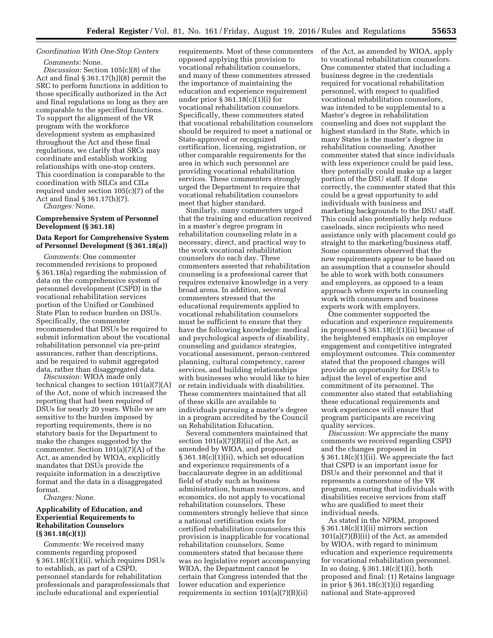## *Coordination With One-Stop Centers*

*Comments:* None. *Discussion:* Section 105(c)(8) of the Act and final § 361.17(h))(8) permit the SRC to perform functions in addition to those specifically authorized in the Act and final regulations so long as they are comparable to the specified functions. To support the alignment of the VR program with the workforce development system as emphasized throughout the Act and these final regulations, we clarify that SRCs may coordinate and establish working relationships with one-stop centers. This coordination is comparable to the coordination with SILCs and CILs required under section 105(c)(7) of the Act and final § 361.17(h)(7).

*Changes:* None.

## **Comprehensive System of Personnel Development (§ 361.18)**

## **Data Report for Comprehensive System of Personnel Development (§ 361.18(a))**

*Comments:* One commenter recommended revisions to proposed § 361.18(a) regarding the submission of data on the comprehensive system of personnel development (CSPD) in the vocational rehabilitation services portion of the Unified or Combined State Plan to reduce burden on DSUs. Specifically, the commenter recommended that DSUs be required to submit information about the vocational rehabilitation personnel via pre-print assurances, rather than descriptions, and be required to submit aggregated data, rather than disaggregated data.

*Discussion:* WIOA made only technical changes to section 101(a)(7)(A) of the Act, none of which increased the reporting that had been required of DSUs for nearly 20 years. While we are sensitive to the burden imposed by reporting requirements, there is no statutory basis for the Department to make the changes suggested by the commenter. Section 101(a)(7)(A) of the Act, as amended by WIOA, explicitly mandates that DSUs provide the requisite information in a descriptive format and the data in a disaggregated format.

*Changes:* None.

## **Applicability of Education, and Experiential Requirements to Rehabilitation Counselors (§ 361.18(c)(1))**

*Comments:* We received many comments regarding proposed § 361.18(c)(1)(ii), which requires DSUs to establish, as part of a CSPD, personnel standards for rehabilitation professionals and paraprofessionals that include educational and experiential

requirements. Most of these commenters opposed applying this provision to vocational rehabilitation counselors, and many of these commenters stressed the importance of maintaining the education and experience requirement under prior § 361.18(c)(1)(i) for vocational rehabilitation counselors. Specifically, these commenters stated that vocational rehabilitation counselors should be required to meet a national or State-approved or recognized certification, licensing, registration, or other comparable requirements for the area in which such personnel are providing vocational rehabilitation services. These commenters strongly urged the Department to require that vocational rehabilitation counselors meet that higher standard.

Similarly, many commenters urged that the training and education received in a master's degree program in rehabilitation counseling relate in a necessary, direct, and practical way to the work vocational rehabilitation counselors do each day. These commenters asserted that rehabilitation counseling is a professional career that requires extensive knowledge in a very broad arena. In addition, several commenters stressed that the educational requirements applied to vocational rehabilitation counselors must be sufficient to ensure that they have the following knowledge: medical and psychological aspects of disability, counseling and guidance strategies, vocational assessment, person-centered planning, cultural competency, career services, and building relationships with businesses who would like to hire or retain individuals with disabilities. These commenters maintained that all of these skills are available to individuals pursuing a master's degree in a program accredited by the Council on Rehabilitation Education.

Several commenters maintained that section  $101(a)(7)(B)(ii)$  of the Act, as amended by WIOA, and proposed § 361.18(c)(1)(ii), which set education and experience requirements of a baccalaureate degree in an additional field of study such as business administration, human resources, and economics, do not apply to vocational rehabilitation counselors. These commenters strongly believe that since a national certification exists for certified rehabilitation counselors this provision is inapplicable for vocational rehabilitation counselors. Some commenters stated that because there was no legislative report accompanying WIOA, the Department cannot be certain that Congress intended that the lower education and experience requirements in section  $101(a)(7)(B)(ii)$ 

of the Act, as amended by WIOA, apply to vocational rehabilitation counselors. One commenter stated that including a business degree in the credentials required for vocational rehabilitation personnel, with respect to qualified vocational rehabilitation counselors, was intended to be supplemental to a Master's degree in rehabilitation counseling and does not supplant the highest standard in the State, which in many States is the master's degree in rehabilitation counseling. Another commenter stated that since individuals with less experience could be paid less, they potentially could make up a larger portion of the DSU staff. If done correctly, the commenter stated that this could be a great opportunity to add individuals with business and marketing backgrounds to the DSU staff. This could also potentially help reduce caseloads, since recipients who need assistance only with placement could go straight to the marketing/business staff. Some commenters observed that the new requirements appear to be based on an assumption that a counselor should be able to work with both consumers and employers, as opposed to a team approach where experts in counseling work with consumers and business experts work with employers.

One commenter supported the education and experience requirements in proposed § 361.18(c)(1)(ii) because of the heightened emphasis on employer engagement and competitive integrated employment outcomes. This commenter stated that the proposed changes will provide an opportunity for DSUs to adjust the level of expertise and commitment of its personnel. The commenter also stated that establishing these educational requirements and work experiences will ensure that program participants are receiving quality services.

*Discussion:* We appreciate the many comments we received regarding CSPD and the changes proposed in § 361.18(c)(1)(ii). We appreciate the fact that CSPD is an important issue for DSUs and their personnel and that it represents a cornerstone of the VR program, ensuring that individuals with disabilities receive services from staff who are qualified to meet their individual needs.

As stated in the NPRM, proposed § 361.18(c)(1)(ii) mirrors section 101(a)(7)(B)(ii) of the Act, as amended by WIOA, with regard to minimum education and experience requirements for vocational rehabilitation personnel. In so doing, § 361.18(c)(1)(i), both proposed and final: (1) Retains language in prior  $\S 361.18(c)(1)(i)$  regarding national and State-approved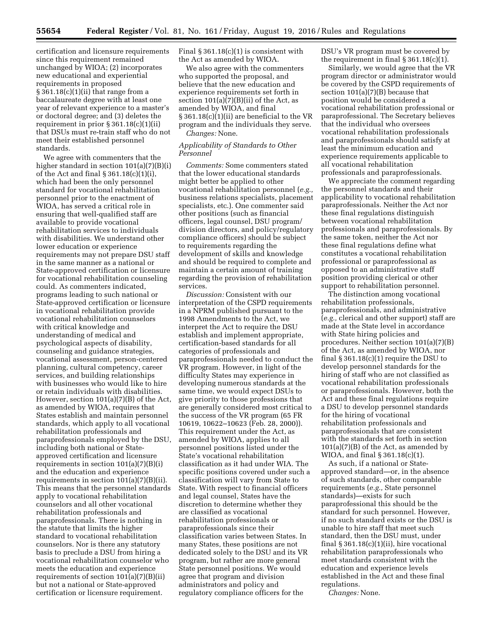certification and licensure requirements since this requirement remained unchanged by WIOA; (2) incorporates new educational and experiential requirements in proposed § 361.18(c)(1)(ii) that range from a baccalaureate degree with at least one year of relevant experience to a master's or doctoral degree; and (3) deletes the requirement in prior  $\S 361.18(c)(1)(ii)$ that DSUs must re-train staff who do not meet their established personnel standards.

We agree with commenters that the higher standard in section 101(a)(7)(B)(i) of the Act and final § 361.18(c)(1)(i), which had been the only personnel standard for vocational rehabilitation personnel prior to the enactment of WIOA, has served a critical role in ensuring that well-qualified staff are available to provide vocational rehabilitation services to individuals with disabilities. We understand other lower education or experience requirements may not prepare DSU staff in the same manner as a national or State-approved certification or licensure for vocational rehabilitation counseling could. As commenters indicated, programs leading to such national or State-approved certification or licensure in vocational rehabilitation provide vocational rehabilitation counselors with critical knowledge and understanding of medical and psychological aspects of disability, counseling and guidance strategies, vocational assessment, person-centered planning, cultural competency, career services, and building relationships with businesses who would like to hire or retain individuals with disabilities. However, section 101(a)(7)(B) of the Act, as amended by WIOA, requires that States establish and maintain personnel standards, which apply to all vocational rehabilitation professionals and paraprofessionals employed by the DSU, including both national or Stateapproved certification and licensure requirements in section 101(a)(7)(B)(i) and the education and experience requirements in section 101(a)(7)(B)(ii). This means that the personnel standards apply to vocational rehabilitation counselors and all other vocational rehabilitation professionals and paraprofessionals. There is nothing in the statute that limits the higher standard to vocational rehabilitation counselors. Nor is there any statutory basis to preclude a DSU from hiring a vocational rehabilitation counselor who meets the education and experience requirements of section 101(a)(7)(B)(ii) but not a national or State-approved certification or licensure requirement.

Final  $\S 361.18(c)(1)$  is consistent with the Act as amended by WIOA.

We also agree with the commenters who supported the proposal, and believe that the new education and experience requirements set forth in section  $101(a)(7)(B)(ii)$  of the Act, as amended by WIOA, and final § 361.18(c)(1)(ii) are beneficial to the VR program and the individuals they serve. *Changes:* None.

## *Applicability of Standards to Other Personnel*

*Comments:* Some commenters stated that the lower educational standards might better be applied to other vocational rehabilitation personnel (*e.g.,*  business relations specialists, placement specialists, etc.). One commenter said other positions (such as financial officers, legal counsel, DSU program/ division directors, and policy/regulatory compliance officers) should be subject to requirements regarding the development of skills and knowledge and should be required to complete and maintain a certain amount of training regarding the provision of rehabilitation services.

*Discussion:* Consistent with our interpretation of the CSPD requirements in a NPRM published pursuant to the 1998 Amendments to the Act, we interpret the Act to require the DSU establish and implement appropriate, certification-based standards for all categories of professionals and paraprofessionals needed to conduct the VR program. However, in light of the difficulty States may experience in developing numerous standards at the same time, we would expect DSUs to give priority to those professions that are generally considered most critical to the success of the VR program (65 FR 10619, 10622–10623 (Feb. 28, 2000)). This requirement under the Act, as amended by WIOA, applies to all personnel positions listed under the State's vocational rehabilitation classification as it had under WIA. The specific positions covered under such a classification will vary from State to State. With respect to financial officers and legal counsel, States have the discretion to determine whether they are classified as vocational rehabilitation professionals or paraprofessionals since their classification varies between States. In many States, these positions are not dedicated solely to the DSU and its VR program, but rather are more general State personnel positions. We would agree that program and division administrators and policy and regulatory compliance officers for the

DSU's VR program must be covered by the requirement in final  $\S 361.18(c)(1)$ .

Similarly, we would agree that the VR program director or administrator would be covered by the CSPD requirements of section 101(a)(7)(B) because that position would be considered a vocational rehabilitation professional or paraprofessional. The Secretary believes that the individual who oversees vocational rehabilitation professionals and paraprofessionals should satisfy at least the minimum education and experience requirements applicable to all vocational rehabilitation professionals and paraprofessionals.

We appreciate the comment regarding the personnel standards and their applicability to vocational rehabilitation paraprofessionals. Neither the Act nor these final regulations distinguish between vocational rehabilitation professionals and paraprofessionals. By the same token, neither the Act nor these final regulations define what constitutes a vocational rehabilitation professional or paraprofessional as opposed to an administrative staff position providing clerical or other support to rehabilitation personnel.

The distinction among vocational rehabilitation professionals, paraprofessionals, and administrative (*e.g.,* clerical and other support) staff are made at the State level in accordance with State hiring policies and procedures. Neither section 101(a)(7)(B) of the Act, as amended by WIOA, nor final § 361.18(c)(1) require the DSU to develop personnel standards for the hiring of staff who are not classified as vocational rehabilitation professionals or paraprofessionals. However, both the Act and these final regulations require a DSU to develop personnel standards for the hiring of vocational rehabilitation professionals and paraprofessionals that are consistent with the standards set forth in section  $101(a)(7)(B)$  of the Act, as amended by WIOA, and final § 361.18(c)(1).

As such, if a national or Stateapproved standard—or, in the absence of such standards, other comparable requirements (*e.g.,* State personnel standards)—exists for such paraprofessional this should be the standard for such personnel. However, if no such standard exists or the DSU is unable to hire staff that meet such standard, then the DSU must, under final § 361.18(c)(1)(ii), hire vocational rehabilitation paraprofessionals who meet standards consistent with the education and experience levels established in the Act and these final regulations.

*Changes:* None.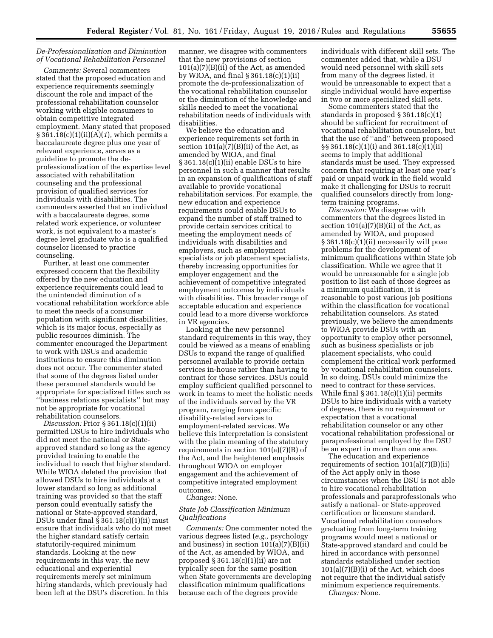## *De-Professionalization and Diminution of Vocational Rehabilitation Personnel*

*Comments:* Several commenters stated that the proposed education and experience requirements seemingly discount the role and impact of the professional rehabilitation counselor working with eligible consumers to obtain competitive integrated employment. Many stated that proposed § 361.18(c)(1)(ii)(A)(*1*), which permits a baccalaureate degree plus one year of relevant experience, serves as a guideline to promote the deprofessionalization of the expertise level associated with rehabilitation counseling and the professional provision of qualified services for individuals with disabilities. The commenters asserted that an individual with a baccalaureate degree, some related work experience, or volunteer work, is not equivalent to a master's degree level graduate who is a qualified counselor licensed to practice counseling.

Further, at least one commenter expressed concern that the flexibility offered by the new education and experience requirements could lead to the unintended diminution of a vocational rehabilitation workforce able to meet the needs of a consumer population with significant disabilities, which is its major focus, especially as public resources diminish. The commenter encouraged the Department to work with DSUs and academic institutions to ensure this diminution does not occur. The commenter stated that some of the degrees listed under these personnel standards would be appropriate for specialized titles such as ''business relations specialists'' but may not be appropriate for vocational rehabilitation counselors.

*Discussion:* Prior § 361.18(c)(1)(ii) permitted DSUs to hire individuals who did not meet the national or Stateapproved standard so long as the agency provided training to enable the individual to reach that higher standard. While WIOA deleted the provision that allowed DSUs to hire individuals at a lower standard so long as additional training was provided so that the staff person could eventually satisfy the national or State-approved standard, DSUs under final § 361.18(c)(1)(ii) must ensure that individuals who do not meet the higher standard satisfy certain statutorily-required minimum standards. Looking at the new requirements in this way, the new educational and experiential requirements merely set minimum hiring standards, which previously had been left at the DSU's discretion. In this

manner, we disagree with commenters that the new provisions of section  $101(a)(7)(B)(ii)$  of the Act, as amended by WIOA, and final § 361.18(c)(1)(ii) promote the de-professionalization of the vocational rehabilitation counselor or the diminution of the knowledge and skills needed to meet the vocational rehabilitation needs of individuals with disabilities.

We believe the education and experience requirements set forth in section  $101(a)(7)(B)(ii)$  of the Act, as amended by WIOA, and final § 361.18(c)(1)(ii) enable DSUs to hire personnel in such a manner that results in an expansion of qualifications of staff available to provide vocational rehabilitation services. For example, the new education and experience requirements could enable DSUs to expand the number of staff trained to provide certain services critical to meeting the employment needs of individuals with disabilities and employers, such as employment specialists or job placement specialists, thereby increasing opportunities for employer engagement and the achievement of competitive integrated employment outcomes by individuals with disabilities. This broader range of acceptable education and experience could lead to a more diverse workforce in VR agencies.

Looking at the new personnel standard requirements in this way, they could be viewed as a means of enabling DSUs to expand the range of qualified personnel available to provide certain services in-house rather than having to contract for those services. DSUs could employ sufficient qualified personnel to work in teams to meet the holistic needs of the individuals served by the VR program, ranging from specific disability-related services to employment-related services. We believe this interpretation is consistent with the plain meaning of the statutory requirements in section  $101(a)(7)(B)$  of the Act, and the heightened emphasis throughout WIOA on employer engagement and the achievement of competitive integrated employment outcomes.

*Changes:* None.

## *State Job Classification Minimum Qualifications*

*Comments:* One commenter noted the various degrees listed (*e.g.,* psychology and business) in section  $101(a)(7)(B)(ii)$ of the Act, as amended by WIOA, and proposed § 361.18(c)(1)(ii) are not typically seen for the same position when State governments are developing classification minimum qualifications because each of the degrees provide

individuals with different skill sets. The commenter added that, while a DSU would need personnel with skill sets from many of the degrees listed, it would be unreasonable to expect that a single individual would have expertise in two or more specialized skill sets.

Some commenters stated that the standards in proposed § 361.18(c)(1) should be sufficient for recruitment of vocational rehabilitation counselors, but that the use of ''and'' between proposed §§ 361.18(c)(1)(i) and 361.18(c)(1)(ii) seems to imply that additional standards must be used. They expressed concern that requiring at least one year's paid or unpaid work in the field would make it challenging for DSUs to recruit qualified counselors directly from longterm training programs.

*Discussion:* We disagree with commenters that the degrees listed in section  $101(a)(7)(B)(ii)$  of the Act, as amended by WIOA, and proposed § 361.18(c)(1)(ii) necessarily will pose problems for the development of minimum qualifications within State job classification. While we agree that it would be unreasonable for a single job position to list each of those degrees as a minimum qualification, it is reasonable to post various job positions within the classification for vocational rehabilitation counselors. As stated previously, we believe the amendments to WIOA provide DSUs with an opportunity to employ other personnel, such as business specialists or job placement specialists, who could complement the critical work performed by vocational rehabilitation counselors. In so doing, DSUs could minimize the need to contract for these services. While final  $\S 361.18(c)(1)(ii)$  permits DSUs to hire individuals with a variety of degrees, there is no requirement or expectation that a vocational rehabilitation counselor or any other vocational rehabilitation professional or paraprofessional employed by the DSU be an expert in more than one area.

The education and experience requirements of section 101(a)(7)(B)(ii) of the Act apply only in those circumstances when the DSU is not able to hire vocational rehabilitation professionals and paraprofessionals who satisfy a national- or State-approved certification or licensure standard. Vocational rehabilitation counselors graduating from long-term training programs would meet a national or State-approved standard and could be hired in accordance with personnel standards established under section  $101(a)(7)(B)(i)$  of the Act, which does not require that the individual satisfy minimum experience requirements. *Changes:* None.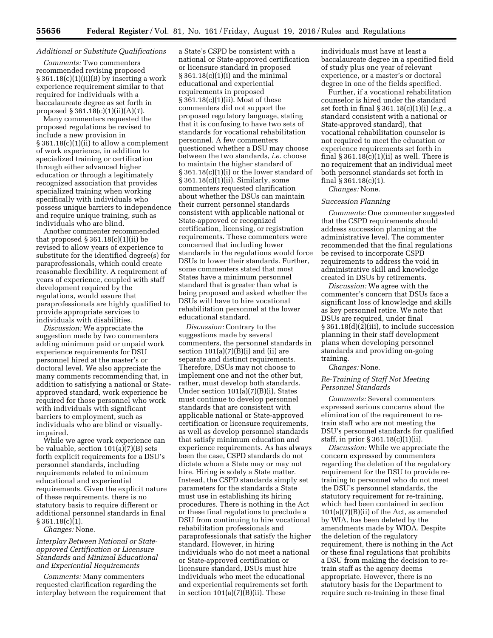## *Additional or Substitute Qualifications*

*Comments:* Two commenters recommended revising proposed  $§ 361.18(c)(1)(ii)(B) by inserting a work$ experience requirement similar to that required for individuals with a baccalaureate degree as set forth in proposed § 361.18(c)(1)(ii)(A)(*1*).

Many commenters requested the proposed regulations be revised to include a new provision in  $§ 361.18(c)(1)(ii)$  to allow a complement of work experience, in addition to specialized training or certification through either advanced higher education or through a legitimately recognized association that provides specialized training when working specifically with individuals who possess unique barriers to independence and require unique training, such as individuals who are blind.

Another commenter recommended that proposed  $\S 361.18(c)(1)(ii)$  be revised to allow years of experience to substitute for the identified degree(s) for paraprofessionals, which could create reasonable flexibility. A requirement of years of experience, coupled with staff development required by the regulations, would assure that paraprofessionals are highly qualified to provide appropriate services to individuals with disabilities.

*Discussion:* We appreciate the suggestion made by two commenters adding minimum paid or unpaid work experience requirements for DSU personnel hired at the master's or doctoral level. We also appreciate the many comments recommending that, in addition to satisfying a national or Stateapproved standard, work experience be required for those personnel who work with individuals with significant barriers to employment, such as individuals who are blind or visuallyimpaired.

While we agree work experience can be valuable, section 101(a)(7)(B) sets forth explicit requirements for a DSU's personnel standards, including requirements related to minimum educational and experiential requirements. Given the explicit nature of these requirements, there is no statutory basis to require different or additional personnel standards in final § 361.18(c)(1).

*Changes:* None.

## *Interplay Between National or Stateapproved Certification or Licensure Standards and Minimal Educational and Experiential Requirements*

*Comments:* Many commenters requested clarification regarding the interplay between the requirement that a State's CSPD be consistent with a national or State-approved certification or licensure standard in proposed § 361.18(c)(1)(i) and the minimal educational and experiential requirements in proposed § 361.18(c)(1)(ii). Most of these commenters did not support the proposed regulatory language, stating that it is confusing to have two sets of standards for vocational rehabilitation personnel. A few commenters questioned whether a DSU may choose between the two standards, *i.e.* choose to maintain the higher standard of § 361.18(c)(1)(i) or the lower standard of § 361.18(c)(1)(ii). Similarly, some commenters requested clarification about whether the DSUs can maintain their current personnel standards consistent with applicable national or State-approved or recognized certification, licensing, or registration requirements. These commenters were concerned that including lower standards in the regulations would force DSUs to lower their standards. Further, some commenters stated that most States have a minimum personnel standard that is greater than what is being proposed and asked whether the DSUs will have to hire vocational rehabilitation personnel at the lower educational standard.

*Discussion:* Contrary to the suggestions made by several commenters, the personnel standards in section  $101(a)(7)(B)(i)$  and (ii) are separate and distinct requirements. Therefore, DSUs may not choose to implement one and not the other but, rather, must develop both standards. Under section 101(a)(7)(B)(i), States must continue to develop personnel standards that are consistent with applicable national or State-approved certification or licensure requirements, as well as develop personnel standards that satisfy minimum education and experience requirements. As has always been the case, CSPD standards do not dictate whom a State may or may not hire. Hiring is solely a State matter. Instead, the CSPD standards simply set parameters for the standards a State must use in establishing its hiring procedures. There is nothing in the Act or these final regulations to preclude a DSU from continuing to hire vocational rehabilitation professionals and paraprofessionals that satisfy the higher standard. However, in hiring individuals who do not meet a national or State-approved certification or licensure standard, DSUs must hire individuals who meet the educational and experiential requirements set forth in section  $101(a)(7)(B)(ii)$ . These

individuals must have at least a baccalaureate degree in a specified field of study plus one year of relevant experience, or a master's or doctoral degree in one of the fields specified.

Further, if a vocational rehabilitation counselor is hired under the standard set forth in final § 361.18(c)(1)(i) (*e.g.,* a standard consistent with a national or State-approved standard), that vocational rehabilitation counselor is not required to meet the education or experience requirements set forth in final  $\S 361.18(c)(1)(ii)$  as well. There is no requirement that an individual meet both personnel standards set forth in final § 361.18(c)(1).

*Changes:* None.

#### *Succession Planning*

*Comments:* One commenter suggested that the CSPD requirements should address succession planning at the administrative level. The commenter recommended that the final regulations be revised to incorporate CSPD requirements to address the void in administrative skill and knowledge created in DSUs by retirements.

*Discussion:* We agree with the commenter's concern that DSUs face a significant loss of knowledge and skills as key personnel retire. We note that DSUs are required, under final § 361.18(d)(2)(iii), to include succession planning in their staff development plans when developing personnel standards and providing on-going training.

*Changes:* None.

## *Re-Training of Staff Not Meeting Personnel Standards*

*Comments:* Several commenters expressed serious concerns about the elimination of the requirement to retrain staff who are not meeting the DSU's personnel standards for qualified staff, in prior § 361.18(c)(1)(ii).

*Discussion:* While we appreciate the concern expressed by commenters regarding the deletion of the regulatory requirement for the DSU to provide retraining to personnel who do not meet the DSU's personnel standards, the statutory requirement for re-training, which had been contained in section  $101(a)(7)(B)(ii)$  of the Act, as amended by WIA, has been deleted by the amendments made by WIOA. Despite the deletion of the regulatory requirement, there is nothing in the Act or these final regulations that prohibits a DSU from making the decision to retrain staff as the agency deems appropriate. However, there is no statutory basis for the Department to require such re-training in these final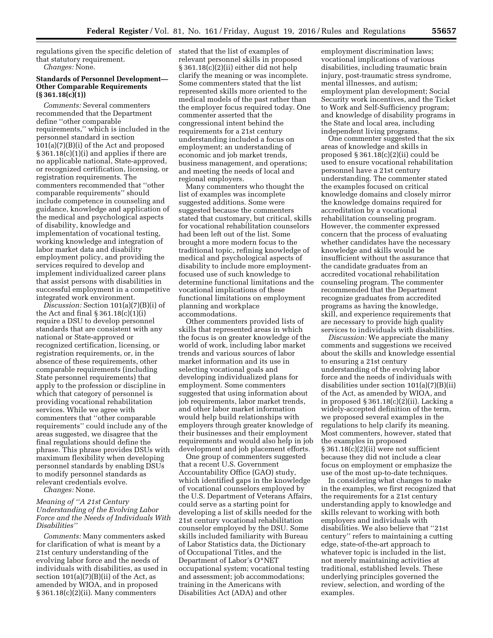regulations given the specific deletion of stated that the list of examples of that statutory requirement. *Changes:* None.

## **Standards of Personnel Development— Other Comparable Requirements (§ 361.18(c)(1))**

*Comments:* Several commenters recommended that the Department define ''other comparable requirements,'' which is included in the personnel standard in section 101(a)(7)(B)(i) of the Act and proposed § 361.18(c)(1)(i) and applies if there are no applicable national, State-approved, or recognized certification, licensing, or registration requirements. The commenters recommended that ''other comparable requirements'' should include competence in counseling and guidance, knowledge and application of the medical and psychological aspects of disability, knowledge and implementation of vocational testing, working knowledge and integration of labor market data and disability employment policy, and providing the services required to develop and implement individualized career plans that assist persons with disabilities in successful employment in a competitive integrated work environment.

*Discussion:* Section 101(a)(7)(B)(i) of the Act and final  $\S 361.18(c)(1)(i)$ require a DSU to develop personnel standards that are consistent with any national or State-approved or recognized certification, licensing, or registration requirements, or, in the absence of these requirements, other comparable requirements (including State personnel requirements) that apply to the profession or discipline in which that category of personnel is providing vocational rehabilitation services. While we agree with commenters that ''other comparable requirements'' could include any of the areas suggested, we disagree that the final regulations should define the phrase. This phrase provides DSUs with maximum flexibility when developing personnel standards by enabling DSUs to modify personnel standards as relevant credentials evolve.

*Changes:* None.

## *Meaning of ''A 21st Century Understanding of the Evolving Labor Force and the Needs of Individuals With Disabilities''*

*Comments:* Many commenters asked for clarification of what is meant by a 21st century understanding of the evolving labor force and the needs of individuals with disabilities, as used in section  $101(a)(7)(B)(ii)$  of the Act, as amended by WIOA, and in proposed  $§ 361.18(c)(2)(ii)$ . Many commenters

relevant personnel skills in proposed § 361.18(c)(2)(ii) either did not help clarify the meaning or was incomplete. Some commenters stated that the list represented skills more oriented to the medical models of the past rather than the employer focus required today. One commenter asserted that the congressional intent behind the requirements for a 21st century understanding included a focus on employment; an understanding of economic and job market trends, business management, and operations; and meeting the needs of local and regional employers.

Many commenters who thought the list of examples was incomplete suggested additions. Some were suggested because the commenters stated that customary, but critical, skills for vocational rehabilitation counselors had been left out of the list. Some brought a more modern focus to the traditional topic, refining knowledge of medical and psychological aspects of disability to include more employmentfocused use of such knowledge to determine functional limitations and the vocational implications of these functional limitations on employment planning and workplace accommodations.

Other commenters provided lists of skills that represented areas in which the focus is on greater knowledge of the world of work, including labor market trends and various sources of labor market information and its use in selecting vocational goals and developing individualized plans for employment. Some commenters suggested that using information about job requirements, labor market trends, and other labor market information would help build relationships with employers through greater knowledge of their businesses and their employment requirements and would also help in job development and job placement efforts.

One group of commenters suggested that a recent U.S. Government Accountability Office (GAO) study, which identified gaps in the knowledge of vocational counselors employed by the U.S. Department of Veterans Affairs, could serve as a starting point for developing a list of skills needed for the 21st century vocational rehabilitation counselor employed by the DSU. Some skills included familiarity with Bureau of Labor Statistics data, the Dictionary of Occupational Titles, and the Department of Labor's O\*NET occupational system; vocational testing and assessment; job accommodations; training in the Americans with Disabilities Act (ADA) and other

employment discrimination laws; vocational implications of various disabilities, including traumatic brain injury, post-traumatic stress syndrome, mental illnesses, and autism; employment plan development; Social Security work incentives, and the Ticket to Work and Self-Sufficiency program; and knowledge of disability programs in the State and local area, including independent living programs.

One commenter suggested that the six areas of knowledge and skills in proposed  $\S 361.18(c)(2)(ii)$  could be used to ensure vocational rehabilitation personnel have a 21st century understanding. The commenter stated the examples focused on critical knowledge domains and closely mirror the knowledge domains required for accreditation by a vocational rehabilitation counseling program. However, the commenter expressed concern that the process of evaluating whether candidates have the necessary knowledge and skills would be insufficient without the assurance that the candidate graduates from an accredited vocational rehabilitation counseling program. The commenter recommended that the Department recognize graduates from accredited programs as having the knowledge, skill, and experience requirements that are necessary to provide high quality services to individuals with disabilities.

*Discussion:* We appreciate the many comments and suggestions we received about the skills and knowledge essential to ensuring a 21st century understanding of the evolving labor force and the needs of individuals with disabilities under section 101(a)(7)(B)(ii) of the Act, as amended by WIOA, and in proposed § 361.18(c)(2)(ii). Lacking a widely-accepted definition of the term, we proposed several examples in the regulations to help clarify its meaning. Most commenters, however, stated that the examples in proposed § 361.18(c)(2)(ii) were not sufficient because they did not include a clear focus on employment or emphasize the use of the most up-to-date techniques.

In considering what changes to make in the examples, we first recognized that the requirements for a 21st century understanding apply to knowledge and skills relevant to working with both employers and individuals with disabilities. We also believe that ''21st century'' refers to maintaining a cutting edge, state-of-the-art approach to whatever topic is included in the list, not merely maintaining activities at traditional, established levels. These underlying principles governed the review, selection, and wording of the examples.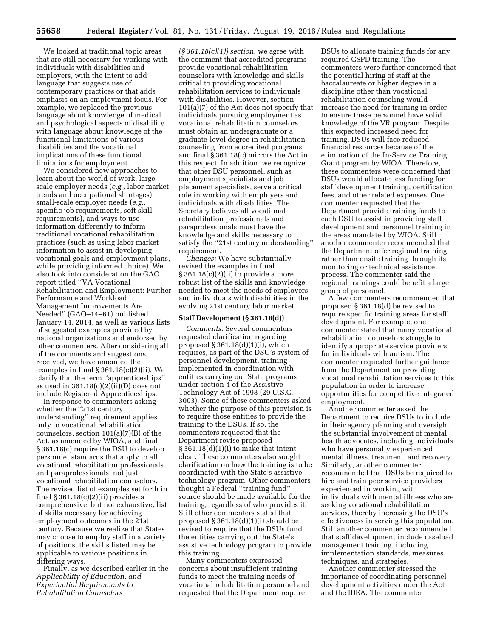We looked at traditional topic areas that are still necessary for working with individuals with disabilities and employers, with the intent to add language that suggests use of contemporary practices or that adds emphasis on an employment focus. For example, we replaced the previous language about knowledge of medical and psychological aspects of disability with language about knowledge of the functional limitations of various disabilities and the vocational implications of these functional limitations for employment.

We considered new approaches to learn about the world of work, largescale employer needs (*e.g.,* labor market trends and occupational shortages), small-scale employer needs (*e.g.,*  specific job requirements, soft skill requirements), and ways to use information differently to inform traditional vocational rehabilitation practices (such as using labor market information to assist in developing vocational goals and employment plans, while providing informed choice). We also took into consideration the GAO report titled ''VA Vocational Rehabilitation and Employment: Further Performance and Workload Management Improvements Are Needed'' (GAO–14–61) published January 14, 2014, as well as various lists of suggested examples provided by national organizations and endorsed by other commenters. After considering all of the comments and suggestions received, we have amended the examples in final  $\S 361.18(c)(2)(ii)$ . We clarify that the term ''apprenticeships'' as used in  $361.18(c)(2)(ii)(D)$  does not include Registered Apprenticeships.

In response to commenters asking whether the ''21st century understanding'' requirement applies only to vocational rehabilitation counselors, section 101(a)(7)(B) of the Act, as amended by WIOA, and final § 361.18(c) require the DSU to develop personnel standards that apply to all vocational rehabilitation professionals and paraprofessionals, not just vocational rehabilitation counselors. The revised list of examples set forth in final § 361.18(c)(2)(ii) provides a comprehensive, but not exhaustive, list of skills necessary for achieving employment outcomes in the 21st century. Because we realize that States may choose to employ staff in a variety of positions, the skills listed may be applicable to various positions in differing ways.

Finally, as we described earlier in the *Applicability of Education, and Experiential Requirements to Rehabilitation Counselors* 

*(§ 361.18(c)(1)) section,* we agree with the comment that accredited programs provide vocational rehabilitation counselors with knowledge and skills critical to providing vocational rehabilitation services to individuals with disabilities. However, section 101(a)(7) of the Act does not specify that individuals pursuing employment as vocational rehabilitation counselors must obtain an undergraduate or a graduate-level degree in rehabilitation counseling from accredited programs and final § 361.18(c) mirrors the Act in this respect. In addition, we recognize that other DSU personnel, such as employment specialists and job placement specialists, serve a critical role in working with employers and individuals with disabilities. The Secretary believes all vocational rehabilitation professionals and paraprofessionals must have the knowledge and skills necessary to satisfy the ''21st century understanding'' requirement.

*Changes:* We have substantially revised the examples in final  $\S 361.18(c)(2)(ii)$  to provide a more robust list of the skills and knowledge needed to meet the needs of employers and individuals with disabilities in the evolving 21st century labor market.

#### **Staff Development (§ 361.18(d))**

*Comments:* Several commenters requested clarification regarding proposed  $§ 361.18(d)(1)(i)$ , which requires, as part of the DSU's system of personnel development, training implemented in coordination with entities carrying out State programs under section 4 of the Assistive Technology Act of 1998 (29 U.S.C. 3003). Some of these commenters asked whether the purpose of this provision is to require those entities to provide the training to the DSUs. If so, the commenters requested that the Department revise proposed  $§ 361.18(d)(1)(i)$  to make that intent clear. These commenters also sought clarification on how the training is to be coordinated with the State's assistive technology program. Other commenters thought a Federal ''training fund'' source should be made available for the training, regardless of who provides it. Still other commenters stated that proposed § 361.18(d)(1)(i) should be revised to require that the DSUs fund the entities carrying out the State's assistive technology program to provide this training.

Many commenters expressed concerns about insufficient training funds to meet the training needs of vocational rehabilitation personnel and requested that the Department require

DSUs to allocate training funds for any required CSPD training. The commenters were further concerned that the potential hiring of staff at the baccalaureate or higher degree in a discipline other than vocational rehabilitation counseling would increase the need for training in order to ensure these personnel have solid knowledge of the VR program. Despite this expected increased need for training, DSUs will face reduced financial resources because of the elimination of the In-Service Training Grant program by WIOA. Therefore, these commenters were concerned that DSUs would allocate less funding for staff development training, certification fees, and other related expenses. One commenter requested that the Department provide training funds to each DSU to assist in providing staff development and personnel training in the areas mandated by WIOA. Still another commenter recommended that the Department offer regional training rather than onsite training through its monitoring or technical assistance process. The commenter said the regional trainings could benefit a larger group of personnel.

A few commenters recommended that proposed § 361.18(d) be revised to require specific training areas for staff development. For example, one commenter stated that many vocational rehabilitation counselors struggle to identify appropriate service providers for individuals with autism. The commenter requested further guidance from the Department on providing vocational rehabilitation services to this population in order to increase opportunities for competitive integrated employment.

Another commenter asked the Department to require DSUs to include in their agency planning and oversight the substantial involvement of mental health advocates, including individuals who have personally experienced mental illness, treatment, and recovery. Similarly, another commenter recommended that DSUs be required to hire and train peer service providers experienced in working with individuals with mental illness who are seeking vocational rehabilitation services, thereby increasing the DSU's effectiveness in serving this population. Still another commenter recommended that staff development include caseload management training, including implementation standards, measures, techniques, and strategies.

Another commenter stressed the importance of coordinating personnel development activities under the Act and the IDEA. The commenter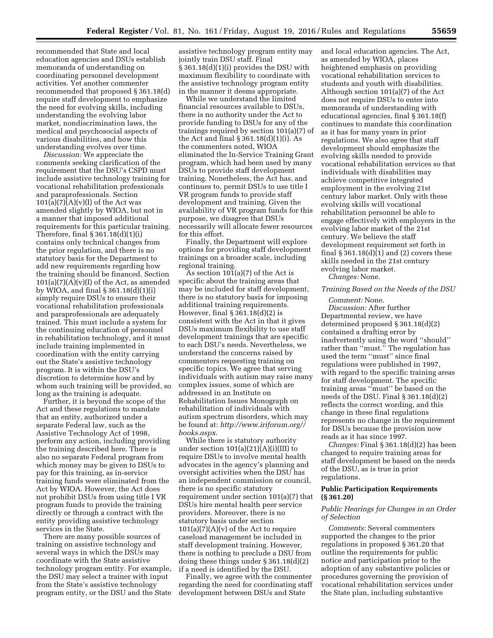recommended that State and local education agencies and DSUs establish memoranda of understanding on coordinating personnel development activities. Yet another commenter recommended that proposed § 361.18(d) require staff development to emphasize the need for evolving skills, including understanding the evolving labor market, nondiscrimination laws, the medical and psychosocial aspects of various disabilities, and how this understanding evolves over time.

*Discussion:* We appreciate the comments seeking clarification of the requirement that the DSU's CSPD must include assistive technology training for vocational rehabilitation professionals and paraprofessionals. Section  $101(a)(7)$  $(A)(v)(I)$  of the Act was amended slightly by WIOA, but not in a manner that imposed additional requirements for this particular training. Therefore, final § 361.18(d)(1)(i) contains only technical changes from the prior regulation, and there is no statutory basis for the Department to add new requirements regarding how the training should be financed. Section  $101(a)(7)(A)(v)(I)$  of the Act, as amended by WIOA, and final § 361.18(d)(1)(i) simply require DSUs to ensure their vocational rehabilitation professionals and paraprofessionals are adequately trained. This must include a system for the continuing education of personnel in rehabilitation technology, and it must include training implemented in coordination with the entity carrying out the State's assistive technology program. It is within the DSU's discretion to determine how and by whom such training will be provided, so long as the training is adequate.

Further, it is beyond the scope of the Act and these regulations to mandate that an entity, authorized under a separate Federal law, such as the Assistive Technology Act of 1998, perform any action, including providing the training described here. There is also no separate Federal program from which money may be given to DSUs to pay for this training, as in-service training funds were eliminated from the Act by WIOA. However, the Act does not prohibit DSUs from using title I VR program funds to provide the training directly or through a contract with the entity providing assistive technology services in the State.

There are many possible sources of training on assistive technology and several ways in which the DSUs may coordinate with the State assistive technology program entity. For example, the DSU may select a trainer with input from the State's assistive technology program entity, or the DSU and the State assistive technology program entity may jointly train DSU staff. Final § 361.18(d)(1)(i) provides the DSU with maximum flexibility to coordinate with the assistive technology program entity in the manner it deems appropriate.

While we understand the limited financial resources available to DSUs, there is no authority under the Act to provide funding to DSUs for any of the trainings required by section 101(a)(7) of the Act and final § 361.18(d)(1)(i). As the commenters noted, WIOA eliminated the In-Service Training Grant program, which had been used by many DSUs to provide staff development training. Nonetheless, the Act has, and continues to, permit DSUs to use title I VR program funds to provide staff development and training. Given the availability of VR program funds for this purpose, we disagree that DSUs necessarily will allocate fewer resources for this effort.

Finally, the Department will explore options for providing staff development trainings on a broader scale, including regional training.

As section  $101(a)(7)$  of the Act is specific about the training areas that may be included for staff development, there is no statutory basis for imposing additional training requirements. However, final § 361.18(d)(2) is consistent with the Act in that it gives DSUs maximum flexibility to use staff development trainings that are specific to each DSU's needs. Nevertheless, we understand the concerns raised by commenters requesting training on specific topics. We agree that serving individuals with autism may raise many complex issues, some of which are addressed in an Institute on Rehabilitation Issues Monograph on rehabilitation of individuals with autism spectrum disorders, which may be found at: *[http://www.iriforum.org//](http://www.iriforum.org//books.aspx) [books.aspx](http://www.iriforum.org//books.aspx)*.

While there is statutory authority under section  $101(a)(21)(A)(i)(III)$  to require DSUs to involve mental health advocates in the agency's planning and oversight activities when the DSU has an independent commission or council, there is no specific statutory requirement under section 101(a)(7) that DSUs hire mental health peer service providers. Moreover, there is no statutory basis under section  $101(a)(7)(A)(v)$  of the Act to require caseload management be included in staff development training. However, there is nothing to preclude a DSU from doing these things under § 361.18(d)(2) if a need is identified by the DSU.

Finally, we agree with the commenter regarding the need for coordinating staff development between DSUs and State

and local education agencies. The Act, as amended by WIOA, places heightened emphasis on providing vocational rehabilitation services to students and youth with disabilities. Although section 101(a)(7) of the Act does not require DSUs to enter into memoranda of understanding with educational agencies, final § 361.18(f) continues to mandate this coordination as it has for many years in prior regulations. We also agree that staff development should emphasize the evolving skills needed to provide vocational rehabilitation services so that individuals with disabilities may achieve competitive integrated employment in the evolving 21st century labor market. Only with these evolving skills will vocational rehabilitation personnel be able to engage effectively with employers in the evolving labor market of the 21st century. We believe the staff development requirement set forth in final  $\S 361.18(d)(1)$  and (2) covers these skills needed in the 21st century evolving labor market.

*Changes:* None.

#### *Training Based on the Needs of the DSU*

#### *Comment:* None.

*Discussion:* After further Departmental review, we have determined proposed § 361.18(d)(2) contained a drafting error by inadvertently using the word ''should'' rather than ''must.'' The regulation has used the term ''must'' since final regulations were published in 1997, with regard to the specific training areas for staff development. The specific training areas ''must'' be based on the needs of the DSU. Final § 361.18(d)(2) reflects the correct wording, and this change in these final regulations represents no change in the requirement for DSUs because the provision now reads as it has since 1997.

*Changes:* Final § 361.18(d)(2) has been changed to require training areas for staff development be based on the needs of the DSU, as is true in prior regulations.

## **Public Participation Requirements (§ 361.20)**

## *Public Hearings for Changes in an Order of Selection*

*Comments:* Several commenters supported the changes to the prior regulations in proposed § 361.20 that outline the requirements for public notice and participation prior to the adoption of any substantive policies or procedures governing the provision of vocational rehabilitation services under the State plan, including substantive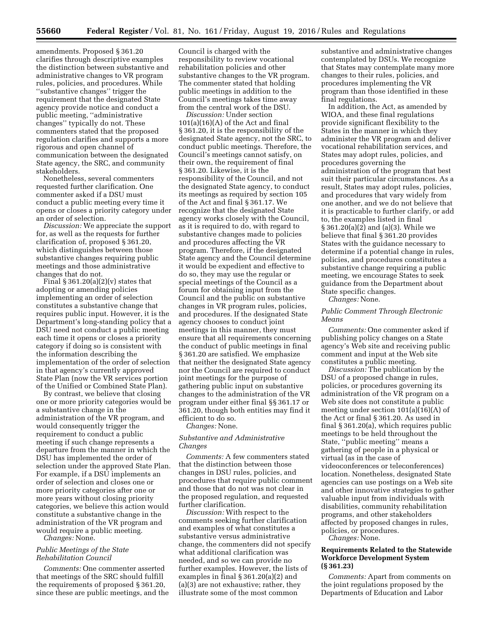amendments. Proposed § 361.20 clarifies through descriptive examples the distinction between substantive and administrative changes to VR program rules, policies, and procedures. While ''substantive changes'' trigger the requirement that the designated State agency provide notice and conduct a public meeting, ''administrative changes'' typically do not. These commenters stated that the proposed regulation clarifies and supports a more rigorous and open channel of communication between the designated State agency, the SRC, and community stakeholders.

Nonetheless, several commenters requested further clarification. One commenter asked if a DSU must conduct a public meeting every time it opens or closes a priority category under an order of selection.

*Discussion:* We appreciate the support for, as well as the requests for further clarification of, proposed § 361.20, which distinguishes between those substantive changes requiring public meetings and those administrative changes that do not.

Final  $\S 361.20(a)(2)(v)$  states that adopting or amending policies implementing an order of selection constitutes a substantive change that requires public input. However, it is the Department's long-standing policy that a DSU need not conduct a public meeting each time it opens or closes a priority category if doing so is consistent with the information describing the implementation of the order of selection in that agency's currently approved State Plan (now the VR services portion of the Unified or Combined State Plan).

By contrast, we believe that closing one or more priority categories would be a substantive change in the administration of the VR program, and would consequently trigger the requirement to conduct a public meeting if such change represents a departure from the manner in which the DSU has implemented the order of selection under the approved State Plan. For example, if a DSU implements an order of selection and closes one or more priority categories after one or more years without closing priority categories, we believe this action would constitute a substantive change in the administration of the VR program and would require a public meeting.

*Changes:* None.

## *Public Meetings of the State Rehabilitation Council*

*Comments:* One commenter asserted that meetings of the SRC should fulfill the requirements of proposed § 361.20, since these are public meetings, and the

Council is charged with the responsibility to review vocational rehabilitation policies and other substantive changes to the VR program. The commenter stated that holding public meetings in addition to the Council's meetings takes time away from the central work of the DSU.

*Discussion:* Under section  $101(a)(16)(A)$  of the Act and final § 361.20, it is the responsibility of the designated State agency, not the SRC, to conduct public meetings. Therefore, the Council's meetings cannot satisfy, on their own, the requirement of final § 361.20. Likewise, it is the responsibility of the Council, and not the designated State agency, to conduct its meetings as required by section 105 of the Act and final § 361.17. We recognize that the designated State agency works closely with the Council, as it is required to do, with regard to substantive changes made to policies and procedures affecting the VR program. Therefore, if the designated State agency and the Council determine it would be expedient and effective to do so, they may use the regular or special meetings of the Council as a forum for obtaining input from the Council and the public on substantive changes in VR program rules, policies, and procedures. If the designated State agency chooses to conduct joint meetings in this manner, they must ensure that all requirements concerning the conduct of public meetings in final § 361.20 are satisfied. We emphasize that neither the designated State agency nor the Council are required to conduct joint meetings for the purpose of gathering public input on substantive changes to the administration of the VR program under either final §§ 361.17 or 361.20, though both entities may find it efficient to do so.

# *Changes:* None.

## *Substantive and Administrative Changes*

*Comments:* A few commenters stated that the distinction between those changes in DSU rules, policies, and procedures that require public comment and those that do not was not clear in the proposed regulation, and requested further clarification.

*Discussion:* With respect to the comments seeking further clarification and examples of what constitutes a substantive versus administrative change, the commenters did not specify what additional clarification was needed, and so we can provide no further examples. However, the lists of examples in final § 361.20(a)(2) and (a)(3) are not exhaustive; rather, they illustrate some of the most common

substantive and administrative changes contemplated by DSUs. We recognize that States may contemplate many more changes to their rules, policies, and procedures implementing the VR program than those identified in these final regulations.

In addition, the Act, as amended by WIOA, and these final regulations provide significant flexibility to the States in the manner in which they administer the VR program and deliver vocational rehabilitation services, and States may adopt rules, policies, and procedures governing the administration of the program that best suit their particular circumstances. As a result, States may adopt rules, policies, and procedures that vary widely from one another, and we do not believe that it is practicable to further clarify, or add to, the examples listed in final § 361.20(a)(2) and (a)(3). While we believe that final § 361.20 provides States with the guidance necessary to determine if a potential change in rules, policies, and procedures constitutes a substantive change requiring a public meeting, we encourage States to seek guidance from the Department about State specific changes.

*Changes:* None.

## *Public Comment Through Electronic Means*

*Comments:* One commenter asked if publishing policy changes on a State agency's Web site and receiving public comment and input at the Web site constitutes a public meeting.

*Discussion:* The publication by the DSU of a proposed change in rules, policies, or procedures governing its administration of the VR program on a Web site does not constitute a public meeting under section 101(a)(16)(A) of the Act or final § 361.20. As used in final § 361.20(a), which requires public meetings to be held throughout the State, ''public meeting'' means a gathering of people in a physical or virtual (as in the case of videoconferences or teleconferences) location. Nonetheless, designated State agencies can use postings on a Web site and other innovative strategies to gather valuable input from individuals with disabilities, community rehabilitation programs, and other stakeholders affected by proposed changes in rules, policies, or procedures.

*Changes:* None.

## **Requirements Related to the Statewide Workforce Development System (§ 361.23)**

*Comments:* Apart from comments on the joint regulations proposed by the Departments of Education and Labor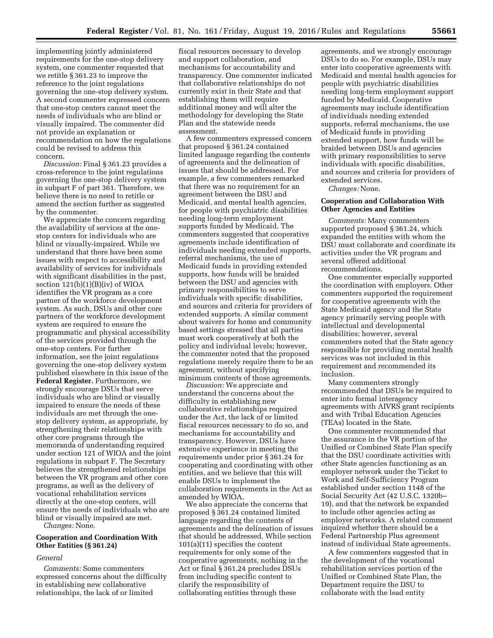implementing jointly administered requirements for the one-stop delivery system, one commenter requested that we retitle § 361.23 to improve the reference to the joint regulations governing the one-stop delivery system. A second commenter expressed concern that one-stop centers cannot meet the needs of individuals who are blind or visually impaired. The commenter did not provide an explanation or recommendation on how the regulations could be revised to address this concern.

*Discussion:* Final § 361.23 provides a cross-reference to the joint regulations governing the one-stop delivery system in subpart F of part 361. Therefore, we believe there is no need to retitle or amend the section further as suggested by the commenter.

We appreciate the concern regarding the availability of services at the onestop centers for individuals who are blind or visually-impaired. While we understand that there have been some issues with respect to accessibility and availability of services for individuals with significant disabilities in the past, section 121(b)(1)(B)(iv) of WIOA identifies the VR program as a core partner of the workforce development system. As such, DSUs and other core partners of the workforce development system are required to ensure the programmatic and physical accessibility of the services provided through the one-stop centers. For further information, see the joint regulations governing the one-stop delivery system published elsewhere in this issue of the **Federal Register.** Furthermore, we strongly encourage DSUs that serve individuals who are blind or visually impaired to ensure the needs of these individuals are met through the onestop delivery system, as appropriate, by strengthening their relationships with other core programs through the memoranda of understanding required under section 121 of WIOA and the joint regulations in subpart F. The Secretary believes the strengthened relationships between the VR program and other core programs, as well as the delivery of vocational rehabilitation services directly at the one-stop centers, will ensure the needs of individuals who are blind or visually impaired are met.

*Changes:* None.

## **Cooperation and Coordination With Other Entities (§ 361.24)**

#### *General*

*Comments:* Some commenters expressed concerns about the difficulty in establishing new collaborative relationships, the lack of or limited

fiscal resources necessary to develop and support collaboration, and mechanisms for accountability and transparency. One commenter indicated that collaborative relationships do not currently exist in their State and that establishing them will require additional money and will alter the methodology for developing the State Plan and the statewide needs assessment.

A few commenters expressed concern that proposed § 361.24 contained limited language regarding the contents of agreements and the delineation of issues that should be addressed. For example, a few commenters remarked that there was no requirement for an agreement between the DSU and Medicaid, and mental health agencies, for people with psychiatric disabilities needing long-term employment supports funded by Medicaid. The commenters suggested that cooperative agreements include identification of individuals needing extended supports, referral mechanisms, the use of Medicaid funds in providing extended supports, how funds will be braided between the DSU and agencies with primary responsibilities to serve individuals with specific disabilities, and sources and criteria for providers of extended supports. A similar comment about waivers for home and community based settings stressed that all parties must work cooperatively at both the policy and individual levels; however, the commenter noted that the proposed regulations merely require there to be an agreement, without specifying minimum contents of those agreements.

*Discussion:* We appreciate and understand the concerns about the difficulty in establishing new collaborative relationships required under the Act, the lack of or limited fiscal resources necessary to do so, and mechanisms for accountability and transparency. However, DSUs have extensive experience in meeting the requirements under prior § 361.24 for cooperating and coordinating with other entities, and we believe that this will enable DSUs to implement the collaboration requirements in the Act as amended by WIOA.

We also appreciate the concerns that proposed § 361.24 contained limited language regarding the contents of agreements and the delineation of issues that should be addressed. While section 101(a)(11) specifies the content requirements for only some of the cooperative agreements, nothing in the Act or final § 361.24 precludes DSUs from including specific content to clarify the responsibility of collaborating entities through these

agreements, and we strongly encourage DSUs to do so. For example, DSUs may enter into cooperative agreements with Medicaid and mental health agencies for people with psychiatric disabilities needing long-term employment support funded by Medicaid. Cooperative agreements may include identification of individuals needing extended supports, referral mechanisms, the use of Medicaid funds in providing extended support, how funds will be braided between DSUs and agencies with primary responsibilities to serve individuals with specific disabilities, and sources and criteria for providers of extended services.

*Changes:* None.

#### **Cooperation and Collaboration With Other Agencies and Entities**

*Comments:* Many commenters supported proposed § 361.24, which expanded the entities with whom the DSU must collaborate and coordinate its activities under the VR program and several offered additional recommendations.

One commenter especially supported the coordination with employers. Other commenters supported the requirement for cooperative agreements with the State Medicaid agency and the State agency primarily serving people with intellectual and developmental disabilities; however, several commenters noted that the State agency responsible for providing mental health services was not included in this requirement and recommended its inclusion.

Many commenters strongly recommended that DSUs be required to enter into formal interagency agreements with AIVRS grant recipients and with Tribal Education Agencies (TEAs) located in the State.

One commenter recommended that the assurance in the VR portion of the Unified or Combined State Plan specify that the DSU coordinate activities with other State agencies functioning as an employer network under the Ticket to Work and Self-Sufficiency Program established under section 1148 of the Social Security Act (42 U.S.C. 1320b– 19), and that the network be expanded to include other agencies acting as employer networks. A related comment inquired whether there should be a Federal Partnership Plus agreement instead of individual State agreements.

A few commenters suggested that in the development of the vocational rehabilitation services portion of the Unified or Combined State Plan, the Department require the DSU to collaborate with the lead entity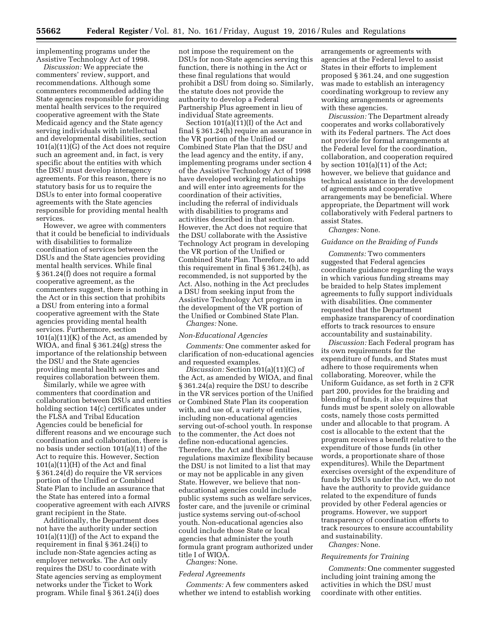implementing programs under the Assistive Technology Act of 1998.

*Discussion:* We appreciate the commenters' review, support, and recommendations. Although some commenters recommended adding the State agencies responsible for providing mental health services to the required cooperative agreement with the State Medicaid agency and the State agency serving individuals with intellectual and developmental disabilities, section 101(a)(11)(G) of the Act does not require such an agreement and, in fact, is very specific about the entities with which the DSU must develop interagency agreements. For this reason, there is no statutory basis for us to require the DSUs to enter into formal cooperative agreements with the State agencies responsible for providing mental health services.

However, we agree with commenters that it could be beneficial to individuals with disabilities to formalize coordination of services between the DSUs and the State agencies providing mental health services. While final § 361.24(f) does not require a formal cooperative agreement, as the commenters suggest, there is nothing in the Act or in this section that prohibits a DSU from entering into a formal cooperative agreement with the State agencies providing mental health services. Furthermore, section  $101(a)(11)(K)$  of the Act, as amended by WIOA, and final § 361.24(g) stress the importance of the relationship between the DSU and the State agencies providing mental health services and requires collaboration between them.

Similarly, while we agree with commenters that coordination and collaboration between DSUs and entities holding section 14(c) certificates under the FLSA and Tribal Education Agencies could be beneficial for different reasons and we encourage such coordination and collaboration, there is no basis under section 101(a)(11) of the Act to require this. However, Section  $101(a)(11)(H)$  of the Act and final § 361.24(d) do require the VR services portion of the Unified or Combined State Plan to include an assurance that the State has entered into a formal cooperative agreement with each AIVRS grant recipient in the State.

Additionally, the Department does not have the authority under section 101(a)(11)(J) of the Act to expand the requirement in final § 361.24(i) to include non-State agencies acting as employer networks. The Act only requires the DSU to coordinate with State agencies serving as employment networks under the Ticket to Work program. While final § 361.24(i) does

not impose the requirement on the DSUs for non-State agencies serving this function, there is nothing in the Act or these final regulations that would prohibit a DSU from doing so. Similarly, the statute does not provide the authority to develop a Federal Partnership Plus agreement in lieu of individual State agreements.

Section  $101(a)(11)(I)$  of the Act and final § 361.24(h) require an assurance in the VR portion of the Unified or Combined State Plan that the DSU and the lead agency and the entity, if any, implementing programs under section 4 of the Assistive Technology Act of 1998 have developed working relationships and will enter into agreements for the coordination of their activities, including the referral of individuals with disabilities to programs and activities described in that section. However, the Act does not require that the DSU collaborate with the Assistive Technology Act program in developing the VR portion of the Unified or Combined State Plan. Therefore, to add this requirement in final § 361.24(h), as recommended, is not supported by the Act. Also, nothing in the Act precludes a DSU from seeking input from the Assistive Technology Act program in the development of the VR portion of the Unified or Combined State Plan. *Changes:* None.

#### *Non-Educational Agencies*

*Comments:* One commenter asked for clarification of non-educational agencies and requested examples.

*Discussion:* Section 101(a)(11)(C) of the Act, as amended by WIOA, and final § 361.24(a) require the DSU to describe in the VR services portion of the Unified or Combined State Plan its cooperation with, and use of, a variety of entities, including non-educational agencies serving out-of-school youth. In response to the commenter, the Act does not define non-educational agencies. Therefore, the Act and these final regulations maximize flexibility because the DSU is not limited to a list that may or may not be applicable in any given State. However, we believe that noneducational agencies could include public systems such as welfare services, foster care, and the juvenile or criminal justice systems serving out-of-school youth. Non-educational agencies also could include those State or local agencies that administer the youth formula grant program authorized under title I of WIOA.

#### *Changes:* None.

#### *Federal Agreements*

*Comments:* A few commenters asked whether we intend to establish working

arrangements or agreements with agencies at the Federal level to assist States in their efforts to implement proposed § 361.24, and one suggestion was made to establish an interagency coordinating workgroup to review any working arrangements or agreements with these agencies.

*Discussion:* The Department already cooperates and works collaboratively with its Federal partners. The Act does not provide for formal arrangements at the Federal level for the coordination, collaboration, and cooperation required by section 101(a)(11) of the Act; however, we believe that guidance and technical assistance in the development of agreements and cooperative arrangements may be beneficial. Where appropriate, the Department will work collaboratively with Federal partners to assist States.

#### *Changes:* None.

#### *Guidance on the Braiding of Funds*

*Comments:* Two commenters suggested that Federal agencies coordinate guidance regarding the ways in which various funding streams may be braided to help States implement agreements to fully support individuals with disabilities. One commenter requested that the Department emphasize transparency of coordination efforts to track resources to ensure accountability and sustainability.

*Discussion:* Each Federal program has its own requirements for the expenditure of funds, and States must adhere to those requirements when collaborating. Moreover, while the Uniform Guidance, as set forth in 2 CFR part 200, provides for the braiding and blending of funds, it also requires that funds must be spent solely on allowable costs, namely those costs permitted under and allocable to that program. A cost is allocable to the extent that the program receives a benefit relative to the expenditure of those funds (in other words, a proportionate share of those expenditures). While the Department exercises oversight of the expenditure of funds by DSUs under the Act, we do not have the authority to provide guidance related to the expenditure of funds provided by other Federal agencies or programs. However, we support transparency of coordination efforts to track resources to ensure accountability and sustainability.

## *Changes:* None.

## *Requirements for Training*

*Comments:* One commenter suggested including joint training among the activities in which the DSU must coordinate with other entities.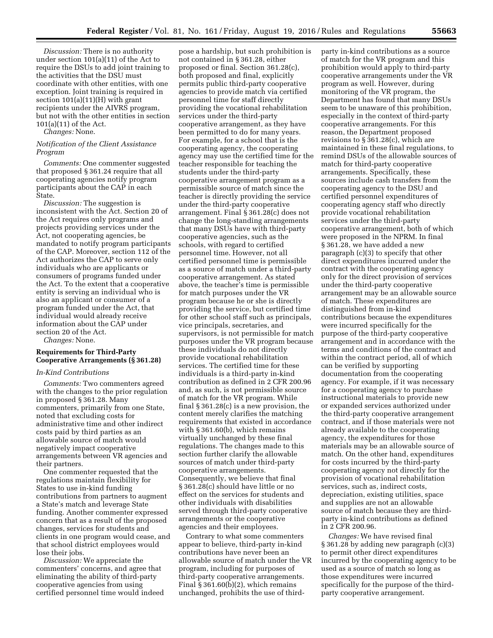*Discussion:* There is no authority under section 101(a)(11) of the Act to require the DSUs to add joint training to the activities that the DSU must coordinate with other entities, with one exception. Joint training is required in section 101(a)(11)(H) with grant recipients under the AIVRS program, but not with the other entities in section 101(a)(11) of the Act.

*Changes:* None.

## *Notification of the Client Assistance Program*

*Comments:* One commenter suggested that proposed § 361.24 require that all cooperating agencies notify program participants about the CAP in each State.

*Discussion:* The suggestion is inconsistent with the Act. Section 20 of the Act requires only programs and projects providing services under the Act, not cooperating agencies, be mandated to notify program participants of the CAP. Moreover, section 112 of the Act authorizes the CAP to serve only individuals who are applicants or consumers of programs funded under the Act. To the extent that a cooperative entity is serving an individual who is also an applicant or consumer of a program funded under the Act, that individual would already receive information about the CAP under section 20 of the Act.

*Changes:* None.

## **Requirements for Third-Party Cooperative Arrangements (§ 361.28)**

## *In-Kind Contributions*

*Comments:* Two commenters agreed with the changes to the prior regulation in proposed § 361.28. Many commenters, primarily from one State, noted that excluding costs for administrative time and other indirect costs paid by third parties as an allowable source of match would negatively impact cooperative arrangements between VR agencies and their partners.

One commenter requested that the regulations maintain flexibility for States to use in-kind funding contributions from partners to augment a State's match and leverage State funding. Another commenter expressed concern that as a result of the proposed changes, services for students and clients in one program would cease, and that school district employees would lose their jobs.

*Discussion:* We appreciate the commenters' concerns, and agree that eliminating the ability of third-party cooperative agencies from using certified personnel time would indeed

pose a hardship, but such prohibition is not contained in § 361.28, either proposed or final. Section 361.28(c), both proposed and final, explicitly permits public third-party cooperative agencies to provide match via certified personnel time for staff directly providing the vocational rehabilitation services under the third-party cooperative arrangement, as they have been permitted to do for many years. For example, for a school that is the cooperating agency, the cooperating agency may use the certified time for the teacher responsible for teaching the students under the third-party cooperative arrangement program as a permissible source of match since the teacher is directly providing the service under the third-party cooperative arrangement. Final § 361.28(c) does not change the long-standing arrangements that many DSUs have with third-party cooperative agencies, such as the schools, with regard to certified personnel time. However, not all certified personnel time is permissible as a source of match under a third-party cooperative arrangement. As stated above, the teacher's time is permissible for match purposes under the VR program because he or she is directly providing the service, but certified time for other school staff such as principals, vice principals, secretaries, and supervisors, is not permissible for match purposes under the VR program because these individuals do not directly provide vocational rehabilitation services. The certified time for these individuals is a third-party in-kind contribution as defined in 2 CFR 200.96 and, as such, is not permissible source of match for the VR program. While final § 361.28(c) is a new provision, the content merely clarifies the matching requirements that existed in accordance with § 361.60(b), which remains virtually unchanged by these final regulations. The changes made to this section further clarify the allowable sources of match under third-party cooperative arrangements. Consequently, we believe that final § 361.28(c) should have little or no effect on the services for students and other individuals with disabilities served through third-party cooperative arrangements or the cooperative agencies and their employees.

Contrary to what some commenters appear to believe, third-party in-kind contributions have never been an allowable source of match under the VR program, including for purposes of third-party cooperative arrangements. Final § 361.60(b)(2), which remains unchanged, prohibits the use of third-

party in-kind contributions as a source of match for the VR program and this prohibition would apply to third-party cooperative arrangements under the VR program as well. However, during monitoring of the VR program, the Department has found that many DSUs seem to be unaware of this prohibition, especially in the context of third-party cooperative arrangements. For this reason, the Department proposed revisions to § 361.28(c), which are maintained in these final regulations, to remind DSUs of the allowable sources of match for third-party cooperative arrangements. Specifically, these sources include cash transfers from the cooperating agency to the DSU and certified personnel expenditures of cooperating agency staff who directly provide vocational rehabilitation services under the third-party cooperative arrangement, both of which were proposed in the NPRM. In final § 361.28, we have added a new paragraph (c)(3) to specify that other direct expenditures incurred under the contract with the cooperating agency only for the direct provision of services under the third-party cooperative arrangement may be an allowable source of match. These expenditures are distinguished from in-kind contributions because the expenditures were incurred specifically for the purpose of the third-party cooperative arrangement and in accordance with the terms and conditions of the contract and within the contract period, all of which can be verified by supporting documentation from the cooperating agency. For example, if it was necessary for a cooperating agency to purchase instructional materials to provide new or expanded services authorized under the third-party cooperative arrangement contract, and if those materials were not already available to the cooperating agency, the expenditures for those materials may be an allowable source of match. On the other hand, expenditures for costs incurred by the third-party cooperating agency not directly for the provision of vocational rehabilitation services, such as, indirect costs, depreciation, existing utilities, space and supplies are not an allowable source of match because they are thirdparty in-kind contributions as defined in 2 CFR 200.96.

*Changes:* We have revised final § 361.28 by adding new paragraph (c)(3) to permit other direct expenditures incurred by the cooperating agency to be used as a source of match so long as those expenditures were incurred specifically for the purpose of the thirdparty cooperative arrangement.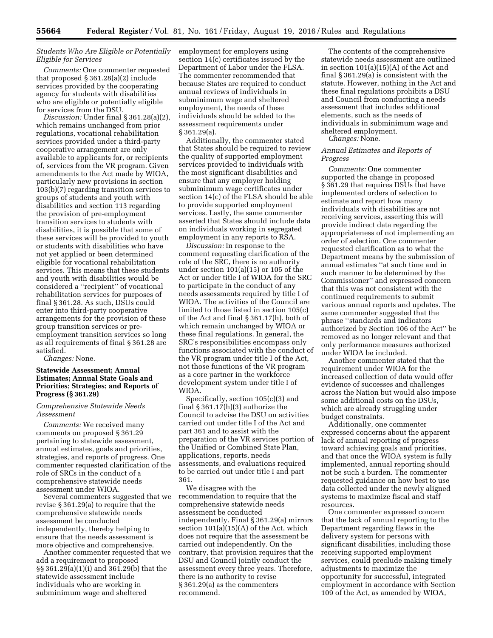## *Students Who Are Eligible or Potentially Eligible for Services*

*Comments:* One commenter requested that proposed § 361.28(a)(2) include services provided by the cooperating agency for students with disabilities who are eligible or potentially eligible for services from the DSU.

*Discussion:* Under final § 361.28(a)(2), which remains unchanged from prior regulations, vocational rehabilitation services provided under a third-party cooperative arrangement are only available to applicants for, or recipients of, services from the VR program. Given amendments to the Act made by WIOA, particularly new provisions in section 103(b)(7) regarding transition services to groups of students and youth with disabilities and section 113 regarding the provision of pre-employment transition services to students with disabilities, it is possible that some of these services will be provided to youth or students with disabilities who have not yet applied or been determined eligible for vocational rehabilitation services. This means that these students and youth with disabilities would be considered a ''recipient'' of vocational rehabilitation services for purposes of final § 361.28. As such, DSUs could enter into third-party cooperative arrangements for the provision of these group transition services or preemployment transition services so long as all requirements of final § 361.28 are satisfied.

*Changes:* None.

## **Statewide Assessment; Annual Estimates; Annual State Goals and Priorities; Strategies; and Reports of Progress (§ 361.29)**

*Comprehensive Statewide Needs Assessment* 

*Comments:* We received many comments on proposed § 361.29 pertaining to statewide assessment, annual estimates, goals and priorities, strategies, and reports of progress. One commenter requested clarification of the role of SRCs in the conduct of a comprehensive statewide needs assessment under WIOA.

Several commenters suggested that we revise § 361.29(a) to require that the comprehensive statewide needs assessment be conducted independently, thereby helping to ensure that the needs assessment is more objective and comprehensive.

Another commenter requested that we add a requirement to proposed §§ 361.29(a)(1)(i) and 361.29(b) that the statewide assessment include individuals who are working in subminimum wage and sheltered

employment for employers using section 14(c) certificates issued by the Department of Labor under the FLSA. The commenter recommended that because States are required to conduct annual reviews of individuals in subminimum wage and sheltered employment, the needs of these individuals should be added to the assessment requirements under § 361.29(a).

Additionally, the commenter stated that States should be required to review the quality of supported employment services provided to individuals with the most significant disabilities and ensure that any employer holding subminimum wage certificates under section 14(c) of the FLSA should be able to provide supported employment services. Lastly, the same commenter asserted that States should include data on individuals working in segregated employment in any reports to RSA.

*Discussion:* In response to the comment requesting clarification of the role of the SRC, there is no authority under section 101(a)(15) or 105 of the Act or under title I of WIOA for the SRC to participate in the conduct of any needs assessments required by title I of WIOA. The activities of the Council are limited to those listed in section 105(c) of the Act and final § 361.17(h), both of which remain unchanged by WIOA or these final regulations. In general, the SRC's responsibilities encompass only functions associated with the conduct of the VR program under title I of the Act, not those functions of the VR program as a core partner in the workforce development system under title I of WIOA.

Specifically, section 105(c)(3) and final  $\S 361.17(h)(3)$  authorize the Council to advise the DSU on activities carried out under title I of the Act and part 361 and to assist with the preparation of the VR services portion of the Unified or Combined State Plan, applications, reports, needs assessments, and evaluations required to be carried out under title I and part 361.

We disagree with the recommendation to require that the comprehensive statewide needs assessment be conducted independently. Final § 361.29(a) mirrors section 101(a)(15)(A) of the Act, which does not require that the assessment be carried out independently. On the contrary, that provision requires that the DSU and Council jointly conduct the assessment every three years. Therefore, there is no authority to revise § 361.29(a) as the commenters recommend.

The contents of the comprehensive statewide needs assessment are outlined in section 101(a)(15)(A) of the Act and final § 361.29(a) is consistent with the statute. However, nothing in the Act and these final regulations prohibits a DSU and Council from conducting a needs assessment that includes additional elements, such as the needs of individuals in subminimum wage and sheltered employment.

*Changes:* None.

## *Annual Estimates and Reports of Progress*

*Comments:* One commenter supported the change in proposed § 361.29 that requires DSUs that have implemented orders of selection to estimate and report how many individuals with disabilities are not receiving services, asserting this will provide indirect data regarding the appropriateness of not implementing an order of selection. One commenter requested clarification as to what the Department means by the submission of annual estimates ''at such time and in such manner to be determined by the Commissioner'' and expressed concern that this was not consistent with the continued requirements to submit various annual reports and updates. The same commenter suggested that the phrase ''standards and indicators authorized by Section 106 of the Act'' be removed as no longer relevant and that only performance measures authorized under WIOA be included.

Another commenter stated that the requirement under WIOA for the increased collection of data would offer evidence of successes and challenges across the Nation but would also impose some additional costs on the DSUs, which are already struggling under budget constraints.

Additionally, one commenter expressed concerns about the apparent lack of annual reporting of progress toward achieving goals and priorities, and that once the WIOA system is fully implemented, annual reporting should not be such a burden. The commenter requested guidance on how best to use data collected under the newly aligned systems to maximize fiscal and staff resources.

One commenter expressed concern that the lack of annual reporting to the Department regarding flaws in the delivery system for persons with significant disabilities, including those receiving supported employment services, could preclude making timely adjustments to maximize the opportunity for successful, integrated employment in accordance with Section 109 of the Act, as amended by WIOA,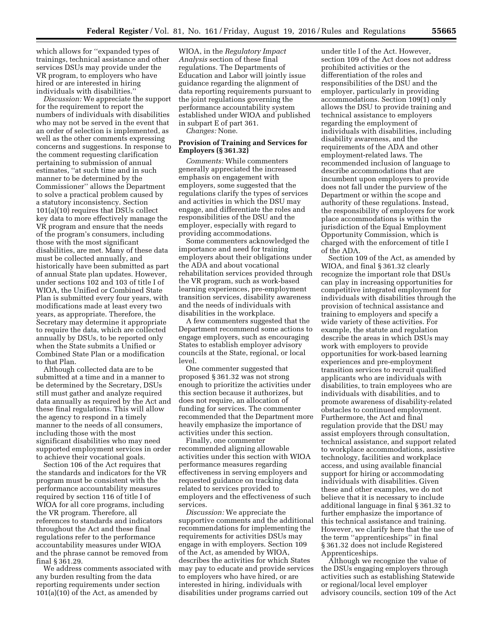which allows for ''expanded types of trainings, technical assistance and other services DSUs may provide under the VR program, to employers who have hired or are interested in hiring individuals with disabilities.''

*Discussion:* We appreciate the support for the requirement to report the numbers of individuals with disabilities who may not be served in the event that an order of selection is implemented, as well as the other comments expressing concerns and suggestions. In response to the comment requesting clarification pertaining to submission of annual estimates, ''at such time and in such manner to be determined by the Commissioner'' allows the Department to solve a practical problem caused by a statutory inconsistency. Section 101(a)(10) requires that DSUs collect key data to more effectively manage the VR program and ensure that the needs of the program's consumers, including those with the most significant disabilities, are met. Many of these data must be collected annually, and historically have been submitted as part of annual State plan updates. However, under sections 102 and 103 of title I of WIOA, the Unified or Combined State Plan is submitted every four years, with modifications made at least every two years, as appropriate. Therefore, the Secretary may determine it appropriate to require the data, which are collected annually by DSUs, to be reported only when the State submits a Unified or Combined State Plan or a modification to that Plan.

Although collected data are to be submitted at a time and in a manner to be determined by the Secretary, DSUs still must gather and analyze required data annually as required by the Act and these final regulations. This will allow the agency to respond in a timely manner to the needs of all consumers, including those with the most significant disabilities who may need supported employment services in order to achieve their vocational goals.

Section 106 of the Act requires that the standards and indicators for the VR program must be consistent with the performance accountability measures required by section 116 of title I of WIOA for all core programs, including the VR program. Therefore, all references to standards and indicators throughout the Act and these final regulations refer to the performance accountability measures under WIOA and the phrase cannot be removed from final § 361.29.

We address comments associated with any burden resulting from the data reporting requirements under section 101(a)(10) of the Act, as amended by

WIOA, in the *Regulatory Impact Analysis* section of these final regulations. The Departments of Education and Labor will jointly issue guidance regarding the alignment of data reporting requirements pursuant to the joint regulations governing the performance accountability system established under WIOA and published in subpart E of part 361.

*Changes:* None.

## **Provision of Training and Services for Employers (§ 361.32)**

*Comments:* While commenters generally appreciated the increased emphasis on engagement with employers, some suggested that the regulations clarify the types of services and activities in which the DSU may engage, and differentiate the roles and responsibilities of the DSU and the employer, especially with regard to providing accommodations.

Some commenters acknowledged the importance and need for training employers about their obligations under the ADA and about vocational rehabilitation services provided through the VR program, such as work-based learning experiences, pre-employment transition services, disability awareness and the needs of individuals with disabilities in the workplace.

A few commenters suggested that the Department recommend some actions to engage employers, such as encouraging States to establish employer advisory councils at the State, regional, or local level.

One commenter suggested that proposed § 361.32 was not strong enough to prioritize the activities under this section because it authorizes, but does not require, an allocation of funding for services. The commenter recommended that the Department more heavily emphasize the importance of activities under this section.

Finally, one commenter recommended aligning allowable activities under this section with WIOA performance measures regarding effectiveness in serving employers and requested guidance on tracking data related to services provided to employers and the effectiveness of such services.

*Discussion:* We appreciate the supportive comments and the additional recommendations for implementing the requirements for activities DSUs may engage in with employers. Section 109 of the Act, as amended by WIOA, describes the activities for which States may pay to educate and provide services to employers who have hired, or are interested in hiring, individuals with disabilities under programs carried out

under title I of the Act. However, section 109 of the Act does not address prohibited activities or the differentiation of the roles and responsibilities of the DSU and the employer, particularly in providing accommodations. Section 109(1) only allows the DSU to provide training and technical assistance to employers regarding the employment of individuals with disabilities, including disability awareness, and the requirements of the ADA and other employment-related laws. The recommended inclusion of language to describe accommodations that are incumbent upon employers to provide does not fall under the purview of the Department or within the scope and authority of these regulations. Instead, the responsibility of employers for work place accommodations is within the jurisdiction of the Equal Employment Opportunity Commission, which is charged with the enforcement of title I of the ADA.

Section 109 of the Act, as amended by WIOA, and final § 361.32 clearly recognize the important role that DSUs can play in increasing opportunities for competitive integrated employment for individuals with disabilities through the provision of technical assistance and training to employers and specify a wide variety of these activities. For example, the statute and regulation describe the areas in which DSUs may work with employers to provide opportunities for work-based learning experiences and pre-employment transition services to recruit qualified applicants who are individuals with disabilities, to train employees who are individuals with disabilities, and to promote awareness of disability-related obstacles to continued employment. Furthermore, the Act and final regulation provide that the DSU may assist employers through consultation, technical assistance, and support related to workplace accommodations, assistive technology, facilities and workplace access, and using available financial support for hiring or accommodating individuals with disabilities. Given these and other examples, we do not believe that it is necessary to include additional language in final § 361.32 to further emphasize the importance of this technical assistance and training. However, we clarify here that the use of the term ''apprenticeships'' in final § 361.32 does not include Registered Apprenticeships.

Although we recognize the value of the DSUs engaging employers through activities such as establishing Statewide or regional/local level employer advisory councils, section 109 of the Act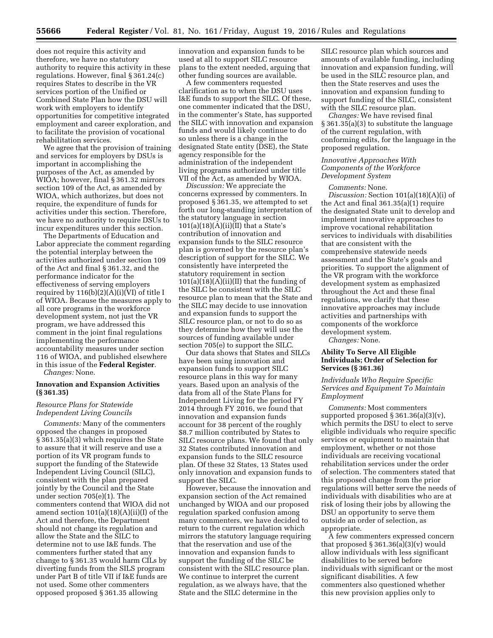does not require this activity and therefore, we have no statutory authority to require this activity in these regulations. However, final § 361.24(c) requires States to describe in the VR services portion of the Unified or Combined State Plan how the DSU will work with employers to identify opportunities for competitive integrated employment and career exploration, and to facilitate the provision of vocational rehabilitation services.

We agree that the provision of training and services for employers by DSUs is important in accomplishing the purposes of the Act, as amended by WIOA; however, final § 361.32 mirrors section 109 of the Act, as amended by WIOA, which authorizes, but does not require, the expenditure of funds for activities under this section. Therefore, we have no authority to require DSUs to incur expenditures under this section.

The Departments of Education and Labor appreciate the comment regarding the potential interplay between the activities authorized under section 109 of the Act and final § 361.32, and the performance indicator for the effectiveness of serving employers required by 116(b)(2)(A)(i)(VI) of title I of WIOA. Because the measures apply to all core programs in the workforce development system, not just the VR program, we have addressed this comment in the joint final regulations implementing the performance accountability measures under section 116 of WIOA, and published elsewhere in this issue of the **Federal Register**.

# *Changes:* None.

## **Innovation and Expansion Activities (§ 361.35)**

## *Resource Plans for Statewide Independent Living Councils*

*Comments:* Many of the commenters opposed the changes in proposed § 361.35(a)(3) which requires the State to assure that it will reserve and use a portion of its VR program funds to support the funding of the Statewide Independent Living Council (SILC), consistent with the plan prepared jointly by the Council and the State under section 705(e)(1). The commenters contend that WIOA did not amend section  $101(a)(18)(A)(ii)(I)$  of the Act and therefore, the Department should not change its regulation and allow the State and the SILC to determine not to use I&E funds. The commenters further stated that any change to § 361.35 would harm CILs by diverting funds from the SILS program under Part B of title VII if I&E funds are not used. Some other commenters opposed proposed § 361.35 allowing

innovation and expansion funds to be used at all to support SILC resource plans to the extent needed, arguing that other funding sources are available.

A few commenters requested clarification as to when the DSU uses I&E funds to support the SILC. Of these, one commenter indicated that the DSU, in the commenter's State, has supported the SILC with innovation and expansion funds and would likely continue to do so unless there is a change in the designated State entity (DSE), the State agency responsible for the administration of the independent living programs authorized under title VII of the Act, as amended by WIOA.

*Discussion:* We appreciate the concerns expressed by commenters. In proposed § 361.35, we attempted to set forth our long-standing interpretation of the statutory language in section  $101(a)(18)(A)(ii)(II)$  that a State's contribution of innovation and expansion funds to the SILC resource plan is governed by the resource plan's description of support for the SILC. We consistently have interpreted the statutory requirement in section  $101(a)(18)(A)(ii)(II)$  that the funding of the SILC be consistent with the SILC resource plan to mean that the State and the SILC may decide to use innovation and expansion funds to support the SILC resource plan, or not to do so as they determine how they will use the sources of funding available under section 705(e) to support the SILC.

Our data shows that States and SILCs have been using innovation and expansion funds to support SILC resource plans in this way for many years. Based upon an analysis of the data from all of the State Plans for Independent Living for the period FY 2014 through FY 2016, we found that innovation and expansion funds account for 38 percent of the roughly \$8.7 million contributed by States to SILC resource plans. We found that only 32 States contributed innovation and expansion funds to the SILC resource plan. Of these 32 States, 13 States used only innovation and expansion funds to support the SILC.

However, because the innovation and expansion section of the Act remained unchanged by WIOA and our proposed regulation sparked confusion among many commenters, we have decided to return to the current regulation which mirrors the statutory language requiring that the reservation and use of the innovation and expansion funds to support the funding of the SILC be consistent with the SILC resource plan. We continue to interpret the current regulation, as we always have, that the State and the SILC determine in the

SILC resource plan which sources and amounts of available funding, including innovation and expansion funding, will be used in the SILC resource plan, and then the State reserves and uses the innovation and expansion funding to support funding of the SILC, consistent with the SILC resource plan.

*Changes:* We have revised final § 361.35(a)(3) to substitute the language of the current regulation, with conforming edits, for the language in the proposed regulation.

## *Innovative Approaches With Components of the Workforce Development System*

*Comments:* None.

*Discussion:* Section 101(a)(18)(A)(i) of the Act and final 361.35(a)(1) require the designated State unit to develop and implement innovative approaches to improve vocational rehabilitation services to individuals with disabilities that are consistent with the comprehensive statewide needs assessment and the State's goals and priorities. To support the alignment of the VR program with the workforce development system as emphasized throughout the Act and these final regulations, we clarify that these innovative approaches may include activities and partnerships with components of the workforce development system.

*Changes:* None.

## **Ability To Serve All Eligible Individuals; Order of Selection for Services (§ 361.36)**

## *Individuals Who Require Specific Services and Equipment To Maintain Employment*

*Comments:* Most commenters supported proposed  $\S 361.36(a)(3)(v)$ , which permits the DSU to elect to serve eligible individuals who require specific services or equipment to maintain that employment, whether or not those individuals are receiving vocational rehabilitation services under the order of selection. The commenters stated that this proposed change from the prior regulations will better serve the needs of individuals with disabilities who are at risk of losing their jobs by allowing the DSU an opportunity to serve them outside an order of selection, as appropriate.

A few commenters expressed concern that proposed  $\S 361.36(a)(3)(v)$  would allow individuals with less significant disabilities to be served before individuals with significant or the most significant disabilities. A few commenters also questioned whether this new provision applies only to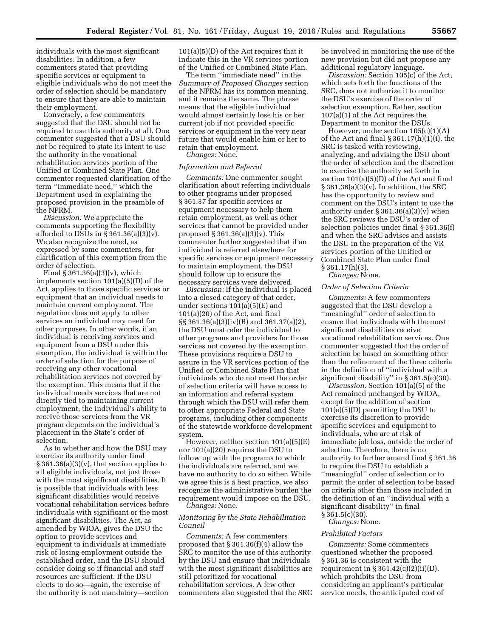individuals with the most significant disabilities. In addition, a few commenters stated that providing specific services or equipment to eligible individuals who do not meet the order of selection should be mandatory to ensure that they are able to maintain their employment.

Conversely, a few commenters suggested that the DSU should not be required to use this authority at all. One commenter suggested that a DSU should not be required to state its intent to use the authority in the vocational rehabilitation services portion of the Unified or Combined State Plan. One commenter requested clarification of the term ''immediate need,'' which the Department used in explaining the proposed provision in the preamble of the NPRM.

*Discussion:* We appreciate the comments supporting the flexibility afforded to DSUs in  $\S 361.36(a)(3)(v)$ . We also recognize the need, as expressed by some commenters, for clarification of this exemption from the order of selection.

Final  $\S 361.36(a)(3)(v)$ , which implements section 101(a)(5)(D) of the Act, applies to those specific services or equipment that an individual needs to maintain current employment. The regulation does not apply to other services an individual may need for other purposes. In other words, if an individual is receiving services and equipment from a DSU under this exemption, the individual is within the order of selection for the purpose of receiving any other vocational rehabilitation services not covered by the exemption. This means that if the individual needs services that are not directly tied to maintaining current employment, the individual's ability to receive those services from the VR program depends on the individual's placement in the State's order of selection.

As to whether and how the DSU may exercise its authority under final § 361.36(a)(3)(v), that section applies to all eligible individuals, not just those with the most significant disabilities. It is possible that individuals with less significant disabilities would receive vocational rehabilitation services before individuals with significant or the most significant disabilities. The Act, as amended by WIOA, gives the DSU the option to provide services and equipment to individuals at immediate risk of losing employment outside the established order, and the DSU should consider doing so if financial and staff resources are sufficient. If the DSU elects to do so—again, the exercise of the authority is not mandatory—section 101(a)(5)(D) of the Act requires that it indicate this in the VR services portion of the Unified or Combined State Plan.

The term ''immediate need'' in the *Summary of Proposed Changes* section of the NPRM has its common meaning, and it remains the same. The phrase means that the eligible individual would almost certainly lose his or her current job if not provided specific services or equipment in the very near future that would enable him or her to retain that employment.

*Changes:* None.

## *Information and Referral*

*Comments:* One commenter sought clarification about referring individuals to other programs under proposed § 361.37 for specific services or equipment necessary to help them retain employment, as well as other services that cannot be provided under proposed  $\S 361.36(a)(3)(v)$ . This commenter further suggested that if an individual is referred elsewhere for specific services or equipment necessary to maintain employment, the DSU should follow up to ensure the necessary services were delivered.

*Discussion:* If the individual is placed into a closed category of that order, under sections 101(a)(5)(E) and 101(a)(20) of the Act, and final §§ 361.36(a)(3)(iv)(B) and 361.37(a)(2), the DSU must refer the individual to other programs and providers for those services not covered by the exemption. These provisions require a DSU to assure in the VR services portion of the Unified or Combined State Plan that individuals who do not meet the order of selection criteria will have access to an information and referral system through which the DSU will refer them to other appropriate Federal and State programs, including other components of the statewide workforce development system.

However, neither section 101(a)(5)(E) nor 101(a)(20) requires the DSU to follow up with the programs to which the individuals are referred, and we have no authority to do so either. While we agree this is a best practice, we also recognize the administrative burden the requirement would impose on the DSU. *Changes:* None.

## *Monitoring by the State Rehabilitation Council*

*Comments:* A few commenters proposed that § 361.36(f)(4) allow the SRC to monitor the use of this authority by the DSU and ensure that individuals with the most significant disabilities are still prioritized for vocational rehabilitation services. A few other commenters also suggested that the SRC be involved in monitoring the use of the new provision but did not propose any additional regulatory language.

*Discussion:* Section 105(c) of the Act, which sets forth the functions of the SRC, does not authorize it to monitor the DSU's exercise of the order of selection exemption. Rather, section 107(a)(1) of the Act requires the Department to monitor the DSUs.

However, under section 105(c)(1)(A) of the Act and final § 361.17(h)(1)(i), the SRC is tasked with reviewing, analyzing, and advising the DSU about the order of selection and the discretion to exercise the authority set forth in section 101(a)(5)(D) of the Act and final  $\S 361.36(a)(3)(v)$ . In addition, the SRC has the opportunity to review and comment on the DSU's intent to use the authority under § 361.36(a)(3)(v) when the SRC reviews the DSU's order of selection policies under final § 361.36(f) and when the SRC advises and assists the DSU in the preparation of the VR services portion of the Unified or Combined State Plan under final  $\S 361.17(h)(3)$ . *Changes:* None.

## *Order of Selection Criteria*

*Comments:* A few commenters suggested that the DSU develop a ''meaningful'' order of selection to ensure that individuals with the most significant disabilities receive vocational rehabilitation services. One commenter suggested that the order of selection be based on something other than the refinement of the three criteria in the definition of ''individual with a significant disability'' in § 361.5(c)(30).

*Discussion:* Section 101(a)(5) of the Act remained unchanged by WIOA, except for the addition of section 101(a)(5)(D) permitting the DSU to exercise its discretion to provide specific services and equipment to individuals, who are at risk of immediate job loss, outside the order of selection. Therefore, there is no authority to further amend final § 361.36 to require the DSU to establish a ''meaningful'' order of selection or to permit the order of selection to be based on criteria other than those included in the definition of an ''individual with a significant disability'' in final § 361.5(c)(30).

*Changes:* None.

#### *Prohibited Factors*

*Comments:* Some commenters questioned whether the proposed § 361.36 is consistent with the requirement in  $\S 361.42(c)(2)(ii)(D)$ , which prohibits the DSU from considering an applicant's particular service needs, the anticipated cost of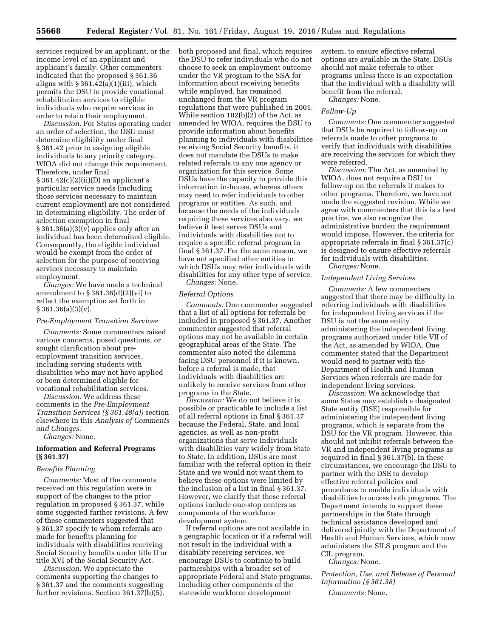services required by an applicant, or the income level of an applicant and applicant's family. Other commenters indicated that the proposed § 361.36 aligns with  $\S 361.42(a)(1)(iii)$ , which permits the DSU to provide vocational rehabilitation services to eligible individuals who require services in order to retain their employment.

*Discussion:* For States operating under an order of selection, the DSU must determine eligibility under final § 361.42 prior to assigning eligible individuals to any priority category. WIOA did not change this requirement. Therefore, under final  $§ 361.42(c)(2)(ii)(D)$  an applicant's particular service needs (including those services necessary to maintain current employment) are not considered in determining eligibility. The order of selection exemption in final § 361.36(a)(3)(v) applies only after an individual has been determined eligible. Consequently, the eligible individual would be exempt from the order of selection for the purpose of receiving services necessary to maintain employment.

*Changes:* We have made a technical amendment to  $\S 361.36(d)(2)(vi)$  to reflect the exemption set forth in  $§ 361.36(a)(3)(v).$ 

#### *Pre-Employment Transition Services*

*Comments:* Some commenters raised various concerns, posed questions, or sought clarification about preemployment transition services, including serving students with disabilities who may not have applied or been determined eligible for vocational rehabilitation services.

*Discussion:* We address these comments in the *Pre-Employment Transition Services (§ 361.48(a))* section elsewhere in this *Analysis of Comments and Changes.* 

*Changes:* None.

## **Information and Referral Programs (§ 361.37)**

#### *Benefits Planning*

*Comments:* Most of the comments received on this regulation were in support of the changes to the prior regulation in proposed § 361.37, while some suggested further revisions. A few of these commenters suggested that § 361.37 specify to whom referrals are made for benefits planning for individuals with disabilities receiving Social Security benefits under title II or title XVI of the Social Security Act.

*Discussion:* We appreciate the comments supporting the changes to § 361.37 and the comments suggesting further revisions. Section 361.37(b)(5), both proposed and final, which requires the DSU to refer individuals who do not choose to seek an employment outcome under the VR program to the SSA for information about receiving benefits while employed, has remained unchanged from the VR program regulations that were published in 2001. While section  $102(b)(\overline{2})$  of the Act, as amended by WIOA, requires the DSU to provide information about benefits planning to individuals with disabilities receiving Social Security benefits, it does not mandate the DSUs to make related referrals to any one agency or organization for this service. Some DSUs have the capacity to provide this information in-house, whereas others may need to refer individuals to other programs or entities. As such, and because the needs of the individuals requiring these services also vary, we believe it best serves DSUs and individuals with disabilities not to require a specific referral program in final § 361.37. For the same reason, we have not specified other entities to which DSUs may refer individuals with disabilities for any other type of service. *Changes:* None.

#### *Referral Options*

*Comments:* One commenter suggested that a list of all options for referrals be included in proposed § 361.37. Another commenter suggested that referral options may not be available in certain geographical areas of the State. The commenter also noted the dilemma facing DSU personnel if it is known, before a referral is made, that individuals with disabilities are unlikely to receive services from other programs in the State.

*Discussion:* We do not believe it is possible or practicable to include a list of all referral options in final § 361.37 because the Federal, State, and local agencies, as well as non-profit organizations that serve individuals with disabilities vary widely from State to State. In addition, DSUs are most familiar with the referral option in their State and we would not want them to believe these options were limited by the inclusion of a list in final § 361.37. However, we clarify that these referral options include one-stop centers as components of the workforce development system.

If referral options are not available in a geographic location or if a referral will not result in the individual with a disability receiving services, we encourage DSUs to continue to build partnerships with a broader set of appropriate Federal and State programs, including other components of the statewide workforce development

system, to ensure effective referral options are available in the State. DSUs should not make referrals to other programs unless there is an expectation that the individual with a disability will benefit from the referral.

*Changes:* None.

## *Follow-Up*

*Comments:* One commenter suggested that DSUs be required to follow-up on referrals made to other programs to verify that individuals with disabilities are receiving the services for which they were referred.

*Discussion:* The Act, as amended by WIOA, does not require a DSU to follow-up on the referrals it makes to other programs. Therefore, we have not made the suggested revision. While we agree with commenters that this is a best practice, we also recognize the administrative burden the requirement would impose. However, the criteria for appropriate referrals in final § 361.37(c) is designed to ensure effective referrals for individuals with disabilities. *Changes:* None.

## *Independent Living Services*

*Comments:* A few commenters suggested that there may be difficulty in referring individuals with disabilities for independent living services if the DSU is not the same entity administering the independent living programs authorized under title VII of the Act, as amended by WIOA. One commenter stated that the Department would need to partner with the Department of Health and Human Services when referrals are made for independent living services.

*Discussion:* We acknowledge that some States may establish a designated State entity (DSE) responsible for administering the independent living programs, which is separate from the DSU for the VR program. However, this should not inhibit referrals between the VR and independent living programs as required in final § 361.37(b). In these circumstances, we encourage the DSU to partner with the DSE to develop effective referral policies and procedures to enable individuals with disabilities to access both programs. The Department intends to support these partnerships in the State through technical assistance developed and delivered jointly with the Department of Health and Human Services, which now administers the SILS program and the CIL program.

*Changes:* None.

*Protection, Use, and Release of Personal Information (§ 361.38)* 

*Comments:* None.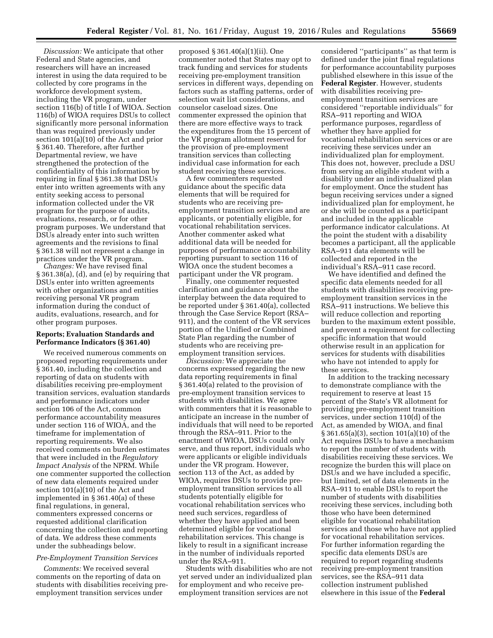*Discussion:* We anticipate that other Federal and State agencies, and researchers will have an increased interest in using the data required to be collected by core programs in the workforce development system, including the VR program, under section 116(b) of title I of WIOA. Section 116(b) of WIOA requires DSUs to collect significantly more personal information than was required previously under section 101(a)(10) of the Act and prior § 361.40. Therefore, after further Departmental review, we have strengthened the protection of the confidentiality of this information by requiring in final § 361.38 that DSUs enter into written agreements with any entity seeking access to personal information collected under the VR program for the purpose of audits, evaluations, research, or for other program purposes. We understand that DSUs already enter into such written agreements and the revisions to final § 361.38 will not represent a change in practices under the VR program.

*Changes:* We have revised final § 361.38(a), (d), and (e) by requiring that DSUs enter into written agreements with other organizations and entities receiving personal VR program information during the conduct of audits, evaluations, research, and for other program purposes.

## **Reports; Evaluation Standards and Performance Indicators (§ 361.40)**

We received numerous comments on proposed reporting requirements under § 361.40, including the collection and reporting of data on students with disabilities receiving pre-employment transition services, evaluation standards and performance indicators under section 106 of the Act, common performance accountability measures under section 116 of WIOA, and the timeframe for implementation of reporting requirements. We also received comments on burden estimates that were included in the *Regulatory Impact Analysis* of the NPRM. While one commenter supported the collection of new data elements required under section 101(a)(10) of the Act and implemented in § 361.40(a) of these final regulations, in general, commenters expressed concerns or requested additional clarification concerning the collection and reporting of data. We address these comments under the subheadings below.

## *Pre-Employment Transition Services*

*Comments:* We received several comments on the reporting of data on students with disabilities receiving preemployment transition services under

proposed § 361.40(a)(1)(ii). One commenter noted that States may opt to track funding and services for students receiving pre-employment transition services in different ways, depending on factors such as staffing patterns, order of selection wait list considerations, and counselor caseload sizes. One commenter expressed the opinion that there are more effective ways to track the expenditures from the 15 percent of the VR program allotment reserved for the provision of pre-employment transition services than collecting individual case information for each student receiving these services.

A few commenters requested guidance about the specific data elements that will be required for students who are receiving preemployment transition services and are applicants, or potentially eligible, for vocational rehabilitation services. Another commenter asked what additional data will be needed for purposes of performance accountability reporting pursuant to section 116 of WIOA once the student becomes a participant under the VR program.

Finally, one commenter requested clarification and guidance about the interplay between the data required to be reported under § 361.40(a), collected through the Case Service Report (RSA– 911), and the content of the VR services portion of the Unified or Combined State Plan regarding the number of students who are receiving preemployment transition services.

*Discussion:* We appreciate the concerns expressed regarding the new data reporting requirements in final § 361.40(a) related to the provision of pre-employment transition services to students with disabilities. We agree with commenters that it is reasonable to anticipate an increase in the number of individuals that will need to be reported through the RSA–911. Prior to the enactment of WIOA, DSUs could only serve, and thus report, individuals who were applicants or eligible individuals under the VR program. However, section 113 of the Act, as added by WIOA, requires DSUs to provide preemployment transition services to all students potentially eligible for vocational rehabilitation services who need such services, regardless of whether they have applied and been determined eligible for vocational rehabilitation services. This change is likely to result in a significant increase in the number of individuals reported under the RSA–911.

Students with disabilities who are not yet served under an individualized plan for employment and who receive preemployment transition services are not

considered ''participants'' as that term is defined under the joint final regulations for performance accountability purposes published elsewhere in this issue of the **Federal Register**. However, students with disabilities receiving preemployment transition services are considered ''reportable individuals'' for RSA–911 reporting and WIOA performance purposes, regardless of whether they have applied for vocational rehabilitation services or are receiving these services under an individualized plan for employment. This does not, however, preclude a DSU from serving an eligible student with a disability under an individualized plan for employment. Once the student has begun receiving services under a signed individualized plan for employment, he or she will be counted as a participant and included in the applicable performance indicator calculations. At the point the student with a disability becomes a participant, all the applicable RSA–911 data elements will be collected and reported in the individual's RSA–911 case record.

We have identified and defined the specific data elements needed for all students with disabilities receiving preemployment transition services in the RSA–911 instructions. We believe this will reduce collection and reporting burden to the maximum extent possible, and prevent a requirement for collecting specific information that would otherwise result in an application for services for students with disabilities who have not intended to apply for these services.

In addition to the tracking necessary to demonstrate compliance with the requirement to reserve at least 15 percent of the State's VR allotment for providing pre-employment transition services, under section 110(d) of the Act, as amended by WIOA, and final § 361.65(a)(3), section 101(a)(10) of the Act requires DSUs to have a mechanism to report the number of students with disabilities receiving these services. We recognize the burden this will place on DSUs and we have included a specific, but limited, set of data elements in the RSA–911 to enable DSUs to report the number of students with disabilities receiving these services, including both those who have been determined eligible for vocational rehabilitation services and those who have not applied for vocational rehabilitation services. For further information regarding the specific data elements DSUs are required to report regarding students receiving pre-employment transition services, see the RSA–911 data collection instrument published elsewhere in this issue of the **Federal**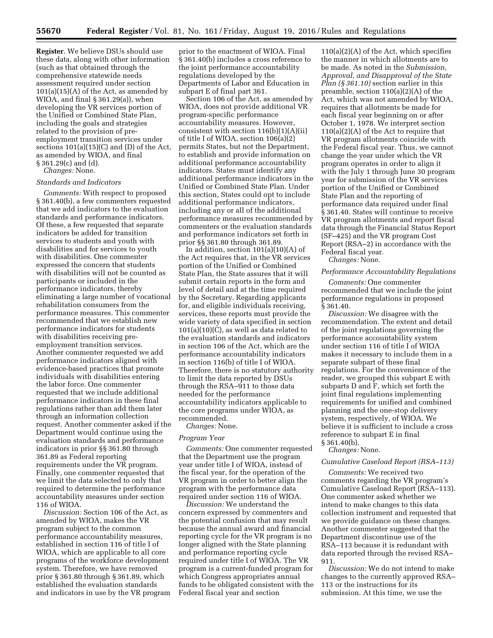**Register**. We believe DSUs should use these data, along with other information (such as that obtained through the comprehensive statewide needs assessment required under section  $101(a)(15)(A)$  of the Act, as amended by WIOA, and final § 361.29(a)), when developing the VR services portion of the Unified or Combined State Plan, including the goals and strategies related to the provision of preemployment transition services under sections 101(a)(15)(C) and (D) of the Act, as amended by WIOA, and final § 361.29(c) and (d).

*Changes:* None.

## *Standards and Indicators*

*Comments:* With respect to proposed § 361.40(b), a few commenters requested that we add indicators to the evaluation standards and performance indicators. Of these, a few requested that separate indicators be added for transition services to students and youth with disabilities and for services to youth with disabilities. One commenter expressed the concern that students with disabilities will not be counted as participants or included in the performance indicators, thereby eliminating a large number of vocational rehabilitation consumers from the performance measures. This commenter recommended that we establish new performance indicators for students with disabilities receiving preemployment transition services. Another commenter requested we add performance indicators aligned with evidence-based practices that promote individuals with disabilities entering the labor force. One commenter requested that we include additional performance indicators in these final regulations rather than add them later through an information collection request. Another commenter asked if the Department would continue using the evaluation standards and performance indicators in prior §§ 361.80 through 361.89 as Federal reporting requirements under the VR program. Finally, one commenter requested that we limit the data selected to only that required to determine the performance accountability measures under section 116 of WIOA.

*Discussion:* Section 106 of the Act, as amended by WIOA, makes the VR program subject to the common performance accountability measures, established in section 116 of title I of WIOA, which are applicable to all core programs of the workforce development system. Therefore, we have removed prior § 361.80 through § 361.89, which established the evaluation standards and indicators in use by the VR program prior to the enactment of WIOA. Final § 361.40(b) includes a cross reference to the joint performance accountability regulations developed by the Departments of Labor and Education in subpart E of final part 361.

Section 106 of the Act, as amended by WIOA, does not provide additional VR program-specific performance accountability measures. However, consistent with section  $116(b)(1)(A)(ii)$ of title I of WIOA, section 106(a)(2) permits States, but not the Department, to establish and provide information on additional performance accountability indicators. States must identify any additional performance indicators in the Unified or Combined State Plan. Under this section, States could opt to include additional performance indicators, including any or all of the additional performance measures recommended by commenters or the evaluation standards and performance indicators set forth in prior §§ 361.80 through 361.89.

In addition, section  $101(a)(10)(A)$  of the Act requires that, in the VR services portion of the Unified or Combined State Plan, the State assures that it will submit certain reports in the form and level of detail and at the time required by the Secretary. Regarding applicants for, and eligible individuals receiving, services, these reports must provide the wide variety of data specified in section 101(a)(10)(C), as well as data related to the evaluation standards and indicators in section 106 of the Act, which are the performance accountability indicators in section 116(b) of title I of WIOA. Therefore, there is no statutory authority to limit the data reported by DSUs through the RSA–911 to those data needed for the performance accountability indicators applicable to the core programs under WIOA, as recommended.

*Changes:* None.

## *Program Year*

*Comments:* One commenter requested that the Department use the program year under title I of WIOA, instead of the fiscal year, for the operation of the VR program in order to better align the program with the performance data required under section 116 of WIOA.

*Discussion:* We understand the concern expressed by commenters and the potential confusion that may result because the annual award and financial reporting cycle for the VR program is no longer aligned with the State planning and performance reporting cycle required under title I of WIOA. The VR program is a current-funded program for which Congress appropriates annual funds to be obligated consistent with the Federal fiscal year and section

110(a)(2)(A) of the Act, which specifies the manner in which allotments are to be made. As noted in the *Submission, Approval, and Disapproval of the State Plan (§ 361.10)* section earlier in this preamble, section 110(a)(2)(A) of the Act, which was not amended by WIOA, requires that allotments be made for each fiscal year beginning on or after October 1, 1978. We interpret section 110(a)(2)(A) of the Act to require that VR program allotments coincide with the Federal fiscal year. Thus, we cannot change the year under which the VR program operates in order to align it with the July 1 through June 30 program year for submission of the VR services portion of the Unified or Combined State Plan and the reporting of performance data required under final § 361.40. States will continue to receive VR program allotments and report fiscal data through the Financial Status Report (SF–425) and the VR program Cost Report (RSA–2) in accordance with the Federal fiscal year.

*Changes:* None.

#### *Performance Accountability Regulations*

*Comments:* One commenter recommended that we include the joint performance regulations in proposed § 361.40.

*Discussion:* We disagree with the recommendation. The extent and detail of the joint regulations governing the performance accountability system under section 116 of title I of WIOA makes it necessary to include them in a separate subpart of these final regulations. For the convenience of the reader, we grouped this subpart E with subparts D and F, which set forth the joint final regulations implementing requirements for unified and combined planning and the one-stop delivery system, respectively, of WIOA. We believe it is sufficient to include a cross reference to subpart E in final § 361.40(b).

## *Changes:* None.

#### *Cumulative Caseload Report (RSA–113)*

*Comments:* We received two comments regarding the VR program's Cumulative Caseload Report (RSA–113). One commenter asked whether we intend to make changes to this data collection instrument and requested that we provide guidance on these changes. Another commenter suggested that the Department discontinue use of the RSA–113 because it is redundant with data reported through the revised RSA– 911.

*Discussion:* We do not intend to make changes to the currently approved RSA– 113 or the instructions for its submission. At this time, we use the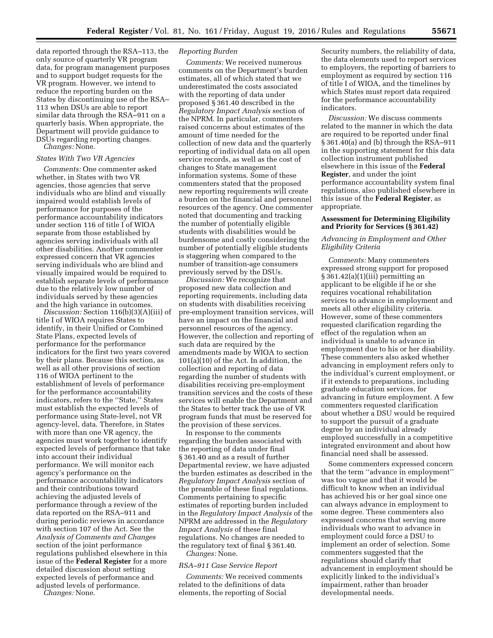data reported through the RSA–113, the only source of quarterly VR program data, for program management purposes and to support budget requests for the VR program. However, we intend to reduce the reporting burden on the States by discontinuing use of the RSA– 113 when DSUs are able to report similar data through the RSA–911 on a quarterly basis. When appropriate, the Department will provide guidance to DSUs regarding reporting changes. *Changes:* None.

## *States With Two VR Agencies*

*Comments:* One commenter asked whether, in States with two VR agencies, those agencies that serve individuals who are blind and visually impaired would establish levels of performance for purposes of the performance accountability indicators under section 116 of title I of WIOA separate from those established by agencies serving individuals with all other disabilities. Another commenter expressed concern that VR agencies serving individuals who are blind and visually impaired would be required to establish separate levels of performance due to the relatively low number of individuals served by these agencies and the high variance in outcomes.

*Discussion:* Section 116(b)(3)(A)(iii) of title I of WIOA requires States to identify, in their Unified or Combined State Plans, expected levels of performance for the performance indicators for the first two years covered by their plans. Because this section, as well as all other provisions of section 116 of WIOA pertinent to the establishment of levels of performance for the performance accountability indicators, refers to the ''State,'' States must establish the expected levels of performance using State-level, not VR agency-level, data. Therefore, in States with more than one VR agency, the agencies must work together to identify expected levels of performance that take into account their individual performance. We will monitor each agency's performance on the performance accountability indicators and their contributions toward achieving the adjusted levels of performance through a review of the data reported on the RSA–911 and during periodic reviews in accordance with section 107 of the Act. See the *Analysis of Comments and Changes*  section of the joint performance regulations published elsewhere in this issue of the **Federal Register** for a more detailed discussion about setting expected levels of performance and adjusted levels of performance.

*Changes:* None.

#### *Reporting Burden*

*Comments:* We received numerous comments on the Department's burden estimates, all of which stated that we underestimated the costs associated with the reporting of data under proposed § 361.40 described in the *Regulatory Impact Analysis* section of the NPRM. In particular, commenters raised concerns about estimates of the amount of time needed for the collection of new data and the quarterly reporting of individual data on all open service records, as well as the cost of changes to State management information systems. Some of these commenters stated that the proposed new reporting requirements will create a burden on the financial and personnel resources of the agency. One commenter noted that documenting and tracking the number of potentially eligible students with disabilities would be burdensome and costly considering the number of potentially eligible students is staggering when compared to the number of transition-age consumers previously served by the DSUs.

*Discussion:* We recognize that proposed new data collection and reporting requirements, including data on students with disabilities receiving pre-employment transition services, will have an impact on the financial and personnel resources of the agency. However, the collection and reporting of such data are required by the amendments made by WIOA to section 101(a)(10) of the Act. In addition, the collection and reporting of data regarding the number of students with disabilities receiving pre-employment transition services and the costs of these services will enable the Department and the States to better track the use of VR program funds that must be reserved for the provision of these services.

In response to the comments regarding the burden associated with the reporting of data under final § 361.40 and as a result of further Departmental review, we have adjusted the burden estimates as described in the *Regulatory Impact Analysis* section of the preamble of these final regulations. Comments pertaining to specific estimates of reporting burden included in the *Regulatory Impact Analysis* of the NPRM are addressed in the *Regulatory Impact Analysis* of these final regulations. No changes are needed to the regulatory text of final § 361.40.

*Changes:* None.

## *RSA–911 Case Service Report*

*Comments:* We received comments related to the definitions of data elements, the reporting of Social

Security numbers, the reliability of data, the data elements used to report services to employers, the reporting of barriers to employment as required by section 116 of title I of WIOA, and the timelines by which States must report data required for the performance accountability indicators.

*Discussion:* We discuss comments related to the manner in which the data are required to be reported under final § 361.40(a) and (b) through the RSA–911 in the supporting statement for this data collection instrument published elsewhere in this issue of the **Federal Register**, and under the joint performance accountability system final regulations, also published elsewhere in this issue of the **Federal Register**, as appropriate.

## **Assessment for Determining Eligibility and Priority for Services (§ 361.42)**

## *Advancing in Employment and Other Eligibility Criteria*

*Comments:* Many commenters expressed strong support for proposed § 361.42(a)(1)(iii) permitting an applicant to be eligible if he or she requires vocational rehabilitation services to advance in employment and meets all other eligibility criteria. However, some of these commenters requested clarification regarding the effect of the regulation when an individual is unable to advance in employment due to his or her disability. These commenters also asked whether advancing in employment refers only to the individual's current employment, or if it extends to preparations, including graduate education services, for advancing in future employment. A few commenters requested clarification about whether a DSU would be required to support the pursuit of a graduate degree by an individual already employed successfully in a competitive integrated environment and about how financial need shall be assessed.

Some commenters expressed concern that the term ''advance in employment'' was too vague and that it would be difficult to know when an individual has achieved his or her goal since one can always advance in employment to some degree. These commenters also expressed concerns that serving more individuals who want to advance in employment could force a DSU to implement an order of selection. Some commenters suggested that the regulations should clarify that advancement in employment should be explicitly linked to the individual's impairment, rather than broader developmental needs.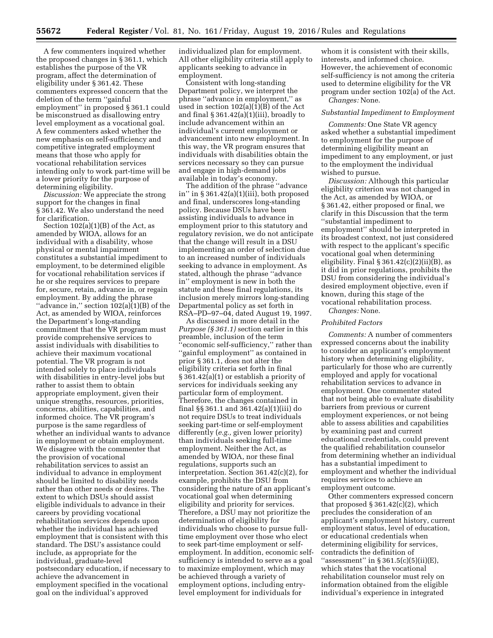A few commenters inquired whether the proposed changes in § 361.1, which establishes the purpose of the VR program, affect the determination of eligibility under § 361.42. These commenters expressed concern that the deletion of the term ''gainful employment'' in proposed § 361.1 could be misconstrued as disallowing entry level employment as a vocational goal. A few commenters asked whether the new emphasis on self-sufficiency and competitive integrated employment means that those who apply for vocational rehabilitation services intending only to work part-time will be a lower priority for the purpose of determining eligibility.

*Discussion:* We appreciate the strong support for the changes in final § 361.42. We also understand the need for clarification.

Section 102(a)(1)(B) of the Act, as amended by WIOA, allows for an individual with a disability, whose physical or mental impairment constitutes a substantial impediment to employment, to be determined eligible for vocational rehabilitation services if he or she requires services to prepare for, secure, retain, advance in, or regain employment. By adding the phrase "advance in," section  $102(a)(1)(B)$  of the Act, as amended by WIOA, reinforces the Department's long-standing commitment that the VR program must provide comprehensive services to assist individuals with disabilities to achieve their maximum vocational potential. The VR program is not intended solely to place individuals with disabilities in entry-level jobs but rather to assist them to obtain appropriate employment, given their unique strengths, resources, priorities, concerns, abilities, capabilities, and informed choice. The VR program's purpose is the same regardless of whether an individual wants to advance in employment or obtain employment. We disagree with the commenter that the provision of vocational rehabilitation services to assist an individual to advance in employment should be limited to disability needs rather than other needs or desires. The extent to which DSUs should assist eligible individuals to advance in their careers by providing vocational rehabilitation services depends upon whether the individual has achieved employment that is consistent with this standard. The DSU's assistance could include, as appropriate for the individual, graduate-level postsecondary education, if necessary to achieve the advancement in employment specified in the vocational goal on the individual's approved

individualized plan for employment. All other eligibility criteria still apply to applicants seeking to advance in employment.

Consistent with long-standing Department policy, we interpret the phrase ''advance in employment,'' as used in section 102(a)(1)(B) of the Act and final  $\S 361.42(a)(1)(iii)$ , broadly to include advancement within an individual's current employment or advancement into new employment. In this way, the VR program ensures that individuals with disabilities obtain the services necessary so they can pursue and engage in high-demand jobs available in today's economy.

The addition of the phrase ''advance in" in  $\S 361.42(a)(1)(iii)$ , both proposed and final, underscores long-standing policy. Because DSUs have been assisting individuals to advance in employment prior to this statutory and regulatory revision, we do not anticipate that the change will result in a DSU implementing an order of selection due to an increased number of individuals seeking to advance in employment. As stated, although the phrase ''advance in'' employment is new in both the statute and these final regulations, its inclusion merely mirrors long-standing Departmental policy as set forth in RSA–PD–97–04, dated August 19, 1997.

As discussed in more detail in the *Purpose (§ 361.1)* section earlier in this preamble, inclusion of the term 'economic self-sufficiency," rather than ''gainful employment'' as contained in prior § 361.1, does not alter the eligibility criteria set forth in final § 361.42(a)(1) or establish a priority of services for individuals seeking any particular form of employment. Therefore, the changes contained in final §§ 361.1 and 361.42(a)(1)(iii) do not require DSUs to treat individuals seeking part-time or self-employment differently (*e.g.,* given lower priority) than individuals seeking full-time employment. Neither the Act, as amended by WIOA, nor these final regulations, supports such an interpretation. Section 361.42(c)(2), for example, prohibits the DSU from considering the nature of an applicant's vocational goal when determining eligibility and priority for services. Therefore, a DSU may not prioritize the determination of eligibility for individuals who choose to pursue fulltime employment over those who elect to seek part-time employment or selfemployment. In addition, economic selfsufficiency is intended to serve as a goal to maximize employment, which may be achieved through a variety of employment options, including entrylevel employment for individuals for

whom it is consistent with their skills. interests, and informed choice. However, the achievement of economic self-sufficiency is not among the criteria used to determine eligibility for the VR program under section 102(a) of the Act. *Changes:* None.

#### *Substantial Impediment to Employment*

*Comments:* One State VR agency asked whether a substantial impediment to employment for the purpose of determining eligibility meant an impediment to any employment, or just to the employment the individual wished to pursue.

*Discussion:* Although this particular eligibility criterion was not changed in the Act, as amended by WIOA, or § 361.42, either proposed or final, we clarify in this Discussion that the term ''substantial impediment to employment'' should be interpreted in its broadest context, not just considered with respect to the applicant's specific vocational goal when determining eligibility. Final  $\S 361.42(c)(2)(ii)(B)$ , as it did in prior regulations, prohibits the DSU from considering the individual's desired employment objective, even if known, during this stage of the vocational rehabilitation process.

*Changes:* None.

#### *Prohibited Factors*

*Comments:* A number of commenters expressed concerns about the inability to consider an applicant's employment history when determining eligibility, particularly for those who are currently employed and apply for vocational rehabilitation services to advance in employment. One commenter stated that not being able to evaluate disability barriers from previous or current employment experiences, or not being able to assess abilities and capabilities by examining past and current educational credentials, could prevent the qualified rehabilitation counselor from determining whether an individual has a substantial impediment to employment and whether the individual requires services to achieve an employment outcome.

Other commenters expressed concern that proposed  $\S 361.42(c)(2)$ , which precludes the consideration of an applicant's employment history, current employment status, level of education, or educational credentials when determining eligibility for services, contradicts the definition of "assessment" in  $\S 361.5(c)(5)(ii)(E)$ , which states that the vocational rehabilitation counselor must rely on information obtained from the eligible individual's experience in integrated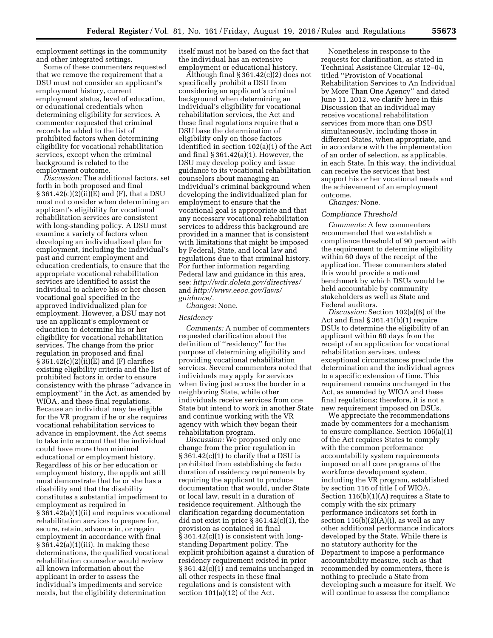employment settings in the community and other integrated settings.

Some of these commenters requested that we remove the requirement that a DSU must not consider an applicant's employment history, current employment status, level of education, or educational credentials when determining eligibility for services. A commenter requested that criminal records be added to the list of prohibited factors when determining eligibility for vocational rehabilitation services, except when the criminal background is related to the employment outcome.

*Discussion:* The additional factors, set forth in both proposed and final  $\S 361.42(c)(2)(ii)(E)$  and  $(F)$ , that a DSU must not consider when determining an applicant's eligibility for vocational rehabilitation services are consistent with long-standing policy. A DSU must examine a variety of factors when developing an individualized plan for employment, including the individual's past and current employment and education credentials, to ensure that the appropriate vocational rehabilitation services are identified to assist the individual to achieve his or her chosen vocational goal specified in the approved individualized plan for employment. However, a DSU may not use an applicant's employment or education to determine his or her eligibility for vocational rehabilitation services. The change from the prior regulation in proposed and final  $§ 361.42(c)(2)(ii)(E)$  and  $(F)$  clarifies existing eligibility criteria and the list of prohibited factors in order to ensure consistency with the phrase ''advance in employment'' in the Act, as amended by WIOA, and these final regulations. Because an individual may be eligible for the VR program if he or she requires vocational rehabilitation services to advance in employment, the Act seems to take into account that the individual could have more than minimal educational or employment history. Regardless of his or her education or employment history, the applicant still must demonstrate that he or she has a disability and that the disability constitutes a substantial impediment to employment as required in § 361.42(a)(1)(ii) and requires vocational rehabilitation services to prepare for, secure, retain, advance in, or regain employment in accordance with final § 361.42(a)(1)(iii). In making these determinations, the qualified vocational rehabilitation counselor would review all known information about the applicant in order to assess the individual's impediments and service needs, but the eligibility determination

itself must not be based on the fact that the individual has an extensive employment or educational history.

Although final  $\S 361.42(c)(2)$  does not specifically prohibit a DSU from considering an applicant's criminal background when determining an individual's eligibility for vocational rehabilitation services, the Act and these final regulations require that a DSU base the determination of eligibility only on those factors identified in section 102(a)(1) of the Act and final § 361.42(a)(1). However, the DSU may develop policy and issue guidance to its vocational rehabilitation counselors about managing an individual's criminal background when developing the individualized plan for employment to ensure that the vocational goal is appropriate and that any necessary vocational rehabilitation services to address this background are provided in a manner that is consistent with limitations that might be imposed by Federal, State, and local law and regulations due to that criminal history. For further information regarding Federal law and guidance in this area, see: *<http://wdr.doleta.gov/directives/>*  and *[http://www.eeoc.gov/laws/](http://www.eeoc.gov/laws/guidance/) [guidance/.](http://www.eeoc.gov/laws/guidance/)* 

*Changes:* None.

## *Residency*

*Comments:* A number of commenters requested clarification about the definition of ''residency'' for the purpose of determining eligibility and providing vocational rehabilitation services. Several commenters noted that individuals may apply for services when living just across the border in a neighboring State, while other individuals receive services from one State but intend to work in another State and continue working with the VR agency with which they began their rehabilitation program.

*Discussion:* We proposed only one change from the prior regulation in § 361.42(c)(1) to clarify that a DSU is prohibited from establishing de facto duration of residency requirements by requiring the applicant to produce documentation that would, under State or local law, result in a duration of residence requirement. Although the clarification regarding documentation did not exist in prior § 361.42(c)(1), the provision as contained in final § 361.42(c)(1) is consistent with longstanding Department policy. The explicit prohibition against a duration of residency requirement existed in prior § 361.42(c)(1) and remains unchanged in all other respects in these final regulations and is consistent with section  $101(a)(12)$  of the Act.

Nonetheless in response to the requests for clarification, as stated in Technical Assistance Circular 12–04, titled ''Provision of Vocational Rehabilitation Services to An Individual by More Than One Agency'' and dated June 11, 2012, we clarify here in this Discussion that an individual may receive vocational rehabilitation services from more than one DSU simultaneously, including those in different States, when appropriate, and in accordance with the implementation of an order of selection, as applicable, in each State. In this way, the individual can receive the services that best support his or her vocational needs and the achievement of an employment outcome.

*Changes:* None.

#### *Compliance Threshold*

*Comments:* A few commenters recommended that we establish a compliance threshold of 90 percent with the requirement to determine eligibility within 60 days of the receipt of the application. These commenters stated this would provide a national benchmark by which DSUs would be held accountable by community stakeholders as well as State and Federal auditors.

*Discussion:* Section 102(a)(6) of the Act and final § 361.41(b)(1) require DSUs to determine the eligibility of an applicant within 60 days from the receipt of an application for vocational rehabilitation services, unless exceptional circumstances preclude the determination and the individual agrees to a specific extension of time. This requirement remains unchanged in the Act, as amended by WIOA and these final regulations; therefore, it is not a new requirement imposed on DSUs.

We appreciate the recommendations made by commenters for a mechanism to ensure compliance. Section 106(a)(1) of the Act requires States to comply with the common performance accountability system requirements imposed on all core programs of the workforce development system, including the VR program, established by section 116 of title I of WIOA. Section 116(b)(1)(A) requires a State to comply with the six primary performance indicators set forth in section  $116(b)(2)(A)(i)$ , as well as any other additional performance indicators developed by the State. While there is no statutory authority for the Department to impose a performance accountability measure, such as that recommended by commenters, there is nothing to preclude a State from developing such a measure for itself. We will continue to assess the compliance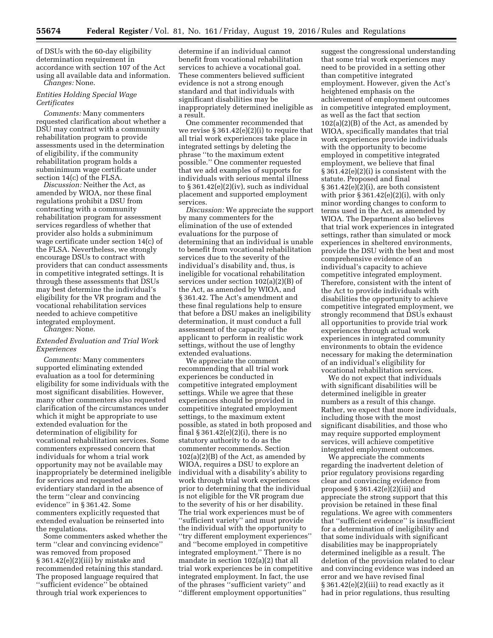of DSUs with the 60-day eligibility determination requirement in accordance with section 107 of the Act using all available data and information. *Changes:* None.

## *Entities Holding Special Wage Certificates*

*Comments:* Many commenters requested clarification about whether a DSU may contract with a community rehabilitation program to provide assessments used in the determination of eligibility, if the community rehabilitation program holds a subminimum wage certificate under section 14(c) of the FLSA.

*Discussion:* Neither the Act, as amended by WIOA, nor these final regulations prohibit a DSU from contracting with a community rehabilitation program for assessment services regardless of whether that provider also holds a subminimum wage certificate under section 14(c) of the FLSA. Nevertheless, we strongly encourage DSUs to contract with providers that can conduct assessments in competitive integrated settings. It is through these assessments that DSUs may best determine the individual's eligibility for the VR program and the vocational rehabilitation services needed to achieve competitive integrated employment.

*Changes:* None.

### *Extended Evaluation and Trial Work Experiences*

*Comments:* Many commenters supported eliminating extended evaluation as a tool for determining eligibility for some individuals with the most significant disabilities. However, many other commenters also requested clarification of the circumstances under which it might be appropriate to use extended evaluation for the determination of eligibility for vocational rehabilitation services. Some commenters expressed concern that individuals for whom a trial work opportunity may not be available may inappropriately be determined ineligible for services and requested an evidentiary standard in the absence of the term ''clear and convincing evidence'' in § 361.42. Some commenters explicitly requested that extended evaluation be reinserted into the regulations.

Some commenters asked whether the term ''clear and convincing evidence'' was removed from proposed § 361.42(e)(2)(iii) by mistake and recommended retaining this standard. The proposed language required that ''sufficient evidence'' be obtained through trial work experiences to

determine if an individual cannot benefit from vocational rehabilitation services to achieve a vocational goal. These commenters believed sufficient evidence is not a strong enough standard and that individuals with significant disabilities may be inappropriately determined ineligible as a result.

One commenter recommended that we revise  $\S 361.42(e)(2)(i)$  to require that all trial work experiences take place in integrated settings by deleting the phrase ''to the maximum extent possible.'' One commenter requested that we add examples of supports for individuals with serious mental illness to § 361.42(e)(2)(iv), such as individual placement and supported employment services.

*Discussion:* We appreciate the support by many commenters for the elimination of the use of extended evaluations for the purpose of determining that an individual is unable to benefit from vocational rehabilitation services due to the severity of the individual's disability and, thus, is ineligible for vocational rehabilitation services under section 102(a)(2)(B) of the Act, as amended by WIOA, and § 361.42. The Act's amendment and these final regulations help to ensure that before a DSU makes an ineligibility determination, it must conduct a full assessment of the capacity of the applicant to perform in realistic work settings, without the use of lengthy extended evaluations.

We appreciate the comment recommending that all trial work experiences be conducted in competitive integrated employment settings. While we agree that these experiences should be provided in competitive integrated employment settings, to the maximum extent possible, as stated in both proposed and final  $\S 361.42(e)(2)(i)$ , there is no statutory authority to do as the commenter recommends. Section 102(a)(2)(B) of the Act, as amended by WIOA, requires a DSU to explore an individual with a disability's ability to work through trial work experiences prior to determining that the individual is not eligible for the VR program due to the severity of his or her disability. The trial work experiences must be of ''sufficient variety'' and must provide the individual with the opportunity to ''try different employment experiences'' and ''become employed in competitive integrated employment.'' There is no mandate in section 102(a)(2) that all trial work experiences be in competitive integrated employment. In fact, the use of the phrases ''sufficient variety'' and ''different employment opportunities''

suggest the congressional understanding that some trial work experiences may need to be provided in a setting other than competitive integrated employment. However, given the Act's heightened emphasis on the achievement of employment outcomes in competitive integrated employment, as well as the fact that section  $102(a)(2)(B)$  of the Act, as amended by WIOA, specifically mandates that trial work experiences provide individuals with the opportunity to become employed in competitive integrated employment, we believe that final § 361.42(e)(2)(i) is consistent with the statute. Proposed and final § 361.42(e)(2)(i), are both consistent with prior  $\S 361.42(e)(2)(i)$ , with only minor wording changes to conform to terms used in the Act, as amended by WIOA. The Department also believes that trial work experiences in integrated settings, rather than simulated or mock experiences in sheltered environments, provide the DSU with the best and most comprehensive evidence of an individual's capacity to achieve competitive integrated employment. Therefore, consistent with the intent of the Act to provide individuals with disabilities the opportunity to achieve competitive integrated employment, we strongly recommend that DSUs exhaust all opportunities to provide trial work experiences through actual work experiences in integrated community environments to obtain the evidence necessary for making the determination of an individual's eligibility for vocational rehabilitation services.

We do not expect that individuals with significant disabilities will be determined ineligible in greater numbers as a result of this change. Rather, we expect that more individuals, including those with the most significant disabilities, and those who may require supported employment services, will achieve competitive integrated employment outcomes.

We appreciate the comments regarding the inadvertent deletion of prior regulatory provisions regarding clear and convincing evidence from proposed  $\S 361.42(e)(2)(iii)$  and appreciate the strong support that this provision be retained in these final regulations. We agree with commenters that ''sufficient evidence'' is insufficient for a determination of ineligibility and that some individuals with significant disabilities may be inappropriately determined ineligible as a result. The deletion of the provision related to clear and convincing evidence was indeed an error and we have revised final  $§ 361.42(e)(2)(iii)$  to read exactly as it had in prior regulations, thus resulting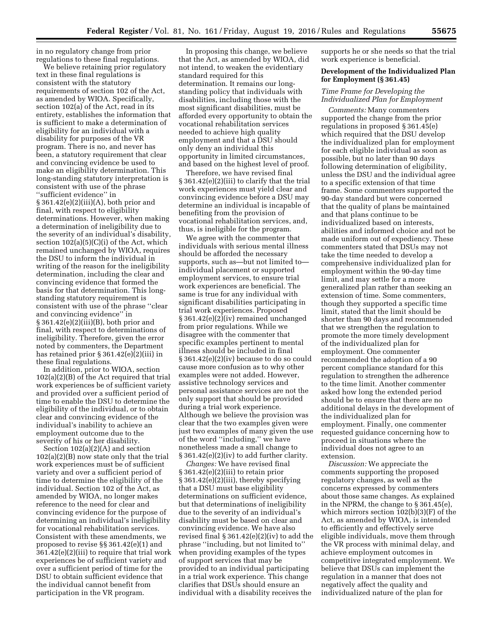in no regulatory change from prior regulations to these final regulations.

We believe retaining prior regulatory text in these final regulations is consistent with the statutory requirements of section 102 of the Act, as amended by WIOA. Specifically, section 102(a) of the Act, read in its entirety, establishes the information that is sufficient to make a determination of eligibility for an individual with a disability for purposes of the VR program. There is no, and never has been, a statutory requirement that clear and convincing evidence be used to make an eligibility determination. This long-standing statutory interpretation is consistent with use of the phrase ''sufficient evidence'' in § 361.42(e)(2)(iii)(A), both prior and final, with respect to eligibility determinations. However, when making a determination of ineligibility due to the severity of an individual's disability, section  $102(a)(5)(C)(i)$  of the Act, which remained unchanged by WIOA, requires the DSU to inform the individual in writing of the reason for the ineligibility determination, including the clear and convincing evidence that formed the basis for that determination. This longstanding statutory requirement is consistent with use of the phrase ''clear and convincing evidence'' in § 361.42(e)(2)(iii)(B), both prior and final, with respect to determinations of ineligibility. Therefore, given the error noted by commenters, the Department has retained prior § 361.42(e)(2)(iii) in these final regulations.

In addition, prior to WIOA, section 102(a)(2)(B) of the Act required that trial work experiences be of sufficient variety and provided over a sufficient period of time to enable the DSU to determine the eligibility of the individual, or to obtain clear and convincing evidence of the individual's inability to achieve an employment outcome due to the severity of his or her disability.

Section 102(a)(2)(A) and section 102(a)(2)(B) now state only that the trial work experiences must be of sufficient variety and over a sufficient period of time to determine the eligibility of the individual. Section 102 of the Act, as amended by WIOA, no longer makes reference to the need for clear and convincing evidence for the purpose of determining an individual's ineligibility for vocational rehabilitation services. Consistent with these amendments, we proposed to revise §§ 361.42(e)(1) and 361.42(e)(2)(iii) to require that trial work experiences be of sufficient variety and over a sufficient period of time for the DSU to obtain sufficient evidence that the individual cannot benefit from participation in the VR program.

In proposing this change, we believe that the Act, as amended by WIOA, did not intend, to weaken the evidentiary standard required for this determination. It remains our longstanding policy that individuals with disabilities, including those with the most significant disabilities, must be afforded every opportunity to obtain the vocational rehabilitation services needed to achieve high quality employment and that a DSU should only deny an individual this opportunity in limited circumstances, and based on the highest level of proof.

Therefore, we have revised final § 361.42(e)(2)(iii) to clarify that the trial work experiences must yield clear and convincing evidence before a DSU may determine an individual is incapable of benefiting from the provision of vocational rehabilitation services, and, thus, is ineligible for the program.

We agree with the commenter that individuals with serious mental illness should be afforded the necessary supports, such as—but not limited to individual placement or supported employment services, to ensure trial work experiences are beneficial. The same is true for any individual with significant disabilities participating in trial work experiences. Proposed § 361.42(e)(2)(iv) remained unchanged from prior regulations. While we disagree with the commenter that specific examples pertinent to mental illness should be included in final § 361.42(e)(2)(iv) because to do so could cause more confusion as to why other examples were not added. However, assistive technology services and personal assistance services are not the only support that should be provided during a trial work experience. Although we believe the provision was clear that the two examples given were just two examples of many given the use of the word ''including,'' we have nonetheless made a small change to § 361.42(e)(2)(iv) to add further clarity.

*Changes:* We have revised final  $\S 361.42(e)(2)(iii)$  to retain prior § 361.42(e)(2)(iii), thereby specifying that a DSU must base eligibility determinations on sufficient evidence, but that determinations of ineligibility due to the severity of an individual's disability must be based on clear and convincing evidence. We have also revised final  $\S 361.42(e)(2)(iv)$  to add the phrase ''including, but not limited to'' when providing examples of the types of support services that may be provided to an individual participating in a trial work experience. This change clarifies that DSUs should ensure an individual with a disability receives the

supports he or she needs so that the trial work experience is beneficial.

## **Development of the Individualized Plan for Employment (§ 361.45)**

## *Time Frame for Developing the Individualized Plan for Employment*

*Comments:* Many commenters supported the change from the prior regulations in proposed § 361.45(e) which required that the DSU develop the individualized plan for employment for each eligible individual as soon as possible, but no later than 90 days following determination of eligibility, unless the DSU and the individual agree to a specific extension of that time frame. Some commenters supported the 90-day standard but were concerned that the quality of plans be maintained and that plans continue to be individualized based on interests, abilities and informed choice and not be made uniform out of expediency. These commenters stated that DSUs may not take the time needed to develop a comprehensive individualized plan for employment within the 90-day time limit, and may settle for a more generalized plan rather than seeking an extension of time. Some commenters, though they supported a specific time limit, stated that the limit should be shorter than 90 days and recommended that we strengthen the regulation to promote the more timely development of the individualized plan for employment. One commenter recommended the adoption of a 90 percent compliance standard for this regulation to strengthen the adherence to the time limit. Another commenter asked how long the extended period should be to ensure that there are no additional delays in the development of the individualized plan for employment. Finally, one commenter requested guidance concerning how to proceed in situations where the individual does not agree to an extension.

*Discussion:* We appreciate the comments supporting the proposed regulatory changes, as well as the concerns expressed by commenters about those same changes. As explained in the NPRM, the change to § 361.45(e), which mirrors section 102(b)(3)(F) of the Act, as amended by WIOA, is intended to efficiently and effectively serve eligible individuals, move them through the VR process with minimal delay, and achieve employment outcomes in competitive integrated employment. We believe that DSUs can implement the regulation in a manner that does not negatively affect the quality and individualized nature of the plan for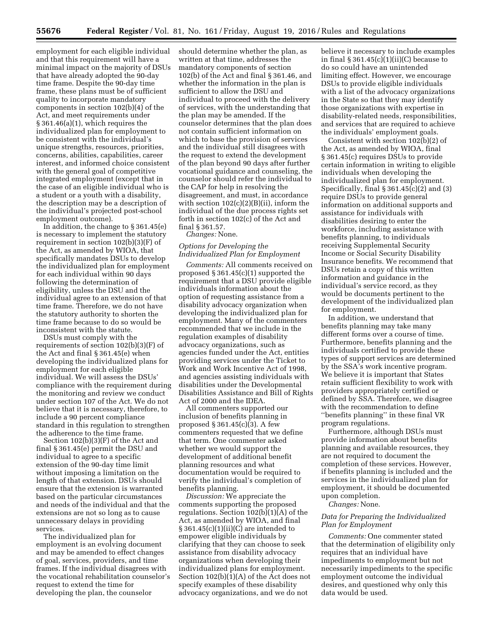employment for each eligible individual and that this requirement will have a minimal impact on the majority of DSUs that have already adopted the 90-day time frame. Despite the 90-day time frame, these plans must be of sufficient quality to incorporate mandatory components in section 102(b)(4) of the Act, and meet requirements under § 361.46(a)(1), which requires the individualized plan for employment to be consistent with the individual's unique strengths, resources, priorities, concerns, abilities, capabilities, career interest, and informed choice consistent with the general goal of competitive integrated employment (except that in the case of an eligible individual who is a student or a youth with a disability, the description may be a description of the individual's projected post-school employment outcome).

In addition, the change to § 361.45(e) is necessary to implement the statutory requirement in section 102(b)(3)(F) of the Act, as amended by WIOA, that specifically mandates DSUs to develop the individualized plan for employment for each individual within 90 days following the determination of eligibility, unless the DSU and the individual agree to an extension of that time frame. Therefore, we do not have the statutory authority to shorten the time frame because to do so would be inconsistent with the statute.

DSUs must comply with the requirements of section 102(b)(3)(F) of the Act and final § 361.45(e) when developing the individualized plans for employment for each eligible individual. We will assess the DSUs' compliance with the requirement during the monitoring and review we conduct under section 107 of the Act. We do not believe that it is necessary, therefore, to include a 90 percent compliance standard in this regulation to strengthen the adherence to the time frame.

Section 102(b)(3)(F) of the Act and final § 361.45(e) permit the DSU and individual to agree to a specific extension of the 90-day time limit without imposing a limitation on the length of that extension. DSUs should ensure that the extension is warranted based on the particular circumstances and needs of the individual and that the extensions are not so long as to cause unnecessary delays in providing services.

The individualized plan for employment is an evolving document and may be amended to effect changes of goal, services, providers, and time frames. If the individual disagrees with the vocational rehabilitation counselor's request to extend the time for developing the plan, the counselor

should determine whether the plan, as written at that time, addresses the mandatory components of section 102(b) of the Act and final § 361.46, and whether the information in the plan is sufficient to allow the DSU and individual to proceed with the delivery of services, with the understanding that the plan may be amended. If the counselor determines that the plan does not contain sufficient information on which to base the provision of services and the individual still disagrees with the request to extend the development of the plan beyond 90 days after further vocational guidance and counseling, the counselor should refer the individual to the CAP for help in resolving the disagreement, and must, in accordance with section  $102(c)(2)(B)(ii)$ , inform the individual of the due process rights set forth in section 102(c) of the Act and final § 361.57.

*Changes:* None.

## *Options for Developing the Individualized Plan for Employment*

*Comments:* All comments received on proposed § 361.45(c)(1) supported the requirement that a DSU provide eligible individuals information about the option of requesting assistance from a disability advocacy organization when developing the individualized plan for employment. Many of the commenters recommended that we include in the regulation examples of disability advocacy organizations, such as agencies funded under the Act, entities providing services under the Ticket to Work and Work Incentive Act of 1998, and agencies assisting individuals with disabilities under the Developmental Disabilities Assistance and Bill of Rights Act of 2000 and the IDEA.

All commenters supported our inclusion of benefits planning in proposed § 361.45(c)(3). A few commenters requested that we define that term. One commenter asked whether we would support the development of additional benefit planning resources and what documentation would be required to verify the individual's completion of benefits planning.

*Discussion:* We appreciate the comments supporting the proposed regulations. Section 102(b)(1)(A) of the Act, as amended by WIOA, and final § 361.45(c)(1)(ii)(C) are intended to empower eligible individuals by clarifying that they can choose to seek assistance from disability advocacy organizations when developing their individualized plans for employment. Section 102(b)(1)(A) of the Act does not specify examples of these disability advocacy organizations, and we do not

believe it necessary to include examples in final  $\S 361.45(c)(1)(ii)(C)$  because to do so could have an unintended limiting effect. However, we encourage DSUs to provide eligible individuals with a list of the advocacy organizations in the State so that they may identify those organizations with expertise in disability-related needs, responsibilities, and services that are required to achieve the individuals' employment goals.

Consistent with section 102(b)(2) of the Act, as amended by WIOA, final § 361.45(c) requires DSUs to provide certain information in writing to eligible individuals when developing the individualized plan for employment. Specifically, final  $\S 361.45(c)(2)$  and  $(3)$ require DSUs to provide general information on additional supports and assistance for individuals with disabilities desiring to enter the workforce, including assistance with benefits planning, to individuals receiving Supplemental Security Income or Social Security Disability Insurance benefits. We recommend that DSUs retain a copy of this written information and guidance in the individual's service record, as they would be documents pertinent to the development of the individualized plan for employment.

In addition, we understand that benefits planning may take many different forms over a course of time. Furthermore, benefits planning and the individuals certified to provide these types of support services are determined by the SSA's work incentive program. We believe it is important that States retain sufficient flexibility to work with providers appropriately certified or defined by SSA. Therefore, we disagree with the recommendation to define ''benefits planning'' in these final VR program regulations.

Furthermore, although DSUs must provide information about benefits planning and available resources, they are not required to document the completion of these services. However, if benefits planning is included and the services in the individualized plan for employment, it should be documented upon completion.

*Changes:* None.

## *Data for Preparing the Individualized Plan for Employment*

*Comments:* One commenter stated that the determination of eligibility only requires that an individual have impediments to employment but not necessarily impediments to the specific employment outcome the individual desires, and questioned why only this data would be used.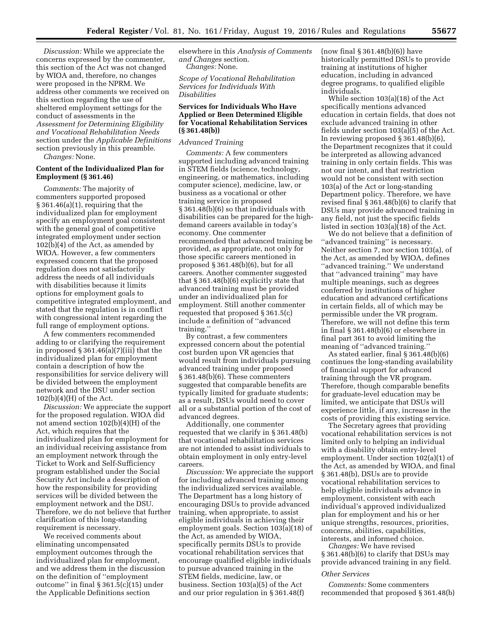*Discussion:* While we appreciate the concerns expressed by the commenter, this section of the Act was not changed by WIOA and, therefore, no changes were proposed in the NPRM. We address other comments we received on this section regarding the use of sheltered employment settings for the conduct of assessments in the *Assessment for Determining Eligibility and Vocational Rehabilitation Needs*  section under the *Applicable Definitions*  section previously in this preamble.

*Changes:* None.

## **Content of the Individualized Plan for Employment (§ 361.46)**

*Comments:* The majority of commenters supported proposed § 361.46(a)(1), requiring that the individualized plan for employment specify an employment goal consistent with the general goal of competitive integrated employment under section 102(b)(4) of the Act, as amended by WIOA. However, a few commenters expressed concern that the proposed regulation does not satisfactorily address the needs of all individuals with disabilities because it limits options for employment goals to competitive integrated employment, and stated that the regulation is in conflict with congressional intent regarding the full range of employment options.

A few commenters recommended adding to or clarifying the requirement in proposed § 361.46(a)(7)(iii) that the individualized plan for employment contain a description of how the responsibilities for service delivery will be divided between the employment network and the DSU under section 102(b)(4)(H) of the Act.

*Discussion:* We appreciate the support for the proposed regulation. WIOA did not amend section 102(b)(4)(H) of the Act, which requires that the individualized plan for employment for an individual receiving assistance from an employment network through the Ticket to Work and Self-Sufficiency program established under the Social Security Act include a description of how the responsibility for providing services will be divided between the employment network and the DSU. Therefore, we do not believe that further clarification of this long-standing requirement is necessary.

We received comments about eliminating uncompensated employment outcomes through the individualized plan for employment, and we address them in the discussion on the definition of ''employment outcome'' in final § 361.5(c)(15) under the Applicable Definitions section

elsewhere in this *Analysis of Comments and Changes* section. *Changes:* None.

*Scope of Vocational Rehabilitation Services for Individuals With Disabilities* 

## **Services for Individuals Who Have Applied or Been Determined Eligible for Vocational Rehabilitation Services (§ 361.48(b))**

## *Advanced Training*

*Comments:* A few commenters supported including advanced training in STEM fields (science, technology, engineering, or mathematics, including computer science), medicine, law, or business as a vocational or other training service in proposed § 361.48(b)(6) so that individuals with disabilities can be prepared for the highdemand careers available in today's economy. One commenter recommended that advanced training be provided, as appropriate, not only for those specific careers mentioned in proposed § 361.48(b)(6), but for all careers. Another commenter suggested that § 361.48(b)(6) explicitly state that advanced training must be provided under an individualized plan for employment. Still another commenter requested that proposed § 361.5(c) include a definition of ''advanced training.''

By contrast, a few commenters expressed concern about the potential cost burden upon VR agencies that would result from individuals pursuing advanced training under proposed § 361.48(b)(6). These commenters suggested that comparable benefits are typically limited for graduate students; as a result, DSUs would need to cover all or a substantial portion of the cost of advanced degrees.

Additionally, one commenter requested that we clarify in § 361.48(b) that vocational rehabilitation services are not intended to assist individuals to obtain employment in only entry-level careers.

*Discussion:* We appreciate the support for including advanced training among the individualized services available. The Department has a long history of encouraging DSUs to provide advanced training, when appropriate, to assist eligible individuals in achieving their employment goals. Section 103(a)(18) of the Act, as amended by WIOA, specifically permits DSUs to provide vocational rehabilitation services that encourage qualified eligible individuals to pursue advanced training in the STEM fields, medicine, law, or business. Section 103(a)(5) of the Act and our prior regulation in § 361.48(f)

(now final § 361.48(b)(6)) have historically permitted DSUs to provide training at institutions of higher education, including in advanced degree programs, to qualified eligible individuals.

While section 103(a)(18) of the Act specifically mentions advanced education in certain fields, that does not exclude advanced training in other fields under section 103(a)(5) of the Act. In reviewing proposed § 361.48(b)(6), the Department recognizes that it could be interpreted as allowing advanced training in only certain fields. This was not our intent, and that restriction would not be consistent with section 103(a) of the Act or long-standing Department policy. Therefore, we have revised final § 361.48(b)(6) to clarify that DSUs may provide advanced training in any field, not just the specific fields listed in section 103(a)(18) of the Act.

We do not believe that a definition of ''advanced training'' is necessary. Neither section 7, nor section 103(a), of the Act, as amended by WIOA, defines ''advanced training.'' We understand that ''advanced training'' may have multiple meanings, such as degrees conferred by institutions of higher education and advanced certifications in certain fields, all of which may be permissible under the VR program. Therefore, we will not define this term in final § 361.48(b)(6) or elsewhere in final part 361 to avoid limiting the meaning of "advanced training."

As stated earlier, final § 361.48(b)(6) continues the long-standing availability of financial support for advanced training through the VR program. Therefore, though comparable benefits for graduate-level education may be limited, we anticipate that DSUs will experience little, if any, increase in the costs of providing this existing service.

The Secretary agrees that providing vocational rehabilitation services is not limited only to helping an individual with a disability obtain entry-level employment. Under section 102(a)(1) of the Act, as amended by WIOA, and final § 361.48(b), DSUs are to provide vocational rehabilitation services to help eligible individuals advance in employment, consistent with each individual's approved individualized plan for employment and his or her unique strengths, resources, priorities, concerns, abilities, capabilities, interests, and informed choice.

*Changes:* We have revised § 361.48(b)(6) to clarify that DSUs may provide advanced training in any field.

## *Other Services*

*Comments:* Some commenters recommended that proposed § 361.48(b)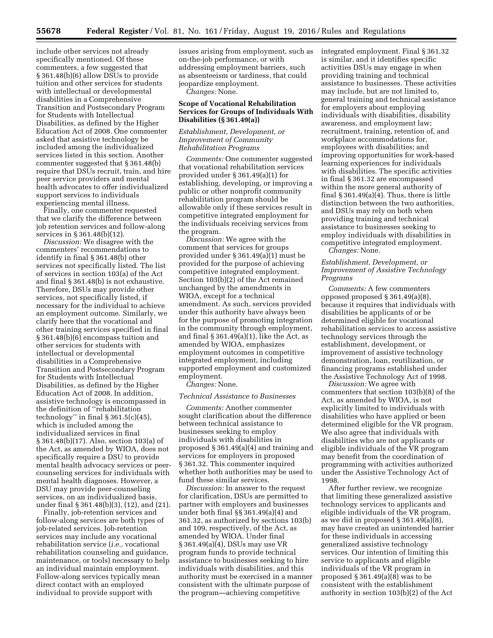include other services not already specifically mentioned. Of these commenters, a few suggested that § 361.48(b)(6) allow DSUs to provide tuition and other services for students with intellectual or developmental disabilities in a Comprehensive Transition and Postsecondary Program for Students with Intellectual Disabilities, as defined by the Higher Education Act of 2008. One commenter asked that assistive technology be included among the individualized services listed in this section. Another commenter suggested that § 361.48(b) require that DSUs recruit, train, and hire peer service providers and mental health advocates to offer individualized support services to individuals experiencing mental illness.

Finally, one commenter requested that we clarify the difference between job retention services and follow-along services in § 361.48(b)(12).

*Discussion:* We disagree with the commenters' recommendations to identify in final § 361.48(b) other services not specifically listed. The list of services in section 103(a) of the Act and final § 361.48(b) is not exhaustive. Therefore, DSUs may provide other services, not specifically listed, if necessary for the individual to achieve an employment outcome. Similarly, we clarify here that the vocational and other training services specified in final § 361.48(b)(6) encompass tuition and other services for students with intellectual or developmental disabilities in a Comprehensive Transition and Postsecondary Program for Students with Intellectual Disabilities, as defined by the Higher Education Act of 2008. In addition, assistive technology is encompassed in the definition of ''rehabilitation technology" in final  $\S 361.5(c)(45)$ , which is included among the individualized services in final § 361.48(b)(17). Also, section 103(a) of the Act, as amended by WIOA, does not specifically require a DSU to provide mental health advocacy services or peercounseling services for individuals with mental health diagnoses. However, a DSU may provide peer-counseling services, on an individualized basis, under final § 361.48(b)(3), (12), and (21).

Finally, job-retention services and follow-along services are both types of job-related services. Job-retention services may include any vocational rehabilitation service (*i.e.,* vocational rehabilitation counseling and guidance, maintenance, or tools) necessary to help an individual maintain employment. Follow-along services typically mean direct contact with an employed individual to provide support with

issues arising from employment, such as on-the-job performance, or with addressing employment barriers, such as absenteeism or tardiness, that could jeopardize employment.

*Changes:* None.

## **Scope of Vocational Rehabilitation Services for Groups of Individuals With Disabilities (§ 361.49(a))**

*Establishment, Development, or Improvement of Community Rehabilitation Programs* 

*Comments:* One commenter suggested that vocational rehabilitation services provided under § 361.49(a)(1) for establishing, developing, or improving a public or other nonprofit community rehabilitation program should be allowable only if these services result in competitive integrated employment for the individuals receiving services from the program.

*Discussion:* We agree with the comment that services for groups provided under § 361.49(a)(1) must be provided for the purpose of achieving competitive integrated employment. Section 103(b)(2) of the Act remained unchanged by the amendments in WIOA, except for a technical amendment. As such, services provided under this authority have always been for the purpose of promoting integration in the community through employment, and final § 361.49(a)(1), like the Act, as amended by WIOA, emphasizes employment outcomes in competitive integrated employment, including supported employment and customized employment.

*Changes:* None.

#### *Technical Assistance to Businesses*

*Comments:* Another commenter sought clarification about the difference between technical assistance to businesses seeking to employ individuals with disabilities in proposed § 361.49(a)(4) and training and services for employers in proposed § 361.32. This commenter inquired whether both authorities may be used to fund these similar services.

*Discussion:* In answer to the request for clarification, DSUs are permitted to partner with employers and businesses under both final §§ 361.49(a)(4) and 361.32, as authorized by sections 103(b) and 109, respectively, of the Act, as amended by WIOA. Under final § 361.49(a)(4), DSUs may use VR program funds to provide technical assistance to businesses seeking to hire individuals with disabilities, and this authority must be exercised in a manner consistent with the ultimate purpose of the program—achieving competitive

integrated employment. Final § 361.32 is similar, and it identifies specific activities DSUs may engage in when providing training and technical assistance to businesses. These activities may include, but are not limited to, general training and technical assistance for employers about employing individuals with disabilities, disability awareness, and employment law; recruitment, training, retention of, and workplace accommodations for, employees with disabilities; and improving opportunities for work-based learning experiences for individuals with disabilities. The specific activities in final § 361.32 are encompassed within the more general authority of final  $\S 361.49(a)(4)$ . Thus, there is little distinction between the two authorities, and DSUs may rely on both when providing training and technical assistance to businesses seeking to employ individuals with disabilities in competitive integrated employment. *Changes:* None.

## *Establishment, Development, or Improvement of Assistive Technology Programs*

*Comments:* A few commenters opposed proposed § 361.49(a)(8), because it requires that individuals with disabilities be applicants of or be determined eligible for vocational rehabilitation services to access assistive technology services through the establishment, development, or improvement of assistive technology demonstration, loan, reutilization, or financing programs established under the Assistive Technology Act of 1998.

*Discussion:* We agree with commenters that section 103(b)(8) of the Act, as amended by WIOA, is not explicitly limited to individuals with disabilities who have applied or been determined eligible for the VR program. We also agree that individuals with disabilities who are not applicants or eligible individuals of the VR program may benefit from the coordination of programming with activities authorized under the Assistive Technology Act of 1998.

After further review, we recognize that limiting these generalized assistive technology services to applicants and eligible individuals of the VR program, as we did in proposed § 361.49(a)(8), may have created an unintended barrier for these individuals in accessing generalized assistive technology services. Our intention of limiting this service to applicants and eligible individuals of the VR program in proposed § 361.49(a)(8) was to be consistent with the establishment authority in section 103(b)(2) of the Act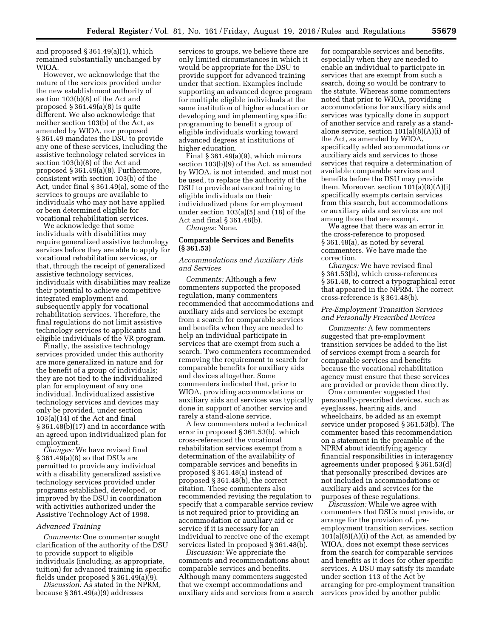and proposed § 361.49(a)(1), which remained substantially unchanged by WIOA.

However, we acknowledge that the nature of the services provided under the new establishment authority of section 103(b)(8) of the Act and proposed  $\S 361.49(a)(8)$  is quite different. We also acknowledge that neither section 103(b) of the Act, as amended by WIOA, nor proposed § 361.49 mandates the DSU to provide any one of these services, including the assistive technology related services in section 103(b)(8) of the Act and proposed § 361.49(a)(8). Furthermore, consistent with section 103(b) of the Act, under final § 361.49(a), some of the services to groups are available to individuals who may not have applied or been determined eligible for vocational rehabilitation services.

We acknowledge that some individuals with disabilities may require generalized assistive technology services before they are able to apply for vocational rehabilitation services, or that, through the receipt of generalized assistive technology services, individuals with disabilities may realize their potential to achieve competitive integrated employment and subsequently apply for vocational rehabilitation services. Therefore, the final regulations do not limit assistive technology services to applicants and eligible individuals of the VR program.

Finally, the assistive technology services provided under this authority are more generalized in nature and for the benefit of a group of individuals; they are not tied to the individualized plan for employment of any one individual. Individualized assistive technology services and devices may only be provided, under section 103(a)(14) of the Act and final § 361.48(b)(17) and in accordance with an agreed upon individualized plan for employment.

*Changes:* We have revised final § 361.49(a)(8) so that DSUs are permitted to provide any individual with a disability generalized assistive technology services provided under programs established, developed, or improved by the DSU in coordination with activities authorized under the Assistive Technology Act of 1998.

## *Advanced Training*

*Comments:* One commenter sought clarification of the authority of the DSU to provide support to eligible individuals (including, as appropriate, tuition) for advanced training in specific fields under proposed § 361.49(a)(9).

*Discussion:* As stated in the NPRM, because § 361.49(a)(9) addresses

services to groups, we believe there are only limited circumstances in which it would be appropriate for the DSU to provide support for advanced training under that section. Examples include supporting an advanced degree program for multiple eligible individuals at the same institution of higher education or developing and implementing specific programming to benefit a group of eligible individuals working toward advanced degrees at institutions of higher education.

Final § 361.49(a)(9), which mirrors section 103(b)(9) of the Act, as amended by WIOA, is not intended, and must not be used, to replace the authority of the DSU to provide advanced training to eligible individuals on their individualized plans for employment under section 103(a)(5) and (18) of the Act and final § 361.48(b).

*Changes:* None.

## **Comparable Services and Benefits (§ 361.53)**

## *Accommodations and Auxiliary Aids and Services*

*Comments:* Although a few commenters supported the proposed regulation, many commenters recommended that accommodations and auxiliary aids and services be exempt from a search for comparable services and benefits when they are needed to help an individual participate in services that are exempt from such a search. Two commenters recommended removing the requirement to search for comparable benefits for auxiliary aids and devices altogether. Some commenters indicated that, prior to WIOA, providing accommodations or auxiliary aids and services was typically done in support of another service and rarely a stand-alone service.

A few commenters noted a technical error in proposed § 361.53(b), which cross-referenced the vocational rehabilitation services exempt from a determination of the availability of comparable services and benefits in proposed § 361.48(a) instead of proposed § 361.48(b), the correct citation. These commenters also recommended revising the regulation to specify that a comparable service review is not required prior to providing an accommodation or auxiliary aid or service if it is necessary for an individual to receive one of the exempt services listed in proposed § 361.48(b).

*Discussion:* We appreciate the comments and recommendations about comparable services and benefits. Although many commenters suggested that we exempt accommodations and auxiliary aids and services from a search for comparable services and benefits, especially when they are needed to enable an individual to participate in services that are exempt from such a search, doing so would be contrary to the statute. Whereas some commenters noted that prior to WIOA, providing accommodations for auxiliary aids and services was typically done in support of another service and rarely as a standalone service, section 101(a)(8)(A)(i) of the Act, as amended by WIOA, specifically added accommodations or auxiliary aids and services to those services that require a determination of available comparable services and benefits before the DSU may provide them. Moreover, section  $101(a)(8)(A)(i)$ specifically exempts certain services from this search, but accommodations or auxiliary aids and services are not among those that are exempt.

We agree that there was an error in the cross-reference to proposed § 361.48(a), as noted by several commenters. We have made the correction.

*Changes:* We have revised final § 361.53(b), which cross-references § 361.48, to correct a typographical error that appeared in the NPRM. The correct cross-reference is § 361.48(b).

## *Pre-Employment Transition Services and Personally Prescribed Devices*

*Comments:* A few commenters suggested that pre-employment transition services be added to the list of services exempt from a search for comparable services and benefits because the vocational rehabilitation agency must ensure that these services are provided or provide them directly.

One commenter suggested that personally-prescribed devices, such as eyeglasses, hearing aids, and wheelchairs, be added as an exempt service under proposed § 361.53(b). The commenter based this recommendation on a statement in the preamble of the NPRM about identifying agency financial responsibilities in interagency agreements under proposed § 361.53(d) that personally prescribed devices are not included in accommodations or auxiliary aids and services for the purposes of these regulations.

*Discussion:* While we agree with commenters that DSUs must provide, or arrange for the provision of, preemployment transition services, section  $101(a)(8)(A)(i)$  of the Act, as amended by WIOA, does not exempt these services from the search for comparable services and benefits as it does for other specific services. A DSU may satisfy its mandate under section 113 of the Act by arranging for pre-employment transition services provided by another public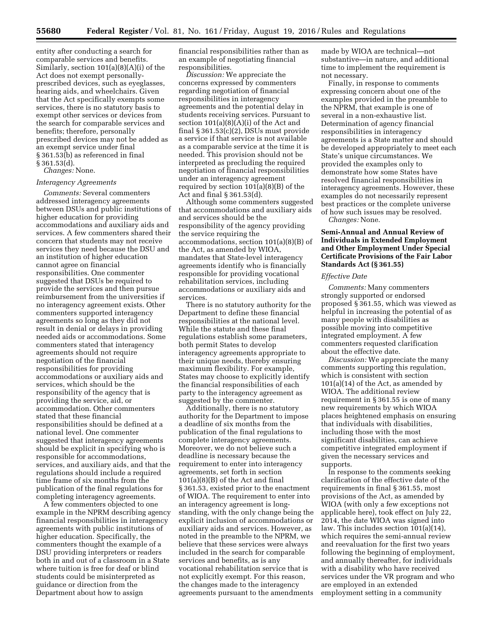entity after conducting a search for comparable services and benefits. Similarly, section 101(a)(8)(A)(i) of the Act does not exempt personallyprescribed devices, such as eyeglasses, hearing aids, and wheelchairs. Given that the Act specifically exempts some services, there is no statutory basis to exempt other services or devices from the search for comparable services and benefits; therefore, personally prescribed devices may not be added as an exempt service under final § 361.53(b) as referenced in final § 361.53(d). *Changes:* None.

## *Interagency Agreements*

*Comments:* Several commenters addressed interagency agreements between DSUs and public institutions of higher education for providing accommodations and auxiliary aids and services. A few commenters shared their concern that students may not receive services they need because the DSU and an institution of higher education cannot agree on financial responsibilities. One commenter suggested that DSUs be required to provide the services and then pursue reimbursement from the universities if no interagency agreement exists. Other commenters supported interagency agreements so long as they did not result in denial or delays in providing needed aids or accommodations. Some commenters stated that interagency agreements should not require negotiation of the financial responsibilities for providing accommodations or auxiliary aids and services, which should be the responsibility of the agency that is providing the service, aid, or accommodation. Other commenters stated that these financial responsibilities should be defined at a national level. One commenter suggested that interagency agreements should be explicit in specifying who is responsible for accommodations, services, and auxiliary aids, and that the regulations should include a required time frame of six months from the publication of the final regulations for completing interagency agreements. A few commenters objected to one

example in the NPRM describing agency financial responsibilities in interagency agreements with public institutions of higher education. Specifically, the commenters thought the example of a DSU providing interpreters or readers both in and out of a classroom in a State where tuition is free for deaf or blind students could be misinterpreted as guidance or direction from the Department about how to assign

financial responsibilities rather than as an example of negotiating financial responsibilities.

*Discussion:* We appreciate the concerns expressed by commenters regarding negotiation of financial responsibilities in interagency agreements and the potential delay in students receiving services. Pursuant to section  $101(a)(8)(A)(i)$  of the Act and final § 361.53(c)(2), DSUs must provide a service if that service is not available as a comparable service at the time it is needed. This provision should not be interpreted as precluding the required negotiation of financial responsibilities under an interagency agreement required by section 101(a)(8)(B) of the Act and final § 361.53(d).

Although some commenters suggested that accommodations and auxiliary aids and services should be the responsibility of the agency providing the service requiring the accommodations, section 101(a)(8)(B) of the Act, as amended by WIOA, mandates that State-level interagency agreements identify who is financially responsible for providing vocational rehabilitation services, including accommodations or auxiliary aids and services.

There is no statutory authority for the Department to define these financial responsibilities at the national level. While the statute and these final regulations establish some parameters, both permit States to develop interagency agreements appropriate to their unique needs, thereby ensuring maximum flexibility. For example, States may choose to explicitly identify the financial responsibilities of each party to the interagency agreement as suggested by the commenter.

Additionally, there is no statutory authority for the Department to impose a deadline of six months from the publication of the final regulations to complete interagency agreements. Moreover, we do not believe such a deadline is necessary because the requirement to enter into interagency agreements, set forth in section 101(a)(8)(B) of the Act and final § 361.53, existed prior to the enactment of WIOA. The requirement to enter into an interagency agreement is longstanding, with the only change being the explicit inclusion of accommodations or auxiliary aids and services. However, as noted in the preamble to the NPRM, we believe that these services were always included in the search for comparable services and benefits, as is any vocational rehabilitation service that is not explicitly exempt. For this reason, the changes made to the interagency agreements pursuant to the amendments

made by WIOA are technical—not substantive—in nature, and additional time to implement the requirement is not necessary.

Finally, in response to comments expressing concern about one of the examples provided in the preamble to the NPRM, that example is one of several in a non-exhaustive list. Determination of agency financial responsibilities in interagency agreements is a State matter and should be developed appropriately to meet each State's unique circumstances. We provided the examples only to demonstrate how some States have resolved financial responsibilities in interagency agreements. However, these examples do not necessarily represent best practices or the complete universe of how such issues may be resolved.

*Changes:* None.

## **Semi-Annual and Annual Review of Individuals in Extended Employment and Other Employment Under Special Certificate Provisions of the Fair Labor Standards Act (§ 361.55)**

#### *Effective Date*

*Comments:* Many commenters strongly supported or endorsed proposed § 361.55, which was viewed as helpful in increasing the potential of as many people with disabilities as possible moving into competitive integrated employment. A few commenters requested clarification about the effective date.

*Discussion:* We appreciate the many comments supporting this regulation, which is consistent with section 101(a)(14) of the Act, as amended by WIOA. The additional review requirement in § 361.55 is one of many new requirements by which WIOA places heightened emphasis on ensuring that individuals with disabilities, including those with the most significant disabilities, can achieve competitive integrated employment if given the necessary services and supports.

In response to the comments seeking clarification of the effective date of the requirements in final § 361.55, most provisions of the Act, as amended by WIOA (with only a few exceptions not applicable here), took effect on July 22, 2014, the date WIOA was signed into law. This includes section 101(a)(14), which requires the semi-annual review and reevaluation for the first two years following the beginning of employment, and annually thereafter, for individuals with a disability who have received services under the VR program and who are employed in an extended employment setting in a community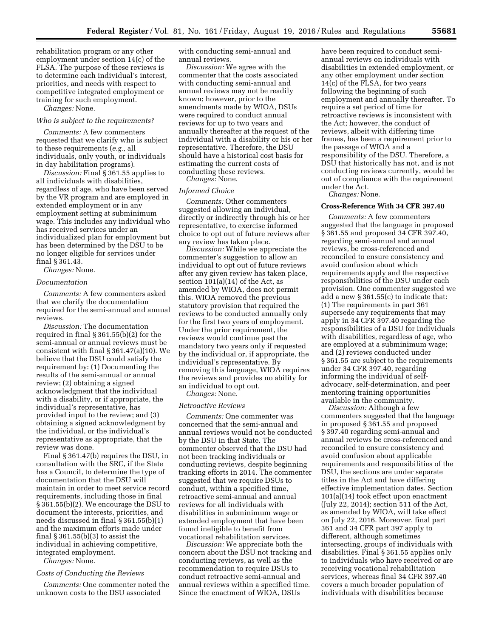rehabilitation program or any other employment under section 14(c) of the FLSA. The purpose of these reviews is to determine each individual's interest, priorities, and needs with respect to competitive integrated employment or training for such employment.

*Changes:* None.

#### *Who is subject to the requirements?*

*Comments:* A few commenters requested that we clarify who is subject to these requirements (*e.g.,* all individuals, only youth, or individuals in day habilitation programs).

*Discussion:* Final § 361.55 applies to all individuals with disabilities, regardless of age, who have been served by the VR program and are employed in extended employment or in any employment setting at subminimum wage. This includes any individual who has received services under an individualized plan for employment but has been determined by the DSU to be no longer eligible for services under final § 361.43.

*Changes:* None.

#### *Documentation*

*Comments:* A few commenters asked that we clarify the documentation required for the semi-annual and annual reviews.

*Discussion:* The documentation required in final § 361.55(b)(2) for the semi-annual or annual reviews must be consistent with final § 361.47(a)(10). We believe that the DSU could satisfy the requirement by: (1) Documenting the results of the semi-annual or annual review; (2) obtaining a signed acknowledgment that the individual with a disability, or if appropriate, the individual's representative, has provided input to the review; and (3) obtaining a signed acknowledgment by the individual, or the individual's representative as appropriate, that the review was done.

Final § 361.47(b) requires the DSU, in consultation with the SRC, if the State has a Council, to determine the type of documentation that the DSU will maintain in order to meet service record requirements, including those in final § 361.55(b)(2). We encourage the DSU to document the interests, priorities, and needs discussed in final § 361.55(b)(1) and the maximum efforts made under final  $\S 361.55(b)(3)$  to assist the individual in achieving competitive, integrated employment.

*Changes:* None.

#### *Costs of Conducting the Reviews*

*Comments:* One commenter noted the unknown costs to the DSU associated

with conducting semi-annual and annual reviews.

*Discussion:* We agree with the commenter that the costs associated with conducting semi-annual and annual reviews may not be readily known; however, prior to the amendments made by WIOA, DSUs were required to conduct annual reviews for up to two years and annually thereafter at the request of the individual with a disability or his or her representative. Therefore, the DSU should have a historical cost basis for estimating the current costs of conducting these reviews.

*Changes:* None.

## *Informed Choice*

*Comments:* Other commenters suggested allowing an individual, directly or indirectly through his or her representative, to exercise informed choice to opt out of future reviews after any review has taken place.

*Discussion:* While we appreciate the commenter's suggestion to allow an individual to opt out of future reviews after any given review has taken place, section 101(a)(14) of the Act, as amended by WIOA, does not permit this. WIOA removed the previous statutory provision that required the reviews to be conducted annually only for the first two years of employment. Under the prior requirement, the reviews would continue past the mandatory two years only if requested by the individual or, if appropriate, the individual's representative. By removing this language, WIOA requires the reviews and provides no ability for an individual to opt out.

*Changes:* None.

#### *Retroactive Reviews*

*Comments:* One commenter was concerned that the semi-annual and annual reviews would not be conducted by the DSU in that State. The commenter observed that the DSU had not been tracking individuals or conducting reviews, despite beginning tracking efforts in 2014. The commenter suggested that we require DSUs to conduct, within a specified time, retroactive semi-annual and annual reviews for all individuals with disabilities in subminimum wage or extended employment that have been found ineligible to benefit from vocational rehabilitation services.

*Discussion:* We appreciate both the concern about the DSU not tracking and conducting reviews, as well as the recommendation to require DSUs to conduct retroactive semi-annual and annual reviews within a specified time. Since the enactment of WIOA, DSUs

have been required to conduct semiannual reviews on individuals with disabilities in extended employment, or any other employment under section  $14(c)$  of the FLSA, for two years following the beginning of such employment and annually thereafter. To require a set period of time for retroactive reviews is inconsistent with the Act; however, the conduct of reviews, albeit with differing time frames, has been a requirement prior to the passage of WIOA and a responsibility of the DSU. Therefore, a DSU that historically has not, and is not conducting reviews currently, would be out of compliance with the requirement under the Act.

*Changes:* None.

#### **Cross-Reference With 34 CFR 397.40**

*Comments:* A few commenters suggested that the language in proposed § 361.55 and proposed 34 CFR 397.40, regarding semi-annual and annual reviews, be cross-referenced and reconciled to ensure consistency and avoid confusion about which requirements apply and the respective responsibilities of the DSU under each provision. One commenter suggested we add a new § 361.55(c) to indicate that: (1) The requirements in part 361 supersede any requirements that may apply in 34 CFR 397.40 regarding the responsibilities of a DSU for individuals with disabilities, regardless of age, who are employed at a subminimum wage; and (2) reviews conducted under § 361.55 are subject to the requirements under 34 CFR 397.40, regarding informing the individual of selfadvocacy, self-determination, and peer mentoring training opportunities available in the community.

*Discussion:* Although a few commenters suggested that the language in proposed § 361.55 and proposed § 397.40 regarding semi-annual and annual reviews be cross-referenced and reconciled to ensure consistency and avoid confusion about applicable requirements and responsibilities of the DSU, the sections are under separate titles in the Act and have differing effective implementation dates. Section 101(a)(14) took effect upon enactment (July 22, 2014); section 511 of the Act, as amended by WIOA, will take effect on July 22, 2016. Moreover, final part 361 and 34 CFR part 397 apply to different, although sometimes intersecting, groups of individuals with disabilities. Final § 361.55 applies only to individuals who have received or are receiving vocational rehabilitation services, whereas final 34 CFR 397.40 covers a much broader population of individuals with disabilities because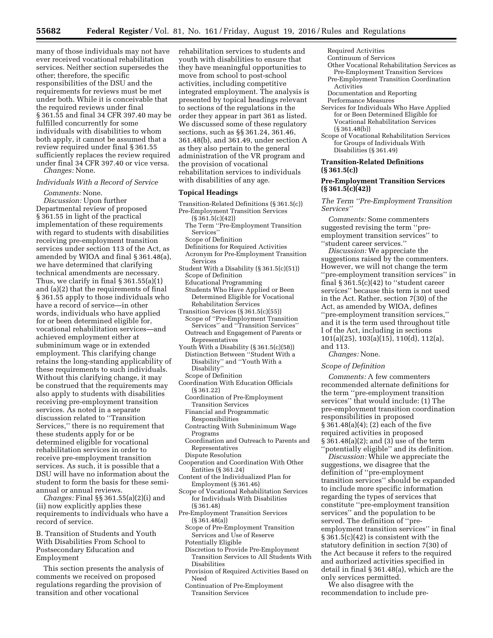many of those individuals may not have ever received vocational rehabilitation services. Neither section supersedes the other; therefore, the specific responsibilities of the DSU and the requirements for reviews must be met under both. While it is conceivable that the required reviews under final § 361.55 and final 34 CFR 397.40 may be fulfilled concurrently for some individuals with disabilities to whom both apply, it cannot be assumed that a review required under final § 361.55 sufficiently replaces the review required under final 34 CFR 397.40 or vice versa.

*Changes:* None.

*Individuals With a Record of Service Comments:* None. *Discussion:* Upon further Departmental review of proposed § 361.55 in light of the practical implementation of these requirements with regard to students with disabilities receiving pre-employment transition services under section 113 of the Act, as amended by WIOA and final § 361.48(a), we have determined that clarifying technical amendments are necessary. Thus, we clarify in final  $\S 361.55(a)(1)$ and (a)(2) that the requirements of final § 361.55 apply to those individuals who have a record of service—in other words, individuals who have applied for or been determined eligible for, vocational rehabilitation services—and achieved employment either at subminimum wage or in extended employment. This clarifying change retains the long-standing applicability of these requirements to such individuals. Without this clarifying change, it may be construed that the requirements may also apply to students with disabilities receiving pre-employment transition services. As noted in a separate discussion related to ''Transition Services,'' there is no requirement that these students apply for or be determined eligible for vocational rehabilitation services in order to receive pre-employment transition services. As such, it is possible that a DSU will have no information about the student to form the basis for these semiannual or annual reviews. *Changes:* Final §§ 361.55(a)(2)(i) and (ii) now explicitly applies these requirements to individuals who have a

B. Transition of Students and Youth With Disabilities From School to Postsecondary Education and Employment

record of service.

This section presents the analysis of comments we received on proposed regulations regarding the provision of transition and other vocational

rehabilitation services to students and youth with disabilities to ensure that they have meaningful opportunities to move from school to post-school activities, including competitive integrated employment. The analysis is presented by topical headings relevant to sections of the regulations in the order they appear in part 361 as listed. We discussed some of these regulatory sections, such as §§ 361.24, 361.46, 361.48(b), and 361.49, under section A as they also pertain to the general administration of the VR program and the provision of vocational rehabilitation services to individuals with disabilities of any age.

#### **Topical Headings**

- Transition-Related Definitions (§ 361.5(c)) Pre-Employment Transition Services
	- (§ 361.5(c)(42))
- The Term ''Pre-Employment Transition Services''
- Scope of Definition
- Definitions for Required Activities
- Acronym for Pre-Employment Transition Services
- Student With a Disability (§ 361.5(c)(51)) Scope of Definition
	- Educational Programming
	- Students Who Have Applied or Been Determined Eligible for Vocational Rehabilitation Services
- Transition Services (§ 361.5(c)(55)) Scope of ''Pre-Employment Transition Services'' and ''Transition Services'' Outreach and Engagement of Parents or Representatives
- Youth With a Disability  $(S361.5(c)(58))$ Distinction Between ''Student With a Disability'' and ''Youth With a Disability''
- Scope of Definition
- Coordination With Education Officials (§ 361.22)
	- Coordination of Pre-Employment Transition Services
	- Financial and Programmatic
	- Responsibilities
	- Contracting With Subminimum Wage Programs
	- Coordination and Outreach to Parents and Representatives
	- Dispute Resolution
- Cooperation and Coordination With Other Entities (§ 361.24)
- Content of the Individualized Plan for Employment (§ 361.46)
- Scope of Vocational Rehabilitation Services for Individuals With Disabilities (§ 361.48)
- Pre-Employment Transition Services (§ 361.48(a))
	- Scope of Pre-Employment Transition Services and Use of Reserve
	- Potentially Eligible
	- Discretion to Provide Pre-Employment Transition Services to All Students With Disabilities
	- Provision of Required Activities Based on Need
	- Continuation of Pre-Employment Transition Services

Required Activities

- Continuum of Services
- Other Vocational Rehabilitation Services as Pre-Employment Transition Services
- Pre-Employment Transition Coordination Activities
- Documentation and Reporting
- Performance Measures
- Services for Individuals Who Have Applied for or Been Determined Eligible for Vocational Rehabilitation Services (§ 361.48(b))
- Scope of Vocational Rehabilitation Services for Groups of Individuals With Disabilities (§ 361.49)

## **Transition-Related Definitions (§ 361.5(c))**

## **Pre-Employment Transition Services (§ 361.5(c)(42))**

*The Term ''Pre-Employment Transition Services''* 

*Comments:* Some commenters suggested revising the term ''preemployment transition services'' to ''student career services.''

*Discussion:* We appreciate the suggestions raised by the commenters. However, we will not change the term ''pre-employment transition services'' in final  $\S 361.5(c)(42)$  to "student career services'' because this term is not used in the Act. Rather, section 7(30) of the Act, as amended by WIOA, defines ''pre-employment transition services,'' and it is the term used throughout title I of the Act, including in sections 101(a)(25), 103(a)(15), 110(d), 112(a), and 113.

*Changes:* None.

#### *Scope of Definition*

*Comments:* A few commenters recommended alternate definitions for the term ''pre-employment transition services'' that would include: (1) The pre-employment transition coordination responsibilities in proposed § 361.48(a)(4); (2) each of the five required activities in proposed § 361.48(a)(2); and (3) use of the term ''potentially eligible'' and its definition.

*Discussion:* While we appreciate the suggestions, we disagree that the definition of ''pre-employment transition services'' should be expanded to include more specific information regarding the types of services that constitute ''pre-employment transition services'' and the population to be served. The definition of ''preemployment transition services'' in final § 361.5(c)(42) is consistent with the statutory definition in section 7(30) of the Act because it refers to the required and authorized activities specified in detail in final § 361.48(a), which are the only services permitted.

We also disagree with the recommendation to include pre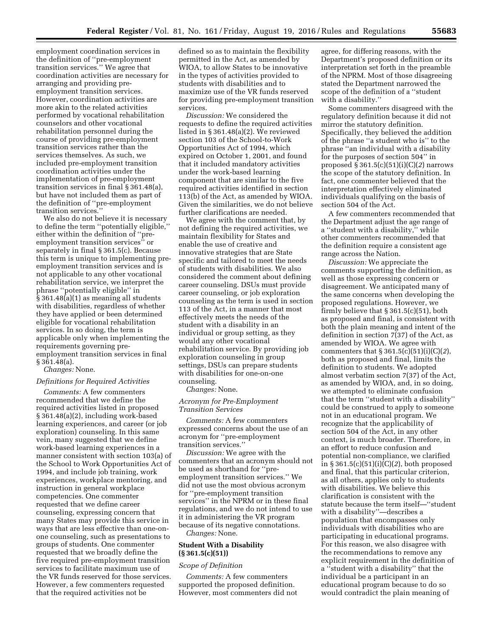employment coordination services in the definition of ''pre-employment transition services.'' We agree that coordination activities are necessary for arranging and providing preemployment transition services. However, coordination activities are more akin to the related activities performed by vocational rehabilitation counselors and other vocational rehabilitation personnel during the course of providing pre-employment transition services rather than the services themselves. As such, we included pre-employment transition coordination activities under the implementation of pre-employment transition services in final § 361.48(a), but have not included them as part of the definition of ''pre-employment transition services.''

We also do not believe it is necessary to define the term ''potentially eligible,'' either within the definition of ''preemployment transition services'' or separately in final § 361.5(c). Because this term is unique to implementing preemployment transition services and is not applicable to any other vocational rehabilitation service, we interpret the phrase ''potentially eligible'' in § 361.48(a)(1) as meaning all students with disabilities, regardless of whether they have applied or been determined eligible for vocational rehabilitation services. In so doing, the term is applicable only when implementing the requirements governing preemployment transition services in final § 361.48(a).

*Changes:* None.

## *Definitions for Required Activities*

*Comments:* A few commenters recommended that we define the required activities listed in proposed § 361.48(a)(2), including work-based learning experiences, and career (or job exploration) counseling. In this same vein, many suggested that we define work-based learning experiences in a manner consistent with section 103(a) of the School to Work Opportunities Act of 1994, and include job training, work experiences, workplace mentoring, and instruction in general workplace competencies. One commenter requested that we define career counseling, expressing concern that many States may provide this service in ways that are less effective than one-onone counseling, such as presentations to groups of students. One commenter requested that we broadly define the five required pre-employment transition services to facilitate maximum use of the VR funds reserved for those services. However, a few commenters requested that the required activities not be

defined so as to maintain the flexibility permitted in the Act, as amended by WIOA, to allow States to be innovative in the types of activities provided to students with disabilities and to maximize use of the VR funds reserved for providing pre-employment transition services.

*Discussion:* We considered the requests to define the required activities listed in § 361.48(a)(2). We reviewed section 103 of the School-to-Work Opportunities Act of 1994, which expired on October 1, 2001, and found that it included mandatory activities under the work-based learning component that are similar to the five required activities identified in section 113(b) of the Act, as amended by WIOA. Given the similarities, we do not believe further clarifications are needed.

We agree with the comment that, by not defining the required activities, we maintain flexibility for States and enable the use of creative and innovative strategies that are State specific and tailored to meet the needs of students with disabilities. We also considered the comment about defining career counseling. DSUs must provide career counseling, or job exploration counseling as the term is used in section 113 of the Act, in a manner that most effectively meets the needs of the student with a disability in an individual or group setting, as they would any other vocational rehabilitation service. By providing job exploration counseling in group settings, DSUs can prepare students with disabilities for one-on-one counseling.

*Changes:* None.

## *Acronym for Pre-Employment Transition Services*

*Comments:* A few commenters expressed concerns about the use of an acronym for ''pre-employment transition services.''

*Discussion:* We agree with the commenters that an acronym should not be used as shorthand for ''preemployment transition services.'' We did not use the most obvious acronym for ''pre-employment transition services'' in the NPRM or in these final regulations, and we do not intend to use it in administering the VR program because of its negative connotations. *Changes:* None.

## **Student With a Disability (§ 361.5(c)(51))**

#### *Scope of Definition*

*Comments:* A few commenters supported the proposed definition. However, most commenters did not

agree, for differing reasons, with the Department's proposed definition or its interpretation set forth in the preamble of the NPRM. Most of those disagreeing stated the Department narrowed the scope of the definition of a ''student with a disability.''

Some commenters disagreed with the regulatory definition because it did not mirror the statutory definition. Specifically, they believed the addition of the phrase ''a student who is'' to the phrase ''an individual with a disability for the purposes of section 504'' in proposed § 361.5(c)(51)(i)(C)(*2*) narrows the scope of the statutory definition. In fact, one commenter believed that the interpretation effectively eliminated individuals qualifying on the basis of section 504 of the Act.

A few commenters recommended that the Department adjust the age range of a ''student with a disability,'' while other commenters recommended that the definition require a consistent age range across the Nation.

*Discussion:* We appreciate the comments supporting the definition, as well as those expressing concern or disagreement. We anticipated many of the same concerns when developing the proposed regulations. However, we firmly believe that § 361.5(c)(51), both as proposed and final, is consistent with both the plain meaning and intent of the definition in section 7(37) of the Act, as amended by WIOA. We agree with commenters that § 361.5(c)(51)(i)(C)(*2*), both as proposed and final, limits the definition to students. We adopted almost verbatim section 7(37) of the Act, as amended by WIOA, and, in so doing, we attempted to eliminate confusion that the term ''student with a disability'' could be construed to apply to someone not in an educational program. We recognize that the applicability of section 504 of the Act, in any other context, is much broader. Therefore, in an effort to reduce confusion and potential non-compliance, we clarified in § 361.5(c)(51)(i)(C)(*2*), both proposed and final, that this particular criterion, as all others, applies only to students with disabilities. We believe this clarification is consistent with the statute because the term itself—''student with a disability''—describes a population that encompasses only individuals with disabilities who are participating in educational programs. For this reason, we also disagree with the recommendations to remove any explicit requirement in the definition of a ''student with a disability'' that the individual be a participant in an educational program because to do so would contradict the plain meaning of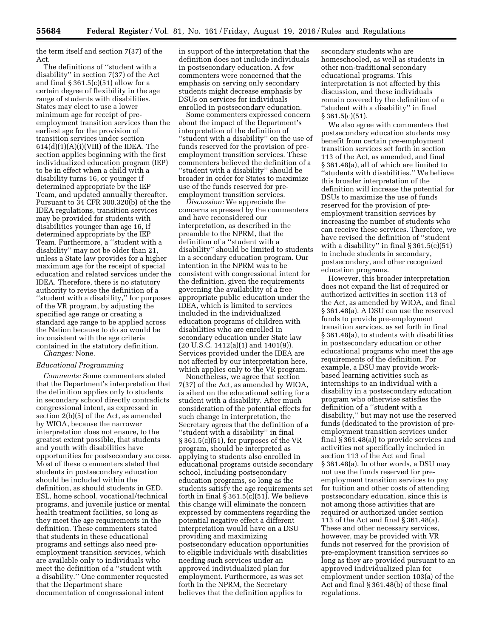the term itself and section 7(37) of the Act.

The definitions of ''student with a disability'' in section 7(37) of the Act and final § 361.5(c)(51) allow for a certain degree of flexibility in the age range of students with disabilities. States may elect to use a lower minimum age for receipt of preemployment transition services than the earliest age for the provision of transition services under section  $614(d)(1)(A)(i)(VIII)$  of the IDEA. The section applies beginning with the first individualized education program (IEP) to be in effect when a child with a disability turns 16, or younger if determined appropriate by the IEP Team, and updated annually thereafter. Pursuant to 34 CFR 300.320(b) of the the IDEA regulations, transition services may be provided for students with disabilities younger than age 16, if determined appropriate by the IEP Team. Furthermore, a ''student with a disability'' may not be older than 21, unless a State law provides for a higher maximum age for the receipt of special education and related services under the IDEA. Therefore, there is no statutory authority to revise the definition of a ''student with a disability,'' for purposes of the VR program, by adjusting the specified age range or creating a standard age range to be applied across the Nation because to do so would be inconsistent with the age criteria contained in the statutory definition.

*Changes:* None.

## *Educational Programming*

*Comments:* Some commenters stated that the Department's interpretation that the definition applies only to students in secondary school directly contradicts congressional intent, as expressed in section 2(b)(5) of the Act, as amended by WIOA, because the narrower interpretation does not ensure, to the greatest extent possible, that students and youth with disabilities have opportunities for postsecondary success. Most of these commenters stated that students in postsecondary education should be included within the definition, as should students in GED, ESL, home school, vocational/technical programs, and juvenile justice or mental health treatment facilities, so long as they meet the age requirements in the definition. These commenters stated that students in these educational programs and settings also need preemployment transition services, which are available only to individuals who meet the definition of a ''student with a disability.'' One commenter requested that the Department share documentation of congressional intent

in support of the interpretation that the definition does not include individuals in postsecondary education. A few commenters were concerned that the emphasis on serving only secondary students might decrease emphasis by DSUs on services for individuals enrolled in postsecondary education.

Some commenters expressed concern about the impact of the Department's interpretation of the definition of ''student with a disability'' on the use of funds reserved for the provision of preemployment transition services. These commenters believed the definition of a ''student with a disability'' should be broader in order for States to maximize use of the funds reserved for preemployment transition services.

*Discussion:* We appreciate the concerns expressed by the commenters and have reconsidered our interpretation, as described in the preamble to the NPRM, that the definition of a ''student with a disability'' should be limited to students in a secondary education program. Our intention in the NPRM was to be consistent with congressional intent for the definition, given the requirements governing the availability of a free appropriate public education under the IDEA, which is limited to services included in the individualized education programs of children with disabilities who are enrolled in secondary education under State law (20 U.S.C. 1412(a)(1) and 1401(9)). Services provided under the IDEA are not affected by our interpretation here, which applies only to the VR program.

Nonetheless, we agree that section 7(37) of the Act, as amended by WIOA, is silent on the educational setting for a student with a disability. After much consideration of the potential effects for such change in interpretation, the Secretary agrees that the definition of a ''student with a disability'' in final § 361.5(c)(51), for purposes of the VR program, should be interpreted as applying to students also enrolled in educational programs outside secondary school, including postsecondary education programs, so long as the students satisfy the age requirements set forth in final  $\S 361.5(c)(51)$ . We believe this change will eliminate the concern expressed by commenters regarding the potential negative effect a different interpretation would have on a DSU providing and maximizing postsecondary education opportunities to eligible individuals with disabilities needing such services under an approved individualized plan for employment. Furthermore, as was set forth in the NPRM, the Secretary believes that the definition applies to

secondary students who are homeschooled, as well as students in other non-traditional secondary educational programs. This interpretation is not affected by this discussion, and these individuals remain covered by the definition of a ''student with a disability'' in final  $§ 361.5(c)(51).$ 

We also agree with commenters that postsecondary education students may benefit from certain pre-employment transition services set forth in section 113 of the Act, as amended, and final § 361.48(a), all of which are limited to ''students with disabilities.'' We believe this broader interpretation of the definition will increase the potential for DSUs to maximize the use of funds reserved for the provision of preemployment transition services by increasing the number of students who can receive these services. Therefore, we have revised the definition of ''student with a disability" in final  $\S 361.5(c)(51)$ to include students in secondary, postsecondary, and other recognized education programs.

However, this broader interpretation does not expand the list of required or authorized activities in section 113 of the Act, as amended by WIOA, and final § 361.48(a). A DSU can use the reserved funds to provide pre-employment transition services, as set forth in final § 361.48(a), to students with disabilities in postsecondary education or other educational programs who meet the age requirements of the definition. For example, a DSU may provide workbased learning activities such as internships to an individual with a disability in a postsecondary education program who otherwise satisfies the definition of a ''student with a disability,'' but may not use the reserved funds (dedicated to the provision of preemployment transition services under final § 361.48(a)) to provide services and activities not specifically included in section 113 of the Act and final § 361.48(a). In other words, a DSU may not use the funds reserved for preemployment transition services to pay for tuition and other costs of attending postsecondary education, since this is not among those activities that are required or authorized under section 113 of the Act and final § 361.48(a). These and other necessary services, however, may be provided with VR funds not reserved for the provision of pre-employment transition services so long as they are provided pursuant to an approved individualized plan for employment under section 103(a) of the Act and final § 361.48(b) of these final regulations.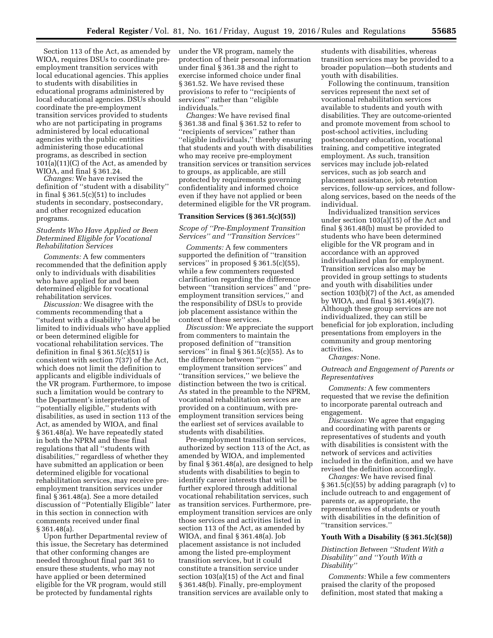Section 113 of the Act, as amended by WIOA, requires DSUs to coordinate preemployment transition services with local educational agencies. This applies to students with disabilities in educational programs administered by local educational agencies. DSUs should coordinate the pre-employment transition services provided to students who are not participating in programs administered by local educational agencies with the public entities administering those educational programs, as described in section  $101(a)(11)(C)$  of the Act, as amended by WIOA, and final § 361.24.

*Changes:* We have revised the definition of ''student with a disability'' in final § 361.5(c)(51) to includes students in secondary, postsecondary, and other recognized education programs.

## *Students Who Have Applied or Been Determined Eligible for Vocational Rehabilitation Services*

*Comments:* A few commenters recommended that the definition apply only to individuals with disabilities who have applied for and been determined eligible for vocational rehabilitation services.

*Discussion:* We disagree with the comments recommending that a ''student with a disability'' should be limited to individuals who have applied or been determined eligible for vocational rehabilitation services. The definition in final § 361.5(c)(51) is consistent with section 7(37) of the Act, which does not limit the definition to applicants and eligible individuals of the VR program. Furthermore, to impose such a limitation would be contrary to the Department's interpretation of ''potentially eligible,'' students with disabilities, as used in section 113 of the Act, as amended by WIOA, and final § 361.48(a). We have repeatedly stated in both the NPRM and these final regulations that all ''students with disabilities,'' regardless of whether they have submitted an application or been determined eligible for vocational rehabilitation services, may receive preemployment transition services under final § 361.48(a). See a more detailed discussion of ''Potentially Eligible'' later in this section in connection with comments received under final § 361.48(a).

Upon further Departmental review of this issue, the Secretary has determined that other conforming changes are needed throughout final part 361 to ensure these students, who may not have applied or been determined eligible for the VR program, would still be protected by fundamental rights

under the VR program, namely the protection of their personal information under final § 361.38 and the right to exercise informed choice under final § 361.52. We have revised these provisions to refer to ''recipients of services'' rather than ''eligible individuals.''

*Changes:* We have revised final § 361.38 and final § 361.52 to refer to ''recipients of services'' rather than ''eligible individuals,'' thereby ensuring that students and youth with disabilities who may receive pre-employment transition services or transition services to groups, as applicable, are still protected by requirements governing confidentiality and informed choice even if they have not applied or been determined eligible for the VR program.

## **Transition Services (§ 361.5(c)(55))**

*Scope of ''Pre-Employment Transition Services'' and ''Transition Services''* 

*Comments:* A few commenters supported the definition of ''transition services'' in proposed § 361.5(c)(55), while a few commenters requested clarification regarding the difference between ''transition services'' and ''preemployment transition services,'' and the responsibility of DSUs to provide job placement assistance within the context of these services.

*Discussion:* We appreciate the support from commenters to maintain the proposed definition of ''transition services'' in final § 361.5(c)(55). As to the difference between ''preemployment transition services'' and ''transition services,'' we believe the distinction between the two is critical. As stated in the preamble to the NPRM, vocational rehabilitation services are provided on a continuum, with preemployment transition services being the earliest set of services available to students with disabilities.

Pre-employment transition services, authorized by section 113 of the Act, as amended by WIOA, and implemented by final § 361.48(a), are designed to help students with disabilities to begin to identify career interests that will be further explored through additional vocational rehabilitation services, such as transition services. Furthermore, preemployment transition services are only those services and activities listed in section 113 of the Act, as amended by WIOA, and final § 361.48(a). Job placement assistance is not included among the listed pre-employment transition services, but it could constitute a transition service under section 103(a)(15) of the Act and final § 361.48(b). Finally, pre-employment transition services are available only to

students with disabilities, whereas transition services may be provided to a broader population—both students and youth with disabilities.

Following the continuum, transition services represent the next set of vocational rehabilitation services available to students and youth with disabilities. They are outcome-oriented and promote movement from school to post-school activities, including postsecondary education, vocational training, and competitive integrated employment. As such, transition services may include job-related services, such as job search and placement assistance, job retention services, follow-up services, and followalong services, based on the needs of the individual.

Individualized transition services under section 103(a)(15) of the Act and final § 361.48(b) must be provided to students who have been determined eligible for the VR program and in accordance with an approved individualized plan for employment. Transition services also may be provided in group settings to students and youth with disabilities under section 103(b)(7) of the Act, as amended by WIOA, and final § 361.49(a)(7). Although these group services are not individualized, they can still be beneficial for job exploration, including presentations from employers in the community and group mentoring activities.

*Changes:* None.

## *Outreach and Engagement of Parents or Representatives*

*Comments:* A few commenters requested that we revise the definition to incorporate parental outreach and engagement.

*Discussion:* We agree that engaging and coordinating with parents or representatives of students and youth with disabilities is consistent with the network of services and activities included in the definition, and we have revised the definition accordingly.

*Changes:* We have revised final § 361.5(c)(55) by adding paragraph (v) to include outreach to and engagement of parents or, as appropriate, the representatives of students or youth with disabilities in the definition of ''transition services.''

#### **Youth With a Disability (§ 361.5(c)(58))**

## *Distinction Between ''Student With a Disability'' and ''Youth With a Disability''*

*Comments:* While a few commenters praised the clarity of the proposed definition, most stated that making a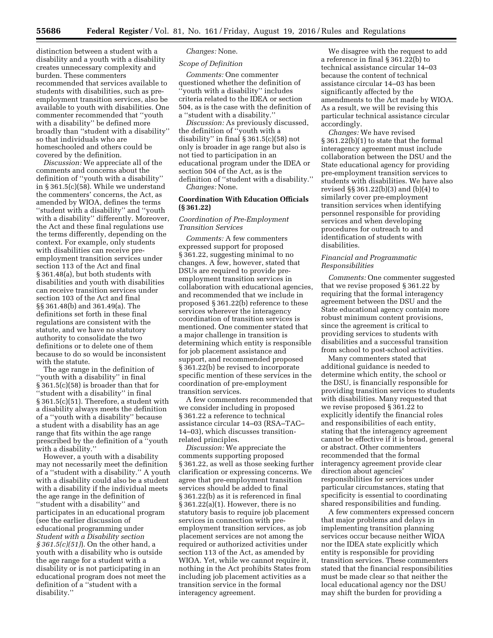distinction between a student with a disability and a youth with a disability creates unnecessary complexity and burden. These commenters recommended that services available to students with disabilities, such as preemployment transition services, also be available to youth with disabilities. One commenter recommended that ''youth with a disability'' be defined more broadly than ''student with a disability'' so that individuals who are homeschooled and others could be covered by the definition.

*Discussion:* We appreciate all of the comments and concerns about the definition of ''youth with a disability'' in § 361.5(c)(58). While we understand the commenters' concerns, the Act, as amended by WIOA, defines the terms ''student with a disability'' and ''youth with a disability'' differently. Moreover, the Act and these final regulations use the terms differently, depending on the context. For example, only students with disabilities can receive preemployment transition services under section 113 of the Act and final § 361.48(a), but both students with disabilities and youth with disabilities can receive transition services under section 103 of the Act and final §§ 361.48(b) and 361.49(a). The definitions set forth in these final regulations are consistent with the statute, and we have no statutory authority to consolidate the two definitions or to delete one of them because to do so would be inconsistent with the statute.

The age range in the definition of ''youth with a disability'' in final § 361.5(c)(58) is broader than that for ''student with a disability'' in final § 361.5(c)(51). Therefore, a student with a disability always meets the definition of a ''youth with a disability'' because a student with a disability has an age range that fits within the age range prescribed by the definition of a ''youth with a disability.''

However, a youth with a disability may not necessarily meet the definition of a ''student with a disability.'' A youth with a disability could also be a student with a disability if the individual meets the age range in the definition of ''student with a disability'' and participates in an educational program (see the earlier discussion of educational programming under *Student with a Disability section § 361.5(c)(51)*). On the other hand, a youth with a disability who is outside the age range for a student with a disability or is not participating in an educational program does not meet the definition of a ''student with a disability.''

# *Changes:* None.

## *Scope of Definition*

*Comments:* One commenter questioned whether the definition of ''youth with a disability'' includes criteria related to the IDEA or section 504, as is the case with the definition of a ''student with a disability.''

*Discussion:* As previously discussed, the definition of ''youth with a disability'' in final § 361.5(c)(58) not only is broader in age range but also is not tied to participation in an educational program under the IDEA or section 504 of the Act, as is the definition of ''student with a disability.'' *Changes:* None.

## **Coordination With Education Officials (§ 361.22)**

## *Coordination of Pre-Employment Transition Services*

*Comments:* A few commenters expressed support for proposed § 361.22, suggesting minimal to no changes. A few, however, stated that DSUs are required to provide preemployment transition services in collaboration with educational agencies, and recommended that we include in proposed § 361.22(b) reference to these services wherever the interagency coordination of transition services is mentioned. One commenter stated that a major challenge in transition is determining which entity is responsible for job placement assistance and support, and recommended proposed § 361.22(b) be revised to incorporate specific mention of these services in the coordination of pre-employment transition services.

A few commenters recommended that we consider including in proposed § 361.22 a reference to technical assistance circular 14–03 (RSA–TAC– 14–03), which discusses transitionrelated principles.

*Discussion:* We appreciate the comments supporting proposed § 361.22, as well as those seeking further clarification or expressing concerns. We agree that pre-employment transition services should be added to final § 361.22(b) as it is referenced in final § 361.22(a)(1). However, there is no statutory basis to require job placement services in connection with preemployment transition services, as job placement services are not among the required or authorized activities under section 113 of the Act, as amended by WIOA. Yet, while we cannot require it, nothing in the Act prohibits States from including job placement activities as a transition service in the formal interagency agreement.

We disagree with the request to add a reference in final § 361.22(b) to technical assistance circular 14–03 because the content of technical assistance circular 14–03 has been significantly affected by the amendments to the Act made by WIOA. As a result, we will be revising this particular technical assistance circular accordingly.

*Changes:* We have revised § 361.22(b)(1) to state that the formal interagency agreement must include collaboration between the DSU and the State educational agency for providing pre-employment transition services to students with disabilities. We have also revised §§ 361.22(b)(3) and (b)(4) to similarly cover pre-employment transition services when identifying personnel responsible for providing services and when developing procedures for outreach to and identification of students with disabilities.

## *Financial and Programmatic Responsibilities*

*Comments:* One commenter suggested that we revise proposed § 361.22 by requiring that the formal interagency agreement between the DSU and the State educational agency contain more robust minimum content provisions, since the agreement is critical to providing services to students with disabilities and a successful transition from school to post-school activities.

Many commenters stated that additional guidance is needed to determine which entity, the school or the DSU, is financially responsible for providing transition services to students with disabilities. Many requested that we revise proposed § 361.22 to explicitly identify the financial roles and responsibilities of each entity, stating that the interagency agreement cannot be effective if it is broad, general or abstract. Other commenters recommended that the formal interagency agreement provide clear direction about agencies' responsibilities for services under particular circumstances, stating that specificity is essential to coordinating shared responsibilities and funding.

A few commenters expressed concern that major problems and delays in implementing transition planning services occur because neither WIOA nor the IDEA state explicitly which entity is responsible for providing transition services. These commenters stated that the financial responsibilities must be made clear so that neither the local educational agency nor the DSU may shift the burden for providing a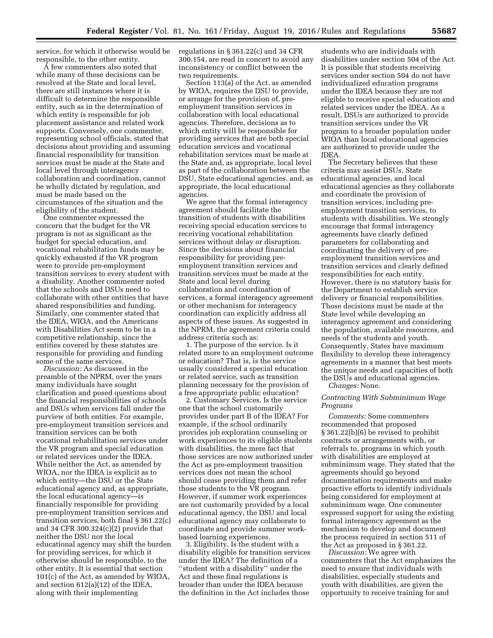service, for which it otherwise would be responsible, to the other entity.

A few commenters also noted that while many of these decisions can be resolved at the State and local level, there are still instances where it is difficult to determine the responsible entity, such as in the determination of which entity is responsible for job placement assistance and related work supports. Conversely, one commenter, representing school officials, stated that decisions about providing and assuming financial responsibility for transition services must be made at the State and local level through interagency collaboration and coordination, cannot be wholly dictated by regulation, and must be made based on the circumstances of the situation and the eligibility of the student.

One commenter expressed the concern that the budget for the VR program is not as significant as the budget for special education, and vocational rehabilitation funds may be quickly exhausted if the VR program were to provide pre-employment transition services to every student with a disability. Another commenter noted that the schools and DSUs need to collaborate with other entities that have shared responsibilities and funding. Similarly, one commenter stated that the IDEA, WIOA, and the Americans with Disabilities Act seem to be in a competitive relationship, since the entities covered by these statutes are responsible for providing and funding some of the same services.

*Discussion:* As discussed in the preamble of the NPRM, over the years many individuals have sought clarification and posed questions about the financial responsibilities of schools and DSUs when services fall under the purview of both entities. For example, pre-employment transition services and transition services can be both vocational rehabilitation services under the VR program and special education or related services under the IDEA. While neither the Act, as amended by WIOA, nor the IDEA is explicit as to which entity—the DSU or the State educational agency and, as appropriate, the local educational agency—is financially responsible for providing pre-employment transition services and transition services, both final § 361.22(c) and 34 CFR 300.324(c)(2) provide that neither the DSU nor the local educational agency may shift the burden for providing services, for which it otherwise should be responsible, to the other entity. It is essential that section 101(c) of the Act, as amended by WIOA, and section 612(a)(12) of the IDEA, along with their implementing

regulations in § 361.22(c) and 34 CFR 300.154, are read in concert to avoid any inconsistency or conflict between the two requirements.

Section 113(a) of the Act, as amended by WIOA, requires the DSU to provide, or arrange for the provision of, preemployment transition services in collaboration with local educational agencies. Therefore, decisions as to which entity will be responsible for providing services that are both special education services and vocational rehabilitation services must be made at the State and, as appropriate, local level as part of the collaboration between the DSU, State educational agencies, and, as appropriate, the local educational agencies.

We agree that the formal interagency agreement should facilitate the transition of students with disabilities receiving special education services to receiving vocational rehabilitation services without delay or disruption. Since the decisions about financial responsibility for providing preemployment transition services and transition services must be made at the State and local level during collaboration and coordination of services, a formal interagency agreement or other mechanism for interagency coordination can explicitly address all aspects of these issues. As suggested in the NPRM, the agreement criteria could address criteria such as:

1. The purpose of the service. Is it related more to an employment outcome or education? That is, is the service usually considered a special education or related service, such as transition planning necessary for the provision of a free appropriate public education?

2. Customary Services. Is the service one that the school customarily provides under part B of the IDEA? For example, if the school ordinarily provides job exploration counseling or work experiences to its eligible students with disabilities, the mere fact that those services are now authorized under the Act as pre-employment transition services does not mean the school should cease providing them and refer those students to the VR program. However, if summer work experiences are not customarily provided by a local educational agency, the DSU and local educational agency may collaborate to coordinate and provide summer workbased learning experiences.

3. Eligibility. Is the student with a disability eligible for transition services under the IDEA? The definition of a ''student with a disability'' under the Act and these final regulations is broader than under the IDEA because the definition in the Act includes those

students who are individuals with disabilities under section 504 of the Act. It is possible that students receiving services under section 504 do not have individualized education programs under the IDEA because they are not eligible to receive special education and related services under the IDEA. As a result, DSUs are authorized to provide transition services under the VR program to a broader population under WIOA than local educational agencies are authorized to provide under the IDEA.

The Secretary believes that these criteria may assist DSUs, State educational agencies, and local educational agencies as they collaborate and coordinate the provision of transition services, including preemployment transition services, to students with disabilities. We strongly encourage that formal interagency agreements have clearly defined parameters for collaborating and coordinating the delivery of preemployment transition services and transition services and clearly defined responsibilities for each entity. However, there is no statutory basis for the Department to establish service delivery or financial responsibilities. Those decisions must be made at the State level while developing an interagency agreement and considering the population, available resources, and needs of the students and youth. Consequently, States have maximum flexibility to develop these interagency agreements in a manner that best meets the unique needs and capacities of both the DSUs and educational agencies. *Changes:* None.

#### *Contracting With Subminimum Wage Programs*

*Comments:* Some commenters recommended that proposed § 361.22(b)(6) be revised to prohibit contracts or arrangements with, or referrals to, programs in which youth with disabilities are employed at subminimum wage. They stated that the agreements should go beyond documentation requirements and make proactive efforts to identify individuals being considered for employment at subminimum wage. One commenter expressed support for using the existing formal interagency agreement as the mechanism to develop and document the process required in section 511 of the Act as proposed in § 361.22.

*Discussion:* We agree with commenters that the Act emphasizes the need to ensure that individuals with disabilities, especially students and youth with disabilities, are given the opportunity to receive training for and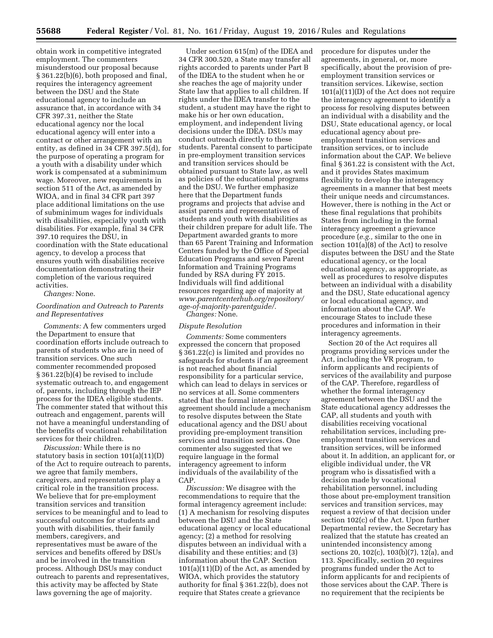obtain work in competitive integrated employment. The commenters misunderstood our proposal because § 361.22(b)(6), both proposed and final, requires the interagency agreement between the DSU and the State educational agency to include an assurance that, in accordance with 34 CFR 397.31, neither the State educational agency nor the local educational agency will enter into a contract or other arrangement with an entity, as defined in 34 CFR 397.5(d), for the purpose of operating a program for a youth with a disability under which work is compensated at a subminimum wage. Moreover, new requirements in section 511 of the Act, as amended by WIOA, and in final 34 CFR part 397 place additional limitations on the use of subminimum wages for individuals with disabilities, especially youth with disabilities. For example, final 34 CFR 397.10 requires the DSU, in coordination with the State educational agency, to develop a process that ensures youth with disabilities receive documentation demonstrating their completion of the various required activities.

#### *Changes:* None.

## *Coordination and Outreach to Parents and Representatives*

*Comments:* A few commenters urged the Department to ensure that coordination efforts include outreach to parents of students who are in need of transition services. One such commenter recommended proposed § 361.22(b)(4) be revised to include systematic outreach to, and engagement of, parents, including through the IEP process for the IDEA eligible students. The commenter stated that without this outreach and engagement, parents will not have a meaningful understanding of the benefits of vocational rehabilitation services for their children.

*Discussion:* While there is no statutory basis in section 101(a)(11)(D) of the Act to require outreach to parents, we agree that family members, caregivers, and representatives play a critical role in the transition process. We believe that for pre-employment transition services and transition services to be meaningful and to lead to successful outcomes for students and youth with disabilities, their family members, caregivers, and representatives must be aware of the services and benefits offered by DSUs and be involved in the transition process. Although DSUs may conduct outreach to parents and representatives, this activity may be affected by State laws governing the age of majority.

Under section 615(m) of the IDEA and 34 CFR 300.520, a State may transfer all rights accorded to parents under Part B of the IDEA to the student when he or she reaches the age of majority under State law that applies to all children. If rights under the IDEA transfer to the student, a student may have the right to make his or her own education, employment, and independent living decisions under the IDEA. DSUs may conduct outreach directly to these students. Parental consent to participate in pre-employment transition services and transition services should be obtained pursuant to State law, as well as policies of the educational programs and the DSU. We further emphasize here that the Department funds programs and projects that advise and assist parents and representatives of students and youth with disabilities as their children prepare for adult life. The Department awarded grants to more than 65 Parent Training and Information Centers funded by the Office of Special Education Programs and seven Parent Information and Training Programs funded by RSA during FY 2015. Individuals will find additional resources regarding age of majority at *[www.parentcenterhub.org/repository/](http://www.parentcenterhub.org/repository/age-of-majority-parentguide/)  [age-of-majority-parentguide/.](http://www.parentcenterhub.org/repository/age-of-majority-parentguide/) Changes:* None.

## *Dispute Resolution*

*Comments:* Some commenters expressed the concern that proposed § 361.22(c) is limited and provides no safeguards for students if an agreement is not reached about financial responsibility for a particular service, which can lead to delays in services or no services at all. Some commenters stated that the formal interagency agreement should include a mechanism to resolve disputes between the State educational agency and the DSU about providing pre-employment transition services and transition services. One commenter also suggested that we require language in the formal interagency agreement to inform individuals of the availability of the CAP.

*Discussion:* We disagree with the recommendations to require that the formal interagency agreement include: (1) A mechanism for resolving disputes between the DSU and the State educational agency or local educational agency; (2) a method for resolving disputes between an individual with a disability and these entities; and (3) information about the CAP. Section 101(a)(11)(D) of the Act, as amended by WIOA, which provides the statutory authority for final § 361.22(b), does not require that States create a grievance

procedure for disputes under the agreements, in general, or, more specifically, about the provision of preemployment transition services or transition services. Likewise, section 101(a)(11)(D) of the Act does not require the interagency agreement to identify a process for resolving disputes between an individual with a disability and the DSU, State educational agency, or local educational agency about preemployment transition services and transition services, or to include information about the CAP. We believe final § 361.22 is consistent with the Act, and it provides States maximum flexibility to develop the interagency agreements in a manner that best meets their unique needs and circumstances. However, there is nothing in the Act or these final regulations that prohibits States from including in the formal interagency agreement a grievance procedure (*e.g.,* similar to the one in section 101(a)(8) of the Act) to resolve disputes between the DSU and the State educational agency, or the local educational agency, as appropriate, as well as procedures to resolve disputes between an individual with a disability and the DSU, State educational agency or local educational agency, and information about the CAP. We encourage States to include these procedures and information in their interagency agreements.

Section 20 of the Act requires all programs providing services under the Act, including the VR program, to inform applicants and recipients of services of the availability and purpose of the CAP. Therefore, regardless of whether the formal interagency agreement between the DSU and the State educational agency addresses the CAP, all students and youth with disabilities receiving vocational rehabilitation services, including preemployment transition services and transition services, will be informed about it. In addition, an applicant for, or eligible individual under, the VR program who is dissatisfied with a decision made by vocational rehabilitation personnel, including those about pre-employment transition services and transition services, may request a review of that decision under section 102(c) of the Act. Upon further Departmental review, the Secretary has realized that the statute has created an unintended inconsistency among sections 20, 102(c), 103(b)(7), 12(a), and 113. Specifically, section 20 requires programs funded under the Act to inform applicants for and recipients of those services about the CAP. There is no requirement that the recipients be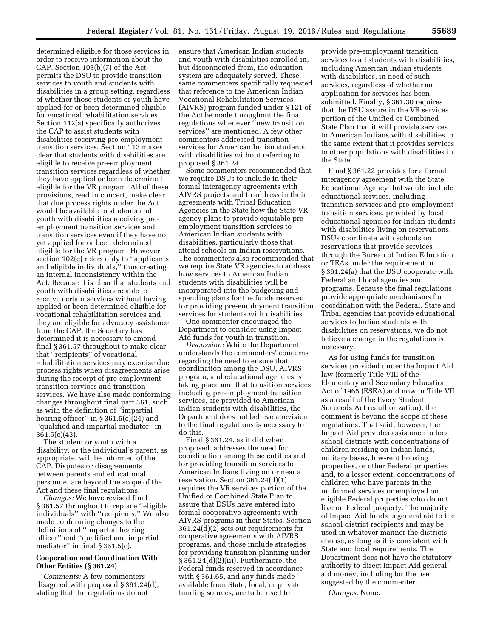determined eligible for those services in order to receive information about the CAP. Section 103(b)(7) of the Act permits the DSU to provide transition services to youth and students with disabilities in a group setting, regardless of whether those students or youth have applied for or been determined eligible for vocational rehabilitation services. Section 112(a) specifically authorizes the CAP to assist students with disabilities receiving pre-employment transition services. Section 113 makes clear that students with disabilities are eligible to receive pre-employment transition services regardless of whether they have applied or been determined eligible for the VR program. All of these provisions, read in concert, make clear that due process rights under the Act would be available to students and youth with disabilities receiving preemployment transition services and transition services even if they have not yet applied for or been determined eligible for the VR program. However, section 102(c) refers only to ''applicants and eligible individuals,'' thus creating an internal inconsistency within the Act. Because it is clear that students and youth with disabilities are able to receive certain services without having applied or been determined eligible for vocational rehabilitation services and they are eligible for advocacy assistance from the CAP, the Secretary has determined it is necessary to amend final § 361.57 throughout to make clear that ''recipients'' of vocational rehabilitation services may exercise due process rights when disagreements arise during the receipt of pre-employment transition services and transition services. We have also made conforming changes throughout final part 361, such as with the definition of ''impartial hearing officer'' in § 361.5(c)(24) and ''qualified and impartial mediator'' in  $361.5(c)(43)$ .

The student or youth with a disability, or the individual's parent, as appropriate, will be informed of the CAP. Disputes or disagreements between parents and educational personnel are beyond the scope of the Act and these final regulations.

*Changes:* We have revised final § 361.57 throughout to replace ''eligible individuals'' with ''recipients.'' We also made conforming changes to the definitions of ''impartial hearing officer'' and ''qualified and impartial mediator'' in final § 361.5(c).

## **Cooperation and Coordination With Other Entities (§ 361.24)**

*Comments:* A few commenters disagreed with proposed § 361.24(d), stating that the regulations do not

ensure that American Indian students and youth with disabilities enrolled in, but disconnected from, the education system are adequately served. These same commenters specifically requested that reference to the American Indian Vocational Rehabilitation Services (AIVRS) program funded under § 121 of the Act be made throughout the final regulations whenever "new transition services'' are mentioned. A few other commenters addressed transition services for American Indian students with disabilities without referring to proposed § 361.24.

Some commenters recommended that we require DSUs to include in their formal interagency agreements with AIVRS projects and to address in their agreements with Tribal Education Agencies in the State how the State VR agency plans to provide equitable preemployment transition services to American Indian students with disabilities, particularly those that attend schools on Indian reservations. The commenters also recommended that we require State VR agencies to address how services to American Indian students with disabilities will be incorporated into the budgeting and spending plans for the funds reserved for providing pre-employment transition services for students with disabilities.

One commenter encouraged the Department to consider using Impact Aid funds for youth in transition.

*Discussion:* While the Department understands the commenters' concerns regarding the need to ensure that coordination among the DSU, AIVRS program, and educational agencies is taking place and that transition services, including pre-employment transition services, are provided to American Indian students with disabilities, the Department does not believe a revision to the final regulations is necessary to do this.

Final § 361.24, as it did when proposed, addresses the need for coordination among these entities and for providing transition services to American Indians living on or near a reservation. Section 361.24(d)(1) requires the VR services portion of the Unified or Combined State Plan to assure that DSUs have entered into formal cooperative agreements with AIVRS programs in their States. Section 361.24(d)(2) sets out requirements for cooperative agreements with AIVRS programs, and those include strategies for providing transition planning under § 361.24(d)(2)(iii). Furthermore, the Federal funds reserved in accordance with § 361.65, and any funds made available from State, local, or private funding sources, are to be used to

provide pre-employment transition services to all students with disabilities, including American Indian students with disabilities, in need of such services, regardless of whether an application for services has been submitted. Finally, § 361.30 requires that the DSU assure in the VR services portion of the Unified or Combined State Plan that it will provide services to American Indians with disabilities to the same extent that it provides services to other populations with disabilities in the State.

Final § 361.22 provides for a formal interagency agreement with the State Educational Agency that would include educational services, including transition services and pre-employment transition services, provided by local educational agencies for Indian students with disabilities living on reservations. DSUs coordinate with schools on reservations that provide services through the Bureau of Indian Education or TEAs under the requirement in § 361.24(a) that the DSU cooperate with Federal and local agencies and programs. Because the final regulations provide appropriate mechanisms for coordination with the Federal, State and Tribal agencies that provide educational services to Indian students with disabilities on reservations, we do not believe a change in the regulations is necessary.

As for using funds for transition services provided under the Impact Aid law (formerly Title VIII of the Elementary and Secondary Education Act of 1965 (ESEA) and now in Title VII as a result of the Every Student Succeeds Act reauthorization), the comment is beyond the scope of these regulations. That said, however, the Impact Aid provides assistance to local school districts with concentrations of children residing on Indian lands, military bases, low-rent housing properties, or other Federal properties and, to a lesser extent, concentrations of children who have parents in the uniformed services or employed on eligible Federal properties who do not live on Federal property. The majority of Impact Aid funds is general aid to the school district recipients and may be used in whatever manner the districts choose, as long as it is consistent with State and local requirements. The Department does not have the statutory authority to direct Impact Aid general aid money, including for the use suggested by the commenter.

*Changes:* None.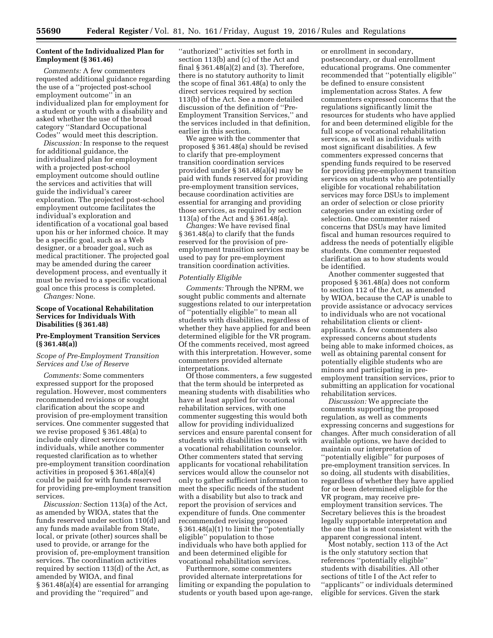## **Content of the Individualized Plan for Employment (§ 361.46)**

*Comments:* A few commenters requested additional guidance regarding the use of a ''projected post-school employment outcome'' in an individualized plan for employment for a student or youth with a disability and asked whether the use of the broad category ''Standard Occupational Codes'' would meet this description.

*Discussion:* In response to the request for additional guidance, the individualized plan for employment with a projected post-school employment outcome should outline the services and activities that will guide the individual's career exploration. The projected post-school employment outcome facilitates the individual's exploration and identification of a vocational goal based upon his or her informed choice. It may be a specific goal, such as a Web designer, or a broader goal, such as medical practitioner. The projected goal may be amended during the career development process, and eventually it must be revised to a specific vocational goal once this process is completed. *Changes:* None.

## **Scope of Vocational Rehabilitation Services for Individuals With Disabilities (§ 361.48)**

## **Pre-Employment Transition Services (§ 361.48(a))**

## *Scope of Pre-Employment Transition Services and Use of Reserve*

*Comments:* Some commenters expressed support for the proposed regulation. However, most commenters recommended revisions or sought clarification about the scope and provision of pre-employment transition services. One commenter suggested that we revise proposed § 361.48(a) to include only direct services to individuals, while another commenter requested clarification as to whether pre-employment transition coordination activities in proposed § 361.48(a)(4) could be paid for with funds reserved for providing pre-employment transition services.

*Discussion:* Section 113(a) of the Act, as amended by WIOA, states that the funds reserved under section 110(d) and any funds made available from State, local, or private (other) sources shall be used to provide, or arrange for the provision of, pre-employment transition services. The coordination activities required by section 113(d) of the Act, as amended by WIOA, and final § 361.48(a)(4) are essential for arranging and providing the ''required'' and

''authorized'' activities set forth in section 113(b) and (c) of the Act and final § 361.48(a)(2) and (3). Therefore, there is no statutory authority to limit the scope of final 361.48(a) to only the direct services required by section 113(b) of the Act. See a more detailed discussion of the definition of ''Pre-Employment Transition Services,'' and the services included in that definition, earlier in this section.

We agree with the commenter that proposed § 361.48(a) should be revised to clarify that pre-employment transition coordination services provided under § 361.48(a)(4) may be paid with funds reserved for providing pre-employment transition services, because coordination activities are essential for arranging and providing those services, as required by section 113(a) of the Act and § 361.48(a).

*Changes:* We have revised final § 361.48(a) to clarify that the funds reserved for the provision of preemployment transition services may be used to pay for pre-employment transition coordination activities.

#### *Potentially Eligible*

*Comments:* Through the NPRM, we sought public comments and alternate suggestions related to our interpretation of ''potentially eligible'' to mean all students with disabilities, regardless of whether they have applied for and been determined eligible for the VR program. Of the comments received, most agreed with this interpretation. However, some commenters provided alternate interpretations.

Of those commenters, a few suggested that the term should be interpreted as meaning students with disabilities who have at least applied for vocational rehabilitation services, with one commenter suggesting this would both allow for providing individualized services and ensure parental consent for students with disabilities to work with a vocational rehabilitation counselor. Other commenters stated that serving applicants for vocational rehabilitation services would allow the counselor not only to gather sufficient information to meet the specific needs of the student with a disability but also to track and report the provision of services and expenditure of funds. One commenter recommended revising proposed § 361.48(a)(1) to limit the ''potentially eligible'' population to those individuals who have both applied for and been determined eligible for vocational rehabilitation services.

Furthermore, some commenters provided alternate interpretations for limiting or expanding the population to students or youth based upon age-range,

or enrollment in secondary, postsecondary, or dual enrollment educational programs. One commenter recommended that ''potentially eligible'' be defined to ensure consistent implementation across States. A few commenters expressed concerns that the regulations significantly limit the resources for students who have applied for and been determined eligible for the full scope of vocational rehabilitation services, as well as individuals with most significant disabilities. A few commenters expressed concerns that spending funds required to be reserved for providing pre-employment transition services on students who are potentially eligible for vocational rehabilitation services may force DSUs to implement an order of selection or close priority categories under an existing order of selection. One commenter raised concerns that DSUs may have limited fiscal and human resources required to address the needs of potentially eligible students. One commenter requested clarification as to how students would be identified.

Another commenter suggested that proposed § 361.48(a) does not conform to section 112 of the Act, as amended by WIOA, because the CAP is unable to provide assistance or advocacy services to individuals who are not vocational rehabilitation clients or clientapplicants. A few commenters also expressed concerns about students being able to make informed choices, as well as obtaining parental consent for potentially eligible students who are minors and participating in preemployment transition services, prior to submitting an application for vocational rehabilitation services.

*Discussion:* We appreciate the comments supporting the proposed regulation, as well as comments expressing concerns and suggestions for changes. After much consideration of all available options, we have decided to maintain our interpretation of ''potentially eligible'' for purposes of pre-employment transition services. In so doing, all students with disabilities, regardless of whether they have applied for or been determined eligible for the VR program, may receive preemployment transition services. The Secretary believes this is the broadest legally supportable interpretation and the one that is most consistent with the apparent congressional intent.

Most notably, section 113 of the Act is the only statutory section that references ''potentially eligible'' students with disabilities. All other sections of title I of the Act refer to ''applicants'' or individuals determined eligible for services. Given the stark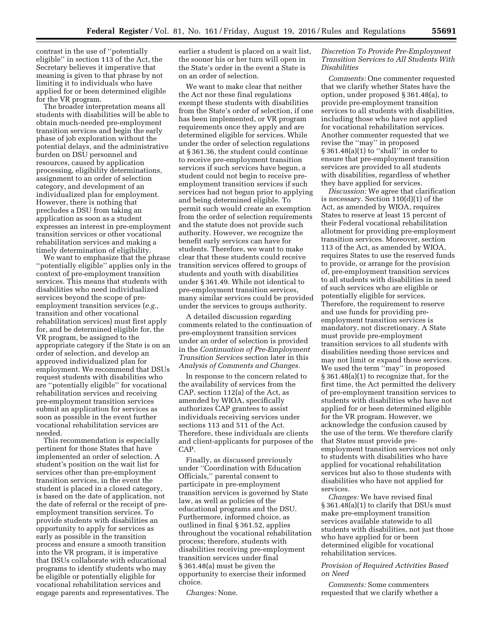contrast in the use of ''potentially eligible'' in section 113 of the Act, the Secretary believes it imperative that meaning is given to that phrase by not limiting it to individuals who have applied for or been determined eligible for the VR program.

The broader interpretation means all students with disabilities will be able to obtain much-needed pre-employment transition services and begin the early phase of job exploration without the potential delays, and the administrative burden on DSU personnel and resources, caused by application processing, eligibility determinations, assignment to an order of selection category, and development of an individualized plan for employment. However, there is nothing that precludes a DSU from taking an application as soon as a student expresses an interest in pre-employment transition services or other vocational rehabilitation services and making a timely determination of eligibility.

We want to emphasize that the phrase ''potentially eligible'' applies only in the context of pre-employment transition services. This means that students with disabilities who need individualized services beyond the scope of preemployment transition services (*e.g.,*  transition and other vocational rehabilitation services) must first apply for, and be determined eligible for, the VR program, be assigned to the appropriate category if the State is on an order of selection, and develop an approved individualized plan for employment. We recommend that DSUs request students with disabilities who are ''potentially eligible'' for vocational rehabilitation services and receiving pre-employment transition services submit an application for services as soon as possible in the event further vocational rehabilitation services are needed.

This recommendation is especially pertinent for those States that have implemented an order of selection. A student's position on the wait list for services other than pre-employment transition services, in the event the student is placed in a closed category, is based on the date of application, not the date of referral or the receipt of preemployment transition services. To provide students with disabilities an opportunity to apply for services as early as possible in the transition process and ensure a smooth transition into the VR program, it is imperative that DSUs collaborate with educational programs to identify students who may be eligible or potentially eligible for vocational rehabilitation services and engage parents and representatives. The earlier a student is placed on a wait list, the sooner his or her turn will open in the State's order in the event a State is on an order of selection.

We want to make clear that neither the Act nor these final regulations exempt these students with disabilities from the State's order of selection, if one has been implemented, or VR program requirements once they apply and are determined eligible for services. While under the order of selection regulations at § 361.36, the student could continue to receive pre-employment transition services if such services have begun, a student could not begin to receive preemployment transition services if such services had not begun prior to applying and being determined eligible. To permit such would create an exemption from the order of selection requirements and the statute does not provide such authority. However, we recognize the benefit early services can have for students. Therefore, we want to make clear that these students could receive transition services offered to groups of students and youth with disabilities under § 361.49. While not identical to pre-employment transition services, many similar services could be provided under the services to groups authority.

A detailed discussion regarding comments related to the continuation of pre-employment transition services under an order of selection is provided in the *Continuation of Pre-Employment Transition Services* section later in this *Analysis of Comments and Changes.* 

In response to the concern related to the availability of services from the CAP, section 112(a) of the Act, as amended by WIOA, specifically authorizes CAP grantees to assist individuals receiving services under sections 113 and 511 of the Act. Therefore, these individuals are clients and client-applicants for purposes of the CAP.

Finally, as discussed previously under ''Coordination with Education Officials,'' parental consent to participate in pre-employment transition services is governed by State law, as well as policies of the educational programs and the DSU. Furthermore, informed choice, as outlined in final § 361.52, applies throughout the vocational rehabilitation process; therefore, students with disabilities receiving pre-employment transition services under final § 361.48(a) must be given the opportunity to exercise their informed choice.

*Changes:* None.

## *Discretion To Provide Pre-Employment Transition Services to All Students With Disabilities*

*Comments:* One commenter requested that we clarify whether States have the option, under proposed § 361.48(a), to provide pre-employment transition services to all students with disabilities, including those who have not applied for vocational rehabilitation services. Another commenter requested that we revise the ''may'' in proposed § 361.48(a)(1) to ''shall'' in order to ensure that pre-employment transition services are provided to all students with disabilities, regardless of whether they have applied for services.

*Discussion:* We agree that clarification is necessary. Section 110(d)(1) of the Act, as amended by WIOA, requires States to reserve at least 15 percent of their Federal vocational rehabilitation allotment for providing pre-employment transition services. Moreover, section 113 of the Act, as amended by WIOA, requires States to use the reserved funds to provide, or arrange for the provision of, pre-employment transition services to all students with disabilities in need of such services who are eligible or potentially eligible for services. Therefore, the requirement to reserve and use funds for providing preemployment transition services is mandatory, not discretionary. A State must provide pre-employment transition services to all students with disabilities needing those services and may not limit or expand those services. We used the term ''may'' in proposed § 361.48(a)(1) to recognize that, for the first time, the Act permitted the delivery of pre-employment transition services to students with disabilities who have not applied for or been determined eligible for the VR program. However, we acknowledge the confusion caused by the use of the term. We therefore clarify that States must provide preemployment transition services not only to students with disabilities who have applied for vocational rehabilitation services but also to those students with disabilities who have not applied for services.

*Changes:* We have revised final § 361.48(a)(1) to clarify that DSUs must make pre-employment transition services available statewide to all students with disabilities, not just those who have applied for or been determined eligible for vocational rehabilitation services.

## *Provision of Required Activities Based on Need*

*Comments:* Some commenters requested that we clarify whether a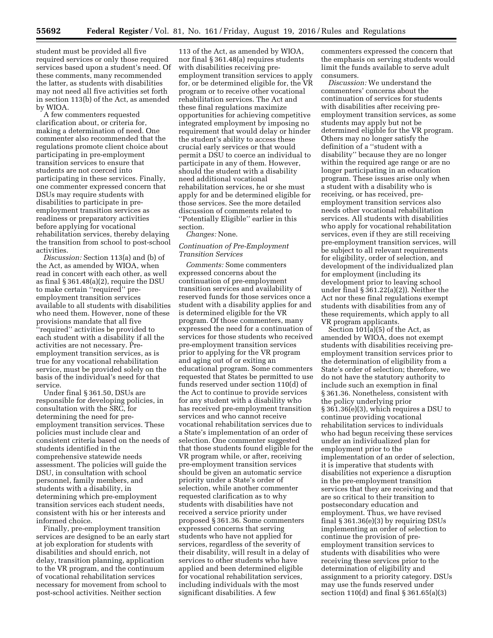student must be provided all five required services or only those required services based upon a student's need. Of these comments, many recommended the latter, as students with disabilities may not need all five activities set forth in section 113(b) of the Act, as amended by WIOA.

A few commenters requested clarification about, or criteria for, making a determination of need. One commenter also recommended that the regulations promote client choice about participating in pre-employment transition services to ensure that students are not coerced into participating in these services. Finally, one commenter expressed concern that DSUs may require students with disabilities to participate in preemployment transition services as readiness or preparatory activities before applying for vocational rehabilitation services, thereby delaying the transition from school to post-school activities.

*Discussion:* Section 113(a) and (b) of the Act, as amended by WIOA, when read in concert with each other, as well as final § 361.48(a)(2), require the DSU to make certain ''required'' preemployment transition services available to all students with disabilities who need them. However, none of these provisions mandate that all five ''required'' activities be provided to each student with a disability if all the activities are not necessary. Preemployment transition services, as is true for any vocational rehabilitation service, must be provided solely on the basis of the individual's need for that service.

Under final § 361.50, DSUs are responsible for developing policies, in consultation with the SRC, for determining the need for preemployment transition services. These policies must include clear and consistent criteria based on the needs of students identified in the comprehensive statewide needs assessment. The policies will guide the DSU, in consultation with school personnel, family members, and students with a disability, in determining which pre-employment transition services each student needs, consistent with his or her interests and informed choice.

Finally, pre-employment transition services are designed to be an early start at job exploration for students with disabilities and should enrich, not delay, transition planning, application to the VR program, and the continuum of vocational rehabilitation services necessary for movement from school to post-school activities. Neither section

113 of the Act, as amended by WIOA, nor final § 361.48(a) requires students with disabilities receiving preemployment transition services to apply for, or be determined eligible for, the VR program or to receive other vocational rehabilitation services. The Act and these final regulations maximize opportunities for achieving competitive integrated employment by imposing no requirement that would delay or hinder the student's ability to access these crucial early services or that would permit a DSU to coerce an individual to participate in any of them. However, should the student with a disability need additional vocational rehabilitation services, he or she must apply for and be determined eligible for those services. See the more detailed discussion of comments related to ''Potentially Eligible'' earlier in this section.

*Changes:* None.

## *Continuation of Pre-Employment Transition Services*

*Comments:* Some commenters expressed concerns about the continuation of pre-employment transition services and availability of reserved funds for those services once a student with a disability applies for and is determined eligible for the VR program. Of those commenters, many expressed the need for a continuation of services for those students who received pre-employment transition services prior to applying for the VR program and aging out of or exiting an educational program. Some commenters requested that States be permitted to use funds reserved under section 110(d) of the Act to continue to provide services for any student with a disability who has received pre-employment transition services and who cannot receive vocational rehabilitation services due to a State's implementation of an order of selection. One commenter suggested that those students found eligible for the VR program while, or after, receiving pre-employment transition services should be given an automatic service priority under a State's order of selection, while another commenter requested clarification as to why students with disabilities have not received a service priority under proposed § 361.36. Some commenters expressed concerns that serving students who have not applied for services, regardless of the severity of their disability, will result in a delay of services to other students who have applied and been determined eligible for vocational rehabilitation services, including individuals with the most significant disabilities. A few

commenters expressed the concern that the emphasis on serving students would limit the funds available to serve adult consumers.

*Discussion:* We understand the commenters' concerns about the continuation of services for students with disabilities after receiving preemployment transition services, as some students may apply but not be determined eligible for the VR program. Others may no longer satisfy the definition of a ''student with a disability'' because they are no longer within the required age range or are no longer participating in an education program. These issues arise only when a student with a disability who is receiving, or has received, preemployment transition services also needs other vocational rehabilitation services. All students with disabilities who apply for vocational rehabilitation services, even if they are still receiving pre-employment transition services, will be subject to all relevant requirements for eligibility, order of selection, and development of the individualized plan for employment (including its development prior to leaving school under final § 361.22(a)(2)). Neither the Act nor these final regulations exempt students with disabilities from any of these requirements, which apply to all VR program applicants.

Section  $101(a)(5)$  of the Act, as amended by WIOA, does not exempt students with disabilities receiving preemployment transition services prior to the determination of eligibility from a State's order of selection; therefore, we do not have the statutory authority to include such an exemption in final § 361.36. Nonetheless, consistent with the policy underlying prior § 361.36(e)(3), which requires a DSU to continue providing vocational rehabilitation services to individuals who had begun receiving these services under an individualized plan for employment prior to the implementation of an order of selection, it is imperative that students with disabilities not experience a disruption in the pre-employment transition services that they are receiving and that are so critical to their transition to postsecondary education and employment. Thus, we have revised final § 361.36(e)(3) by requiring DSUs implementing an order of selection to continue the provision of preemployment transition services to students with disabilities who were receiving these services prior to the determination of eligibility and assignment to a priority category. DSUs may use the funds reserved under section 110(d) and final § 361.65(a)(3)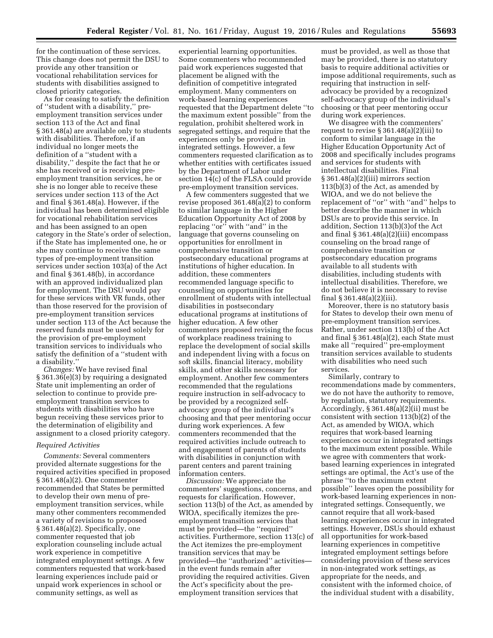for the continuation of these services. This change does not permit the DSU to provide any other transition or vocational rehabilitation services for students with disabilities assigned to closed priority categories.

As for ceasing to satisfy the definition of ''student with a disability,'' preemployment transition services under section 113 of the Act and final § 361.48(a) are available only to students with disabilities. Therefore, if an individual no longer meets the definition of a ''student with a disability,'' despite the fact that he or she has received or is receiving preemployment transition services, he or she is no longer able to receive these services under section 113 of the Act and final § 361.48(a). However, if the individual has been determined eligible for vocational rehabilitation services and has been assigned to an open category in the State's order of selection, if the State has implemented one, he or she may continue to receive the same types of pre-employment transition services under section 103(a) of the Act and final § 361.48(b), in accordance with an approved individualized plan for employment. The DSU would pay for these services with VR funds, other than those reserved for the provision of pre-employment transition services under section 113 of the Act because the reserved funds must be used solely for the provision of pre-employment transition services to individuals who satisfy the definition of a ''student with a disability.''

*Changes:* We have revised final § 361.36(e)(3) by requiring a designated State unit implementing an order of selection to continue to provide preemployment transition services to students with disabilities who have begun receiving these services prior to the determination of eligibility and assignment to a closed priority category.

#### *Required Activities*

*Comments:* Several commenters provided alternate suggestions for the required activities specified in proposed § 361.48(a)(2). One commenter recommended that States be permitted to develop their own menu of preemployment transition services, while many other commenters recommended a variety of revisions to proposed § 361.48(a)(2). Specifically, one commenter requested that job exploration counseling include actual work experience in competitive integrated employment settings. A few commenters requested that work-based learning experiences include paid or unpaid work experiences in school or community settings, as well as

experiential learning opportunities. Some commenters who recommended paid work experiences suggested that placement be aligned with the definition of competitive integrated employment. Many commenters on work-based learning experiences requested that the Department delete ''to the maximum extent possible'' from the regulation, prohibit sheltered work in segregated settings, and require that the experiences only be provided in integrated settings. However, a few commenters requested clarification as to whether entities with certificates issued by the Department of Labor under section 14(c) of the FLSA could provide pre-employment transition services.

A few commenters suggested that we revise proposed 361.48(a)(2) to conform to similar language in the Higher Education Opportunity Act of 2008 by replacing "or" with "and" in the language that governs counseling on opportunities for enrollment in comprehensive transition or postsecondary educational programs at institutions of higher education. In addition, these commenters recommended language specific to counseling on opportunities for enrollment of students with intellectual disabilities in postsecondary educational programs at institutions of higher education. A few other commenters proposed revising the focus of workplace readiness training to replace the development of social skills and independent living with a focus on soft skills, financial literacy, mobility skills, and other skills necessary for employment. Another few commenters recommended that the regulations require instruction in self-advocacy to be provided by a recognized selfadvocacy group of the individual's choosing and that peer mentoring occur during work experiences. A few commenters recommended that the required activities include outreach to and engagement of parents of students with disabilities in conjunction with parent centers and parent training information centers.

*Discussion:* We appreciate the commenters' suggestions, concerns, and requests for clarification. However, section 113(b) of the Act, as amended by WIOA, specifically itemizes the preemployment transition services that must be provided—the ''required'' activities. Furthermore, section 113(c) of the Act itemizes the pre-employment transition services that may be provided—the ''authorized'' activities in the event funds remain after providing the required activities. Given the Act's specificity about the preemployment transition services that

must be provided, as well as those that may be provided, there is no statutory basis to require additional activities or impose additional requirements, such as requiring that instruction in selfadvocacy be provided by a recognized self-advocacy group of the individual's choosing or that peer mentoring occur during work experiences.

We disagree with the commenters' request to revise  $\S 361.48(a)(2)(iii)$  to conform to similar language in the Higher Education Opportunity Act of 2008 and specifically includes programs and services for students with intellectual disabilities. Final § 361.48(a)(2)(iii) mirrors section 113(b)(3) of the Act, as amended by WIOA, and we do not believe the replacement of ''or'' with ''and'' helps to better describe the manner in which DSUs are to provide this service. In addition, Section 113(b)(3)of the Act and final § 361.48(a)(2)(iii) encompass counseling on the broad range of comprehensive transition or postsecondary education programs available to all students with disabilities, including students with intellectual disabilities. Therefore, we do not believe it is necessary to revise final § 361.48(a)(2)(iii).

Moreover, there is no statutory basis for States to develop their own menu of pre-employment transition services. Rather, under section 113(b) of the Act and final § 361.48(a)(2), each State must make all ''required'' pre-employment transition services available to students with disabilities who need such services.

Similarly, contrary to recommendations made by commenters, we do not have the authority to remove, by regulation, statutory requirements. Accordingly,  $\S 361.48(a)(2)$ (ii) must be consistent with section 113(b)(2) of the Act, as amended by WIOA, which requires that work-based learning experiences occur in integrated settings to the maximum extent possible. While we agree with commenters that workbased learning experiences in integrated settings are optimal, the Act's use of the phrase ''to the maximum extent possible'' leaves open the possibility for work-based learning experiences in nonintegrated settings. Consequently, we cannot require that all work-based learning experiences occur in integrated settings. However, DSUs should exhaust all opportunities for work-based learning experiences in competitive integrated employment settings before considering provision of these services in non-integrated work settings, as appropriate for the needs, and consistent with the informed choice, of the individual student with a disability,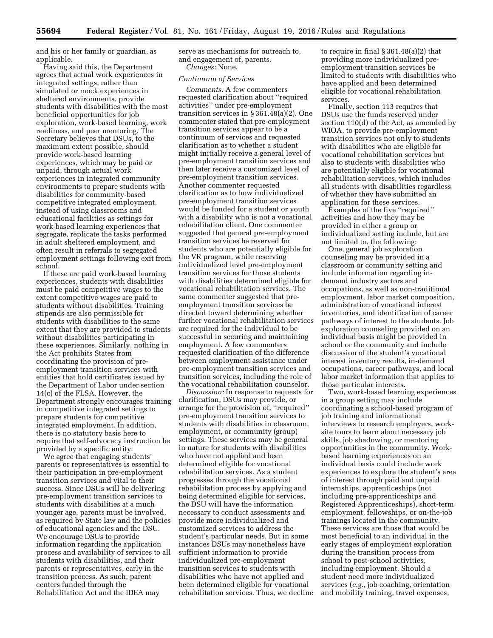and his or her family or guardian, as applicable.

Having said this, the Department agrees that actual work experiences in integrated settings, rather than simulated or mock experiences in sheltered environments, provide students with disabilities with the most beneficial opportunities for job exploration, work-based learning, work readiness, and peer mentoring. The Secretary believes that DSUs, to the maximum extent possible, should provide work-based learning experiences, which may be paid or unpaid, through actual work experiences in integrated community environments to prepare students with disabilities for community-based competitive integrated employment, instead of using classrooms and educational facilities as settings for work-based learning experiences that segregate, replicate the tasks performed in adult sheltered employment, and often result in referrals to segregated employment settings following exit from school.

If these are paid work-based learning experiences, students with disabilities must be paid competitive wages to the extent competitive wages are paid to students without disabilities. Training stipends are also permissible for students with disabilities to the same extent that they are provided to students without disabilities participating in these experiences. Similarly, nothing in the Act prohibits States from coordinating the provision of preemployment transition services with entities that hold certificates issued by the Department of Labor under section 14(c) of the FLSA. However, the Department strongly encourages training in competitive integrated settings to prepare students for competitive integrated employment. In addition, there is no statutory basis here to require that self-advocacy instruction be provided by a specific entity.

We agree that engaging students' parents or representatives is essential to their participation in pre-employment transition services and vital to their success. Since DSUs will be delivering pre-employment transition services to students with disabilities at a much younger age, parents must be involved, as required by State law and the policies of educational agencies and the DSU. We encourage DSUs to provide information regarding the application process and availability of services to all students with disabilities, and their parents or representatives, early in the transition process. As such, parent centers funded through the Rehabilitation Act and the IDEA may

serve as mechanisms for outreach to, and engagement of, parents. *Changes:* None.

## *Continuum of Services*

*Comments:* A few commenters requested clarification about ''required activities'' under pre-employment transition services in § 361.48(a)(2). One commenter stated that pre-employment transition services appear to be a continuum of services and requested clarification as to whether a student might initially receive a general level of pre-employment transition services and then later receive a customized level of pre-employment transition services. Another commenter requested clarification as to how individualized pre-employment transition services would be funded for a student or youth with a disability who is not a vocational rehabilitation client. One commenter suggested that general pre-employment transition services be reserved for students who are potentially eligible for the VR program, while reserving individualized level pre-employment transition services for those students with disabilities determined eligible for vocational rehabilitation services. The same commenter suggested that preemployment transition services be directed toward determining whether further vocational rehabilitation services are required for the individual to be successful in securing and maintaining employment. A few commenters requested clarification of the difference between employment assistance under pre-employment transition services and transition services, including the role of the vocational rehabilitation counselor.

*Discussion:* In response to requests for clarification, DSUs may provide, or arrange for the provision of, ''required'' pre-employment transition services to students with disabilities in classroom, employment, or community (group) settings. These services may be general in nature for students with disabilities who have not applied and been determined eligible for vocational rehabilitation services. As a student progresses through the vocational rehabilitation process by applying and being determined eligible for services, the DSU will have the information necessary to conduct assessments and provide more individualized and customized services to address the student's particular needs. But in some instances DSUs may nonetheless have sufficient information to provide individualized pre-employment transition services to students with disabilities who have not applied and been determined eligible for vocational rehabilitation services. Thus, we decline

to require in final § 361.48(a)(2) that providing more individualized preemployment transition services be limited to students with disabilities who have applied and been determined eligible for vocational rehabilitation services.

Finally, section 113 requires that DSUs use the funds reserved under section 110(d) of the Act, as amended by WIOA, to provide pre-employment transition services not only to students with disabilities who are eligible for vocational rehabilitation services but also to students with disabilities who are potentially eligible for vocational rehabilitation services, which includes all students with disabilities regardless of whether they have submitted an application for these services.

Examples of the five ''required'' activities and how they may be provided in either a group or individualized setting include, but are not limited to, the following:

One, general job exploration counseling may be provided in a classroom or community setting and include information regarding indemand industry sectors and occupations, as well as non-traditional employment, labor market composition, administration of vocational interest inventories, and identification of career pathways of interest to the students. Job exploration counseling provided on an individual basis might be provided in school or the community and include discussion of the student's vocational interest inventory results, in-demand occupations, career pathways, and local labor market information that applies to those particular interests.

Two, work-based learning experiences in a group setting may include coordinating a school-based program of job training and informational interviews to research employers, worksite tours to learn about necessary job skills, job shadowing, or mentoring opportunities in the community. Workbased learning experiences on an individual basis could include work experiences to explore the student's area of interest through paid and unpaid internships, apprenticeships (not including pre-apprenticeships and Registered Apprenticeships), short-term employment, fellowships, or on-the-job trainings located in the community. These services are those that would be most beneficial to an individual in the early stages of employment exploration during the transition process from school to post-school activities, including employment. Should a student need more individualized services (*e.g.,* job coaching, orientation and mobility training, travel expenses,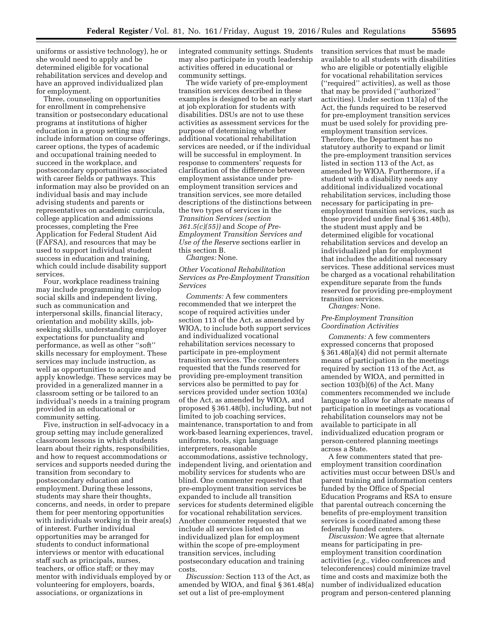uniforms or assistive technology), he or she would need to apply and be determined eligible for vocational rehabilitation services and develop and have an approved individualized plan for employment.

Three, counseling on opportunities for enrollment in comprehensive transition or postsecondary educational programs at institutions of higher education in a group setting may include information on course offerings, career options, the types of academic and occupational training needed to succeed in the workplace, and postsecondary opportunities associated with career fields or pathways. This information may also be provided on an individual basis and may include advising students and parents or representatives on academic curricula, college application and admissions processes, completing the Free Application for Federal Student Aid (FAFSA), and resources that may be used to support individual student success in education and training, which could include disability support services.

Four, workplace readiness training may include programming to develop social skills and independent living, such as communication and interpersonal skills, financial literacy, orientation and mobility skills, jobseeking skills, understanding employer expectations for punctuality and performance, as well as other ''soft'' skills necessary for employment. These services may include instruction, as well as opportunities to acquire and apply knowledge. These services may be provided in a generalized manner in a classroom setting or be tailored to an individual's needs in a training program provided in an educational or community setting.

Five, instruction in self-advocacy in a group setting may include generalized classroom lessons in which students learn about their rights, responsibilities, and how to request accommodations or services and supports needed during the transition from secondary to postsecondary education and employment. During these lessons, students may share their thoughts, concerns, and needs, in order to prepare them for peer mentoring opportunities with individuals working in their area(s) of interest. Further individual opportunities may be arranged for students to conduct informational interviews or mentor with educational staff such as principals, nurses, teachers, or office staff; or they may mentor with individuals employed by or volunteering for employers, boards, associations, or organizations in

integrated community settings. Students may also participate in youth leadership activities offered in educational or community settings.

The wide variety of pre-employment transition services described in these examples is designed to be an early start at job exploration for students with disabilities. DSUs are not to use these activities as assessment services for the purpose of determining whether additional vocational rehabilitation services are needed, or if the individual will be successful in employment. In response to commenters' requests for clarification of the difference between employment assistance under preemployment transition services and transition services, see more detailed descriptions of the distinctions between the two types of services in the *Transition Services (section 361.5(c)(55))* and *Scope of Pre-Employment Transition Services and Use of the Reserve* sections earlier in this section B.

*Changes:* None.

*Other Vocational Rehabilitation Services as Pre-Employment Transition Services* 

*Comments:* A few commenters recommended that we interpret the scope of required activities under section 113 of the Act, as amended by WIOA, to include both support services and individualized vocational rehabilitation services necessary to participate in pre-employment transition services. The commenters requested that the funds reserved for providing pre-employment transition services also be permitted to pay for services provided under section 103(a) of the Act, as amended by WIOA, and proposed § 361.48(b), including, but not limited to job coaching services, maintenance, transportation to and from work-based learning experiences, travel, uniforms, tools, sign language interpreters, reasonable accommodations, assistive technology, independent living, and orientation and mobility services for students who are blind. One commenter requested that pre-employment transition services be expanded to include all transition services for students determined eligible for vocational rehabilitation services. Another commenter requested that we include all services listed on an individualized plan for employment within the scope of pre-employment transition services, including postsecondary education and training costs.

*Discussion:* Section 113 of the Act, as amended by WIOA, and final § 361.48(a) set out a list of pre-employment

transition services that must be made available to all students with disabilities who are eligible or potentially eligible for vocational rehabilitation services (''required'' activities), as well as those that may be provided (''authorized'' activities). Under section 113(a) of the Act, the funds required to be reserved for pre-employment transition services must be used solely for providing preemployment transition services. Therefore, the Department has no statutory authority to expand or limit the pre-employment transition services listed in section 113 of the Act, as amended by WIOA. Furthermore, if a student with a disability needs any additional individualized vocational rehabilitation services, including those necessary for participating in preemployment transition services, such as those provided under final § 361.48(b), the student must apply and be determined eligible for vocational rehabilitation services and develop an individualized plan for employment that includes the additional necessary services. These additional services must be charged as a vocational rehabilitation expenditure separate from the funds reserved for providing pre-employment transition services.

*Changes:* None.

## *Pre-Employment Transition Coordination Activities*

*Comments:* A few commenters expressed concerns that proposed § 361.48(a)(4) did not permit alternate means of participation in the meetings required by section 113 of the Act, as amended by WIOA, and permitted in section 103(b)(6) of the Act. Many commenters recommended we include language to allow for alternate means of participation in meetings as vocational rehabilitation counselors may not be available to participate in all individualized education program or person-centered planning meetings across a State.

A few commenters stated that preemployment transition coordination activities must occur between DSUs and parent training and information centers funded by the Office of Special Education Programs and RSA to ensure that parental outreach concerning the benefits of pre-employment transition services is coordinated among these federally funded centers.

*Discussion:* We agree that alternate means for participating in preemployment transition coordination activities (*e.g.,* video conferences and teleconferences) could minimize travel time and costs and maximize both the number of individualized education program and person-centered planning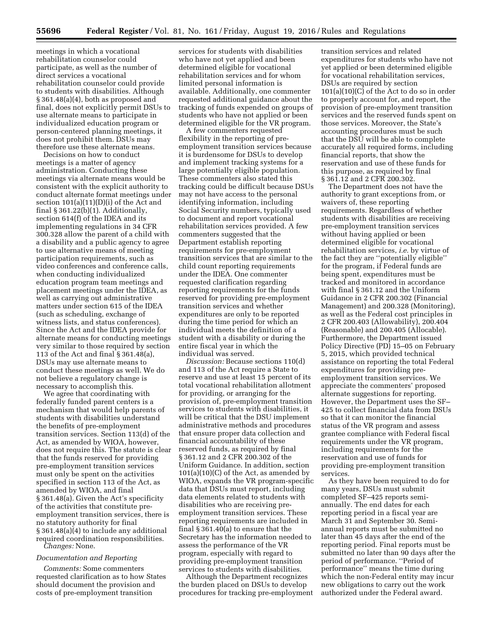meetings in which a vocational rehabilitation counselor could participate, as well as the number of direct services a vocational rehabilitation counselor could provide to students with disabilities. Although § 361.48(a)(4), both as proposed and final, does not explicitly permit DSUs to use alternate means to participate in individualized education program or person-centered planning meetings, it does not prohibit them. DSUs may therefore use these alternate means.

Decisions on how to conduct meetings is a matter of agency administration. Conducting these meetings via alternate means would be consistent with the explicit authority to conduct alternate format meetings under section  $101(a)(11)(D)(i)$  of the Act and final § 361.22(b)(1). Additionally, section 614(f) of the IDEA and its implementing regulations in 34 CFR 300.328 allow the parent of a child with a disability and a public agency to agree to use alternative means of meeting participation requirements, such as video conferences and conference calls, when conducting individualized education program team meetings and placement meetings under the IDEA, as well as carrying out administrative matters under section 615 of the IDEA (such as scheduling, exchange of witness lists, and status conferences). Since the Act and the IDEA provide for alternate means for conducting meetings very similar to those required by section 113 of the Act and final § 361.48(a), DSUs may use alternate means to conduct these meetings as well. We do not believe a regulatory change is necessary to accomplish this.

We agree that coordinating with federally funded parent centers is a mechanism that would help parents of students with disabilities understand the benefits of pre-employment transition services. Section 113(d) of the Act, as amended by WIOA, however, does not require this. The statute is clear that the funds reserved for providing pre-employment transition services must only be spent on the activities specified in section 113 of the Act, as amended by WIOA, and final § 361.48(a). Given the Act's specificity of the activities that constitute preemployment transition services, there is no statutory authority for final § 361.48(a)(4) to include any additional required coordination responsibilities. *Changes:* None.

#### *Documentation and Reporting*

*Comments:* Some commenters requested clarification as to how States should document the provision and costs of pre-employment transition

services for students with disabilities who have not yet applied and been determined eligible for vocational rehabilitation services and for whom limited personal information is available. Additionally, one commenter requested additional guidance about the tracking of funds expended on groups of students who have not applied or been determined eligible for the VR program.

A few commenters requested flexibility in the reporting of preemployment transition services because it is burdensome for DSUs to develop and implement tracking systems for a large potentially eligible population. These commenters also stated this tracking could be difficult because DSUs may not have access to the personal identifying information, including Social Security numbers, typically used to document and report vocational rehabilitation services provided. A few commenters suggested that the Department establish reporting requirements for pre-employment transition services that are similar to the child count reporting requirements under the IDEA. One commenter requested clarification regarding reporting requirements for the funds reserved for providing pre-employment transition services and whether expenditures are only to be reported during the time period for which an individual meets the definition of a student with a disability or during the entire fiscal year in which the individual was served.

*Discussion:* Because sections 110(d) and 113 of the Act require a State to reserve and use at least 15 percent of its total vocational rehabilitation allotment for providing, or arranging for the provision of, pre-employment transition services to students with disabilities, it will be critical that the DSU implement administrative methods and procedures that ensure proper data collection and financial accountability of these reserved funds, as required by final § 361.12 and 2 CFR 200.302 of the Uniform Guidance. In addition, section  $101(a)(10)(C)$  of the Act, as amended by WIOA, expands the VR program-specific data that DSUs must report, including data elements related to students with disabilities who are receiving preemployment transition services. These reporting requirements are included in final § 361.40(a) to ensure that the Secretary has the information needed to assess the performance of the VR program, especially with regard to providing pre-employment transition services to students with disabilities.

Although the Department recognizes the burden placed on DSUs to develop procedures for tracking pre-employment

transition services and related expenditures for students who have not yet applied or been determined eligible for vocational rehabilitation services, DSUs are required by section 101(a)(10)(C) of the Act to do so in order to properly account for, and report, the provision of pre-employment transition services and the reserved funds spent on those services. Moreover, the State's accounting procedures must be such that the DSU will be able to complete accurately all required forms, including financial reports, that show the reservation and use of these funds for this purpose, as required by final § 361.12 and 2 CFR 200.302.

The Department does not have the authority to grant exceptions from, or waivers of, these reporting requirements. Regardless of whether students with disabilities are receiving pre-employment transition services without having applied or been determined eligible for vocational rehabilitation services, *i.e.* by virtue of the fact they are ''potentially eligible'' for the program, if Federal funds are being spent, expenditures must be tracked and monitored in accordance with final § 361.12 and the Uniform Guidance in 2 CFR 200.302 (Financial Management) and 200.328 (Monitoring), as well as the Federal cost principles in 2 CFR 200.403 (Allowability), 200.404 (Reasonable) and 200.405 (Allocable). Furthermore, the Department issued Policy Directive (PD) 15–05 on February 5, 2015, which provided technical assistance on reporting the total Federal expenditures for providing preemployment transition services. We appreciate the commenters' proposed alternate suggestions for reporting. However, the Department uses the SF– 425 to collect financial data from DSUs so that it can monitor the financial status of the VR program and assess grantee compliance with Federal fiscal requirements under the VR program, including requirements for the reservation and use of funds for providing pre-employment transition services.

As they have been required to do for many years, DSUs must submit completed SF–425 reports semiannually. The end dates for each reporting period in a fiscal year are March 31 and September 30. Semiannual reports must be submitted no later than 45 days after the end of the reporting period. Final reports must be submitted no later than 90 days after the period of performance. ''Period of performance'' means the time during which the non-Federal entity may incur new obligations to carry out the work authorized under the Federal award.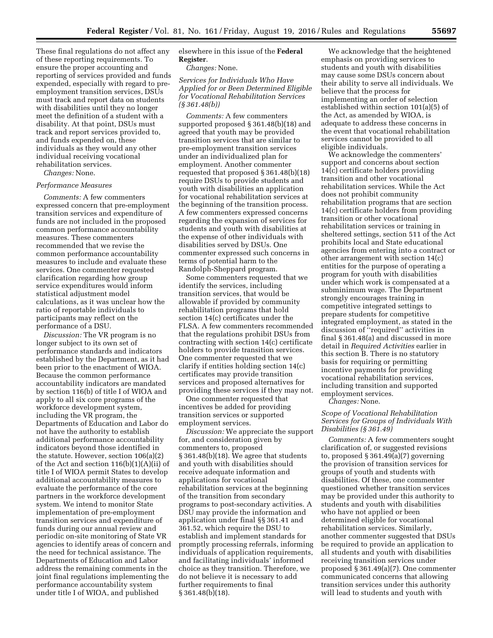These final regulations do not affect any of these reporting requirements. To ensure the proper accounting and reporting of services provided and funds expended, especially with regard to preemployment transition services, DSUs must track and report data on students with disabilities until they no longer meet the definition of a student with a disability. At that point, DSUs must track and report services provided to, and funds expended on, these individuals as they would any other individual receiving vocational rehabilitation services.

*Changes:* None.

#### *Performance Measures*

*Comments:* A few commenters expressed concern that pre-employment transition services and expenditure of funds are not included in the proposed common performance accountability measures. These commenters recommended that we revise the common performance accountability measures to include and evaluate these services. One commenter requested clarification regarding how group service expenditures would inform statistical adjustment model calculations, as it was unclear how the ratio of reportable individuals to participants may reflect on the performance of a DSU.

*Discussion:* The VR program is no longer subject to its own set of performance standards and indicators established by the Department, as it had been prior to the enactment of WIOA. Because the common performance accountability indicators are mandated by section 116(b) of title I of WIOA and apply to all six core programs of the workforce development system, including the VR program, the Departments of Education and Labor do not have the authority to establish additional performance accountability indicators beyond those identified in the statute. However, section 106(a)(2) of the Act and section 116(b)(1)(A)(ii) of title I of WIOA permit States to develop additional accountability measures to evaluate the performance of the core partners in the workforce development system. We intend to monitor State implementation of pre-employment transition services and expenditure of funds during our annual review and periodic on-site monitoring of State VR agencies to identify areas of concern and the need for technical assistance. The Departments of Education and Labor address the remaining comments in the joint final regulations implementing the performance accountability system under title I of WIOA, and published

elsewhere in this issue of the **Federal Register**.

*Changes:* None.

*Services for Individuals Who Have Applied for or Been Determined Eligible for Vocational Rehabilitation Services (§ 361.48(b))* 

*Comments:* A few commenters supported proposed § 361.48(b)(18) and agreed that youth may be provided transition services that are similar to pre-employment transition services under an individualized plan for employment. Another commenter requested that proposed § 361.48(b)(18) require DSUs to provide students and youth with disabilities an application for vocational rehabilitation services at the beginning of the transition process. A few commenters expressed concerns regarding the expansion of services for students and youth with disabilities at the expense of other individuals with disabilities served by DSUs. One commenter expressed such concerns in terms of potential harm to the Randolph-Sheppard program.

Some commenters requested that we identify the services, including transition services, that would be allowable if provided by community rehabilitation programs that hold section 14(c) certificates under the FLSA. A few commenters recommended that the regulations prohibit DSUs from contracting with section 14(c) certificate holders to provide transition services. One commenter requested that we clarify if entities holding section 14(c) certificates may provide transition services and proposed alternatives for providing these services if they may not.

One commenter requested that incentives be added for providing transition services or supported employment services.

*Discussion:* We appreciate the support for, and consideration given by commenters to, proposed § 361.48(b)(18). We agree that students and youth with disabilities should receive adequate information and applications for vocational rehabilitation services at the beginning of the transition from secondary programs to post-secondary activities. A DSU may provide the information and application under final §§ 361.41 and 361.52, which require the DSU to establish and implement standards for promptly processing referrals, informing individuals of application requirements, and facilitating individuals' informed choice as they transition. Therefore, we do not believe it is necessary to add further requirements to final § 361.48(b)(18).

We acknowledge that the heightened emphasis on providing services to students and youth with disabilities may cause some DSUs concern about their ability to serve all individuals. We believe that the process for implementing an order of selection established within section 101(a)(5) of the Act, as amended by WIOA, is adequate to address these concerns in the event that vocational rehabilitation services cannot be provided to all eligible individuals.

We acknowledge the commenters' support and concerns about section 14(c) certificate holders providing transition and other vocational rehabilitation services. While the Act does not prohibit community rehabilitation programs that are section 14(c) certificate holders from providing transition or other vocational rehabilitation services or training in sheltered settings, section 511 of the Act prohibits local and State educational agencies from entering into a contract or other arrangement with section 14(c) entities for the purpose of operating a program for youth with disabilities under which work is compensated at a subminimum wage. The Department strongly encourages training in competitive integrated settings to prepare students for competitive integrated employment, as stated in the discussion of ''required'' activities in final § 361.48(a) and discussed in more detail in *Required Activities* earlier in this section B. There is no statutory basis for requiring or permitting incentive payments for providing vocational rehabilitation services, including transition and supported employment services.

*Changes:* None.

## *Scope of Vocational Rehabilitation Services for Groups of Individuals With Disabilities (§ 361.49)*

*Comments:* A few commenters sought clarification of, or suggested revisions to, proposed § 361.49(a)(7) governing the provision of transition services for groups of youth and students with disabilities. Of these, one commenter questioned whether transition services may be provided under this authority to students and youth with disabilities who have not applied or been determined eligible for vocational rehabilitation services. Similarly, another commenter suggested that DSUs be required to provide an application to all students and youth with disabilities receiving transition services under proposed § 361.49(a)(7). One commenter communicated concerns that allowing transition services under this authority will lead to students and youth with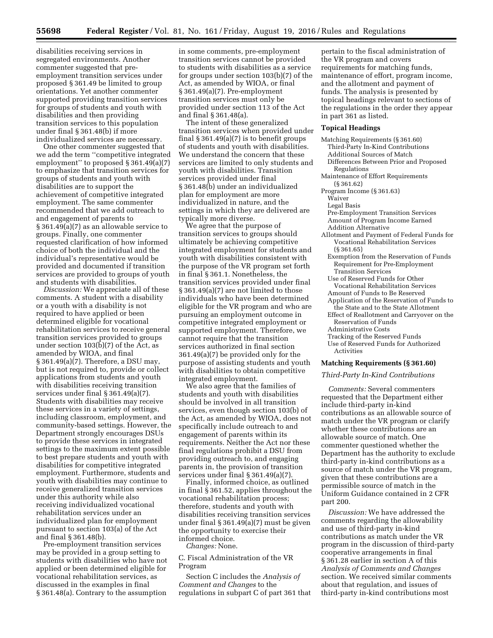disabilities receiving services in segregated environments. Another commenter suggested that preemployment transition services under proposed § 361.49 be limited to group orientations. Yet another commenter supported providing transition services for groups of students and youth with disabilities and then providing transition services to this population under final § 361.48(b) if more individualized services are necessary.

One other commenter suggested that we add the term ''competitive integrated employment'' to proposed § 361.49(a)(7) to emphasize that transition services for groups of students and youth with disabilities are to support the achievement of competitive integrated employment. The same commenter recommended that we add outreach to and engagement of parents to § 361.49(a)(7) as an allowable service to groups. Finally, one commenter requested clarification of how informed choice of both the individual and the individual's representative would be provided and documented if transition services are provided to groups of youth and students with disabilities.

*Discussion:* We appreciate all of these comments. A student with a disability or a youth with a disability is not required to have applied or been determined eligible for vocational rehabilitation services to receive general transition services provided to groups under section 103(b)(7) of the Act, as amended by WIOA, and final § 361.49(a)(7). Therefore, a DSU may, but is not required to, provide or collect applications from students and youth with disabilities receiving transition services under final § 361.49(a)(7). Students with disabilities may receive these services in a variety of settings, including classroom, employment, and community-based settings. However, the Department strongly encourages DSUs to provide these services in integrated settings to the maximum extent possible to best prepare students and youth with disabilities for competitive integrated employment. Furthermore, students and youth with disabilities may continue to receive generalized transition services under this authority while also receiving individualized vocational rehabilitation services under an individualized plan for employment pursuant to section 103(a) of the Act and final § 361.48(b).

Pre-employment transition services may be provided in a group setting to students with disabilities who have not applied or been determined eligible for vocational rehabilitation services, as discussed in the examples in final § 361.48(a). Contrary to the assumption

in some comments, pre-employment transition services cannot be provided to students with disabilities as a service for groups under section 103(b)(7) of the Act, as amended by WIOA, or final § 361.49(a)(7). Pre-employment transition services must only be provided under section 113 of the Act and final § 361.48(a).

The intent of these generalized transition services when provided under final § 361.49(a)(7) is to benefit groups of students and youth with disabilities. We understand the concern that these services are limited to only students and youth with disabilities. Transition services provided under final § 361.48(b) under an individualized plan for employment are more individualized in nature, and the settings in which they are delivered are typically more diverse.

We agree that the purpose of transition services to groups should ultimately be achieving competitive integrated employment for students and youth with disabilities consistent with the purpose of the VR program set forth in final § 361.1. Nonetheless, the transition services provided under final § 361.49(a)(7) are not limited to those individuals who have been determined eligible for the VR program and who are pursuing an employment outcome in competitive integrated employment or supported employment. Therefore, we cannot require that the transition services authorized in final section 361.49(a)(7) be provided only for the purpose of assisting students and youth with disabilities to obtain competitive integrated employment.

We also agree that the families of students and youth with disabilities should be involved in all transition services, even though section 103(b) of the Act, as amended by WIOA, does not specifically include outreach to and engagement of parents within its requirements. Neither the Act nor these final regulations prohibit a DSU from providing outreach to, and engaging parents in, the provision of transition services under final § 361.49(a)(7).

Finally, informed choice, as outlined in final § 361.52, applies throughout the vocational rehabilitation process; therefore, students and youth with disabilities receiving transition services under final § 361.49(a)(7) must be given the opportunity to exercise their informed choice.

*Changes:* None.

C. Fiscal Administration of the VR Program

Section C includes the *Analysis of Comment and Changes* to the regulations in subpart C of part 361 that

pertain to the fiscal administration of the VR program and covers requirements for matching funds, maintenance of effort, program income, and the allotment and payment of funds. The analysis is presented by topical headings relevant to sections of the regulations in the order they appear in part 361 as listed.

### **Topical Headings**

- Matching Requirements (§ 361.60) Third-Party In-Kind Contributions Additional Sources of Match Differences Between Prior and Proposed Regulations Maintenance of Effort Requirements (§ 361.62) Program Income (§ 361.63) Waiver Legal Basis Pre-Employment Transition Services
	- Amount of Program Income Earned
	- Addition Alternative
- Allotment and Payment of Federal Funds for Vocational Rehabilitation Services (§ 361.65)
	- Exemption from the Reservation of Funds Requirement for Pre-Employment Transition Services
	- Use of Reserved Funds for Other Vocational Rehabilitation Services
	- Amount of Funds to Be Reserved
	- Application of the Reservation of Funds to the State and to the State Allotment
	- Effect of Reallotment and Carryover on the Reservation of Funds
	- Administrative Costs
	- Tracking of the Reserved Funds
	- Use of Reserved Funds for Authorized Activities

#### **Matching Requirements (§ 361.60)**

## *Third-Party In-Kind Contributions*

*Comments:* Several commenters requested that the Department either include third-party in-kind contributions as an allowable source of match under the VR program or clarify whether these contributions are an allowable source of match. One commenter questioned whether the Department has the authority to exclude third-party in-kind contributions as a source of match under the VR program, given that these contributions are a permissible source of match in the Uniform Guidance contained in 2 CFR part 200.

*Discussion:* We have addressed the comments regarding the allowability and use of third-party in-kind contributions as match under the VR program in the discussion of third-party cooperative arrangements in final § 361.28 earlier in section A of this *Analysis of Comments and Changes*  section. We received similar comments about that regulation, and issues of third-party in-kind contributions most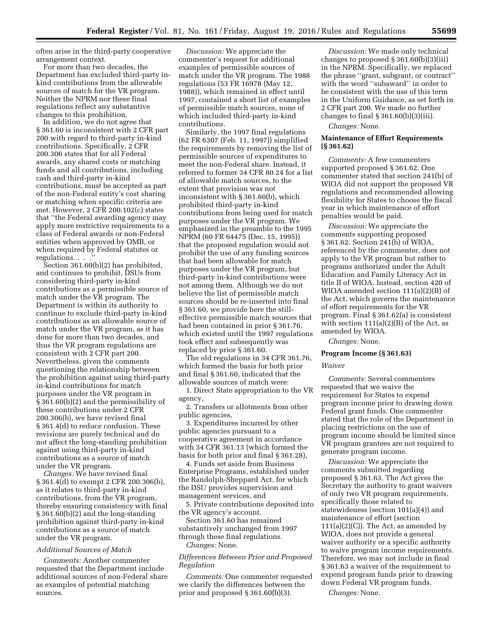often arise in the third-party cooperative arrangement context.

For more than two decades, the Department has excluded third-party inkind contributions from the allowable sources of match for the VR program. Neither the NPRM nor these final regulations reflect any substantive changes to this prohibition.

In addition, we do not agree that § 361.60 is inconsistent with 2 CFR part 200 with regard to third-party in-kind contributions. Specifically, 2 CFR 200.306 states that for all Federal awards, any shared costs or matching funds and all contributions, including cash and third-party in-kind contributions, must be accepted as part of the non-Federal entity's cost sharing or matching when specific criteria are met. However, 2 CFR 200.102(c) states that ''the Federal awarding agency may apply more restrictive requirements to a class of Federal awards or non-Federal entities when approved by OMB, or when required by Federal statutes or regulations. . . .''

Section 361.60(b)(2) has prohibited, and continues to prohibit, DSUs from considering third-party in-kind contributions as a permissible source of match under the VR program. The Department is within its authority to continue to exclude third-party in-kind contributions as an allowable source of match under the VR program, as it has done for more than two decades, and thus the VR program regulations are consistent with 2 CFR part 200. Nevertheless, given the comments questioning the relationship between the prohibition against using third-party in-kind contributions for match purposes under the VR program in § 361.60(b)(2) and the permissibility of these contributions under 2 CFR 200.306(b), we have revised final § 361.4(d) to reduce confusion. These revisions are purely technical and do not affect the long-standing prohibition against using third-party in-kind contributions as a source of match under the VR program.

*Changes:* We have revised final § 361.4(d) to exempt 2 CFR 200.306(b), as it relates to third-party in-kind contributions, from the VR program, thereby ensuring consistency with final § 361.60(b)(2) and the long-standing prohibition against third-party in-kind contributions as a source of match under the VR program.

#### *Additional Sources of Match*

*Comments:* Another commenter requested that the Department include additional sources of non-Federal share as examples of potential matching sources.

*Discussion:* We appreciate the commenter's request for additional examples of permissible sources of match under the VR program. The 1988 regulations (53 FR 16978 (May 12, 1988)), which remained in effect until 1997, contained a short list of examples of permissible match sources, none of which included third-party in-kind contributions.

Similarly, the 1997 final regulations (62 FR 6307 (Feb. 11, 1997)) simplified the requirements by removing the list of permissible sources of expenditures to meet the non-Federal share. Instead, it referred to former 34 CFR 80.24 for a list of allowable match sources, to the extent that provision was not inconsistent with § 361.60(b), which prohibited third-party in-kind contributions from being used for match purposes under the VR program. We emphasized in the preamble to the 1995 NPRM (60 FR 64475 (Dec. 15, 1995)) that the proposed regulation would not prohibit the use of any funding sources that had been allowable for match purposes under the VR program, but third-party in-kind contributions were not among them. Although we do not believe the list of permissible match sources should be re-inserted into final § 361.60, we provide here the stilleffective permissible match sources that had been contained in prior § 361.76, which existed until the 1997 regulations took effect and subsequently was replaced by prior § 361.60.

The old regulations in 34 CFR 361.76, which formed the basis for both prior and final § 361.60, indicated that the allowable sources of match were:

1. Direct State appropriation to the VR agency,

2. Transfers or allotments from other public agencies,

3. Expenditures incurred by other public agencies pursuant to a cooperative agreement in accordance with 34 CFR 361.13 (which formed the basis for both prior and final § 361.28),

4. Funds set aside from Business Enterprise Programs, established under the Randolph-Sheppard Act, for which the DSU provides supervision and management services, and

5. Private contributions deposited into the VR agency's account.

Section 361.60 has remained substantively unchanged from 1997 through these final regulations. *Changes:* None.

*Differences Between Prior and Proposed Regulation* 

*Comments:* One commenter requested we clarify the differences between the prior and proposed § 361.60(b)(3).

*Discussion:* We made only technical changes to proposed § 361.60(b)(3)(iii) in the NPRM. Specifically, we replaced the phrase ''grant, subgrant, or contract'' with the word "subaward" in order to be consistent with the use of this term in the Uniform Guidance, as set forth in 2 CFR part 200. We made no further changes to final  $\S 361.60(b)(3)(iii)$ .

*Changes:* None.

## **Maintenance of Effort Requirements (§ 361.62)**

*Comments:* A few commenters supported proposed § 361.62. One commenter stated that section 241(b) of WIOA did not support the proposed VR regulations and recommended allowing flexibility for States to choose the fiscal year in which maintenance of effort penalties would be paid.

*Discussion:* We appreciate the comments supporting proposed § 361.62. Section 241(b) of WIOA, referenced by the commenter, does not apply to the VR program but rather to programs authorized under the Adult Education and Family Literacy Act in title II of WIOA. Instead, section 420 of WIOA amended section 111(a)(2)(B) of the Act, which governs the maintenance of effort requirements for the VR program. Final § 361.62(a) is consistent with section  $111(a)(2)(B)$  of the Act, as amended by WIOA.

*Changes:* None.

## **Program Income (§ 361.63)**

#### *Waiver*

*Comments:* Several commenters requested that we waive the requirement for States to expend program income prior to drawing down Federal grant funds. One commenter stated that the role of the Department in placing restrictions on the use of program income should be limited since VR program grantees are not required to generate program income.

*Discussion:* We appreciate the comments submitted regarding proposed § 361.63. The Act gives the Secretary the authority to grant waivers of only two VR program requirements, specifically those related to statewideness (section 101(a)(4)) and maintenance of effort (section  $111(a)(2)(C)$ . The Act, as amended by WIOA, does not provide a general waiver authority or a specific authority to waive program income requirements. Therefore, we may not include in final § 361.63 a waiver of the requirement to expend program funds prior to drawing down Federal VR program funds.

*Changes:* None.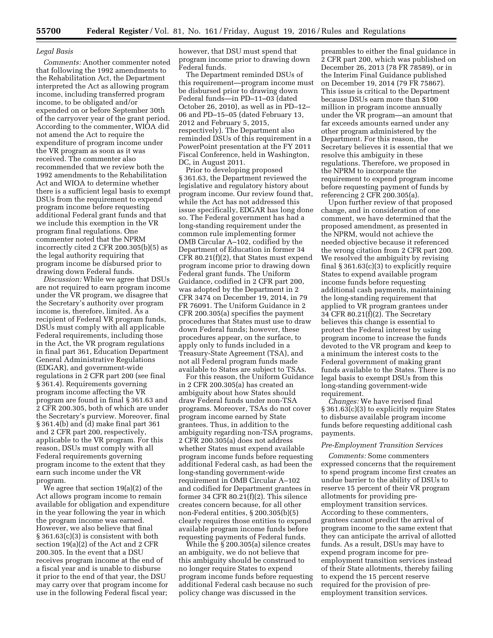#### *Legal Basis*

*Comments:* Another commenter noted that following the 1992 amendments to the Rehabilitation Act, the Department interpreted the Act as allowing program income, including transferred program income, to be obligated and/or expended on or before September 30th of the carryover year of the grant period. According to the commenter, WIOA did not amend the Act to require the expenditure of program income under the VR program as soon as it was received. The commenter also recommended that we review both the 1992 amendments to the Rehabilitation Act and WIOA to determine whether there is a sufficient legal basis to exempt DSUs from the requirement to expend program income before requesting additional Federal grant funds and that we include this exemption in the VR program final regulations. One commenter noted that the NPRM incorrectly cited 2 CFR 200.305(b)(5) as the legal authority requiring that program income be disbursed prior to drawing down Federal funds.

*Discussion:* While we agree that DSUs are not required to earn program income under the VR program, we disagree that the Secretary's authority over program income is, therefore, limited. As a recipient of Federal VR program funds, DSUs must comply with all applicable Federal requirements, including those in the Act, the VR program regulations in final part 361, Education Department General Administrative Regulations (EDGAR), and government-wide regulations in 2 CFR part 200 (see final § 361.4). Requirements governing program income affecting the VR program are found in final § 361.63 and 2 CFR 200.305, both of which are under the Secretary's purview. Moreover, final § 361.4(b) and (d) make final part 361 and 2 CFR part 200, respectively, applicable to the VR program. For this reason, DSUs must comply with all Federal requirements governing program income to the extent that they earn such income under the VR program.

We agree that section 19(a)(2) of the Act allows program income to remain available for obligation and expenditure in the year following the year in which the program income was earned. However, we also believe that final § 361.63(c)(3) is consistent with both section 19(a)(2) of the Act and 2 CFR 200.305. In the event that a DSU receives program income at the end of a fiscal year and is unable to disburse it prior to the end of that year, the DSU may carry over that program income for use in the following Federal fiscal year;

however, that DSU must spend that program income prior to drawing down Federal funds.

The Department reminded DSUs of this requirement—program income must be disbursed prior to drawing down Federal funds—in PD–11–03 (dated October 26, 2010), as well as in PD–12– 06 and PD–15–05 (dated February 13, 2012 and February 5, 2015, respectively). The Department also reminded DSUs of this requirement in a PowerPoint presentation at the FY 2011 Fiscal Conference, held in Washington, DC, in August 2011.

Prior to developing proposed § 361.63, the Department reviewed the legislative and regulatory history about program income. Our review found that, while the Act has not addressed this issue specifically, EDGAR has long done so. The Federal government has had a long-standing requirement under the common rule implementing former OMB Circular A–102, codified by the Department of Education in former 34 CFR 80.21(f)(2), that States must expend program income prior to drawing down Federal grant funds. The Uniform Guidance, codified in 2 CFR part 200, was adopted by the Department in 2 CFR 3474 on December 19, 2014, in 79 FR 76091. The Uniform Guidance in 2 CFR 200.305(a) specifies the payment procedures that States must use to draw down Federal funds; however, these procedures appear, on the surface, to apply only to funds included in a Treasury-State Agreement (TSA), and not all Federal program funds made available to States are subject to TSAs.

For this reason, the Uniform Guidance in 2 CFR 200.305(a) has created an ambiguity about how States should draw Federal funds under non-TSA programs. Moreover, TSAs do not cover program income earned by State grantees. Thus, in addition to the ambiguity regarding non-TSA programs, 2 CFR 200.305(a) does not address whether States must expend available program income funds before requesting additional Federal cash, as had been the long-standing government-wide requirement in OMB Circular A–102 and codified for Department grantees in former 34 CFR 80.21(f)(2). This silence creates concern because, for all other non-Federal entities, § 200.305(b)(5) clearly requires those entities to expend available program income funds before requesting payments of Federal funds.

While the § 200.305(a) silence creates an ambiguity, we do not believe that this ambiguity should be construed to no longer require States to expend program income funds before requesting additional Federal cash because no such policy change was discussed in the

preambles to either the final guidance in 2 CFR part 200, which was published on December 26, 2013 (78 FR 78589), or in the Interim Final Guidance published on December 19, 2014 (79 FR 75867). This issue is critical to the Department because DSUs earn more than \$100 million in program income annually under the VR program—an amount that far exceeds amounts earned under any other program administered by the Department. For this reason, the Secretary believes it is essential that we resolve this ambiguity in these regulations. Therefore, we proposed in the NPRM to incorporate the requirement to expend program income before requesting payment of funds by referencing 2 CFR 200.305(a).

Upon further review of that proposed change, and in consideration of one comment, we have determined that the proposed amendment, as presented in the NPRM, would not achieve the needed objective because it referenced the wrong citation from 2 CFR part 200. We resolved the ambiguity by revising final § 361.63(c)(3) to explicitly require States to expend available program income funds before requesting additional cash payments, maintaining the long-standing requirement that applied to VR program grantees under 34 CFR 80.21(f)(2). The Secretary believes this change is essential to protect the Federal interest by using program income to increase the funds devoted to the VR program and keep to a minimum the interest costs to the Federal government of making grant funds available to the States. There is no legal basis to exempt DSUs from this long-standing government-wide requirement.

*Changes:* We have revised final § 361.63(c)(3) to explicitly require States to disburse available program income funds before requesting additional cash payments.

#### *Pre-Employment Transition Services*

*Comments:* Some commenters expressed concerns that the requirement to spend program income first creates an undue barrier to the ability of DSUs to reserve 15 percent of their VR program allotments for providing preemployment transition services. According to these commenters, grantees cannot predict the arrival of program income to the same extent that they can anticipate the arrival of allotted funds. As a result, DSUs may have to expend program income for preemployment transition services instead of their State allotments, thereby failing to expend the 15 percent reserve required for the provision of preemployment transition services.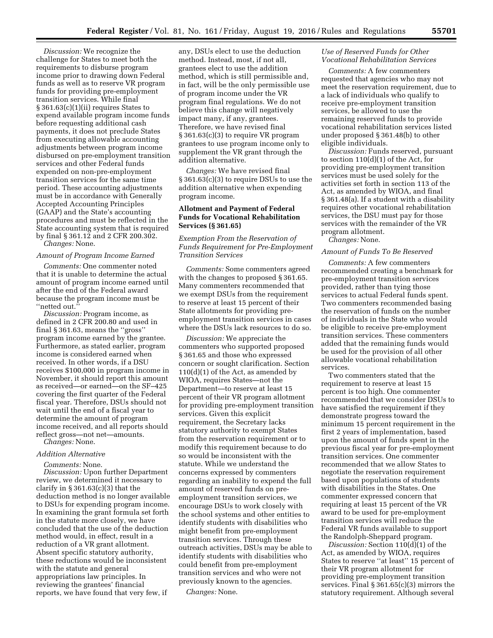*Discussion:* We recognize the challenge for States to meet both the requirements to disburse program income prior to drawing down Federal funds as well as to reserve VR program funds for providing pre-employment transition services. While final § 361.63(c)(1)(ii) requires States to expend available program income funds before requesting additional cash payments, it does not preclude States from executing allowable accounting adjustments between program income disbursed on pre-employment transition services and other Federal funds expended on non-pre-employment transition services for the same time period. These accounting adjustments must be in accordance with Generally Accepted Accounting Principles (GAAP) and the State's accounting procedures and must be reflected in the State accounting system that is required by final § 361.12 and 2 CFR 200.302.

## *Changes:* None.

# *Amount of Program Income Earned*

*Comments:* One commenter noted that it is unable to determine the actual amount of program income earned until after the end of the Federal award because the program income must be ''netted out.''

*Discussion:* Program income, as defined in 2 CFR 200.80 and used in final § 361.63, means the ''gross'' program income earned by the grantee. Furthermore, as stated earlier, program income is considered earned when received. In other words, if a DSU receives \$100,000 in program income in November, it should report this amount as received—or earned—on the SF–425 covering the first quarter of the Federal fiscal year. Therefore, DSUs should not wait until the end of a fiscal year to determine the amount of program income received, and all reports should reflect gross—not net—amounts.

*Changes:* None.

#### *Addition Alternative*

*Comments:* None.

*Discussion:* Upon further Department review, we determined it necessary to clarify in § 361.63(c)(3) that the deduction method is no longer available to DSUs for expending program income. In examining the grant formula set forth in the statute more closely, we have concluded that the use of the deduction method would, in effect, result in a reduction of a VR grant allotment. Absent specific statutory authority, these reductions would be inconsistent with the statute and general appropriations law principles. In reviewing the grantees' financial reports, we have found that very few, if

any, DSUs elect to use the deduction method. Instead, most, if not all, grantees elect to use the addition method, which is still permissible and, in fact, will be the only permissible use of program income under the VR program final regulations. We do not believe this change will negatively impact many, if any, grantees. Therefore, we have revised final § 361.63(c)(3) to require VR program grantees to use program income only to supplement the VR grant through the addition alternative.

*Changes:* We have revised final § 361.63(c)(3) to require DSUs to use the addition alternative when expending program income.

# **Allotment and Payment of Federal Funds for Vocational Rehabilitation Services (§ 361.65)**

*Exemption From the Reservation of Funds Requirement for Pre-Employment Transition Services* 

*Comments:* Some commenters agreed with the changes to proposed § 361.65. Many commenters recommended that we exempt DSUs from the requirement to reserve at least 15 percent of their State allotments for providing preemployment transition services in cases where the DSUs lack resources to do so.

*Discussion:* We appreciate the commenters who supported proposed § 361.65 and those who expressed concern or sought clarification. Section 110(d)(1) of the Act, as amended by WIOA, requires States—not the Department—to reserve at least 15 percent of their VR program allotment for providing pre-employment transition services. Given this explicit requirement, the Secretary lacks statutory authority to exempt States from the reservation requirement or to modify this requirement because to do so would be inconsistent with the statute. While we understand the concerns expressed by commenters regarding an inability to expend the full amount of reserved funds on preemployment transition services, we encourage DSUs to work closely with the school systems and other entities to identify students with disabilities who might benefit from pre-employment transition services. Through these outreach activities, DSUs may be able to identify students with disabilities who could benefit from pre-employment transition services and who were not previously known to the agencies.

*Changes:* None.

# *Use of Reserved Funds for Other Vocational Rehabilitation Services*

*Comments:* A few commenters requested that agencies who may not meet the reservation requirement, due to a lack of individuals who qualify to receive pre-employment transition services, be allowed to use the remaining reserved funds to provide vocational rehabilitation services listed under proposed § 361.48(b) to other eligible individuals.

*Discussion:* Funds reserved, pursuant to section  $110(d)(1)$  of the Act, for providing pre-employment transition services must be used solely for the activities set forth in section 113 of the Act, as amended by WIOA, and final § 361.48(a). If a student with a disability requires other vocational rehabilitation services, the DSU must pay for those services with the remainder of the VR program allotment.

*Changes:* None.

#### *Amount of Funds To Be Reserved*

*Comments:* A few commenters recommended creating a benchmark for pre-employment transition services provided, rather than tying those services to actual Federal funds spent. Two commenters recommended basing the reservation of funds on the number of individuals in the State who would be eligible to receive pre-employment transition services. These commenters added that the remaining funds would be used for the provision of all other allowable vocational rehabilitation services.

Two commenters stated that the requirement to reserve at least 15 percent is too high. One commenter recommended that we consider DSUs to have satisfied the requirement if they demonstrate progress toward the minimum 15 percent requirement in the first 2 years of implementation, based upon the amount of funds spent in the previous fiscal year for pre-employment transition services. One commenter recommended that we allow States to negotiate the reservation requirement based upon populations of students with disabilities in the States. One commenter expressed concern that requiring at least 15 percent of the VR award to be used for pre-employment transition services will reduce the Federal VR funds available to support the Randolph-Sheppard program.

*Discussion:* Section 110(d)(1) of the Act, as amended by WIOA, requires States to reserve ''at least'' 15 percent of their VR program allotment for providing pre-employment transition services. Final § 361.65(c)(3) mirrors the statutory requirement. Although several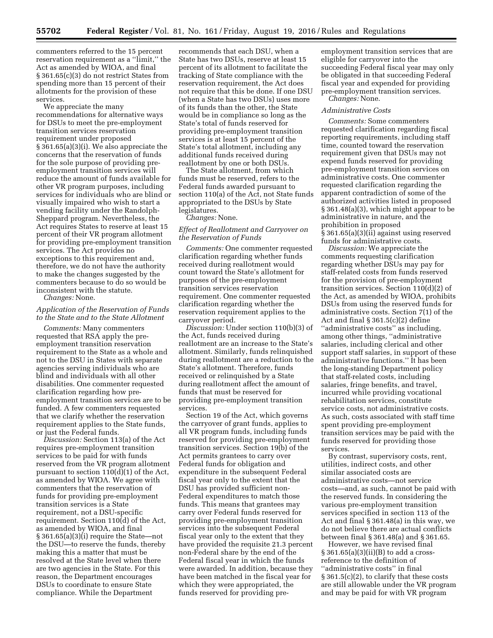commenters referred to the 15 percent reservation requirement as a ''limit,'' the Act as amended by WIOA, and final § 361.65(c)(3) do not restrict States from spending more than 15 percent of their allotments for the provision of these services.

We appreciate the many recommendations for alternative ways for DSUs to meet the pre-employment transition services reservation requirement under proposed § 361.65(a)(3)(i). We also appreciate the concerns that the reservation of funds for the sole purpose of providing preemployment transition services will reduce the amount of funds available for other VR program purposes, including services for individuals who are blind or visually impaired who wish to start a vending facility under the Randolph-Sheppard program. Nevertheless, the Act requires States to reserve at least 15 percent of their VR program allotment for providing pre-employment transition services. The Act provides no exceptions to this requirement and, therefore, we do not have the authority to make the changes suggested by the commenters because to do so would be inconsistent with the statute.

*Changes:* None.

### *Application of the Reservation of Funds to the State and to the State Allotment*

*Comments:* Many commenters requested that RSA apply the preemployment transition reservation requirement to the State as a whole and not to the DSU in States with separate agencies serving individuals who are blind and individuals with all other disabilities. One commenter requested clarification regarding how preemployment transition services are to be funded. A few commenters requested that we clarify whether the reservation requirement applies to the State funds, or just the Federal funds.

*Discussion:* Section 113(a) of the Act requires pre-employment transition services to be paid for with funds reserved from the VR program allotment pursuant to section 110(d)(1) of the Act, as amended by WIOA. We agree with commenters that the reservation of funds for providing pre-employment transition services is a State requirement, not a DSU-specific requirement. Section 110(d) of the Act, as amended by WIOA, and final § 361.65(a)(3)(i) require the State—not the DSU—to reserve the funds, thereby making this a matter that must be resolved at the State level when there are two agencies in the State. For this reason, the Department encourages DSUs to coordinate to ensure State compliance. While the Department

recommends that each DSU, when a State has two DSUs, reserve at least 15 percent of its allotment to facilitate the tracking of State compliance with the reservation requirement, the Act does not require that this be done. If one DSU (when a State has two DSUs) uses more of its funds than the other, the State would be in compliance so long as the State's total of funds reserved for providing pre-employment transition services is at least 15 percent of the State's total allotment, including any additional funds received during reallotment by one or both DSUs.

The State allotment, from which funds must be reserved, refers to the Federal funds awarded pursuant to section 110(a) of the Act, not State funds appropriated to the DSUs by State legislatures.

*Changes:* None.

### *Effect of Reallotment and Carryover on the Reservation of Funds*

*Comments:* One commenter requested clarification regarding whether funds received during reallotment would count toward the State's allotment for purposes of the pre-employment transition services reservation requirement. One commenter requested clarification regarding whether the reservation requirement applies to the carryover period.

*Discussion:* Under section 110(b)(3) of the Act, funds received during reallotment are an increase to the State's allotment. Similarly, funds relinquished during reallotment are a reduction to the State's allotment. Therefore, funds received or relinquished by a State during reallotment affect the amount of funds that must be reserved for providing pre-employment transition services.

Section 19 of the Act, which governs the carryover of grant funds, applies to all VR program funds, including funds reserved for providing pre-employment transition services. Section 19(b) of the Act permits grantees to carry over Federal funds for obligation and expenditure in the subsequent Federal fiscal year only to the extent that the DSU has provided sufficient non-Federal expenditures to match those funds. This means that grantees may carry over Federal funds reserved for providing pre-employment transition services into the subsequent Federal fiscal year only to the extent that they have provided the requisite 21.3 percent non-Federal share by the end of the Federal fiscal year in which the funds were awarded. In addition, because they have been matched in the fiscal year for which they were appropriated, the funds reserved for providing pre-

employment transition services that are eligible for carryover into the succeeding Federal fiscal year may only be obligated in that succeeding Federal fiscal year and expended for providing pre-employment transition services.

*Changes:* None.

#### *Administrative Costs*

*Comments:* Some commenters requested clarification regarding fiscal reporting requirements, including staff time, counted toward the reservation requirement given that DSUs may not expend funds reserved for providing pre-employment transition services on administrative costs. One commenter requested clarification regarding the apparent contradiction of some of the authorized activities listed in proposed § 361.48(a)(3), which might appear to be administrative in nature, and the prohibition in proposed § 361.65(a)(3)(ii) against using reserved funds for administrative costs.

*Discussion:* We appreciate the comments requesting clarification regarding whether DSUs may pay for staff-related costs from funds reserved for the provision of pre-employment transition services. Section 110(d)(2) of the Act, as amended by WIOA, prohibits DSUs from using the reserved funds for administrative costs. Section 7(1) of the Act and final § 361.5(c)(2) define ''administrative costs'' as including, among other things, ''administrative salaries, including clerical and other support staff salaries, in support of these administrative functions.'' It has been the long-standing Department policy that staff-related costs, including salaries, fringe benefits, and travel, incurred while providing vocational rehabilitation services, constitute service costs, not administrative costs. As such, costs associated with staff time spent providing pre-employment transition services may be paid with the funds reserved for providing those services.

By contrast, supervisory costs, rent, utilities, indirect costs, and other similar associated costs are administrative costs—not service costs—and, as such, cannot be paid with the reserved funds. In considering the various pre-employment transition services specified in section 113 of the Act and final § 361.48(a) in this way, we do not believe there are actual conflicts between final § 361.48(a) and § 361.65.

However, we have revised final  $\S 361.65(a)(3)(ii)(B)$  to add a crossreference to the definition of ''administrative costs'' in final § 361.5(c)(2), to clarify that these costs are still allowable under the VR program and may be paid for with VR program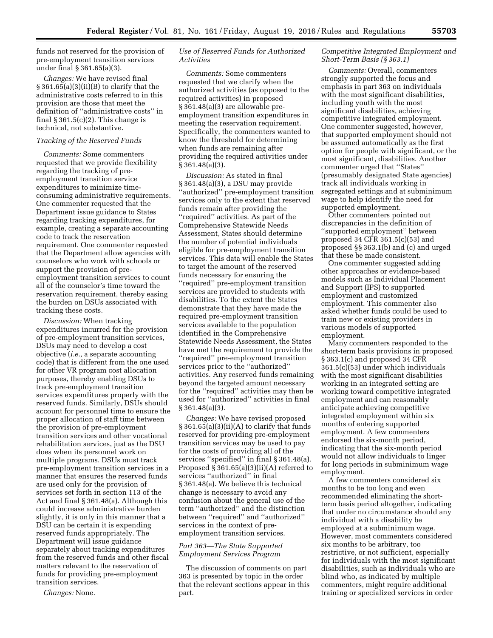funds not reserved for the provision of pre-employment transition services under final § 361.65(a)(3).

*Changes:* We have revised final  $\S 361.65(a)(3)(ii)(B)$  to clarify that the administrative costs referred to in this provision are those that meet the definition of ''administrative costs'' in final  $\S 361.5(c)(2)$ . This change is technical, not substantive.

### *Tracking of the Reserved Funds*

*Comments:* Some commenters requested that we provide flexibility regarding the tracking of preemployment transition service expenditures to minimize timeconsuming administrative requirements. One commenter requested that the Department issue guidance to States regarding tracking expenditures, for example, creating a separate accounting code to track the reservation requirement. One commenter requested that the Department allow agencies with counselors who work with schools or support the provision of preemployment transition services to count all of the counselor's time toward the reservation requirement, thereby easing the burden on DSUs associated with tracking these costs.

*Discussion:* When tracking expenditures incurred for the provision of pre-employment transition services, DSUs may need to develop a cost objective (*i.e.,* a separate accounting code) that is different from the one used for other VR program cost allocation purposes, thereby enabling DSUs to track pre-employment transition services expenditures properly with the reserved funds. Similarly, DSUs should account for personnel time to ensure the proper allocation of staff time between the provision of pre-employment transition services and other vocational rehabilitation services, just as the DSU does when its personnel work on multiple programs. DSUs must track pre-employment transition services in a manner that ensures the reserved funds are used only for the provision of services set forth in section 113 of the Act and final § 361.48(a). Although this could increase administrative burden slightly, it is only in this manner that a DSU can be certain it is expending reserved funds appropriately. The Department will issue guidance separately about tracking expenditures from the reserved funds and other fiscal matters relevant to the reservation of funds for providing pre-employment transition services.

*Changes:* None.

# *Use of Reserved Funds for Authorized Activities*

*Comments:* Some commenters requested that we clarify when the authorized activities (as opposed to the required activities) in proposed § 361.48(a)(3) are allowable preemployment transition expenditures in meeting the reservation requirement. Specifically, the commenters wanted to know the threshold for determining when funds are remaining after providing the required activities under § 361.48(a)(3).

*Discussion:* As stated in final § 361.48(a)(3), a DSU may provide ''authorized'' pre-employment transition services only to the extent that reserved funds remain after providing the ''required'' activities. As part of the Comprehensive Statewide Needs Assessment, States should determine the number of potential individuals eligible for pre-employment transition services. This data will enable the States to target the amount of the reserved funds necessary for ensuring the ''required'' pre-employment transition services are provided to students with disabilities. To the extent the States demonstrate that they have made the required pre-employment transition services available to the population identified in the Comprehensive Statewide Needs Assessment, the States have met the requirement to provide the ''required'' pre-employment transition services prior to the ''authorized'' activities. Any reserved funds remaining beyond the targeted amount necessary for the ''required'' activities may then be used for ''authorized'' activities in final § 361.48(a)(3).

*Changes:* We have revised proposed  $\S 361.65(a)(3)(ii)(A)$  to clarify that funds reserved for providing pre-employment transition services may be used to pay for the costs of providing all of the services ''specified'' in final § 361.48(a). Proposed § 361.65(a)(3)(ii)(A) referred to services ''authorized'' in final § 361.48(a). We believe this technical change is necessary to avoid any confusion about the general use of the term ''authorized'' and the distinction between ''required'' and ''authorized'' services in the context of preemployment transition services.

#### *Part 363—The State Supported Employment Services Program*

The discussion of comments on part 363 is presented by topic in the order that the relevant sections appear in this part.

### *Competitive Integrated Employment and Short-Term Basis (§ 363.1)*

*Comments:* Overall, commenters strongly supported the focus and emphasis in part 363 on individuals with the most significant disabilities, including youth with the most significant disabilities, achieving competitive integrated employment. One commenter suggested, however, that supported employment should not be assumed automatically as the first option for people with significant, or the most significant, disabilities. Another commenter urged that ''States'' (presumably designated State agencies) track all individuals working in segregated settings and at subminimum wage to help identify the need for supported employment.

Other commenters pointed out discrepancies in the definition of ''supported employment'' between proposed 34 CFR 361.5(c)(53) and proposed §§ 363.1(b) and (c) and urged that these be made consistent.

One commenter suggested adding other approaches or evidence-based models such as Individual Placement and Support (IPS) to supported employment and customized employment. This commenter also asked whether funds could be used to train new or existing providers in various models of supported employment.

Many commenters responded to the short-term basis provisions in proposed § 363.1(c) and proposed 34 CFR 361.5(c)(53) under which individuals with the most significant disabilities working in an integrated setting are working toward competitive integrated employment and can reasonably anticipate achieving competitive integrated employment within six months of entering supported employment. A few commenters endorsed the six-month period, indicating that the six-month period would not allow individuals to linger for long periods in subminimum wage employment.

A few commenters considered six months to be too long and even recommended eliminating the shortterm basis period altogether, indicating that under no circumstance should any individual with a disability be employed at a subminimum wage. However, most commenters considered six months to be arbitrary, too restrictive, or not sufficient, especially for individuals with the most significant disabilities, such as individuals who are blind who, as indicated by multiple commenters, might require additional training or specialized services in order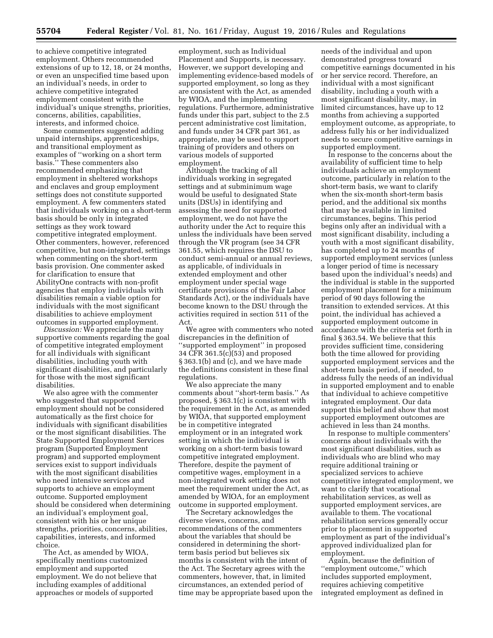to achieve competitive integrated employment. Others recommended extensions of up to 12, 18, or 24 months, or even an unspecified time based upon an individual's needs, in order to achieve competitive integrated employment consistent with the individual's unique strengths, priorities, concerns, abilities, capabilities, interests, and informed choice.

Some commenters suggested adding unpaid internships, apprenticeships, and transitional employment as examples of ''working on a short term basis.'' These commenters also recommended emphasizing that employment in sheltered workshops and enclaves and group employment settings does not constitute supported employment. A few commenters stated that individuals working on a short-term basis should be only in integrated settings as they work toward competitive integrated employment. Other commenters, however, referenced competitive, but non-integrated, settings when commenting on the short-term basis provision. One commenter asked for clarification to ensure that AbilityOne contracts with non-profit agencies that employ individuals with disabilities remain a viable option for individuals with the most significant disabilities to achieve employment outcomes in supported employment.

*Discussion:* We appreciate the many supportive comments regarding the goal of competitive integrated employment for all individuals with significant disabilities, including youth with significant disabilities, and particularly for those with the most significant disabilities.

We also agree with the commenter who suggested that supported employment should not be considered automatically as the first choice for individuals with significant disabilities or the most significant disabilities. The State Supported Employment Services program (Supported Employment program) and supported employment services exist to support individuals with the most significant disabilities who need intensive services and supports to achieve an employment outcome. Supported employment should be considered when determining an individual's employment goal, consistent with his or her unique strengths, priorities, concerns, abilities, capabilities, interests, and informed choice.

The Act, as amended by WIOA, specifically mentions customized employment and supported employment. We do not believe that including examples of additional approaches or models of supported

employment, such as Individual Placement and Supports, is necessary. However, we support developing and implementing evidence-based models of supported employment, so long as they are consistent with the Act, as amended by WIOA, and the implementing regulations. Furthermore, administrative funds under this part, subject to the 2.5 percent administrative cost limitation, and funds under 34 CFR part 361, as appropriate, may be used to support training of providers and others on various models of supported employment.

Although the tracking of all individuals working in segregated settings and at subminimum wage would be useful to designated State units (DSUs) in identifying and assessing the need for supported employment, we do not have the authority under the Act to require this unless the individuals have been served through the VR program (see 34 CFR 361.55, which requires the DSU to conduct semi-annual or annual reviews, as applicable, of individuals in extended employment and other employment under special wage certificate provisions of the Fair Labor Standards Act), or the individuals have become known to the DSU through the activities required in section 511 of the Act.

We agree with commenters who noted discrepancies in the definition of ''supported employment'' in proposed 34 CFR 361.5(c)(53) and proposed § 363.1(b) and (c), and we have made the definitions consistent in these final regulations.

We also appreciate the many comments about ''short-term basis.'' As proposed, § 363.1(c) is consistent with the requirement in the Act, as amended by WIOA, that supported employment be in competitive integrated employment or in an integrated work setting in which the individual is working on a short-term basis toward competitive integrated employment. Therefore, despite the payment of competitive wages, employment in a non-integrated work setting does not meet the requirement under the Act, as amended by WIOA, for an employment outcome in supported employment.

The Secretary acknowledges the diverse views, concerns, and recommendations of the commenters about the variables that should be considered in determining the shortterm basis period but believes six months is consistent with the intent of the Act. The Secretary agrees with the commenters, however, that, in limited circumstances, an extended period of time may be appropriate based upon the

needs of the individual and upon demonstrated progress toward competitive earnings documented in his or her service record. Therefore, an individual with a most significant disability, including a youth with a most significant disability, may, in limited circumstances, have up to 12 months from achieving a supported employment outcome, as appropriate, to address fully his or her individualized needs to secure competitive earnings in supported employment.

In response to the concerns about the availability of sufficient time to help individuals achieve an employment outcome, particularly in relation to the short-term basis, we want to clarify when the six-month short-term basis period, and the additional six months that may be available in limited circumstances, begins. This period begins only after an individual with a most significant disability, including a youth with a most significant disability, has completed up to 24 months of supported employment services (unless a longer period of time is necessary based upon the individual's needs) and the individual is stable in the supported employment placement for a minimum period of 90 days following the transition to extended services. At this point, the individual has achieved a supported employment outcome in accordance with the criteria set forth in final § 363.54. We believe that this provides sufficient time, considering both the time allowed for providing supported employment services and the short-term basis period, if needed, to address fully the needs of an individual in supported employment and to enable that individual to achieve competitive integrated employment. Our data support this belief and show that most supported employment outcomes are achieved in less than 24 months.

In response to multiple commenters' concerns about individuals with the most significant disabilities, such as individuals who are blind who may require additional training or specialized services to achieve competitive integrated employment, we want to clarify that vocational rehabilitation services, as well as supported employment services, are available to them. The vocational rehabilitation services generally occur prior to placement in supported employment as part of the individual's approved individualized plan for employment.

Again, because the definition of ''employment outcome,'' which includes supported employment, requires achieving competitive integrated employment as defined in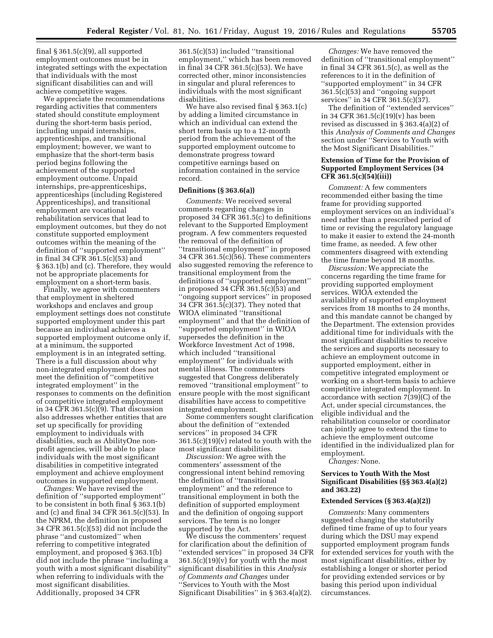final  $§ 361.5(c)(9)$ , all supported employment outcomes must be in integrated settings with the expectation that individuals with the most significant disabilities can and will achieve competitive wages.

We appreciate the recommendations regarding activities that commenters stated should constitute employment during the short-term basis period, including unpaid internships, apprenticeships, and transitional employment; however, we want to emphasize that the short-term basis period begins following the achievement of the supported employment outcome. Unpaid internships, pre-apprenticeships, apprenticeships (including Registered Apprenticeships), and transitional employment are vocational rehabilitation services that lead to employment outcomes, but they do not constitute supported employment outcomes within the meaning of the definition of ''supported employment'' in final 34 CFR 361.5(c)(53) and § 363.1(b) and (c). Therefore, they would not be appropriate placements for employment on a short-term basis.

Finally, we agree with commenters that employment in sheltered workshops and enclaves and group employment settings does not constitute supported employment under this part because an individual achieves a supported employment outcome only if, at a minimum, the supported employment is in an integrated setting. There is a full discussion about why non-integrated employment does not meet the definition of ''competitive integrated employment'' in the responses to comments on the definition of competitive integrated employment in 34 CFR 361.5 $(c)(9)$ . That discussion also addresses whether entities that are set up specifically for providing employment to individuals with disabilities, such as AbilityOne nonprofit agencies, will be able to place individuals with the most significant disabilities in competitive integrated employment and achieve employment outcomes in supported employment.

*Changes:* We have revised the definition of ''supported employment'' to be consistent in both final § 363.1(b) and (c) and final 34 CFR 361.5(c)(53). In the NPRM, the definition in proposed 34 CFR 361.5(c)(53) did not include the phrase ''and customized'' when referring to competitive integrated employment, and proposed § 363.1(b) did not include the phrase ''including a youth with a most significant disability'' when referring to individuals with the most significant disabilities. Additionally, proposed 34 CFR

361.5(c)(53) included ''transitional employment,'' which has been removed in final 34 CFR 361.5(c)(53). We have corrected other, minor inconsistencies in singular and plural references to individuals with the most significant disabilities.

We have also revised final § 363.1(c) by adding a limited circumstance in which an individual can extend the short term basis up to a 12-month period from the achievement of the supported employment outcome to demonstrate progress toward competitive earnings based on information contained in the service record.

### **Definitions (§ 363.6(a))**

*Comments:* We received several comments regarding changes in proposed 34 CFR 361.5(c) to definitions relevant to the Supported Employment program. A few commenters requested the removal of the definition of ''transitional employment'' in proposed 34 CFR 361.5(c)(56). These commenters also suggested removing the reference to transitional employment from the definitions of ''supported employment'' in proposed 34 CFR 361.5(c)(53) and ''ongoing support services'' in proposed 34 CFR 361.5(c)(37). They noted that WIOA eliminated ''transitional employment'' and that the definition of ''supported employment'' in WIOA supersedes the definition in the Workforce Investment Act of 1998, which included ''transitional employment'' for individuals with mental illness. The commenters suggested that Congress deliberately removed ''transitional employment'' to ensure people with the most significant disabilities have access to competitive integrated employment.

Some commenters sought clarification about the definition of ''extended services'' in proposed 34 CFR 361.5(c)(19)(v) related to youth with the most significant disabilities.

*Discussion:* We agree with the commenters' assessment of the congressional intent behind removing the definition of ''transitional employment'' and the reference to transitional employment in both the definition of supported employment and the definition of ongoing support services. The term is no longer supported by the Act.

We discuss the commenters' request for clarification about the definition of ''extended services'' in proposed 34 CFR 361.5(c)(19)(v) for youth with the most significant disabilities in this *Analysis of Comments and Changes* under ''Services to Youth with the Most Significant Disabilities'' in § 363.4(a)(2).

*Changes:* We have removed the definition of ''transitional employment'' in final 34 CFR 361.5(c), as well as the references to it in the definition of ''supported employment'' in 34 CFR 361.5(c)(53) and ''ongoing support services'' in 34 CFR 361.5(c)(37).

The definition of ''extended services'' in 34 CFR 361.5(c)(19)(v) has been revised as discussed in § 363.4(a)(2) of this *Analysis of Comments and Changes*  section under ''Services to Youth with the Most Significant Disabilities.''

### **Extension of Time for the Provision of Supported Employment Services (34 CFR 361.5(c)(54)(iii))**

*Comment:* A few commenters recommended either basing the time frame for providing supported employment services on an individual's need rather than a prescribed period of time or revising the regulatory language to make it easier to extend the 24-month time frame, as needed. A few other commenters disagreed with extending the time frame beyond 18 months.

*Discussion:* We appreciate the concerns regarding the time frame for providing supported employment services. WIOA extended the availability of supported employment services from 18 months to 24 months, and this mandate cannot be changed by the Department. The extension provides additional time for individuals with the most significant disabilities to receive the services and supports necessary to achieve an employment outcome in supported employment, either in competitive integrated employment or working on a short-term basis to achieve competitive integrated employment. In accordance with section 7(39)(C) of the Act, under special circumstances, the eligible individual and the rehabilitation counselor or coordinator can jointly agree to extend the time to achieve the employment outcome identified in the individualized plan for employment.

*Changes:* None.

### **Services to Youth With the Most Significant Disabilities (§§ 363.4(a)(2) and 363.22)**

### **Extended Services (§ 363.4(a)(2))**

*Comments:* Many commenters suggested changing the statutorily defined time frame of up to four years during which the DSU may expend supported employment program funds for extended services for youth with the most significant disabilities, either by establishing a longer or shorter period for providing extended services or by basing this period upon individual circumstances.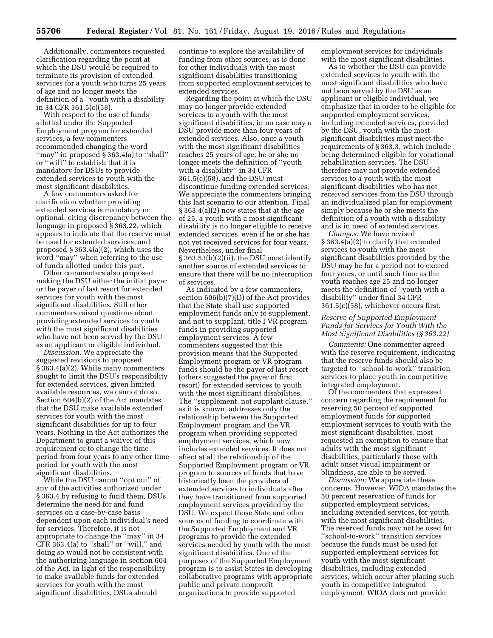Additionally, commenters requested clarification regarding the point at which the DSU would be required to terminate its provision of extended services for a youth who turns 25 years of age and no longer meets the definition of a ''youth with a disability'' in 34 CFR 361.5(c)(58).

With respect to the use of funds allotted under the Supported Employment program for extended services, a few commenters recommended changing the word "may" in proposed  $\S 363.4$ (a) to "shall" or ''will'' to establish that it is mandatory for DSUs to provide extended services to youth with the most significant disabilities.

A few commenters asked for clarification whether providing extended services is mandatory or optional, citing discrepancy between the language in proposed § 363.22, which appears to indicate that the reserve must be used for extended services, and proposed § 363.4(a)(2), which uses the word ''may'' when referring to the use of funds allotted under this part.

Other commenters also proposed making the DSU either the initial payer or the payer of last resort for extended services for youth with the most significant disabilities. Still other commenters raised questions about providing extended services to youth with the most significant disabilities who have not been served by the DSU as an applicant or eligible individual.

*Discussion:* We appreciate the suggested revisions to proposed § 363.4(a)(2). While many commenters sought to limit the DSU's responsibility for extended services, given limited available resources, we cannot do so. Section 604(b)(2) of the Act mandates that the DSU make available extended services for youth with the most significant disabilities for up to four years. Nothing in the Act authorizes the Department to grant a waiver of this requirement or to change the time period from four years to any other time period for youth with the most significant disabilities.

While the DSU cannot ''opt out'' of any of the activities authorized under § 363.4 by refusing to fund them, DSUs determine the need for and fund services on a case-by-case basis dependent upon each individual's need for services. Therefore, it is not appropriate to change the ''may'' in 34  $CFR$  363.4(a) to "shall" or "will," and doing so would not be consistent with the authorizing language in section 604 of the Act. In light of the responsibility to make available funds for extended services for youth with the most significant disabilities, DSUs should

continue to explore the availability of funding from other sources, as is done for other individuals with the most significant disabilities transitioning from supported employment services to extended services.

Regarding the point at which the DSU may no longer provide extended services to a youth with the most significant disabilities, in no case may a DSU provide more than four years of extended services. Also, once a youth with the most significant disabilities reaches 25 years of age, he or she no longer meets the definition of ''youth with a disability'' in 34 CFR 361.5(c)(58), and the DSU must discontinue funding extended services. We appreciate the commenters bringing this last scenario to our attention. Final § 363.4(a)(2) now states that at the age of 25, a youth with a most significant disability is no longer eligible to receive extended services, even if he or she has not yet received services for four years. Nevertheless, under final § 363.53(b)(2)(ii), the DSU must identify another source of extended services to ensure that there will be no interruption of services.

As indicated by a few commenters, section 606(b)(7)(D) of the Act provides that the State shall use supported employment funds only to supplement, and not to supplant, title I VR program funds in providing supported employment services. A few commenters suggested that this provision means that the Supported Employment program or VR program funds should be the payer of last resort (others suggested the payer of first resort) for extended services to youth with the most significant disabilities. The ''supplement, not supplant clause,'' as it is known, addresses only the relationship between the Supported Employment program and the VR program when providing supported employment services, which now includes extended services. It does not affect at all the relationship of the Supported Employment program or VR program to sources of funds that have historically been the providers of extended services to individuals after they have transitioned from supported employment services provided by the DSU. We expect those State and other sources of funding to coordinate with the Supported Employment and VR programs to provide the extended services needed by youth with the most significant disabilities. One of the purposes of the Supported Employment program is to assist States in developing collaborative programs with appropriate public and private nonprofit organizations to provide supported

employment services for individuals with the most significant disabilities.

As to whether the DSU can provide extended services to youth with the most significant disabilities who have not been served by the DSU as an applicant or eligible individual, we emphasize that in order to be eligible for supported employment services, including extended services, provided by the DSU, youth with the most significant disabilities must meet the requirements of § 363.3, which include being determined eligible for vocational rehabilitation services. The DSU therefore may not provide extended services to a youth with the most significant disabilities who has not received services from the DSU through an individualized plan for employment simply because he or she meets the definition of a youth with a disability and is in need of extended services.

*Changes:* We have revised § 363.4(a)(2) to clarify that extended services to youth with the most significant disabilities provided by the DSU may be for a period not to exceed four years, or until such time as the youth reaches age 25 and no longer meets the definition of ''youth with a disability'' under final 34 CFR 361.5(c)(58), whichever occurs first.

### *Reserve of Supported Employment Funds for Services for Youth With the Most Significant Disabilities (§ 363.22)*

*Comments:* One commenter agreed with the reserve requirement, indicating that the reserve funds should also be targeted to ''school-to-work'' transition services to place youth in competitive integrated employment.

Of the commenters that expressed concern regarding the requirement for reserving 50 percent of supported employment funds for supported employment services to youth with the most significant disabilities, most requested an exemption to ensure that adults with the most significant disabilities, particularly those with adult onset visual impairment or blindness, are able to be served.

*Discussion:* We appreciate these concerns. However, WIOA mandates the 50 percent reservation of funds for supported employment services, including extended services, for youth with the most significant disabilities. The reserved funds may not be used for ''school-to-work'' transition services because the funds must be used for supported employment services for youth with the most significant disabilities, including extended services, which occur after placing such youth in competitive integrated employment. WIOA does not provide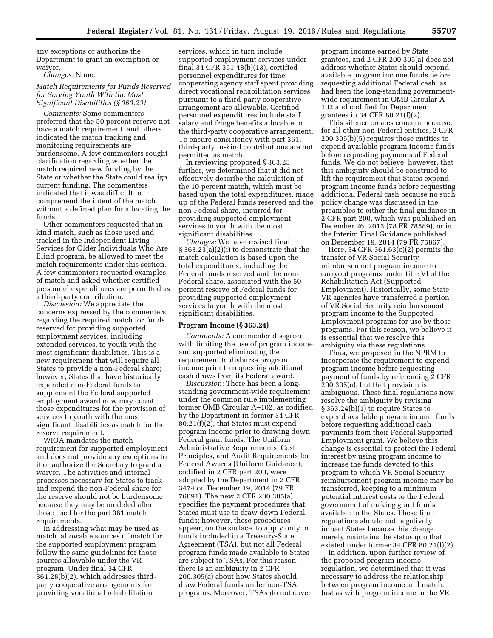any exceptions or authorize the Department to grant an exemption or waiver.

*Changes:* None.

# *Match Requirements for Funds Reserved for Serving Youth With the Most Significant Disabilities (§ 363.23)*

*Comments:* Some commenters preferred that the 50 percent reserve not have a match requirement, and others indicated the match tracking and monitoring requirements are burdensome. A few commenters sought clarification regarding whether the match required new funding by the State or whether the State could realign current funding. The commenters indicated that it was difficult to comprehend the intent of the match without a defined plan for allocating the funds.

Other commenters requested that inkind match, such as those used and tracked in the Independent Living Services for Older Individuals Who Are Blind program, be allowed to meet the match requirements under this section. A few commenters requested examples of match and asked whether certified personnel expenditures are permitted as a third-party contribution.

*Discussion:* We appreciate the concerns expressed by the commenters regarding the required match for funds reserved for providing supported employment services, including extended services, to youth with the most significant disabilities. This is a new requirement that will require all States to provide a non-Federal share; however, States that have historically expended non-Federal funds to supplement the Federal supported employment award now may count those expenditures for the provision of services to youth with the most significant disabilities as match for the reserve requirement.

WIOA mandates the match requirement for supported employment and does not provide any exceptions to it or authorize the Secretary to grant a waiver. The activities and internal processes necessary for States to track and expend the non-Federal share for the reserve should not be burdensome because they may be modeled after those used for the part 361 match requirements.

In addressing what may be used as match, allowable sources of match for the supported employment program follow the same guidelines for those sources allowable under the VR program. Under final 34 CFR 361.28(b)(2), which addresses thirdparty cooperative arrangements for providing vocational rehabilitation

services, which in turn include supported employment services under final 34 CFR 361.48(b)(13), certified personnel expenditures for time cooperating agency staff spent providing direct vocational rehabilitation services pursuant to a third-party cooperative arrangement are allowable. Certified personnel expenditures include staff salary and fringe benefits allocable to the third-party cooperative arrangement. To ensure consistency with part 361, third-party in-kind contributions are not permitted as match.

In reviewing proposed § 363.23 further, we determined that it did not effectively describe the calculation of the 10 percent match, which must be based upon the total expenditures, made up of the Federal funds reserved and the non-Federal share, incurred for providing supported employment services to youth with the most significant disabilities.

*Changes:* We have revised final § 363.23(a)(2)(i) to demonstrate that the match calculation is based upon the total expenditures, including the Federal funds reserved and the non-Federal share, associated with the 50 percent reserve of Federal funds for providing supported employment services to youth with the most significant disabilities.

#### **Program Income (§ 363.24)**

*Comments:* A commenter disagreed with limiting the use of program income and supported eliminating the requirement to disburse program income prior to requesting additional cash draws from its Federal award.

*Discussion:* There has been a longstanding government-wide requirement under the common rule implementing former OMB Circular A–102, as codified by the Department in former 34 CFR 80.21(f)(2), that States must expend program income prior to drawing down Federal grant funds. The Uniform Administrative Requirements, Cost Principles, and Audit Requirements for Federal Awards (Uniform Guidance), codified in 2 CFR part 200, were adopted by the Department in 2 CFR 3474 on December 19, 2014 (79 FR 76091). The new 2 CFR 200.305(a) specifies the payment procedures that States must use to draw down Federal funds; however, these procedures appear, on the surface, to apply only to funds included in a Treasury-State Agreement (TSA), but not all Federal program funds made available to States are subject to TSAs. For this reason, there is an ambiguity in 2 CFR 200.305(a) about how States should draw Federal funds under non-TSA programs. Moreover, TSAs do not cover

program income earned by State grantees, and 2 CFR 200.305(a) does not address whether States should expend available program income funds before requesting additional Federal cash, as had been the long-standing governmentwide requirement in OMB Circular A– 102 and codified for Department grantees in 34 CFR 80.21(f)(2).

This silence creates concern because, for all other non-Federal entities, 2 CFR 200.305(b)(5) requires those entities to expend available program income funds before requesting payments of Federal funds. We do not believe, however, that this ambiguity should be construed to lift the requirement that States expend program income funds before requesting additional Federal cash because no such policy change was discussed in the preambles to either the final guidance in 2 CFR part 200, which was published on December 26, 2013 (78 FR 78589), or in the Interim Final Guidance published on December 19, 2014 (79 FR 75867).

Here, 34 CFR 361.63(c)(2) permits the transfer of VR Social Security reimbursement program income to carryout programs under title VI of the Rehabilitation Act (Supported Employment). Historically, some State VR agencies have transferred a portion of VR Social Security reimbursement program income to the Supported Employment programs for use by those programs. For this reason, we believe it is essential that we resolve this ambiguity via these regulations.

Thus, we proposed in the NPRM to incorporate the requirement to expend program income before requesting payment of funds by referencing 2 CFR 200.305(a), but that provision is ambiguous. These final regulations now resolve the ambiguity by revising § 363.24(b)(1) to require States to expend available program income funds before requesting additional cash payments from their Federal Supported Employment grant. We believe this change is essential to protect the Federal interest by using program income to increase the funds devoted to this program to which VR Social Security reimbursement program income may be transferred, keeping to a minimum potential interest costs to the Federal government of making grant funds available to the States. These final regulations should not negatively impact States because this change merely maintains the status quo that existed under former 34 CFR 80.21(f)(2).

In addition, upon further review of the proposed program income regulation, we determined that it was necessary to address the relationship between program income and match. Just as with program income in the VR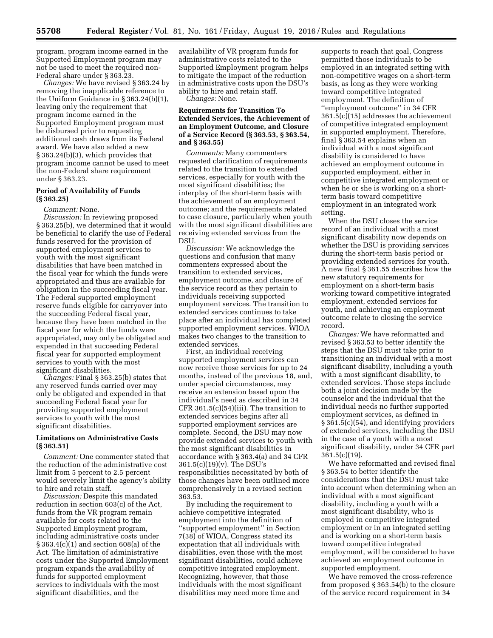program, program income earned in the Supported Employment program may not be used to meet the required non-Federal share under § 363.23.

*Changes:* We have revised § 363.24 by removing the inapplicable reference to the Uniform Guidance in § 363.24(b)(1), leaving only the requirement that program income earned in the Supported Employment program must be disbursed prior to requesting additional cash draws from its Federal award. We have also added a new § 363.24(b)(3), which provides that program income cannot be used to meet the non-Federal share requirement under § 363.23.

### **Period of Availability of Funds (§ 363.25)**

#### *Comment:* None.

*Discussion:* In reviewing proposed § 363.25(b), we determined that it would be beneficial to clarify the use of Federal funds reserved for the provision of supported employment services to youth with the most significant disabilities that have been matched in the fiscal year for which the funds were appropriated and thus are available for obligation in the succeeding fiscal year. The Federal supported employment reserve funds eligible for carryover into the succeeding Federal fiscal year, because they have been matched in the fiscal year for which the funds were appropriated, may only be obligated and expended in that succeeding Federal fiscal year for supported employment services to youth with the most significant disabilities.

*Changes:* Final § 363.25(b) states that any reserved funds carried over may only be obligated and expended in that succeeding Federal fiscal year for providing supported employment services to youth with the most significant disabilities.

# **Limitations on Administrative Costs (§ 363.51)**

*Comment:* One commenter stated that the reduction of the administrative cost limit from 5 percent to 2.5 percent would severely limit the agency's ability to hire and retain staff.

*Discussion:* Despite this mandated reduction in section 603(c) of the Act, funds from the VR program remain available for costs related to the Supported Employment program, including administrative costs under § 363.4(c)(1) and section 608(a) of the Act. The limitation of administrative costs under the Supported Employment program expands the availability of funds for supported employment services to individuals with the most significant disabilities, and the

availability of VR program funds for administrative costs related to the Supported Employment program helps to mitigate the impact of the reduction in administrative costs upon the DSU's ability to hire and retain staff.

*Changes:* None.

### **Requirements for Transition To Extended Services, the Achievement of an Employment Outcome, and Closure of a Service Record (§ 363.53, § 363.54, and § 363.55)**

*Comments:* Many commenters requested clarification of requirements related to the transition to extended services, especially for youth with the most significant disabilities; the interplay of the short-term basis with the achievement of an employment outcome; and the requirements related to case closure, particularly when youth with the most significant disabilities are receiving extended services from the DSU.

*Discussion:* We acknowledge the questions and confusion that many commenters expressed about the transition to extended services, employment outcome, and closure of the service record as they pertain to individuals receiving supported employment services. The transition to extended services continues to take place after an individual has completed supported employment services. WIOA makes two changes to the transition to extended services.

First, an individual receiving supported employment services can now receive those services for up to 24 months, instead of the previous 18, and, under special circumstances, may receive an extension based upon the individual's need as described in 34 CFR 361.5(c)(54)(iii). The transition to extended services begins after all supported employment services are complete. Second, the DSU may now provide extended services to youth with the most significant disabilities in accordance with § 363.4(a) and 34 CFR 361.5(c)(19)(v). The DSU's responsibilities necessitated by both of those changes have been outlined more comprehensively in a revised section 363.53.

By including the requirement to achieve competitive integrated employment into the definition of ''supported employment'' in Section 7(38) of WIOA, Congress stated its expectation that all individuals with disabilities, even those with the most significant disabilities, could achieve competitive integrated employment. Recognizing, however, that those individuals with the most significant disabilities may need more time and

supports to reach that goal, Congress permitted those individuals to be employed in an integrated setting with non-competitive wages on a short-term basis, as long as they were working toward competitive integrated employment. The definition of ''employment outcome'' in 34 CFR 361.5(c)(15) addresses the achievement of competitive integrated employment in supported employment. Therefore, final § 363.54 explains when an individual with a most significant disability is considered to have achieved an employment outcome in supported employment, either in competitive integrated employment or when he or she is working on a shortterm basis toward competitive employment in an integrated work setting.

When the DSU closes the service record of an individual with a most significant disability now depends on whether the DSU is providing services during the short-term basis period or providing extended services for youth. A new final § 361.55 describes how the new statutory requirements for employment on a short-term basis working toward competitive integrated employment, extended services for youth, and achieving an employment outcome relate to closing the service record.

*Changes:* We have reformatted and revised § 363.53 to better identify the steps that the DSU must take prior to transitioning an individual with a most significant disability, including a youth with a most significant disability, to extended services. Those steps include both a joint decision made by the counselor and the individual that the individual needs no further supported employment services, as defined in § 361.5(c)(54), and identifying providers of extended services, including the DSU in the case of a youth with a most significant disability, under 34 CFR part 361.5(c)(19).

We have reformatted and revised final § 363.54 to better identify the considerations that the DSU must take into account when determining when an individual with a most significant disability, including a youth with a most significant disability, who is employed in competitive integrated employment or in an integrated setting and is working on a short-term basis toward competitive integrated employment, will be considered to have achieved an employment outcome in supported employment.

We have removed the cross-reference from proposed § 363.54(b) to the closure of the service record requirement in 34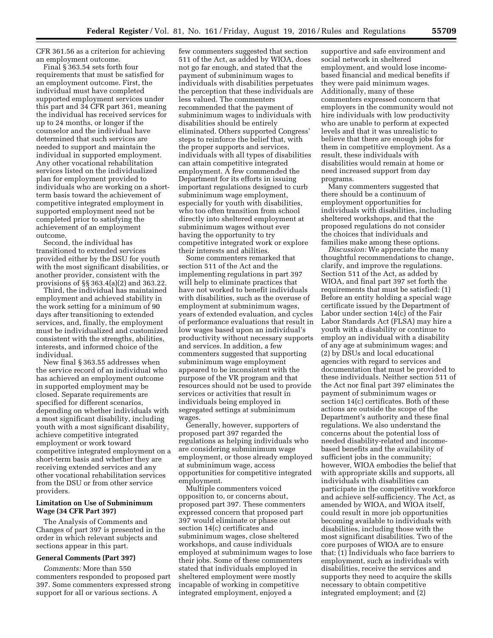CFR 361.56 as a criterion for achieving an employment outcome.

Final § 363.54 sets forth four requirements that must be satisfied for an employment outcome. First, the individual must have completed supported employment services under this part and 34 CFR part 361, meaning the individual has received services for up to 24 months, or longer if the counselor and the individual have determined that such services are needed to support and maintain the individual in supported employment. Any other vocational rehabilitation services listed on the individualized plan for employment provided to individuals who are working on a shortterm basis toward the achievement of competitive integrated employment in supported employment need not be completed prior to satisfying the achievement of an employment outcome.

Second, the individual has transitioned to extended services provided either by the DSU for youth with the most significant disabilities, or another provider, consistent with the provisions of §§ 363.4(a)(2) and 363.22.

Third, the individual has maintained employment and achieved stability in the work setting for a minimum of 90 days after transitioning to extended services, and, finally, the employment must be individualized and customized consistent with the strengths, abilities, interests, and informed choice of the individual.

New final § 363.55 addresses when the service record of an individual who has achieved an employment outcome in supported employment may be closed. Separate requirements are specified for different scenarios, depending on whether individuals with a most significant disability, including youth with a most significant disability, achieve competitive integrated employment or work toward competitive integrated employment on a short-term basis and whether they are receiving extended services and any other vocational rehabilitation services from the DSU or from other service providers.

#### **Limitation on Use of Subminimum Wage (34 CFR Part 397)**

The Analysis of Comments and Changes of part 397 is presented in the order in which relevant subjects and sections appear in this part.

### **General Comments (Part 397)**

*Comments:* More than 550 commenters responded to proposed part 397. Some commenters expressed strong support for all or various sections. A

few commenters suggested that section 511 of the Act, as added by WIOA, does not go far enough, and stated that the payment of subminimum wages to individuals with disabilities perpetuates the perception that these individuals are less valued. The commenters recommended that the payment of subminimum wages to individuals with disabilities should be entirely eliminated. Others supported Congress' steps to reinforce the belief that, with the proper supports and services, individuals with all types of disabilities can attain competitive integrated employment. A few commended the Department for its efforts in issuing important regulations designed to curb subminimum wage employment, especially for youth with disabilities, who too often transition from school directly into sheltered employment at subminimum wages without ever having the opportunity to try competitive integrated work or explore their interests and abilities.

Some commenters remarked that section 511 of the Act and the implementing regulations in part 397 will help to eliminate practices that have not worked to benefit individuals with disabilities, such as the overuse of employment at subminimum wages, years of extended evaluation, and cycles of performance evaluations that result in low wages based upon an individual's productivity without necessary supports and services. In addition, a few commenters suggested that supporting subminimum wage employment appeared to be inconsistent with the purpose of the VR program and that resources should not be used to provide services or activities that result in individuals being employed in segregated settings at subminimum wages.

Generally, however, supporters of proposed part 397 regarded the regulations as helping individuals who are considering subminimum wage employment, or those already employed at subminimum wage, access opportunities for competitive integrated employment.

Multiple commenters voiced opposition to, or concerns about, proposed part 397. These commenters expressed concern that proposed part 397 would eliminate or phase out section 14(c) certificates and subminimum wages, close sheltered workshops, and cause individuals employed at subminimum wages to lose their jobs. Some of these commenters stated that individuals employed in sheltered employment were mostly incapable of working in competitive integrated employment, enjoyed a

supportive and safe environment and social network in sheltered employment, and would lose incomebased financial and medical benefits if they were paid minimum wages. Additionally, many of these commenters expressed concern that employers in the community would not hire individuals with low productivity who are unable to perform at expected levels and that it was unrealistic to believe that there are enough jobs for them in competitive employment. As a result, these individuals with disabilities would remain at home or need increased support from day programs.

Many commenters suggested that there should be a continuum of employment opportunities for individuals with disabilities, including sheltered workshops, and that the proposed regulations do not consider the choices that individuals and families make among these options.

*Discussion:* We appreciate the many thoughtful recommendations to change, clarify, and improve the regulations. Section 511 of the Act, as added by WIOA, and final part 397 set forth the requirements that must be satisfied: (1) Before an entity holding a special wage certificate issued by the Department of Labor under section 14(c) of the Fair Labor Standards Act (FLSA) may hire a youth with a disability or continue to employ an individual with a disability of any age at subminimum wages; and (2) by DSUs and local educational agencies with regard to services and documentation that must be provided to these individuals. Neither section 511 of the Act nor final part 397 eliminates the payment of subminimum wages or section 14(c) certificates. Both of these actions are outside the scope of the Department's authority and these final regulations. We also understand the concerns about the potential loss of needed disability-related and incomebased benefits and the availability of sufficient jobs in the community; however, WIOA embodies the belief that with appropriate skills and supports, all individuals with disabilities can participate in the competitive workforce and achieve self-sufficiency. The Act, as amended by WIOA, and WIOA itself, could result in more job opportunities becoming available to individuals with disabilities, including those with the most significant disabilities. Two of the core purposes of WIOA are to ensure that: (1) Individuals who face barriers to employment, such as individuals with disabilities, receive the services and supports they need to acquire the skills necessary to obtain competitive integrated employment; and (2)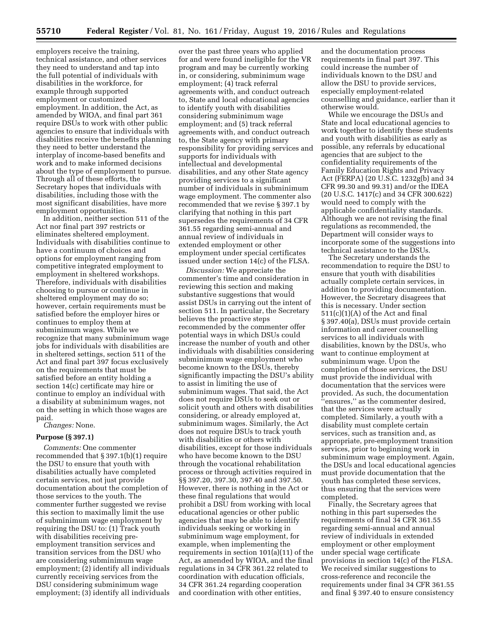employers receive the training, technical assistance, and other services they need to understand and tap into the full potential of individuals with disabilities in the workforce, for example through supported employment or customized employment. In addition, the Act, as amended by WIOA, and final part 361 require DSUs to work with other public agencies to ensure that individuals with disabilities receive the benefits planning they need to better understand the interplay of income-based benefits and work and to make informed decisions about the type of employment to pursue. Through all of these efforts, the Secretary hopes that individuals with disabilities, including those with the most significant disabilities, have more employment opportunities.

In addition, neither section 511 of the Act nor final part 397 restricts or eliminates sheltered employment. Individuals with disabilities continue to have a continuum of choices and options for employment ranging from competitive integrated employment to employment in sheltered workshops. Therefore, individuals with disabilities choosing to pursue or continue in sheltered employment may do so; however, certain requirements must be satisfied before the employer hires or continues to employ them at subminimum wages. While we recognize that many subminimum wage jobs for individuals with disabilities are in sheltered settings, section 511 of the Act and final part 397 focus exclusively on the requirements that must be satisfied before an entity holding a section 14(c) certificate may hire or continue to employ an individual with a disability at subminimum wages, not on the setting in which those wages are paid.

# *Changes:* None.

# **Purpose (§ 397.1)**

*Comments:* One commenter recommended that § 397.1(b)(1) require the DSU to ensure that youth with disabilities actually have completed certain services, not just provide documentation about the completion of those services to the youth. The commenter further suggested we revise this section to maximally limit the use of subminimum wage employment by requiring the DSU to: (1) Track youth with disabilities receiving preemployment transition services and transition services from the DSU who are considering subminimum wage employment; (2) identify all individuals currently receiving services from the DSU considering subminimum wage employment; (3) identify all individuals

over the past three years who applied for and were found ineligible for the VR program and may be currently working in, or considering, subminimum wage employment; (4) track referral agreements with, and conduct outreach to, State and local educational agencies to identify youth with disabilities considering subminimum wage employment; and (5) track referral agreements with, and conduct outreach to, the State agency with primary responsibility for providing services and supports for individuals with intellectual and developmental disabilities, and any other State agency providing services to a significant number of individuals in subminimum wage employment. The commenter also recommended that we revise § 397.1 by clarifying that nothing in this part supersedes the requirements of 34 CFR 361.55 regarding semi-annual and annual review of individuals in extended employment or other employment under special certificates issued under section 14(c) of the FLSA.

*Discussion:* We appreciate the commenter's time and consideration in reviewing this section and making substantive suggestions that would assist DSUs in carrying out the intent of section 511. In particular, the Secretary believes the proactive steps recommended by the commenter offer potential ways in which DSUs could increase the number of youth and other individuals with disabilities considering subminimum wage employment who become known to the DSUs, thereby significantly impacting the DSU's ability to assist in limiting the use of subminimum wages. That said, the Act does not require DSUs to seek out or solicit youth and others with disabilities considering, or already employed at, subminimum wages. Similarly, the Act does not require DSUs to track youth with disabilities or others with disabilities, except for those individuals who have become known to the DSU through the vocational rehabilitation process or through activities required in §§ 397.20, 397.30, 397.40 and 397.50. However, there is nothing in the Act or these final regulations that would prohibit a DSU from working with local educational agencies or other public agencies that may be able to identify individuals seeking or working in subminimum wage employment, for example, when implementing the requirements in section 101(a)(11) of the Act, as amended by WIOA, and the final regulations in 34 CFR 361.22 related to coordination with education officials, 34 CFR 361.24 regarding cooperation and coordination with other entities,

and the documentation process requirements in final part 397. This could increase the number of individuals known to the DSU and allow the DSU to provide services, especially employment-related counselling and guidance, earlier than it otherwise would.

While we encourage the DSUs and State and local educational agencies to work together to identify these students and youth with disabilities as early as possible, any referrals by educational agencies that are subject to the confidentiality requirements of the Family Education Rights and Privacy Act (FERPA) (20 U.S.C. 1232g(b) and 34 CFR 99.30 and 99.31) and/or the IDEA (20 U.S.C. 1417(c) and 34 CFR 300.622) would need to comply with the applicable confidentiality standards. Although we are not revising the final regulations as recommended, the Department will consider ways to incorporate some of the suggestions into technical assistance to the DSUs.

The Secretary understands the recommendation to require the DSU to ensure that youth with disabilities actually complete certain services, in addition to providing documentation. However, the Secretary disagrees that this is necessary. Under section 511(c)(1)(A) of the Act and final § 397.40(a), DSUs must provide certain information and career counselling services to all individuals with disabilities, known by the DSUs, who want to continue employment at subminimum wage. Upon the completion of those services, the DSU must provide the individual with documentation that the services were provided. As such, the documentation ''ensures,'' as the commenter desired, that the services were actually completed. Similarly, a youth with a disability must complete certain services, such as transition and, as appropriate, pre-employment transition services, prior to beginning work in subminimum wage employment. Again, the DSUs and local educational agencies must provide documentation that the youth has completed these services, thus ensuring that the services were completed.

Finally, the Secretary agrees that nothing in this part supersedes the requirements of final 34 CFR 361.55 regarding semi-annual and annual review of individuals in extended employment or other employment under special wage certificate provisions in section 14(c) of the FLSA. We received similar suggestions to cross-reference and reconcile the requirements under final 34 CFR 361.55 and final § 397.40 to ensure consistency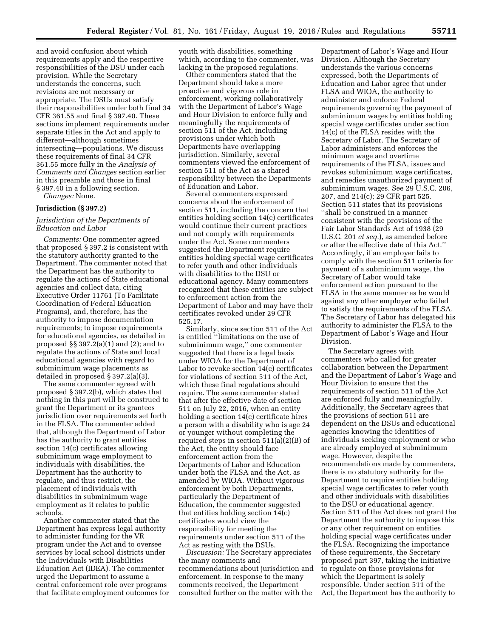and avoid confusion about which requirements apply and the respective responsibilities of the DSU under each provision. While the Secretary understands the concerns, such revisions are not necessary or appropriate. The DSUs must satisfy their responsibilities under both final 34 CFR 361.55 and final § 397.40. These sections implement requirements under separate titles in the Act and apply to different—although sometimes intersecting—populations. We discuss these requirements of final 34 CFR 361.55 more fully in the *Analysis of Comments and Changes* section earlier in this preamble and those in final § 397.40 in a following section.

*Changes:* None.

#### **Jurisdiction (§ 397.2)**

### *Jurisdiction of the Departments of Education and Labor*

*Comments:* One commenter agreed that proposed § 397.2 is consistent with the statutory authority granted to the Department. The commenter noted that the Department has the authority to regulate the actions of State educational agencies and collect data, citing Executive Order 11761 (To Facilitate Coordination of Federal Education Programs), and, therefore, has the authority to impose documentation requirements; to impose requirements for educational agencies, as detailed in proposed §§ 397.2(a)(1) and (2); and to regulate the actions of State and local educational agencies with regard to subminimum wage placements as detailed in proposed § 397.2(a)(3).

The same commenter agreed with proposed § 397.2(b), which states that nothing in this part will be construed to grant the Department or its grantees jurisdiction over requirements set forth in the FLSA. The commenter added that, although the Department of Labor has the authority to grant entities section 14(c) certificates allowing subminimum wage employment to individuals with disabilities, the Department has the authority to regulate, and thus restrict, the placement of individuals with disabilities in subminimum wage employment as it relates to public schools.

Another commenter stated that the Department has express legal authority to administer funding for the VR program under the Act and to oversee services by local school districts under the Individuals with Disabilities Education Act (IDEA). The commenter urged the Department to assume a central enforcement role over programs that facilitate employment outcomes for youth with disabilities, something which, according to the commenter, was lacking in the proposed regulations.

Other commenters stated that the Department should take a more proactive and vigorous role in enforcement, working collaboratively with the Department of Labor's Wage and Hour Division to enforce fully and meaningfully the requirements of section 511 of the Act, including provisions under which both Departments have overlapping jurisdiction. Similarly, several commenters viewed the enforcement of section 511 of the Act as a shared responsibility between the Departments of Education and Labor.

Several commenters expressed concerns about the enforcement of section 511, including the concern that entities holding section 14(c) certificates would continue their current practices and not comply with requirements under the Act. Some commenters suggested the Department require entities holding special wage certificates to refer youth and other individuals with disabilities to the DSU or educational agency. Many commenters recognized that these entities are subject to enforcement action from the Department of Labor and may have their certificates revoked under 29 CFR 525.17.

Similarly, since section 511 of the Act is entitled ''limitations on the use of subminimum wage,'' one commenter suggested that there is a legal basis under WIOA for the Department of Labor to revoke section 14(c) certificates for violations of section 511 of the Act, which these final regulations should require. The same commenter stated that after the effective date of section 511 on July 22, 2016, when an entity holding a section 14(c) certificate hires a person with a disability who is age 24 or younger without completing the required steps in section 511(a)(2)(B) of the Act, the entity should face enforcement action from the Departments of Labor and Education under both the FLSA and the Act, as amended by WIOA. Without vigorous enforcement by both Departments, particularly the Department of Education, the commenter suggested that entities holding section 14(c) certificates would view the responsibility for meeting the requirements under section 511 of the Act as resting with the DSUs.

*Discussion:* The Secretary appreciates the many comments and recommendations about jurisdiction and enforcement. In response to the many comments received, the Department consulted further on the matter with the

Department of Labor's Wage and Hour Division. Although the Secretary understands the various concerns expressed, both the Departments of Education and Labor agree that under FLSA and WIOA, the authority to administer and enforce Federal requirements governing the payment of subminimum wages by entities holding special wage certificates under section 14(c) of the FLSA resides with the Secretary of Labor. The Secretary of Labor administers and enforces the minimum wage and overtime requirements of the FLSA, issues and revokes subminimum wage certificates, and remedies unauthorized payment of subminimum wages. See 29 U.S.C. 206, 207, and 214(c); 29 CFR part 525. Section 511 states that its provisions ''shall be construed in a manner consistent with the provisions of the Fair Labor Standards Act of 1938 (29 U.S.C. 201 *et seq.*), as amended before or after the effective date of this Act.'' Accordingly, if an employer fails to comply with the section 511 criteria for payment of a subminimum wage, the Secretary of Labor would take enforcement action pursuant to the FLSA in the same manner as he would against any other employer who failed to satisfy the requirements of the FLSA. The Secretary of Labor has delegated his authority to administer the FLSA to the Department of Labor's Wage and Hour Division.

The Secretary agrees with commenters who called for greater collaboration between the Department and the Department of Labor's Wage and Hour Division to ensure that the requirements of section 511 of the Act are enforced fully and meaningfully. Additionally, the Secretary agrees that the provisions of section 511 are dependent on the DSUs and educational agencies knowing the identities of individuals seeking employment or who are already employed at subminimum wage. However, despite the recommendations made by commenters, there is no statutory authority for the Department to require entities holding special wage certificates to refer youth and other individuals with disabilities to the DSU or educational agency. Section 511 of the Act does not grant the Department the authority to impose this or any other requirement on entities holding special wage certificates under the FLSA. Recognizing the importance of these requirements, the Secretary proposed part 397, taking the initiative to regulate on those provisions for which the Department is solely responsible. Under section 511 of the Act, the Department has the authority to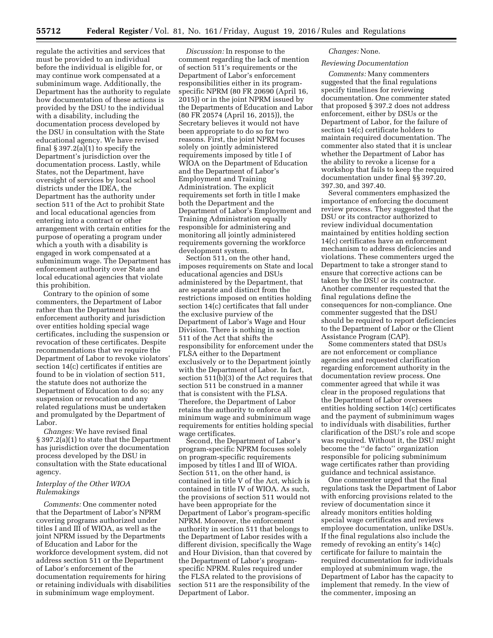regulate the activities and services that must be provided to an individual before the individual is eligible for, or may continue work compensated at a subminimum wage. Additionally, the Department has the authority to regulate how documentation of these actions is provided by the DSU to the individual with a disability, including the documentation process developed by the DSU in consultation with the State educational agency. We have revised final  $\S 397.2(a)(1)$  to specify the Department's jurisdiction over the documentation process. Lastly, while States, not the Department, have oversight of services by local school districts under the IDEA, the Department has the authority under section 511 of the Act to prohibit State and local educational agencies from entering into a contract or other arrangement with certain entities for the purpose of operating a program under which a youth with a disability is engaged in work compensated at a subminimum wage. The Department has enforcement authority over State and local educational agencies that violate this prohibition.

Contrary to the opinion of some commenters, the Department of Labor rather than the Department has enforcement authority and jurisdiction over entities holding special wage certificates, including the suspension or revocation of these certificates. Despite recommendations that we require the Department of Labor to revoke violators' section 14(c) certificates if entities are found to be in violation of section 511, the statute does not authorize the Department of Education to do so; any suspension or revocation and any related regulations must be undertaken and promulgated by the Department of Labor.

*Changes:* We have revised final § 397.2(a)(1) to state that the Department has jurisdiction over the documentation process developed by the DSU in consultation with the State educational agency.

# *Interplay of the Other WIOA Rulemakings*

*Comments:* One commenter noted that the Department of Labor's NPRM covering programs authorized under titles I and III of WIOA, as well as the joint NPRM issued by the Departments of Education and Labor for the workforce development system, did not address section 511 or the Department of Labor's enforcement of the documentation requirements for hiring or retaining individuals with disabilities in subminimum wage employment.

*Discussion:* In response to the comment regarding the lack of mention of section 511's requirements or the Department of Labor's enforcement responsibilities either in its programspecific NPRM (80 FR 20690 (April 16, 2015)) or in the joint NPRM issued by the Departments of Education and Labor (80 FR 20574 (April 16, 2015)), the Secretary believes it would not have been appropriate to do so for two reasons. First, the joint NPRM focuses solely on jointly administered requirements imposed by title I of WIOA on the Department of Education and the Department of Labor's Employment and Training Administration. The explicit requirements set forth in title I make both the Department and the Department of Labor's Employment and Training Administration equally responsible for administering and monitoring all jointly administered requirements governing the workforce development system.

Section 511, on the other hand, imposes requirements on State and local educational agencies and DSUs administered by the Department, that are separate and distinct from the restrictions imposed on entities holding section 14(c) certificates that fall under the exclusive purview of the Department of Labor's Wage and Hour Division. There is nothing in section 511 of the Act that shifts the responsibility for enforcement under the FLSA either to the Department exclusively or to the Department jointly with the Department of Labor. In fact, section 511(b)(3) of the Act requires that section 511 be construed in a manner that is consistent with the FLSA. Therefore, the Department of Labor retains the authority to enforce all minimum wage and subminimum wage requirements for entities holding special wage certificates.

Second, the Department of Labor's program-specific NPRM focuses solely on program-specific requirements imposed by titles I and III of WIOA. Section 511, on the other hand, is contained in title V of the Act, which is contained in title IV of WIOA. As such, the provisions of section 511 would not have been appropriate for the Department of Labor's program-specific NPRM. Moreover, the enforcement authority in section 511 that belongs to the Department of Labor resides with a different division, specifically the Wage and Hour Division, than that covered by the Department of Labor's programspecific NPRM. Rules required under the FLSA related to the provisions of section 511 are the responsibility of the Department of Labor.

#### *Changes:* None.

## *Reviewing Documentation*

*Comments:* Many commenters suggested that the final regulations specify timelines for reviewing documentation. One commenter stated that proposed § 397.2 does not address enforcement, either by DSUs or the Department of Labor, for the failure of section 14(c) certificate holders to maintain required documentation. The commenter also stated that it is unclear whether the Department of Labor has the ability to revoke a license for a workshop that fails to keep the required documentation under final §§ 397.20, 397.30, and 397.40.

Several commenters emphasized the importance of enforcing the document review process. They suggested that the DSU or its contractor authorized to review individual documentation maintained by entities holding section 14(c) certificates have an enforcement mechanism to address deficiencies and violations. These commenters urged the Department to take a stronger stand to ensure that corrective actions can be taken by the DSU or its contractor. Another commenter requested that the final regulations define the consequences for non-compliance. One commenter suggested that the DSU should be required to report deficiencies to the Department of Labor or the Client Assistance Program (CAP).

Some commenters stated that DSUs are not enforcement or compliance agencies and requested clarification regarding enforcement authority in the documentation review process. One commenter agreed that while it was clear in the proposed regulations that the Department of Labor oversees entities holding section 14(c) certificates and the payment of subminimum wages to individuals with disabilities, further clarification of the DSU's role and scope was required. Without it, the DSU might become the ''de facto'' organization responsible for policing subminimum wage certificates rather than providing guidance and technical assistance.

One commenter urged that the final regulations task the Department of Labor with enforcing provisions related to the review of documentation since it already monitors entities holding special wage certificates and reviews employee documentation, unlike DSUs. If the final regulations also include the remedy of revoking an entity's 14(c) certificate for failure to maintain the required documentation for individuals employed at subminimum wage, the Department of Labor has the capacity to implement that remedy. In the view of the commenter, imposing an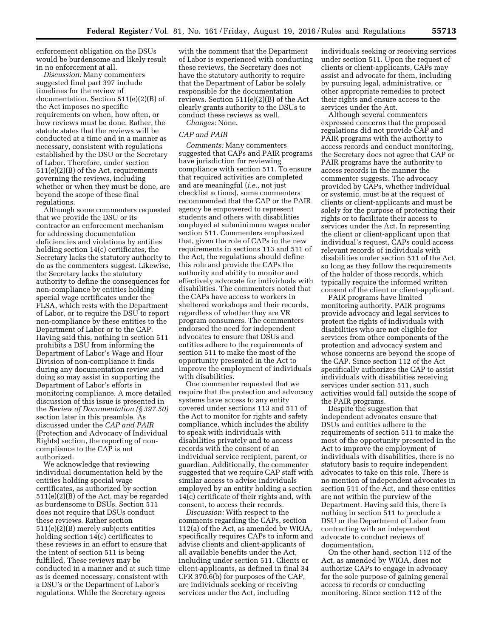enforcement obligation on the DSUs would be burdensome and likely result in no enforcement at all.

*Discussion:* Many commenters suggested final part 397 include timelines for the review of documentation. Section 511(e)(2)(B) of the Act imposes no specific requirements on when, how often, or how reviews must be done. Rather, the statute states that the reviews will be conducted at a time and in a manner as necessary, consistent with regulations established by the DSU or the Secretary of Labor. Therefore, under section 511(e)(2)(B) of the Act, requirements governing the reviews, including whether or when they must be done, are beyond the scope of these final regulations.

Although some commenters requested that we provide the DSU or its contractor an enforcement mechanism for addressing documentation deficiencies and violations by entities holding section 14(c) certificates, the Secretary lacks the statutory authority to do as the commenters suggest. Likewise, the Secretary lacks the statutory authority to define the consequences for non-compliance by entities holding special wage certificates under the FLSA, which rests with the Department of Labor, or to require the DSU to report non-compliance by these entities to the Department of Labor or to the CAP. Having said this, nothing in section 511 prohibits a DSU from informing the Department of Labor's Wage and Hour Division of non-compliance it finds during any documentation review and doing so may assist in supporting the Department of Labor's efforts in monitoring compliance. A more detailed discussion of this issue is presented in the *Review of Documentation (§ 397.50)*  section later in this preamble. As discussed under the *CAP and PAIR*  (Protection and Advocacy of Individual Rights) section, the reporting of noncompliance to the CAP is not authorized.

We acknowledge that reviewing individual documentation held by the entities holding special wage certificates, as authorized by section 511(e)(2)(B) of the Act, may be regarded as burdensome to DSUs. Section 511 does not require that DSUs conduct these reviews. Rather section 511(e)(2)(B) merely subjects entities holding section 14(c) certificates to these reviews in an effort to ensure that the intent of section 511 is being fulfilled. These reviews may be conducted in a manner and at such time as is deemed necessary, consistent with a DSU's or the Department of Labor's regulations. While the Secretary agrees

with the comment that the Department of Labor is experienced with conducting these reviews, the Secretary does not have the statutory authority to require that the Department of Labor be solely responsible for the documentation reviews. Section 511(e)(2)(B) of the Act clearly grants authority to the DSUs to conduct these reviews as well.

*Changes:* None.

### *CAP and PAIR*

*Comments:* Many commenters suggested that CAPs and PAIR programs have jurisdiction for reviewing compliance with section 511. To ensure that required activities are completed and are meaningful (*i.e.,* not just checklist actions), some commenters recommended that the CAP or the PAIR agency be empowered to represent students and others with disabilities employed at subminimum wages under section 511. Commenters emphasized that, given the role of CAPs in the new requirements in sections 113 and 511 of the Act, the regulations should define this role and provide the CAPs the authority and ability to monitor and effectively advocate for individuals with disabilities. The commenters noted that the CAPs have access to workers in sheltered workshops and their records, regardless of whether they are VR program consumers. The commenters endorsed the need for independent advocates to ensure that DSUs and entities adhere to the requirements of section 511 to make the most of the opportunity presented in the Act to improve the employment of individuals with disabilities.

One commenter requested that we require that the protection and advocacy systems have access to any entity covered under sections 113 and 511 of the Act to monitor for rights and safety compliance, which includes the ability to speak with individuals with disabilities privately and to access records with the consent of an individual service recipient, parent, or guardian. Additionally, the commenter suggested that we require CAP staff with similar access to advise individuals employed by an entity holding a section 14(c) certificate of their rights and, with consent, to access their records.

*Discussion:* With respect to the comments regarding the CAPs, section 112(a) of the Act, as amended by WIOA, specifically requires CAPs to inform and advise clients and client-applicants of all available benefits under the Act, including under section 511. Clients or client-applicants, as defined in final 34 CFR 370.6(b) for purposes of the CAP, are individuals seeking or receiving services under the Act, including

individuals seeking or receiving services under section 511. Upon the request of clients or client-applicants, CAPs may assist and advocate for them, including by pursuing legal, administrative, or other appropriate remedies to protect their rights and ensure access to the services under the Act.

Although several commenters expressed concerns that the proposed regulations did not provide CAP and PAIR programs with the authority to access records and conduct monitoring, the Secretary does not agree that CAP or PAIR programs have the authority to access records in the manner the commenter suggests. The advocacy provided by CAPs, whether individual or systemic, must be at the request of clients or client-applicants and must be solely for the purpose of protecting their rights or to facilitate their access to services under the Act. In representing the client or client-applicant upon that individual's request, CAPs could access relevant records of individuals with disabilities under section 511 of the Act, so long as they follow the requirements of the holder of those records, which typically require the informed written consent of the client or client-applicant.

PAIR programs have limited monitoring authority. PAIR programs provide advocacy and legal services to protect the rights of individuals with disabilities who are not eligible for services from other components of the protection and advocacy system and whose concerns are beyond the scope of the CAP. Since section 112 of the Act specifically authorizes the CAP to assist individuals with disabilities receiving services under section 511, such activities would fall outside the scope of the PAIR programs.

Despite the suggestion that independent advocates ensure that DSUs and entities adhere to the requirements of section 511 to make the most of the opportunity presented in the Act to improve the employment of individuals with disabilities, there is no statutory basis to require independent advocates to take on this role. There is no mention of independent advocates in section 511 of the Act, and these entities are not within the purview of the Department. Having said this, there is nothing in section 511 to preclude a DSU or the Department of Labor from contracting with an independent advocate to conduct reviews of documentation.

On the other hand, section 112 of the Act, as amended by WIOA, does not authorize CAPs to engage in advocacy for the sole purpose of gaining general access to records or conducting monitoring. Since section 112 of the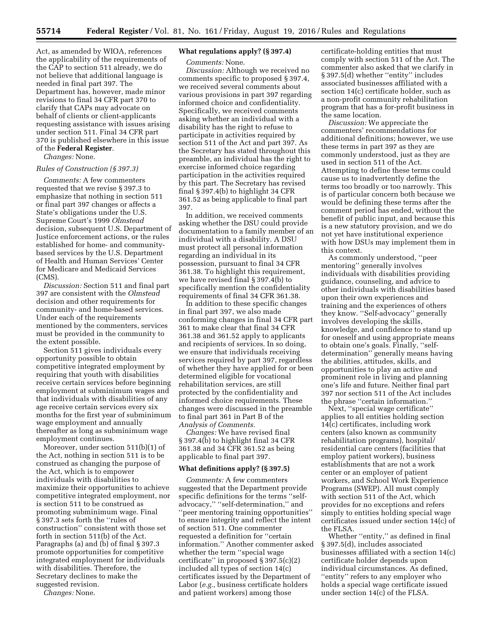Act, as amended by WIOA, references the applicability of the requirements of the CAP to section 511 already, we do not believe that additional language is needed in final part 397. The Department has, however, made minor revisions to final 34 CFR part 370 to clarify that CAPs may advocate on behalf of clients or client-applicants requesting assistance with issues arising under section 511. Final 34 CFR part 370 is published elsewhere in this issue of the **Federal Register**.

*Changes:* None.

#### *Rules of Construction (§ 397.3)*

*Comments:* A few commenters requested that we revise § 397.3 to emphasize that nothing in section 511 or final part 397 changes or affects a State's obligations under the U.S. Supreme Court's 1999 *Olmstead*  decision, subsequent U.S. Department of Justice enforcement actions, or the rules established for home- and communitybased services by the U.S. Department of Health and Human Services' Center for Medicare and Medicaid Services (CMS).

*Discussion:* Section 511 and final part 397 are consistent with the *Olmstead*  decision and other requirements for community- and home-based services. Under each of the requirements mentioned by the commenters, services must be provided in the community to the extent possible.

Section 511 gives individuals every opportunity possible to obtain competitive integrated employment by requiring that youth with disabilities receive certain services before beginning employment at subminimum wages and that individuals with disabilities of any age receive certain services every six months for the first year of subminimum wage employment and annually thereafter as long as subminimum wage employment continues.

Moreover, under section 511(b)(1) of the Act, nothing in section 511 is to be construed as changing the purpose of the Act, which is to empower individuals with disabilities to maximize their opportunities to achieve competitive integrated employment, nor is section 511 to be construed as promoting subminimum wage. Final § 397.3 sets forth the ''rules of construction'' consistent with those set forth in section 511(b) of the Act. Paragraphs (a) and (b) of final § 397.3 promote opportunities for competitive integrated employment for individuals with disabilities. Therefore, the Secretary declines to make the suggested revision.

*Changes:* None.

## **What regulations apply? (§ 397.4)**

*Comments:* None.

*Discussion:* Although we received no comments specific to proposed § 397.4, we received several comments about various provisions in part 397 regarding informed choice and confidentiality. Specifically, we received comments asking whether an individual with a disability has the right to refuse to participate in activities required by section 511 of the Act and part 397. As the Secretary has stated throughout this preamble, an individual has the right to exercise informed choice regarding participation in the activities required by this part. The Secretary has revised final § 397.4(b) to highlight 34 CFR 361.52 as being applicable to final part 397.

In addition, we received comments asking whether the DSU could provide documentation to a family member of an individual with a disability. A DSU must protect all personal information regarding an individual in its possession, pursuant to final 34 CFR 361.38. To highlight this requirement, we have revised final § 397.4(b) to specifically mention the confidentiality requirements of final 34 CFR 361.38.

In addition to these specific changes in final part 397, we also made conforming changes in final 34 CFR part 361 to make clear that final 34 CFR 361.38 and 361.52 apply to applicants and recipients of services. In so doing, we ensure that individuals receiving services required by part 397, regardless of whether they have applied for or been determined eligible for vocational rehabilitation services, are still protected by the confidentiality and informed choice requirements. These changes were discussed in the preamble to final part 361 in Part B of the *Analysis of Comments.* 

*Changes:* We have revised final § 397.4(b) to highlight final 34 CFR 361.38 and 34 CFR 361.52 as being applicable to final part 397.

#### **What definitions apply? (§ 397.5)**

*Comments:* A few commenters suggested that the Department provide specific definitions for the terms ''selfadvocacy,'' ''self-determination,'' and ''peer mentoring training opportunities'' to ensure integrity and reflect the intent of section 511. One commenter requested a definition for ''certain information.'' Another commenter asked whether the term ''special wage certificate'' in proposed § 397.5(c)(2) included all types of section 14(c) certificates issued by the Department of Labor (*e.g.,* business certificate holders and patient workers) among those

certificate-holding entities that must comply with section 511 of the Act. The commenter also asked that we clarify in § 397.5(d) whether "entity" includes associated businesses affiliated with a section 14(c) certificate holder, such as a non-profit community rehabilitation program that has a for-profit business in the same location.

*Discussion:* We appreciate the commenters' recommendations for additional definitions; however, we use these terms in part 397 as they are commonly understood, just as they are used in section 511 of the Act. Attempting to define these terms could cause us to inadvertently define the terms too broadly or too narrowly. This is of particular concern both because we would be defining these terms after the comment period has ended, without the benefit of public input, and because this is a new statutory provision, and we do not yet have institutional experience with how DSUs may implement them in this context.

As commonly understood, ''peer mentoring'' generally involves individuals with disabilities providing guidance, counseling, and advice to other individuals with disabilities based upon their own experiences and training and the experiences of others they know. ''Self-advocacy'' generally involves developing the skills, knowledge, and confidence to stand up for oneself and using appropriate means to obtain one's goals. Finally, ''selfdetermination'' generally means having the abilities, attitudes, skills, and opportunities to play an active and prominent role in living and planning one's life and future. Neither final part 397 nor section 511 of the Act includes the phrase ''certain information.''

Next, ''special wage certificate'' applies to all entities holding section 14(c) certificates, including work centers (also known as community rehabilitation programs), hospital/ residential care centers (facilities that employ patient workers), business establishments that are not a work center or an employer of patient workers, and School Work Experience Programs (SWEP). All must comply with section 511 of the Act, which provides for no exceptions and refers simply to entities holding special wage certificates issued under section 14(c) of the FLSA.

Whether ''entity,'' as defined in final § 397.5(d), includes associated businesses affiliated with a section 14(c) certificate holder depends upon individual circumstances. As defined, ''entity'' refers to any employer who holds a special wage certificate issued under section 14(c) of the FLSA.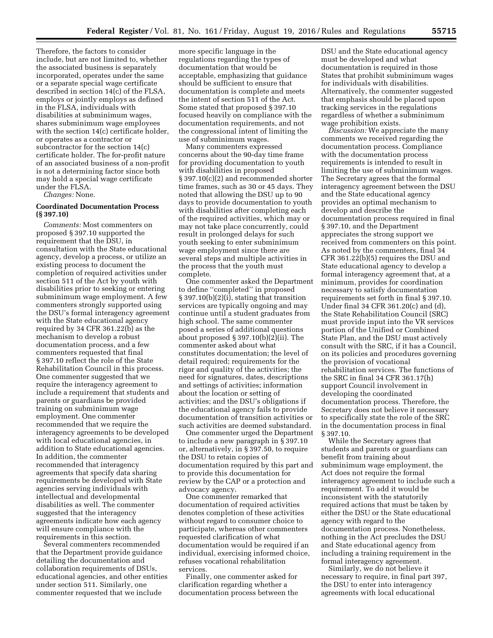Therefore, the factors to consider include, but are not limited to, whether the associated business is separately incorporated, operates under the same or a separate special wage certificate described in section 14(c) of the FLSA, employs or jointly employs as defined in the FLSA, individuals with disabilities at subminimum wages, shares subminimum wage employees with the section 14(c) certificate holder, or operates as a contractor or subcontractor for the section 14(c) certificate holder. The for-profit nature of an associated business of a non-profit is not a determining factor since both may hold a special wage certificate under the FLSA.

*Changes:* None.

### **Coordinated Documentation Process (§ 397.10)**

*Comments:* Most commenters on proposed § 397.10 supported the requirement that the DSU, in consultation with the State educational agency, develop a process, or utilize an existing process to document the completion of required activities under section 511 of the Act by youth with disabilities prior to seeking or entering subminimum wage employment. A few commenters strongly supported using the DSU's formal interagency agreement with the State educational agency required by 34 CFR 361.22(b) as the mechanism to develop a robust documentation process, and a few commenters requested that final § 397.10 reflect the role of the State Rehabilitation Council in this process. One commenter suggested that we require the interagency agreement to include a requirement that students and parents or guardians be provided training on subminimum wage employment. One commenter recommended that we require the interagency agreements to be developed with local educational agencies, in addition to State educational agencies. In addition, the commenter recommended that interagency agreements that specify data sharing requirements be developed with State agencies serving individuals with intellectual and developmental disabilities as well. The commenter suggested that the interagency agreements indicate how each agency will ensure compliance with the requirements in this section.

Several commenters recommended that the Department provide guidance detailing the documentation and collaboration requirements of DSUs, educational agencies, and other entities under section 511. Similarly, one commenter requested that we include

more specific language in the regulations regarding the types of documentation that would be acceptable, emphasizing that guidance should be sufficient to ensure that documentation is complete and meets the intent of section 511 of the Act. Some stated that proposed § 397.10 focused heavily on compliance with the documentation requirements, and not the congressional intent of limiting the use of subminimum wages.

Many commenters expressed concerns about the 90-day time frame for providing documentation to youth with disabilities in proposed § 397.10(c)(2) and recommended shorter time frames, such as 30 or 45 days. They noted that allowing the DSU up to 90 days to provide documentation to youth with disabilities after completing each of the required activities, which may or may not take place concurrently, could result in prolonged delays for such youth seeking to enter subminimum wage employment since there are several steps and multiple activities in the process that the youth must complete.

One commenter asked the Department to define ''completed'' in proposed § 397.10(b)(2)(i), stating that transition services are typically ongoing and may continue until a student graduates from high school. The same commenter posed a series of additional questions about proposed § 397.10(b)(2)(ii). The commenter asked about what constitutes documentation; the level of detail required; requirements for the rigor and quality of the activities; the need for signatures, dates, descriptions and settings of activities; information about the location or setting of activities; and the DSU's obligations if the educational agency fails to provide documentation of transition activities or such activities are deemed substandard.

One commenter urged the Department to include a new paragraph in § 397.10 or, alternatively, in § 397.50, to require the DSU to retain copies of documentation required by this part and to provide this documentation for review by the CAP or a protection and advocacy agency.

One commenter remarked that documentation of required activities denotes completion of these activities without regard to consumer choice to participate, whereas other commenters requested clarification of what documentation would be required if an individual, exercising informed choice, refuses vocational rehabilitation services.

Finally, one commenter asked for clarification regarding whether a documentation process between the DSU and the State educational agency must be developed and what documentation is required in those States that prohibit subminimum wages for individuals with disabilities. Alternatively, the commenter suggested that emphasis should be placed upon tracking services in the regulations regardless of whether a subminimum wage prohibition exists.

*Discussion:* We appreciate the many comments we received regarding the documentation process. Compliance with the documentation process requirements is intended to result in limiting the use of subminimum wages. The Secretary agrees that the formal interagency agreement between the DSU and the State educational agency provides an optimal mechanism to develop and describe the documentation process required in final § 397.10, and the Department appreciates the strong support we received from commenters on this point. As noted by the commenters, final 34 CFR 361.22(b)(5) requires the DSU and State educational agency to develop a formal interagency agreement that, at a minimum, provides for coordination necessary to satisfy documentation requirements set forth in final § 397.10. Under final 34 CFR 361.20(c) and (d), the State Rehabilitation Council (SRC) must provide input into the VR services portion of the Unified or Combined State Plan, and the DSU must actively consult with the SRC, if it has a Council, on its policies and procedures governing the provision of vocational rehabilitation services. The functions of the SRC in final 34 CFR 361.17(h) support Council involvement in developing the coordinated documentation process. Therefore, the Secretary does not believe it necessary to specifically state the role of the SRC in the documentation process in final § 397.10.

While the Secretary agrees that students and parents or guardians can benefit from training about subminimum wage employment, the Act does not require the formal interagency agreement to include such a requirement. To add it would be inconsistent with the statutorily required actions that must be taken by either the DSU or the State educational agency with regard to the documentation process. Nonetheless, nothing in the Act precludes the DSU and State educational agency from including a training requirement in the formal interagency agreement.

Similarly, we do not believe it necessary to require, in final part 397, the DSU to enter into interagency agreements with local educational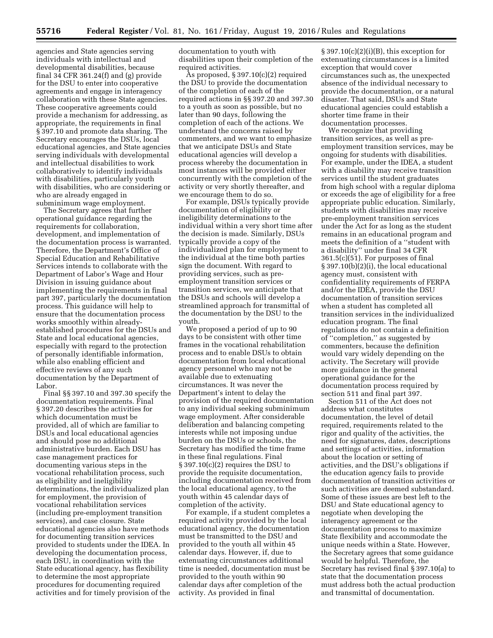agencies and State agencies serving individuals with intellectual and developmental disabilities, because final 34 CFR 361.24(f) and (g) provide for the DSU to enter into cooperative agreements and engage in interagency collaboration with these State agencies. These cooperative agreements could provide a mechanism for addressing, as appropriate, the requirements in final § 397.10 and promote data sharing. The Secretary encourages the DSUs, local educational agencies, and State agencies serving individuals with developmental and intellectual disabilities to work collaboratively to identify individuals with disabilities, particularly youth with disabilities, who are considering or who are already engaged in subminimum wage employment.

The Secretary agrees that further operational guidance regarding the requirements for collaboration, development, and implementation of the documentation process is warranted. Therefore, the Department's Office of Special Education and Rehabilitative Services intends to collaborate with the Department of Labor's Wage and Hour Division in issuing guidance about implementing the requirements in final part 397, particularly the documentation process. This guidance will help to ensure that the documentation process works smoothly within alreadyestablished procedures for the DSUs and State and local educational agencies, especially with regard to the protection of personally identifiable information, while also enabling efficient and effective reviews of any such documentation by the Department of Labor.

Final §§ 397.10 and 397.30 specify the documentation requirements. Final § 397.20 describes the activities for which documentation must be provided, all of which are familiar to DSUs and local educational agencies and should pose no additional administrative burden. Each DSU has case management practices for documenting various steps in the vocational rehabilitation process, such as eligibility and ineligibility determinations, the individualized plan for employment, the provision of vocational rehabilitation services (including pre-employment transition services), and case closure. State educational agencies also have methods for documenting transition services provided to students under the IDEA. In developing the documentation process, each DSU, in coordination with the State educational agency, has flexibility to determine the most appropriate procedures for documenting required activities and for timely provision of the

documentation to youth with disabilities upon their completion of the required activities.

As proposed, § 397.10(c)(2) required the DSU to provide the documentation of the completion of each of the required actions in §§ 397.20 and 397.30 to a youth as soon as possible, but no later than 90 days, following the completion of each of the actions. We understand the concerns raised by commenters, and we want to emphasize that we anticipate DSUs and State educational agencies will develop a process whereby the documentation in most instances will be provided either concurrently with the completion of the activity or very shortly thereafter, and we encourage them to do so.

For example, DSUs typically provide documentation of eligibility or ineligibility determinations to the individual within a very short time after the decision is made. Similarly, DSUs typically provide a copy of the individualized plan for employment to the individual at the time both parties sign the document. With regard to providing services, such as preemployment transition services or transition services, we anticipate that the DSUs and schools will develop a streamlined approach for transmittal of the documentation by the DSU to the youth.

We proposed a period of up to 90 days to be consistent with other time frames in the vocational rehabilitation process and to enable DSUs to obtain documentation from local educational agency personnel who may not be available due to extenuating circumstances. It was never the Department's intent to delay the provision of the required documentation to any individual seeking subminimum wage employment. After considerable deliberation and balancing competing interests while not imposing undue burden on the DSUs or schools, the Secretary has modified the time frame in these final regulations. Final § 397.10(c)(2) requires the DSU to provide the requisite documentation, including documentation received from the local educational agency, to the youth within 45 calendar days of completion of the activity.

For example, if a student completes a required activity provided by the local educational agency, the documentation must be transmitted to the DSU and provided to the youth all within 45 calendar days. However, if, due to extenuating circumstances additional time is needed, documentation must be provided to the youth within 90 calendar days after completion of the activity. As provided in final

 $§ 397.10(c)(2)(i)(B)$ , this exception for extenuating circumstances is a limited exception that would cover circumstances such as, the unexpected absence of the individual necessary to provide the documentation, or a natural disaster. That said, DSUs and State educational agencies could establish a shorter time frame in their documentation processes.

We recognize that providing transition services, as well as preemployment transition services, may be ongoing for students with disabilities. For example, under the IDEA, a student with a disability may receive transition services until the student graduates from high school with a regular diploma or exceeds the age of eligibility for a free appropriate public education. Similarly, students with disabilities may receive pre-employment transition services under the Act for as long as the student remains in an educational program and meets the definition of a ''student with a disability'' under final 34 CFR 361.5(c)(51). For purposes of final § 397.10(b)(2)(i), the local educational agency must, consistent with confidentiality requirements of FERPA and/or the IDEA, provide the DSU documentation of transition services when a student has completed all transition services in the individualized education program. The final regulations do not contain a definition of ''completion,'' as suggested by commenters, because the definition would vary widely depending on the activity. The Secretary will provide more guidance in the general operational guidance for the documentation process required by section 511 and final part 397.

Section 511 of the Act does not address what constitutes documentation, the level of detail required, requirements related to the rigor and quality of the activities, the need for signatures, dates, descriptions and settings of activities, information about the location or setting of activities, and the DSU's obligations if the education agency fails to provide documentation of transition activities or such activities are deemed substandard. Some of these issues are best left to the DSU and State educational agency to negotiate when developing the interagency agreement or the documentation process to maximize State flexibility and accommodate the unique needs within a State. However, the Secretary agrees that some guidance would be helpful. Therefore, the Secretary has revised final § 397.10(a) to state that the documentation process must address both the actual production and transmittal of documentation.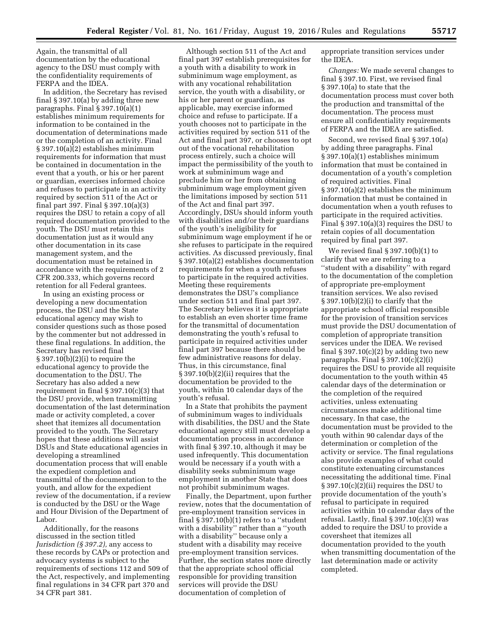Again, the transmittal of all documentation by the educational agency to the DSU must comply with the confidentiality requirements of FERPA and the IDEA.

In addition, the Secretary has revised final § 397.10(a) by adding three new paragraphs. Final § 397.10(a)(1) establishes minimum requirements for information to be contained in the documentation of determinations made or the completion of an activity. Final § 397.10(a)(2) establishes minimum requirements for information that must be contained in documentation in the event that a youth, or his or her parent or guardian, exercises informed choice and refuses to participate in an activity required by section 511 of the Act or final part 397. Final § 397.10(a)(3) requires the DSU to retain a copy of all required documentation provided to the youth. The DSU must retain this documentation just as it would any other documentation in its case management system, and the documentation must be retained in accordance with the requirements of 2 CFR 200.333, which governs record retention for all Federal grantees.

In using an existing process or developing a new documentation process, the DSU and the State educational agency may wish to consider questions such as those posed by the commenter but not addressed in these final regulations. In addition, the Secretary has revised final § 397.10(b)(2)(i) to require the educational agency to provide the documentation to the DSU. The Secretary has also added a new requirement in final § 397.10(c)(3) that the DSU provide, when transmitting documentation of the last determination made or activity completed, a cover sheet that itemizes all documentation provided to the youth. The Secretary hopes that these additions will assist DSUs and State educational agencies in developing a streamlined documentation process that will enable the expedient completion and transmittal of the documentation to the youth, and allow for the expedient review of the documentation, if a review is conducted by the DSU or the Wage and Hour Division of the Department of Labor.

Additionally, for the reasons discussed in the section titled *Jurisdiction (§ 397.2),* any access to these records by CAPs or protection and advocacy systems is subject to the requirements of sections 112 and 509 of the Act, respectively, and implementing final regulations in 34 CFR part 370 and 34 CFR part 381.

Although section 511 of the Act and final part 397 establish prerequisites for a youth with a disability to work in subminimum wage employment, as with any vocational rehabilitation service, the youth with a disability, or his or her parent or guardian, as applicable, may exercise informed choice and refuse to participate. If a youth chooses not to participate in the activities required by section 511 of the Act and final part 397, or chooses to opt out of the vocational rehabilitation process entirely, such a choice will impact the permissibility of the youth to work at subminimum wage and preclude him or her from obtaining subminimum wage employment given the limitations imposed by section 511 of the Act and final part 397. Accordingly, DSUs should inform youth with disabilities and/or their guardians of the youth's ineligibility for subminimum wage employment if he or she refuses to participate in the required activities. As discussed previously, final § 397.10(a)(2) establishes documentation requirements for when a youth refuses to participate in the required activities. Meeting these requirements demonstrates the DSU's compliance under section 511 and final part 397. The Secretary believes it is appropriate to establish an even shorter time frame for the transmittal of documentation demonstrating the youth's refusal to participate in required activities under final part 397 because there should be few administrative reasons for delay. Thus, in this circumstance, final § 397.10(b)(2)(ii) requires that the documentation be provided to the youth, within 10 calendar days of the youth's refusal.

In a State that prohibits the payment of subminimum wages to individuals with disabilities, the DSU and the State educational agency still must develop a documentation process in accordance with final § 397.10, although it may be used infrequently. This documentation would be necessary if a youth with a disability seeks subminimum wage employment in another State that does not prohibit subminimum wages.

Finally, the Department, upon further review, notes that the documentation of pre-employment transition services in final  $\S 397.10(b)(1)$  refers to a "student" with a disability'' rather than a ''youth with a disability'' because only a student with a disability may receive pre-employment transition services. Further, the section states more directly that the appropriate school official responsible for providing transition services will provide the DSU documentation of completion of

appropriate transition services under the IDEA.

*Changes:* We made several changes to final § 397.10. First, we revised final § 397.10(a) to state that the documentation process must cover both the production and transmittal of the documentation. The process must ensure all confidentiality requirements of FERPA and the IDEA are satisfied.

Second, we revised final § 397.10(a) by adding three paragraphs. Final § 397.10(a)(1) establishes minimum information that must be contained in documentation of a youth's completion of required activities. Final § 397.10(a)(2) establishes the minimum information that must be contained in documentation when a youth refuses to participate in the required activities. Final § 397.10(a)(3) requires the DSU to retain copies of all documentation required by final part 397.

We revised final § 397.10(b)(1) to clarify that we are referring to a ''student with a disability'' with regard to the documentation of the completion of appropriate pre-employment transition services. We also revised § 397.10(b)(2)(i) to clarify that the appropriate school official responsible for the provision of transition services must provide the DSU documentation of completion of appropriate transition services under the IDEA. We revised final  $\S 397.10(c)(2)$  by adding two new paragraphs. Final  $\S 397.10(c)(2)(i)$ requires the DSU to provide all requisite documentation to the youth within 45 calendar days of the determination or the completion of the required activities, unless extenuating circumstances make additional time necessary. In that case, the documentation must be provided to the youth within 90 calendar days of the determination or completion of the activity or service. The final regulations also provide examples of what could constitute extenuating circumstances necessitating the additional time. Final § 397.10(c)(2)(ii) requires the DSU to provide documentation of the youth's refusal to participate in required activities within 10 calendar days of the refusal. Lastly, final  $\S 397.10(c)(3)$  was added to require the DSU to provide a coversheet that itemizes all documentation provided to the youth when transmitting documentation of the last determination made or activity completed.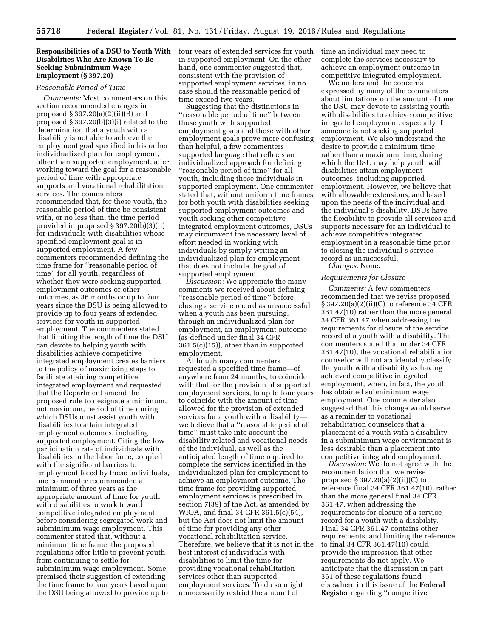### **Responsibilities of a DSU to Youth With Disabilities Who Are Known To Be Seeking Subminimum Wage Employment (§ 397.20)**

#### *Reasonable Period of Time*

*Comments:* Most commenters on this section recommended changes in proposed § 397.20(a)(2)(ii)(B) and proposed § 397.20(b)(3)(i) related to the determination that a youth with a disability is not able to achieve the employment goal specified in his or her individualized plan for employment, other than supported employment, after working toward the goal for a reasonable period of time with appropriate supports and vocational rehabilitation services. The commenters recommended that, for these youth, the reasonable period of time be consistent with, or no less than, the time period provided in proposed § 397.20(b)(3)(ii) for individuals with disabilities whose specified employment goal is in supported employment. A few commenters recommended defining the time frame for ''reasonable period of time'' for all youth, regardless of whether they were seeking supported employment outcomes or other outcomes, as 36 months or up to four years since the DSU is being allowed to provide up to four years of extended services for youth in supported employment. The commenters stated that limiting the length of time the DSU can devote to helping youth with disabilities achieve competitive integrated employment creates barriers to the policy of maximizing steps to facilitate attaining competitive integrated employment and requested that the Department amend the proposed rule to designate a minimum, not maximum, period of time during which DSUs must assist youth with disabilities to attain integrated employment outcomes, including supported employment. Citing the low participation rate of individuals with disabilities in the labor force, coupled with the significant barriers to employment faced by these individuals, one commenter recommended a minimum of three years as the appropriate amount of time for youth with disabilities to work toward competitive integrated employment before considering segregated work and subminimum wage employment. This commenter stated that, without a minimum time frame, the proposed regulations offer little to prevent youth from continuing to settle for subminimum wage employment. Some premised their suggestion of extending the time frame to four years based upon the DSU being allowed to provide up to

four years of extended services for youth in supported employment. On the other hand, one commenter suggested that, consistent with the provision of supported employment services, in no case should the reasonable period of time exceed two years.

Suggesting that the distinctions in ''reasonable period of time'' between those youth with supported employment goals and those with other employment goals prove more confusing than helpful, a few commenters supported language that reflects an individualized approach for defining ''reasonable period of time'' for all youth, including those individuals in supported employment. One commenter stated that, without uniform time frames for both youth with disabilities seeking supported employment outcomes and youth seeking other competitive integrated employment outcomes, DSUs may circumvent the necessary level of effort needed in working with individuals by simply writing an individualized plan for employment that does not include the goal of supported employment.

*Discussion:* We appreciate the many comments we received about defining ''reasonable period of time'' before closing a service record as unsuccessful when a youth has been pursuing, through an individualized plan for employment, an employment outcome (as defined under final 34 CFR 361.5(c)(15)), other than in supported employment.

Although many commenters requested a specified time frame—of anywhere from 24 months, to coincide with that for the provision of supported employment services, to up to four years to coincide with the amount of time allowed for the provision of extended services for a youth with a disability we believe that a ''reasonable period of time'' must take into account the disability-related and vocational needs of the individual, as well as the anticipated length of time required to complete the services identified in the individualized plan for employment to achieve an employment outcome. The time frame for providing supported employment services is prescribed in section 7(39) of the Act, as amended by WIOA, and final 34 CFR 361.5(c)(54), but the Act does not limit the amount of time for providing any other vocational rehabilitation service. Therefore, we believe that it is not in the best interest of individuals with disabilities to limit the time for providing vocational rehabilitation services other than supported employment services. To do so might unnecessarily restrict the amount of

time an individual may need to complete the services necessary to achieve an employment outcome in competitive integrated employment.

We understand the concerns expressed by many of the commenters about limitations on the amount of time the DSU may devote to assisting youth with disabilities to achieve competitive integrated employment, especially if someone is not seeking supported employment. We also understand the desire to provide a minimum time, rather than a maximum time, during which the DSU may help youth with disabilities attain employment outcomes, including supported employment. However, we believe that with allowable extensions, and based upon the needs of the individual and the individual's disability, DSUs have the flexibility to provide all services and supports necessary for an individual to achieve competitive integrated employment in a reasonable time prior to closing the individual's service record as unsuccessful. *Changes:* None.

# *Requirements for Closure*

*Comments:* A few commenters recommended that we revise proposed § 397.20(a)(2)(ii)(C) to reference 34 CFR 361.47(10) rather than the more general 34 CFR 361.47 when addressing the requirements for closure of the service record of a youth with a disability. The commenters stated that under 34 CFR 361.47(10), the vocational rehabilitation counselor will not accidentally classify the youth with a disability as having achieved competitive integrated employment, when, in fact, the youth has obtained subminimum wage employment. One commenter also suggested that this change would serve as a reminder to vocational rehabilitation counselors that a placement of a youth with a disability in a subminimum wage environment is less desirable than a placement into competitive integrated employment.

*Discussion:* We do not agree with the recommendation that we revise proposed § 397.20(a)(2)(ii)(C) to reference final 34 CFR 361.47(10), rather than the more general final 34 CFR 361.47, when addressing the requirements for closure of a service record for a youth with a disability. Final 34 CFR 361.47 contains other requirements, and limiting the reference to final 34 CFR 361.47(10) could provide the impression that other requirements do not apply. We anticipate that the discussion in part 361 of these regulations found elsewhere in this issue of the **Federal Register** regarding ''competitive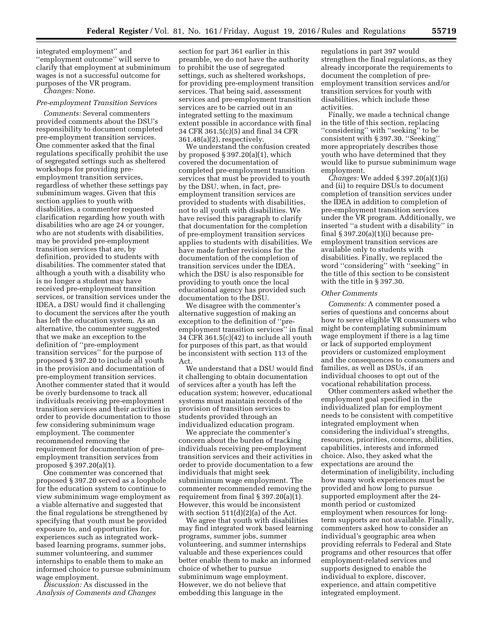integrated employment'' and ''employment outcome'' will serve to clarify that employment at subminimum wages is not a successful outcome for purposes of the VR program.

*Changes:* None.

#### *Pre-employment Transition Services*

*Comments:* Several commenters provided comments about the DSU's responsibility to document completed pre-employment transition services. One commenter asked that the final regulations specifically prohibit the use of segregated settings such as sheltered workshops for providing preemployment transition services, regardless of whether these settings pay subminimum wages. Given that this section applies to youth with disabilities, a commenter requested clarification regarding how youth with disabilities who are age 24 or younger, who are not students with disabilities, may be provided pre-employment transition services that are, by definition, provided to students with disabilities. The commenter stated that although a youth with a disability who is no longer a student may have received pre-employment transition services, or transition services under the IDEA, a DSU would find it challenging to document the services after the youth has left the education system. As an alternative, the commenter suggested that we make an exception to the definition of ''pre-employment transition services'' for the purpose of proposed § 397.20 to include all youth in the provision and documentation of pre-employment transition services. Another commenter stated that it would be overly burdensome to track all individuals receiving pre-employment transition services and their activities in order to provide documentation to those few considering subminimum wage employment. The commenter recommended removing the requirement for documentation of preemployment transition services from proposed § 397.20(a)(1).

One commenter was concerned that proposed § 397.20 served as a loophole for the education system to continue to view subminimum wage employment as a viable alternative and suggested that the final regulations be strengthened by specifying that youth must be provided exposure to, and opportunities for, experiences such as integrated workbased learning programs, summer jobs, summer volunteering, and summer internships to enable them to make an informed choice to pursue subminimum wage employment.

*Discussion:* As discussed in the *Analysis of Comments and Changes* 

section for part 361 earlier in this preamble, we do not have the authority to prohibit the use of segregated settings, such as sheltered workshops, for providing pre-employment transition services. That being said, assessment services and pre-employment transition services are to be carried out in an integrated setting to the maximum extent possible in accordance with final 34 CFR 361.5(c)(5) and final 34 CFR 361.48(a)(2), respectively.

We understand the confusion created by proposed  $\S 397.20(a)(1)$ , which covered the documentation of completed pre-employment transition services that must be provided to youth by the DSU, when, in fact, preemployment transition services are provided to students with disabilities, not to all youth with disabilities. We have revised this paragraph to clarify that documentation for the completion of pre-employment transition services applies to students with disabilities. We have made further revisions for the documentation of the completion of transition services under the IDEA, which the DSU is also responsible for providing to youth once the local educational agency has provided such documentation to the DSU.

We disagree with the commenter's alternative suggestion of making an exception to the definition of ''preemployment transition services'' in final 34 CFR 361.5(c)(42) to include all youth for purposes of this part, as that would be inconsistent with section 113 of the Act.

We understand that a DSU would find it challenging to obtain documentation of services after a youth has left the education system; however, educational systems must maintain records of the provision of transition services to students provided through an individualized education program.

We appreciate the commenter's concern about the burden of tracking individuals receiving pre-employment transition services and their activities in order to provide documentation to a few individuals that might seek subminimum wage employment. The commenter recommended removing the requirement from final § 397.20(a)(1). However, this would be inconsistent with section 511(d)(2)(a) of the Act.

We agree that youth with disabilities may find integrated work based learning programs, summer jobs, summer volunteering, and summer internships valuable and these experiences could better enable them to make an informed choice of whether to pursue subminimum wage employment. However, we do not believe that embedding this language in the

regulations in part 397 would strengthen the final regulations, as they already incorporate the requirements to document the completion of preemployment transition services and/or transition services for youth with disabilities, which include these activities.

Finally, we made a technical change in the title of this section, replacing ''considering'' with ''seeking'' to be consistent with § 397.30. ''Seeking'' more appropriately describes those youth who have determined that they would like to pursue subminimum wage employment.

*Changes:* We added § 397.20(a)(1)(i) and (ii) to require DSUs to document completion of transition services under the IDEA in addition to completion of pre-employment transition services under the VR program. Additionally, we inserted ''a student with a disability'' in final  $\S 397.20(a)(1)(i)$  because preemployment transition services are available only to students with disabilities. Finally, we replaced the word ''considering'' with ''seeking'' in the title of this section to be consistent with the title in § 397.30.

### *Other Comments*

*Comments:* A commenter posed a series of questions and concerns about how to serve eligible VR consumers who might be contemplating subminimum wage employment if there is a lag time or lack of supported employment providers or customized employment and the consequences to consumers and families, as well as DSUs, if an individual chooses to opt out of the vocational rehabilitation process.

Other commenters asked whether the employment goal specified in the individualized plan for employment needs to be consistent with competitive integrated employment when considering the individual's strengths, resources, priorities, concerns, abilities, capabilities, interests and informed choice. Also, they asked what the expectations are around the determination of ineligibility, including how many work experiences must be provided and how long to pursue supported employment after the 24 month period or customized employment when resources for longterm supports are not available. Finally, commenters asked how to consider an individual's geographic area when providing referrals to Federal and State programs and other resources that offer employment-related services and supports designed to enable the individual to explore, discover, experience, and attain competitive integrated employment.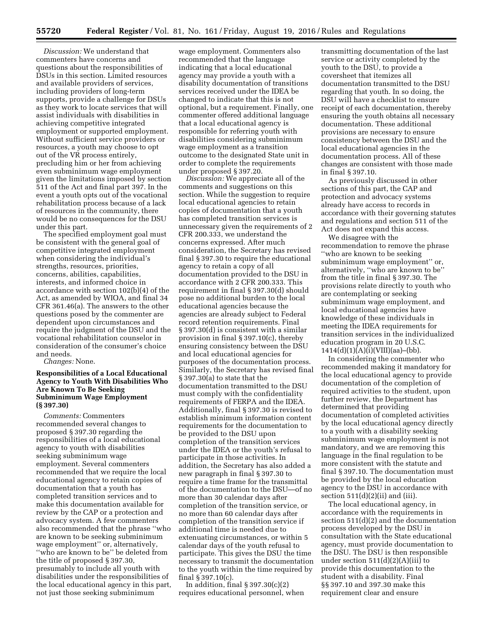*Discussion:* We understand that commenters have concerns and questions about the responsibilities of DSUs in this section. Limited resources and available providers of services, including providers of long-term supports, provide a challenge for DSUs as they work to locate services that will assist individuals with disabilities in achieving competitive integrated employment or supported employment. Without sufficient service providers or resources, a youth may choose to opt out of the VR process entirely, precluding him or her from achieving even subminimum wage employment given the limitations imposed by section 511 of the Act and final part 397. In the event a youth opts out of the vocational rehabilitation process because of a lack of resources in the community, there would be no consequences for the DSU under this part.

The specified employment goal must be consistent with the general goal of competitive integrated employment when considering the individual's strengths, resources, priorities, concerns, abilities, capabilities, interests, and informed choice in accordance with section 102(b)(4) of the Act, as amended by WIOA, and final 34 CFR 361.46(a). The answers to the other questions posed by the commenter are dependent upon circumstances and require the judgment of the DSU and the vocational rehabilitation counselor in consideration of the consumer's choice and needs.

*Changes:* None.

## **Responsibilities of a Local Educational Agency to Youth With Disabilities Who Are Known To Be Seeking Subminimum Wage Employment (§ 397.30)**

*Comments:* Commenters recommended several changes to proposed § 397.30 regarding the responsibilities of a local educational agency to youth with disabilities seeking subminimum wage employment. Several commenters recommended that we require the local educational agency to retain copies of documentation that a youth has completed transition services and to make this documentation available for review by the CAP or a protection and advocacy system. A few commenters also recommended that the phrase ''who are known to be seeking subminimum wage employment'' or, alternatively, ''who are known to be'' be deleted from the title of proposed § 397.30, presumably to include all youth with disabilities under the responsibilities of the local educational agency in this part, not just those seeking subminimum

wage employment. Commenters also recommended that the language indicating that a local educational agency may provide a youth with a disability documentation of transitions services received under the IDEA be changed to indicate that this is not optional, but a requirement. Finally, one commenter offered additional language that a local educational agency is responsible for referring youth with disabilities considering subminimum wage employment as a transition outcome to the designated State unit in order to complete the requirements under proposed § 397.20.

*Discussion:* We appreciate all of the comments and suggestions on this section. While the suggestion to require local educational agencies to retain copies of documentation that a youth has completed transition services is unnecessary given the requirements of 2 CFR 200.333, we understand the concerns expressed. After much consideration, the Secretary has revised final § 397.30 to require the educational agency to retain a copy of all documentation provided to the DSU in accordance with 2 CFR 200.333. This requirement in final § 397.30(d) should pose no additional burden to the local educational agencies because the agencies are already subject to Federal record retention requirements. Final § 397.30(d) is consistent with a similar provision in final § 397.10(c), thereby ensuring consistency between the DSU and local educational agencies for purposes of the documentation process. Similarly, the Secretary has revised final § 397.30(a) to state that the documentation transmitted to the DSU must comply with the confidentiality requirements of FERPA and the IDEA. Additionally, final § 397.30 is revised to establish minimum information content requirements for the documentation to be provided to the DSU upon completion of the transition services under the IDEA or the youth's refusal to participate in those activities. In addition, the Secretary has also added a new paragraph in final § 397.30 to require a time frame for the transmittal of the documentation to the DSU—of no more than 30 calendar days after completion of the transition service, or no more than 60 calendar days after completion of the transition service if additional time is needed due to extenuating circumstances, or within 5 calendar days of the youth refusal to participate. This gives the DSU the time necessary to transmit the documentation to the youth within the time required by final § 397.10(c).

In addition, final  $\S 397.30(c)(2)$ requires educational personnel, when

transmitting documentation of the last service or activity completed by the youth to the DSU, to provide a coversheet that itemizes all documentation transmitted to the DSU regarding that youth. In so doing, the DSU will have a checklist to ensure receipt of each documentation, thereby ensuring the youth obtains all necessary documentation. These additional provisions are necessary to ensure consistency between the DSU and the local educational agencies in the documentation process. All of these changes are consistent with those made in final § 397.10.

As previously discussed in other sections of this part, the CAP and protection and advocacy systems already have access to records in accordance with their governing statutes and regulations and section 511 of the Act does not expand this access.

We disagree with the recommendation to remove the phrase ''who are known to be seeking subminimum wage employment'' or, alternatively, ''who are known to be'' from the title in final § 397.30. The provisions relate directly to youth who are contemplating or seeking subminimum wage employment, and local educational agencies have knowledge of these individuals in meeting the IDEA requirements for transition services in the individualized education program in 20 U.S.C.  $1414(d)(1)(A)(i)(VIII)(aa)–(bb).$ 

In considering the commenter who recommended making it mandatory for the local educational agency to provide documentation of the completion of required activities to the student, upon further review, the Department has determined that providing documentation of completed activities by the local educational agency directly to a youth with a disability seeking subminimum wage employment is not mandatory, and we are removing this language in the final regulation to be more consistent with the statute and final § 397.10. The documentation must be provided by the local education agency to the DSU in accordance with section  $511(d)(2)(ii)$  and (iii).

The local educational agency, in accordance with the requirements in section 511(d)(2) and the documentation process developed by the DSU in consultation with the State educational agency, must provide documentation to the DSU. The DSU is then responsible under section  $511(d)(2)(A)(iii)$  to provide this documentation to the student with a disability. Final §§ 397.10 and 397.30 make this requirement clear and ensure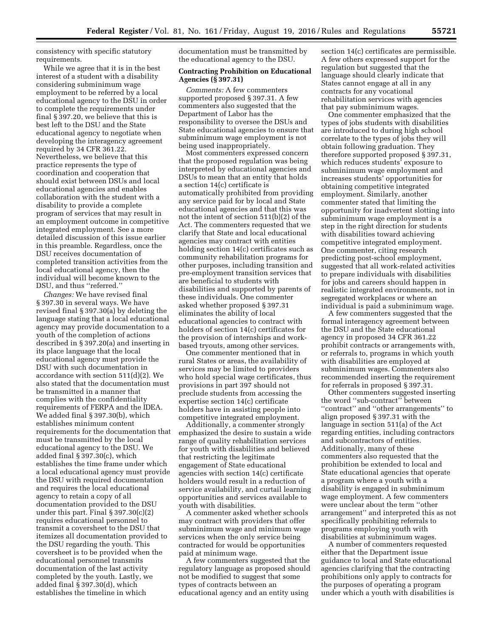consistency with specific statutory requirements.

While we agree that it is in the best interest of a student with a disability considering subminimum wage employment to be referred by a local educational agency to the DSU in order to complete the requirements under final § 397.20, we believe that this is best left to the DSU and the State educational agency to negotiate when developing the interagency agreement required by 34 CFR 361.22. Nevertheless, we believe that this practice represents the type of coordination and cooperation that should exist between DSUs and local educational agencies and enables collaboration with the student with a disability to provide a complete program of services that may result in an employment outcome in competitive integrated employment. See a more detailed discussion of this issue earlier in this preamble. Regardless, once the DSU receives documentation of completed transition activities from the local educational agency, then the individual will become known to the DSU, and thus ''referred.''

*Changes:* We have revised final § 397.30 in several ways. We have revised final § 397.30(a) by deleting the language stating that a local educational agency may provide documentation to a youth of the completion of actions described in § 397.20(a) and inserting in its place language that the local educational agency must provide the DSU with such documentation in accordance with section 511(d)(2). We also stated that the documentation must be transmitted in a manner that complies with the confidentiality requirements of FERPA and the IDEA. We added final § 397.30(b), which establishes minimum content requirements for the documentation that must be transmitted by the local educational agency to the DSU. We added final § 397.30(c), which establishes the time frame under which a local educational agency must provide the DSU with required documentation and requires the local educational agency to retain a copy of all documentation provided to the DSU under this part. Final  $\S 397.30(c)(2)$ requires educational personnel to transmit a coversheet to the DSU that itemizes all documentation provided to the DSU regarding the youth. This coversheet is to be provided when the educational personnel transmits documentation of the last activity completed by the youth. Lastly, we added final § 397.30(d), which establishes the timeline in which

documentation must be transmitted by the educational agency to the DSU.

### **Contracting Prohibition on Educational Agencies (§ 397.31)**

*Comments:* A few commenters supported proposed § 397.31. A few commenters also suggested that the Department of Labor has the responsibility to oversee the DSUs and State educational agencies to ensure that subminimum wage employment is not being used inappropriately.

Most commenters expressed concern that the proposed regulation was being interpreted by educational agencies and DSUs to mean that an entity that holds a section 14(c) certificate is automatically prohibited from providing any service paid for by local and State educational agencies and that this was not the intent of section 511(b)(2) of the Act. The commenters requested that we clarify that State and local educational agencies may contract with entities holding section 14(c) certificates such as community rehabilitation programs for other purposes, including transition and pre-employment transition services that are beneficial to students with disabilities and supported by parents of these individuals. One commenter asked whether proposed § 397.31 eliminates the ability of local educational agencies to contract with holders of section 14(c) certificates for the provision of internships and workbased tryouts, among other services.

One commenter mentioned that in rural States or areas, the availability of services may be limited to providers who hold special wage certificates, thus provisions in part 397 should not preclude students from accessing the expertise section 14(c) certificate holders have in assisting people into competitive integrated employment.

Additionally, a commenter strongly emphasized the desire to sustain a wide range of quality rehabilitation services for youth with disabilities and believed that restricting the legitimate engagement of State educational agencies with section 14(c) certificate holders would result in a reduction of service availability, and curtail learning opportunities and services available to youth with disabilities.

A commenter asked whether schools may contract with providers that offer subminimum wage and minimum wage services when the only service being contracted for would be opportunities paid at minimum wage.

A few commenters suggested that the regulatory language as proposed should not be modified to suggest that some types of contracts between an educational agency and an entity using

section 14(c) certificates are permissible. A few others expressed support for the regulation but suggested that the language should clearly indicate that States cannot engage at all in any contracts for any vocational rehabilitation services with agencies that pay subminimum wages.

One commenter emphasized that the types of jobs students with disabilities are introduced to during high school correlate to the types of jobs they will obtain following graduation. They therefore supported proposed § 397.31, which reduces students' exposure to subminimum wage employment and increases students' opportunities for obtaining competitive integrated employment. Similarly, another commenter stated that limiting the opportunity for inadvertent slotting into subminimum wage employment is a step in the right direction for students with disabilities toward achieving competitive integrated employment. One commenter, citing research predicting post-school employment, suggested that all work-related activities to prepare individuals with disabilities for jobs and careers should happen in realistic integrated environments, not in segregated workplaces or where an individual is paid a subminimum wage.

A few commenters suggested that the formal interagency agreement between the DSU and the State educational agency in proposed 34 CFR 361.22 prohibit contracts or arrangements with, or referrals to, programs in which youth with disabilities are employed at subminimum wages. Commenters also recommended inserting the requirement for referrals in proposed § 397.31.

Other commenters suggested inserting the word ''sub-contract'' between ''contract'' and ''other arrangements'' to align proposed § 397.31 with the language in section 511(a) of the Act regarding entities, including contractors and subcontractors of entities. Additionally, many of these commenters also requested that the prohibition be extended to local and State educational agencies that operate a program where a youth with a disability is engaged in subminimum wage employment. A few commenters were unclear about the term ''other arrangement'' and interpreted this as not specifically prohibiting referrals to programs employing youth with disabilities at subminimum wages.

A number of commenters requested either that the Department issue guidance to local and State educational agencies clarifying that the contracting prohibitions only apply to contracts for the purposes of operating a program under which a youth with disabilities is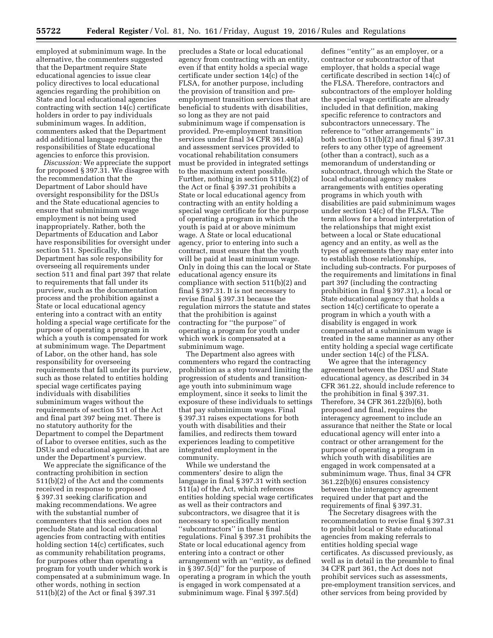employed at subminimum wage. In the alternative, the commenters suggested that the Department require State educational agencies to issue clear policy directives to local educational agencies regarding the prohibition on State and local educational agencies contracting with section 14(c) certificate holders in order to pay individuals subminimum wages. In addition, commenters asked that the Department add additional language regarding the responsibilities of State educational agencies to enforce this provision.

*Discussion:* We appreciate the support for proposed § 397.31. We disagree with the recommendation that the Department of Labor should have oversight responsibility for the DSUs and the State educational agencies to ensure that subminimum wage employment is not being used inappropriately. Rather, both the Departments of Education and Labor have responsibilities for oversight under section 511. Specifically, the Department has sole responsibility for overseeing all requirements under section 511 and final part 397 that relate to requirements that fall under its purview, such as the documentation process and the prohibition against a State or local educational agency entering into a contract with an entity holding a special wage certificate for the purpose of operating a program in which a youth is compensated for work at subminimum wage. The Department of Labor, on the other hand, has sole responsibility for overseeing requirements that fall under its purview, such as those related to entities holding special wage certificates paying individuals with disabilities subminimum wages without the requirements of section 511 of the Act and final part 397 being met. There is no statutory authority for the Department to compel the Department of Labor to oversee entities, such as the DSUs and educational agencies, that are under the Department's purview.

We appreciate the significance of the contracting prohibition in section 511(b)(2) of the Act and the comments received in response to proposed § 397.31 seeking clarification and making recommendations. We agree with the substantial number of commenters that this section does not preclude State and local educational agencies from contracting with entities holding section 14(c) certificates, such as community rehabilitation programs, for purposes other than operating a program for youth under which work is compensated at a subminimum wage. In other words, nothing in section 511(b)(2) of the Act or final § 397.31

precludes a State or local educational agency from contracting with an entity, even if that entity holds a special wage certificate under section 14(c) of the FLSA, for another purpose, including the provision of transition and preemployment transition services that are beneficial to students with disabilities, so long as they are not paid subminimum wage if compensation is provided. Pre-employment transition services under final 34 CFR 361.48(a) and assessment services provided to vocational rehabilitation consumers must be provided in integrated settings to the maximum extent possible. Further, nothing in section 511(b)(2) of the Act or final § 397.31 prohibits a State or local educational agency from contracting with an entity holding a special wage certificate for the purpose of operating a program in which the youth is paid at or above minimum wage. A State or local educational agency, prior to entering into such a contract, must ensure that the youth will be paid at least minimum wage. Only in doing this can the local or State educational agency ensure its compliance with section 511(b)(2) and final § 397.31. It is not necessary to revise final § 397.31 because the regulation mirrors the statute and states that the prohibition is against contracting for ''the purpose'' of operating a program for youth under which work is compensated at a subminimum wage.

The Department also agrees with commenters who regard the contracting prohibition as a step toward limiting the progression of students and transitionage youth into subminimum wage employment, since it seeks to limit the exposure of these individuals to settings that pay subminimum wages. Final § 397.31 raises expectations for both youth with disabilities and their families, and redirects them toward experiences leading to competitive integrated employment in the community.

While we understand the commenters' desire to align the language in final § 397.31 with section 511(a) of the Act, which references entities holding special wage certificates as well as their contractors and subcontractors, we disagree that it is necessary to specifically mention ''subcontractors'' in these final regulations. Final § 397.31 prohibits the State or local educational agency from entering into a contract or other arrangement with an ''entity, as defined in § 397.5(d)'' for the purpose of operating a program in which the youth is engaged in work compensated at a subminimum wage. Final § 397.5(d)

defines ''entity'' as an employer, or a contractor or subcontractor of that employer, that holds a special wage certificate described in section 14(c) of the FLSA. Therefore, contractors and subcontractors of the employer holding the special wage certificate are already included in that definition, making specific reference to contractors and subcontractors unnecessary. The reference to ''other arrangements'' in both section 511(b)(2) and final § 397.31 refers to any other type of agreement (other than a contract), such as a memorandum of understanding or subcontract, through which the State or local educational agency makes arrangements with entities operating programs in which youth with disabilities are paid subminimum wages under section 14(c) of the FLSA. The term allows for a broad interpretation of the relationships that might exist between a local or State educational agency and an entity, as well as the types of agreements they may enter into to establish those relationships, including sub-contracts. For purposes of the requirements and limitations in final part 397 (including the contracting prohibition in final § 397.31), a local or State educational agency that holds a section 14(c) certificate to operate a program in which a youth with a disability is engaged in work compensated at a subminimum wage is treated in the same manner as any other entity holding a special wage certificate under section 14(c) of the FLSA.

We agree that the interagency agreement between the DSU and State educational agency, as described in 34 CFR 361.22, should include reference to the prohibition in final § 397.31. Therefore, 34 CFR 361.22(b)(6), both proposed and final, requires the interagency agreement to include an assurance that neither the State or local educational agency will enter into a contract or other arrangement for the purpose of operating a program in which youth with disabilities are engaged in work compensated at a subminimum wage. Thus, final 34 CFR 361.22(b)(6) ensures consistency between the interagency agreement required under that part and the requirements of final § 397.31.

The Secretary disagrees with the recommendation to revise final § 397.31 to prohibit local or State educational agencies from making referrals to entities holding special wage certificates. As discussed previously, as well as in detail in the preamble to final 34 CFR part 361, the Act does not prohibit services such as assessments, pre-employment transition services, and other services from being provided by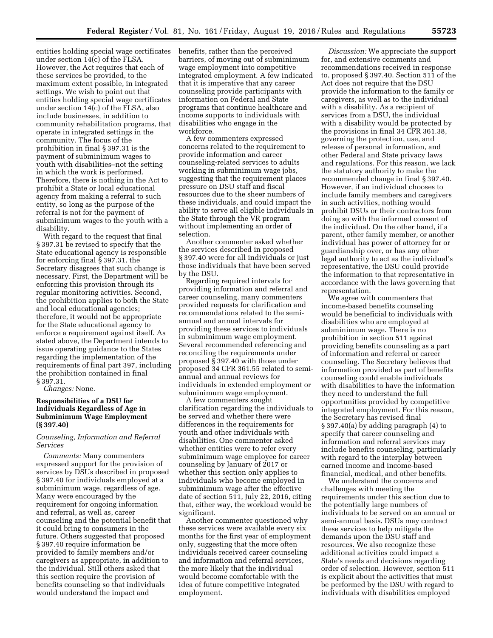entities holding special wage certificates under section 14(c) of the FLSA. However, the Act requires that each of these services be provided, to the maximum extent possible, in integrated settings. We wish to point out that entities holding special wage certificates under section 14(c) of the FLSA, also include businesses, in addition to community rehabilitation programs, that operate in integrated settings in the community. The focus of the prohibition in final § 397.31 is the payment of subminimum wages to youth with disabilities–not the setting in which the work is performed. Therefore, there is nothing in the Act to prohibit a State or local educational agency from making a referral to such entity, so long as the purpose of the referral is not for the payment of subminimum wages to the youth with a disability.

With regard to the request that final § 397.31 be revised to specify that the State educational agency is responsible for enforcing final § 397.31, the Secretary disagrees that such change is necessary. First, the Department will be enforcing this provision through its regular monitoring activities. Second, the prohibition applies to both the State and local educational agencies; therefore, it would not be appropriate for the State educational agency to enforce a requirement against itself. As stated above, the Department intends to issue operating guidance to the States regarding the implementation of the requirements of final part 397, including the prohibition contained in final § 397.31.

*Changes:* None.

### **Responsibilities of a DSU for Individuals Regardless of Age in Subminimum Wage Employment (§ 397.40)**

### *Counseling, Information and Referral Services*

*Comments:* Many commenters expressed support for the provision of services by DSUs described in proposed § 397.40 for individuals employed at a subminimum wage, regardless of age. Many were encouraged by the requirement for ongoing information and referral, as well as, career counseling and the potential benefit that it could bring to consumers in the future. Others suggested that proposed § 397.40 require information be provided to family members and/or caregivers as appropriate, in addition to the individual. Still others asked that this section require the provision of benefits counseling so that individuals would understand the impact and

benefits, rather than the perceived barriers, of moving out of subminimum wage employment into competitive integrated employment. A few indicated that it is imperative that any career counseling provide participants with information on Federal and State programs that continue healthcare and income supports to individuals with disabilities who engage in the workforce.

A few commenters expressed concerns related to the requirement to provide information and career counseling-related services to adults working in subminimum wage jobs, suggesting that the requirement places pressure on DSU staff and fiscal resources due to the sheer numbers of these individuals, and could impact the ability to serve all eligible individuals in the State through the VR program without implementing an order of selection.

Another commenter asked whether the services described in proposed § 397.40 were for all individuals or just those individuals that have been served by the DSU.

Regarding required intervals for providing information and referral and career counseling, many commenters provided requests for clarification and recommendations related to the semiannual and annual intervals for providing these services to individuals in subminimum wage employment. Several recommended referencing and reconciling the requirements under proposed § 397.40 with those under proposed 34 CFR 361.55 related to semiannual and annual reviews for individuals in extended employment or subminimum wage employment.

A few commenters sought clarification regarding the individuals to be served and whether there were differences in the requirements for youth and other individuals with disabilities. One commenter asked whether entities were to refer every subminimum wage employee for career counseling by January of 2017 or whether this section only applies to individuals who become employed in subminimum wage after the effective date of section 511, July 22, 2016, citing that, either way, the workload would be significant.

Another commenter questioned why these services were available every six months for the first year of employment only, suggesting that the more often individuals received career counseling and information and referral services, the more likely that the individual would become comfortable with the idea of future competitive integrated employment.

*Discussion:* We appreciate the support for, and extensive comments and recommendations received in response to, proposed § 397.40. Section 511 of the Act does not require that the DSU provide the information to the family or caregivers, as well as to the individual with a disability. As a recipient of services from a DSU, the individual with a disability would be protected by the provisions in final 34 CFR 361.38, governing the protection, use, and release of personal information, and other Federal and State privacy laws and regulations. For this reason, we lack the statutory authority to make the recommended change in final § 397.40. However, if an individual chooses to include family members and caregivers in such activities, nothing would prohibit DSUs or their contractors from doing so with the informed consent of the individual. On the other hand, if a parent, other family member, or another individual has power of attorney for or guardianship over, or has any other legal authority to act as the individual's representative, the DSU could provide the information to that representative in accordance with the laws governing that representation.

We agree with commenters that income-based benefits counseling would be beneficial to individuals with disabilities who are employed at subminimum wage. There is no prohibition in section 511 against providing benefits counseling as a part of information and referral or career counseling. The Secretary believes that information provided as part of benefits counseling could enable individuals with disabilities to have the information they need to understand the full opportunities provided by competitive integrated employment. For this reason, the Secretary has revised final § 397.40(a) by adding paragraph (4) to specify that career counseling and information and referral services may include benefits counseling, particularly with regard to the interplay between earned income and income-based financial, medical, and other benefits.

We understand the concerns and challenges with meeting the requirements under this section due to the potentially large numbers of individuals to be served on an annual or semi-annual basis. DSUs may contract these services to help mitigate the demands upon the DSU staff and resources. We also recognize these additional activities could impact a State's needs and decisions regarding order of selection. However, section 511 is explicit about the activities that must be performed by the DSU with regard to individuals with disabilities employed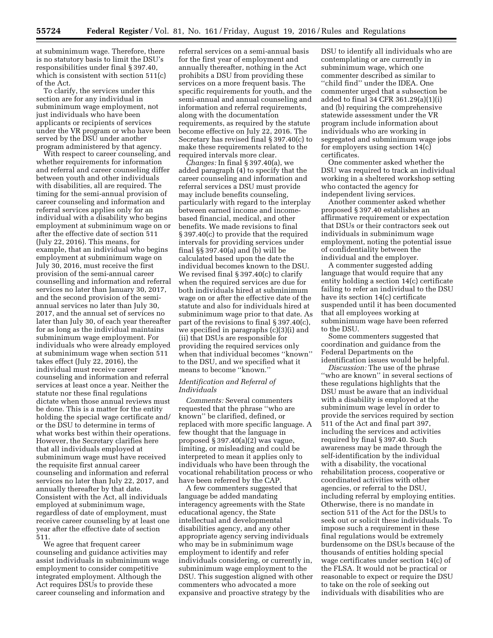at subminimum wage. Therefore, there is no statutory basis to limit the DSU's responsibilities under final § 397.40, which is consistent with section 511(c) of the Act.

To clarify, the services under this section are for any individual in subminimum wage employment, not just individuals who have been applicants or recipients of services under the VR program or who have been served by the DSU under another program administered by that agency.

With respect to career counseling, and whether requirements for information and referral and career counseling differ between youth and other individuals with disabilities, all are required. The timing for the semi-annual provision of career counseling and information and referral services applies only for an individual with a disability who begins employment at subminimum wage on or after the effective date of section 511 (July 22, 2016). This means, for example, that an individual who begins employment at subminimum wage on July 30, 2016, must receive the first provision of the semi-annual career counselling and information and referral services no later than January 30, 2017, and the second provision of the semiannual services no later than July 30, 2017, and the annual set of services no later than July 30, of each year thereafter for as long as the individual maintains subminimum wage employment. For individuals who were already employed at subminimum wage when section 511 takes effect (July 22, 2016), the individual must receive career counseling and information and referral services at least once a year. Neither the statute nor these final regulations dictate when those annual reviews must be done. This is a matter for the entity holding the special wage certificate and/ or the DSU to determine in terms of what works best within their operations. However, the Secretary clarifies here that all individuals employed at subminimum wage must have received the requisite first annual career counseling and information and referral services no later than July 22, 2017, and annually thereafter by that date. Consistent with the Act, all individuals employed at subminimum wage, regardless of date of employment, must receive career counseling by at least one year after the effective date of section 511.

We agree that frequent career counseling and guidance activities may assist individuals in subminimum wage employment to consider competitive integrated employment. Although the Act requires DSUs to provide these career counseling and information and

referral services on a semi-annual basis for the first year of employment and annually thereafter, nothing in the Act prohibits a DSU from providing these services on a more frequent basis. The specific requirements for youth, and the semi-annual and annual counseling and information and referral requirements, along with the documentation requirements, as required by the statute become effective on July 22, 2016. The Secretary has revised final § 397.40(c) to make these requirements related to the required intervals more clear.

*Changes:* In final § 397.40(a), we added paragraph (4) to specify that the career counseling and information and referral services a DSU must provide may include benefits counseling, particularly with regard to the interplay between earned income and incomebased financial, medical, and other benefits. We made revisions to final § 397.40(c) to provide that the required intervals for providing services under final §§ 397.40(a) and (b) will be calculated based upon the date the individual becomes known to the DSU. We revised final § 397.40(c) to clarify when the required services are due for both individuals hired at subminimum wage on or after the effective date of the statute and also for individuals hired at subminimum wage prior to that date. As part of the revisions to final § 397.40(c), we specified in paragraphs (c)(3)(i) and (ii) that DSUs are responsible for providing the required services only when that individual becomes ''known'' to the DSU, and we specified what it means to become ''known.''

#### *Identification and Referral of Individuals*

*Comments:* Several commenters requested that the phrase ''who are known'' be clarified, defined, or replaced with more specific language. A few thought that the language in proposed  $\S 397.40(a)(2)$  was vague, limiting, or misleading and could be interpreted to mean it applies only to individuals who have been through the vocational rehabilitation process or who have been referred by the CAP.

A few commenters suggested that language be added mandating interagency agreements with the State educational agency, the State intellectual and developmental disabilities agency, and any other appropriate agency serving individuals who may be in subminimum wage employment to identify and refer individuals considering, or currently in, subminimum wage employment to the DSU. This suggestion aligned with other commenters who advocated a more expansive and proactive strategy by the

DSU to identify all individuals who are contemplating or are currently in subminimum wage, which one commenter described as similar to ''child find'' under the IDEA. One commenter urged that a subsection be added to final 34 CFR 361.29(a)(1)(i) and (b) requiring the comprehensive statewide assessment under the VR program include information about individuals who are working in segregated and subminimum wage jobs for employers using section 14(c) certificates.

One commenter asked whether the DSU was required to track an individual working in a sheltered workshop setting who contacted the agency for independent living services.

Another commenter asked whether proposed § 397.40 establishes an affirmative requirement or expectation that DSUs or their contractors seek out individuals in subminimum wage employment, noting the potential issue of confidentiality between the individual and the employer.

A commenter suggested adding language that would require that any entity holding a section 14(c) certificate failing to refer an individual to the DSU have its section 14(c) certificate suspended until it has been documented that all employees working at subminimum wage have been referred to the DSU.

Some commenters suggested that coordination and guidance from the Federal Departments on the identification issues would be helpful.

*Discussion:* The use of the phrase ''who are known'' in several sections of these regulations highlights that the DSU must be aware that an individual with a disability is employed at the subminimum wage level in order to provide the services required by section 511 of the Act and final part 397, including the services and activities required by final § 397.40. Such awareness may be made through the self-identification by the individual with a disability, the vocational rehabilitation process, cooperative or coordinated activities with other agencies, or referral to the DSU, including referral by employing entities. Otherwise, there is no mandate in section 511 of the Act for the DSUs to seek out or solicit these individuals. To impose such a requirement in these final regulations would be extremely burdensome on the DSUs because of the thousands of entities holding special wage certificates under section 14(c) of the FLSA. It would not be practical or reasonable to expect or require the DSU to take on the role of seeking out individuals with disabilities who are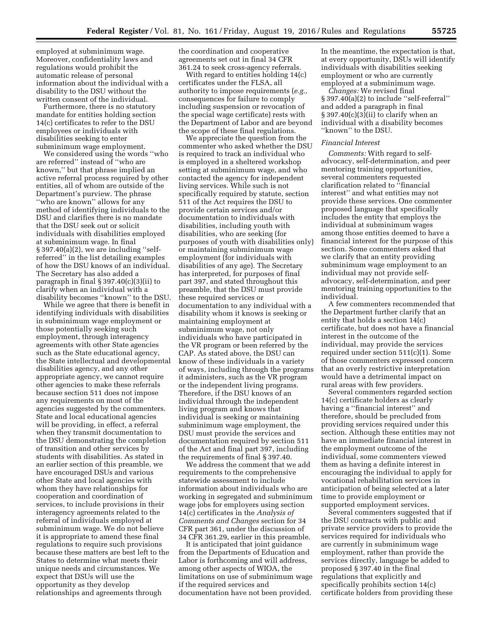employed at subminimum wage. Moreover, confidentiality laws and regulations would prohibit the automatic release of personal information about the individual with a disability to the DSU without the written consent of the individual.

Furthermore, there is no statutory mandate for entities holding section 14(c) certificates to refer to the DSU employees or individuals with disabilities seeking to enter subminimum wage employment.

We considered using the words ''who are referred'' instead of ''who are known,'' but that phrase implied an active referral process required by other entities, all of whom are outside of the Department's purview. The phrase ''who are known'' allows for any method of identifying individuals to the DSU and clarifies there is no mandate that the DSU seek out or solicit individuals with disabilities employed at subminimum wage. In final § 397.40(a)(2), we are including "selfreferred'' in the list detailing examples of how the DSU knows of an individual. The Secretary has also added a paragraph in final  $\S 397.40(c)(3)(ii)$  to clarify when an individual with a disability becomes ''known'' to the DSU.

While we agree that there is benefit in identifying individuals with disabilities in subminimum wage employment or those potentially seeking such employment, through interagency agreements with other State agencies such as the State educational agency, the State intellectual and developmental disabilities agency, and any other appropriate agency, we cannot require other agencies to make these referrals because section 511 does not impose any requirements on most of the agencies suggested by the commenters. State and local educational agencies will be providing, in effect, a referral when they transmit documentation to the DSU demonstrating the completion of transition and other services by students with disabilities. As stated in an earlier section of this preamble, we have encouraged DSUs and various other State and local agencies with whom they have relationships for cooperation and coordination of services, to include provisions in their interagency agreements related to the referral of individuals employed at subminimum wage. We do not believe it is appropriate to amend these final regulations to require such provisions because these matters are best left to the States to determine what meets their unique needs and circumstances. We expect that DSUs will use the opportunity as they develop relationships and agreements through

the coordination and cooperative agreements set out in final 34 CFR 361.24 to seek cross-agency referrals.

With regard to entities holding 14(c) certificates under the FLSA, all authority to impose requirements (*e.g.,*  consequences for failure to comply including suspension or revocation of the special wage certificate) rests with the Department of Labor and are beyond the scope of these final regulations.

We appreciate the question from the commenter who asked whether the DSU is required to track an individual who is employed in a sheltered workshop setting at subminimum wage, and who contacted the agency for independent living services. While such is not specifically required by statute, section 511 of the Act requires the DSU to provide certain services and/or documentation to individuals with disabilities, including youth with disabilities, who are seeking (for purposes of youth with disabilities only) or maintaining subminimum wage employment (for individuals with disabilities of any age). The Secretary has interpreted, for purposes of final part 397, and stated throughout this preamble, that the DSU must provide these required services or documentation to any individual with a disability whom it knows is seeking or maintaining employment at subminimum wage, not only individuals who have participated in the VR program or been referred by the CAP. As stated above, the DSU can know of these individuals in a variety of ways, including through the programs it administers, such as the VR program or the independent living programs. Therefore, if the DSU knows of an individual through the independent living program and knows that individual is seeking or maintaining subminimum wage employment, the DSU must provide the services and documentation required by section 511 of the Act and final part 397, including the requirements of final § 397.40.

We address the comment that we add requirements to the comprehensive statewide assessment to include information about individuals who are working in segregated and subminimum wage jobs for employers using section 14(c) certificates in the *Analysis of Comments and Changes* section for 34 CFR part 361, under the discussion of 34 CFR 361.29, earlier in this preamble.

It is anticipated that joint guidance from the Departments of Education and Labor is forthcoming and will address, among other aspects of WIOA, the limitations on use of subminimum wage if the required services and documentation have not been provided.

In the meantime, the expectation is that, at every opportunity, DSUs will identify individuals with disabilities seeking employment or who are currently employed at a subminimum wage.

*Changes:* We revised final § 397.40(a)(2) to include ''self-referral'' and added a paragraph in final  $\S 397.40(c)(3)(ii)$  to clarify when an individual with a disability becomes ''known'' to the DSU.

### *Financial Interest*

*Comments:* With regard to selfadvocacy, self-determination, and peer mentoring training opportunities, several commenters requested clarification related to ''financial interest'' and what entities may not provide these services. One commenter proposed language that specifically includes the entity that employs the individual at subminimum wages among those entities deemed to have a financial interest for the purpose of this section. Some commenters asked that we clarify that an entity providing subminimum wage employment to an individual may not provide selfadvocacy, self-determination, and peer mentoring training opportunities to the individual.

A few commenters recommended that the Department further clarify that an entity that holds a section 14(c) certificate, but does not have a financial interest in the outcome of the individual, may provide the services required under section 511(c)(1). Some of those commenters expressed concern that an overly restrictive interpretation would have a detrimental impact on rural areas with few providers.

Several commenters regarded section 14(c) certificate holders as clearly having a ''financial interest'' and therefore, should be precluded from providing services required under this section. Although these entities may not have an immediate financial interest in the employment outcome of the individual, some commenters viewed them as having a definite interest in encouraging the individual to apply for vocational rehabilitation services in anticipation of being selected at a later time to provide employment or supported employment services.

Several commenters suggested that if the DSU contracts with public and private service providers to provide the services required for individuals who are currently in subminimum wage employment, rather than provide the services directly, language be added to proposed § 397.40 in the final regulations that explicitly and specifically prohibits section 14(c) certificate holders from providing these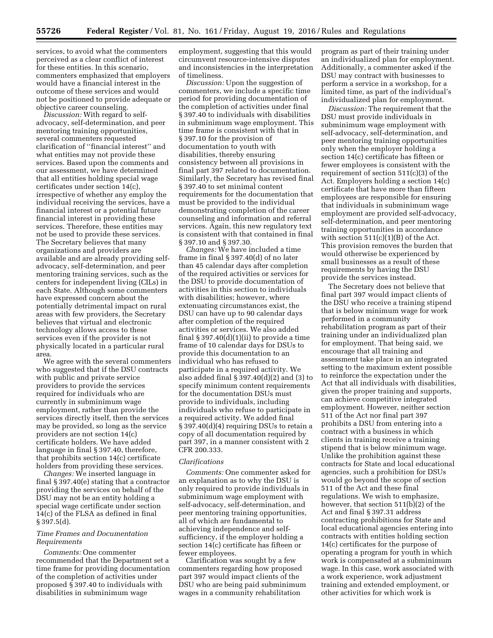services, to avoid what the commenters perceived as a clear conflict of interest for these entities. In this scenario, commenters emphasized that employers would have a financial interest in the outcome of these services and would not be positioned to provide adequate or objective career counseling.

*Discussion:* With regard to selfadvocacy, self-determination, and peer mentoring training opportunities, several commenters requested clarification of ''financial interest'' and what entities may not provide these services. Based upon the comments and our assessment, we have determined that all entities holding special wage certificates under section 14(c), irrespective of whether any employ the individual receiving the services, have a financial interest or a potential future financial interest in providing these services. Therefore, these entities may not be used to provide these services. The Secretary believes that many organizations and providers are available and are already providing selfadvocacy, self-determination, and peer mentoring training services, such as the centers for independent living (CILs) in each State. Although some commenters have expressed concern about the potentially detrimental impact on rural areas with few providers, the Secretary believes that virtual and electronic technology allows access to these services even if the provider is not physically located in a particular rural area.

We agree with the several commenters who suggested that if the DSU contracts with public and private service providers to provide the services required for individuals who are currently in subminimum wage employment, rather than provide the services directly itself, then the services may be provided, so long as the service providers are not section 14(c) certificate holders. We have added language in final § 397.40, therefore, that prohibits section 14(c) certificate holders from providing these services.

*Changes:* We inserted language in final § 397.40(e) stating that a contractor providing the services on behalf of the DSU may not be an entity holding a special wage certificate under section 14(c) of the FLSA as defined in final § 397.5(d).

#### *Time Frames and Documentation Requirements*

*Comments:* One commenter recommended that the Department set a time frame for providing documentation of the completion of activities under proposed § 397.40 to individuals with disabilities in subminimum wage

employment, suggesting that this would circumvent resource-intensive disputes and inconsistencies in the interpretation of timeliness.

*Discussion:* Upon the suggestion of commenters, we include a specific time period for providing documentation of the completion of activities under final § 397.40 to individuals with disabilities in subminimum wage employment. This time frame is consistent with that in § 397.10 for the provision of documentation to youth with disabilities, thereby ensuring consistency between all provisions in final part 397 related to documentation. Similarly, the Secretary has revised final § 397.40 to set minimal content requirements for the documentation that must be provided to the individual demonstrating completion of the career counseling and information and referral services. Again, this new regulatory text is consistent with that contained in final § 397.10 and § 397.30.

*Changes:* We have included a time frame in final § 397.40(d) of no later than 45 calendar days after completion of the required activities or services for the DSU to provide documentation of activities in this section to individuals with disabilities; however, where extenuating circumstances exist, the DSU can have up to 90 calendar days after completion of the required activities or services. We also added final  $\S 397.40(d)(1)(ii)$  to provide a time frame of 10 calendar days for DSUs to provide this documentation to an individual who has refused to participate in a required activity. We also added final  $\S 397.40(d)(2)$  and (3) to specify minimum content requirements for the documentation DSUs must provide to individuals, including individuals who refuse to participate in a required activity. We added final § 397.40(d)(4) requiring DSUs to retain a copy of all documentation required by part 397, in a manner consistent with 2 CFR 200.333.

#### *Clarifications*

*Comments:* One commenter asked for an explanation as to why the DSU is only required to provide individuals in subminimum wage employment with self-advocacy, self-determination, and peer mentoring training opportunities, all of which are fundamental to achieving independence and selfsufficiency, if the employer holding a section 14(c) certificate has fifteen or fewer employees.

Clarification was sought by a few commenters regarding how proposed part 397 would impact clients of the DSU who are being paid subminimum wages in a community rehabilitation

program as part of their training under an individualized plan for employment. Additionally, a commenter asked if the DSU may contract with businesses to perform a service in a workshop, for a limited time, as part of the individual's individualized plan for employment.

*Discussion:* The requirement that the DSU must provide individuals in subminimum wage employment with self-advocacy, self-determination, and peer mentoring training opportunities only when the employer holding a section 14(c) certificate has fifteen or fewer employees is consistent with the requirement of section 511(c)(3) of the Act. Employers holding a section 14(c) certificate that have more than fifteen employees are responsible for ensuring that individuals in subminimum wage employment are provided self-advocacy, self-determination, and peer mentoring training opportunities in accordance with section  $511(c)(1)(B)$  of the Act. This provision removes the burden that would otherwise be experienced by small businesses as a result of these requirements by having the DSU provide the services instead.

The Secretary does not believe that final part 397 would impact clients of the DSU who receive a training stipend that is below minimum wage for work performed in a community rehabilitation program as part of their training under an individualized plan for employment. That being said, we encourage that all training and assessment take place in an integrated setting to the maximum extent possible to reinforce the expectation under the Act that all individuals with disabilities, given the proper training and supports, can achieve competitive integrated employment. However, neither section 511 of the Act nor final part 397 prohibits a DSU from entering into a contract with a business in which clients in training receive a training stipend that is below minimum wage. Unlike the prohibition against these contracts for State and local educational agencies, such a prohibition for DSUs would go beyond the scope of section 511 of the Act and these final regulations. We wish to emphasize, however, that section 511(b)(2) of the Act and final § 397.31 address contracting prohibitions for State and local educational agencies entering into contracts with entities holding section 14(c) certificates for the purpose of operating a program for youth in which work is compensated at a subminimum wage. In this case, work associated with a work experience, work adjustment training and extended employment, or other activities for which work is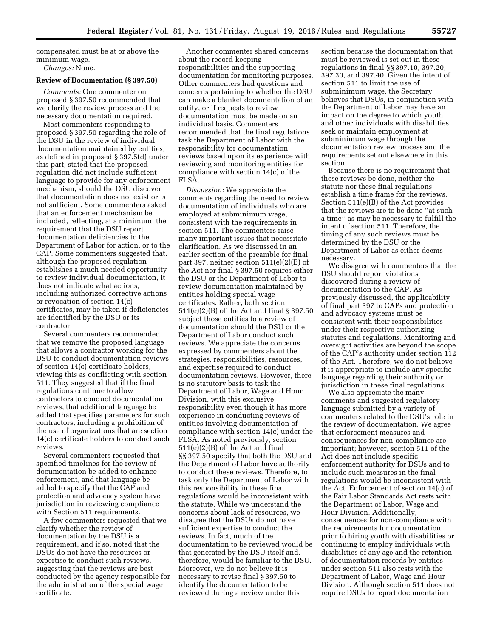compensated must be at or above the minimum wage. *Changes:* None.

#### **Review of Documentation (§ 397.50)**

*Comments:* One commenter on proposed § 397.50 recommended that we clarify the review process and the necessary documentation required.

Most commenters responding to proposed § 397.50 regarding the role of the DSU in the review of individual documentation maintained by entities, as defined in proposed § 397.5(d) under this part, stated that the proposed regulation did not include sufficient language to provide for any enforcement mechanism, should the DSU discover that documentation does not exist or is not sufficient. Some commenters asked that an enforcement mechanism be included, reflecting, at a minimum, the requirement that the DSU report documentation deficiencies to the Department of Labor for action, or to the CAP. Some commenters suggested that, although the proposed regulation establishes a much needed opportunity to review individual documentation, it does not indicate what actions, including authorized corrective actions or revocation of section 14(c) certificates, may be taken if deficiencies are identified by the DSU or its contractor.

Several commenters recommended that we remove the proposed language that allows a contractor working for the DSU to conduct documentation reviews of section 14(c) certificate holders, viewing this as conflicting with section 511. They suggested that if the final regulations continue to allow contractors to conduct documentation reviews, that additional language be added that specifies parameters for such contractors, including a prohibition of the use of organizations that are section 14(c) certificate holders to conduct such reviews.

Several commenters requested that specified timelines for the review of documentation be added to enhance enforcement, and that language be added to specify that the CAP and protection and advocacy system have jurisdiction in reviewing compliance with Section 511 requirements.

A few commenters requested that we clarify whether the review of documentation by the DSU is a requirement, and if so, noted that the DSUs do not have the resources or expertise to conduct such reviews, suggesting that the reviews are best conducted by the agency responsible for the administration of the special wage certificate.

Another commenter shared concerns about the record-keeping responsibilities and the supporting documentation for monitoring purposes. Other commenters had questions and concerns pertaining to whether the DSU can make a blanket documentation of an entity, or if requests to review documentation must be made on an individual basis. Commenters recommended that the final regulations task the Department of Labor with the responsibility for documentation reviews based upon its experience with reviewing and monitoring entities for compliance with section 14(c) of the FLSA.

*Discussion:* We appreciate the comments regarding the need to review documentation of individuals who are employed at subminimum wage, consistent with the requirements in section 511. The commenters raise many important issues that necessitate clarification. As we discussed in an earlier section of the preamble for final part 397, neither section 511(e)(2)(B) of the Act nor final § 397.50 requires either the DSU or the Department of Labor to review documentation maintained by entities holding special wage certificates. Rather, both section 511(e)(2)(B) of the Act and final § 397.50 subject those entities to a review of documentation should the DSU or the Department of Labor conduct such reviews. We appreciate the concerns expressed by commenters about the strategies, responsibilities, resources, and expertise required to conduct documentation reviews. However, there is no statutory basis to task the Department of Labor, Wage and Hour Division, with this exclusive responsibility even though it has more experience in conducting reviews of entities involving documentation of compliance with section 14(c) under the FLSA. As noted previously, section 511(e)(2)(B) of the Act and final §§ 397.50 specify that both the DSU and the Department of Labor have authority to conduct these reviews. Therefore, to task only the Department of Labor with this responsibility in these final regulations would be inconsistent with the statute. While we understand the concerns about lack of resources, we disagree that the DSUs do not have sufficient expertise to conduct the reviews. In fact, much of the documentation to be reviewed would be that generated by the DSU itself and, therefore, would be familiar to the DSU. Moreover, we do not believe it is necessary to revise final § 397.50 to identify the documentation to be reviewed during a review under this

section because the documentation that must be reviewed is set out in these regulations in final §§ 397.10, 397.20, 397.30, and 397.40. Given the intent of section 511 to limit the use of subminimum wage, the Secretary believes that DSUs, in conjunction with the Department of Labor may have an impact on the degree to which youth and other individuals with disabilities seek or maintain employment at subminimum wage through the documentation review process and the requirements set out elsewhere in this section.

Because there is no requirement that these reviews be done, neither the statute nor these final regulations establish a time frame for the reviews. Section 511(e)(B) of the Act provides that the reviews are to be done ''at such a time'' as may be necessary to fulfill the intent of section 511. Therefore, the timing of any such reviews must be determined by the DSU or the Department of Labor as either deems necessary.

We disagree with commenters that the DSU should report violations discovered during a review of documentation to the CAP. As previously discussed, the applicability of final part 397 to CAPs and protection and advocacy systems must be consistent with their responsibilities under their respective authorizing statutes and regulations. Monitoring and oversight activities are beyond the scope of the CAP's authority under section 112 of the Act. Therefore, we do not believe it is appropriate to include any specific language regarding their authority or jurisdiction in these final regulations.

We also appreciate the many comments and suggested regulatory language submitted by a variety of commenters related to the DSU's role in the review of documentation. We agree that enforcement measures and consequences for non-compliance are important; however, section 511 of the Act does not include specific enforcement authority for DSUs and to include such measures in the final regulations would be inconsistent with the Act. Enforcement of section 14(c) of the Fair Labor Standards Act rests with the Department of Labor, Wage and Hour Division. Additionally, consequences for non-compliance with the requirements for documentation prior to hiring youth with disabilities or continuing to employ individuals with disabilities of any age and the retention of documentation records by entities under section 511 also rests with the Department of Labor, Wage and Hour Division. Although section 511 does not require DSUs to report documentation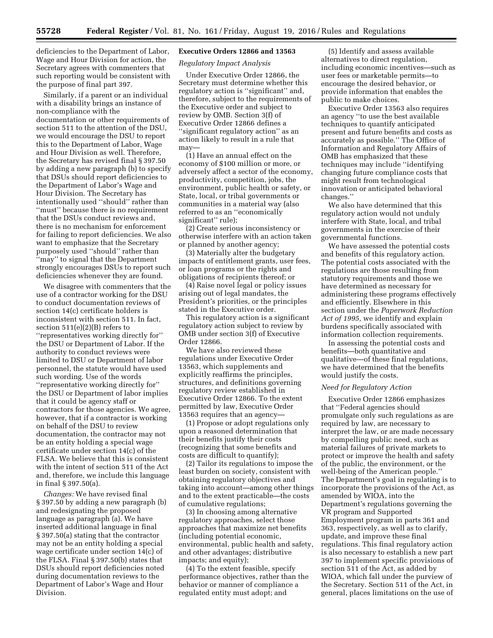deficiencies to the Department of Labor, Wage and Hour Division for action, the Secretary agrees with commenters that such reporting would be consistent with the purpose of final part 397.

Similarly, if a parent or an individual with a disability brings an instance of non-compliance with the documentation or other requirements of section 511 to the attention of the DSU, we would encourage the DSU to report this to the Department of Labor, Wage and Hour Division as well. Therefore, the Secretary has revised final § 397.50 by adding a new paragraph (b) to specify that DSUs should report deficiencies to the Department of Labor's Wage and Hour Division. The Secretary has intentionally used ''should'' rather than ''must'' because there is no requirement that the DSUs conduct reviews and, there is no mechanism for enforcement for failing to report deficiencies. We also want to emphasize that the Secretary purposely used ''should'' rather than ''may'' to signal that the Department strongly encourages DSUs to report such deficiencies whenever they are found.

We disagree with commenters that the use of a contractor working for the DSU to conduct documentation reviews of section 14(c) certificate holders is inconsistent with section 511. In fact, section 511(e)(2)(B) refers to ''representatives working directly for'' the DSU or Department of Labor. If the authority to conduct reviews were limited to DSU or Department of labor personnel, the statute would have used such wording. Use of the words ''representative working directly for'' the DSU or Department of labor implies that it could be agency staff or contractors for those agencies. We agree, however, that if a contractor is working on behalf of the DSU to review documentation, the contractor may not be an entity holding a special wage certificate under section 14(c) of the FLSA. We believe that this is consistent with the intent of section 511 of the Act and, therefore, we include this language in final § 397.50(a).

*Changes:* We have revised final § 397.50 by adding a new paragraph (b) and redesignating the proposed language as paragraph (a). We have inserted additional language in final § 397.50(a) stating that the contractor may not be an entity holding a special wage certificate under section 14(c) of the FLSA. Final § 397.50(b) states that DSUs should report deficiencies noted during documentation reviews to the Department of Labor's Wage and Hour Division.

# **Executive Orders 12866 and 13563**

*Regulatory Impact Analysis* 

Under Executive Order 12866, the Secretary must determine whether this regulatory action is ''significant'' and, therefore, subject to the requirements of the Executive order and subject to review by OMB. Section 3(f) of Executive Order 12866 defines a ''significant regulatory action'' as an action likely to result in a rule that may—

(1) Have an annual effect on the economy of \$100 million or more, or adversely affect a sector of the economy, productivity, competition, jobs, the environment, public health or safety, or State, local, or tribal governments or communities in a material way (also referred to as an ''economically significant'' rule);

(2) Create serious inconsistency or otherwise interfere with an action taken or planned by another agency;

(3) Materially alter the budgetary impacts of entitlement grants, user fees, or loan programs or the rights and obligations of recipients thereof; or

(4) Raise novel legal or policy issues arising out of legal mandates, the President's priorities, or the principles stated in the Executive order.

This regulatory action is a significant regulatory action subject to review by OMB under section 3(f) of Executive Order 12866.

We have also reviewed these regulations under Executive Order 13563, which supplements and explicitly reaffirms the principles, structures, and definitions governing regulatory review established in Executive Order 12866. To the extent permitted by law, Executive Order 13563 requires that an agency—

(1) Propose or adopt regulations only upon a reasoned determination that their benefits justify their costs (recognizing that some benefits and costs are difficult to quantify);

(2) Tailor its regulations to impose the least burden on society, consistent with obtaining regulatory objectives and taking into account—among other things and to the extent practicable—the costs of cumulative regulations;

(3) In choosing among alternative regulatory approaches, select those approaches that maximize net benefits (including potential economic, environmental, public health and safety, and other advantages; distributive impacts; and equity);

(4) To the extent feasible, specify performance objectives, rather than the behavior or manner of compliance a regulated entity must adopt; and

(5) Identify and assess available alternatives to direct regulation, including economic incentives—such as user fees or marketable permits—to encourage the desired behavior, or provide information that enables the public to make choices.

Executive Order 13563 also requires an agency ''to use the best available techniques to quantify anticipated present and future benefits and costs as accurately as possible.'' The Office of Information and Regulatory Affairs of OMB has emphasized that these techniques may include ''identifying changing future compliance costs that might result from technological innovation or anticipated behavioral changes.''

We also have determined that this regulatory action would not unduly interfere with State, local, and tribal governments in the exercise of their governmental functions.

We have assessed the potential costs and benefits of this regulatory action. The potential costs associated with the regulations are those resulting from statutory requirements and those we have determined as necessary for administering these programs effectively and efficiently. Elsewhere in this section under the *Paperwork Reduction Act of 1995,* we identify and explain burdens specifically associated with information collection requirements.

In assessing the potential costs and benefits—both quantitative and qualitative—of these final regulations, we have determined that the benefits would justify the costs.

#### *Need for Regulatory Action*

Executive Order 12866 emphasizes that ''Federal agencies should promulgate only such regulations as are required by law, are necessary to interpret the law, or are made necessary by compelling public need, such as material failures of private markets to protect or improve the health and safety of the public, the environment, or the well-being of the American people.'' The Department's goal in regulating is to incorporate the provisions of the Act, as amended by WIOA, into the Department's regulations governing the VR program and Supported Employment program in parts 361 and 363, respectively, as well as to clarify, update, and improve these final regulations. This final regulatory action is also necessary to establish a new part 397 to implement specific provisions of section 511 of the Act, as added by WIOA, which fall under the purview of the Secretary. Section 511 of the Act, in general, places limitations on the use of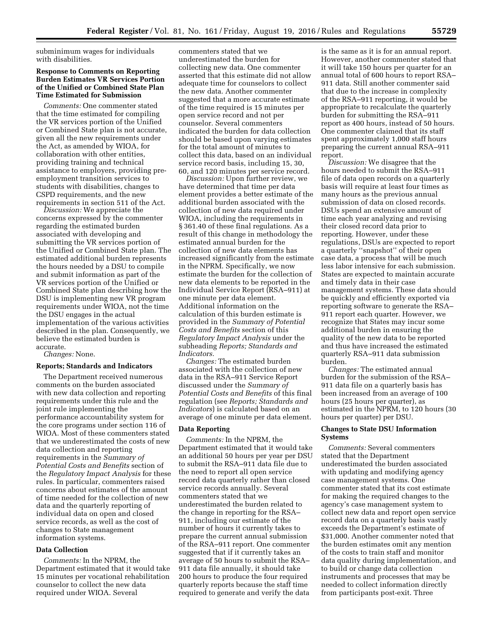subminimum wages for individuals with disabilities.

# **Response to Comments on Reporting Burden Estimates VR Services Portion of the Unified or Combined State Plan Time Estimated for Submission**

*Comments:* One commenter stated that the time estimated for compiling the VR services portion of the Unified or Combined State plan is not accurate, given all the new requirements under the Act, as amended by WIOA, for collaboration with other entities, providing training and technical assistance to employers, providing preemployment transition services to students with disabilities, changes to CSPD requirements, and the new requirements in section 511 of the Act.

*Discussion:* We appreciate the concerns expressed by the commenter regarding the estimated burden associated with developing and submitting the VR services portion of the Unified or Combined State plan. The estimated additional burden represents the hours needed by a DSU to compile and submit information as part of the VR services portion of the Unified or Combined State plan describing how the DSU is implementing new VR program requirements under WIOA, not the time the DSU engages in the actual implementation of the various activities described in the plan. Consequently, we believe the estimated burden is accurate.

*Changes:* None.

#### **Reports; Standards and Indicators**

The Department received numerous comments on the burden associated with new data collection and reporting requirements under this rule and the joint rule implementing the performance accountability system for the core programs under section 116 of WIOA. Most of these commenters stated that we underestimated the costs of new data collection and reporting requirements in the *Summary of Potential Costs and Benefits* section of the *Regulatory Impact Analysis* for these rules. In particular, commenters raised concerns about estimates of the amount of time needed for the collection of new data and the quarterly reporting of individual data on open and closed service records, as well as the cost of changes to State management information systems.

#### **Data Collection**

*Comments:* In the NPRM, the Department estimated that it would take 15 minutes per vocational rehabilitation counselor to collect the new data required under WIOA. Several

commenters stated that we underestimated the burden for collecting new data. One commenter asserted that this estimate did not allow adequate time for counselors to collect the new data. Another commenter suggested that a more accurate estimate of the time required is 15 minutes per open service record and not per counselor. Several commenters indicated the burden for data collection should be based upon varying estimates for the total amount of minutes to collect this data, based on an individual service record basis, including 15, 30, 60, and 120 minutes per service record.

*Discussion:* Upon further review, we have determined that time per data element provides a better estimate of the additional burden associated with the collection of new data required under WIOA, including the requirements in § 361.40 of these final regulations. As a result of this change in methodology the estimated annual burden for the collection of new data elements has increased significantly from the estimate in the NPRM. Specifically, we now estimate the burden for the collection of new data elements to be reported in the Individual Service Report (RSA–911) at one minute per data element. Additional information on the calculation of this burden estimate is provided in the *Summary of Potential Costs and Benefits* section of this *Regulatory Impact Analysis* under the subheading *Reports; Standards and Indicators.* 

*Changes:* The estimated burden associated with the collection of new data in the RSA–911 Service Report discussed under the *Summary of Potential Costs and Benefits* of this final regulation (see *Reports; Standards and Indicators*) is calculated based on an average of one minute per data element.

### **Data Reporting**

*Comments:* In the NPRM, the Department estimated that it would take an additional 50 hours per year per DSU to submit the RSA–911 data file due to the need to report all open service record data quarterly rather than closed service records annually. Several commenters stated that we underestimated the burden related to the change in reporting for the RSA– 911, including our estimate of the number of hours it currently takes to prepare the current annual submission of the RSA–911 report. One commenter suggested that if it currently takes an average of 50 hours to submit the RSA– 911 data file annually, it should take 200 hours to produce the four required quarterly reports because the staff time required to generate and verify the data

is the same as it is for an annual report. However, another commenter stated that it will take 150 hours per quarter for an annual total of 600 hours to report RSA– 911 data. Still another commenter said that due to the increase in complexity of the RSA–911 reporting, it would be appropriate to recalculate the quarterly burden for submitting the RSA–911 report as 400 hours, instead of 50 hours. One commenter claimed that its staff spent approximately 1,000 staff hours preparing the current annual RSA–911 report.

*Discussion:* We disagree that the hours needed to submit the RSA–911 file of data open records on a quarterly basis will require at least four times as many hours as the previous annual submission of data on closed records. DSUs spend an extensive amount of time each year analyzing and revising their closed record data prior to reporting. However, under these regulations, DSUs are expected to report a quarterly ''snapshot'' of their open case data, a process that will be much less labor intensive for each submission. States are expected to maintain accurate and timely data in their case management systems. These data should be quickly and efficiently exported via reporting software to generate the RSA– 911 report each quarter. However, we recognize that States may incur some additional burden in ensuring the quality of the new data to be reported and thus have increased the estimated quarterly RSA–911 data submission burden.

*Changes:* The estimated annual burden for the submission of the RSA– 911 data file on a quarterly basis has been increased from an average of 100 hours (25 hours per quarter), as estimated in the NPRM, to 120 hours (30 hours per quarter) per DSU.

### **Changes to State DSU Information Systems**

*Comments:* Several commenters stated that the Department underestimated the burden associated with updating and modifying agency case management systems. One commenter stated that its cost estimate for making the required changes to the agency's case management system to collect new data and report open service record data on a quarterly basis vastly exceeds the Department's estimate of \$31,000. Another commenter noted that the burden estimates omit any mention of the costs to train staff and monitor data quality during implementation, and to build or change data collection instruments and processes that may be needed to collect information directly from participants post-exit. Three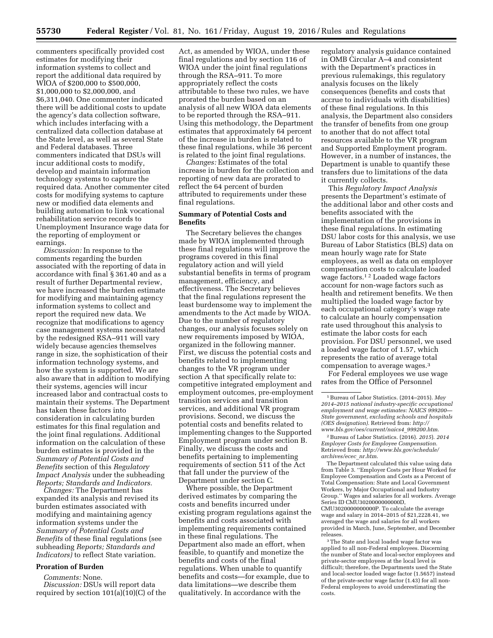commenters specifically provided cost estimates for modifying their information systems to collect and report the additional data required by WIOA of \$200,000 to \$500,000, \$1,000,000 to \$2,000,000, and \$6,311,040. One commenter indicated there will be additional costs to update the agency's data collection software, which includes interfacing with a centralized data collection database at the State level, as well as several State and Federal databases. Three commenters indicated that DSUs will incur additional costs to modify, develop and maintain information technology systems to capture the required data. Another commenter cited costs for modifying systems to capture new or modified data elements and building automation to link vocational rehabilitation service records to Unemployment Insurance wage data for the reporting of employment or earnings.

*Discussion:* In response to the comments regarding the burden associated with the reporting of data in accordance with final § 361.40 and as a result of further Departmental review, we have increased the burden estimate for modifying and maintaining agency information systems to collect and report the required new data. We recognize that modifications to agency case management systems necessitated by the redesigned RSA–911 will vary widely because agencies themselves range in size, the sophistication of their information technology systems, and how the system is supported. We are also aware that in addition to modifying their systems, agencies will incur increased labor and contractual costs to maintain their systems. The Department has taken these factors into consideration in calculating burden estimates for this final regulation and the joint final regulations. Additional information on the calculation of these burden estimates is provided in the *Summary of Potential Costs and Benefits* section of this *Regulatory Impact Analysis* under the subheading *Reports; Standards and Indicators.* 

*Changes:* The Department has expanded its analysis and revised its burden estimates associated with modifying and maintaining agency information systems under the *Summary of Potential Costs and Benefits* of these final regulations (see subheading *Reports; Standards and Indicators)* to reflect State variation.

## **Proration of Burden**

*Comments:* None. *Discussion:* DSUs will report data required by section 101(a)(10)(C) of the Act, as amended by WIOA, under these final regulations and by section 116 of WIOA under the joint final regulations through the RSA–911. To more appropriately reflect the costs attributable to these two rules, we have prorated the burden based on an analysis of all new WIOA data elements to be reported through the RSA–911. Using this methodology, the Department estimates that approximately 64 percent of the increase in burden is related to these final regulations, while 36 percent is related to the joint final regulations.

*Changes:* Estimates of the total increase in burden for the collection and reporting of new data are prorated to reflect the 64 percent of burden attributed to requirements under these final regulations.

### **Summary of Potential Costs and Benefits**

The Secretary believes the changes made by WIOA implemented through these final regulations will improve the programs covered in this final regulatory action and will yield substantial benefits in terms of program management, efficiency, and effectiveness. The Secretary believes that the final regulations represent the least burdensome way to implement the amendments to the Act made by WIOA. Due to the number of regulatory changes, our analysis focuses solely on new requirements imposed by WIOA, organized in the following manner. First, we discuss the potential costs and benefits related to implementing changes to the VR program under section A that specifically relate to: competitive integrated employment and employment outcomes, pre-employment transition services and transition services, and additional VR program provisions. Second, we discuss the potential costs and benefits related to implementing changes to the Supported Employment program under section B. Finally, we discuss the costs and benefits pertaining to implementing requirements of section 511 of the Act that fall under the purview of the Department under section C.

Where possible, the Department derived estimates by comparing the costs and benefits incurred under existing program regulations against the benefits and costs associated with implementing requirements contained in these final regulations. The Department also made an effort, when feasible, to quantify and monetize the benefits and costs of the final regulations. When unable to quantify benefits and costs—for example, due to data limitations—we describe them qualitatively. In accordance with the

regulatory analysis guidance contained in OMB Circular A–4 and consistent with the Department's practices in previous rulemakings, this regulatory analysis focuses on the likely consequences (benefits and costs that accrue to individuals with disabilities) of these final regulations. In this analysis, the Department also considers the transfer of benefits from one group to another that do not affect total resources available to the VR program and Supported Employment program. However, in a number of instances, the Department is unable to quantify these transfers due to limitations of the data it currently collects.

This *Regulatory Impact Analysis*  presents the Department's estimate of the additional labor and other costs and benefits associated with the implementation of the provisions in these final regulations. In estimating DSU labor costs for this analysis, we use Bureau of Labor Statistics (BLS) data on mean hourly wage rate for State employees, as well as data on employer compensation costs to calculate loaded wage factors.1 2 Loaded wage factors account for non-wage factors such as health and retirement benefits. We then multiplied the loaded wage factor by each occupational category's wage rate to calculate an hourly compensation rate used throughout this analysis to estimate the labor costs for each provision. For DSU personnel, we used a loaded wage factor of 1.57, which represents the ratio of average total compensation to average wages.3

For Federal employees we use wage rates from the Office of Personnel

2Bureau of Labor Statistics. (2016). *2015*). *2014 Employer Costs for Employee Compensation.*  Retrieved from: *[http://www.bls.gov/schedule/](http://www.bls.gov/schedule/archives/ecec_nr.htm) [archives/ecec](http://www.bls.gov/schedule/archives/ecec_nr.htm)*\_*nr.htm*.

The Department calculated this value using data from Table 3. ''Employer Costs per Hour Worked for Employee Compensation and Costs as a Percent of Total Compensation: State and Local Government Workers, by Major Occupational and Industry Group.'' Wages and salaries for all workers. Average Series ID CMU3020000000000D, CMU3020000000000P. To calculate the average wage and salary in 2014–2015 of \$21,2228.41, we averaged the wage and salaries for all workers provided in March, June, September, and December releases.

3The State and local loaded wage factor was applied to all non-Federal employees. Discerning the number of State and local-sector employees and private-sector employees at the local level is difficult; therefore, the Departments used the State and local-sector loaded wage factor (1.5657) instead of the private-sector wage factor (1.43) for all non-Federal employees to avoid underestimating the costs.

<sup>1</sup>Bureau of Labor Statistics. (2014–2015). *May 2014–2015 national industry-specific occupational employment and wage estimates: NAICS 999200— State government, excluding schools and hospitals (OES designation).* Retrieved from: *[http://](http://www.bls.gov/oes/current/naics4_999200.htm) [www.bls.gov/oes/current/naics4](http://www.bls.gov/oes/current/naics4_999200.htm)*\_*999200.htm*.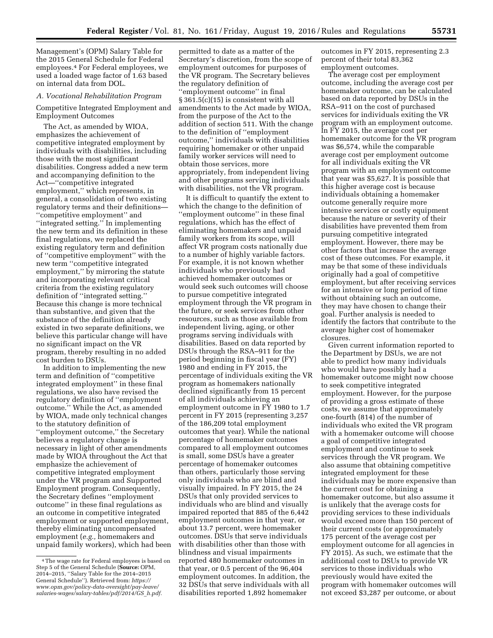Management's (OPM) Salary Table for the 2015 General Schedule for Federal employees.4 For Federal employees, we used a loaded wage factor of 1.63 based on internal data from DOL.

### *A. Vocational Rehabilitation Program*

Competitive Integrated Employment and Employment Outcomes

The Act, as amended by WIOA, emphasizes the achievement of competitive integrated employment by individuals with disabilities, including those with the most significant disabilities. Congress added a new term and accompanying definition to the Act—''competitive integrated employment,'' which represents, in general, a consolidation of two existing regulatory terms and their definitions— ''competitive employment'' and ''integrated setting.'' In implementing the new term and its definition in these final regulations, we replaced the existing regulatory term and definition of ''competitive employment'' with the new term ''competitive integrated employment,'' by mirroring the statute and incorporating relevant critical criteria from the existing regulatory definition of ''integrated setting.'' Because this change is more technical than substantive, and given that the substance of the definition already existed in two separate definitions, we believe this particular change will have no significant impact on the VR program, thereby resulting in no added cost burden to DSUs.

In addition to implementing the new term and definition of ''competitive integrated employment'' in these final regulations, we also have revised the regulatory definition of ''employment outcome.'' While the Act, as amended by WIOA, made only technical changes to the statutory definition of ''employment outcome,'' the Secretary believes a regulatory change is necessary in light of other amendments made by WIOA throughout the Act that emphasize the achievement of competitive integrated employment under the VR program and Supported Employment program. Consequently, the Secretary defines ''employment outcome'' in these final regulations as an outcome in competitive integrated employment or supported employment, thereby eliminating uncompensated employment (*e.g.,* homemakers and unpaid family workers), which had been

permitted to date as a matter of the Secretary's discretion, from the scope of employment outcomes for purposes of the VR program. The Secretary believes the regulatory definition of ''employment outcome'' in final § 361.5(c)(15) is consistent with all amendments to the Act made by WIOA, from the purpose of the Act to the addition of section 511. With the change to the definition of ''employment outcome,'' individuals with disabilities requiring homemaker or other unpaid family worker services will need to obtain those services, more appropriately, from independent living and other programs serving individuals with disabilities, not the VR program.

It is difficult to quantify the extent to which the change to the definition of ''employment outcome'' in these final regulations, which has the effect of eliminating homemakers and unpaid family workers from its scope, will affect VR program costs nationally due to a number of highly variable factors. For example, it is not known whether individuals who previously had achieved homemaker outcomes or would seek such outcomes will choose to pursue competitive integrated employment through the VR program in the future, or seek services from other resources, such as those available from independent living, aging, or other programs serving individuals with disabilities. Based on data reported by DSUs through the RSA–911 for the period beginning in fiscal year (FY) 1980 and ending in FY 2015, the percentage of individuals exiting the VR program as homemakers nationally declined significantly from 15 percent of all individuals achieving an employment outcome in FY 1980 to 1.7 percent in FY 2015 (representing 3,257 of the 186,209 total employment outcomes that year). While the national percentage of homemaker outcomes compared to all employment outcomes is small, some DSUs have a greater percentage of homemaker outcomes than others, particularly those serving only individuals who are blind and visually impaired. In FY 2015, the 24 DSUs that only provided services to individuals who are blind and visually impaired reported that 885 of the 6,442 employment outcomes in that year, or about 13.7 percent, were homemaker outcomes. DSUs that serve individuals with disabilities other than those with blindness and visual impairments reported 480 homemaker outcomes in that year, or 0.5 percent of the 96,404 employment outcomes. In addition, the 32 DSUs that serve individuals with all disabilities reported 1,892 homemaker

outcomes in FY 2015, representing 2.3 percent of their total 83,362 employment outcomes.

The average cost per employment outcome, including the average cost per homemaker outcome, can be calculated based on data reported by DSUs in the RSA–911 on the cost of purchased services for individuals exiting the VR program with an employment outcome. In FY 2015, the average cost per homemaker outcome for the VR program was \$6,574, while the comparable average cost per employment outcome for all individuals exiting the VR program with an employment outcome that year was \$5,627. It is possible that this higher average cost is because individuals obtaining a homemaker outcome generally require more intensive services or costly equipment because the nature or severity of their disabilities have prevented them from pursuing competitive integrated employment. However, there may be other factors that increase the average cost of these outcomes. For example, it may be that some of these individuals originally had a goal of competitive employment, but after receiving services for an intensive or long period of time without obtaining such an outcome, they may have chosen to change their goal. Further analysis is needed to identify the factors that contribute to the average higher cost of homemaker closures.

Given current information reported to the Department by DSUs, we are not able to predict how many individuals who would have possibly had a homemaker outcome might now choose to seek competitive integrated employment. However, for the purpose of providing a gross estimate of these costs, we assume that approximately one-fourth (814) of the number of individuals who exited the VR program with a homemaker outcome will choose a goal of competitive integrated employment and continue to seek services through the VR program. We also assume that obtaining competitive integrated employment for these individuals may be more expensive than the current cost for obtaining a homemaker outcome, but also assume it is unlikely that the average costs for providing services to these individuals would exceed more than 150 percent of their current costs (or approximately 175 percent of the average cost per employment outcome for all agencies in FY 2015). As such, we estimate that the additional cost to DSUs to provide VR services to those individuals who previously would have exited the program with homemaker outcomes will not exceed \$3,287 per outcome, or about

<sup>4</sup>The wage rate for Federal employees is based on Step 5 of the General Schedule (**Source:** OPM, 2014–2015, ''Salary Table for the 2014–2015 General Schedule''). Retrieved from: *[https://](https://www.opm.gov/policy-data-oversight/pay-leave/salaries-wages/salary-tables/pdf/2014/GS_h.pdf) [www.opm.gov/policy-data-oversight/pay-leave/](https://www.opm.gov/policy-data-oversight/pay-leave/salaries-wages/salary-tables/pdf/2014/GS_h.pdf) [salaries-wages/salary-tables/pdf/2014/GS](https://www.opm.gov/policy-data-oversight/pay-leave/salaries-wages/salary-tables/pdf/2014/GS_h.pdf)*\_*h.pdf.*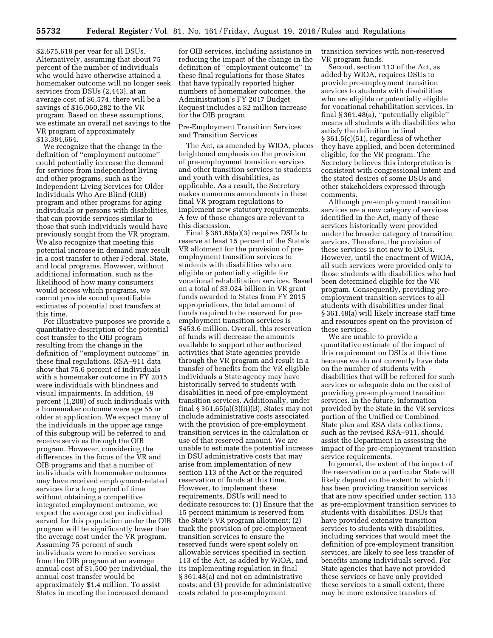\$2,675,618 per year for all DSUs. Alternatively, assuming that about 75 percent of the number of individuals who would have otherwise attained a homemaker outcome will no longer seek services from DSUs (2,443), at an average cost of \$6,574, there will be a savings of \$16,060,282 to the VR program. Based on these assumptions, we estimate an overall net savings to the VR program of approximately \$13,384,664.

We recognize that the change in the definition of ''employment outcome'' could potentially increase the demand for services from independent living and other programs, such as the Independent Living Services for Older Individuals Who Are Blind (OIB) program and other programs for aging individuals or persons with disabilities, that can provide services similar to those that such individuals would have previously sought from the VR program. We also recognize that meeting this potential increase in demand may result in a cost transfer to other Federal, State, and local programs. However, without additional information, such as the likelihood of how many consumers would access which programs, we cannot provide sound quantifiable estimates of potential cost transfers at this time.

For illustrative purposes we provide a quantitative description of the potential cost transfer to the OIB program resulting from the change in the definition of ''employment outcome'' in these final regulations. RSA–911 data show that 75.6 percent of individuals with a homemaker outcome in FY 2015 were individuals with blindness and visual impairments. In addition, 49 percent (1,208) of such individuals with a homemaker outcome were age 55 or older at application. We expect many of the individuals in the upper age range of this subgroup will be referred to and receive services through the OIB program. However, considering the differences in the focus of the VR and OIB programs and that a number of individuals with homemaker outcomes may have received employment-related services for a long period of time without obtaining a competitive integrated employment outcome, we expect the average cost per individual served for this population under the OIB program will be significantly lower than the average cost under the VR program. Assuming 75 percent of such individuals were to receive services from the OIB program at an average annual cost of \$1,500 per individual, the annual cost transfer would be approximately \$1.4 million. To assist States in meeting the increased demand

for OIB services, including assistance in reducing the impact of the change in the definition of ''employment outcome'' in these final regulations for those States that have typically reported higher numbers of homemaker outcomes, the Administration's FY 2017 Budget Request includes a \$2 million increase for the OIB program.

Pre-Employment Transition Services and Transition Services

The Act, as amended by WIOA, places heightened emphasis on the provision of pre-employment transition services and other transition services to students and youth with disabilities, as applicable. As a result, the Secretary makes numerous amendments in these final VR program regulations to implement new statutory requirements. A few of those changes are relevant to this discussion.

Final § 361.65(a)(3) requires DSUs to reserve at least 15 percent of the State's VR allotment for the provision of preemployment transition services to students with disabilities who are eligible or potentially eligible for vocational rehabilitation services. Based on a total of \$3.024 billion in VR grant funds awarded to States from FY 2015 appropriations, the total amount of funds required to be reserved for preemployment transition services is \$453.6 million. Overall, this reservation of funds will decrease the amounts available to support other authorized activities that State agencies provide through the VR program and result in a transfer of benefits from the VR eligible individuals a State agency may have historically served to students with disabilities in need of pre-employment transition services. Additionally, under final  $\S 361.65(a)(3)(ii)(B)$ , States may not include administrative costs associated with the provision of pre-employment transition services in the calculation or use of that reserved amount. We are unable to estimate the potential increase in DSU administrative costs that may arise from implementation of new section 113 of the Act or the required reservation of funds at this time. However, to implement these requirements, DSUs will need to dedicate resources to: (1) Ensure that the 15 percent minimum is reserved from the State's VR program allotment; (2) track the provision of pre-employment transition services to ensure the reserved funds were spent solely on allowable services specified in section 113 of the Act, as added by WIOA, and its implementing regulation in final § 361.48(a) and not on administrative costs; and (3) provide for administrative costs related to pre-employment

transition services with non-reserved VR program funds.

Second, section 113 of the Act, as added by WIOA, requires DSUs to provide pre-employment transition services to students with disabilities who are eligible or potentially eligible for vocational rehabilitation services. In final § 361.48(a), ''potentially eligible'' means all students with disabilities who satisfy the definition in final § 361.5(c)(51), regardless of whether they have applied, and been determined eligible, for the VR program. The Secretary believes this interpretation is consistent with congressional intent and the stated desires of some DSUs and other stakeholders expressed through comments.

Although pre-employment transition services are a new category of services identified in the Act, many of these services historically were provided under the broader category of transition services. Therefore, the provision of these services is not new to DSUs. However, until the enactment of WIOA, all such services were provided only to those students with disabilities who had been determined eligible for the VR program. Consequently, providing preemployment transition services to all students with disabilities under final § 361.48(a) will likely increase staff time and resources spent on the provision of these services.

We are unable to provide a quantitative estimate of the impact of this requirement on DSUs at this time because we do not currently have data on the number of students with disabilities that will be referred for such services or adequate data on the cost of providing pre-employment transition services. In the future, information provided by the State in the VR services portion of the Unified or Combined State plan and RSA data collections, such as the revised RSA–911, should assist the Department in assessing the impact of the pre-employment transition service requirements.

In general, the extent of the impact of the reservation on a particular State will likely depend on the extent to which it has been providing transition services that are now specified under section 113 as pre-employment transition services to students with disabilities. DSUs that have provided extensive transition services to students with disabilities, including services that would meet the definition of pre-employment transition services, are likely to see less transfer of benefits among individuals served. For State agencies that have not provided these services or have only provided these services to a small extent, there may be more extensive transfers of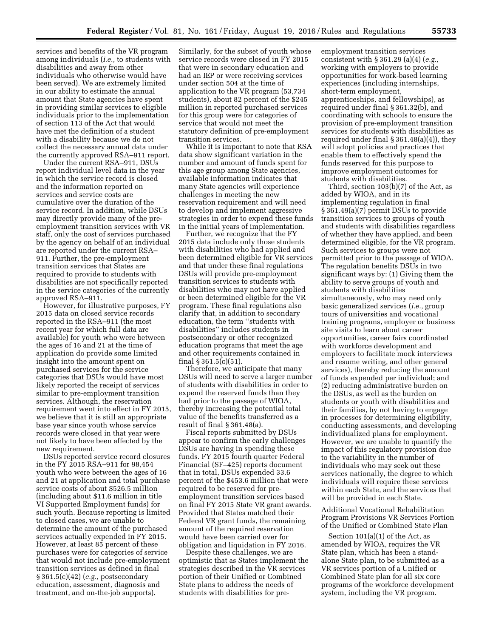services and benefits of the VR program among individuals (*i.e.,* to students with disabilities and away from other individuals who otherwise would have been served). We are extremely limited in our ability to estimate the annual amount that State agencies have spent in providing similar services to eligible individuals prior to the implementation of section 113 of the Act that would have met the definition of a student with a disability because we do not collect the necessary annual data under the currently approved RSA–911 report.

Under the current RSA–911, DSUs report individual level data in the year in which the service record is closed and the information reported on services and service costs are cumulative over the duration of the service record. In addition, while DSUs may directly provide many of the preemployment transition services with VR staff, only the cost of services purchased by the agency on behalf of an individual are reported under the current RSA– 911. Further, the pre-employment transition services that States are required to provide to students with disabilities are not specifically reported in the service categories of the currently approved RSA–911.

However, for illustrative purposes, FY 2015 data on closed service records reported in the RSA–911 (the most recent year for which full data are available) for youth who were between the ages of 16 and 21 at the time of application do provide some limited insight into the amount spent on purchased services for the service categories that DSUs would have most likely reported the receipt of services similar to pre-employment transition services. Although, the reservation requirement went into effect in FY 2015, we believe that it is still an appropriate base year since youth whose service records were closed in that year were not likely to have been affected by the new requirement.

DSUs reported service record closures in the FY 2015 RSA–911 for 98,454 youth who were between the ages of 16 and 21 at application and total purchase service costs of about \$526.5 million (including about \$11.6 million in title VI Supported Employment funds) for such youth. Because reporting is limited to closed cases, we are unable to determine the amount of the purchased services actually expended in FY 2015. However, at least 85 percent of these purchases were for categories of service that would not include pre-employment transition services as defined in final § 361.5(c)(42) (*e.g.,* postsecondary education, assessment, diagnosis and treatment, and on-the-job supports).

Similarly, for the subset of youth whose service records were closed in FY 2015 that were in secondary education and had an IEP or were receiving services under section 504 at the time of application to the VR program (53,734 students), about 82 percent of the \$245 million in reported purchased services for this group were for categories of service that would not meet the statutory definition of pre-employment transition services.

While it is important to note that RSA data show significant variation in the number and amount of funds spent for this age group among State agencies, available information indicates that many State agencies will experience challenges in meeting the new reservation requirement and will need to develop and implement aggressive strategies in order to expend these funds in the initial years of implementation.

Further, we recognize that the FY 2015 data include only those students with disabilities who had applied and been determined eligible for VR services and that under these final regulations DSUs will provide pre-employment transition services to students with disabilities who may not have applied or been determined eligible for the VR program. These final regulations also clarify that, in addition to secondary education, the term ''students with disabilities'' includes students in postsecondary or other recognized education programs that meet the age and other requirements contained in final § 361.5(c)(51).

Therefore, we anticipate that many DSUs will need to serve a larger number of students with disabilities in order to expend the reserved funds than they had prior to the passage of WIOA, thereby increasing the potential total value of the benefits transferred as a result of final § 361.48(a).

Fiscal reports submitted by DSUs appear to confirm the early challenges DSUs are having in spending these funds. FY 2015 fourth quarter Federal Financial (SF–425) reports document that in total, DSUs expended 33.6 percent of the \$453.6 million that were required to be reserved for preemployment transition services based on final FY 2015 State VR grant awards. Provided that States matched their Federal VR grant funds, the remaining amount of the required reservation would have been carried over for obligation and liquidation in FY 2016.

Despite these challenges, we are optimistic that as States implement the strategies described in the VR services portion of their Unified or Combined State plans to address the needs of students with disabilities for preemployment transition services consistent with § 361.29 (a)(4) (*e.g.,*  working with employers to provide opportunities for work-based learning experiences (including internships, short-term employment, apprenticeships, and fellowships), as required under final § 361.32(b), and coordinating with schools to ensure the provision of pre-employment transition services for students with disabilities as required under final § 361.48(a)(4)), they will adopt policies and practices that enable them to effectively spend the funds reserved for this purpose to improve employment outcomes for students with disabilities.

Third, section 103(b)(7) of the Act, as added by WIOA, and in its implementing regulation in final § 361.49(a)(7) permit DSUs to provide transition services to groups of youth and students with disabilities regardless of whether they have applied, and been determined eligible, for the VR program. Such services to groups were not permitted prior to the passage of WIOA. The regulation benefits DSUs in two significant ways by: (1) Giving them the ability to serve groups of youth and students with disabilities simultaneously, who may need only basic generalized services (*i.e.,* group tours of universities and vocational training programs, employer or business site visits to learn about career opportunities, career fairs coordinated with workforce development and employers to facilitate mock interviews and resume writing, and other general services), thereby reducing the amount of funds expended per individual; and (2) reducing administrative burden on the DSUs, as well as the burden on students or youth with disabilities and their families, by not having to engage in processes for determining eligibility, conducting assessments, and developing individualized plans for employment. However, we are unable to quantify the impact of this regulatory provision due to the variability in the number of individuals who may seek out these services nationally, the degree to which individuals will require these services within each State, and the services that will be provided in each State.

Additional Vocational Rehabilitation Program Provisions VR Services Portion of the Unified or Combined State Plan

Section  $101(a)(1)$  of the Act, as amended by WIOA, requires the VR State plan, which has been a standalone State plan, to be submitted as a VR services portion of a Unified or Combined State plan for all six core programs of the workforce development system, including the VR program.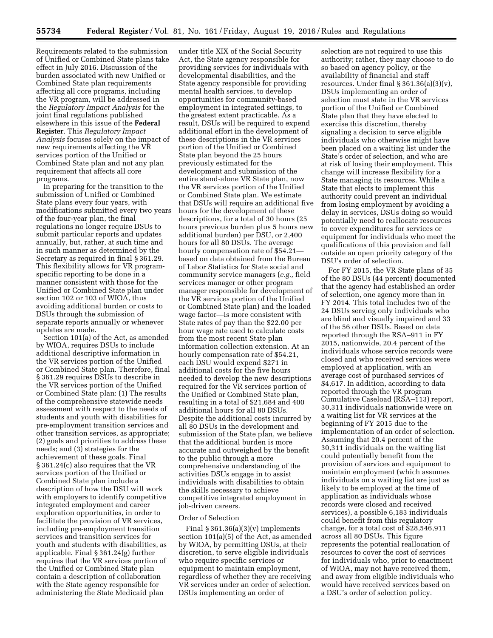Requirements related to the submission of Unified or Combined State plans take effect in July 2016. Discussion of the burden associated with new Unified or Combined State plan requirements affecting all core programs, including the VR program, will be addressed in the *Regulatory Impact Analysis* for the joint final regulations published elsewhere in this issue of the **Federal Register**. This *Regulatory Impact Analysis* focuses solely on the impact of new requirements affecting the VR services portion of the Unified or Combined State plan and not any plan requirement that affects all core programs.

In preparing for the transition to the submission of Unified or Combined State plans every four years, with modifications submitted every two years of the four-year plan, the final regulations no longer require DSUs to submit particular reports and updates annually, but, rather, at such time and in such manner as determined by the Secretary as required in final § 361.29. This flexibility allows for VR programspecific reporting to be done in a manner consistent with those for the Unified or Combined State plan under section 102 or 103 of WIOA, thus avoiding additional burden or costs to DSUs through the submission of separate reports annually or whenever updates are made.

Section 101(a) of the Act, as amended by WIOA, requires DSUs to include additional descriptive information in the VR services portion of the Unified or Combined State plan. Therefore, final § 361.29 requires DSUs to describe in the VR services portion of the Unified or Combined State plan: (1) The results of the comprehensive statewide needs assessment with respect to the needs of students and youth with disabilities for pre-employment transition services and other transition services, as appropriate; (2) goals and priorities to address these needs; and (3) strategies for the achievement of these goals. Final § 361.24(c) also requires that the VR services portion of the Unified or Combined State plan include a description of how the DSU will work with employers to identify competitive integrated employment and career exploration opportunities, in order to facilitate the provision of VR services, including pre-employment transition services and transition services for youth and students with disabilities, as applicable. Final § 361.24(g) further requires that the VR services portion of the Unified or Combined State plan contain a description of collaboration with the State agency responsible for administering the State Medicaid plan

under title XIX of the Social Security Act, the State agency responsible for providing services for individuals with developmental disabilities, and the State agency responsible for providing mental health services, to develop opportunities for community-based employment in integrated settings, to the greatest extent practicable. As a result, DSUs will be required to expend additional effort in the development of these descriptions in the VR services portion of the Unified or Combined State plan beyond the 25 hours previously estimated for the development and submission of the entire stand-alone VR State plan, now the VR services portion of the Unified or Combined State plan. We estimate that DSUs will require an additional five hours for the development of these descriptions, for a total of 30 hours (25 hours previous burden plus 5 hours new additional burden) per DSU, or 2,400 hours for all 80 DSUs. The average hourly compensation rate of \$54.21 based on data obtained from the Bureau of Labor Statistics for State social and community service managers (*e.g.,* field services manager or other program manager responsible for development of the VR services portion of the Unified or Combined State plan) and the loaded wage factor—is more consistent with State rates of pay than the \$22.00 per hour wage rate used to calculate costs from the most recent State plan information collection extension. At an hourly compensation rate of \$54.21, each DSU would expend \$271 in additional costs for the five hours needed to develop the new descriptions required for the VR services portion of the Unified or Combined State plan, resulting in a total of \$21,684 and 400 additional hours for all 80 DSUs. Despite the additional costs incurred by all 80 DSUs in the development and submission of the State plan, we believe that the additional burden is more accurate and outweighed by the benefit to the public through a more comprehensive understanding of the activities DSUs engage in to assist individuals with disabilities to obtain the skills necessary to achieve competitive integrated employment in job-driven careers.

### Order of Selection

Final  $\S 361.36(a)(3)(v)$  implements section 101(a)(5) of the Act, as amended by WIOA, by permitting DSUs, at their discretion, to serve eligible individuals who require specific services or equipment to maintain employment, regardless of whether they are receiving VR services under an order of selection. DSUs implementing an order of

selection are not required to use this authority; rather, they may choose to do so based on agency policy, or the availability of financial and staff resources. Under final § 361.36(a)(3)(v), DSUs implementing an order of selection must state in the VR services portion of the Unified or Combined State plan that they have elected to exercise this discretion, thereby signaling a decision to serve eligible individuals who otherwise might have been placed on a waiting list under the State's order of selection, and who are at risk of losing their employment. This change will increase flexibility for a State managing its resources. While a State that elects to implement this authority could prevent an individual from losing employment by avoiding a delay in services, DSUs doing so would potentially need to reallocate resources to cover expenditures for services or equipment for individuals who meet the qualifications of this provision and fall outside an open priority category of the DSU's order of selection.

For FY 2015, the VR State plans of 35 of the 80 DSUs (44 percent) documented that the agency had established an order of selection, one agency more than in FY 2014. This total includes two of the 24 DSUs serving only individuals who are blind and visually impaired and 33 of the 56 other DSUs. Based on data reported through the RSA–911 in FY 2015, nationwide, 20.4 percent of the individuals whose service records were closed and who received services were employed at application, with an average cost of purchased services of \$4,617. In addition, according to data reported through the VR program Cumulative Caseload (RSA–113) report, 30,311 individuals nationwide were on a waiting list for VR services at the beginning of FY 2015 due to the implementation of an order of selection. Assuming that 20.4 percent of the 30,311 individuals on the waiting list could potentially benefit from the provision of services and equipment to maintain employment (which assumes individuals on a waiting list are just as likely to be employed at the time of application as individuals whose records were closed and received services), a possible 6,183 individuals could benefit from this regulatory change, for a total cost of \$28,546,911 across all 80 DSUs. This figure represents the potential reallocation of resources to cover the cost of services for individuals who, prior to enactment of WIOA, may not have received them, and away from eligible individuals who would have received services based on a DSU's order of selection policy.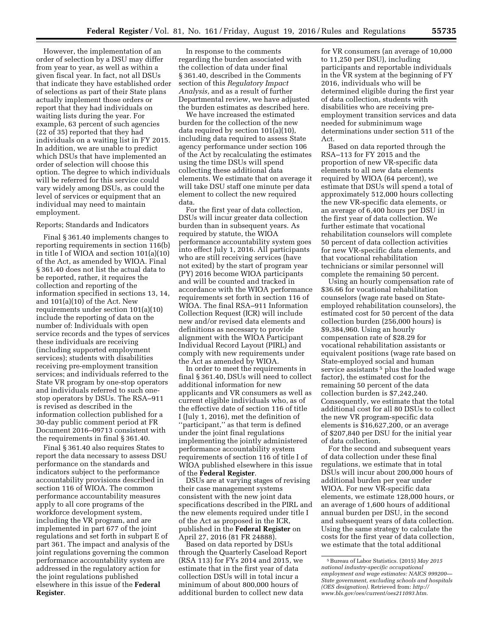However, the implementation of an order of selection by a DSU may differ from year to year, as well as within a given fiscal year. In fact, not all DSUs that indicate they have established order of selections as part of their State plans actually implement those orders or report that they had individuals on waiting lists during the year. For example, 63 percent of such agencies (22 of 35) reported that they had individuals on a waiting list in FY 2015. In addition, we are unable to predict which DSUs that have implemented an order of selection will choose this option. The degree to which individuals will be referred for this service could vary widely among DSUs, as could the level of services or equipment that an individual may need to maintain employment.

#### Reports; Standards and Indicators

Final § 361.40 implements changes to reporting requirements in section 116(b) in title I of WIOA and section 101(a)(10) of the Act, as amended by WIOA. Final § 361.40 does not list the actual data to be reported, rather, it requires the collection and reporting of the information specified in sections 13, 14, and 101(a)(10) of the Act. New requirements under section 101(a)(10) include the reporting of data on the number of: Individuals with open service records and the types of services these individuals are receiving (including supported employment services); students with disabilities receiving pre-employment transition services; and individuals referred to the State VR program by one-stop operators and individuals referred to such onestop operators by DSUs. The RSA–911 is revised as described in the information collection published for a 30-day public comment period at FR Document 2016–09713 consistent with the requirements in final § 361.40.

Final § 361.40 also requires States to report the data necessary to assess DSU performance on the standards and indicators subject to the performance accountability provisions described in section 116 of WIOA. The common performance accountability measures apply to all core programs of the workforce development system, including the VR program, and are implemented in part 677 of the joint regulations and set forth in subpart E of part 361. The impact and analysis of the joint regulations governing the common performance accountability system are addressed in the regulatory action for the joint regulations published elsewhere in this issue of the **Federal Register**.

In response to the comments regarding the burden associated with the collection of data under final § 361.40, described in the Comments section of this *Regulatory Impact Analysis,* and as a result of further Departmental review, we have adjusted the burden estimates as described here.

We have increased the estimated burden for the collection of the new data required by section 101(a)(10), including data required to assess State agency performance under section 106 of the Act by recalculating the estimates using the time DSUs will spend collecting these additional data elements. We estimate that on average it will take DSU staff one minute per data element to collect the new required data.

For the first year of data collection, DSUs will incur greater data collection burden than in subsequent years. As required by statute, the WIOA performance accountability system goes into effect July 1, 2016. All participants who are still receiving services (have not exited) by the start of program year (PY) 2016 become WIOA participants and will be counted and tracked in accordance with the WIOA performance requirements set forth in section 116 of WIOA. The final RSA–911 Information Collection Request (ICR) will include new and/or revised data elements and definitions as necessary to provide alignment with the WIOA Participant Individual Record Layout (PIRL) and comply with new requirements under the Act as amended by WIOA.

In order to meet the requirements in final § 361.40, DSUs will need to collect additional information for new applicants and VR consumers as well as current eligible individuals who, as of the effective date of section 116 of title I (July 1, 2016), met the definition of ''participant,'' as that term is defined under the joint final regulations implementing the jointly administered performance accountability system requirements of section 116 of title I of WIOA published elsewhere in this issue of the **Federal Register**.

DSUs are at varying stages of revising their case management systems consistent with the new joint data specifications described in the PIRL and the new elements required under title I of the Act as proposed in the ICR, published in the **Federal Register** on April 27, 2016 (81 FR 24888).

Based on data reported by DSUs through the Quarterly Caseload Report (RSA 113) for FYs 2014 and 2015, we estimate that in the first year of data collection DSUs will in total incur a minimum of about 800,000 hours of additional burden to collect new data

for VR consumers (an average of 10,000 to 11,250 per DSU), including participants and reportable individuals in the VR system at the beginning of FY 2016, individuals who will be determined eligible during the first year of data collection, students with disabilities who are receiving preemployment transition services and data needed for subminimum wage determinations under section 511 of the Act.

Based on data reported through the RSA–113 for FY 2015 and the proportion of new VR-specific data elements to all new data elements required by WIOA (64 percent), we estimate that DSUs will spend a total of approximately 512,000 hours collecting the new VR-specific data elements, or an average of 6,400 hours per DSU in the first year of data collection. We further estimate that vocational rehabilitation counselors will complete 50 percent of data collection activities for new VR-specific data elements, and that vocational rehabilitation technicians or similar personnel will complete the remaining 50 percent.

Using an hourly compensation rate of \$36.66 for vocational rehabilitation counselors (wage rate based on Stateemployed rehabilitation counselors), the estimated cost for 50 percent of the data collection burden (256,000 hours) is \$9,384,960. Using an hourly compensation rate of \$28.29 for vocational rehabilitation assistants or equivalent positions (wage rate based on State-employed social and human service assistants<sup>5</sup> plus the loaded wage factor), the estimated cost for the remaining 50 percent of the data collection burden is \$7,242,240. Consequently, we estimate that the total additional cost for all 80 DSUs to collect the new VR program-specific data elements is \$16,627,200, or an average of \$207,840 per DSU for the initial year of data collection.

For the second and subsequent years of data collection under these final regulations, we estimate that in total DSUs will incur about 200,000 hours of additional burden per year under WIOA. For new VR-specific data elements, we estimate 128,000 hours, or an average of 1,600 hours of additional annual burden per DSU, in the second and subsequent years of data collection. Using the same strategy to calculate the costs for the first year of data collection, we estimate that the total additional

<sup>5</sup>Bureau of Labor Statistics. (2015) *May 2015 national industry-specific occupational employment and wage estimates: NAICS 999200— State government, excluding schools and hospitals (OES designation).* Retrieved from: *[http://](http://www.bls.gov/oes/current/oes211093.htm) [www.bls.gov/oes/current/oes211093.htm](http://www.bls.gov/oes/current/oes211093.htm)*.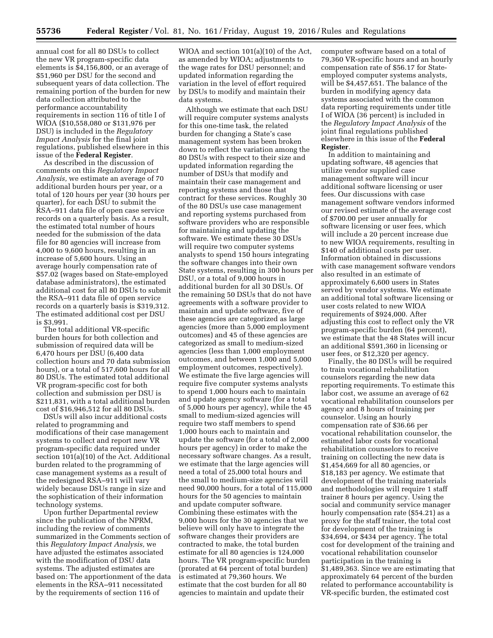annual cost for all 80 DSUs to collect the new VR program-specific data elements is \$4,156,800, or an average of \$51,960 per DSU for the second and subsequent years of data collection. The remaining portion of the burden for new data collection attributed to the performance accountability requirements in section 116 of title I of WIOA (\$10,558,080 or \$131,976 per DSU) is included in the *Regulatory Impact Analysis* for the final joint regulations, published elsewhere in this issue of the **Federal Register**.

As described in the discussion of comments on this *Regulatory Impact Analysis,* we estimate an average of 70 additional burden hours per year, or a total of 120 hours per year (30 hours per quarter), for each DSU to submit the RSA–911 data file of open case service records on a quarterly basis. As a result, the estimated total number of hours needed for the submission of the data file for 80 agencies will increase from 4,000 to 9,600 hours, resulting in an increase of 5,600 hours. Using an average hourly compensation rate of \$57.02 (wages based on State-employed database administrators), the estimated additional cost for all 80 DSUs to submit the RSA–911 data file of open service records on a quarterly basis is \$319,312. The estimated additional cost per DSU is \$3,991.

The total additional VR-specific burden hours for both collection and submission of required data will be 6,470 hours per DSU (6,400 data collection hours and 70 data submission hours), or a total of 517,600 hours for all 80 DSUs. The estimated total additional VR program-specific cost for both collection and submission per DSU is \$211,831, with a total additional burden cost of \$16,946,512 for all 80 DSUs.

DSUs will also incur additional costs related to programming and modifications of their case management systems to collect and report new VR program-specific data required under section 101(a)(10) of the Act. Additional burden related to the programming of case management systems as a result of the redesigned RSA–911 will vary widely because DSUs range in size and the sophistication of their information technology systems.

Upon further Departmental review since the publication of the NPRM, including the review of comments summarized in the Comments section of this *Regulatory Impact Analysis,* we have adjusted the estimates associated with the modification of DSU data systems. The adjusted estimates are based on: The apportionment of the data elements in the RSA–911 necessitated by the requirements of section 116 of

WIOA and section 101(a)(10) of the Act, as amended by WIOA; adjustments to the wage rates for DSU personnel; and updated information regarding the variation in the level of effort required by DSUs to modify and maintain their data systems.

Although we estimate that each DSU will require computer systems analysts for this one-time task, the related burden for changing a State's case management system has been broken down to reflect the variation among the 80 DSUs with respect to their size and updated information regarding the number of DSUs that modify and maintain their case management and reporting systems and those that contract for these services. Roughly 30 of the 80 DSUs use case management and reporting systems purchased from software providers who are responsible for maintaining and updating the software. We estimate these 30 DSUs will require two computer systems analysts to spend 150 hours integrating the software changes into their own State systems, resulting in 300 hours per DSU, or a total of 9,000 hours in additional burden for all 30 DSUs. Of the remaining 50 DSUs that do not have agreements with a software provider to maintain and update software, five of these agencies are categorized as large agencies (more than 5,000 employment outcomes) and 45 of these agencies are categorized as small to medium-sized agencies (less than 1,000 employment outcomes, and between 1,000 and 5,000 employment outcomes, respectively). We estimate the five large agencies will require five computer systems analysts to spend 1,000 hours each to maintain and update agency software (for a total of 5,000 hours per agency), while the 45 small to medium-sized agencies will require two staff members to spend 1,000 hours each to maintain and update the software (for a total of 2,000 hours per agency) in order to make the necessary software changes. As a result, we estimate that the large agencies will need a total of 25,000 total hours and the small to medium-size agencies will need 90,000 hours, for a total of 115,000 hours for the 50 agencies to maintain and update computer software. Combining these estimates with the 9,000 hours for the 30 agencies that we believe will only have to integrate the software changes their providers are contracted to make, the total burden estimate for all 80 agencies is 124,000 hours. The VR program-specific burden (prorated at 64 percent of total burden) is estimated at 79,360 hours. We estimate that the cost burden for all 80 agencies to maintain and update their

computer software based on a total of 79,360 VR-specific hours and an hourly compensation rate of \$56.17 for Stateemployed computer systems analysts, will be \$4,457,651. The balance of the burden in modifying agency data systems associated with the common data reporting requirements under title I of WIOA (36 percent) is included in the *Regulatory Impact Analysis* of the joint final regulations published elsewhere in this issue of the **Federal Register**.

In addition to maintaining and updating software, 48 agencies that utilize vendor supplied case management software will incur additional software licensing or user fees. Our discussions with case management software vendors informed our revised estimate of the average cost of \$700.00 per user annually for software licensing or user fees, which will include a 20 percent increase due to new WIOA requirements, resulting in \$140 of additional costs per user. Information obtained in discussions with case management software vendors also resulted in an estimate of approximately 6,600 users in States served by vendor systems. We estimate an additional total software licensing or user costs related to new WIOA requirements of \$924,000. After adjusting this cost to reflect only the VR program-specific burden (64 percent), we estimate that the 48 States will incur an additional \$591,360 in licensing or user fees, or \$12,320 per agency.

Finally, the 80 DSUs will be required to train vocational rehabilitation counselors regarding the new data reporting requirements. To estimate this labor cost, we assume an average of 62 vocational rehabilitation counselors per agency and 8 hours of training per counselor. Using an hourly compensation rate of \$36.66 per vocational rehabilitation counselor, the estimated labor costs for vocational rehabilitation counselors to receive training on collecting the new data is \$1,454,669 for all 80 agencies, or \$18,183 per agency. We estimate that development of the training materials and methodologies will require 1 staff trainer 8 hours per agency. Using the social and community service manager hourly compensation rate (\$54.21) as a proxy for the staff trainer, the total cost for development of the training is \$34,694, or \$434 per agency. The total cost for development of the training and vocational rehabilitation counselor participation in the training is \$1,489,363. Since we are estimating that approximately 64 percent of the burden related to performance accountability is VR-specific burden, the estimated cost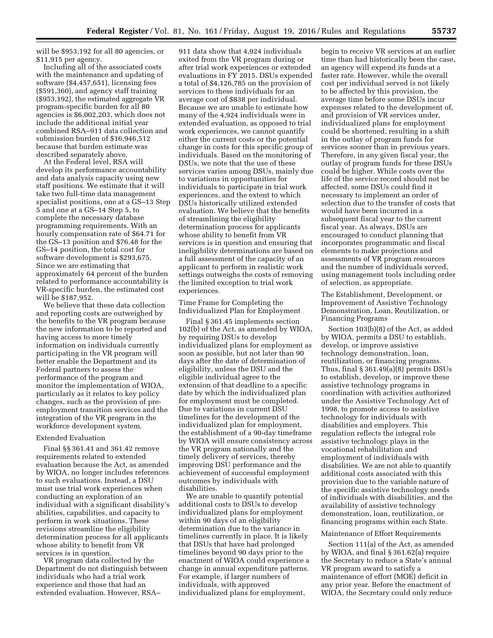will be \$953,192 for all 80 agencies, or \$11,915 per agency.

Including all of the associated costs with the maintenance and updating of software (\$4,457,651), licensing fees (\$591,360), and agency staff training (\$953,192), the estimated aggregate VR program-specific burden for all 80 agencies is \$6,002,203, which does not include the additional initial year combined RSA–911 data collection and submission burden of \$16,946,512 because that burden estimate was described separately above.

At the Federal level, RSA will develop its performance accountability and data analysis capacity using new staff positions. We estimate that it will take two full-time data management specialist positions, one at a GS–13 Step 5 and one at a GS–14 Step 5, to complete the necessary database programming requirements. With an hourly compensation rate of \$64.71 for the GS–13 position and \$76.48 for the GS–14 position, the total cost for software development is \$293,675. Since we are estimating that approximately 64 percent of the burden related to performance accountability is VR-specific burden, the estimated cost will be \$187,952.

We believe that these data collection and reporting costs are outweighed by the benefits to the VR program because the new information to be reported and having access to more timely information on individuals currently participating in the VR program will better enable the Department and its Federal partners to assess the performance of the program and monitor the implementation of WIOA, particularly as it relates to key policy changes, such as the provision of preemployment transition services and the integration of the VR program in the workforce development system.

# Extended Evaluation

Final §§ 361.41 and 361.42 remove requirements related to extended evaluation because the Act, as amended by WIOA, no longer includes references to such evaluations. Instead, a DSU must use trial work experiences when conducting an exploration of an individual with a significant disability's abilities, capabilities, and capacity to perform in work situations. These revisions streamline the eligibility determination process for all applicants whose ability to benefit from VR services is in question.

VR program data collected by the Department do not distinguish between individuals who had a trial work experience and those that had an extended evaluation. However, RSA–

911 data show that 4,924 individuals exited from the VR program during or after trial work experiences or extended evaluations in FY 2015. DSUs expended a total of \$4,126,785 on the provision of services to these individuals for an average cost of \$838 per individual. Because we are unable to estimate how many of the 4,924 individuals were in extended evaluation, as opposed to trial work experiences, we cannot quantify either the current costs or the potential change in costs for this specific group of individuals. Based on the monitoring of DSUs, we note that the use of these services varies among DSUs, mainly due to variations in opportunities for individuals to participate in trial work experiences, and the extent to which DSUs historically utilized extended evaluation. We believe that the benefits of streamlining the eligibility determination process for applicants whose ability to benefit from VR services is in question and ensuring that ineligibility determinations are based on a full assessment of the capacity of an applicant to perform in realistic work settings outweighs the costs of removing the limited exception to trial work experiences.

Time Frame for Completing the Individualized Plan for Employment

Final § 361.45 implements section 102(b) of the Act, as amended by WIOA, by requiring DSUs to develop individualized plans for employment as soon as possible, but not later than 90 days after the date of determination of eligibility, unless the DSU and the eligible individual agree to the extension of that deadline to a specific date by which the individualized plan for employment must be completed. Due to variations in current DSU timelines for the development of the individualized plan for employment, the establishment of a 90-day timeframe by WIOA will ensure consistency across the VR program nationally and the timely delivery of services, thereby improving DSU performance and the achievement of successful employment outcomes by individuals with disabilities.

We are unable to quantify potential additional costs to DSUs to develop individualized plans for employment within 90 days of an eligibility determination due to the variance in timelines currently in place. It is likely that DSUs that have had prolonged timelines beyond 90 days prior to the enactment of WIOA could experience a change in annual expenditure patterns. For example, if larger numbers of individuals, with approved individualized plans for employment,

begin to receive VR services at an earlier time than had historically been the case, an agency will expend its funds at a faster rate. However, while the overall cost per individual served is not likely to be affected by this provision, the average time before some DSUs incur expenses related to the development of, and provision of VR services under, individualized plans for employment could be shortened, resulting in a shift in the outlay of program funds for services sooner than in previous years. Therefore, in any given fiscal year, the outlay of program funds for these DSUs could be higher. While costs over the life of the service record should not be affected, some DSUs could find it necessary to implement an order of selection due to the transfer of costs that would have been incurred in a subsequent fiscal year to the current fiscal year. As always, DSUs are encouraged to conduct planning that incorporates programmatic and fiscal elements to make projections and assessments of VR program resources and the number of individuals served, using management tools including order of selection, as appropriate.

The Establishment, Development, or Improvement of Assistive Technology Demonstration, Loan, Reutilization, or Financing Programs

Section 103(b)(8) of the Act, as added by WIOA, permits a DSU to establish, develop, or improve assistive technology demonstration, loan, reutilization, or financing programs. Thus, final § 361.49(a)(8) permits DSUs to establish, develop, or improve these assistive technology programs in coordination with activities authorized under the Assistive Technology Act of 1998, to promote access to assistive technology for individuals with disabilities and employers. This regulation reflects the integral role assistive technology plays in the vocational rehabilitation and employment of individuals with disabilities. We are not able to quantify additional costs associated with this provision due to the variable nature of the specific assistive technology needs of individuals with disabilities, and the availability of assistive technology demonstration, loan, reutilization, or financing programs within each State.

# Maintenance of Effort Requirements

Section 111(a) of the Act, as amended by WIOA, and final § 361.62(a) require the Secretary to reduce a State's annual VR program award to satisfy a maintenance of effort (MOE) deficit in any prior year. Before the enactment of WIOA, the Secretary could only reduce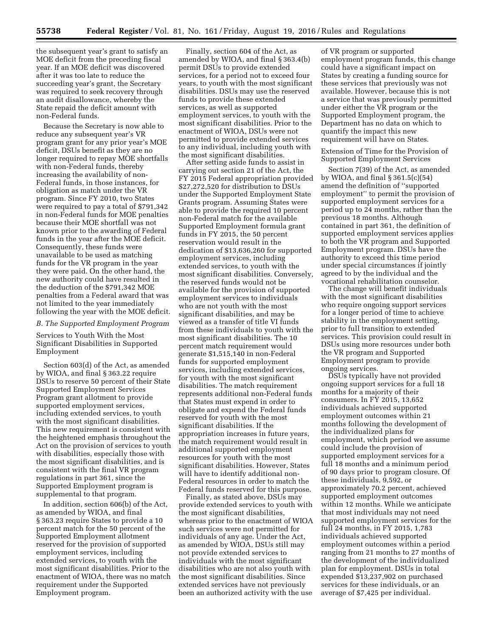the subsequent year's grant to satisfy an MOE deficit from the preceding fiscal year. If an MOE deficit was discovered after it was too late to reduce the succeeding year's grant, the Secretary was required to seek recovery through an audit disallowance, whereby the State repaid the deficit amount with non-Federal funds.

Because the Secretary is now able to reduce any subsequent year's VR program grant for any prior year's MOE deficit, DSUs benefit as they are no longer required to repay MOE shortfalls with non-Federal funds, thereby increasing the availability of non-Federal funds, in those instances, for obligation as match under the VR program. Since FY 2010, two States were required to pay a total of \$791,342 in non-Federal funds for MOE penalties because their MOE shortfall was not known prior to the awarding of Federal funds in the year after the MOE deficit. Consequently, these funds were unavailable to be used as matching funds for the VR program in the year they were paid. On the other hand, the new authority could have resulted in the deduction of the \$791,342 MOE penalties from a Federal award that was not limited to the year immediately following the year with the MOE deficit.

#### *B. The Supported Employment Program*

Services to Youth With the Most Significant Disabilities in Supported Employment

Section 603(d) of the Act, as amended by WIOA, and final § 363.22 require DSUs to reserve 50 percent of their State Supported Employment Services Program grant allotment to provide supported employment services, including extended services, to youth with the most significant disabilities. This new requirement is consistent with the heightened emphasis throughout the Act on the provision of services to youth with disabilities, especially those with the most significant disabilities, and is consistent with the final VR program regulations in part 361, since the Supported Employment program is supplemental to that program.

In addition, section 606(b) of the Act, as amended by WIOA, and final § 363.23 require States to provide a 10 percent match for the 50 percent of the Supported Employment allotment reserved for the provision of supported employment services, including extended services, to youth with the most significant disabilities. Prior to the enactment of WIOA, there was no match requirement under the Supported Employment program.

Finally, section 604 of the Act, as amended by WIOA, and final § 363.4(b) permit DSUs to provide extended services, for a period not to exceed four years, to youth with the most significant disabilities. DSUs may use the reserved funds to provide these extended services, as well as supported employment services, to youth with the most significant disabilities. Prior to the enactment of WIOA, DSUs were not permitted to provide extended services to any individual, including youth with the most significant disabilities.

After setting aside funds to assist in carrying out section 21 of the Act, the FY 2015 Federal appropriation provided \$27,272,520 for distribution to DSUs under the Supported Employment State Grants program. Assuming States were able to provide the required 10 percent non-Federal match for the available Supported Employment formula grant funds in FY 2015, the 50 percent reservation would result in the dedication of \$13,636,260 for supported employment services, including extended services, to youth with the most significant disabilities. Conversely, the reserved funds would not be available for the provision of supported employment services to individuals who are not youth with the most significant disabilities, and may be viewed as a transfer of title VI funds from these individuals to youth with the most significant disabilities. The 10 percent match requirement would generate \$1,515,140 in non-Federal funds for supported employment services, including extended services, for youth with the most significant disabilities. The match requirement represents additional non-Federal funds that States must expend in order to obligate and expend the Federal funds reserved for youth with the most significant disabilities. If the appropriation increases in future years, the match requirement would result in additional supported employment resources for youth with the most significant disabilities. However, States will have to identify additional non-Federal resources in order to match the Federal funds reserved for this purpose.

Finally, as stated above, DSUs may provide extended services to youth with the most significant disabilities, whereas prior to the enactment of WIOA such services were not permitted for individuals of any age. Under the Act, as amended by WIOA, DSUs still may not provide extended services to individuals with the most significant disabilities who are not also youth with the most significant disabilities. Since extended services have not previously been an authorized activity with the use

of VR program or supported employment program funds, this change could have a significant impact on States by creating a funding source for these services that previously was not available. However, because this is not a service that was previously permitted under either the VR program or the Supported Employment program, the Department has no data on which to quantify the impact this new requirement will have on States.

Extension of Time for the Provision of Supported Employment Services

Section 7(39) of the Act, as amended by WIOA, and final § 361.5(c)(54) amend the definition of ''supported employment'' to permit the provision of supported employment services for a period up to 24 months, rather than the previous 18 months. Although contained in part 361, the definition of supported employment services applies to both the VR program and Supported Employment program. DSUs have the authority to exceed this time period under special circumstances if jointly agreed to by the individual and the vocational rehabilitation counselor.

The change will benefit individuals with the most significant disabilities who require ongoing support services for a longer period of time to achieve stability in the employment setting, prior to full transition to extended services. This provision could result in DSUs using more resources under both the VR program and Supported Employment program to provide ongoing services.

DSUs typically have not provided ongoing support services for a full 18 months for a majority of their consumers. In FY 2015, 13,652 individuals achieved supported employment outcomes within 21 months following the development of the individualized plans for employment, which period we assume could include the provision of supported employment services for a full 18 months and a minimum period of 90 days prior to program closure. Of these individuals, 9,592, or approximately 70.2 percent, achieved supported employment outcomes within 12 months. While we anticipate that most individuals may not need supported employment services for the full 24 months, in FY 2015, 1,783 individuals achieved supported employment outcomes within a period ranging from 21 months to 27 months of the development of the individualized plan for employment. DSUs in total expended \$13,237,902 on purchased services for these individuals, or an average of \$7,425 per individual.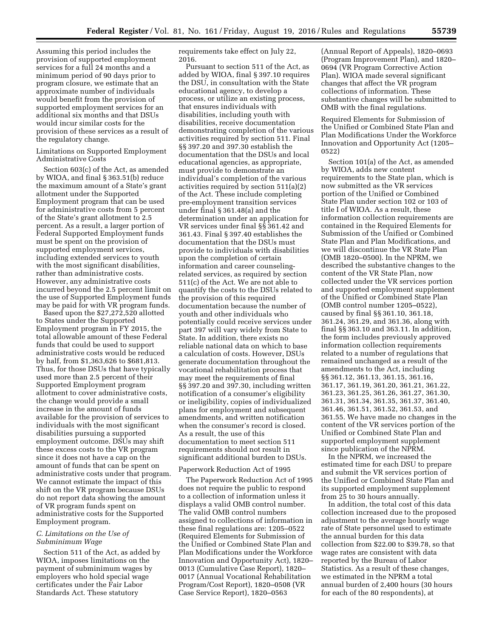Assuming this period includes the provision of supported employment services for a full 24 months and a minimum period of 90 days prior to program closure, we estimate that an approximate number of individuals would benefit from the provision of supported employment services for an additional six months and that DSUs would incur similar costs for the provision of these services as a result of the regulatory change.

# Limitations on Supported Employment Administrative Costs

Section 603(c) of the Act, as amended by WIOA, and final § 363.51(b) reduce the maximum amount of a State's grant allotment under the Supported Employment program that can be used for administrative costs from 5 percent of the State's grant allotment to 2.5 percent. As a result, a larger portion of Federal Supported Employment funds must be spent on the provision of supported employment services, including extended services to youth with the most significant disabilities, rather than administrative costs. However, any administrative costs incurred beyond the 2.5 percent limit on the use of Supported Employment funds may be paid for with VR program funds.

Based upon the \$27,272,520 allotted to States under the Supported Employment program in FY 2015, the total allowable amount of these Federal funds that could be used to support administrative costs would be reduced by half, from \$1,363,626 to \$681,813. Thus, for those DSUs that have typically used more than 2.5 percent of their Supported Employment program allotment to cover administrative costs, the change would provide a small increase in the amount of funds available for the provision of services to individuals with the most significant disabilities pursuing a supported employment outcome. DSUs may shift these excess costs to the VR program since it does not have a cap on the amount of funds that can be spent on administrative costs under that program. We cannot estimate the impact of this shift on the VR program because DSUs do not report data showing the amount of VR program funds spent on administrative costs for the Supported Employment program.

# *C. Limitations on the Use of Subminimum Wage*

Section 511 of the Act, as added by WIOA, imposes limitations on the payment of subminimum wages by employers who hold special wage certificates under the Fair Labor Standards Act. These statutory

requirements take effect on July 22, 2016.

Pursuant to section 511 of the Act, as added by WIOA, final § 397.10 requires the DSU, in consultation with the State educational agency, to develop a process, or utilize an existing process, that ensures individuals with disabilities, including youth with disabilities, receive documentation demonstrating completion of the various activities required by section 511. Final §§ 397.20 and 397.30 establish the documentation that the DSUs and local educational agencies, as appropriate, must provide to demonstrate an individual's completion of the various activities required by section 511(a)(2) of the Act. These include completing pre-employment transition services under final § 361.48(a) and the determination under an application for VR services under final §§ 361.42 and 361.43. Final § 397.40 establishes the documentation that the DSUs must provide to individuals with disabilities upon the completion of certain information and career counselingrelated services, as required by section 511(c) of the Act. We are not able to quantify the costs to the DSUs related to the provision of this required documentation because the number of youth and other individuals who potentially could receive services under part 397 will vary widely from State to State. In addition, there exists no reliable national data on which to base a calculation of costs. However, DSUs generate documentation throughout the vocational rehabilitation process that may meet the requirements of final §§ 397.20 and 397.30, including written notification of a consumer's eligibility or ineligibility, copies of individualized plans for employment and subsequent amendments, and written notification when the consumer's record is closed. As a result, the use of this documentation to meet section 511 requirements should not result in significant additional burden to DSUs.

# Paperwork Reduction Act of 1995

The Paperwork Reduction Act of 1995 does not require the public to respond to a collection of information unless it displays a valid OMB control number. The valid OMB control numbers assigned to collections of information in these final regulations are: 1205–0522 (Required Elements for Submission of the Unified or Combined State Plan and Plan Modifications under the Workforce Innovation and Opportunity Act), 1820– 0013 (Cumulative Case Report), 1820– 0017 (Annual Vocational Rehabilitation Program/Cost Report), 1820–0508 (VR Case Service Report), 1820–0563

(Annual Report of Appeals), 1820–0693 (Program Improvement Plan), and 1820– 0694 (VR Program Corrective Action Plan). WIOA made several significant changes that affect the VR program collections of information. These substantive changes will be submitted to OMB with the final regulations.

Required Elements for Submission of the Unified or Combined State Plan and Plan Modifications Under the Workforce Innovation and Opportunity Act (1205– 0522)

Section 101(a) of the Act, as amended by WIOA, adds new content requirements to the State plan, which is now submitted as the VR services portion of the Unified or Combined State Plan under section 102 or 103 of title I of WIOA. As a result, these information collection requirements are contained in the Required Elements for Submission of the Unified or Combined State Plan and Plan Modifications, and we will discontinue the VR State Plan (OMB 1820–0500). In the NPRM, we described the substantive changes to the content of the VR State Plan, now collected under the VR services portion and supported employment supplement of the Unified or Combined State Plan (OMB control number 1205–0522), caused by final §§ 361.10, 361.18, 361.24, 361.29, and 361.36, along with final §§ 363.10 and 363.11. In addition, the form includes previously approved information collection requirements related to a number of regulations that remained unchanged as a result of the amendments to the Act, including §§ 361.12, 361.13, 361.15, 361.16, 361.17, 361.19, 361.20, 361.21, 361.22, 361.23, 361.25, 361.26, 361.27, 361.30, 361.31, 361.34, 361.35, 361.37, 361.40, 361.46, 361.51, 361.52, 361.53, and 361.55. We have made no changes in the content of the VR services portion of the Unified or Combined State Plan and supported employment supplement since publication of the NPRM.

In the NPRM, we increased the estimated time for each DSU to prepare and submit the VR services portion of the Unified or Combined State Plan and its supported employment supplement from 25 to 30 hours annually.

In addition, the total cost of this data collection increased due to the proposed adjustment to the average hourly wage rate of State personnel used to estimate the annual burden for this data collection from \$22.00 to \$39.78, so that wage rates are consistent with data reported by the Bureau of Labor Statistics. As a result of these changes, we estimated in the NPRM a total annual burden of 2,400 hours (30 hours for each of the 80 respondents), at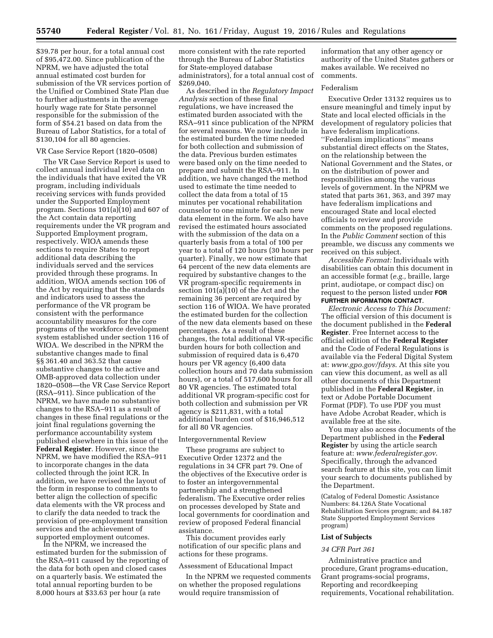\$39.78 per hour, for a total annual cost of \$95,472.00. Since publication of the NPRM, we have adjusted the total annual estimated cost burden for submission of the VR services portion of the Unified or Combined State Plan due to further adjustments in the average hourly wage rate for State personnel responsible for the submission of the form of \$54.21 based on data from the Bureau of Labor Statistics, for a total of \$130,104 for all 80 agencies.

### VR Case Service Report (1820–0508)

The VR Case Service Report is used to collect annual individual level data on the individuals that have exited the VR program, including individuals receiving services with funds provided under the Supported Employment program. Sections 101(a)(10) and 607 of the Act contain data reporting requirements under the VR program and Supported Employment program, respectively. WIOA amends these sections to require States to report additional data describing the individuals served and the services provided through these programs. In addition, WIOA amends section 106 of the Act by requiring that the standards and indicators used to assess the performance of the VR program be consistent with the performance accountability measures for the core programs of the workforce development system established under section 116 of WIOA. We described in the NPRM the substantive changes made to final §§ 361.40 and 363.52 that cause substantive changes to the active and OMB-approved data collection under 1820–0508—the VR Case Service Report (RSA–911). Since publication of the NPRM, we have made no substantive changes to the RSA–911 as a result of changes in these final regulations or the joint final regulations governing the performance accountability system published elsewhere in this issue of the **Federal Register**. However, since the NPRM, we have modified the RSA–911 to incorporate changes in the data collected through the joint ICR. In addition, we have revised the layout of the form in response to comments to better align the collection of specific data elements with the VR process and to clarify the data needed to track the provision of pre-employment transition services and the achievement of supported employment outcomes.

In the NPRM, we increased the estimated burden for the submission of the RSA–911 caused by the reporting of the data for both open and closed cases on a quarterly basis. We estimated the total annual reporting burden to be 8,000 hours at \$33.63 per hour (a rate

more consistent with the rate reported through the Bureau of Labor Statistics for State-employed database administrators), for a total annual cost of \$269,040.

As described in the *Regulatory Impact Analysis* section of these final regulations, we have increased the estimated burden associated with the RSA–911 since publication of the NPRM for several reasons. We now include in the estimated burden the time needed for both collection and submission of the data. Previous burden estimates were based only on the time needed to prepare and submit the RSA–911. In addition, we have changed the method used to estimate the time needed to collect the data from a total of 15 minutes per vocational rehabilitation counselor to one minute for each new data element in the form. We also have revised the estimated hours associated with the submission of the data on a quarterly basis from a total of 100 per year to a total of 120 hours (30 hours per quarter). Finally, we now estimate that 64 percent of the new data elements are required by substantive changes to the VR program-specific requirements in section 101(a)(10) of the Act and the remaining 36 percent are required by section 116 of WIOA. We have prorated the estimated burden for the collection of the new data elements based on these percentages. As a result of these changes, the total additional VR-specific burden hours for both collection and submission of required data is 6,470 hours per VR agency (6,400 data collection hours and 70 data submission hours), or a total of 517,600 hours for all 80 VR agencies. The estimated total additional VR program-specific cost for both collection and submission per VR agency is \$211,831, with a total additional burden cost of \$16,946,512 for all 80 VR agencies.

#### Intergovernmental Review

These programs are subject to Executive Order 12372 and the regulations in 34 CFR part 79. One of the objectives of the Executive order is to foster an intergovernmental partnership and a strengthened federalism. The Executive order relies on processes developed by State and local governments for coordination and review of proposed Federal financial assistance.

This document provides early notification of our specific plans and actions for these programs.

### Assessment of Educational Impact

In the NPRM we requested comments on whether the proposed regulations would require transmission of

information that any other agency or authority of the United States gathers or makes available. We received no comments.

### Federalism

Executive Order 13132 requires us to ensure meaningful and timely input by State and local elected officials in the development of regulatory policies that have federalism implications. ''Federalism implications'' means substantial direct effects on the States, on the relationship between the National Government and the States, or on the distribution of power and responsibilities among the various levels of government. In the NPRM we stated that parts 361, 363, and 397 may have federalism implications and encouraged State and local elected officials to review and provide comments on the proposed regulations. In the *Public Comment* section of this preamble, we discuss any comments we received on this subject.

*Accessible Format:* Individuals with disabilities can obtain this document in an accessible format (*e.g.,* braille, large print, audiotape, or compact disc) on request to the person listed under **FOR FURTHER INFORMATION CONTACT**.

*Electronic Access to This Document:*  The official version of this document is the document published in the **Federal Register**. Free Internet access to the official edition of the **Federal Register**  and the Code of Federal Regulations is available via the Federal Digital System at: *[www.gpo.gov/fdsys](http://www.gpo.gov/fdsys)*. At this site you can view this document, as well as all other documents of this Department published in the **Federal Register**, in text or Adobe Portable Document Format (PDF). To use PDF you must have Adobe Acrobat Reader, which is available free at the site.

You may also access documents of the Department published in the **Federal Register** by using the article search feature at: *[www.federalregister.gov](http://www.federalregister.gov)*. Specifically, through the advanced search feature at this site, you can limit your search to documents published by the Department.

(Catalog of Federal Domestic Assistance Numbers: 84.126A State Vocational Rehabilitation Services program; and 84.187 State Supported Employment Services program)

#### **List of Subjects**

# *34 CFR Part 361*

Administrative practice and procedure, Grant programs-education, Grant programs-social programs, Reporting and recordkeeping requirements, Vocational rehabilitation.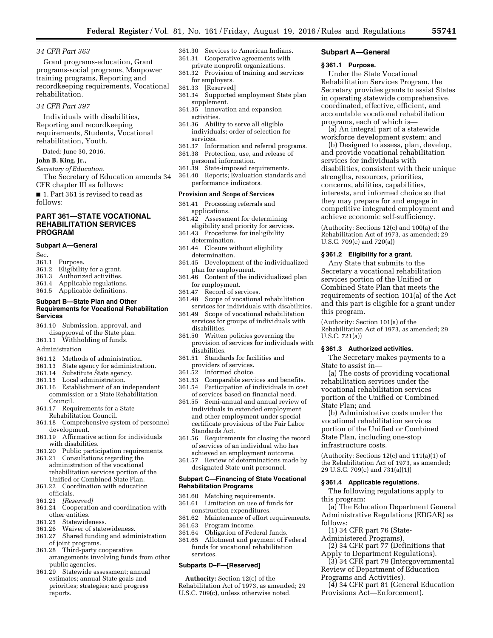### *34 CFR Part 363*

Grant programs-education, Grant programs-social programs, Manpower training programs, Reporting and recordkeeping requirements, Vocational rehabilitation.

# *34 CFR Part 397*

Individuals with disabilities, Reporting and recordkeeping requirements, Students, Vocational rehabilitation, Youth.

Dated: June 30, 2016.

**John B. King, Jr.,** 

*Secretary of Education.* 

The Secretary of Education amends 34 CFR chapter III as follows:

■ 1. Part 361 is revised to read as follows:

# **PART 361—STATE VOCATIONAL REHABILITATION SERVICES PROGRAM**

#### **Subpart A—General**

Sec.

- 361.1 Purpose.
- 361.2 Eligibility for a grant.
- Authorized activities.
- 361.4 Applicable regulations.
- 361.5 Applicable definitions.

#### **Subpart B—State Plan and Other Requirements for Vocational Rehabilitation Services**

- 361.10 Submission, approval, and
- disapproval of the State plan.
- 361.11 Withholding of funds.
- Administration
- 361.12 Methods of administration.<br>361.13 State agency for administra
- State agency for administration.
- 361.14 Substitute State agency.
- 361.15 Local administration.
- 361.16 Establishment of an independent commission or a State Rehabilitation Council.
- 361.17 Requirements for a State
- Rehabilitation Council. 361.18 Comprehensive system of personnel
- development.
- 361.19 Affirmative action for individuals with disabilities.
- 361.20 Public participation requirements.
- 361.21 Consultations regarding the administration of the vocational rehabilitation services portion of the Unified or Combined State Plan.
- 361.22 Coordination with education officials.
- 361.23 *[Reserved]*
- 361.24 Cooperation and coordination with other entities.
- 361.25 Statewideness.
- 361.26 Waiver of statewideness.
- 361.27 Shared funding and administration of joint programs.
- 361.28 Third-party cooperative arrangements involving funds from other public agencies.
- 361.29 Statewide assessment; annual estimates; annual State goals and priorities; strategies; and progress reports.
- 361.30 Services to American Indians.
- 361.31 Cooperative agreements with
- private nonprofit organizations.
- 361.32 Provision of training and services for employers.
- 361.33 [Reserved]
- 361.34 Supported employment State plan supplement.
- 361.35 Innovation and expansion activities.
- 361.36 Ability to serve all eligible individuals; order of selection for services.
- 361.37 Information and referral programs.
- 361.38 Protection, use, and release of
	- personal information.
- 361.39 State-imposed requirements. 361.40 Reports; Evaluation standards and
- performance indicators.

# **Provision and Scope of Services**

- 361.41 Processing referrals and applications.
- 361.42 Assessment for determining eligibility and priority for services.
- 361.43 Procedures for ineligibility determination.
- 361.44 Closure without eligibility determination.
- 361.45 Development of the individualized plan for employment.
- 361.46 Content of the individualized plan for employment.
- 361.47 Record of services.
- 361.48 Scope of vocational rehabilitation services for individuals with disabilities.
- 361.49 Scope of vocational rehabilitation services for groups of individuals with disabilities.
- 361.50 Written policies governing the provision of services for individuals with disabilities.
- 361.51 Standards for facilities and providers of services.
- 361.52 Informed choice.
- 361.53 Comparable services and benefits. 361.54 Participation of individuals in cost
- of services based on financial need. 361.55 Semi-annual and annual review of individuals in extended employment and other employment under special certificate provisions of the Fair Labor
- Standards Act. 361.56 Requirements for closing the record of services of an individual who has achieved an employment outcome.
- 361.57 Review of determinations made by designated State unit personnel.

#### **Subpart C—Financing of State Vocational Rehabilitation Programs**

- 361.60 Matching requirements.
- 361.61 Limitation on use of funds for construction expenditures.
- 361.62 Maintenance of effort requirements.
- 361.63 Program income.
- 361.64 Obligation of Federal funds.
- 361.65 Allotment and payment of Federal funds for vocational rehabilitation services.

### **Subparts D–F—[Reserved]**

**Authority:** Section 12(c) of the Rehabilitation Act of 1973, as amended; 29 U.S.C. 709(c), unless otherwise noted.

#### **Subpart A—General**

### **§ 361.1 Purpose.**

Under the State Vocational Rehabilitation Services Program, the Secretary provides grants to assist States in operating statewide comprehensive, coordinated, effective, efficient, and accountable vocational rehabilitation programs, each of which is—

(a) An integral part of a statewide workforce development system; and

(b) Designed to assess, plan, develop, and provide vocational rehabilitation services for individuals with disabilities, consistent with their unique strengths, resources, priorities, concerns, abilities, capabilities, interests, and informed choice so that they may prepare for and engage in competitive integrated employment and achieve economic self-sufficiency.

(Authority: Sections 12(c) and 100(a) of the Rehabilitation Act of 1973, as amended; 29 U.S.C. 709(c) and 720(a))

### **§ 361.2 Eligibility for a grant.**

Any State that submits to the Secretary a vocational rehabilitation services portion of the Unified or Combined State Plan that meets the requirements of section 101(a) of the Act and this part is eligible for a grant under this program.

(Authority: Section 101(a) of the Rehabilitation Act of 1973, as amended; 29 U.S.C. 721(a))

#### **§ 361.3 Authorized activities.**

The Secretary makes payments to a State to assist in—

(a) The costs of providing vocational rehabilitation services under the vocational rehabilitation services portion of the Unified or Combined State Plan; and

(b) Administrative costs under the vocational rehabilitation services portion of the Unified or Combined State Plan, including one-stop infrastructure costs.

(Authority: Sections 12(c) and 111(a)(1) of the Rehabilitation Act of 1973, as amended; 29 U.S.C. 709(c) and 731(a)(1))

### **§ 361.4 Applicable regulations.**

The following regulations apply to this program:

(a) The Education Department General Administrative Regulations (EDGAR) as follows:

(2) 34 CFR part 77 (Definitions that Apply to Department Regulations). (3) 34 CFR part 79 (Intergovernmental Review of Department of Education

(4) 34 CFR part 81 (General Education

(1) 34 CFR part 76 (State-Administered Programs).

Programs and Activities).

Provisions Act—Enforcement).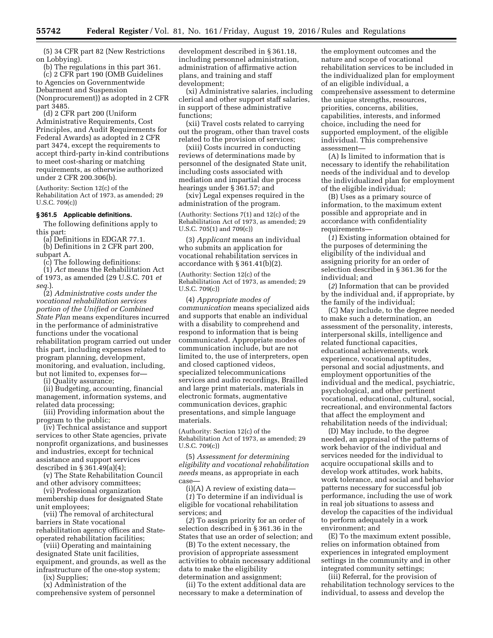(5) 34 CFR part 82 (New Restrictions on Lobbying).

(b) The regulations in this part 361. (c) 2 CFR part 190 (OMB Guidelines to Agencies on Governmentwide Debarment and Suspension (Nonprocurement)) as adopted in 2 CFR part 3485.

(d) 2 CFR part 200 (Uniform Administrative Requirements, Cost Principles, and Audit Requirements for Federal Awards) as adopted in 2 CFR part 3474, except the requirements to accept third-party in-kind contributions to meet cost-sharing or matching requirements, as otherwise authorized under 2 CFR 200.306(b).

(Authority: Section 12(c) of the Rehabilitation Act of 1973, as amended; 29 U.S.C. 709(c))

# **§ 361.5 Applicable definitions.**

The following definitions apply to this part:

(a) Definitions in EDGAR 77.1. (b) Definitions in 2 CFR part 200, subpart A.

(c) The following definitions:

(1) *Act* means the Rehabilitation Act of 1973, as amended (29 U.S.C. 701 *et seq.*).

(2) *Administrative costs under the vocational rehabilitation services portion of the Unified or Combined State Plan* means expenditures incurred in the performance of administrative functions under the vocational rehabilitation program carried out under this part, including expenses related to program planning, development, monitoring, and evaluation, including, but not limited to, expenses for—

(i) Quality assurance;

(ii) Budgeting, accounting, financial management, information systems, and related data processing;

(iii) Providing information about the program to the public;

(iv) Technical assistance and support services to other State agencies, private nonprofit organizations, and businesses and industries, except for technical assistance and support services described in § 361.49(a)(4);

(v) The State Rehabilitation Council and other advisory committees;

(vi) Professional organization membership dues for designated State unit employees;

(vii) The removal of architectural barriers in State vocational rehabilitation agency offices and Stateoperated rehabilitation facilities;

(viii) Operating and maintaining designated State unit facilities, equipment, and grounds, as well as the infrastructure of the one-stop system;

(ix) Supplies;

(x) Administration of the comprehensive system of personnel development described in § 361.18, including personnel administration, administration of affirmative action plans, and training and staff development;

(xi) Administrative salaries, including clerical and other support staff salaries, in support of these administrative functions;

(xii) Travel costs related to carrying out the program, other than travel costs related to the provision of services;

(xiii) Costs incurred in conducting reviews of determinations made by personnel of the designated State unit, including costs associated with mediation and impartial due process hearings under § 361.57; and

(xiv) Legal expenses required in the administration of the program.

(Authority: Sections 7(1) and 12(c) of the Rehabilitation Act of 1973, as amended; 29 U.S.C. 705(1) and 709(c))

(3) *Applicant* means an individual who submits an application for vocational rehabilitation services in accordance with § 361.41(b)(2).

(Authority: Section 12(c) of the Rehabilitation Act of 1973, as amended; 29 U.S.C. 709(c))

(4) *Appropriate modes of communication* means specialized aids and supports that enable an individual with a disability to comprehend and respond to information that is being communicated. Appropriate modes of communication include, but are not limited to, the use of interpreters, open and closed captioned videos, specialized telecommunications services and audio recordings, Brailled and large print materials, materials in electronic formats, augmentative communication devices, graphic presentations, and simple language materials.

(Authority: Section 12(c) of the Rehabilitation Act of 1973, as amended; 29 U.S.C. 709(c))

(5) *Assessment for determining eligibility and vocational rehabilitation needs* means, as appropriate in each case—

(i)(A) A review of existing data—

(*1*) To determine if an individual is eligible for vocational rehabilitation services; and

(*2*) To assign priority for an order of selection described in § 361.36 in the States that use an order of selection; and

(B) To the extent necessary, the provision of appropriate assessment activities to obtain necessary additional data to make the eligibility determination and assignment;

(ii) To the extent additional data are necessary to make a determination of

the employment outcomes and the nature and scope of vocational rehabilitation services to be included in the individualized plan for employment of an eligible individual, a comprehensive assessment to determine the unique strengths, resources, priorities, concerns, abilities, capabilities, interests, and informed choice, including the need for supported employment, of the eligible individual. This comprehensive assessment—

(A) Is limited to information that is necessary to identify the rehabilitation needs of the individual and to develop the individualized plan for employment of the eligible individual;

(B) Uses as a primary source of information, to the maximum extent possible and appropriate and in accordance with confidentiality requirements—

(*1*) Existing information obtained for the purposes of determining the eligibility of the individual and assigning priority for an order of selection described in § 361.36 for the individual; and

(*2*) Information that can be provided by the individual and, if appropriate, by the family of the individual;

(C) May include, to the degree needed to make such a determination, an assessment of the personality, interests, interpersonal skills, intelligence and related functional capacities, educational achievements, work experience, vocational aptitudes, personal and social adjustments, and employment opportunities of the individual and the medical, psychiatric, psychological, and other pertinent vocational, educational, cultural, social, recreational, and environmental factors that affect the employment and rehabilitation needs of the individual;

(D) May include, to the degree needed, an appraisal of the patterns of work behavior of the individual and services needed for the individual to acquire occupational skills and to develop work attitudes, work habits, work tolerance, and social and behavior patterns necessary for successful job performance, including the use of work in real job situations to assess and develop the capacities of the individual to perform adequately in a work environment; and

(E) To the maximum extent possible, relies on information obtained from experiences in integrated employment settings in the community and in other integrated community settings;

(iii) Referral, for the provision of rehabilitation technology services to the individual, to assess and develop the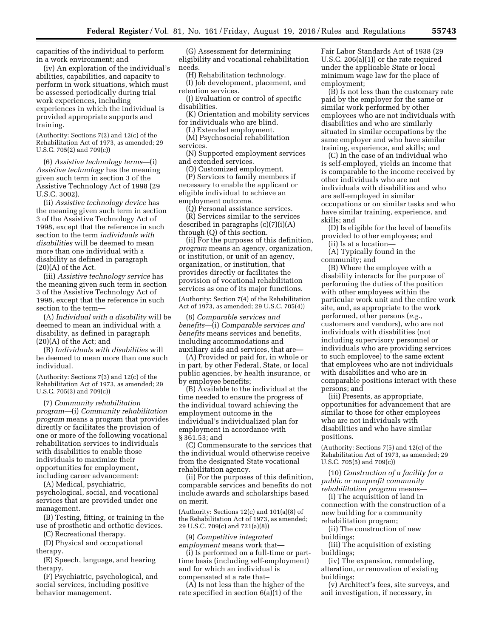capacities of the individual to perform in a work environment; and

(iv) An exploration of the individual's abilities, capabilities, and capacity to perform in work situations, which must be assessed periodically during trial work experiences, including experiences in which the individual is provided appropriate supports and training.

(Authority: Sections 7(2) and 12(c) of the Rehabilitation Act of 1973, as amended; 29 U.S.C. 705(2) and 709(c))

(6) *Assistive technology terms*—(i) *Assistive technology* has the meaning given such term in section 3 of the Assistive Technology Act of 1998 (29 U.S.C. 3002).

(ii) *Assistive technology device* has the meaning given such term in section 3 of the Assistive Technology Act of 1998, except that the reference in such section to the term *individuals with disabilities* will be deemed to mean more than one individual with a disability as defined in paragraph  $(20)(A)$  of the Act.

(iii) *Assistive technology service* has the meaning given such term in section 3 of the Assistive Technology Act of 1998, except that the reference in such section to the term—

(A) *Individual with a disability* will be deemed to mean an individual with a disability, as defined in paragraph (20)(A) of the Act; and

(B) *Individuals with disabilities* will be deemed to mean more than one such individual.

(Authority: Sections 7(3) and 12(c) of the Rehabilitation Act of 1973, as amended; 29 U.S.C. 705(3) and 709(c))

(7) *Community rehabilitation program—*(i) *Community rehabilitation program* means a program that provides directly or facilitates the provision of one or more of the following vocational rehabilitation services to individuals with disabilities to enable those individuals to maximize their opportunities for employment, including career advancement:

(A) Medical, psychiatric, psychological, social, and vocational services that are provided under one management.

(B) Testing, fitting, or training in the use of prosthetic and orthotic devices.

(C) Recreational therapy.

(D) Physical and occupational therapy.

(E) Speech, language, and hearing therapy.

(F) Psychiatric, psychological, and social services, including positive behavior management.

(G) Assessment for determining eligibility and vocational rehabilitation needs.

(H) Rehabilitation technology.

(I) Job development, placement, and retention services.

(J) Evaluation or control of specific disabilities.

(K) Orientation and mobility services for individuals who are blind.

(L) Extended employment.

(M) Psychosocial rehabilitation services.

(N) Supported employment services and extended services.

(O) Customized employment.

(P) Services to family members if necessary to enable the applicant or eligible individual to achieve an employment outcome.

(Q) Personal assistance services.

(R) Services similar to the services described in paragraphs (c)(7)(i)(A) through (Q) of this section.

(ii) For the purposes of this definition, *program* means an agency, organization, or institution, or unit of an agency, organization, or institution, that provides directly or facilitates the provision of vocational rehabilitation services as one of its major functions.

(Authority: Section 7(4) of the Rehabilitation Act of 1973, as amended; 29 U.S.C. 705(4))

(8) *Comparable services and benefits—*(i) *Comparable services and benefits* means services and benefits, including accommodations and auxiliary aids and services, that are—

(A) Provided or paid for, in whole or in part, by other Federal, State, or local public agencies, by health insurance, or by employee benefits;

(B) Available to the individual at the time needed to ensure the progress of the individual toward achieving the employment outcome in the individual's individualized plan for employment in accordance with § 361.53; and

(C) Commensurate to the services that the individual would otherwise receive from the designated State vocational rehabilitation agency.

(ii) For the purposes of this definition, comparable services and benefits do not include awards and scholarships based on merit.

(Authority: Sections 12(c) and 101(a)(8) of the Rehabilitation Act of 1973, as amended; 29 U.S.C. 709(c) and 721(a)(8))

(9) *Competitive integrated employment* means work that—

(i) Is performed on a full-time or parttime basis (including self-employment) and for which an individual is compensated at a rate that–

(A) Is not less than the higher of the rate specified in section 6(a)(1) of the

Fair Labor Standards Act of 1938 (29 U.S.C. 206(a)(1)) or the rate required under the applicable State or local minimum wage law for the place of employment;

(B) Is not less than the customary rate paid by the employer for the same or similar work performed by other employees who are not individuals with disabilities and who are similarly situated in similar occupations by the same employer and who have similar training, experience, and skills; and

(C) In the case of an individual who is self-employed, yields an income that is comparable to the income received by other individuals who are not individuals with disabilities and who are self-employed in similar occupations or on similar tasks and who have similar training, experience, and skills; and

(D) Is eligible for the level of benefits provided to other employees; and

(ii) Is at a location—

(A) Typically found in the community; and

(B) Where the employee with a disability interacts for the purpose of performing the duties of the position with other employees within the particular work unit and the entire work site, and, as appropriate to the work performed, other persons (*e.g.,*  customers and vendors), who are not individuals with disabilities (not including supervisory personnel or individuals who are providing services to such employee) to the same extent that employees who are not individuals with disabilities and who are in comparable positions interact with these persons; and

(iii) Presents, as appropriate, opportunities for advancement that are similar to those for other employees who are not individuals with disabilities and who have similar positions.

(Authority: Sections 7(5) and 12(c) of the Rehabilitation Act of 1973, as amended; 29 U.S.C. 705(5) and 709(c))

(10) *Construction of a facility for a public or nonprofit community rehabilitation program* means—

(i) The acquisition of land in connection with the construction of a new building for a community rehabilitation program;

(ii) The construction of new buildings;

(iii) The acquisition of existing buildings;

(iv) The expansion, remodeling, alteration, or renovation of existing buildings;

(v) Architect's fees, site surveys, and soil investigation, if necessary, in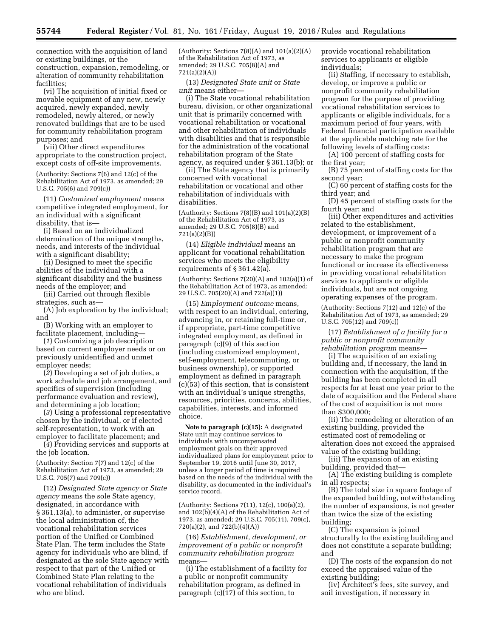connection with the acquisition of land or existing buildings, or the construction, expansion, remodeling, or alteration of community rehabilitation facilities;

(vi) The acquisition of initial fixed or movable equipment of any new, newly acquired, newly expanded, newly remodeled, newly altered, or newly renovated buildings that are to be used for community rehabilitation program purposes; and

(vii) Other direct expenditures appropriate to the construction project, except costs of off-site improvements.

(Authority: Sections 7(6) and 12(c) of the Rehabilitation Act of 1973, as amended; 29 U.S.C. 705(6) and 709(c))

(11) *Customized employment* means competitive integrated employment, for an individual with a significant disability, that is—

(i) Based on an individualized determination of the unique strengths, needs, and interests of the individual with a significant disability;

(ii) Designed to meet the specific abilities of the individual with a significant disability and the business needs of the employer; and

(iii) Carried out through flexible strategies, such as—

(A) Job exploration by the individual; and

(B) Working with an employer to facilitate placement, including—

(*1*) Customizing a job description based on current employer needs or on previously unidentified and unmet employer needs;

(*2*) Developing a set of job duties, a work schedule and job arrangement, and specifics of supervision (including performance evaluation and review), and determining a job location;

(*3*) Using a professional representative chosen by the individual, or if elected self-representation, to work with an employer to facilitate placement; and

(*4*) Providing services and supports at the job location.

(Authority: Section 7(7) and 12(c) of the Rehabilitation Act of 1973, as amended; 29 U.S.C. 705(7) and 709(c))

(12) *Designated State agency* or *State agency* means the sole State agency, designated, in accordance with § 361.13(a), to administer, or supervise the local administration of, the vocational rehabilitation services portion of the Unified or Combined State Plan. The term includes the State agency for individuals who are blind, if designated as the sole State agency with respect to that part of the Unified or Combined State Plan relating to the vocational rehabilitation of individuals who are blind.

(Authority: Sections  $7(8)(A)$  and  $101(a)(2)(A)$ of the Rehabilitation Act of 1973, as amended; 29 U.S.C. 705(8)(A) and 721(a)(2)(A))

(13) *Designated State unit* or *State unit* means either—

(i) The State vocational rehabilitation bureau, division, or other organizational unit that is primarily concerned with vocational rehabilitation or vocational and other rehabilitation of individuals with disabilities and that is responsible for the administration of the vocational rehabilitation program of the State agency, as required under § 361.13(b); or

(ii) The State agency that is primarily concerned with vocational rehabilitation or vocational and other rehabilitation of individuals with disabilities.

(Authority: Sections  $7(8)(B)$  and  $101(a)(2)(B)$ of the Rehabilitation Act of 1973, as amended; 29 U.S.C. 705(8)(B) and 721(a)(2)(B))

(14) *Eligible individual* means an applicant for vocational rehabilitation services who meets the eligibility requirements of § 361.42(a).

(Authority: Sections 7(20)(A) and 102(a)(1) of the Rehabilitation Act of 1973, as amended; 29 U.S.C. 705(20)(A) and 722(a)(1))

(15) *Employment outcome* means, with respect to an individual, entering, advancing in, or retaining full-time or, if appropriate, part-time competitive integrated employment, as defined in paragraph (c)(9) of this section (including customized employment, self-employment, telecommuting, or business ownership), or supported employment as defined in paragraph (c)(53) of this section, that is consistent with an individual's unique strengths, resources, priorities, concerns, abilities, capabilities, interests, and informed choice.

**Note to paragraph (c)(15):** A designated State unit may continue services to individuals with uncompensated employment goals on their approved individualized plans for employment prior to September 19, 2016 until June 30, 2017, unless a longer period of time is required based on the needs of the individual with the disability, as documented in the individual's service record.

(Authority: Sections 7(11), 12(c), 100(a)(2), and  $102(b)(4)(A)$  of the Rehabilitation Act of 1973, as amended; 29 U.S.C. 705(11), 709(c), 720(a)(2), and 722(b)(4)(A))

(16) *Establishment, development, or improvement of a public or nonprofit community rehabilitation program*  means—

(i) The establishment of a facility for a public or nonprofit community rehabilitation program, as defined in paragraph (c)(17) of this section, to

provide vocational rehabilitation services to applicants or eligible individuals;

(ii) Staffing, if necessary to establish, develop, or improve a public or nonprofit community rehabilitation program for the purpose of providing vocational rehabilitation services to applicants or eligible individuals, for a maximum period of four years, with Federal financial participation available at the applicable matching rate for the following levels of staffing costs:

(A) 100 percent of staffing costs for the first year;

(B) 75 percent of staffing costs for the second year;

(C) 60 percent of staffing costs for the third year; and

(D) 45 percent of staffing costs for the fourth year; and

(iii) Other expenditures and activities related to the establishment, development, or improvement of a public or nonprofit community rehabilitation program that are necessary to make the program functional or increase its effectiveness in providing vocational rehabilitation services to applicants or eligible individuals, but are not ongoing operating expenses of the program.

(Authority: Sections 7(12) and 12(c) of the Rehabilitation Act of 1973, as amended; 29 U.S.C. 705(12) and 709(c))

(17) *Establishment of a facility for a public or nonprofit community rehabilitation program* means—

(i) The acquisition of an existing building and, if necessary, the land in connection with the acquisition, if the building has been completed in all respects for at least one year prior to the date of acquisition and the Federal share of the cost of acquisition is not more than \$300,000;

(ii) The remodeling or alteration of an existing building, provided the estimated cost of remodeling or alteration does not exceed the appraised value of the existing building;

(iii) The expansion of an existing building, provided that—

(A) The existing building is complete in all respects;

(B) The total size in square footage of the expanded building, notwithstanding the number of expansions, is not greater than twice the size of the existing building;

(C) The expansion is joined structurally to the existing building and does not constitute a separate building; and

(D) The costs of the expansion do not exceed the appraised value of the existing building;

(iv) Architect's fees, site survey, and soil investigation, if necessary in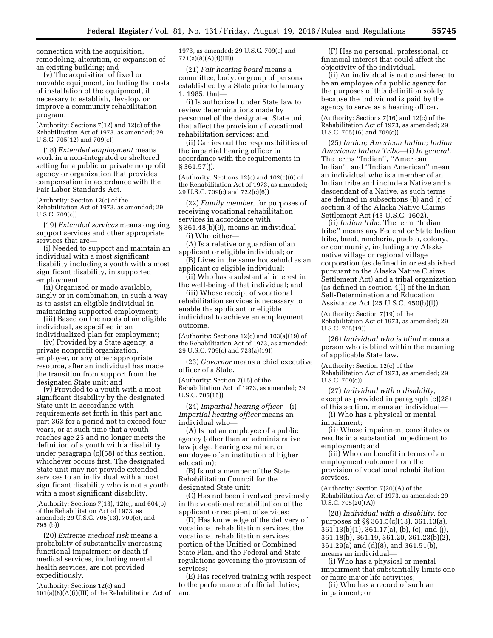connection with the acquisition, remodeling, alteration, or expansion of an existing building; and

(v) The acquisition of fixed or movable equipment, including the costs of installation of the equipment, if necessary to establish, develop, or improve a community rehabilitation program.

(Authority: Sections 7(12) and 12(c) of the Rehabilitation Act of 1973, as amended; 29 U.S.C. 705(12) and 709(c))

(18) *Extended employment* means work in a non-integrated or sheltered setting for a public or private nonprofit agency or organization that provides compensation in accordance with the Fair Labor Standards Act.

(Authority: Section 12(c) of the Rehabilitation Act of 1973, as amended; 29 U.S.C. 709(c))

(19) *Extended services* means ongoing support services and other appropriate services that are—

(i) Needed to support and maintain an individual with a most significant disability including a youth with a most significant disability, in supported employment;

(ii) Organized or made available, singly or in combination, in such a way as to assist an eligible individual in maintaining supported employment;

(iii) Based on the needs of an eligible individual, as specified in an individualized plan for employment;

(iv) Provided by a State agency, a private nonprofit organization, employer, or any other appropriate resource, after an individual has made the transition from support from the designated State unit; and

(v) Provided to a youth with a most significant disability by the designated State unit in accordance with requirements set forth in this part and part 363 for a period not to exceed four years, or at such time that a youth reaches age 25 and no longer meets the definition of a youth with a disability under paragraph (c)(58) of this section, whichever occurs first. The designated State unit may not provide extended services to an individual with a most significant disability who is not a youth with a most significant disability.

(Authority: Sections  $7(13)$ ,  $12(c)$ , and  $604(b)$ of the Rehabilitation Act of 1973, as amended; 29 U.S.C. 705(13), 709(c), and 795i(b))

(20) *Extreme medical risk* means a probability of substantially increasing functional impairment or death if medical services, including mental health services, are not provided expeditiously.

(Authority: Sections 12(c) and  $101(a)(8)(A)(i)(III)$  of the Rehabilitation Act of 1973, as amended; 29 U.S.C. 709(c) and 721(a)(8)(A)(i)(III))

(21) *Fair hearing board* means a committee, body, or group of persons established by a State prior to January 1, 1985, that—

(i) Is authorized under State law to review determinations made by personnel of the designated State unit that affect the provision of vocational rehabilitation services; and

(ii) Carries out the responsibilities of the impartial hearing officer in accordance with the requirements in § 361.57(j).

(Authority: Sections 12(c) and 102(c)(6) of the Rehabilitation Act of 1973, as amended; 29 U.S.C. 709(c) and 722(c)(6))

(22) *Family member,* for purposes of receiving vocational rehabilitation services in accordance with § 361.48(b)(9), means an individual—

(i) Who either—

(A) Is a relative or guardian of an applicant or eligible individual; or

(B) Lives in the same household as an applicant or eligible individual;

(ii) Who has a substantial interest in the well-being of that individual; and

(iii) Whose receipt of vocational rehabilitation services is necessary to enable the applicant or eligible individual to achieve an employment outcome.

(Authority: Sections 12(c) and 103(a)(19) of the Rehabilitation Act of 1973, as amended; 29 U.S.C. 709(c) and 723(a)(19))

(23) *Governor* means a chief executive officer of a State.

(Authority: Section 7(15) of the Rehabilitation Act of 1973, as amended; 29 U.S.C. 705(15))

(24) *Impartial hearing officer*—(i) *Impartial hearing officer* means an individual who—

(A) Is not an employee of a public agency (other than an administrative law judge, hearing examiner, or employee of an institution of higher education);

(B) Is not a member of the State Rehabilitation Council for the designated State unit;

(C) Has not been involved previously in the vocational rehabilitation of the applicant or recipient of services;

(D) Has knowledge of the delivery of vocational rehabilitation services, the vocational rehabilitation services portion of the Unified or Combined State Plan, and the Federal and State regulations governing the provision of services;

(E) Has received training with respect to the performance of official duties; and

(F) Has no personal, professional, or financial interest that could affect the objectivity of the individual.

(ii) An individual is not considered to be an employee of a public agency for the purposes of this definition solely because the individual is paid by the agency to serve as a hearing officer.

(Authority: Sections 7(16) and 12(c) of the Rehabilitation Act of 1973, as amended; 29 U.S.C. 705(16) and 709(c))

(25) *Indian; American Indian; Indian American; Indian Tribe*—(i) *In general.*  The terms ''Indian'', ''American Indian'', and ''Indian American'' mean an individual who is a member of an Indian tribe and include a Native and a descendant of a Native, as such terms are defined in subsections (b) and (r) of section 3 of the Alaska Native Claims Settlement Act (43 U.S.C. 1602).

(ii) *Indian tribe.* The term ''Indian tribe'' means any Federal or State Indian tribe, band, rancheria, pueblo, colony, or community, including any Alaska native village or regional village corporation (as defined in or established pursuant to the Alaska Native Claims Settlement Act) and a tribal organization (as defined in section 4(l) of the Indian Self-Determination and Education Assistance Act (25 U.S.C. 450(b)(l)).

(Authority: Section 7(19) of the Rehabilitation Act of 1973, as amended; 29 U.S.C. 705(19))

(26) *Individual who is blind* means a person who is blind within the meaning of applicable State law.

(Authority: Section 12(c) of the Rehabilitation Act of 1973, as amended; 29 U.S.C. 709(c))

(27) *Individual with a disability,*  except as provided in paragraph (c)(28) of this section, means an individual—

(i) Who has a physical or mental impairment;

(ii) Whose impairment constitutes or results in a substantial impediment to employment; and

(iii) Who can benefit in terms of an employment outcome from the provision of vocational rehabilitation services.

(Authority: Section 7(20)(A) of the Rehabilitation Act of 1973, as amended; 29 U.S.C. 705(20)(A))

(28) *Individual with a disability,* for purposes of §§ 361.5(c)(13), 361.13(a), 361.13(b)(1), 361.17(a), (b), (c), and (j), 361.18(b), 361.19, 361.20, 361.23(b)(2), 361.29(a) and (d)(8), and 361.51(b), means an individual—

(i) Who has a physical or mental impairment that substantially limits one or more major life activities;

(ii) Who has a record of such an impairment; or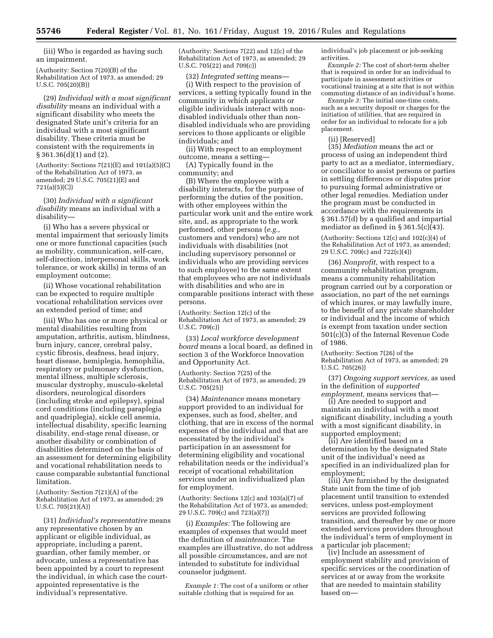(iii) Who is regarded as having such an impairment.

(Authority: Section 7(20)(B) of the Rehabilitation Act of 1973, as amended; 29 U.S.C. 705(20)(B))

(29) *Individual with a most significant disability* means an individual with a significant disability who meets the designated State unit's criteria for an individual with a most significant disability. These criteria must be consistent with the requirements in § 361.36(d)(1) and (2).

(Authority: Sections  $7(21)(E)$  and  $101(a)(5)(C)$ of the Rehabilitation Act of 1973, as amended; 29 U.S.C. 705(21)(E) and 721(a)(5)(C))

(30) *Individual with a significant disability* means an individual with a disability—

(i) Who has a severe physical or mental impairment that seriously limits one or more functional capacities (such as mobility, communication, self-care, self-direction, interpersonal skills, work tolerance, or work skills) in terms of an employment outcome;

(ii) Whose vocational rehabilitation can be expected to require multiple vocational rehabilitation services over an extended period of time; and

(iii) Who has one or more physical or mental disabilities resulting from amputation, arthritis, autism, blindness, burn injury, cancer, cerebral palsy, cystic fibrosis, deafness, head injury, heart disease, hemiplegia, hemophilia, respiratory or pulmonary dysfunction, mental illness, multiple sclerosis, muscular dystrophy, musculo-skeletal disorders, neurological disorders (including stroke and epilepsy), spinal cord conditions (including paraplegia and quadriplegia), sickle cell anemia, intellectual disability, specific learning disability, end-stage renal disease, or another disability or combination of disabilities determined on the basis of an assessment for determining eligibility and vocational rehabilitation needs to cause comparable substantial functional limitation.

(Authority: Section 7(21)(A) of the Rehabilitation Act of 1973, as amended; 29 U.S.C. 705(21)(A))

(31) *Individual's representative* means any representative chosen by an applicant or eligible individual, as appropriate, including a parent, guardian, other family member, or advocate, unless a representative has been appointed by a court to represent the individual, in which case the courtappointed representative is the individual's representative.

(Authority: Sections 7(22) and 12(c) of the Rehabilitation Act of 1973, as amended; 29 U.S.C. 705(22) and 709(c))

(32) *Integrated setting* means— (i) With respect to the provision of services, a setting typically found in the community in which applicants or eligible individuals interact with nondisabled individuals other than nondisabled individuals who are providing services to those applicants or eligible individuals; and

(ii) With respect to an employment outcome, means a setting—

(A) Typically found in the community; and

(B) Where the employee with a disability interacts, for the purpose of performing the duties of the position, with other employees within the particular work unit and the entire work site, and, as appropriate to the work performed, other persons (*e.g.,*  customers and vendors) who are not individuals with disabilities (not including supervisory personnel or individuals who are providing services to such employee) to the same extent that employees who are not individuals with disabilities and who are in comparable positions interact with these persons.

(Authority: Section 12(c) of the Rehabilitation Act of 1973, as amended; 29 U.S.C. 709(c))

(33) *Local workforce development board* means a local board, as defined in section 3 of the Workforce Innovation and Opportunity Act.

(Authority: Section 7(25) of the Rehabilitation Act of 1973, as amended; 29 U.S.C. 705(25))

(34) *Maintenance* means monetary support provided to an individual for expenses, such as food, shelter, and clothing, that are in excess of the normal expenses of the individual and that are necessitated by the individual's participation in an assessment for determining eligibility and vocational rehabilitation needs or the individual's receipt of vocational rehabilitation services under an individualized plan for employment.

(Authority: Sections 12(c) and 103(a)(7) of the Rehabilitation Act of 1973, as amended; 29 U.S.C. 709(c) and 723(a)(7))

(i) *Examples:* The following are examples of expenses that would meet the definition of *maintenance.* The examples are illustrative, do not address all possible circumstances, and are not intended to substitute for individual counselor judgment.

*Example 1:* The cost of a uniform or other suitable clothing that is required for an

individual's job placement or job-seeking activities.

*Example 2:* The cost of short-term shelter that is required in order for an individual to participate in assessment activities or vocational training at a site that is not within commuting distance of an individual's home.

*Example 3:* The initial one-time costs, such as a security deposit or charges for the initiation of utilities, that are required in order for an individual to relocate for a job placement.

(ii) [Reserved]

(35) *Mediation* means the act or process of using an independent third party to act as a mediator, intermediary, or conciliator to assist persons or parties in settling differences or disputes prior to pursuing formal administrative or other legal remedies. Mediation under the program must be conducted in accordance with the requirements in § 361.57(d) by a qualified and impartial mediator as defined in § 361.5(c)(43).

(Authority: Sections  $12(c)$  and  $102(c)(4)$  of the Rehabilitation Act of 1973, as amended; 29 U.S.C. 709(c) and 722(c)(4))

(36) *Nonprofit,* with respect to a community rehabilitation program, means a community rehabilitation program carried out by a corporation or association, no part of the net earnings of which inures, or may lawfully inure, to the benefit of any private shareholder or individual and the income of which is exempt from taxation under section 501(c)(3) of the Internal Revenue Code of 1986.

(Authority: Section 7(26) of the Rehabilitation Act of 1973, as amended; 29 U.S.C. 705(26))

(37) *Ongoing support services,* as used in the definition of *supported employment,* means services that—

(i) Are needed to support and maintain an individual with a most significant disability, including a youth with a most significant disability, in supported employment;

(ii) Are identified based on a determination by the designated State unit of the individual's need as specified in an individualized plan for employment;

(iii) Are furnished by the designated State unit from the time of job placement until transition to extended services, unless post-employment services are provided following transition, and thereafter by one or more extended services providers throughout the individual's term of employment in a particular job placement;

(iv) Include an assessment of employment stability and provision of specific services or the coordination of services at or away from the worksite that are needed to maintain stability based on—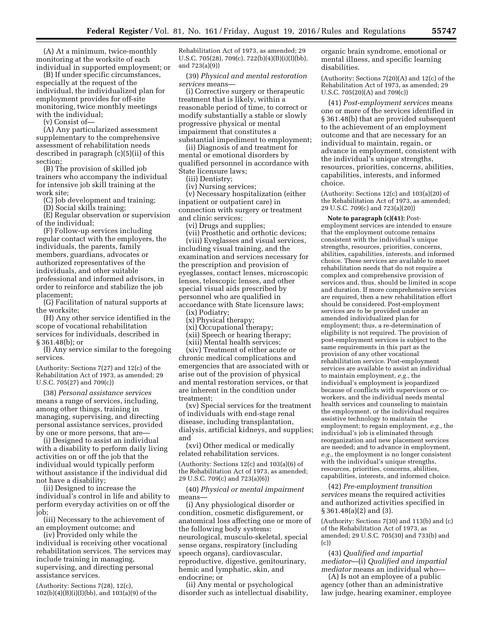(A) At a minimum, twice-monthly monitoring at the worksite of each individual in supported employment; or

(B) If under specific circumstances, especially at the request of the individual, the individualized plan for employment provides for off-site monitoring, twice monthly meetings with the individual;

(v) Consist of—

(A) Any particularized assessment supplementary to the comprehensive assessment of rehabilitation needs described in paragraph (c)(5)(ii) of this section;

(B) The provision of skilled job trainers who accompany the individual for intensive job skill training at the work site;

(C) Job development and training;

(D) Social skills training;

(E) Regular observation or supervision of the individual;

(F) Follow-up services including regular contact with the employers, the individuals, the parents, family members, guardians, advocates or authorized representatives of the individuals, and other suitable professional and informed advisors, in order to reinforce and stabilize the job placement;

(G) Facilitation of natural supports at the worksite;

(H) Any other service identified in the scope of vocational rehabilitation services for individuals, described in § 361.48(b); or

(I) Any service similar to the foregoing services.

(Authority: Sections 7(27) and 12(c) of the Rehabilitation Act of 1973, as amended; 29 U.S.C. 705(27) and 709(c))

(38) *Personal assistance services*  means a range of services, including, among other things, training in managing, supervising, and directing personal assistance services, provided by one or more persons, that are-

(i) Designed to assist an individual with a disability to perform daily living activities on or off the job that the individual would typically perform without assistance if the individual did not have a disability;

(ii) Designed to increase the individual's control in life and ability to perform everyday activities on or off the job;

(iii) Necessary to the achievement of an employment outcome; and

(iv) Provided only while the individual is receiving other vocational rehabilitation services. The services may include training in managing, supervising, and directing personal assistance services.

(Authority: Sections 7(28), 12(c),  $102(b)(4)(B)(i)(I)(bb)$ , and  $103(a)(9)$  of the Rehabilitation Act of 1973, as amended; 29 U.S.C. 705(28), 709(c), 722(b)(4)(B)(i)(I)(bb), and 723(a)(9))

(39) *Physical and mental restoration services* means—

(i) Corrective surgery or therapeutic treatment that is likely, within a reasonable period of time, to correct or modify substantially a stable or slowly progressive physical or mental impairment that constitutes a substantial impediment to employment;

(ii) Diagnosis of and treatment for mental or emotional disorders by qualified personnel in accordance with State licensure laws;

(iii) Dentistry;

(iv) Nursing services;

(v) Necessary hospitalization (either inpatient or outpatient care) in connection with surgery or treatment and clinic services;

(vi) Drugs and supplies;

(vii) Prosthetic and orthotic devices; (viii) Eyeglasses and visual services, including visual training, and the examination and services necessary for the prescription and provision of eyeglasses, contact lenses, microscopic lenses, telescopic lenses, and other special visual aids prescribed by personnel who are qualified in accordance with State licensure laws;

(ix) Podiatry;

- (x) Physical therapy;
- (xi) Occupational therapy;
- (xii) Speech or hearing therapy;
- (xiii) Mental health services;

(xiv) Treatment of either acute or chronic medical complications and emergencies that are associated with or arise out of the provision of physical and mental restoration services, or that are inherent in the condition under treatment;

(xv) Special services for the treatment of individuals with end-stage renal disease, including transplantation, dialysis, artificial kidneys, and supplies; and

(xvi) Other medical or medically related rehabilitation services.

(Authority: Sections 12(c) and 103(a)(6) of the Rehabilitation Act of 1973, as amended; 29 U.S.C. 709(c) and 723(a)(6))

(40) *Physical or mental impairment*  means—

(i) Any physiological disorder or condition, cosmetic disfigurement, or anatomical loss affecting one or more of the following body systems: neurological, musculo-skeletal, special sense organs, respiratory (including speech organs), cardiovascular, reproductive, digestive, genitourinary, hemic and lymphatic, skin, and endocrine; or

(ii) Any mental or psychological disorder such as intellectual disability, organic brain syndrome, emotional or mental illness, and specific learning disabilities.

(Authority: Sections 7(20)(A) and 12(c) of the Rehabilitation Act of 1973, as amended; 29 U.S.C. 705(20)(A) and 709(c))

(41) *Post-employment services* means one or more of the services identified in § 361.48(b) that are provided subsequent to the achievement of an employment outcome and that are necessary for an individual to maintain, regain, or advance in employment, consistent with the individual's unique strengths, resources, priorities, concerns, abilities, capabilities, interests, and informed choice.

(Authority: Sections 12(c) and 103(a)(20) of the Rehabilitation Act of 1973, as amended; 29 U.S.C. 709(c) and 723(a)(20))

**Note to paragraph (c)(41):** Postemployment services are intended to ensure that the employment outcome remains consistent with the individual's unique strengths, resources, priorities, concerns, abilities, capabilities, interests, and informed choice. These services are available to meet rehabilitation needs that do not require a complex and comprehensive provision of services and, thus, should be limited in scope and duration. If more comprehensive services are required, then a new rehabilitation effort should be considered. Post-employment services are to be provided under an amended individualized plan for employment; thus, a re-determination of eligibility is not required. The provision of post-employment services is subject to the same requirements in this part as the provision of any other vocational rehabilitation service. Post-employment services are available to assist an individual to maintain employment, *e.g.,* the individual's employment is jeopardized because of conflicts with supervisors or coworkers, and the individual needs mental health services and counseling to maintain the employment, or the individual requires assistive technology to maintain the employment; to regain employment, *e.g.,* the individual's job is eliminated through reorganization and new placement services are needed; and to advance in employment, *e.g.,* the employment is no longer consistent with the individual's unique strengths, resources, priorities, concerns, abilities, capabilities, interests, and informed choice.

(42) *Pre-employment transition services* means the required activities and authorized activities specified in § 361.48(a)(2) and (3).

(Authority: Sections 7(30) and 113(b) and (c) of the Rehabilitation Act of 1973, as amended; 29 U.S.C. 705(30) and 733(b) and (c))

(43) *Qualified and impartial mediator*—(i) *Qualified and impartial mediator* means an individual who—

(A) Is not an employee of a public agency (other than an administrative law judge, hearing examiner, employee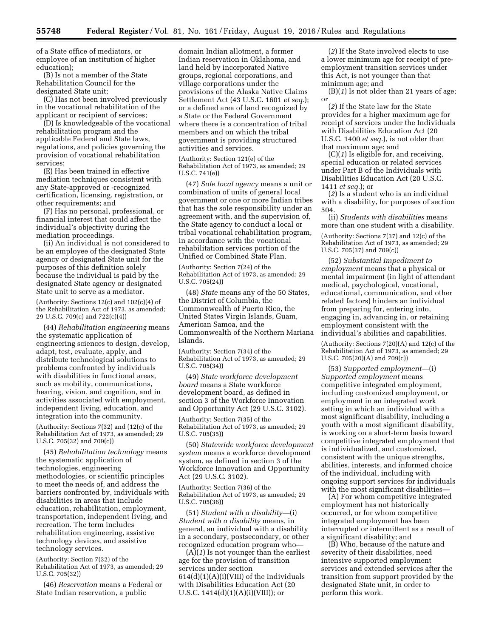of a State office of mediators, or employee of an institution of higher education);

(B) Is not a member of the State Rehabilitation Council for the designated State unit;

(C) Has not been involved previously in the vocational rehabilitation of the applicant or recipient of services;

(D) Is knowledgeable of the vocational rehabilitation program and the applicable Federal and State laws, regulations, and policies governing the provision of vocational rehabilitation services;

(E) Has been trained in effective mediation techniques consistent with any State-approved or -recognized certification, licensing, registration, or other requirements; and

(F) Has no personal, professional, or financial interest that could affect the individual's objectivity during the mediation proceedings.

(ii) An individual is not considered to be an employee of the designated State agency or designated State unit for the purposes of this definition solely because the individual is paid by the designated State agency or designated State unit to serve as a mediator.

(Authority: Sections  $12(c)$  and  $102(c)(4)$  of the Rehabilitation Act of 1973, as amended; 29 U.S.C. 709(c) and 722(c)(4))

(44) *Rehabilitation engineering* means the systematic application of engineering sciences to design, develop, adapt, test, evaluate, apply, and distribute technological solutions to problems confronted by individuals with disabilities in functional areas, such as mobility, communications, hearing, vision, and cognition, and in activities associated with employment, independent living, education, and integration into the community.

(Authority: Sections 7(32) and (12(c) of the Rehabilitation Act of 1973, as amended; 29 U.S.C. 705(32) and 709(c))

(45) *Rehabilitation technology* means the systematic application of technologies, engineering methodologies, or scientific principles to meet the needs of, and address the barriers confronted by, individuals with disabilities in areas that include education, rehabilitation, employment, transportation, independent living, and recreation. The term includes rehabilitation engineering, assistive technology devices, and assistive technology services.

(Authority: Section 7(32) of the Rehabilitation Act of 1973, as amended; 29 U.S.C. 705(32))

(46) *Reservation* means a Federal or State Indian reservation, a public

domain Indian allotment, a former Indian reservation in Oklahoma, and land held by incorporated Native groups, regional corporations, and village corporations under the provisions of the Alaska Native Claims Settlement Act (43 U.S.C. 1601 *et seq.*); or a defined area of land recognized by a State or the Federal Government where there is a concentration of tribal members and on which the tribal government is providing structured activities and services.

(Authority: Section 121(e) of the Rehabilitation Act of 1973, as amended; 29 U.S.C. 741(e))

(47) *Sole local agency* means a unit or combination of units of general local government or one or more Indian tribes that has the sole responsibility under an agreement with, and the supervision of, the State agency to conduct a local or tribal vocational rehabilitation program, in accordance with the vocational rehabilitation services portion of the Unified or Combined State Plan.

(Authority: Section 7(24) of the Rehabilitation Act of 1973, as amended; 29 U.S.C. 705(24))

(48) *State* means any of the 50 States, the District of Columbia, the Commonwealth of Puerto Rico, the United States Virgin Islands, Guam, American Samoa, and the Commonwealth of the Northern Mariana Islands.

(Authority: Section 7(34) of the Rehabilitation Act of 1973, as amended; 29 U.S.C. 705(34))

(49) *State workforce development board* means a State workforce development board, as defined in section 3 of the Workforce Innovation and Opportunity Act (29 U.S.C. 3102).

(Authority: Section 7(35) of the Rehabilitation Act of 1973, as amended; 29 U.S.C. 705(35))

(50) *Statewide workforce development system* means a workforce development system, as defined in section 3 of the Workforce Innovation and Opportunity Act (29 U.S.C. 3102).

(Authority: Section 7(36) of the Rehabilitation Act of 1973, as amended; 29 U.S.C. 705(36))

(51) *Student with a disability*—(i) *Student with a disability* means, in general, an individual with a disability in a secondary, postsecondary, or other recognized education program who—

(A)(*1*) Is not younger than the earliest age for the provision of transition services under section  $614(d)(1)(A)(i)(VIII)$  of the Individuals with Disabilities Education Act (20 U.S.C. 1414(d)(1)(A)(i)(VIII)); or

(*2*) If the State involved elects to use a lower minimum age for receipt of preemployment transition services under this Act, is not younger than that minimum age; and

(B)(*1*) Is not older than 21 years of age; or

(*2*) If the State law for the State provides for a higher maximum age for receipt of services under the Individuals with Disabilities Education Act (20 U.S.C. 1400 *et seq.*), is not older than that maximum age; and

(C)(*1*) Is eligible for, and receiving, special education or related services under Part B of the Individuals with Disabilities Education Act (20 U.S.C. 1411 *et seq.*); or

(*2*) Is a student who is an individual with a disability, for purposes of section 504.

(ii) *Students with disabilities* means more than one student with a disability.

(Authority: Sections 7(37) and 12(c) of the Rehabilitation Act of 1973, as amended; 29 U.S.C. 705(37) and 709(c))

(52) *Substantial impediment to employment* means that a physical or mental impairment (in light of attendant medical, psychological, vocational, educational, communication, and other related factors) hinders an individual from preparing for, entering into, engaging in, advancing in, or retaining employment consistent with the individual's abilities and capabilities.

(Authority: Sections 7(20)(A) and 12(c) of the Rehabilitation Act of 1973, as amended; 29 U.S.C. 705(20)(A) and 709(c))

(53) *Supported employment*—(i) *Supported employment* means competitive integrated employment, including customized employment, or employment in an integrated work setting in which an individual with a most significant disability, including a youth with a most significant disability, is working on a short-term basis toward competitive integrated employment that is individualized, and customized, consistent with the unique strengths, abilities, interests, and informed choice of the individual, including with ongoing support services for individuals with the most significant disabilities—

(A) For whom competitive integrated employment has not historically occurred, or for whom competitive integrated employment has been interrupted or intermittent as a result of a significant disability; and

(B) Who, because of the nature and severity of their disabilities, need intensive supported employment services and extended services after the transition from support provided by the designated State unit, in order to perform this work.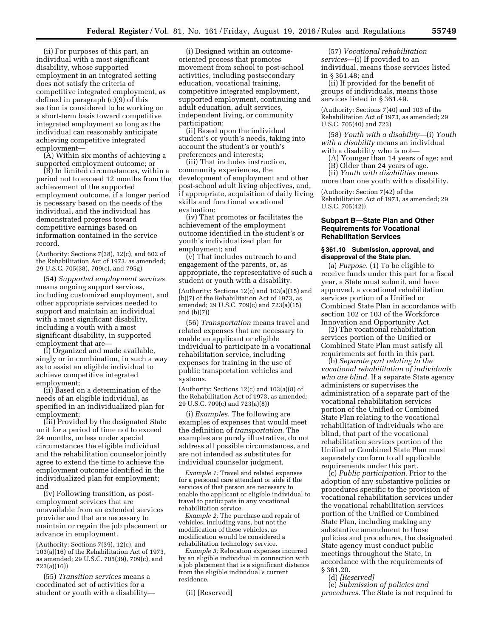(ii) For purposes of this part, an individual with a most significant disability, whose supported employment in an integrated setting does not satisfy the criteria of competitive integrated employment, as defined in paragraph (c)(9) of this section is considered to be working on a short-term basis toward competitive integrated employment so long as the individual can reasonably anticipate achieving competitive integrated employment—

(A) Within six months of achieving a supported employment outcome; or

(B) In limited circumstances, within a period not to exceed 12 months from the achievement of the supported employment outcome, if a longer period is necessary based on the needs of the individual, and the individual has demonstrated progress toward competitive earnings based on information contained in the service record.

(Authority: Sections 7(38), 12(c), and 602 of the Rehabilitation Act of 1973, as amended; 29 U.S.C. 705(38), 709(c), and 795g)

(54) *Supported employment services*  means ongoing support services, including customized employment, and other appropriate services needed to support and maintain an individual with a most significant disability, including a youth with a most significant disability, in supported employment that are—

(i) Organized and made available, singly or in combination, in such a way as to assist an eligible individual to achieve competitive integrated employment;

(ii) Based on a determination of the needs of an eligible individual, as specified in an individualized plan for employment;

(iii) Provided by the designated State unit for a period of time not to exceed 24 months, unless under special circumstances the eligible individual and the rehabilitation counselor jointly agree to extend the time to achieve the employment outcome identified in the individualized plan for employment; and

(iv) Following transition, as postemployment services that are unavailable from an extended services provider and that are necessary to maintain or regain the job placement or advance in employment.

(Authority: Sections 7(39), 12(c), and 103(a)(16) of the Rehabilitation Act of 1973, as amended; 29 U.S.C. 705(39), 709(c), and 723(a)(16))

(55) *Transition services* means a coordinated set of activities for a student or youth with a disability—

(i) Designed within an outcomeoriented process that promotes movement from school to post-school activities, including postsecondary education, vocational training, competitive integrated employment, supported employment, continuing and adult education, adult services, independent living, or community participation;

(ii) Based upon the individual student's or youth's needs, taking into account the student's or youth's preferences and interests;

(iii) That includes instruction, community experiences, the development of employment and other post-school adult living objectives, and, if appropriate, acquisition of daily living skills and functional vocational evaluation;

(iv) That promotes or facilitates the achievement of the employment outcome identified in the student's or youth's individualized plan for employment; and

(v) That includes outreach to and engagement of the parents, or, as appropriate, the representative of such a student or youth with a disability.

(Authority: Sections 12(c) and 103(a)(15) and (b)(7) of the Rehabilitation Act of 1973, as amended; 29 U.S.C. 709(c) and 723(a)(15) and (b)(7))

(56) *Transportation* means travel and related expenses that are necessary to enable an applicant or eligible individual to participate in a vocational rehabilitation service, including expenses for training in the use of public transportation vehicles and systems.

(Authority: Sections 12(c) and 103(a)(8) of the Rehabilitation Act of 1973, as amended; 29 U.S.C. 709(c) and 723(a)(8))

(i) *Examples.* The following are examples of expenses that would meet the definition of *transportation.* The examples are purely illustrative, do not address all possible circumstances, and are not intended as substitutes for individual counselor judgment.

*Example 1:* Travel and related expenses for a personal care attendant or aide if the services of that person are necessary to enable the applicant or eligible individual to travel to participate in any vocational rehabilitation service.

*Example 2:* The purchase and repair of vehicles, including vans, but not the modification of these vehicles, as modification would be considered a rehabilitation technology service.

*Example 3:* Relocation expenses incurred by an eligible individual in connection with a job placement that is a significant distance from the eligible individual's current residence.

(ii) [Reserved]

(57) *Vocational rehabilitation services*—(i) If provided to an individual, means those services listed in § 361.48; and

(ii) If provided for the benefit of groups of individuals, means those services listed in § 361.49.

(Authority: Sections 7(40) and 103 of the Rehabilitation Act of 1973, as amended; 29 U.S.C. 705(40) and 723)

(58) *Youth with a disability*—(i) *Youth with a disability* means an individual with a disability who is not—

- (A) Younger than 14 years of age; and
- (B) Older than 24 years of age.
- (ii) *Youth with disabilities* means

more than one youth with a disability.

(Authority: Section 7(42) of the Rehabilitation Act of 1973, as amended; 29 U.S.C. 705(42))

# **Subpart B—State Plan and Other Requirements for Vocational Rehabilitation Services**

### **§ 361.10 Submission, approval, and disapproval of the State plan.**

(a) *Purpose.* (1) To be eligible to receive funds under this part for a fiscal year, a State must submit, and have approved, a vocational rehabilitation services portion of a Unified or Combined State Plan in accordance with section 102 or 103 of the Workforce Innovation and Opportunity Act.

(2) The vocational rehabilitation services portion of the Unified or Combined State Plan must satisfy all requirements set forth in this part.

(b) *Separate part relating to the vocational rehabilitation of individuals who are blind.* If a separate State agency administers or supervises the administration of a separate part of the vocational rehabilitation services portion of the Unified or Combined State Plan relating to the vocational rehabilitation of individuals who are blind, that part of the vocational rehabilitation services portion of the Unified or Combined State Plan must separately conform to all applicable requirements under this part.

(c) *Public participation.* Prior to the adoption of any substantive policies or procedures specific to the provision of vocational rehabilitation services under the vocational rehabilitation services portion of the Unified or Combined State Plan, including making any substantive amendment to those policies and procedures, the designated State agency must conduct public meetings throughout the State, in accordance with the requirements of § 361.20.

(d) *[Reserved]* 

(e) *Submission of policies and procedures.* The State is not required to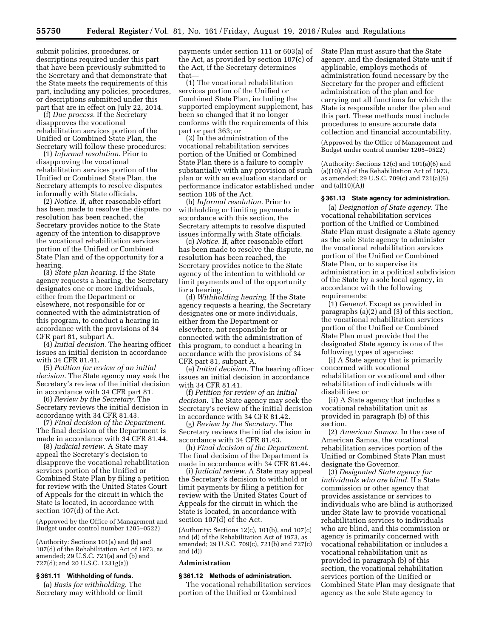submit policies, procedures, or descriptions required under this part that have been previously submitted to the Secretary and that demonstrate that the State meets the requirements of this part, including any policies, procedures, or descriptions submitted under this part that are in effect on July 22, 2014.

(f) *Due process.* If the Secretary disapproves the vocational rehabilitation services portion of the Unified or Combined State Plan, the Secretary will follow these procedures:

(1) *Informal resolution.* Prior to disapproving the vocational rehabilitation services portion of the Unified or Combined State Plan, the Secretary attempts to resolve disputes informally with State officials.

(2) *Notice.* If, after reasonable effort has been made to resolve the dispute, no resolution has been reached, the Secretary provides notice to the State agency of the intention to disapprove the vocational rehabilitation services portion of the Unified or Combined State Plan and of the opportunity for a hearing.

(3) *State plan hearing.* If the State agency requests a hearing, the Secretary designates one or more individuals, either from the Department or elsewhere, not responsible for or connected with the administration of this program, to conduct a hearing in accordance with the provisions of 34 CFR part 81, subpart A.

(4) *Initial decision.* The hearing officer issues an initial decision in accordance with 34 CFR 81.41.

(5) *Petition for review of an initial decision.* The State agency may seek the Secretary's review of the initial decision in accordance with 34 CFR part 81.

(6) *Review by the Secretary.* The Secretary reviews the initial decision in accordance with 34 CFR 81.43.

(7) *Final decision of the Department.*  The final decision of the Department is made in accordance with 34 CFR 81.44.

(8) *Judicial review.* A State may appeal the Secretary's decision to disapprove the vocational rehabilitation services portion of the Unified or Combined State Plan by filing a petition for review with the United States Court of Appeals for the circuit in which the State is located, in accordance with section 107(d) of the Act.

(Approved by the Office of Management and Budget under control number 1205–0522)

(Authority: Sections 101(a) and (b) and 107(d) of the Rehabilitation Act of 1973, as amended; 29 U.S.C. 721(a) and (b) and 727(d); and 20 U.S.C. 1231g(a))

### **§ 361.11 Withholding of funds.**

(a) *Basis for withholding.* The Secretary may withhold or limit

payments under section 111 or 603(a) of the Act, as provided by section 107(c) of the Act, if the Secretary determines that—

(1) The vocational rehabilitation services portion of the Unified or Combined State Plan, including the supported employment supplement, has been so changed that it no longer conforms with the requirements of this part or part 363; or

(2) In the administration of the vocational rehabilitation services portion of the Unified or Combined State Plan there is a failure to comply substantially with any provision of such plan or with an evaluation standard or performance indicator established under section 106 of the Act.

(b) *Informal resolution.* Prior to withholding or limiting payments in accordance with this section, the Secretary attempts to resolve disputed issues informally with State officials.

(c) *Notice.* If, after reasonable effort has been made to resolve the dispute, no resolution has been reached, the Secretary provides notice to the State agency of the intention to withhold or limit payments and of the opportunity for a hearing.

(d) *Withholding hearing.* If the State agency requests a hearing, the Secretary designates one or more individuals, either from the Department or elsewhere, not responsible for or connected with the administration of this program, to conduct a hearing in accordance with the provisions of 34 CFR part 81, subpart A.

(e) *Initial decision.* The hearing officer issues an initial decision in accordance with 34 CFR 81.41.

(f) *Petition for review of an initial decision.* The State agency may seek the Secretary's review of the initial decision in accordance with 34 CFR 81.42.

(g) *Review by the Secretary.* The Secretary reviews the initial decision in accordance with 34 CFR 81.43.

(h) *Final decision of the Department.*  The final decision of the Department is made in accordance with 34 CFR 81.44.

(i) *Judicial review.* A State may appeal the Secretary's decision to withhold or limit payments by filing a petition for review with the United States Court of Appeals for the circuit in which the State is located, in accordance with section 107(d) of the Act.

(Authority: Sections 12(c), 101(b), and 107(c) and (d) of the Rehabilitation Act of 1973, as amended; 29 U.S.C. 709(c), 721(b) and 727(c) and (d))

## **Administration**

### **§ 361.12 Methods of administration.**

The vocational rehabilitation services portion of the Unified or Combined

State Plan must assure that the State agency, and the designated State unit if applicable, employs methods of administration found necessary by the Secretary for the proper and efficient administration of the plan and for carrying out all functions for which the State is responsible under the plan and this part. These methods must include procedures to ensure accurate data collection and financial accountability.

(Approved by the Office of Management and Budget under control number 1205–0522)

(Authority: Sections 12(c) and 101(a)(6) and (a)(10)(A) of the Rehabilitation Act of 1973, as amended; 29 U.S.C. 709(c) and 721(a)(6) and  $(a)(10)(A)$ 

# **§ 361.13 State agency for administration.**

(a) *Designation of State agency.* The vocational rehabilitation services portion of the Unified or Combined State Plan must designate a State agency as the sole State agency to administer the vocational rehabilitation services portion of the Unified or Combined State Plan, or to supervise its administration in a political subdivision of the State by a sole local agency, in accordance with the following requirements:

(1) *General.* Except as provided in paragraphs (a)(2) and (3) of this section, the vocational rehabilitation services portion of the Unified or Combined State Plan must provide that the designated State agency is one of the following types of agencies:

(i) A State agency that is primarily concerned with vocational rehabilitation or vocational and other rehabilitation of individuals with disabilities; or

(ii) A State agency that includes a vocational rehabilitation unit as provided in paragraph (b) of this section.

(2) *American Samoa.* In the case of American Samoa, the vocational rehabilitation services portion of the Unified or Combined State Plan must designate the Governor.

(3) *Designated State agency for individuals who are blind.* If a State commission or other agency that provides assistance or services to individuals who are blind is authorized under State law to provide vocational rehabilitation services to individuals who are blind, and this commission or agency is primarily concerned with vocational rehabilitation or includes a vocational rehabilitation unit as provided in paragraph (b) of this section, the vocational rehabilitation services portion of the Unified or Combined State Plan may designate that agency as the sole State agency to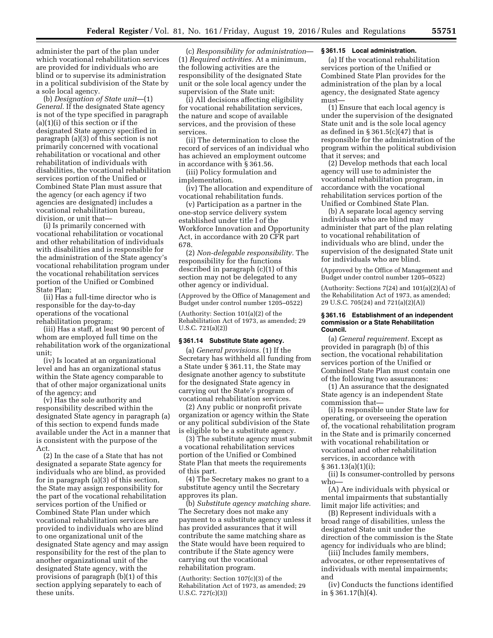administer the part of the plan under which vocational rehabilitation services are provided for individuals who are blind or to supervise its administration in a political subdivision of the State by a sole local agency.

(b) *Designation of State unit*—(1) *General.* If the designated State agency is not of the type specified in paragraph (a)(1)(i) of this section or if the designated State agency specified in paragraph (a)(3) of this section is not primarily concerned with vocational rehabilitation or vocational and other rehabilitation of individuals with disabilities, the vocational rehabilitation services portion of the Unified or Combined State Plan must assure that the agency (or each agency if two agencies are designated) includes a vocational rehabilitation bureau, division, or unit that—

(i) Is primarily concerned with vocational rehabilitation or vocational and other rehabilitation of individuals with disabilities and is responsible for the administration of the State agency's vocational rehabilitation program under the vocational rehabilitation services portion of the Unified or Combined State Plan;

(ii) Has a full-time director who is responsible for the day-to-day operations of the vocational rehabilitation program;

(iii) Has a staff, at least 90 percent of whom are employed full time on the rehabilitation work of the organizational unit;

(iv) Is located at an organizational level and has an organizational status within the State agency comparable to that of other major organizational units of the agency; and

(v) Has the sole authority and responsibility described within the designated State agency in paragraph (a) of this section to expend funds made available under the Act in a manner that is consistent with the purpose of the Act.

(2) In the case of a State that has not designated a separate State agency for individuals who are blind, as provided for in paragraph (a)(3) of this section, the State may assign responsibility for the part of the vocational rehabilitation services portion of the Unified or Combined State Plan under which vocational rehabilitation services are provided to individuals who are blind to one organizational unit of the designated State agency and may assign responsibility for the rest of the plan to another organizational unit of the designated State agency, with the provisions of paragraph (b)(1) of this section applying separately to each of these units.

(c) *Responsibility for administration*— (1) *Required activities.* At a minimum, the following activities are the responsibility of the designated State unit or the sole local agency under the supervision of the State unit:

(i) All decisions affecting eligibility for vocational rehabilitation services, the nature and scope of available services, and the provision of these services.

(ii) The determination to close the record of services of an individual who has achieved an employment outcome in accordance with § 361.56.

(iii) Policy formulation and implementation.

(iv) The allocation and expenditure of vocational rehabilitation funds.

(v) Participation as a partner in the one-stop service delivery system established under title I of the Workforce Innovation and Opportunity Act, in accordance with 20 CFR part 678.

(2) *Non-delegable responsibility.* The responsibility for the functions described in paragraph (c)(1) of this section may not be delegated to any other agency or individual.

(Approved by the Office of Management and Budget under control number 1205–0522)

(Authority: Section 101(a)(2) of the Rehabilitation Act of 1973, as amended; 29 U.S.C. 721(a)(2))

# **§ 361.14 Substitute State agency.**

(a) *General provisions.* (1) If the Secretary has withheld all funding from a State under § 361.11, the State may designate another agency to substitute for the designated State agency in carrying out the State's program of vocational rehabilitation services.

(2) Any public or nonprofit private organization or agency within the State or any political subdivision of the State is eligible to be a substitute agency.

(3) The substitute agency must submit a vocational rehabilitation services portion of the Unified or Combined State Plan that meets the requirements of this part.

(4) The Secretary makes no grant to a substitute agency until the Secretary approves its plan.

(b) *Substitute agency matching share.*  The Secretary does not make any payment to a substitute agency unless it has provided assurances that it will contribute the same matching share as the State would have been required to contribute if the State agency were carrying out the vocational rehabilitation program.

(Authority: Section 107(c)(3) of the Rehabilitation Act of 1973, as amended; 29 U.S.C. 727(c)(3))

# **§ 361.15 Local administration.**

(a) If the vocational rehabilitation services portion of the Unified or Combined State Plan provides for the administration of the plan by a local agency, the designated State agency must—

(1) Ensure that each local agency is under the supervision of the designated State unit and is the sole local agency as defined in  $\S 361.5(c)(47)$  that is responsible for the administration of the program within the political subdivision that it serves; and

(2) Develop methods that each local agency will use to administer the vocational rehabilitation program, in accordance with the vocational rehabilitation services portion of the Unified or Combined State Plan.

(b) A separate local agency serving individuals who are blind may administer that part of the plan relating to vocational rehabilitation of individuals who are blind, under the supervision of the designated State unit for individuals who are blind.

(Approved by the Office of Management and Budget under control number 1205–0522)

(Authority: Sections  $7(24)$  and  $101(a)(2)(A)$  of the Rehabilitation Act of 1973, as amended; 29 U.S.C. 705(24) and 721(a)(2)(A))

#### **§ 361.16 Establishment of an independent commission or a State Rehabilitation Council.**

(a) *General requirement.* Except as provided in paragraph (b) of this section, the vocational rehabilitation services portion of the Unified or Combined State Plan must contain one of the following two assurances:

(1) An assurance that the designated State agency is an independent State commission that—

(i) Is responsible under State law for operating, or overseeing the operation of, the vocational rehabilitation program in the State and is primarily concerned with vocational rehabilitation or vocational and other rehabilitation services, in accordance with § 361.13(a)(1)(i);

(ii) Is consumer-controlled by persons who—

(A) Are individuals with physical or mental impairments that substantially limit major life activities; and

(B) Represent individuals with a broad range of disabilities, unless the designated State unit under the direction of the commission is the State agency for individuals who are blind; (iii) Includes family members,

advocates, or other representatives of individuals with mental impairments; and

(iv) Conducts the functions identified in § 361.17(h)(4).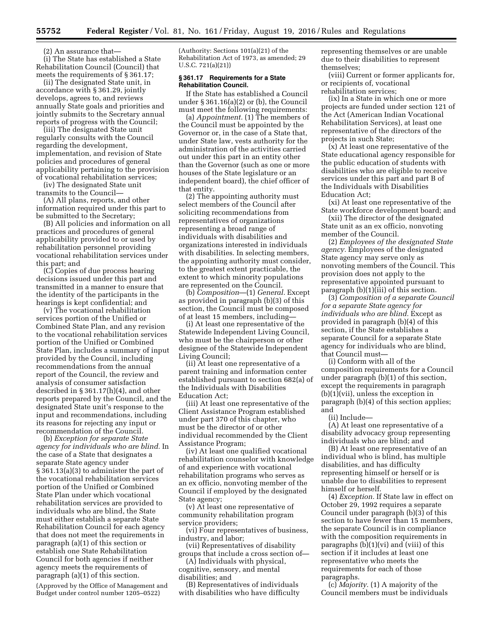(2) An assurance that—

(i) The State has established a State Rehabilitation Council (Council) that meets the requirements of § 361.17;

(ii) The designated State unit, in accordance with § 361.29, jointly develops, agrees to, and reviews annually State goals and priorities and jointly submits to the Secretary annual reports of progress with the Council;

(iii) The designated State unit regularly consults with the Council regarding the development, implementation, and revision of State policies and procedures of general applicability pertaining to the provision of vocational rehabilitation services;

(iv) The designated State unit transmits to the Council—

(A) All plans, reports, and other information required under this part to be submitted to the Secretary;

(B) All policies and information on all practices and procedures of general applicability provided to or used by rehabilitation personnel providing vocational rehabilitation services under this part; and

(C) Copies of due process hearing decisions issued under this part and transmitted in a manner to ensure that the identity of the participants in the hearings is kept confidential; and

(v) The vocational rehabilitation services portion of the Unified or Combined State Plan, and any revision to the vocational rehabilitation services portion of the Unified or Combined State Plan, includes a summary of input provided by the Council, including recommendations from the annual report of the Council, the review and analysis of consumer satisfaction described in § 361.17(h)(4), and other reports prepared by the Council, and the designated State unit's response to the input and recommendations, including its reasons for rejecting any input or recommendation of the Council.

(b) *Exception for separate State agency for individuals who are blind.* In the case of a State that designates a separate State agency under § 361.13(a)(3) to administer the part of the vocational rehabilitation services portion of the Unified or Combined State Plan under which vocational rehabilitation services are provided to individuals who are blind, the State must either establish a separate State Rehabilitation Council for each agency that does not meet the requirements in paragraph (a)(1) of this section or establish one State Rehabilitation Council for both agencies if neither agency meets the requirements of paragraph (a)(1) of this section.

(Approved by the Office of Management and Budget under control number 1205–0522)

(Authority: Sections 101(a)(21) of the Rehabilitation Act of 1973, as amended; 29 U.S.C. 721(a)(21))

### **§ 361.17 Requirements for a State Rehabilitation Council.**

If the State has established a Council under § 361.16(a)(2) or (b), the Council must meet the following requirements:

(a) *Appointment.* (1) The members of the Council must be appointed by the Governor or, in the case of a State that, under State law, vests authority for the administration of the activities carried out under this part in an entity other than the Governor (such as one or more houses of the State legislature or an independent board), the chief officer of that entity.

(2) The appointing authority must select members of the Council after soliciting recommendations from representatives of organizations representing a broad range of individuals with disabilities and organizations interested in individuals with disabilities. In selecting members, the appointing authority must consider, to the greatest extent practicable, the extent to which minority populations are represented on the Council.

(b) *Composition*—(1) *General.* Except as provided in paragraph (b)(3) of this section, the Council must be composed of at least 15 members, including—

(i) At least one representative of the Statewide Independent Living Council, who must be the chairperson or other designee of the Statewide Independent Living Council;

(ii) At least one representative of a parent training and information center established pursuant to section 682(a) of the Individuals with Disabilities Education Act;

(iii) At least one representative of the Client Assistance Program established under part 370 of this chapter, who must be the director of or other individual recommended by the Client Assistance Program;

(iv) At least one qualified vocational rehabilitation counselor with knowledge of and experience with vocational rehabilitation programs who serves as an ex officio, nonvoting member of the Council if employed by the designated State agency;

(v) At least one representative of community rehabilitation program service providers;

(vi) Four representatives of business, industry, and labor;

(vii) Representatives of disability groups that include a cross section of—

(A) Individuals with physical, cognitive, sensory, and mental

disabilities; and

(B) Representatives of individuals with disabilities who have difficulty representing themselves or are unable due to their disabilities to represent themselves;

(viii) Current or former applicants for, or recipients of, vocational rehabilitation services;

(ix) In a State in which one or more projects are funded under section 121 of the Act (American Indian Vocational Rehabilitation Services), at least one representative of the directors of the projects in such State;

(x) At least one representative of the State educational agency responsible for the public education of students with disabilities who are eligible to receive services under this part and part B of the Individuals with Disabilities Education Act;

(xi) At least one representative of the State workforce development board; and

(xii) The director of the designated State unit as an ex officio, nonvoting member of the Council.

(2) *Employees of the designated State agency.* Employees of the designated State agency may serve only as nonvoting members of the Council. This provision does not apply to the representative appointed pursuant to paragraph (b)(1)(iii) of this section.

(3) *Composition of a separate Council for a separate State agency for individuals who are blind.* Except as provided in paragraph (b)(4) of this section, if the State establishes a separate Council for a separate State agency for individuals who are blind, that Council must—

(i) Conform with all of the composition requirements for a Council under paragraph (b)(1) of this section, except the requirements in paragraph (b)(1)(vii), unless the exception in paragraph (b)(4) of this section applies; and

(ii) Include—

(A) At least one representative of a disability advocacy group representing individuals who are blind; and

(B) At least one representative of an individual who is blind, has multiple disabilities, and has difficulty representing himself or herself or is unable due to disabilities to represent himself or herself.

(4) *Exception.* If State law in effect on October 29, 1992 requires a separate Council under paragraph (b)(3) of this section to have fewer than 15 members, the separate Council is in compliance with the composition requirements in paragraphs  $(b)(1)(vi)$  and (viii) of this section if it includes at least one representative who meets the requirements for each of those paragraphs.

(c) *Majority.* (1) A majority of the Council members must be individuals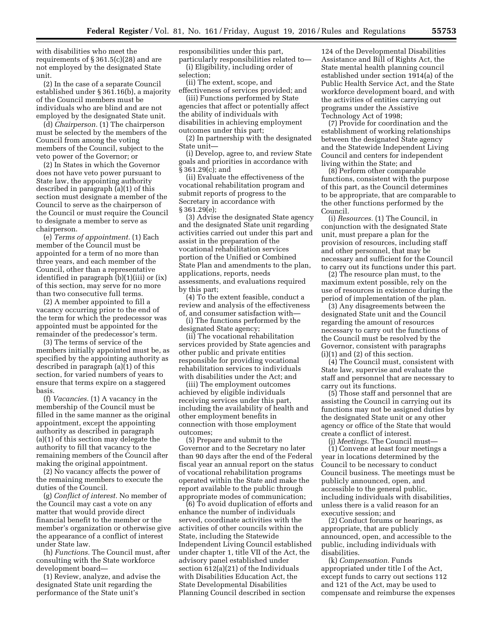with disabilities who meet the requirements of § 361.5(c)(28) and are not employed by the designated State unit.

(2) In the case of a separate Council established under § 361.16(b), a majority of the Council members must be individuals who are blind and are not employed by the designated State unit.

(d) *Chairperson.* (1) The chairperson must be selected by the members of the Council from among the voting members of the Council, subject to the veto power of the Governor; or

(2) In States in which the Governor does not have veto power pursuant to State law, the appointing authority described in paragraph (a)(1) of this section must designate a member of the Council to serve as the chairperson of the Council or must require the Council to designate a member to serve as chairperson.

(e) *Terms of appointment.* (1) Each member of the Council must be appointed for a term of no more than three years, and each member of the Council, other than a representative identified in paragraph (b)(1)(iii) or (ix) of this section, may serve for no more than two consecutive full terms.

(2) A member appointed to fill a vacancy occurring prior to the end of the term for which the predecessor was appointed must be appointed for the remainder of the predecessor's term.

(3) The terms of service of the members initially appointed must be, as specified by the appointing authority as described in paragraph (a)(1) of this section, for varied numbers of years to ensure that terms expire on a staggered basis.

(f) *Vacancies.* (1) A vacancy in the membership of the Council must be filled in the same manner as the original appointment, except the appointing authority as described in paragraph (a)(1) of this section may delegate the authority to fill that vacancy to the remaining members of the Council after making the original appointment.

(2) No vacancy affects the power of the remaining members to execute the duties of the Council.

(g) *Conflict of interest.* No member of the Council may cast a vote on any matter that would provide direct financial benefit to the member or the member's organization or otherwise give the appearance of a conflict of interest under State law.

(h) *Functions.* The Council must, after consulting with the State workforce development board—

(1) Review, analyze, and advise the designated State unit regarding the performance of the State unit's

responsibilities under this part, particularly responsibilities related to— (i) Eligibility, including order of selection;

(ii) The extent, scope, and effectiveness of services provided; and

(iii) Functions performed by State agencies that affect or potentially affect the ability of individuals with disabilities in achieving employment outcomes under this part;

(2) In partnership with the designated State unit—

(i) Develop, agree to, and review State goals and priorities in accordance with § 361.29(c); and

(ii) Evaluate the effectiveness of the vocational rehabilitation program and submit reports of progress to the Secretary in accordance with § 361.29(e);

(3) Advise the designated State agency and the designated State unit regarding activities carried out under this part and assist in the preparation of the vocational rehabilitation services portion of the Unified or Combined State Plan and amendments to the plan, applications, reports, needs assessments, and evaluations required by this part;

(4) To the extent feasible, conduct a review and analysis of the effectiveness of, and consumer satisfaction with—

(i) The functions performed by the designated State agency;

(ii) The vocational rehabilitation services provided by State agencies and other public and private entities responsible for providing vocational rehabilitation services to individuals with disabilities under the Act; and

(iii) The employment outcomes achieved by eligible individuals receiving services under this part, including the availability of health and other employment benefits in connection with those employment outcomes;

(5) Prepare and submit to the Governor and to the Secretary no later than 90 days after the end of the Federal fiscal year an annual report on the status of vocational rehabilitation programs operated within the State and make the report available to the public through appropriate modes of communication;

(6) To avoid duplication of efforts and enhance the number of individuals served, coordinate activities with the activities of other councils within the State, including the Statewide Independent Living Council established under chapter 1, title VII of the Act, the advisory panel established under section 612(a)(21) of the Individuals with Disabilities Education Act, the State Developmental Disabilities Planning Council described in section

124 of the Developmental Disabilities Assistance and Bill of Rights Act, the State mental health planning council established under section 1914(a) of the Public Health Service Act, and the State workforce development board, and with the activities of entities carrying out programs under the Assistive Technology Act of 1998;

(7) Provide for coordination and the establishment of working relationships between the designated State agency and the Statewide Independent Living Council and centers for independent living within the State; and

(8) Perform other comparable functions, consistent with the purpose of this part, as the Council determines to be appropriate, that are comparable to the other functions performed by the Council.

(i) *Resources.* (1) The Council, in conjunction with the designated State unit, must prepare a plan for the provision of resources, including staff and other personnel, that may be necessary and sufficient for the Council to carry out its functions under this part.

(2) The resource plan must, to the maximum extent possible, rely on the use of resources in existence during the period of implementation of the plan.

(3) Any disagreements between the designated State unit and the Council regarding the amount of resources necessary to carry out the functions of the Council must be resolved by the Governor, consistent with paragraphs (i)(1) and (2) of this section.

(4) The Council must, consistent with State law, supervise and evaluate the staff and personnel that are necessary to carry out its functions.

(5) Those staff and personnel that are assisting the Council in carrying out its functions may not be assigned duties by the designated State unit or any other agency or office of the State that would create a conflict of interest.

(j) *Meetings.* The Council must— (1) Convene at least four meetings a year in locations determined by the Council to be necessary to conduct Council business. The meetings must be publicly announced, open, and accessible to the general public, including individuals with disabilities,

unless there is a valid reason for an executive session; and (2) Conduct forums or hearings, as

appropriate, that are publicly announced, open, and accessible to the public, including individuals with disabilities.

(k) *Compensation.* Funds appropriated under title I of the Act, except funds to carry out sections 112 and 121 of the Act, may be used to compensate and reimburse the expenses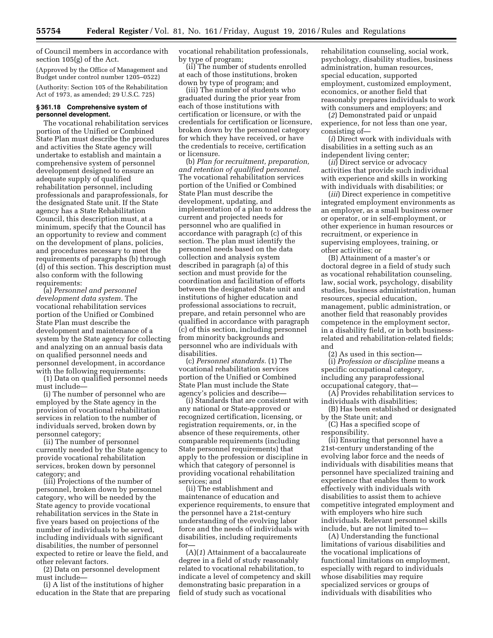of Council members in accordance with section 105(g) of the Act.

(Approved by the Office of Management and Budget under control number 1205–0522)

(Authority: Section 105 of the Rehabilitation Act of 1973, as amended; 29 U.S.C. 725)

#### **§ 361.18 Comprehensive system of personnel development.**

The vocational rehabilitation services portion of the Unified or Combined State Plan must describe the procedures and activities the State agency will undertake to establish and maintain a comprehensive system of personnel development designed to ensure an adequate supply of qualified rehabilitation personnel, including professionals and paraprofessionals, for the designated State unit. If the State agency has a State Rehabilitation Council, this description must, at a minimum, specify that the Council has an opportunity to review and comment on the development of plans, policies, and procedures necessary to meet the requirements of paragraphs (b) through (d) of this section. This description must also conform with the following requirements:

(a) *Personnel and personnel development data system.* The vocational rehabilitation services portion of the Unified or Combined State Plan must describe the development and maintenance of a system by the State agency for collecting and analyzing on an annual basis data on qualified personnel needs and personnel development, in accordance with the following requirements:

(1) Data on qualified personnel needs must include—

(i) The number of personnel who are employed by the State agency in the provision of vocational rehabilitation services in relation to the number of individuals served, broken down by personnel category;

(ii) The number of personnel currently needed by the State agency to provide vocational rehabilitation services, broken down by personnel category; and

(iii) Projections of the number of personnel, broken down by personnel category, who will be needed by the State agency to provide vocational rehabilitation services in the State in five years based on projections of the number of individuals to be served, including individuals with significant disabilities, the number of personnel expected to retire or leave the field, and other relevant factors.

(2) Data on personnel development must include—

(i) A list of the institutions of higher education in the State that are preparing vocational rehabilitation professionals, by type of program;

(ii) The number of students enrolled at each of those institutions, broken down by type of program; and

(iii) The number of students who graduated during the prior year from each of those institutions with certification or licensure, or with the credentials for certification or licensure, broken down by the personnel category for which they have received, or have the credentials to receive, certification or licensure.

(b) *Plan for recruitment, preparation, and retention of qualified personnel.*  The vocational rehabilitation services portion of the Unified or Combined State Plan must describe the development, updating, and implementation of a plan to address the current and projected needs for personnel who are qualified in accordance with paragraph (c) of this section. The plan must identify the personnel needs based on the data collection and analysis system described in paragraph (a) of this section and must provide for the coordination and facilitation of efforts between the designated State unit and institutions of higher education and professional associations to recruit, prepare, and retain personnel who are qualified in accordance with paragraph (c) of this section, including personnel from minority backgrounds and personnel who are individuals with disabilities.

(c) *Personnel standards.* (1) The vocational rehabilitation services portion of the Unified or Combined State Plan must include the State agency's policies and describe—

(i) Standards that are consistent with any national or State-approved or recognized certification, licensing, or registration requirements, or, in the absence of these requirements, other comparable requirements (including State personnel requirements) that apply to the profession or discipline in which that category of personnel is providing vocational rehabilitation services; and

(ii) The establishment and maintenance of education and experience requirements, to ensure that the personnel have a 21st-century understanding of the evolving labor force and the needs of individuals with disabilities, including requirements for—

(A)(*1*) Attainment of a baccalaureate degree in a field of study reasonably related to vocational rehabilitation, to indicate a level of competency and skill demonstrating basic preparation in a field of study such as vocational

rehabilitation counseling, social work, psychology, disability studies, business administration, human resources, special education, supported employment, customized employment, economics, or another field that reasonably prepares individuals to work with consumers and employers; and

(*2*) Demonstrated paid or unpaid experience, for not less than one year, consisting of—

(*i*) Direct work with individuals with disabilities in a setting such as an independent living center;

(*ii*) Direct service or advocacy activities that provide such individual with experience and skills in working with individuals with disabilities; or

(*iii*) Direct experience in competitive integrated employment environments as an employer, as a small business owner or operator, or in self-employment, or other experience in human resources or recruitment, or experience in supervising employees, training, or other activities; or

(B) Attainment of a master's or doctoral degree in a field of study such as vocational rehabilitation counseling, law, social work, psychology, disability studies, business administration, human resources, special education, management, public administration, or another field that reasonably provides competence in the employment sector, in a disability field, or in both businessrelated and rehabilitation-related fields; and

(2) As used in this section—

(i) *Profession or discipline* means a specific occupational category, including any paraprofessional occupational category, that—

(A) Provides rehabilitation services to individuals with disabilities;

(B) Has been established or designated by the State unit; and

(C) Has a specified scope of responsibility.

(ii) Ensuring that personnel have a 21st-century understanding of the evolving labor force and the needs of individuals with disabilities means that personnel have specialized training and experience that enables them to work effectively with individuals with disabilities to assist them to achieve competitive integrated employment and with employers who hire such individuals. Relevant personnel skills include, but are not limited to—

(A) Understanding the functional limitations of various disabilities and the vocational implications of functional limitations on employment, especially with regard to individuals whose disabilities may require specialized services or groups of individuals with disabilities who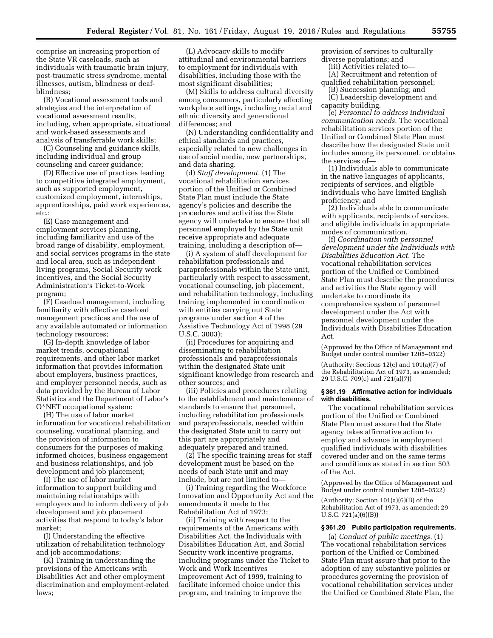comprise an increasing proportion of the State VR caseloads, such as individuals with traumatic brain injury, post-traumatic stress syndrome, mental illnesses, autism, blindness or deafblindness;

(B) Vocational assessment tools and strategies and the interpretation of vocational assessment results, including, when appropriate, situational and work-based assessments and analysis of transferrable work skills;

(C) Counseling and guidance skills, including individual and group counseling and career guidance;

(D) Effective use of practices leading to competitive integrated employment, such as supported employment, customized employment, internships, apprenticeships, paid work experiences, etc.;

(E) Case management and employment services planning, including familiarity and use of the broad range of disability, employment, and social services programs in the state and local area, such as independent living programs, Social Security work incentives, and the Social Security Administration's Ticket-to-Work program;

(F) Caseload management, including familiarity with effective caseload management practices and the use of any available automated or information technology resources;

(G) In-depth knowledge of labor market trends, occupational requirements, and other labor market information that provides information about employers, business practices, and employer personnel needs, such as data provided by the Bureau of Labor Statistics and the Department of Labor's O\*NET occupational system;

(H) The use of labor market information for vocational rehabilitation counseling, vocational planning, and the provision of information to consumers for the purposes of making informed choices, business engagement and business relationships, and job development and job placement;

(I) The use of labor market information to support building and maintaining relationships with employers and to inform delivery of job development and job placement activities that respond to today's labor market;

(J) Understanding the effective utilization of rehabilitation technology and job accommodations;

(K) Training in understanding the provisions of the Americans with Disabilities Act and other employment discrimination and employment-related laws;

(L) Advocacy skills to modify attitudinal and environmental barriers to employment for individuals with disabilities, including those with the most significant disabilities;

(M) Skills to address cultural diversity among consumers, particularly affecting workplace settings, including racial and ethnic diversity and generational differences; and

(N) Understanding confidentiality and ethical standards and practices, especially related to new challenges in use of social media, new partnerships, and data sharing.

(d) *Staff development.* (1) The vocational rehabilitation services portion of the Unified or Combined State Plan must include the State agency's policies and describe the procedures and activities the State agency will undertake to ensure that all personnel employed by the State unit receive appropriate and adequate training, including a description of—

(i) A system of staff development for rehabilitation professionals and paraprofessionals within the State unit, particularly with respect to assessment, vocational counseling, job placement, and rehabilitation technology, including training implemented in coordination with entities carrying out State programs under section 4 of the Assistive Technology Act of 1998 (29 U.S.C. 3003);

(ii) Procedures for acquiring and disseminating to rehabilitation professionals and paraprofessionals within the designated State unit significant knowledge from research and other sources; and

(iii) Policies and procedures relating to the establishment and maintenance of standards to ensure that personnel, including rehabilitation professionals and paraprofessionals, needed within the designated State unit to carry out this part are appropriately and adequately prepared and trained.

(2) The specific training areas for staff development must be based on the needs of each State unit and may include, but are not limited to—

(i) Training regarding the Workforce Innovation and Opportunity Act and the amendments it made to the Rehabilitation Act of 1973;

(ii) Training with respect to the requirements of the Americans with Disabilities Act, the Individuals with Disabilities Education Act, and Social Security work incentive programs, including programs under the Ticket to Work and Work Incentives Improvement Act of 1999, training to facilitate informed choice under this program, and training to improve the

provision of services to culturally diverse populations; and

(iii) Activities related to—

(A) Recruitment and retention of qualified rehabilitation personnel;

(B) Succession planning; and (C) Leadership development and

capacity building.

(e) *Personnel to address individual communication needs.* The vocational rehabilitation services portion of the Unified or Combined State Plan must describe how the designated State unit includes among its personnel, or obtains the services of—

(1) Individuals able to communicate in the native languages of applicants, recipients of services, and eligible individuals who have limited English proficiency; and

(2) Individuals able to communicate with applicants, recipients of services, and eligible individuals in appropriate modes of communication.

(f) *Coordination with personnel development under the Individuals with Disabilities Education Act.* The vocational rehabilitation services portion of the Unified or Combined State Plan must describe the procedures and activities the State agency will undertake to coordinate its comprehensive system of personnel development under the Act with personnel development under the Individuals with Disabilities Education Act.

(Approved by the Office of Management and Budget under control number 1205–0522)

(Authority: Sections 12(c) and 101(a)(7) of the Rehabilitation Act of 1973, as amended; 29 U.S.C. 709(c) and 721(a)(7))

### **§ 361.19 Affirmative action for individuals with disabilities.**

The vocational rehabilitation services portion of the Unified or Combined State Plan must assure that the State agency takes affirmative action to employ and advance in employment qualified individuals with disabilities covered under and on the same terms and conditions as stated in section 503 of the Act.

(Approved by the Office of Management and Budget under control number 1205–0522)

(Authority: Section 101(a)(6)(B) of the Rehabilitation Act of 1973, as amended; 29 U.S.C. 721(a)(6)(B))

### **§ 361.20 Public participation requirements.**

(a) *Conduct of public meetings.* (1) The vocational rehabilitation services portion of the Unified or Combined State Plan must assure that prior to the adoption of any substantive policies or procedures governing the provision of vocational rehabilitation services under the Unified or Combined State Plan, the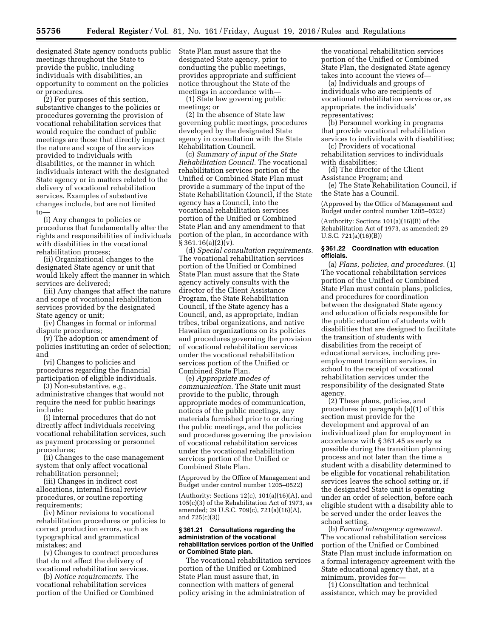designated State agency conducts public meetings throughout the State to provide the public, including individuals with disabilities, an opportunity to comment on the policies or procedures.

(2) For purposes of this section, substantive changes to the policies or procedures governing the provision of vocational rehabilitation services that would require the conduct of public meetings are those that directly impact the nature and scope of the services provided to individuals with disabilities, or the manner in which individuals interact with the designated State agency or in matters related to the delivery of vocational rehabilitation services. Examples of substantive changes include, but are not limited to

(i) Any changes to policies or procedures that fundamentally alter the rights and responsibilities of individuals with disabilities in the vocational rehabilitation process;

(ii) Organizational changes to the designated State agency or unit that would likely affect the manner in which services are delivered;

(iii) Any changes that affect the nature and scope of vocational rehabilitation services provided by the designated State agency or unit;

(iv) Changes in formal or informal dispute procedures;

(v) The adoption or amendment of policies instituting an order of selection; and

(vi) Changes to policies and procedures regarding the financial participation of eligible individuals.

(3) Non-substantive, *e.g.*, administrative changes that would not require the need for public hearings include:

(i) Internal procedures that do not directly affect individuals receiving vocational rehabilitation services, such as payment processing or personnel procedures;

(ii) Changes to the case management system that only affect vocational rehabilitation personnel;

(iii) Changes in indirect cost allocations, internal fiscal review procedures, or routine reporting requirements;

(iv) Minor revisions to vocational rehabilitation procedures or policies to correct production errors, such as typographical and grammatical mistakes; and

(v) Changes to contract procedures that do not affect the delivery of vocational rehabilitation services.

(b) *Notice requirements.* The vocational rehabilitation services portion of the Unified or Combined State Plan must assure that the designated State agency, prior to conducting the public meetings, provides appropriate and sufficient notice throughout the State of the meetings in accordance with—

(1) State law governing public meetings; or

(2) In the absence of State law governing public meetings, procedures developed by the designated State agency in consultation with the State Rehabilitation Council.

(c) *Summary of input of the State Rehabilitation Council.* The vocational rehabilitation services portion of the Unified or Combined State Plan must provide a summary of the input of the State Rehabilitation Council, if the State agency has a Council, into the vocational rehabilitation services portion of the Unified or Combined State Plan and any amendment to that portion of the plan, in accordance with  $§ 361.16(a)(2)(v).$ 

(d) *Special consultation requirements.*  The vocational rehabilitation services portion of the Unified or Combined State Plan must assure that the State agency actively consults with the director of the Client Assistance Program, the State Rehabilitation Council, if the State agency has a Council, and, as appropriate, Indian tribes, tribal organizations, and native Hawaiian organizations on its policies and procedures governing the provision of vocational rehabilitation services under the vocational rehabilitation services portion of the Unified or Combined State Plan.

(e) *Appropriate modes of communication.* The State unit must provide to the public, through appropriate modes of communication, notices of the public meetings, any materials furnished prior to or during the public meetings, and the policies and procedures governing the provision of vocational rehabilitation services under the vocational rehabilitation services portion of the Unified or Combined State Plan.

(Approved by the Office of Management and Budget under control number 1205–0522)

(Authority: Sections 12(c), 101(a)(16)(A), and 105(c)(3) of the Rehabilitation Act of 1973, as amended; 29 U.S.C. 709(c), 721(a)(16)(A), and 725(c)(3))

### **§ 361.21 Consultations regarding the administration of the vocational rehabilitation services portion of the Unified or Combined State plan.**

The vocational rehabilitation services portion of the Unified or Combined State Plan must assure that, in connection with matters of general policy arising in the administration of

the vocational rehabilitation services portion of the Unified or Combined State Plan, the designated State agency takes into account the views of—

(a) Individuals and groups of individuals who are recipients of vocational rehabilitation services or, as appropriate, the individuals' representatives;

(b) Personnel working in programs that provide vocational rehabilitation services to individuals with disabilities;

(c) Providers of vocational rehabilitation services to individuals with disabilities;

(d) The director of the Client Assistance Program; and

(e) The State Rehabilitation Council, if the State has a Council.

(Approved by the Office of Management and Budget under control number 1205–0522)

(Authority: Sections 101(a)(16)(B) of the Rehabilitation Act of 1973, as amended; 29 U.S.C. 721(a)(16)(B))

### **§ 361.22 Coordination with education officials.**

(a) *Plans, policies, and procedures.* (1) The vocational rehabilitation services portion of the Unified or Combined State Plan must contain plans, policies, and procedures for coordination between the designated State agency and education officials responsible for the public education of students with disabilities that are designed to facilitate the transition of students with disabilities from the receipt of educational services, including preemployment transition services, in school to the receipt of vocational rehabilitation services under the responsibility of the designated State agency.

(2) These plans, policies, and procedures in paragraph (a)(1) of this section must provide for the development and approval of an individualized plan for employment in accordance with § 361.45 as early as possible during the transition planning process and not later than the time a student with a disability determined to be eligible for vocational rehabilitation services leaves the school setting or, if the designated State unit is operating under an order of selection, before each eligible student with a disability able to be served under the order leaves the school setting.

(b) *Formal interagency agreement.*  The vocational rehabilitation services portion of the Unified or Combined State Plan must include information on a formal interagency agreement with the State educational agency that, at a minimum, provides for—

(1) Consultation and technical assistance, which may be provided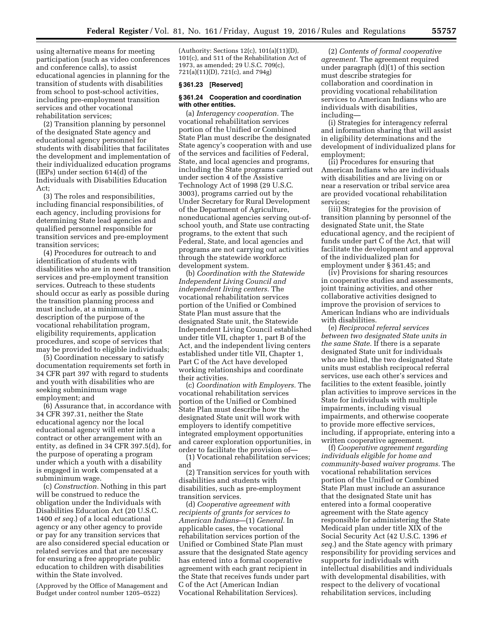using alternative means for meeting participation (such as video conferences and conference calls), to assist educational agencies in planning for the transition of students with disabilities from school to post-school activities, including pre-employment transition services and other vocational rehabilitation services;

(2) Transition planning by personnel of the designated State agency and educational agency personnel for students with disabilities that facilitates the development and implementation of their individualized education programs (IEPs) under section 614(d) of the Individuals with Disabilities Education Act;

(3) The roles and responsibilities, including financial responsibilities, of each agency, including provisions for determining State lead agencies and qualified personnel responsible for transition services and pre-employment transition services;

(4) Procedures for outreach to and identification of students with disabilities who are in need of transition services and pre-employment transition services. Outreach to these students should occur as early as possible during the transition planning process and must include, at a minimum, a description of the purpose of the vocational rehabilitation program, eligibility requirements, application procedures, and scope of services that may be provided to eligible individuals;

(5) Coordination necessary to satisfy documentation requirements set forth in 34 CFR part 397 with regard to students and youth with disabilities who are seeking subminimum wage employment; and

(6) Assurance that, in accordance with 34 CFR 397.31, neither the State educational agency nor the local educational agency will enter into a contract or other arrangement with an entity, as defined in 34 CFR 397.5(d), for the purpose of operating a program under which a youth with a disability is engaged in work compensated at a subminimum wage.

(c) *Construction.* Nothing in this part will be construed to reduce the obligation under the Individuals with Disabilities Education Act (20 U.S.C. 1400 *et seq.*) of a local educational agency or any other agency to provide or pay for any transition services that are also considered special education or related services and that are necessary for ensuring a free appropriate public education to children with disabilities within the State involved.

(Approved by the Office of Management and Budget under control number 1205–0522)

(Authority: Sections 12(c), 101(a)(11)(D), 101(c), and 511 of the Rehabilitation Act of 1973, as amended; 29 U.S.C. 709(c), 721(a)(11)(D), 721(c), and 794g)

#### **§ 361.23 [Reserved]**

# **§ 361.24 Cooperation and coordination with other entities.**

(a) *Interagency cooperation.* The vocational rehabilitation services portion of the Unified or Combined State Plan must describe the designated State agency's cooperation with and use of the services and facilities of Federal, State, and local agencies and programs, including the State programs carried out under section 4 of the Assistive Technology Act of 1998 (29 U.S.C. 3003), programs carried out by the Under Secretary for Rural Development of the Department of Agriculture, noneducational agencies serving out-ofschool youth, and State use contracting programs, to the extent that such Federal, State, and local agencies and programs are not carrying out activities through the statewide workforce development system.

(b) *Coordination with the Statewide Independent Living Council and independent living centers.* The vocational rehabilitation services portion of the Unified or Combined State Plan must assure that the designated State unit, the Statewide Independent Living Council established under title VII, chapter 1, part B of the Act, and the independent living centers established under title VII, Chapter 1, Part C of the Act have developed working relationships and coordinate their activities.

(c) *Coordination with Employers.* The vocational rehabilitation services portion of the Unified or Combined State Plan must describe how the designated State unit will work with employers to identify competitive integrated employment opportunities and career exploration opportunities, in order to facilitate the provision of—

(1) Vocational rehabilitation services; and

(2) Transition services for youth with disabilities and students with disabilities, such as pre-employment transition services.

(d) *Cooperative agreement with recipients of grants for services to American Indians*—(1) *General.* In applicable cases, the vocational rehabilitation services portion of the Unified or Combined State Plan must assure that the designated State agency has entered into a formal cooperative agreement with each grant recipient in the State that receives funds under part C of the Act (American Indian Vocational Rehabilitation Services).

(2) *Contents of formal cooperative agreement.* The agreement required under paragraph (d)(1) of this section must describe strategies for collaboration and coordination in providing vocational rehabilitation services to American Indians who are individuals with disabilities, including—

(i) Strategies for interagency referral and information sharing that will assist in eligibility determinations and the development of individualized plans for employment;

(ii) Procedures for ensuring that American Indians who are individuals with disabilities and are living on or near a reservation or tribal service area are provided vocational rehabilitation services;

(iii) Strategies for the provision of transition planning by personnel of the designated State unit, the State educational agency, and the recipient of funds under part C of the Act, that will facilitate the development and approval of the individualized plan for employment under § 361.45; and

(iv) Provisions for sharing resources in cooperative studies and assessments, joint training activities, and other collaborative activities designed to improve the provision of services to American Indians who are individuals with disabilities.

(e) *Reciprocal referral services between two designated State units in the same State.* If there is a separate designated State unit for individuals who are blind, the two designated State units must establish reciprocal referral services, use each other's services and facilities to the extent feasible, jointly plan activities to improve services in the State for individuals with multiple impairments, including visual impairments, and otherwise cooperate to provide more effective services, including, if appropriate, entering into a written cooperative agreement.

(f) *Cooperative agreement regarding individuals eligible for home and community-based waiver programs.* The vocational rehabilitation services portion of the Unified or Combined State Plan must include an assurance that the designated State unit has entered into a formal cooperative agreement with the State agency responsible for administering the State Medicaid plan under title XIX of the Social Security Act (42 U.S.C. 1396 *et seq.*) and the State agency with primary responsibility for providing services and supports for individuals with intellectual disabilities and individuals with developmental disabilities, with respect to the delivery of vocational rehabilitation services, including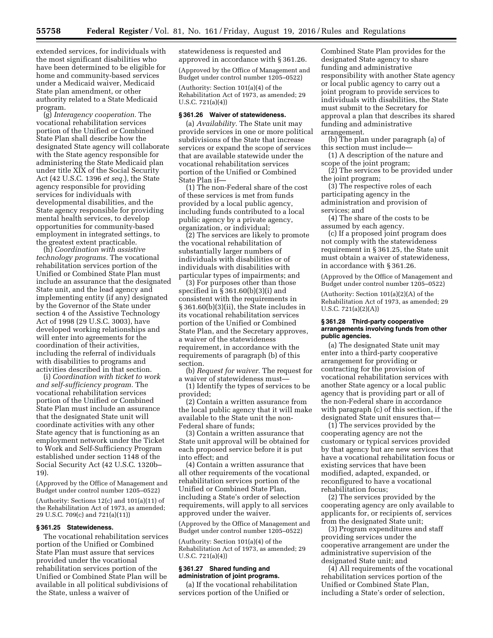extended services, for individuals with the most significant disabilities who have been determined to be eligible for home and community-based services under a Medicaid waiver, Medicaid State plan amendment, or other authority related to a State Medicaid program.

(g) *Interagency cooperation.* The vocational rehabilitation services portion of the Unified or Combined State Plan shall describe how the designated State agency will collaborate with the State agency responsible for administering the State Medicaid plan under title XIX of the Social Security Act (42 U.S.C. 1396 *et seq.*), the State agency responsible for providing services for individuals with developmental disabilities, and the State agency responsible for providing mental health services, to develop opportunities for community-based employment in integrated settings, to the greatest extent practicable.

(h) *Coordination with assistive technology programs.* The vocational rehabilitation services portion of the Unified or Combined State Plan must include an assurance that the designated State unit, and the lead agency and implementing entity (if any) designated by the Governor of the State under section 4 of the Assistive Technology Act of 1998 (29 U.S.C. 3003), have developed working relationships and will enter into agreements for the coordination of their activities, including the referral of individuals with disabilities to programs and activities described in that section.

(i) *Coordination with ticket to work and self-sufficiency program.* The vocational rehabilitation services portion of the Unified or Combined State Plan must include an assurance that the designated State unit will coordinate activities with any other State agency that is functioning as an employment network under the Ticket to Work and Self-Sufficiency Program established under section 1148 of the Social Security Act (42 U.S.C. 1320b– 19).

(Approved by the Office of Management and Budget under control number 1205–0522)

(Authority: Sections 12(c) and 101(a)(11) of the Rehabilitation Act of 1973, as amended; 29 U.S.C. 709(c) and 721(a)(11))

### **§ 361.25 Statewideness.**

The vocational rehabilitation services portion of the Unified or Combined State Plan must assure that services provided under the vocational rehabilitation services portion of the Unified or Combined State Plan will be available in all political subdivisions of the State, unless a waiver of

statewideness is requested and approved in accordance with § 361.26. (Approved by the Office of Management and

Budget under control number 1205–0522)

(Authority: Section 101(a)(4) of the Rehabilitation Act of 1973, as amended; 29 U.S.C. 721(a)(4))

#### **§ 361.26 Waiver of statewideness.**

(a) *Availability.* The State unit may provide services in one or more political subdivisions of the State that increase services or expand the scope of services that are available statewide under the vocational rehabilitation services portion of the Unified or Combined State Plan if—

(1) The non-Federal share of the cost of these services is met from funds provided by a local public agency, including funds contributed to a local public agency by a private agency, organization, or individual;

(2) The services are likely to promote the vocational rehabilitation of substantially larger numbers of individuals with disabilities or of individuals with disabilities with particular types of impairments; and

(3) For purposes other than those specified in § 361.60(b)(3)(i) and consistent with the requirements in § 361.60(b)(3)(ii), the State includes in its vocational rehabilitation services portion of the Unified or Combined State Plan, and the Secretary approves, a waiver of the statewideness requirement, in accordance with the requirements of paragraph (b) of this section.

(b) *Request for waiver.* The request for a waiver of statewideness must—

(1) Identify the types of services to be provided;

(2) Contain a written assurance from the local public agency that it will make available to the State unit the non-Federal share of funds;

(3) Contain a written assurance that State unit approval will be obtained for each proposed service before it is put into effect; and

(4) Contain a written assurance that all other requirements of the vocational rehabilitation services portion of the Unified or Combined State Plan, including a State's order of selection requirements, will apply to all services approved under the waiver.

(Approved by the Office of Management and Budget under control number 1205–0522)

(Authority: Section 101(a)(4) of the Rehabilitation Act of 1973, as amended; 29 U.S.C. 721(a)(4))

### **§ 361.27 Shared funding and administration of joint programs.**

(a) If the vocational rehabilitation services portion of the Unified or

Combined State Plan provides for the designated State agency to share funding and administrative responsibility with another State agency or local public agency to carry out a joint program to provide services to individuals with disabilities, the State must submit to the Secretary for approval a plan that describes its shared funding and administrative arrangement.

(b) The plan under paragraph (a) of this section must include—

(1) A description of the nature and scope of the joint program;

(2) The services to be provided under the joint program;

(3) The respective roles of each participating agency in the administration and provision of services; and

(4) The share of the costs to be assumed by each agency.

(c) If a proposed joint program does not comply with the statewideness requirement in § 361.25, the State unit must obtain a waiver of statewideness, in accordance with § 361.26.

(Approved by the Office of Management and Budget under control number 1205–0522)

(Authority: Section 101(a)(2)(A) of the Rehabilitation Act of 1973, as amended; 29 U.S.C. 721(a)(2)(A))

#### **§ 361.28 Third-party cooperative arrangements involving funds from other public agencies.**

(a) The designated State unit may enter into a third-party cooperative arrangement for providing or contracting for the provision of vocational rehabilitation services with another State agency or a local public agency that is providing part or all of the non-Federal share in accordance with paragraph (c) of this section, if the designated State unit ensures that—

(1) The services provided by the cooperating agency are not the customary or typical services provided by that agency but are new services that have a vocational rehabilitation focus or existing services that have been modified, adapted, expanded, or reconfigured to have a vocational rehabilitation focus;

(2) The services provided by the cooperating agency are only available to applicants for, or recipients of, services from the designated State unit;

(3) Program expenditures and staff providing services under the cooperative arrangement are under the administrative supervision of the designated State unit; and

(4) All requirements of the vocational rehabilitation services portion of the Unified or Combined State Plan, including a State's order of selection,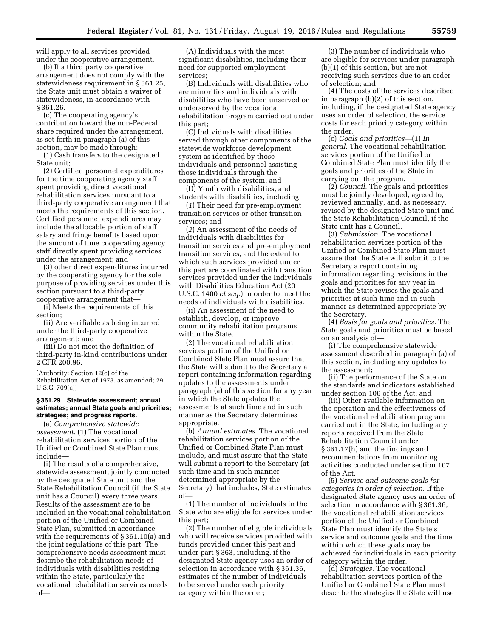will apply to all services provided under the cooperative arrangement.

(b) If a third party cooperative arrangement does not comply with the statewideness requirement in § 361.25, the State unit must obtain a waiver of statewideness, in accordance with § 361.26.

(c) The cooperating agency's contribution toward the non-Federal share required under the arrangement, as set forth in paragraph (a) of this section, may be made through:

(1) Cash transfers to the designated State unit;

(2) Certified personnel expenditures for the time cooperating agency staff spent providing direct vocational rehabilitation services pursuant to a third-party cooperative arrangement that meets the requirements of this section. Certified personnel expenditures may include the allocable portion of staff salary and fringe benefits based upon the amount of time cooperating agency staff directly spent providing services under the arrangement; and

(3) other direct expenditures incurred by the cooperating agency for the sole purpose of providing services under this section pursuant to a third-party cooperative arrangement that—

(i) Meets the requirements of this section;

(ii) Are verifiable as being incurred under the third-party cooperative arrangement; and

(iii) Do not meet the definition of third-party in-kind contributions under 2 CFR 200.96.

(Authority: Section 12(c) of the Rehabilitation Act of 1973, as amended; 29 U.S.C. 709(c))

# **§ 361.29 Statewide assessment; annual estimates; annual State goals and priorities; strategies; and progress reports.**

(a) *Comprehensive statewide assessment.* (1) The vocational rehabilitation services portion of the Unified or Combined State Plan must include—

(i) The results of a comprehensive, statewide assessment, jointly conducted by the designated State unit and the State Rehabilitation Council (if the State unit has a Council) every three years. Results of the assessment are to be included in the vocational rehabilitation portion of the Unified or Combined State Plan, submitted in accordance with the requirements of § 361.10(a) and the joint regulations of this part. The comprehensive needs assessment must describe the rehabilitation needs of individuals with disabilities residing within the State, particularly the vocational rehabilitation services needs of—

(A) Individuals with the most significant disabilities, including their need for supported employment services;

(B) Individuals with disabilities who are minorities and individuals with disabilities who have been unserved or underserved by the vocational rehabilitation program carried out under this part;

(C) Individuals with disabilities served through other components of the statewide workforce development system as identified by those individuals and personnel assisting those individuals through the components of the system; and

(D) Youth with disabilities, and students with disabilities, including

(*1*) Their need for pre-employment transition services or other transition services; and

(*2*) An assessment of the needs of individuals with disabilities for transition services and pre-employment transition services, and the extent to which such services provided under this part are coordinated with transition services provided under the Individuals with Disabilities Education Act (20 U.S.C. 1400 *et seq.*) in order to meet the needs of individuals with disabilities.

(ii) An assessment of the need to establish, develop, or improve community rehabilitation programs within the State.

(2) The vocational rehabilitation services portion of the Unified or Combined State Plan must assure that the State will submit to the Secretary a report containing information regarding updates to the assessments under paragraph (a) of this section for any year in which the State updates the assessments at such time and in such manner as the Secretary determines appropriate.

(b) *Annual estimates.* The vocational rehabilitation services portion of the Unified or Combined State Plan must include, and must assure that the State will submit a report to the Secretary (at such time and in such manner determined appropriate by the Secretary) that includes, State estimates of—

(1) The number of individuals in the State who are eligible for services under this part;

(2) The number of eligible individuals who will receive services provided with funds provided under this part and under part § 363, including, if the designated State agency uses an order of selection in accordance with § 361.36, estimates of the number of individuals to be served under each priority category within the order;

(3) The number of individuals who are eligible for services under paragraph (b)(1) of this section, but are not receiving such services due to an order of selection; and

(4) The costs of the services described in paragraph (b)(2) of this section, including, if the designated State agency uses an order of selection, the service costs for each priority category within the order.

(c) *Goals and priorities*—(1) *In general.* The vocational rehabilitation services portion of the Unified or Combined State Plan must identify the goals and priorities of the State in carrying out the program.

(2) *Council.* The goals and priorities must be jointly developed, agreed to, reviewed annually, and, as necessary, revised by the designated State unit and the State Rehabilitation Council, if the State unit has a Council.

(3) *Submission.* The vocational rehabilitation services portion of the Unified or Combined State Plan must assure that the State will submit to the Secretary a report containing information regarding revisions in the goals and priorities for any year in which the State revises the goals and priorities at such time and in such manner as determined appropriate by the Secretary.

(4) *Basis for goals and priorities.* The State goals and priorities must be based on an analysis of—

(i) The comprehensive statewide assessment described in paragraph (a) of this section, including any updates to the assessment;

(ii) The performance of the State on the standards and indicators established under section 106 of the Act; and

(iii) Other available information on the operation and the effectiveness of the vocational rehabilitation program carried out in the State, including any reports received from the State Rehabilitation Council under § 361.17(h) and the findings and recommendations from monitoring activities conducted under section 107 of the Act.

(5) *Service and outcome goals for categories in order of selection.* If the designated State agency uses an order of selection in accordance with § 361.36, the vocational rehabilitation services portion of the Unified or Combined State Plan must identify the State's service and outcome goals and the time within which these goals may be achieved for individuals in each priority category within the order.

(d) *Strategies.* The vocational rehabilitation services portion of the Unified or Combined State Plan must describe the strategies the State will use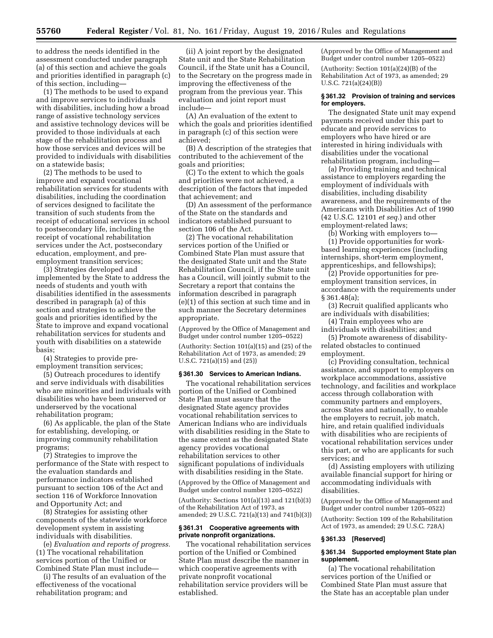to address the needs identified in the assessment conducted under paragraph (a) of this section and achieve the goals and priorities identified in paragraph (c) of this section, including—

(1) The methods to be used to expand and improve services to individuals with disabilities, including how a broad range of assistive technology services and assistive technology devices will be provided to those individuals at each stage of the rehabilitation process and how those services and devices will be provided to individuals with disabilities on a statewide basis;

(2) The methods to be used to improve and expand vocational rehabilitation services for students with disabilities, including the coordination of services designed to facilitate the transition of such students from the receipt of educational services in school to postsecondary life, including the receipt of vocational rehabilitation services under the Act, postsecondary education, employment, and preemployment transition services;

(3) Strategies developed and implemented by the State to address the needs of students and youth with disabilities identified in the assessments described in paragraph (a) of this section and strategies to achieve the goals and priorities identified by the State to improve and expand vocational rehabilitation services for students and youth with disabilities on a statewide basis;

(4) Strategies to provide preemployment transition services;

(5) Outreach procedures to identify and serve individuals with disabilities who are minorities and individuals with disabilities who have been unserved or underserved by the vocational rehabilitation program;

(6) As applicable, the plan of the State for establishing, developing, or improving community rehabilitation programs;

(7) Strategies to improve the performance of the State with respect to the evaluation standards and performance indicators established pursuant to section 106 of the Act and section 116 of Workforce Innovation and Opportunity Act; and

(8) Strategies for assisting other components of the statewide workforce development system in assisting individuals with disabilities.

(e) *Evaluation and reports of progress.*  (1) The vocational rehabilitation services portion of the Unified or Combined State Plan must include—

(i) The results of an evaluation of the effectiveness of the vocational rehabilitation program; and

(ii) A joint report by the designated State unit and the State Rehabilitation Council, if the State unit has a Council, to the Secretary on the progress made in improving the effectiveness of the program from the previous year. This evaluation and joint report must include—

(A) An evaluation of the extent to which the goals and priorities identified in paragraph (c) of this section were achieved;

(B) A description of the strategies that contributed to the achievement of the goals and priorities;

(C) To the extent to which the goals and priorities were not achieved, a description of the factors that impeded that achievement; and

(D) An assessment of the performance of the State on the standards and indicators established pursuant to section 106 of the Act.

(2) The vocational rehabilitation services portion of the Unified or Combined State Plan must assure that the designated State unit and the State Rehabilitation Council, if the State unit has a Council, will jointly submit to the Secretary a report that contains the information described in paragraph (e)(1) of this section at such time and in such manner the Secretary determines appropriate.

(Approved by the Office of Management and Budget under control number 1205–0522)

(Authority: Section 101(a)(15) and (25) of the Rehabilitation Act of 1973, as amended; 29 U.S.C. 721(a)(15) and (25))

#### **§ 361.30 Services to American Indians.**

The vocational rehabilitation services portion of the Unified or Combined State Plan must assure that the designated State agency provides vocational rehabilitation services to American Indians who are individuals with disabilities residing in the State to the same extent as the designated State agency provides vocational rehabilitation services to other significant populations of individuals with disabilities residing in the State.

(Approved by the Office of Management and Budget under control number 1205–0522)

(Authority: Sections 101(a)(13) and 121(b)(3) of the Rehabilitation Act of 1973, as amended; 29 U.S.C. 721(a)(13) and 741(b)(3))

# **§ 361.31 Cooperative agreements with private nonprofit organizations.**

The vocational rehabilitation services portion of the Unified or Combined State Plan must describe the manner in which cooperative agreements with private nonprofit vocational rehabilitation service providers will be established.

(Approved by the Office of Management and Budget under control number 1205–0522) (Authority: Section 101(a)(24)(B) of the Rehabilitation Act of 1973, as amended; 29 U.S.C. 721(a)(24)(B))

### **§ 361.32 Provision of training and services for employers.**

The designated State unit may expend payments received under this part to educate and provide services to employers who have hired or are interested in hiring individuals with disabilities under the vocational rehabilitation program, including—

(a) Providing training and technical assistance to employers regarding the employment of individuals with disabilities, including disability awareness, and the requirements of the Americans with Disabilities Act of 1990 (42 U.S.C. 12101 *et seq.*) and other employment-related laws;

(b) Working with employers to— (1) Provide opportunities for work-

based learning experiences (including internships, short-term employment, apprenticeships, and fellowships);

(2) Provide opportunities for preemployment transition services, in accordance with the requirements under § 361.48(a);

(3) Recruit qualified applicants who are individuals with disabilities;

(4) Train employees who are individuals with disabilities; and

(5) Promote awareness of disabilityrelated obstacles to continued employment.

(c) Providing consultation, technical assistance, and support to employers on workplace accommodations, assistive technology, and facilities and workplace access through collaboration with community partners and employers, across States and nationally, to enable the employers to recruit, job match, hire, and retain qualified individuals with disabilities who are recipients of vocational rehabilitation services under this part, or who are applicants for such services; and

(d) Assisting employers with utilizing available financial support for hiring or accommodating individuals with disabilities.

(Approved by the Office of Management and Budget under control number 1205–0522)

(Authority: Section 109 of the Rehabilitation Act of 1973, as amended; 29 U.S.C. 728A)

#### **§ 361.33 [Reserved]**

### **§ 361.34 Supported employment State plan supplement.**

(a) The vocational rehabilitation services portion of the Unified or Combined State Plan must assure that the State has an acceptable plan under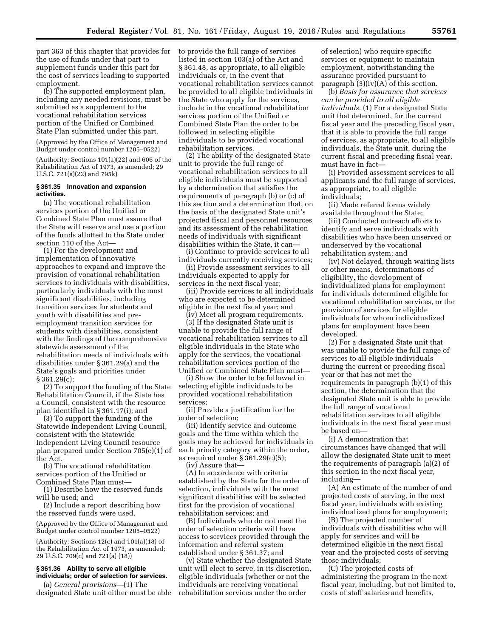part 363 of this chapter that provides for the use of funds under that part to supplement funds under this part for the cost of services leading to supported employment.

(b) The supported employment plan, including any needed revisions, must be submitted as a supplement to the vocational rehabilitation services portion of the Unified or Combined State Plan submitted under this part.

(Approved by the Office of Management and Budget under control number 1205–0522)

(Authority: Sections 101(a)(22) and 606 of the Rehabilitation Act of 1973, as amended; 29 U.S.C. 721(a)(22) and 795k)

### **§ 361.35 Innovation and expansion activities.**

(a) The vocational rehabilitation services portion of the Unified or Combined State Plan must assure that the State will reserve and use a portion of the funds allotted to the State under section 110 of the Act—

(1) For the development and implementation of innovative approaches to expand and improve the provision of vocational rehabilitation services to individuals with disabilities, particularly individuals with the most significant disabilities, including transition services for students and youth with disabilities and preemployment transition services for students with disabilities, consistent with the findings of the comprehensive statewide assessment of the rehabilitation needs of individuals with disabilities under § 361.29(a) and the State's goals and priorities under § 361.29(c);

(2) To support the funding of the State Rehabilitation Council, if the State has a Council, consistent with the resource plan identified in § 361.17(i); and

(3) To support the funding of the Statewide Independent Living Council, consistent with the Statewide Independent Living Council resource plan prepared under Section 705(e)(1) of the Act.

(b) The vocational rehabilitation services portion of the Unified or Combined State Plan must—

(1) Describe how the reserved funds will be used; and

(2) Include a report describing how the reserved funds were used.

(Approved by the Office of Management and Budget under control number 1205–0522)

(Authority: Sections 12(c) and 101(a)(18) of the Rehabilitation Act of 1973, as amended; 29 U.S.C. 709(c) and 721(a) (18))

# **§ 361.36 Ability to serve all eligible individuals; order of selection for services.**

(a) *General provisions*—(1) The designated State unit either must be able to provide the full range of services listed in section 103(a) of the Act and § 361.48, as appropriate, to all eligible individuals or, in the event that vocational rehabilitation services cannot be provided to all eligible individuals in the State who apply for the services, include in the vocational rehabilitation services portion of the Unified or Combined State Plan the order to be followed in selecting eligible individuals to be provided vocational rehabilitation services.

(2) The ability of the designated State unit to provide the full range of vocational rehabilitation services to all eligible individuals must be supported by a determination that satisfies the requirements of paragraph (b) or (c) of this section and a determination that, on the basis of the designated State unit's projected fiscal and personnel resources and its assessment of the rehabilitation needs of individuals with significant disabilities within the State, it can—

(i) Continue to provide services to all individuals currently receiving services;

(ii) Provide assessment services to all individuals expected to apply for services in the next fiscal year;

(iii) Provide services to all individuals who are expected to be determined eligible in the next fiscal year; and

(iv) Meet all program requirements.

(3) If the designated State unit is unable to provide the full range of vocational rehabilitation services to all eligible individuals in the State who apply for the services, the vocational rehabilitation services portion of the Unified or Combined State Plan must—

(i) Show the order to be followed in selecting eligible individuals to be provided vocational rehabilitation services;

(ii) Provide a justification for the order of selection;

(iii) Identify service and outcome goals and the time within which the goals may be achieved for individuals in each priority category within the order, as required under § 361.29(c)(5);

(iv) Assure that—

(A) In accordance with criteria established by the State for the order of selection, individuals with the most significant disabilities will be selected first for the provision of vocational rehabilitation services; and

(B) Individuals who do not meet the order of selection criteria will have access to services provided through the information and referral system established under § 361.37; and

(v) State whether the designated State unit will elect to serve, in its discretion, eligible individuals (whether or not the individuals are receiving vocational rehabilitation services under the order

of selection) who require specific services or equipment to maintain employment, notwithstanding the assurance provided pursuant to paragraph (3)(iv)(A) of this section.

(b) *Basis for assurance that services can be provided to all eligible individuals.* (1) For a designated State unit that determined, for the current fiscal year and the preceding fiscal year, that it is able to provide the full range of services, as appropriate, to all eligible individuals, the State unit, during the current fiscal and preceding fiscal year, must have in fact—

(i) Provided assessment services to all applicants and the full range of services, as appropriate, to all eligible individuals;

(ii) Made referral forms widely available throughout the State;

(iii) Conducted outreach efforts to identify and serve individuals with disabilities who have been unserved or underserved by the vocational rehabilitation system; and

(iv) Not delayed, through waiting lists or other means, determinations of eligibility, the development of individualized plans for employment for individuals determined eligible for vocational rehabilitation services, or the provision of services for eligible individuals for whom individualized plans for employment have been developed.

(2) For a designated State unit that was unable to provide the full range of services to all eligible individuals during the current or preceding fiscal year or that has not met the requirements in paragraph (b)(1) of this section, the determination that the designated State unit is able to provide the full range of vocational rehabilitation services to all eligible individuals in the next fiscal year must be based on—

(i) A demonstration that circumstances have changed that will allow the designated State unit to meet the requirements of paragraph (a)(2) of this section in the next fiscal year, including—

(A) An estimate of the number of and projected costs of serving, in the next fiscal year, individuals with existing individualized plans for employment;

(B) The projected number of individuals with disabilities who will apply for services and will be determined eligible in the next fiscal year and the projected costs of serving those individuals;

(C) The projected costs of administering the program in the next fiscal year, including, but not limited to, costs of staff salaries and benefits,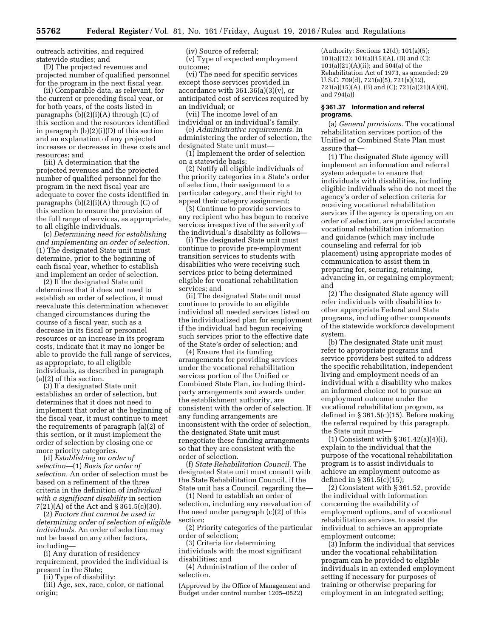outreach activities, and required statewide studies; and

(D) The projected revenues and projected number of qualified personnel for the program in the next fiscal year.

(ii) Comparable data, as relevant, for the current or preceding fiscal year, or for both years, of the costs listed in paragraphs (b)(2)(i)(A) through (C) of this section and the resources identified in paragraph (b)(2)(i)(D) of this section and an explanation of any projected increases or decreases in these costs and resources; and

(iii) A determination that the projected revenues and the projected number of qualified personnel for the program in the next fiscal year are adequate to cover the costs identified in paragraphs (b)(2)(i)(A) through (C) of this section to ensure the provision of the full range of services, as appropriate, to all eligible individuals.

(c) *Determining need for establishing and implementing an order of selection.*  (1) The designated State unit must determine, prior to the beginning of each fiscal year, whether to establish and implement an order of selection.

(2) If the designated State unit determines that it does not need to establish an order of selection, it must reevaluate this determination whenever changed circumstances during the course of a fiscal year, such as a decrease in its fiscal or personnel resources or an increase in its program costs, indicate that it may no longer be able to provide the full range of services, as appropriate, to all eligible individuals, as described in paragraph (a)(2) of this section.

(3) If a designated State unit establishes an order of selection, but determines that it does not need to implement that order at the beginning of the fiscal year, it must continue to meet the requirements of paragraph (a)(2) of this section, or it must implement the order of selection by closing one or more priority categories.

(d) *Establishing an order of selection*—(1) *Basis for order of selection.* An order of selection must be based on a refinement of the three criteria in the definition of *individual with a significant disability* in section 7(21)(A) of the Act and § 361.5(c)(30).

(2) *Factors that cannot be used in determining order of selection of eligible individuals.* An order of selection may not be based on any other factors, including—

(i) Any duration of residency requirement, provided the individual is present in the State;

(ii) Type of disability;

(iii) Age, sex, race, color, or national origin;

(iv) Source of referral; (v) Type of expected employment

outcome; (vi) The need for specific services

except those services provided in accordance with  $361.36(a)(3)(v)$ , or anticipated cost of services required by an individual; or

(vii) The income level of an individual or an individual's family.

(e) *Administrative requirements.* In administering the order of selection, the designated State unit must—

(1) Implement the order of selection on a statewide basis;

(2) Notify all eligible individuals of the priority categories in a State's order of selection, their assignment to a particular category, and their right to appeal their category assignment;

(3) Continue to provide services to any recipient who has begun to receive services irrespective of the severity of the individual's disability as follows—

(i) The designated State unit must continue to provide pre-employment transition services to students with disabilities who were receiving such services prior to being determined eligible for vocational rehabilitation services; and

(ii) The designated State unit must continue to provide to an eligible individual all needed services listed on the individualized plan for employment if the individual had begun receiving such services prior to the effective date of the State's order of selection; and

(4) Ensure that its funding arrangements for providing services under the vocational rehabilitation services portion of the Unified or Combined State Plan, including thirdparty arrangements and awards under the establishment authority, are consistent with the order of selection. If any funding arrangements are inconsistent with the order of selection, the designated State unit must renegotiate these funding arrangements so that they are consistent with the order of selection.

(f) *State Rehabilitation Council.* The designated State unit must consult with the State Rehabilitation Council, if the State unit has a Council, regarding the—

(1) Need to establish an order of selection, including any reevaluation of the need under paragraph (c)(2) of this section;

(2) Priority categories of the particular order of selection;

(3) Criteria for determining

individuals with the most significant disabilities; and

(4) Administration of the order of selection.

(Approved by the Office of Management and Budget under control number 1205–0522)

(Authority: Sections 12(d); 101(a)(5); 101(a)(12); 101(a)(15)(A), (B) and (C); 101(a)(21)(A)(ii); and 504(a) of the Rehabilitation Act of 1973, as amended; 29 U.S.C. 709(d), 721(a)(5), 721(a)(12), 721(a)(15)(A), (B) and (C); 721(a)(21)(A)(ii), and 794(a))

### **§ 361.37 Information and referral programs.**

(a) *General provisions.* The vocational rehabilitation services portion of the Unified or Combined State Plan must assure that—

(1) The designated State agency will implement an information and referral system adequate to ensure that individuals with disabilities, including eligible individuals who do not meet the agency's order of selection criteria for receiving vocational rehabilitation services if the agency is operating on an order of selection, are provided accurate vocational rehabilitation information and guidance (which may include counseling and referral for job placement) using appropriate modes of communication to assist them in preparing for, securing, retaining, advancing in, or regaining employment; and

(2) The designated State agency will refer individuals with disabilities to other appropriate Federal and State programs, including other components of the statewide workforce development system.

(b) The designated State unit must refer to appropriate programs and service providers best suited to address the specific rehabilitation, independent living and employment needs of an individual with a disability who makes an informed choice not to pursue an employment outcome under the vocational rehabilitation program, as defined in § 361.5(c)(15). Before making the referral required by this paragraph, the State unit must—

(1) Consistent with § 361.42(a)(4)(i), explain to the individual that the purpose of the vocational rehabilitation program is to assist individuals to achieve an employment outcome as defined in § 361.5(c)(15);

(2) Consistent with § 361.52, provide the individual with information concerning the availability of employment options, and of vocational rehabilitation services, to assist the individual to achieve an appropriate employment outcome;

(3) Inform the individual that services under the vocational rehabilitation program can be provided to eligible individuals in an extended employment setting if necessary for purposes of training or otherwise preparing for employment in an integrated setting;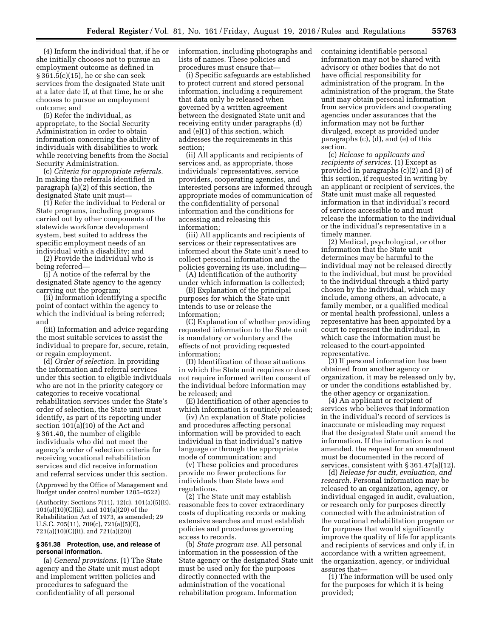(4) Inform the individual that, if he or she initially chooses not to pursue an employment outcome as defined in § 361.5(c)(15), he or she can seek services from the designated State unit at a later date if, at that time, he or she chooses to pursue an employment outcome; and

(5) Refer the individual, as appropriate, to the Social Security Administration in order to obtain information concerning the ability of individuals with disabilities to work while receiving benefits from the Social Security Administration.

(c) *Criteria for appropriate referrals.*  In making the referrals identified in paragraph (a)(2) of this section, the designated State unit must—

(1) Refer the individual to Federal or State programs, including programs carried out by other components of the statewide workforce development system, best suited to address the specific employment needs of an individual with a disability; and

(2) Provide the individual who is being referred—

(i) A notice of the referral by the designated State agency to the agency carrying out the program;

(ii) Information identifying a specific point of contact within the agency to which the individual is being referred; and

(iii) Information and advice regarding the most suitable services to assist the individual to prepare for, secure, retain, or regain employment.

(d) *Order of selection.* In providing the information and referral services under this section to eligible individuals who are not in the priority category or categories to receive vocational rehabilitation services under the State's order of selection, the State unit must identify, as part of its reporting under section 101(a)(10) of the Act and § 361.40, the number of eligible individuals who did not meet the agency's order of selection criteria for receiving vocational rehabilitation services and did receive information and referral services under this section.

(Approved by the Office of Management and Budget under control number 1205–0522)

(Authority: Sections 7(11), 12(c), 101(a)(5)(E), 101(a)(10)(C)(ii), and 101(a)(20) of the Rehabilitation Act of 1973, as amended; 29 U.S.C. 705(11), 709(c), 721(a)(5)(E), 721(a)(10)(C)(ii), and 721(a)(20))

#### **§ 361.38 Protection, use, and release of personal information.**

(a) *General provisions.* (1) The State agency and the State unit must adopt and implement written policies and procedures to safeguard the confidentiality of all personal

information, including photographs and lists of names. These policies and procedures must ensure that—

(i) Specific safeguards are established to protect current and stored personal information, including a requirement that data only be released when governed by a written agreement between the designated State unit and receiving entity under paragraphs (d) and (e)(1) of this section, which addresses the requirements in this section;

(ii) All applicants and recipients of services and, as appropriate, those individuals' representatives, service providers, cooperating agencies, and interested persons are informed through appropriate modes of communication of the confidentiality of personal information and the conditions for accessing and releasing this information;

(iii) All applicants and recipients of services or their representatives are informed about the State unit's need to collect personal information and the policies governing its use, including—

(A) Identification of the authority under which information is collected;

(B) Explanation of the principal purposes for which the State unit intends to use or release the information;

(C) Explanation of whether providing requested information to the State unit is mandatory or voluntary and the effects of not providing requested information;

(D) Identification of those situations in which the State unit requires or does not require informed written consent of the individual before information may be released; and

(E) Identification of other agencies to which information is routinely released;

(iv) An explanation of State policies and procedures affecting personal information will be provided to each individual in that individual's native language or through the appropriate mode of communication; and

(v) These policies and procedures provide no fewer protections for individuals than State laws and regulations.

(2) The State unit may establish reasonable fees to cover extraordinary costs of duplicating records or making extensive searches and must establish policies and procedures governing access to records.

(b) *State program use.* All personal information in the possession of the State agency or the designated State unit must be used only for the purposes directly connected with the administration of the vocational rehabilitation program. Information

containing identifiable personal information may not be shared with advisory or other bodies that do not have official responsibility for administration of the program. In the administration of the program, the State unit may obtain personal information from service providers and cooperating agencies under assurances that the information may not be further divulged, except as provided under paragraphs (c), (d), and (e) of this section.

(c) *Release to applicants and recipients of services.* (1) Except as provided in paragraphs (c)(2) and (3) of this section, if requested in writing by an applicant or recipient of services, the State unit must make all requested information in that individual's record of services accessible to and must release the information to the individual or the individual's representative in a timely manner.

(2) Medical, psychological, or other information that the State unit determines may be harmful to the individual may not be released directly to the individual, but must be provided to the individual through a third party chosen by the individual, which may include, among others, an advocate, a family member, or a qualified medical or mental health professional, unless a representative has been appointed by a court to represent the individual, in which case the information must be released to the court-appointed representative.

(3) If personal information has been obtained from another agency or organization, it may be released only by, or under the conditions established by, the other agency or organization.

(4) An applicant or recipient of services who believes that information in the individual's record of services is inaccurate or misleading may request that the designated State unit amend the information. If the information is not amended, the request for an amendment must be documented in the record of services, consistent with § 361.47(a)(12).

(d) *Release for audit, evaluation, and research.* Personal information may be released to an organization, agency, or individual engaged in audit, evaluation, or research only for purposes directly connected with the administration of the vocational rehabilitation program or for purposes that would significantly improve the quality of life for applicants and recipients of services and only if, in accordance with a written agreement, the organization, agency, or individual assures that—

(1) The information will be used only for the purposes for which it is being provided;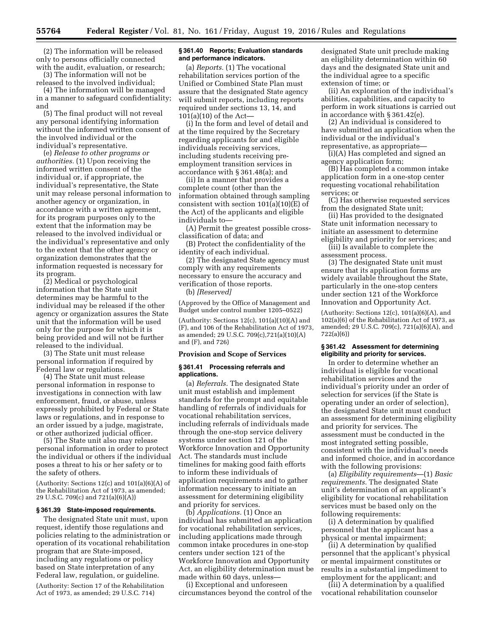(2) The information will be released only to persons officially connected with the audit, evaluation, or research;

(3) The information will not be released to the involved individual;

(4) The information will be managed in a manner to safeguard confidentiality; and

(5) The final product will not reveal any personal identifying information without the informed written consent of the involved individual or the individual's representative.

(e) *Release to other programs or authorities.* (1) Upon receiving the informed written consent of the individual or, if appropriate, the individual's representative, the State unit may release personal information to another agency or organization, in accordance with a written agreement, for its program purposes only to the extent that the information may be released to the involved individual or the individual's representative and only to the extent that the other agency or organization demonstrates that the information requested is necessary for its program.

(2) Medical or psychological information that the State unit determines may be harmful to the individual may be released if the other agency or organization assures the State unit that the information will be used only for the purpose for which it is being provided and will not be further released to the individual.

(3) The State unit must release personal information if required by Federal law or regulations.

(4) The State unit must release personal information in response to investigations in connection with law enforcement, fraud, or abuse, unless expressly prohibited by Federal or State laws or regulations, and in response to an order issued by a judge, magistrate, or other authorized judicial officer.

(5) The State unit also may release personal information in order to protect the individual or others if the individual poses a threat to his or her safety or to the safety of others.

(Authority: Sections 12(c) and 101(a)(6)(A) of the Rehabilitation Act of 1973, as amended; 29 U.S.C. 709(c) and 721(a)(6)(A))

# **§ 361.39 State-imposed requirements.**

The designated State unit must, upon request, identify those regulations and policies relating to the administration or operation of its vocational rehabilitation program that are State-imposed, including any regulations or policy based on State interpretation of any Federal law, regulation, or guideline.

(Authority: Section 17 of the Rehabilitation Act of 1973, as amended; 29 U.S.C. 714)

### **§ 361.40 Reports; Evaluation standards and performance indicators.**

(a) *Reports.* (1) The vocational rehabilitation services portion of the Unified or Combined State Plan must assure that the designated State agency will submit reports, including reports required under sections 13, 14, and 101(a)(10) of the Act—

(i) In the form and level of detail and at the time required by the Secretary regarding applicants for and eligible individuals receiving services, including students receiving preemployment transition services in accordance with § 361.48(a); and

(ii) In a manner that provides a complete count (other than the information obtained through sampling consistent with section 101(a)(10)(E) of the Act) of the applicants and eligible individuals to—

(A) Permit the greatest possible crossclassification of data; and

(B) Protect the confidentiality of the identity of each individual.

(2) The designated State agency must comply with any requirements necessary to ensure the accuracy and verification of those reports. (b) *[Reserved]* 

(Approved by the Office of Management and Budget under control number 1205–0522)

(Authority: Sections  $12(c)$ ,  $101(a)(10)(A)$  and (F), and 106 of the Rehabilitation Act of 1973, as amended; 29 U.S.C. 709(c),721(a)(10)(A) and (F), and 726)

### **Provision and Scope of Services**

#### **§ 361.41 Processing referrals and applications.**

(a) *Referrals.* The designated State unit must establish and implement standards for the prompt and equitable handling of referrals of individuals for vocational rehabilitation services, including referrals of individuals made through the one-stop service delivery systems under section 121 of the Workforce Innovation and Opportunity Act. The standards must include timelines for making good faith efforts to inform these individuals of application requirements and to gather information necessary to initiate an assessment for determining eligibility and priority for services.

(b) *Applications.* (1) Once an individual has submitted an application for vocational rehabilitation services, including applications made through common intake procedures in one-stop centers under section 121 of the Workforce Innovation and Opportunity Act, an eligibility determination must be made within 60 days, unless-

(i) Exceptional and unforeseen circumstances beyond the control of the designated State unit preclude making an eligibility determination within 60 days and the designated State unit and the individual agree to a specific extension of time; or

(ii) An exploration of the individual's abilities, capabilities, and capacity to perform in work situations is carried out in accordance with § 361.42(e).

(2) An individual is considered to have submitted an application when the individual or the individual's representative, as appropriate—

(i)(A) Has completed and signed an agency application form;

(B) Has completed a common intake application form in a one-stop center requesting vocational rehabilitation services; or

(C) Has otherwise requested services from the designated State unit;

(ii) Has provided to the designated State unit information necessary to initiate an assessment to determine eligibility and priority for services; and

(iii) Is available to complete the assessment process.

(3) The designated State unit must ensure that its application forms are widely available throughout the State, particularly in the one-stop centers under section 121 of the Workforce Innovation and Opportunity Act.

(Authority: Sections  $12(c)$ ,  $101(a)(6)(A)$ , and 102(a)(6) of the Rehabilitation Act of 1973, as amended; 29 U.S.C. 709(c), 721(a)(6)(A), and 722(a)(6))

### **§ 361.42 Assessment for determining eligibility and priority for services.**

In order to determine whether an individual is eligible for vocational rehabilitation services and the individual's priority under an order of selection for services (if the State is operating under an order of selection), the designated State unit must conduct an assessment for determining eligibility and priority for services. The assessment must be conducted in the most integrated setting possible, consistent with the individual's needs and informed choice, and in accordance with the following provisions:

(a) *Eligibility requirements*—(1) *Basic requirements.* The designated State unit's determination of an applicant's eligibility for vocational rehabilitation services must be based only on the following requirements:

(i) A determination by qualified personnel that the applicant has a physical or mental impairment;

(ii) A determination by qualified personnel that the applicant's physical or mental impairment constitutes or results in a substantial impediment to employment for the applicant; and

(iii) A determination by a qualified vocational rehabilitation counselor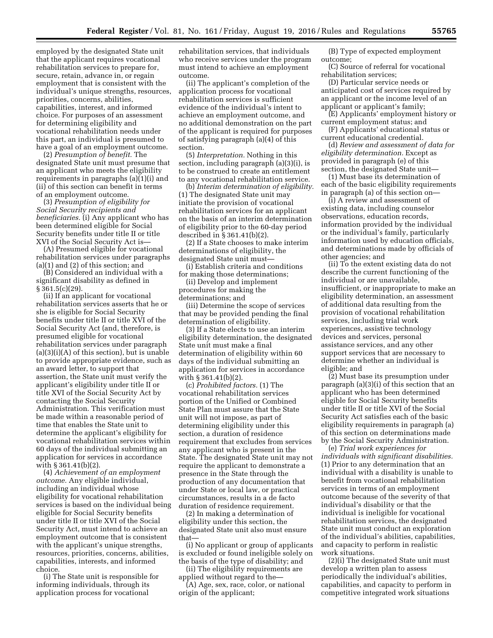employed by the designated State unit that the applicant requires vocational rehabilitation services to prepare for, secure, retain, advance in, or regain employment that is consistent with the individual's unique strengths, resources, priorities, concerns, abilities, capabilities, interest, and informed choice. For purposes of an assessment for determining eligibility and vocational rehabilitation needs under this part, an individual is presumed to have a goal of an employment outcome.

(2) *Presumption of benefit.* The designated State unit must presume that an applicant who meets the eligibility requirements in paragraphs (a)(1)(i) and (ii) of this section can benefit in terms of an employment outcome.

(3) *Presumption of eligibility for Social Security recipients and beneficiaries.* (i) Any applicant who has been determined eligible for Social Security benefits under title II or title XVI of the Social Security Act is—

(A) Presumed eligible for vocational rehabilitation services under paragraphs (a)(1) and (2) of this section; and

(B) Considered an individual with a significant disability as defined in § 361.5(c)(29).

(ii) If an applicant for vocational rehabilitation services asserts that he or she is eligible for Social Security benefits under title II or title XVI of the Social Security Act (and, therefore, is presumed eligible for vocational rehabilitation services under paragraph  $(a)(3)(i)(A)$  of this section), but is unable to provide appropriate evidence, such as an award letter, to support that assertion, the State unit must verify the applicant's eligibility under title II or title XVI of the Social Security Act by contacting the Social Security Administration. This verification must be made within a reasonable period of time that enables the State unit to determine the applicant's eligibility for vocational rehabilitation services within 60 days of the individual submitting an application for services in accordance with § 361.41(b)(2).

(4) *Achievement of an employment outcome.* Any eligible individual, including an individual whose eligibility for vocational rehabilitation services is based on the individual being eligible for Social Security benefits under title II or title XVI of the Social Security Act, must intend to achieve an employment outcome that is consistent with the applicant's unique strengths, resources, priorities, concerns, abilities, capabilities, interests, and informed choice.

(i) The State unit is responsible for informing individuals, through its application process for vocational

rehabilitation services, that individuals who receive services under the program must intend to achieve an employment outcome.

(ii) The applicant's completion of the application process for vocational rehabilitation services is sufficient evidence of the individual's intent to achieve an employment outcome, and no additional demonstration on the part of the applicant is required for purposes of satisfying paragraph (a)(4) of this section.

(5) *Interpretation.* Nothing in this section, including paragraph (a)(3)(i), is to be construed to create an entitlement to any vocational rehabilitation service.

(b) *Interim determination of eligibility.*  (1) The designated State unit may initiate the provision of vocational rehabilitation services for an applicant on the basis of an interim determination of eligibility prior to the 60-day period described in § 361.41(b)(2).

(2) If a State chooses to make interim determinations of eligibility, the designated State unit must—

(i) Establish criteria and conditions for making those determinations;

(ii) Develop and implement procedures for making the determinations; and

(iii) Determine the scope of services that may be provided pending the final determination of eligibility.

(3) If a State elects to use an interim eligibility determination, the designated State unit must make a final determination of eligibility within 60 days of the individual submitting an application for services in accordance with § 361.41(b)(2).

(c) *Prohibited factors.* (1) The vocational rehabilitation services portion of the Unified or Combined State Plan must assure that the State unit will not impose, as part of determining eligibility under this section, a duration of residence requirement that excludes from services any applicant who is present in the State. The designated State unit may not require the applicant to demonstrate a presence in the State through the production of any documentation that under State or local law, or practical circumstances, results in a de facto duration of residence requirement.

(2) In making a determination of eligibility under this section, the designated State unit also must ensure that—

(i) No applicant or group of applicants is excluded or found ineligible solely on the basis of the type of disability; and

(ii) The eligibility requirements are applied without regard to the—

(A) Age, sex, race, color, or national origin of the applicant;

(B) Type of expected employment outcome;

(C) Source of referral for vocational rehabilitation services;

(D) Particular service needs or anticipated cost of services required by an applicant or the income level of an applicant or applicant's family;

(E) Applicants' employment history or current employment status; and

(F) Applicants' educational status or current educational credential.

(d) *Review and assessment of data for eligibility determination.* Except as provided in paragraph (e) of this section, the designated State unit—

(1) Must base its determination of each of the basic eligibility requirements in paragraph (a) of this section on—

(i) A review and assessment of existing data, including counselor observations, education records, information provided by the individual or the individual's family, particularly information used by education officials, and determinations made by officials of other agencies; and

(ii) To the extent existing data do not describe the current functioning of the individual or are unavailable, insufficient, or inappropriate to make an eligibility determination, an assessment of additional data resulting from the provision of vocational rehabilitation services, including trial work experiences, assistive technology devices and services, personal assistance services, and any other support services that are necessary to determine whether an individual is eligible; and

(2) Must base its presumption under paragraph (a)(3)(i) of this section that an applicant who has been determined eligible for Social Security benefits under title II or title XVI of the Social Security Act satisfies each of the basic eligibility requirements in paragraph (a) of this section on determinations made by the Social Security Administration.

(e) *Trial work experiences for individuals with significant disabilities.*  (1) Prior to any determination that an individual with a disability is unable to benefit from vocational rehabilitation services in terms of an employment outcome because of the severity of that individual's disability or that the individual is ineligible for vocational rehabilitation services, the designated State unit must conduct an exploration of the individual's abilities, capabilities, and capacity to perform in realistic work situations.

(2)(i) The designated State unit must develop a written plan to assess periodically the individual's abilities, capabilities, and capacity to perform in competitive integrated work situations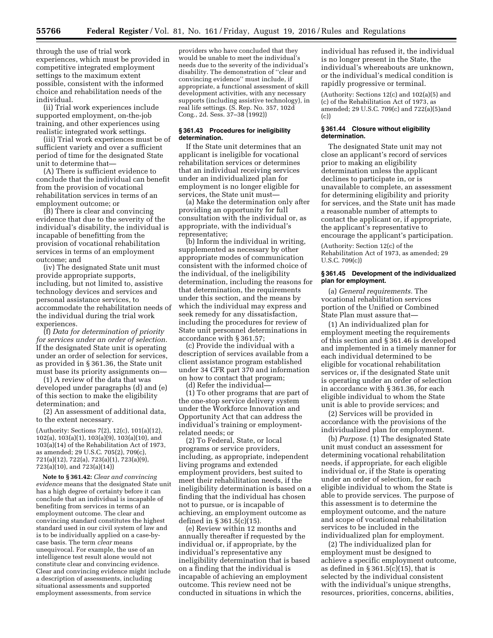through the use of trial work experiences, which must be provided in competitive integrated employment settings to the maximum extent possible, consistent with the informed choice and rehabilitation needs of the individual.

(ii) Trial work experiences include supported employment, on-the-job training, and other experiences using realistic integrated work settings.

(iii) Trial work experiences must be of sufficient variety and over a sufficient period of time for the designated State unit to determine that—

(A) There is sufficient evidence to conclude that the individual can benefit from the provision of vocational rehabilitation services in terms of an employment outcome; or

(B) There is clear and convincing evidence that due to the severity of the individual's disability, the individual is incapable of benefitting from the provision of vocational rehabilitation services in terms of an employment outcome; and

(iv) The designated State unit must provide appropriate supports, including, but not limited to, assistive technology devices and services and personal assistance services, to accommodate the rehabilitation needs of the individual during the trial work experiences.

(f) *Data for determination of priority for services under an order of selection.*  If the designated State unit is operating under an order of selection for services, as provided in § 361.36, the State unit must base its priority assignments on—

(1) A review of the data that was developed under paragraphs (d) and (e) of this section to make the eligibility determination; and

(2) An assessment of additional data, to the extent necessary.

(Authority: Sections 7(2), 12(c), 101(a)(12), 102(a), 103(a)(1), 103(a)(9), 103(a)(10), and 103(a)(14) of the Rehabilitation Act of 1973, as amended; 29 U.S.C. 705(2), 709(c), 721(a)(12), 722(a), 723(a)(1), 723(a)(9), 723(a)(10), and 723(a)(14))

**Note to § 361.42:** *Clear and convincing evidence* means that the designated State unit has a high degree of certainty before it can conclude that an individual is incapable of benefiting from services in terms of an employment outcome. The clear and convincing standard constitutes the highest standard used in our civil system of law and is to be individually applied on a case-bycase basis. The term *clear* means unequivocal. For example, the use of an intelligence test result alone would not constitute clear and convincing evidence. Clear and convincing evidence might include a description of assessments, including situational assessments and supported employment assessments, from service

providers who have concluded that they would be unable to meet the individual's needs due to the severity of the individual's disability. The demonstration of ''clear and convincing evidence'' must include, if appropriate, a functional assessment of skill development activities, with any necessary supports (including assistive technology), in real life settings. (S. Rep. No. 357, 102d Cong., 2d. Sess. 37–38 (1992))

#### **§ 361.43 Procedures for ineligibility determination.**

If the State unit determines that an applicant is ineligible for vocational rehabilitation services or determines that an individual receiving services under an individualized plan for employment is no longer eligible for services, the State unit must—

(a) Make the determination only after providing an opportunity for full consultation with the individual or, as appropriate, with the individual's representative;

(b) Inform the individual in writing, supplemented as necessary by other appropriate modes of communication consistent with the informed choice of the individual, of the ineligibility determination, including the reasons for that determination, the requirements under this section, and the means by which the individual may express and seek remedy for any dissatisfaction, including the procedures for review of State unit personnel determinations in accordance with § 361.57;

(c) Provide the individual with a description of services available from a client assistance program established under 34 CFR part 370 and information on how to contact that program;

(d) Refer the individual— (1) To other programs that are part of the one-stop service delivery system under the Workforce Innovation and Opportunity Act that can address the individual's training or employmentrelated needs; or

(2) To Federal, State, or local programs or service providers, including, as appropriate, independent living programs and extended employment providers, best suited to meet their rehabilitation needs, if the ineligibility determination is based on a finding that the individual has chosen not to pursue, or is incapable of achieving, an employment outcome as defined in § 361.5(c)(15).

(e) Review within 12 months and annually thereafter if requested by the individual or, if appropriate, by the individual's representative any ineligibility determination that is based on a finding that the individual is incapable of achieving an employment outcome. This review need not be conducted in situations in which the

individual has refused it, the individual is no longer present in the State, the individual's whereabouts are unknown, or the individual's medical condition is rapidly progressive or terminal.

(Authority: Sections 12(c) and 102(a)(5) and (c) of the Rehabilitation Act of 1973, as amended; 29 U.S.C. 709(c) and 722(a)(5)and (c))

### **§ 361.44 Closure without eligibility determination.**

The designated State unit may not close an applicant's record of services prior to making an eligibility determination unless the applicant declines to participate in, or is unavailable to complete, an assessment for determining eligibility and priority for services, and the State unit has made a reasonable number of attempts to contact the applicant or, if appropriate, the applicant's representative to encourage the applicant's participation.

(Authority: Section 12(c) of the Rehabilitation Act of 1973, as amended; 29 U.S.C. 709(c))

# **§ 361.45 Development of the individualized plan for employment.**

(a) *General requirements.* The vocational rehabilitation services portion of the Unified or Combined State Plan must assure that—

(1) An individualized plan for employment meeting the requirements of this section and § 361.46 is developed and implemented in a timely manner for each individual determined to be eligible for vocational rehabilitation services or, if the designated State unit is operating under an order of selection in accordance with § 361.36, for each eligible individual to whom the State unit is able to provide services; and

(2) Services will be provided in accordance with the provisions of the individualized plan for employment.

(b) *Purpose.* (1) The designated State unit must conduct an assessment for determining vocational rehabilitation needs, if appropriate, for each eligible individual or, if the State is operating under an order of selection, for each eligible individual to whom the State is able to provide services. The purpose of this assessment is to determine the employment outcome, and the nature and scope of vocational rehabilitation services to be included in the individualized plan for employment.

(2) The individualized plan for employment must be designed to achieve a specific employment outcome, as defined in  $\S 361.5(c)(15)$ , that is selected by the individual consistent with the individual's unique strengths, resources, priorities, concerns, abilities,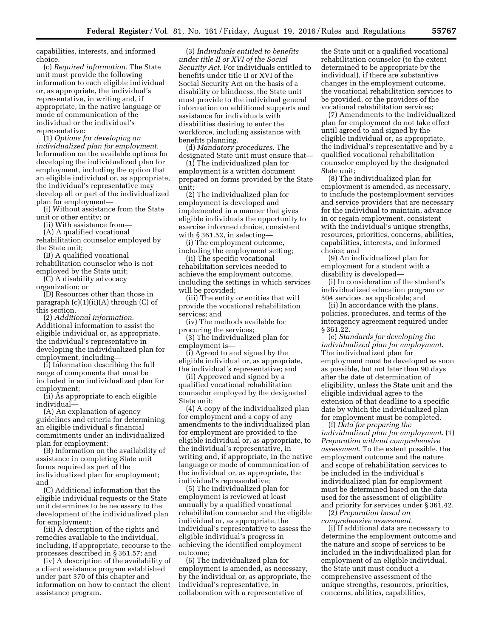capabilities, interests, and informed choice.

(c) *Required information.* The State unit must provide the following information to each eligible individual or, as appropriate, the individual's representative, in writing and, if appropriate, in the native language or mode of communication of the individual or the individual's representative:

(1) *Options for developing an individualized plan for employment.*  Information on the available options for developing the individualized plan for employment, including the option that an eligible individual or, as appropriate, the individual's representative may develop all or part of the individualized plan for employment—

(i) Without assistance from the State unit or other entity; or

(ii) With assistance from—

(A) A qualified vocational

rehabilitation counselor employed by the State unit;

(B) A qualified vocational rehabilitation counselor who is not employed by the State unit;

(C) A disability advocacy

organization; or

(D) Resources other than those in paragraph  $(c)(1)(ii)(A)$  through  $(C)$  of this section.

(2) *Additional information.*  Additional information to assist the eligible individual or, as appropriate, the individual's representative in developing the individualized plan for employment, including—

(i) Information describing the full range of components that must be included in an individualized plan for employment;

(ii) As appropriate to each eligible individual—

(A) An explanation of agency guidelines and criteria for determining an eligible individual's financial commitments under an individualized plan for employment;

(B) Information on the availability of assistance in completing State unit forms required as part of the individualized plan for employment; and

(C) Additional information that the eligible individual requests or the State unit determines to be necessary to the development of the individualized plan for employment;

(iii) A description of the rights and remedies available to the individual, including, if appropriate, recourse to the processes described in § 361.57; and

(iv) A description of the availability of a client assistance program established under part 370 of this chapter and information on how to contact the client assistance program.

(3) *Individuals entitled to benefits under title II or XVI of the Social Security Act.* For individuals entitled to benefits under title II or XVI of the Social Security Act on the basis of a disability or blindness, the State unit must provide to the individual general information on additional supports and assistance for individuals with disabilities desiring to enter the workforce, including assistance with benefits planning.

(d) *Mandatory procedures.* The designated State unit must ensure that—

(1) The individualized plan for employment is a written document prepared on forms provided by the State unit;

(2) The individualized plan for employment is developed and implemented in a manner that gives eligible individuals the opportunity to exercise informed choice, consistent with § 361.52, in selecting—

(i) The employment outcome, including the employment setting;

(ii) The specific vocational rehabilitation services needed to achieve the employment outcome, including the settings in which services will be provided;

(iii) The entity or entities that will provide the vocational rehabilitation services; and

(iv) The methods available for procuring the services;

(3) The individualized plan for employment is—

(i) Agreed to and signed by the eligible individual or, as appropriate, the individual's representative; and

(ii) Approved and signed by a qualified vocational rehabilitation counselor employed by the designated State unit;

(4) A copy of the individualized plan for employment and a copy of any amendments to the individualized plan for employment are provided to the eligible individual or, as appropriate, to the individual's representative, in writing and, if appropriate, in the native language or mode of communication of the individual or, as appropriate, the individual's representative;

(5) The individualized plan for employment is reviewed at least annually by a qualified vocational rehabilitation counselor and the eligible individual or, as appropriate, the individual's representative to assess the eligible individual's progress in achieving the identified employment outcome;

(6) The individualized plan for employment is amended, as necessary, by the individual or, as appropriate, the individual's representative, in collaboration with a representative of

the State unit or a qualified vocational rehabilitation counselor (to the extent determined to be appropriate by the individual), if there are substantive changes in the employment outcome, the vocational rehabilitation services to be provided, or the providers of the vocational rehabilitation services;

(7) Amendments to the individualized plan for employment do not take effect until agreed to and signed by the eligible individual or, as appropriate, the individual's representative and by a qualified vocational rehabilitation counselor employed by the designated State unit;

(8) The individualized plan for employment is amended, as necessary, to include the postemployment services and service providers that are necessary for the individual to maintain, advance in or regain employment, consistent with the individual's unique strengths, resources, priorities, concerns, abilities, capabilities, interests, and informed choice; and

(9) An individualized plan for employment for a student with a disability is developed—

(i) In consideration of the student's individualized education program or 504 services, as applicable; and

(ii) In accordance with the plans, policies, procedures, and terms of the interagency agreement required under § 361.22.

(e) *Standards for developing the individualized plan for employment.*  The individualized plan for employment must be developed as soon as possible, but not later than 90 days after the date of determination of eligibility, unless the State unit and the eligible individual agree to the extension of that deadline to a specific date by which the individualized plan for employment must be completed.

(f) *Data for preparing the individualized plan for employment.* (1) *Preparation without comprehensive assessment.* To the extent possible, the employment outcome and the nature and scope of rehabilitation services to be included in the individual's individualized plan for employment must be determined based on the data used for the assessment of eligibility and priority for services under § 361.42.

(2) *Preparation based on comprehensive assessment.* 

(i) If additional data are necessary to determine the employment outcome and the nature and scope of services to be included in the individualized plan for employment of an eligible individual, the State unit must conduct a comprehensive assessment of the unique strengths, resources, priorities, concerns, abilities, capabilities,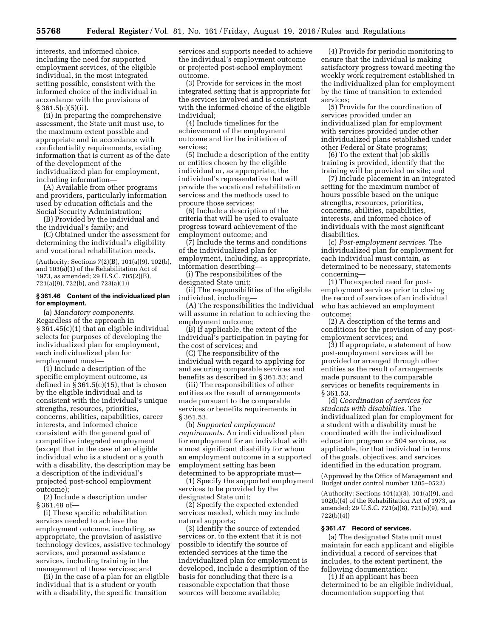interests, and informed choice, including the need for supported employment services, of the eligible individual, in the most integrated setting possible, consistent with the informed choice of the individual in accordance with the provisions of  $§ 361.5(c)(5)(ii).$ 

(ii) In preparing the comprehensive assessment, the State unit must use, to the maximum extent possible and appropriate and in accordance with confidentiality requirements, existing information that is current as of the date of the development of the individualized plan for employment, including information—

(A) Available from other programs and providers, particularly information used by education officials and the Social Security Administration;

(B) Provided by the individual and the individual's family; and

(C) Obtained under the assessment for determining the individual's eligibility and vocational rehabilitation needs.

(Authority: Sections 7(2)(B), 101(a)(9), 102(b), and 103(a)(1) of the Rehabilitation Act of 1973, as amended; 29 U.S.C. 705(2)(B), 721(a)(9), 722(b), and 723(a)(1))

# **§ 361.46 Content of the individualized plan for employment.**

(a) *Mandatory components.*  Regardless of the approach in § 361.45(c)(1) that an eligible individual selects for purposes of developing the individualized plan for employment, each individualized plan for employment must—

(1) Include a description of the specific employment outcome, as defined in  $\S 361.5(c)(15)$ , that is chosen by the eligible individual and is consistent with the individual's unique strengths, resources, priorities, concerns, abilities, capabilities, career interests, and informed choice consistent with the general goal of competitive integrated employment (except that in the case of an eligible individual who is a student or a youth with a disability, the description may be a description of the individual's projected post-school employment outcome);

(2) Include a description under § 361.48 of—

(i) These specific rehabilitation services needed to achieve the employment outcome, including, as appropriate, the provision of assistive technology devices, assistive technology services, and personal assistance services, including training in the management of those services; and

(ii) In the case of a plan for an eligible individual that is a student or youth with a disability, the specific transition

services and supports needed to achieve the individual's employment outcome or projected post-school employment outcome.

(3) Provide for services in the most integrated setting that is appropriate for the services involved and is consistent with the informed choice of the eligible individual;

(4) Include timelines for the achievement of the employment outcome and for the initiation of services;

(5) Include a description of the entity or entities chosen by the eligible individual or, as appropriate, the individual's representative that will provide the vocational rehabilitation services and the methods used to procure those services;

(6) Include a description of the criteria that will be used to evaluate progress toward achievement of the employment outcome; and

(7) Include the terms and conditions of the individualized plan for employment, including, as appropriate, information describing—

(i) The responsibilities of the designated State unit;

(ii) The responsibilities of the eligible individual, including—

(A) The responsibilities the individual will assume in relation to achieving the employment outcome;

(B) If applicable, the extent of the individual's participation in paying for the cost of services; and

(C) The responsibility of the individual with regard to applying for and securing comparable services and benefits as described in § 361.53; and

(iii) The responsibilities of other entities as the result of arrangements made pursuant to the comparable services or benefits requirements in § 361.53.

(b) *Supported employment requirements.* An individualized plan for employment for an individual with a most significant disability for whom an employment outcome in a supported employment setting has been determined to be appropriate must—

(1) Specify the supported employment services to be provided by the designated State unit;

(2) Specify the expected extended services needed, which may include natural supports;

(3) Identify the source of extended services or, to the extent that it is not possible to identify the source of extended services at the time the individualized plan for employment is developed, include a description of the basis for concluding that there is a reasonable expectation that those sources will become available;

(4) Provide for periodic monitoring to ensure that the individual is making satisfactory progress toward meeting the weekly work requirement established in the individualized plan for employment by the time of transition to extended services;

(5) Provide for the coordination of services provided under an individualized plan for employment with services provided under other individualized plans established under other Federal or State programs;

(6) To the extent that job skills training is provided, identify that the training will be provided on site; and

(7) Include placement in an integrated setting for the maximum number of hours possible based on the unique strengths, resources, priorities, concerns, abilities, capabilities, interests, and informed choice of individuals with the most significant disabilities.

(c) *Post-employment services.* The individualized plan for employment for each individual must contain, as determined to be necessary, statements concerning—

(1) The expected need for postemployment services prior to closing the record of services of an individual who has achieved an employment outcome;

(2) A description of the terms and conditions for the provision of any postemployment services; and

(3) If appropriate, a statement of how post-employment services will be provided or arranged through other entities as the result of arrangements made pursuant to the comparable services or benefits requirements in § 361.53.

(d) *Coordination of services for students with disabilities.* The individualized plan for employment for a student with a disability must be coordinated with the individualized education program or 504 services, as applicable, for that individual in terms of the goals, objectives, and services identified in the education program.

(Approved by the Office of Management and Budget under control number 1205–0522)

(Authority: Sections 101(a)(8), 101(a)(9), and 102(b)(4) of the Rehabilitation Act of 1973, as amended; 29 U.S.C. 721(a)(8), 721(a)(9), and 722(b)(4))

#### **§ 361.47 Record of services.**

(a) The designated State unit must maintain for each applicant and eligible individual a record of services that includes, to the extent pertinent, the following documentation:

(1) If an applicant has been determined to be an eligible individual, documentation supporting that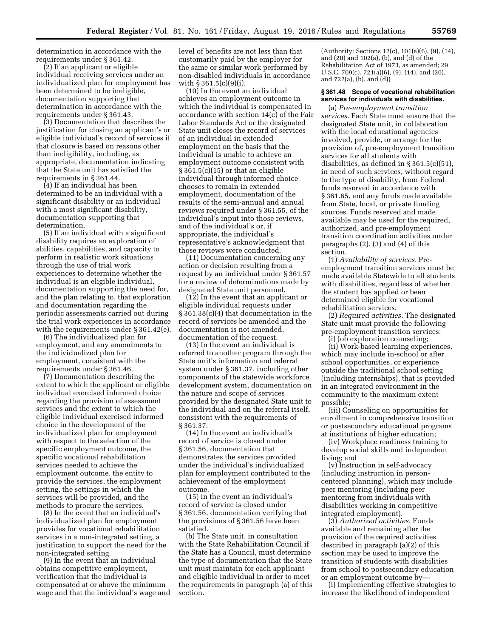determination in accordance with the requirements under § 361.42.

(2) If an applicant or eligible individual receiving services under an individualized plan for employment has been determined to be ineligible, documentation supporting that determination in accordance with the requirements under § 361.43.

(3) Documentation that describes the justification for closing an applicant's or eligible individual's record of services if that closure is based on reasons other than ineligibility, including, as appropriate, documentation indicating that the State unit has satisfied the requirements in § 361.44.

(4) If an individual has been determined to be an individual with a significant disability or an individual with a most significant disability, documentation supporting that determination.

(5) If an individual with a significant disability requires an exploration of abilities, capabilities, and capacity to perform in realistic work situations through the use of trial work experiences to determine whether the individual is an eligible individual, documentation supporting the need for, and the plan relating to, that exploration and documentation regarding the periodic assessments carried out during the trial work experiences in accordance with the requirements under § 361.42(e).

(6) The individualized plan for employment, and any amendments to the individualized plan for employment, consistent with the requirements under § 361.46.

(7) Documentation describing the extent to which the applicant or eligible individual exercised informed choice regarding the provision of assessment services and the extent to which the eligible individual exercised informed choice in the development of the individualized plan for employment with respect to the selection of the specific employment outcome, the specific vocational rehabilitation services needed to achieve the employment outcome, the entity to provide the services, the employment setting, the settings in which the services will be provided, and the methods to procure the services.

(8) In the event that an individual's individualized plan for employment provides for vocational rehabilitation services in a non-integrated setting, a justification to support the need for the non-integrated setting.

(9) In the event that an individual obtains competitive employment, verification that the individual is compensated at or above the minimum wage and that the individual's wage and level of benefits are not less than that customarily paid by the employer for the same or similar work performed by non-disabled individuals in accordance with § 361.5(c)(9)(i).

(10) In the event an individual achieves an employment outcome in which the individual is compensated in accordance with section 14(c) of the Fair Labor Standards Act or the designated State unit closes the record of services of an individual in extended employment on the basis that the individual is unable to achieve an employment outcome consistent with § 361.5(c)(15) or that an eligible individual through informed choice chooses to remain in extended employment, documentation of the results of the semi-annual and annual reviews required under § 361.55, of the individual's input into those reviews, and of the individual's or, if appropriate, the individual's representative's acknowledgment that those reviews were conducted.

(11) Documentation concerning any action or decision resulting from a request by an individual under § 361.57 for a review of determinations made by designated State unit personnel.

(12) In the event that an applicant or eligible individual requests under § 361.38(c)(4) that documentation in the record of services be amended and the documentation is not amended, documentation of the request.

(13) In the event an individual is referred to another program through the State unit's information and referral system under § 361.37, including other components of the statewide workforce development system, documentation on the nature and scope of services provided by the designated State unit to the individual and on the referral itself, consistent with the requirements of § 361.37.

(14) In the event an individual's record of service is closed under § 361.56, documentation that demonstrates the services provided under the individual's individualized plan for employment contributed to the achievement of the employment outcome.

(15) In the event an individual's record of service is closed under § 361.56, documentation verifying that the provisions of § 361.56 have been satisfied.

(b) The State unit, in consultation with the State Rehabilitation Council if the State has a Council, must determine the type of documentation that the State unit must maintain for each applicant and eligible individual in order to meet the requirements in paragraph (a) of this section.

(Authority: Sections 12(c), 101(a)(6), (9), (14), and (20) and 102(a), (b), and (d) of the Rehabilitation Act of 1973, as amended; 29 U.S.C. 709(c), 721(a)(6), (9), (14), and (20), and 722(a), (b), and (d))

# **§ 361.48 Scope of vocational rehabilitation services for individuals with disabilities.**

(a) *Pre-employment transition services.* Each State must ensure that the designated State unit, in collaboration with the local educational agencies involved, provide, or arrange for the provision of, pre-employment transition services for all students with disabilities, as defined in § 361.5(c)(51), in need of such services, without regard to the type of disability, from Federal funds reserved in accordance with § 361.65, and any funds made available from State, local, or private funding sources. Funds reserved and made available may be used for the required, authorized, and pre-employment transition coordination activities under paragraphs (2), (3) and (4) of this section.

(1) *Availability of services.* Preemployment transition services must be made available Statewide to all students with disabilities, regardless of whether the student has applied or been determined eligible for vocational rehabilitation services.

(2) *Required activities.* The designated State unit must provide the following pre-employment transition services:

(i) Job exploration counseling; (ii) Work-based learning experiences, which may include in-school or after school opportunities, or experience outside the traditional school setting (including internships), that is provided in an integrated environment in the community to the maximum extent possible;

(iii) Counseling on opportunities for enrollment in comprehensive transition or postsecondary educational programs at institutions of higher education;

(iv) Workplace readiness training to develop social skills and independent living; and

(v) Instruction in self-advocacy (including instruction in personcentered planning), which may include peer mentoring (including peer mentoring from individuals with disabilities working in competitive integrated employment).

(3) *Authorized activities.* Funds available and remaining after the provision of the required activities described in paragraph (a)(2) of this section may be used to improve the transition of students with disabilities from school to postsecondary education or an employment outcome by—

(i) Implementing effective strategies to increase the likelihood of independent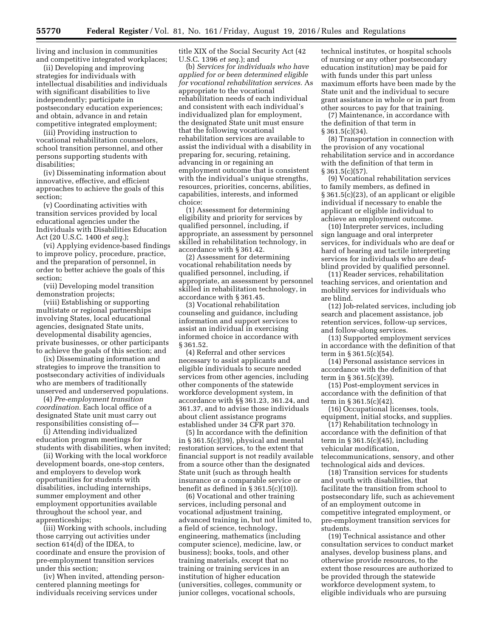living and inclusion in communities and competitive integrated workplaces;

(ii) Developing and improving strategies for individuals with intellectual disabilities and individuals with significant disabilities to live independently; participate in postsecondary education experiences; and obtain, advance in and retain competitive integrated employment;

(iii) Providing instruction to vocational rehabilitation counselors, school transition personnel, and other persons supporting students with disabilities;

(iv) Disseminating information about innovative, effective, and efficient approaches to achieve the goals of this section;

(v) Coordinating activities with transition services provided by local educational agencies under the Individuals with Disabilities Education Act (20 U.S.C. 1400 *et seq.*);

(vi) Applying evidence-based findings to improve policy, procedure, practice, and the preparation of personnel, in order to better achieve the goals of this section;

(vii) Developing model transition demonstration projects;

(viii) Establishing or supporting multistate or regional partnerships involving States, local educational agencies, designated State units, developmental disability agencies, private businesses, or other participants to achieve the goals of this section; and

(ix) Disseminating information and strategies to improve the transition to postsecondary activities of individuals who are members of traditionally unserved and underserved populations.

(4) *Pre-employment transition coordination.* Each local office of a designated State unit must carry out responsibilities consisting of—

(i) Attending individualized education program meetings for students with disabilities, when invited;

(ii) Working with the local workforce development boards, one-stop centers, and employers to develop work opportunities for students with disabilities, including internships, summer employment and other employment opportunities available throughout the school year, and apprenticeships;

(iii) Working with schools, including those carrying out activities under section 614(d) of the IDEA, to coordinate and ensure the provision of pre-employment transition services under this section;

(iv) When invited, attending personcentered planning meetings for individuals receiving services under

title XIX of the Social Security Act (42 U.S.C. 1396 *et seq.*); and

(b) *Services for individuals who have applied for or been determined eligible for vocational rehabilitation services.* As appropriate to the vocational rehabilitation needs of each individual and consistent with each individual's individualized plan for employment, the designated State unit must ensure that the following vocational rehabilitation services are available to assist the individual with a disability in preparing for, securing, retaining, advancing in or regaining an employment outcome that is consistent with the individual's unique strengths, resources, priorities, concerns, abilities, capabilities, interests, and informed choice:

(1) Assessment for determining eligibility and priority for services by qualified personnel, including, if appropriate, an assessment by personnel skilled in rehabilitation technology, in accordance with § 361.42.

(2) Assessment for determining vocational rehabilitation needs by qualified personnel, including, if appropriate, an assessment by personnel skilled in rehabilitation technology, in accordance with § 361.45.

(3) Vocational rehabilitation counseling and guidance, including information and support services to assist an individual in exercising informed choice in accordance with § 361.52.

(4) Referral and other services necessary to assist applicants and eligible individuals to secure needed services from other agencies, including other components of the statewide workforce development system, in accordance with §§ 361.23, 361.24, and 361.37, and to advise those individuals about client assistance programs established under 34 CFR part 370.

(5) In accordance with the definition in § 361.5(c)(39), physical and mental restoration services, to the extent that financial support is not readily available from a source other than the designated State unit (such as through health insurance or a comparable service or benefit as defined in  $\S 361.5(c)(10)$ .

(6) Vocational and other training services, including personal and vocational adjustment training, advanced training in, but not limited to, a field of science, technology, engineering, mathematics (including computer science), medicine, law, or business); books, tools, and other training materials, except that no training or training services in an institution of higher education (universities, colleges, community or junior colleges, vocational schools,

technical institutes, or hospital schools of nursing or any other postsecondary education institution) may be paid for with funds under this part unless maximum efforts have been made by the State unit and the individual to secure grant assistance in whole or in part from other sources to pay for that training.

(7) Maintenance, in accordance with the definition of that term in  $§ 361.5(c)(34).$ 

(8) Transportation in connection with the provision of any vocational rehabilitation service and in accordance with the definition of that term in § 361.5(c)(57).

(9) Vocational rehabilitation services to family members, as defined in § 361.5(c)(23), of an applicant or eligible individual if necessary to enable the applicant or eligible individual to achieve an employment outcome.

(10) Interpreter services, including sign language and oral interpreter services, for individuals who are deaf or hard of hearing and tactile interpreting services for individuals who are deafblind provided by qualified personnel.

(11) Reader services, rehabilitation teaching services, and orientation and mobility services for individuals who are blind.

(12) Job-related services, including job search and placement assistance, job retention services, follow-up services, and follow-along services.

(13) Supported employment services in accordance with the definition of that term in § 361.5(c)(54).

(14) Personal assistance services in accordance with the definition of that term in § 361.5(c)(39).

(15) Post-employment services in accordance with the definition of that term in § 361.5(c)(42).

(16) Occupational licenses, tools, equipment, initial stocks, and supplies.

(17) Rehabilitation technology in accordance with the definition of that term in  $\S 361.5(c)(45)$ , including vehicular modification, telecommunications, sensory, and other technological aids and devices.

(18) Transition services for students and youth with disabilities, that facilitate the transition from school to postsecondary life, such as achievement of an employment outcome in competitive integrated employment, or pre-employment transition services for students.

(19) Technical assistance and other consultation services to conduct market analyses, develop business plans, and otherwise provide resources, to the extent those resources are authorized to be provided through the statewide workforce development system, to eligible individuals who are pursuing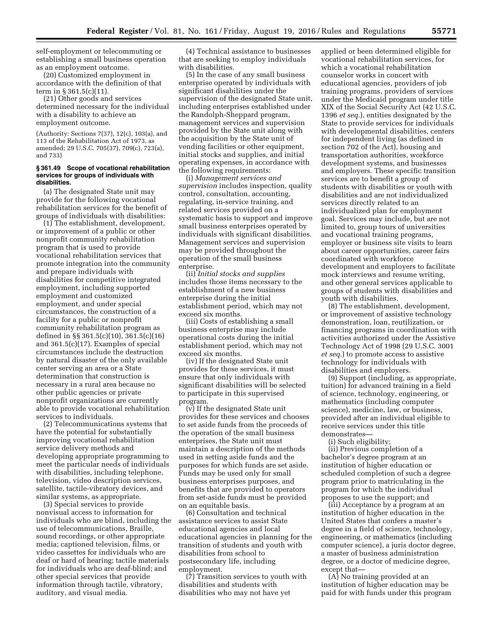self-employment or telecommuting or establishing a small business operation as an employment outcome.

(20) Customized employment in accordance with the definition of that term in § 361.5(c)(11).

(21) Other goods and services determined necessary for the individual with a disability to achieve an employment outcome.

(Authority: Sections 7(37), 12(c), 103(a), and 113 of the Rehabilitation Act of 1973, as amended; 29 U.S.C. 705(37), 709(c), 723(a), and 733)

### **§ 361.49 Scope of vocational rehabilitation services for groups of individuals with disabilities.**

(a) The designated State unit may provide for the following vocational rehabilitation services for the benefit of groups of individuals with disabilities:

(1) The establishment, development, or improvement of a public or other nonprofit community rehabilitation program that is used to provide vocational rehabilitation services that promote integration into the community and prepare individuals with disabilities for competitive integrated employment, including supported employment and customized employment, and under special circumstances, the construction of a facility for a public or nonprofit community rehabilitation program as defined in §§ 361.5(c)(10), 361.5(c)(16) and 361.5(c)(17). Examples of special circumstances include the destruction by natural disaster of the only available center serving an area or a State determination that construction is necessary in a rural area because no other public agencies or private nonprofit organizations are currently able to provide vocational rehabilitation services to individuals.

(2) Telecommunications systems that have the potential for substantially improving vocational rehabilitation service delivery methods and developing appropriate programming to meet the particular needs of individuals with disabilities, including telephone, television, video description services, satellite, tactile-vibratory devices, and similar systems, as appropriate.

(3) Special services to provide nonvisual access to information for individuals who are blind, including the use of telecommunications, Braille, sound recordings, or other appropriate media; captioned television, films, or video cassettes for individuals who are deaf or hard of hearing; tactile materials for individuals who are deaf-blind; and other special services that provide information through tactile, vibratory, auditory, and visual media.

(4) Technical assistance to businesses that are seeking to employ individuals with disabilities.

(5) In the case of any small business enterprise operated by individuals with significant disabilities under the supervision of the designated State unit, including enterprises established under the Randolph-Sheppard program, management services and supervision provided by the State unit along with the acquisition by the State unit of vending facilities or other equipment, initial stocks and supplies, and initial operating expenses, in accordance with the following requirements:

(i) *Management services and supervision* includes inspection, quality control, consultation, accounting, regulating, in-service training, and related services provided on a systematic basis to support and improve small business enterprises operated by individuals with significant disabilities. Management services and supervision may be provided throughout the operation of the small business enterprise.

(ii) *Initial stocks and supplies*  includes those items necessary to the establishment of a new business enterprise during the initial establishment period, which may not exceed six months.

(iii) Costs of establishing a small business enterprise may include operational costs during the initial establishment period, which may not exceed six months.

(iv) If the designated State unit provides for these services, it must ensure that only individuals with significant disabilities will be selected to participate in this supervised program.

(v) If the designated State unit provides for these services and chooses to set aside funds from the proceeds of the operation of the small business enterprises, the State unit must maintain a description of the methods used in setting aside funds and the purposes for which funds are set aside. Funds may be used only for small business enterprises purposes, and benefits that are provided to operators from set-aside funds must be provided on an equitable basis.

(6) Consultation and technical assistance services to assist State educational agencies and local educational agencies in planning for the transition of students and youth with disabilities from school to postsecondary life, including employment.

(7) Transition services to youth with disabilities and students with disabilities who may not have yet

applied or been determined eligible for vocational rehabilitation services, for which a vocational rehabilitation counselor works in concert with educational agencies, providers of job training programs, providers of services under the Medicaid program under title XIX of the Social Security Act (42 U.S.C. 1396 *et seq.*), entities designated by the State to provide services for individuals with developmental disabilities, centers for independent living (as defined in section 702 of the Act), housing and transportation authorities, workforce development systems, and businesses and employers. These specific transition services are to benefit a group of students with disabilities or youth with disabilities and are not individualized services directly related to an individualized plan for employment goal. Services may include, but are not limited to, group tours of universities and vocational training programs, employer or business site visits to learn about career opportunities, career fairs coordinated with workforce development and employers to facilitate mock interviews and resume writing, and other general services applicable to groups of students with disabilities and youth with disabilities.

(8) The establishment, development, or improvement of assistive technology demonstration, loan, reutilization, or financing programs in coordination with activities authorized under the Assistive Technology Act of 1998 (29 U.S.C. 3001 *et seq.*) to promote access to assistive technology for individuals with disabilities and employers.

(9) Support (including, as appropriate, tuition) for advanced training in a field of science, technology, engineering, or mathematics (including computer science), medicine, law, or business, provided after an individual eligible to receive services under this title demonstrates—

(i) Such eligibility;

(ii) Previous completion of a bachelor's degree program at an institution of higher education or scheduled completion of such a degree program prior to matriculating in the program for which the individual proposes to use the support; and

(iii) Acceptance by a program at an institution of higher education in the United States that confers a master's degree in a field of science, technology, engineering, or mathematics (including computer science), a juris doctor degree, a master of business administration degree, or a doctor of medicine degree, except that—

(A) No training provided at an institution of higher education may be paid for with funds under this program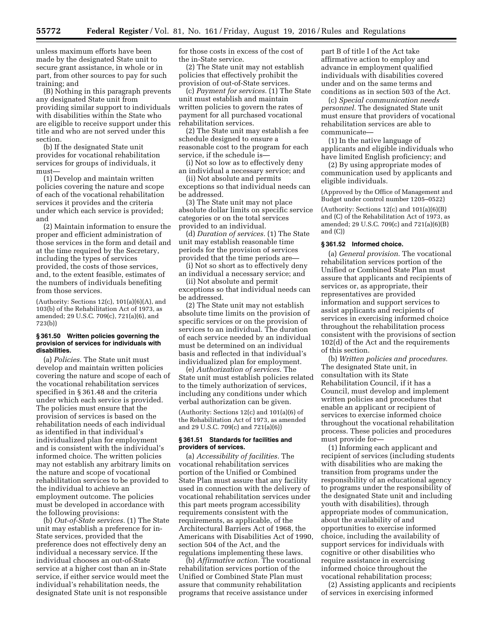unless maximum efforts have been made by the designated State unit to secure grant assistance, in whole or in part, from other sources to pay for such training; and

(B) Nothing in this paragraph prevents any designated State unit from providing similar support to individuals with disabilities within the State who are eligible to receive support under this title and who are not served under this section.

(b) If the designated State unit provides for vocational rehabilitation services for groups of individuals, it must—

(1) Develop and maintain written policies covering the nature and scope of each of the vocational rehabilitation services it provides and the criteria under which each service is provided; and

(2) Maintain information to ensure the proper and efficient administration of those services in the form and detail and at the time required by the Secretary, including the types of services provided, the costs of those services, and, to the extent feasible, estimates of the numbers of individuals benefiting from those services.

(Authority: Sections 12(c), 101(a)(6)(A), and 103(b) of the Rehabilitation Act of 1973, as amended; 29 U.S.C. 709(c), 721(a)(6), and 723(b))

### **§ 361.50 Written policies governing the provision of services for individuals with disabilities.**

(a) *Policies.* The State unit must develop and maintain written policies covering the nature and scope of each of the vocational rehabilitation services specified in § 361.48 and the criteria under which each service is provided. The policies must ensure that the provision of services is based on the rehabilitation needs of each individual as identified in that individual's individualized plan for employment and is consistent with the individual's informed choice. The written policies may not establish any arbitrary limits on the nature and scope of vocational rehabilitation services to be provided to the individual to achieve an employment outcome. The policies must be developed in accordance with the following provisions:

(b) *Out-of-State services.* (1) The State unit may establish a preference for in-State services, provided that the preference does not effectively deny an individual a necessary service. If the individual chooses an out-of-State service at a higher cost than an in-State service, if either service would meet the individual's rehabilitation needs, the designated State unit is not responsible

for those costs in excess of the cost of the in-State service.

(2) The State unit may not establish policies that effectively prohibit the provision of out-of-State services.

(c) *Payment for services.* (1) The State unit must establish and maintain written policies to govern the rates of payment for all purchased vocational rehabilitation services.

(2) The State unit may establish a fee schedule designed to ensure a reasonable cost to the program for each service, if the schedule is—

(i) Not so low as to effectively deny an individual a necessary service; and

(ii) Not absolute and permits exceptions so that individual needs can be addressed.

(3) The State unit may not place absolute dollar limits on specific service categories or on the total services provided to an individual.

(d) *Duration of services.* (1) The State unit may establish reasonable time periods for the provision of services provided that the time periods are—

(i) Not so short as to effectively deny an individual a necessary service; and

(ii) Not absolute and permit exceptions so that individual needs can be addressed.

(2) The State unit may not establish absolute time limits on the provision of specific services or on the provision of services to an individual. The duration of each service needed by an individual must be determined on an individual basis and reflected in that individual's individualized plan for employment.

(e) *Authorization of services.* The State unit must establish policies related to the timely authorization of services, including any conditions under which verbal authorization can be given.

(Authority: Sections 12(c) and 101(a)(6) of the Rehabilitation Act of 1973, as amended and 29 U.S.C. 709(c) and 721(a)(6))

# **§ 361.51 Standards for facilities and providers of services.**

(a) *Accessibility of facilities.* The vocational rehabilitation services portion of the Unified or Combined State Plan must assure that any facility used in connection with the delivery of vocational rehabilitation services under this part meets program accessibility requirements consistent with the requirements, as applicable, of the Architectural Barriers Act of 1968, the Americans with Disabilities Act of 1990, section 504 of the Act, and the regulations implementing these laws.

(b) *Affirmative action.* The vocational rehabilitation services portion of the Unified or Combined State Plan must assure that community rehabilitation programs that receive assistance under

part B of title I of the Act take affirmative action to employ and advance in employment qualified individuals with disabilities covered under and on the same terms and conditions as in section 503 of the Act.

(c) *Special communication needs personnel.* The designated State unit must ensure that providers of vocational rehabilitation services are able to communicate—

(1) In the native language of applicants and eligible individuals who have limited English proficiency; and

(2) By using appropriate modes of communication used by applicants and eligible individuals.

(Approved by the Office of Management and Budget under control number 1205–0522)

(Authority: Sections  $12(c)$  and  $101(a)(6)(B)$ and (C) of the Rehabilitation Act of 1973, as amended; 29 U.S.C. 709(c) and 721(a)(6)(B) and (C))

#### **§ 361.52 Informed choice.**

(a) *General provision.* The vocational rehabilitation services portion of the Unified or Combined State Plan must assure that applicants and recipients of services or, as appropriate, their representatives are provided information and support services to assist applicants and recipients of services in exercising informed choice throughout the rehabilitation process consistent with the provisions of section 102(d) of the Act and the requirements of this section.

(b) *Written policies and procedures.*  The designated State unit, in consultation with its State Rehabilitation Council, if it has a Council, must develop and implement written policies and procedures that enable an applicant or recipient of services to exercise informed choice throughout the vocational rehabilitation process. These policies and procedures must provide for—

(1) Informing each applicant and recipient of services (including students with disabilities who are making the transition from programs under the responsibility of an educational agency to programs under the responsibility of the designated State unit and including youth with disabilities), through appropriate modes of communication, about the availability of and opportunities to exercise informed choice, including the availability of support services for individuals with cognitive or other disabilities who require assistance in exercising informed choice throughout the vocational rehabilitation process;

(2) Assisting applicants and recipients of services in exercising informed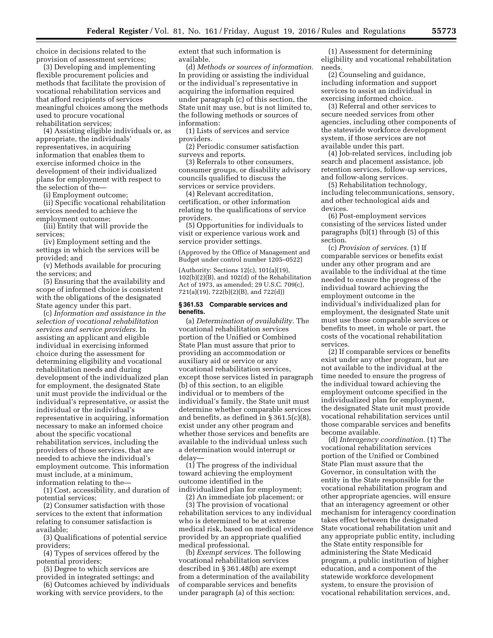choice in decisions related to the provision of assessment services;

(3) Developing and implementing flexible procurement policies and methods that facilitate the provision of vocational rehabilitation services and that afford recipients of services meaningful choices among the methods used to procure vocational rehabilitation services;

(4) Assisting eligible individuals or, as appropriate, the individuals' representatives, in acquiring information that enables them to exercise informed choice in the development of their individualized plans for employment with respect to the selection of the—

(i) Employment outcome;

(ii) Specific vocational rehabilitation services needed to achieve the employment outcome;

(iii) Entity that will provide the services;

(iv) Employment setting and the settings in which the services will be provided; and

(v) Methods available for procuring the services; and

(5) Ensuring that the availability and scope of informed choice is consistent with the obligations of the designated State agency under this part.

(c) *Information and assistance in the selection of vocational rehabilitation services and service providers.* In assisting an applicant and eligible individual in exercising informed choice during the assessment for determining eligibility and vocational rehabilitation needs and during development of the individualized plan for employment, the designated State unit must provide the individual or the individual's representative, or assist the individual or the individual's representative in acquiring, information necessary to make an informed choice about the specific vocational rehabilitation services, including the providers of those services, that are needed to achieve the individual's employment outcome. This information must include, at a minimum, information relating to the—

(1) Cost, accessibility, and duration of potential services;

(2) Consumer satisfaction with those services to the extent that information relating to consumer satisfaction is available;

(3) Qualifications of potential service providers;

(4) Types of services offered by the potential providers;

(5) Degree to which services are provided in integrated settings; and

(6) Outcomes achieved by individuals working with service providers, to the

extent that such information is available.

(d) *Methods or sources of information.*  In providing or assisting the individual or the individual's representative in acquiring the information required under paragraph (c) of this section, the State unit may use, but is not limited to, the following methods or sources of information:

(1) Lists of services and service providers.

(2) Periodic consumer satisfaction surveys and reports.

(3) Referrals to other consumers, consumer groups, or disability advisory councils qualified to discuss the services or service providers.

(4) Relevant accreditation, certification, or other information relating to the qualifications of service providers.

(5) Opportunities for individuals to visit or experience various work and service provider settings.

(Approved by the Office of Management and Budget under control number 1205–0522)

(Authority: Sections 12(c), 101(a)(19), 102(b)(2)(B), and 102(d) of the Rehabilitation Act of 1973, as amended; 29 U.S.C. 709(c), 721(a)(19), 722(b)(2)(B), and 722(d))

#### **§ 361.53 Comparable services and benefits.**

(a) *Determination of availability.* The vocational rehabilitation services portion of the Unified or Combined State Plan must assure that prior to providing an accommodation or auxiliary aid or service or any vocational rehabilitation services, except those services listed in paragraph (b) of this section, to an eligible individual or to members of the individual's family, the State unit must determine whether comparable services and benefits, as defined in § 361.5(c)(8), exist under any other program and whether those services and benefits are available to the individual unless such a determination would interrupt or delay—

(1) The progress of the individual toward achieving the employment outcome identified in the individualized plan for employment;

(2) An immediate job placement; or

(3) The provision of vocational rehabilitation services to any individual who is determined to be at extreme medical risk, based on medical evidence provided by an appropriate qualified medical professional.

(b) *Exempt services.* The following vocational rehabilitation services described in § 361.48(b) are exempt from a determination of the availability of comparable services and benefits under paragraph (a) of this section:

(1) Assessment for determining eligibility and vocational rehabilitation needs.

(2) Counseling and guidance, including information and support services to assist an individual in exercising informed choice.

(3) Referral and other services to secure needed services from other agencies, including other components of the statewide workforce development system, if those services are not available under this part.

(4) Job-related services, including job search and placement assistance, job retention services, follow-up services, and follow-along services.

(5) Rehabilitation technology, including telecommunications, sensory, and other technological aids and devices.

(6) Post-employment services consisting of the services listed under paragraphs (b)(1) through (5) of this section.

(c) *Provision of services.* (1) If comparable services or benefits exist under any other program and are available to the individual at the time needed to ensure the progress of the individual toward achieving the employment outcome in the individual's individualized plan for employment, the designated State unit must use those comparable services or benefits to meet, in whole or part, the costs of the vocational rehabilitation services.

(2) If comparable services or benefits exist under any other program, but are not available to the individual at the time needed to ensure the progress of the individual toward achieving the employment outcome specified in the individualized plan for employment, the designated State unit must provide vocational rehabilitation services until those comparable services and benefits become available.

(d) *Interagency coordination.* (1) The vocational rehabilitation services portion of the Unified or Combined State Plan must assure that the Governor, in consultation with the entity in the State responsible for the vocational rehabilitation program and other appropriate agencies, will ensure that an interagency agreement or other mechanism for interagency coordination takes effect between the designated State vocational rehabilitation unit and any appropriate public entity, including the State entity responsible for administering the State Medicaid program, a public institution of higher education, and a component of the statewide workforce development system, to ensure the provision of vocational rehabilitation services, and,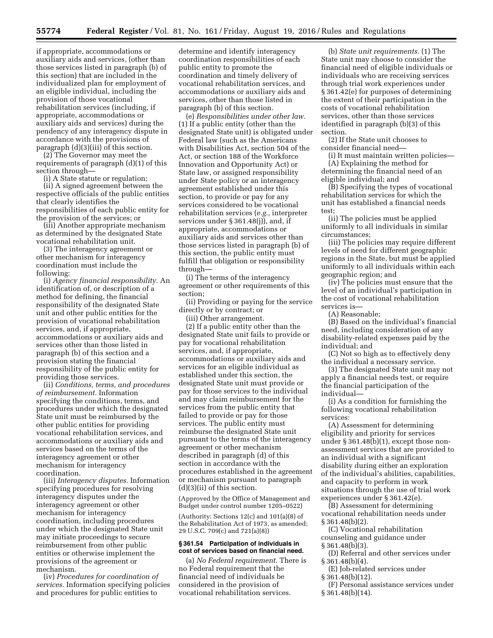if appropriate, accommodations or auxiliary aids and services, (other than those services listed in paragraph (b) of this section) that are included in the individualized plan for employment of an eligible individual, including the provision of those vocational rehabilitation services (including, if appropriate, accommodations or auxiliary aids and services) during the pendency of any interagency dispute in accordance with the provisions of paragraph (d)(3)(iii) of this section.

(2) The Governor may meet the requirements of paragraph (d)(1) of this section through—

(i) A State statute or regulation;

(ii) A signed agreement between the respective officials of the public entities that clearly identifies the responsibilities of each public entity for the provision of the services; or

(iii) Another appropriate mechanism as determined by the designated State vocational rehabilitation unit.

(3) The interagency agreement or other mechanism for interagency coordination must include the following:

(i) *Agency financial responsibility.* An identification of, or description of a method for defining, the financial responsibility of the designated State unit and other public entities for the provision of vocational rehabilitation services, and, if appropriate, accommodations or auxiliary aids and services other than those listed in paragraph (b) of this section and a provision stating the financial responsibility of the public entity for providing those services.

(ii) *Conditions, terms, and procedures of reimbursement.* Information specifying the conditions, terms, and procedures under which the designated State unit must be reimbursed by the other public entities for providing vocational rehabilitation services, and accommodations or auxiliary aids and services based on the terms of the interagency agreement or other mechanism for interagency coordination.

(iii) *Interagency disputes.* Information specifying procedures for resolving interagency disputes under the interagency agreement or other mechanism for interagency coordination, including procedures under which the designated State unit may initiate proceedings to secure reimbursement from other public entities or otherwise implement the provisions of the agreement or mechanism.

(iv) *Procedures for coordination of services.* Information specifying policies and procedures for public entities to

determine and identify interagency coordination responsibilities of each public entity to promote the coordination and timely delivery of vocational rehabilitation services, and accommodations or auxiliary aids and services, other than those listed in paragraph (b) of this section.

(e) *Responsibilities under other law.*  (1) If a public entity (other than the designated State unit) is obligated under Federal law (such as the Americans with Disabilities Act, section 504 of the Act, or section 188 of the Workforce Innovation and Opportunity Act) or State law, or assigned responsibility under State policy or an interagency agreement established under this section, to provide or pay for any services considered to be vocational rehabilitation services (*e.g.,* interpreter services under § 361.48(j)), and, if appropriate, accommodations or auxiliary aids and services other than those services listed in paragraph (b) of this section, the public entity must fulfill that obligation or responsibility through—

(i) The terms of the interagency agreement or other requirements of this section;

(ii) Providing or paying for the service directly or by contract; or

(iii) Other arrangement.

(2) If a public entity other than the designated State unit fails to provide or pay for vocational rehabilitation services, and, if appropriate, accommodations or auxiliary aids and services for an eligible individual as established under this section, the designated State unit must provide or pay for those services to the individual and may claim reimbursement for the services from the public entity that failed to provide or pay for those services. The public entity must reimburse the designated State unit pursuant to the terms of the interagency agreement or other mechanism described in paragraph (d) of this section in accordance with the procedures established in the agreement or mechanism pursuant to paragraph (d)(3)(ii) of this section.

(Approved by the Office of Management and Budget under control number 1205–0522)

(Authority: Sections 12(c) and 101(a)(8) of the Rehabilitation Act of 1973, as amended; 29 U.S.C. 709(c) and 721(a)(8))

# **§ 361.54 Participation of individuals in cost of services based on financial need.**

(a) *No Federal requirement.* There is no Federal requirement that the financial need of individuals be considered in the provision of vocational rehabilitation services.

(b) *State unit requirements.* (1) The State unit may choose to consider the financial need of eligible individuals or individuals who are receiving services through trial work experiences under § 361.42(e) for purposes of determining the extent of their participation in the costs of vocational rehabilitation services, other than those services identified in paragraph (b)(3) of this section.

(2) If the State unit chooses to consider financial need—

(i) It must maintain written policies— (A) Explaining the method for determining the financial need of an

eligible individual; and (B) Specifying the types of vocational rehabilitation services for which the

unit has established a financial needs test; (ii) The policies must be applied

uniformly to all individuals in similar circumstances;

(iii) The policies may require different levels of need for different geographic regions in the State, but must be applied uniformly to all individuals within each geographic region; and

(iv) The policies must ensure that the level of an individual's participation in the cost of vocational rehabilitation services is—

(A) Reasonable;

(B) Based on the individual's financial need, including consideration of any disability-related expenses paid by the individual; and

(C) Not so high as to effectively deny the individual a necessary service.

(3) The designated State unit may not apply a financial needs test, or require the financial participation of the individual—

(i) As a condition for furnishing the following vocational rehabilitation services:

(A) Assessment for determining eligibility and priority for services under § 361.48(b)(1), except those nonassessment services that are provided to an individual with a significant disability during either an exploration of the individual's abilities, capabilities, and capacity to perform in work situations through the use of trial work experiences under § 361.42(e).

(B) Assessment for determining vocational rehabilitation needs under § 361.48(b)(2).

(C) Vocational rehabilitation counseling and guidance under § 361.48(b)(3).

(D) Referral and other services under  $§ 361.48(b)(4).$ 

(E) Job-related services under

§ 361.48(b)(12).

(F) Personal assistance services under § 361.48(b)(14).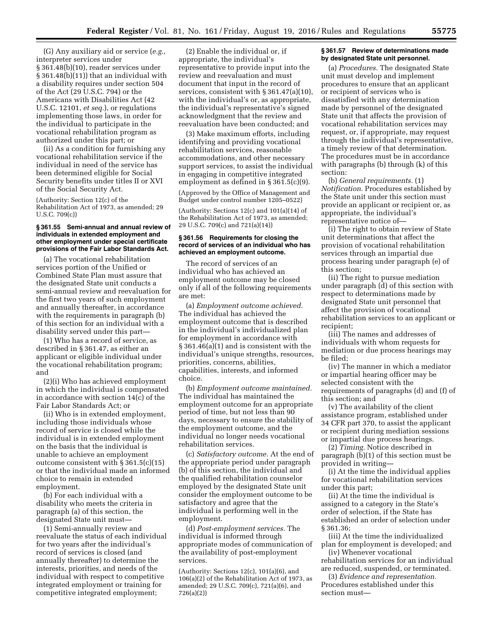(G) Any auxiliary aid or service (*e.g.,*  interpreter services under § 361.48(b)(10), reader services under § 361.48(b)(11)) that an individual with a disability requires under section 504 of the Act (29 U.S.C. 794) or the Americans with Disabilities Act (42 U.S.C. 12101, *et seq.*), or regulations implementing those laws, in order for the individual to participate in the vocational rehabilitation program as authorized under this part; or

(ii) As a condition for furnishing any vocational rehabilitation service if the individual in need of the service has been determined eligible for Social Security benefits under titles II or XVI of the Social Security Act.

(Authority: Section 12(c) of the Rehabilitation Act of 1973, as amended; 29 U.S.C. 709(c))

#### **§ 361.55 Semi-annual and annual review of individuals in extended employment and other employment under special certificate provisions of the Fair Labor Standards Act.**

(a) The vocational rehabilitation services portion of the Unified or Combined State Plan must assure that the designated State unit conducts a semi-annual review and reevaluation for the first two years of such employment and annually thereafter, in accordance with the requirements in paragraph (b) of this section for an individual with a disability served under this part—

(1) Who has a record of service, as described in § 361.47, as either an applicant or eligible individual under the vocational rehabilitation program; and

(2)(i) Who has achieved employment in which the individual is compensated in accordance with section  $14(\overline{c})$  of the Fair Labor Standards Act; or

(ii) Who is in extended employment, including those individuals whose record of service is closed while the individual is in extended employment on the basis that the individual is unable to achieve an employment outcome consistent with § 361.5(c)(15) or that the individual made an informed choice to remain in extended employment.

(b) For each individual with a disability who meets the criteria in paragraph (a) of this section, the designated State unit must—

(1) Semi-annually review and reevaluate the status of each individual for two years after the individual's record of services is closed (and annually thereafter) to determine the interests, priorities, and needs of the individual with respect to competitive integrated employment or training for competitive integrated employment;

(2) Enable the individual or, if appropriate, the individual's representative to provide input into the review and reevaluation and must document that input in the record of services, consistent with § 361.47(a)(10), with the individual's or, as appropriate, the individual's representative's signed acknowledgment that the review and reevaluation have been conducted; and

(3) Make maximum efforts, including identifying and providing vocational rehabilitation services, reasonable accommodations, and other necessary support services, to assist the individual in engaging in competitive integrated employment as defined in § 361.5(c)(9).

(Approved by the Office of Management and Budget under control number 1205–0522)

(Authority: Sections 12(c) and 101(a)(14) of the Rehabilitation Act of 1973, as amended; 29 U.S.C. 709(c) and 721(a)(14))

### **§ 361.56 Requirements for closing the record of services of an individual who has achieved an employment outcome.**

The record of services of an individual who has achieved an employment outcome may be closed only if all of the following requirements are met:

(a) *Employment outcome achieved.*  The individual has achieved the employment outcome that is described in the individual's individualized plan for employment in accordance with § 361.46(a)(1) and is consistent with the individual's unique strengths, resources, priorities, concerns, abilities, capabilities, interests, and informed choice.

(b) *Employment outcome maintained.*  The individual has maintained the employment outcome for an appropriate period of time, but not less than 90 days, necessary to ensure the stability of the employment outcome, and the individual no longer needs vocational rehabilitation services.

(c) *Satisfactory outcome.* At the end of the appropriate period under paragraph (b) of this section, the individual and the qualified rehabilitation counselor employed by the designated State unit consider the employment outcome to be satisfactory and agree that the individual is performing well in the employment.

(d) *Post-employment services.* The individual is informed through appropriate modes of communication of the availability of post-employment services.

(Authority: Sections 12(c), 101(a)(6), and 106(a)(2) of the Rehabilitation Act of 1973, as amended; 29 U.S.C. 709(c), 721(a)(6), and 726(a)(2))

### **§ 361.57 Review of determinations made by designated State unit personnel.**

(a) *Procedures.* The designated State unit must develop and implement procedures to ensure that an applicant or recipient of services who is dissatisfied with any determination made by personnel of the designated State unit that affects the provision of vocational rehabilitation services may request, or, if appropriate, may request through the individual's representative, a timely review of that determination. The procedures must be in accordance with paragraphs (b) through (k) of this section:

(b) *General requirements.* (1) *Notification.* Procedures established by the State unit under this section must provide an applicant or recipient or, as appropriate, the individual's representative notice of—

(i) The right to obtain review of State unit determinations that affect the provision of vocational rehabilitation services through an impartial due process hearing under paragraph (e) of this section;

(ii) The right to pursue mediation under paragraph (d) of this section with respect to determinations made by designated State unit personnel that affect the provision of vocational rehabilitation services to an applicant or recipient;

(iii) The names and addresses of individuals with whom requests for mediation or due process hearings may be filed;

(iv) The manner in which a mediator or impartial hearing officer may be selected consistent with the requirements of paragraphs (d) and (f) of this section; and

(v) The availability of the client assistance program, established under 34 CFR part 370, to assist the applicant or recipient during mediation sessions or impartial due process hearings.

(2) *Timing.* Notice described in paragraph (b)(1) of this section must be provided in writing—

(i) At the time the individual applies for vocational rehabilitation services under this part;

(ii) At the time the individual is assigned to a category in the State's order of selection, if the State has established an order of selection under § 361.36;

(iii) At the time the individualized plan for employment is developed; and

(iv) Whenever vocational rehabilitation services for an individual are reduced, suspended, or terminated.

(3) *Evidence and representation.*  Procedures established under this section must—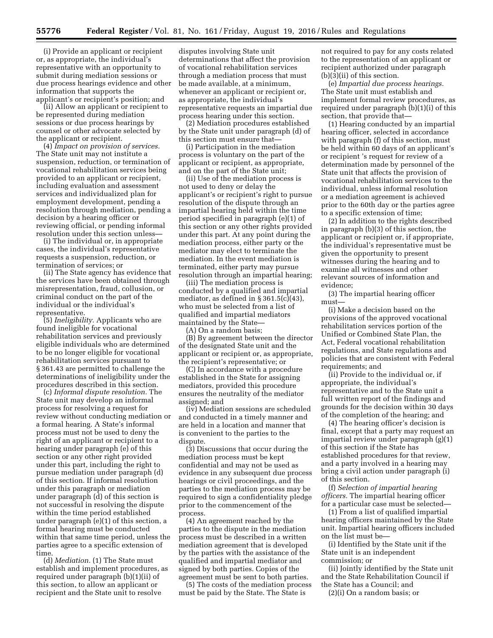(i) Provide an applicant or recipient or, as appropriate, the individual's representative with an opportunity to submit during mediation sessions or due process hearings evidence and other information that supports the applicant's or recipient's position; and

(ii) Allow an applicant or recipient to be represented during mediation sessions or due process hearings by counsel or other advocate selected by the applicant or recipient.

(4) *Impact on provision of services.*  The State unit may not institute a suspension, reduction, or termination of vocational rehabilitation services being provided to an applicant or recipient, including evaluation and assessment services and individualized plan for employment development, pending a resolution through mediation, pending a decision by a hearing officer or reviewing official, or pending informal resolution under this section unless—

(i) The individual or, in appropriate cases, the individual's representative requests a suspension, reduction, or termination of services; or

(ii) The State agency has evidence that the services have been obtained through misrepresentation, fraud, collusion, or criminal conduct on the part of the individual or the individual's representative.

(5) *Ineligibility.* Applicants who are found ineligible for vocational rehabilitation services and previously eligible individuals who are determined to be no longer eligible for vocational rehabilitation services pursuant to § 361.43 are permitted to challenge the determinations of ineligibility under the procedures described in this section.

(c) *Informal dispute resolution.* The State unit may develop an informal process for resolving a request for review without conducting mediation or a formal hearing. A State's informal process must not be used to deny the right of an applicant or recipient to a hearing under paragraph (e) of this section or any other right provided under this part, including the right to pursue mediation under paragraph (d) of this section. If informal resolution under this paragraph or mediation under paragraph (d) of this section is not successful in resolving the dispute within the time period established under paragraph (e)(1) of this section, a formal hearing must be conducted within that same time period, unless the parties agree to a specific extension of time.

(d) *Mediation.* (1) The State must establish and implement procedures, as required under paragraph (b)(1)(ii) of this section, to allow an applicant or recipient and the State unit to resolve

disputes involving State unit determinations that affect the provision of vocational rehabilitation services through a mediation process that must be made available, at a minimum, whenever an applicant or recipient or, as appropriate, the individual's representative requests an impartial due process hearing under this section.

(2) Mediation procedures established by the State unit under paragraph (d) of this section must ensure that—

(i) Participation in the mediation process is voluntary on the part of the applicant or recipient, as appropriate, and on the part of the State unit;

(ii) Use of the mediation process is not used to deny or delay the applicant's or recipient's right to pursue resolution of the dispute through an impartial hearing held within the time period specified in paragraph (e)(1) of this section or any other rights provided under this part. At any point during the mediation process, either party or the mediator may elect to terminate the mediation. In the event mediation is terminated, either party may pursue resolution through an impartial hearing;

(iii) The mediation process is conducted by a qualified and impartial mediator, as defined in  $\S 361.5(c)(43)$ , who must be selected from a list of qualified and impartial mediators maintained by the State—

(A) On a random basis;

(B) By agreement between the director of the designated State unit and the applicant or recipient or, as appropriate, the recipient's representative; or

(C) In accordance with a procedure established in the State for assigning mediators, provided this procedure ensures the neutrality of the mediator assigned; and

(iv) Mediation sessions are scheduled and conducted in a timely manner and are held in a location and manner that is convenient to the parties to the dispute.

(3) Discussions that occur during the mediation process must be kept confidential and may not be used as evidence in any subsequent due process hearings or civil proceedings, and the parties to the mediation process may be required to sign a confidentiality pledge prior to the commencement of the process.

(4) An agreement reached by the parties to the dispute in the mediation process must be described in a written mediation agreement that is developed by the parties with the assistance of the qualified and impartial mediator and signed by both parties. Copies of the agreement must be sent to both parties.

(5) The costs of the mediation process must be paid by the State. The State is

not required to pay for any costs related to the representation of an applicant or recipient authorized under paragraph (b)(3)(ii) of this section.

(e) *Impartial due process hearings.*  The State unit must establish and implement formal review procedures, as required under paragraph (b)(1)(i) of this section, that provide that—

(1) Hearing conducted by an impartial hearing officer, selected in accordance with paragraph (f) of this section, must be held within 60 days of an applicant's or recipient 's request for review of a determination made by personnel of the State unit that affects the provision of vocational rehabilitation services to the individual, unless informal resolution or a mediation agreement is achieved prior to the 60th day or the parties agree to a specific extension of time;

(2) In addition to the rights described in paragraph (b)(3) of this section, the applicant or recipient or, if appropriate, the individual's representative must be given the opportunity to present witnesses during the hearing and to examine all witnesses and other relevant sources of information and evidence;

(3) The impartial hearing officer must—

(i) Make a decision based on the provisions of the approved vocational rehabilitation services portion of the Unified or Combined State Plan, the Act, Federal vocational rehabilitation regulations, and State regulations and policies that are consistent with Federal requirements; and

(ii) Provide to the individual or, if appropriate, the individual's representative and to the State unit a full written report of the findings and grounds for the decision within 30 days of the completion of the hearing; and

(4) The hearing officer's decision is final, except that a party may request an impartial review under paragraph (g)(1) of this section if the State has established procedures for that review, and a party involved in a hearing may bring a civil action under paragraph (i) of this section.

(f) *Selection of impartial hearing officers.* The impartial hearing officer for a particular case must be selected—

(1) From a list of qualified impartial hearing officers maintained by the State unit. Impartial hearing officers included on the list must be—

(i) Identified by the State unit if the State unit is an independent commission; or

(ii) Jointly identified by the State unit and the State Rehabilitation Council if the State has a Council; and

(2)(i) On a random basis; or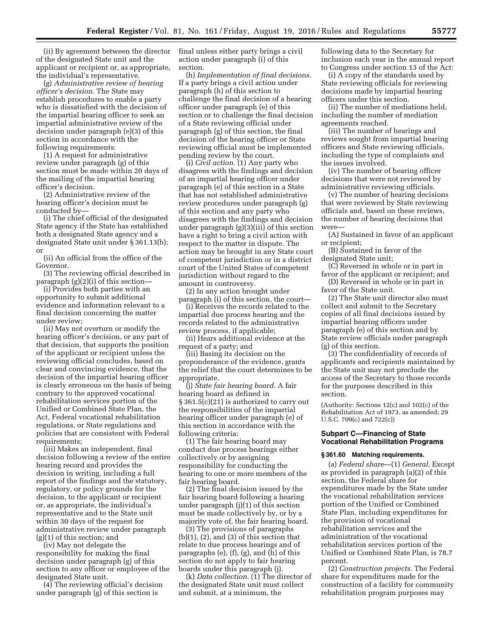(ii) By agreement between the director of the designated State unit and the applicant or recipient or, as appropriate, the individual's representative.

(g) *Administrative review of hearing officer's decision.* The State may establish procedures to enable a party who is dissatisfied with the decision of the impartial hearing officer to seek an impartial administrative review of the decision under paragraph (e)(3) of this section in accordance with the following requirements:

(1) A request for administrative review under paragraph (g) of this section must be made within 20 days of the mailing of the impartial hearing officer's decision.

(2) Administrative review of the hearing officer's decision must be conducted by—

(i) The chief official of the designated State agency if the State has established both a designated State agency and a designated State unit under § 361.13(b); or

(ii) An official from the office of the Governor.

(3) The reviewing official described in paragraph (g)(2)(i) of this section—

(i) Provides both parties with an opportunity to submit additional evidence and information relevant to a final decision concerning the matter under review;

(ii) May not overturn or modify the hearing officer's decision, or any part of that decision, that supports the position of the applicant or recipient unless the reviewing official concludes, based on clear and convincing evidence, that the decision of the impartial hearing officer is clearly erroneous on the basis of being contrary to the approved vocational rehabilitation services portion of the Unified or Combined State Plan, the Act, Federal vocational rehabilitation regulations, or State regulations and policies that are consistent with Federal requirements;

(iii) Makes an independent, final decision following a review of the entire hearing record and provides the decision in writing, including a full report of the findings and the statutory, regulatory, or policy grounds for the decision, to the applicant or recipient or, as appropriate, the individual's representative and to the State unit within 30 days of the request for administrative review under paragraph (g)(1) of this section; and

(iv) May not delegate the responsibility for making the final decision under paragraph (g) of this section to any officer or employee of the designated State unit.

(4) The reviewing official's decision under paragraph (g) of this section is

final unless either party brings a civil action under paragraph (i) of this section.

(h) *Implementation of final decisions.*  If a party brings a civil action under paragraph (h) of this section to challenge the final decision of a hearing officer under paragraph (e) of this section or to challenge the final decision of a State reviewing official under paragraph (g) of this section, the final decision of the hearing officer or State reviewing official must be implemented pending review by the court.

(i) *Civil action.* (1) Any party who disagrees with the findings and decision of an impartial hearing officer under paragraph (e) of this section in a State that has not established administrative review procedures under paragraph (g) of this section and any party who disagrees with the findings and decision under paragraph (g)(3)(iii) of this section have a right to bring a civil action with respect to the matter in dispute. The action may be brought in any State court of competent jurisdiction or in a district court of the United States of competent jurisdiction without regard to the amount in controversy.

(2) In any action brought under paragraph (i) of this section, the court—

(i) Receives the records related to the impartial due process hearing and the records related to the administrative review process, if applicable;

(ii) Hears additional evidence at the request of a party; and

(iii) Basing its decision on the preponderance of the evidence, grants the relief that the court determines to be appropriate.

(j) *State fair hearing board.* A fair hearing board as defined in § 361.5(c)(21) is authorized to carry out the responsibilities of the impartial hearing officer under paragraph (e) of this section in accordance with the following criteria:

(1) The fair hearing board may conduct due process hearings either collectively or by assigning responsibility for conducting the hearing to one or more members of the fair hearing board.

(2) The final decision issued by the fair hearing board following a hearing under paragraph (j)(1) of this section must be made collectively by, or by a majority vote of, the fair hearing board.

(3) The provisions of paragraphs  $(b)(1)$ ,  $(2)$ , and  $(3)$  of this section that relate to due process hearings and of paragraphs (e), (f), (g), and (h) of this section do not apply to fair hearing boards under this paragraph (j).

(k) *Data collection.* (1) The director of the designated State unit must collect and submit, at a minimum, the

following data to the Secretary for inclusion each year in the annual report to Congress under section 13 of the Act:

(i) A copy of the standards used by State reviewing officials for reviewing decisions made by impartial hearing officers under this section.

(ii) The number of mediations held, including the number of mediation agreements reached.

(iii) The number of hearings and reviews sought from impartial hearing officers and State reviewing officials, including the type of complaints and the issues involved.

(iv) The number of hearing officer decisions that were not reviewed by administrative reviewing officials.

(v) The number of hearing decisions that were reviewed by State reviewing officials and, based on these reviews, the number of hearing decisions that were—

(A) Sustained in favor of an applicant or recipient;

(B) Sustained in favor of the designated State unit;

(C) Reversed in whole or in part in favor of the applicant or recipient; and

(D) Reversed in whole or in part in favor of the State unit.

(2) The State unit director also must collect and submit to the Secretary copies of all final decisions issued by impartial hearing officers under paragraph (e) of this section and by State review officials under paragraph (g) of this section.

(3) The confidentiality of records of applicants and recipients maintained by the State unit may not preclude the access of the Secretary to those records for the purposes described in this section.

(Authority: Sections 12(c) and 102(c) of the Rehabilitation Act of 1973, as amended; 29 U.S.C. 709(c) and 722(c))

# **Subpart C—Financing of State Vocational Rehabilitation Programs**

### **§ 361.60 Matching requirements.**

(a) *Federal share*—(1) *General.* Except as provided in paragraph (a)(2) of this section, the Federal share for expenditures made by the State under the vocational rehabilitation services portion of the Unified or Combined State Plan, including expenditures for the provision of vocational rehabilitation services and the administration of the vocational rehabilitation services portion of the Unified or Combined State Plan, is 78.7 percent.

(2) *Construction projects.* The Federal share for expenditures made for the construction of a facility for community rehabilitation program purposes may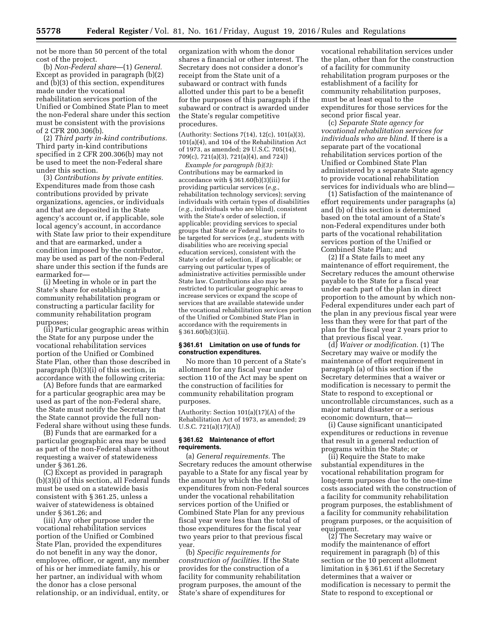not be more than 50 percent of the total cost of the project.

(b) *Non-Federal share*—(1) *General.*  Except as provided in paragraph (b)(2) and (b)(3) of this section, expenditures made under the vocational rehabilitation services portion of the Unified or Combined State Plan to meet the non-Federal share under this section must be consistent with the provisions of 2 CFR 200.306(b).

(2) *Third party in-kind contributions.*  Third party in-kind contributions specified in 2 CFR 200.306(b) may not be used to meet the non-Federal share under this section.

(3) *Contributions by private entities.*  Expenditures made from those cash contributions provided by private organizations, agencies, or individuals and that are deposited in the State agency's account or, if applicable, sole local agency's account, in accordance with State law prior to their expenditure and that are earmarked, under a condition imposed by the contributor, may be used as part of the non-Federal share under this section if the funds are earmarked for—

(i) Meeting in whole or in part the State's share for establishing a community rehabilitation program or constructing a particular facility for community rehabilitation program purposes;

(ii) Particular geographic areas within the State for any purpose under the vocational rehabilitation services portion of the Unified or Combined State Plan, other than those described in paragraph (b)(3)(i) of this section, in accordance with the following criteria:

(A) Before funds that are earmarked for a particular geographic area may be used as part of the non-Federal share, the State must notify the Secretary that the State cannot provide the full non-Federal share without using these funds.

(B) Funds that are earmarked for a particular geographic area may be used as part of the non-Federal share without requesting a waiver of statewideness under § 361.26.

(C) Except as provided in paragraph (b)(3)(i) of this section, all Federal funds must be used on a statewide basis consistent with § 361.25, unless a waiver of statewideness is obtained under § 361.26; and

(iii) Any other purpose under the vocational rehabilitation services portion of the Unified or Combined State Plan, provided the expenditures do not benefit in any way the donor, employee, officer, or agent, any member of his or her immediate family, his or her partner, an individual with whom the donor has a close personal relationship, or an individual, entity, or

organization with whom the donor shares a financial or other interest. The Secretary does not consider a donor's receipt from the State unit of a subaward or contract with funds allotted under this part to be a benefit for the purposes of this paragraph if the subaward or contract is awarded under the State's regular competitive procedures.

(Authority: Sections 7(14), 12(c), 101(a)(3), 101(a)(4), and 104 of the Rehabilitation Act of 1973, as amended; 29 U.S.C. 705(14), 709(c), 721(a)(3), 721(a)(4), and 724))

*Example for paragraph (b)(3):*  Contributions may be earmarked in accordance with § 361.60(b)(3)(iii) for providing particular services (*e.g.,*  rehabilitation technology services); serving individuals with certain types of disabilities (*e.g.,* individuals who are blind), consistent with the State's order of selection, if applicable; providing services to special groups that State or Federal law permits to be targeted for services (*e.g.,* students with disabilities who are receiving special education services), consistent with the State's order of selection, if applicable; or carrying out particular types of administrative activities permissible under State law. Contributions also may be restricted to particular geographic areas to increase services or expand the scope of services that are available statewide under the vocational rehabilitation services portion of the Unified or Combined State Plan in accordance with the requirements in § 361.60(b)(3)(ii).

# **§ 361.61 Limitation on use of funds for construction expenditures.**

No more than 10 percent of a State's allotment for any fiscal year under section 110 of the Act may be spent on the construction of facilities for community rehabilitation program purposes.

(Authority: Section 101(a)(17)(A) of the Rehabilitation Act of 1973, as amended; 29 U.S.C. 721(a)(17)(A))

#### **§ 361.62 Maintenance of effort requirements.**

(a) *General requirements.* The Secretary reduces the amount otherwise payable to a State for any fiscal year by the amount by which the total expenditures from non-Federal sources under the vocational rehabilitation services portion of the Unified or Combined State Plan for any previous fiscal year were less than the total of those expenditures for the fiscal year two years prior to that previous fiscal year.

(b) *Specific requirements for construction of facilities.* If the State provides for the construction of a facility for community rehabilitation program purposes, the amount of the State's share of expenditures for

vocational rehabilitation services under the plan, other than for the construction of a facility for community rehabilitation program purposes or the establishment of a facility for community rehabilitation purposes, must be at least equal to the expenditures for those services for the second prior fiscal year.

(c) *Separate State agency for vocational rehabilitation services for individuals who are blind.* If there is a separate part of the vocational rehabilitation services portion of the Unified or Combined State Plan administered by a separate State agency to provide vocational rehabilitation services for individuals who are blind—

(1) Satisfaction of the maintenance of effort requirements under paragraphs (a) and (b) of this section is determined based on the total amount of a State's non-Federal expenditures under both parts of the vocational rehabilitation services portion of the Unified or Combined State Plan; and

(2) If a State fails to meet any maintenance of effort requirement, the Secretary reduces the amount otherwise payable to the State for a fiscal year under each part of the plan in direct proportion to the amount by which non-Federal expenditures under each part of the plan in any previous fiscal year were less than they were for that part of the plan for the fiscal year 2 years prior to that previous fiscal year.

(d) *Waiver or modification.* (1) The Secretary may waive or modify the maintenance of effort requirement in paragraph (a) of this section if the Secretary determines that a waiver or modification is necessary to permit the State to respond to exceptional or uncontrollable circumstances, such as a major natural disaster or a serious economic downturn, that—

(i) Cause significant unanticipated expenditures or reductions in revenue that result in a general reduction of programs within the State; or

(ii) Require the State to make substantial expenditures in the vocational rehabilitation program for long-term purposes due to the one-time costs associated with the construction of a facility for community rehabilitation program purposes, the establishment of a facility for community rehabilitation program purposes, or the acquisition of equipment.

(2) The Secretary may waive or modify the maintenance of effort requirement in paragraph (b) of this section or the 10 percent allotment limitation in § 361.61 if the Secretary determines that a waiver or modification is necessary to permit the State to respond to exceptional or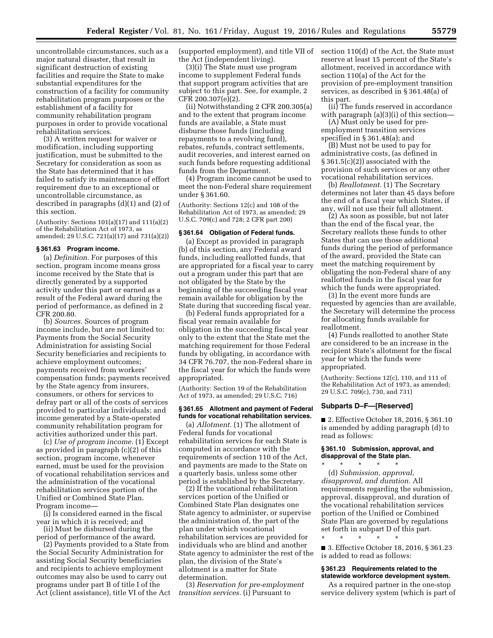uncontrollable circumstances, such as a major natural disaster, that result in significant destruction of existing facilities and require the State to make substantial expenditures for the construction of a facility for community rehabilitation program purposes or the establishment of a facility for community rehabilitation program purposes in order to provide vocational rehabilitation services.

(3) A written request for waiver or modification, including supporting justification, must be submitted to the Secretary for consideration as soon as the State has determined that it has failed to satisfy its maintenance of effort requirement due to an exceptional or uncontrollable circumstance, as described in paragraphs (d)(1) and (2) of this section.

(Authority: Sections 101(a)(17) and 111(a)(2) of the Rehabilitation Act of 1973, as amended; 29 U.S.C. 721(a)(17) and 731(a)(2))

# **§ 361.63 Program income.**

(a) *Definition.* For purposes of this section, program income means gross income received by the State that is directly generated by a supported activity under this part or earned as a result of the Federal award during the period of performance, as defined in 2 CFR 200.80.

(b) *Sources.* Sources of program income include, but are not limited to: Payments from the Social Security Administration for assisting Social Security beneficiaries and recipients to achieve employment outcomes; payments received from workers' compensation funds; payments received by the State agency from insurers, consumers, or others for services to defray part or all of the costs of services provided to particular individuals; and income generated by a State-operated community rehabilitation program for activities authorized under this part.

(c) *Use of program income.* (1) Except as provided in paragraph (c)(2) of this section, program income, whenever earned, must be used for the provision of vocational rehabilitation services and the administration of the vocational rehabilitation services portion of the Unified or Combined State Plan. Program income—

(i) Is considered earned in the fiscal year in which it is received; and

(ii) Must be disbursed during the period of performance of the award.

(2) Payments provided to a State from the Social Security Administration for assisting Social Security beneficiaries and recipients to achieve employment outcomes may also be used to carry out programs under part B of title I of the Act (client assistance), title VI of the Act (supported employment), and title VII of the Act (independent living).

(3)(i) The State must use program income to supplement Federal funds that support program activities that are subject to this part. See, for example, 2 CFR 200.307(e)(2).

(ii) Notwithstanding 2 CFR 200.305(a) and to the extent that program income funds are available, a State must disburse those funds (including repayments to a revolving fund), rebates, refunds, contract settlements, audit recoveries, and interest earned on such funds before requesting additional funds from the Department.

(4) Program income cannot be used to meet the non-Federal share requirement under § 361.60.

(Authority: Sections 12(c) and 108 of the Rehabilitation Act of 1973, as amended; 29 U.S.C. 709(c) and 728; 2 CFR part 200)

#### **§ 361.64 Obligation of Federal funds.**

(a) Except as provided in paragraph (b) of this section, any Federal award funds, including reallotted funds, that are appropriated for a fiscal year to carry out a program under this part that are not obligated by the State by the beginning of the succeeding fiscal year remain available for obligation by the State during that succeeding fiscal year.

(b) Federal funds appropriated for a fiscal year remain available for obligation in the succeeding fiscal year only to the extent that the State met the matching requirement for those Federal funds by obligating, in accordance with 34 CFR 76.707, the non-Federal share in the fiscal year for which the funds were appropriated.

(Authority: Section 19 of the Rehabilitation Act of 1973, as amended; 29 U.S.C. 716)

## **§ 361.65 Allotment and payment of Federal funds for vocational rehabilitation services.**

(a) *Allotment.* (1) The allotment of Federal funds for vocational rehabilitation services for each State is computed in accordance with the requirements of section 110 of the Act, and payments are made to the State on a quarterly basis, unless some other period is established by the Secretary.

(2) If the vocational rehabilitation services portion of the Unified or Combined State Plan designates one State agency to administer, or supervise the administration of, the part of the plan under which vocational rehabilitation services are provided for individuals who are blind and another State agency to administer the rest of the plan, the division of the State's allotment is a matter for State determination.

(3) *Reservation for pre-employment transition services.* (i) Pursuant to

section 110(d) of the Act, the State must reserve at least 15 percent of the State's allotment, received in accordance with section 110(a) of the Act for the provision of pre-employment transition services, as described in § 361.48(a) of this part.

(ii) The funds reserved in accordance with paragraph (a)(3)(i) of this section—

(A) Must only be used for preemployment transition services specified in § 361.48(a); and

(B) Must not be used to pay for administrative costs, (as defined in § 361.5(c)(2)) associated with the provision of such services or any other vocational rehabilitation services.

(b) *Reallotment.* (1) The Secretary determines not later than 45 days before the end of a fiscal year which States, if any, will not use their full allotment.

(2) As soon as possible, but not later than the end of the fiscal year, the Secretary reallots these funds to other States that can use those additional funds during the period of performance of the award, provided the State can meet the matching requirement by obligating the non-Federal share of any reallotted funds in the fiscal year for which the funds were appropriated.

(3) In the event more funds are requested by agencies than are available, the Secretary will determine the process for allocating funds available for reallotment.

(4) Funds reallotted to another State are considered to be an increase in the recipient State's allotment for the fiscal year for which the funds were appropriated.

(Authority: Sections 12(c), 110, and 111 of the Rehabilitation Act of 1973, as amended; 29 U.S.C. 709(c), 730, and 731)

### **Subparts D–F—[Reserved]**

■ 2. Effective October 18, 2016, § 361.10 is amended by adding paragraph (d) to read as follows:

#### **§ 361.10 Submission, approval, and disapproval of the State plan.**  \* \* \* \* \*

(d) *Submission, approval, disapproval, and duration.* All requirements regarding the submission, approval, disapproval, and duration of the vocational rehabilitation services portion of the Unified or Combined State Plan are governed by regulations set forth in subpart D of this part.

\* \* \* \* \*

■ 3. Effective October 18, 2016, § 361.23 is added to read as follows:

### **§ 361.23 Requirements related to the statewide workforce development system.**

As a required partner in the one-stop service delivery system (which is part of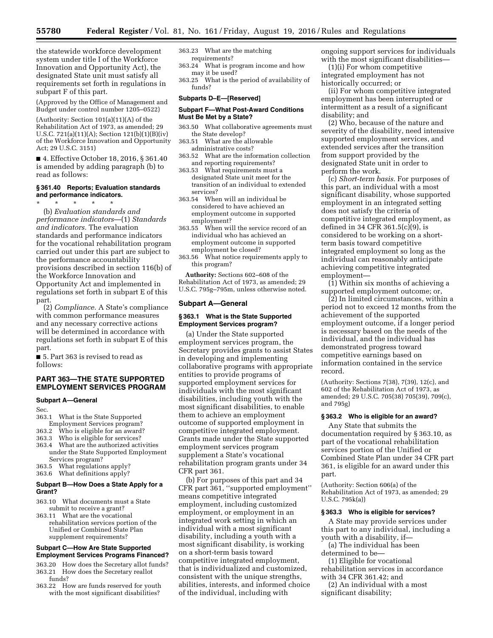the statewide workforce development system under title I of the Workforce Innovation and Opportunity Act), the designated State unit must satisfy all requirements set forth in regulations in subpart F of this part.

(Approved by the Office of Management and Budget under control number 1205–0522)

(Authority: Section 101(a)(11)(A) of the Rehabilitation Act of 1973, as amended; 29 U.S.C. 721(a)(11)(A); Section 121(b)(1)(B)(iv) of the Workforce Innovation and Opportunity Act; 29 U.S.C. 3151)

■ 4. Effective October 18, 2016, § 361.40 is amended by adding paragraph (b) to read as follows:

## **§ 361.40 Reports; Evaluation standards and performance indicators.**

\* \* \* \* \* (b) *Evaluation standards and performance indicators*—(1) *Standards and indicators.* The evaluation standards and performance indicators for the vocational rehabilitation program carried out under this part are subject to the performance accountability provisions described in section 116(b) of the Workforce Innovation and Opportunity Act and implemented in regulations set forth in subpart E of this part.

(2) *Compliance.* A State's compliance with common performance measures and any necessary corrective actions will be determined in accordance with regulations set forth in subpart E of this part.

■ 5. Part 363 is revised to read as follows:

# **PART 363—THE STATE SUPPORTED EMPLOYMENT SERVICES PROGRAM**

# **Subpart A—General**

Sec.

- 363.1 What is the State Supported
- Employment Services program?
- 363.2 Who is eligible for an award?
- 363.3 Who is eligible for services?
- 363.4 What are the authorized activities under the State Supported Employment Services program?
- 363.5 What regulations apply?
- 363.6 What definitions apply?

## **Subpart B—How Does a State Apply for a Grant?**

- 363.10 What documents must a State submit to receive a grant?
- 363.11 What are the vocational rehabilitation services portion of the Unified or Combined State Plan supplement requirements?

#### **Subpart C—How Are State Supported Employment Services Programs Financed?**

- 363.20 How does the Secretary allot funds? 363.21 How does the Secretary reallot funds?
- 363.22 How are funds reserved for youth with the most significant disabilities?

#### 363.23 What are the matching requirements?

- 363.24 What is program income and how may it be used?
- 363.25 What is the period of availability of funds?

#### **Subparts D–E—[Reserved]**

#### **Subpart F—What Post-Award Conditions Must Be Met by a State?**

- 363.50 What collaborative agreements must the State develop?
- 363.51 What are the allowable administrative costs?
- 363.52 What are the information collection and reporting requirements?
- 363.53 What requirements must a designated State unit meet for the transition of an individual to extended services?
- 363.54 When will an individual be considered to have achieved an employment outcome in supported employment?
- 363.55 When will the service record of an individual who has achieved an employment outcome in supported employment be closed?
- 363.56 What notice requirements apply to this program?

**Authority:** Sections 602–608 of the Rehabilitation Act of 1973, as amended; 29 U.S.C. 795g–795m, unless otherwise noted.

### **Subpart A—General**

# **§ 363.1 What is the State Supported Employment Services program?**

(a) Under the State supported employment services program, the Secretary provides grants to assist States in developing and implementing collaborative programs with appropriate entities to provide programs of supported employment services for individuals with the most significant disabilities, including youth with the most significant disabilities, to enable them to achieve an employment outcome of supported employment in competitive integrated employment. Grants made under the State supported employment services program supplement a State's vocational rehabilitation program grants under 34 CFR part 361.

(b) For purposes of this part and 34 CFR part 361, ''supported employment'' means competitive integrated employment, including customized employment, or employment in an integrated work setting in which an individual with a most significant disability, including a youth with a most significant disability, is working on a short-term basis toward competitive integrated employment, that is individualized and customized, consistent with the unique strengths, abilities, interests, and informed choice of the individual, including with

ongoing support services for individuals with the most significant disabilities—

(1)(i) For whom competitive integrated employment has not historically occurred; or

(ii) For whom competitive integrated employment has been interrupted or intermittent as a result of a significant disability; and

(2) Who, because of the nature and severity of the disability, need intensive supported employment services, and extended services after the transition from support provided by the designated State unit in order to perform the work.

(c) *Short-term basis.* For purposes of this part, an individual with a most significant disability, whose supported employment in an integrated setting does not satisfy the criteria of competitive integrated employment, as defined in 34 CFR 361.5(c)(9), is considered to be working on a shortterm basis toward competitive integrated employment so long as the individual can reasonably anticipate achieving competitive integrated employment—

(1) Within six months of achieving a supported employment outcome; or,

(2) In limited circumstances, within a period not to exceed 12 months from the achievement of the supported employment outcome, if a longer period is necessary based on the needs of the individual, and the individual has demonstrated progress toward competitive earnings based on information contained in the service record.

(Authority: Sections 7(38), 7(39), 12(c), and 602 of the Rehabilitation Act of 1973, as amended; 29 U.S.C. 705(38) 705(39), 709(c), and 795g)

# **§ 363.2 Who is eligible for an award?**

Any State that submits the documentation required by § 363.10, as part of the vocational rehabilitation services portion of the Unified or Combined State Plan under 34 CFR part 361, is eligible for an award under this part.

(Authority: Section 606(a) of the Rehabilitation Act of 1973, as amended; 29 U.S.C. 795k(a))

#### **§ 363.3 Who is eligible for services?**

A State may provide services under this part to any individual, including a youth with a disability, if—

(a) The individual has been determined to be—

(1) Eligible for vocational rehabilitation services in accordance with 34 CFR 361.42; and

(2) An individual with a most significant disability;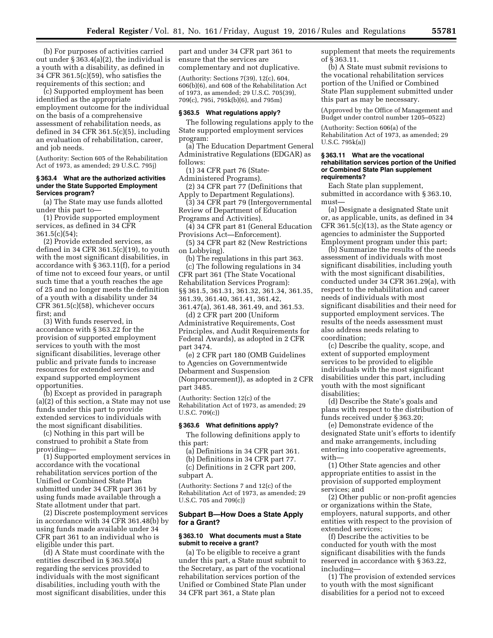(b) For purposes of activities carried out under § 363.4(a)(2), the individual is a youth with a disability, as defined in 34 CFR 361.5(c)(59), who satisfies the requirements of this section; and

(c) Supported employment has been identified as the appropriate employment outcome for the individual on the basis of a comprehensive assessment of rehabilitation needs, as defined in 34 CFR 361.5(c)(5), including an evaluation of rehabilitation, career, and job needs.

(Authority: Section 605 of the Rehabilitation Act of 1973, as amended; 29 U.S.C. 795j)

### **§ 363.4 What are the authorized activities under the State Supported Employment Services program?**

(a) The State may use funds allotted under this part to—

(1) Provide supported employment services, as defined in 34 CFR  $361.5(c)(54);$ 

(2) Provide extended services, as defined in 34 CFR  $361.5(c)(19)$ , to youth with the most significant disabilities, in accordance with § 363.11(f), for a period of time not to exceed four years, or until such time that a youth reaches the age of 25 and no longer meets the definition of a youth with a disability under 34 CFR 361.5(c)(58), whichever occurs first; and

(3) With funds reserved, in accordance with § 363.22 for the provision of supported employment services to youth with the most significant disabilities, leverage other public and private funds to increase resources for extended services and expand supported employment opportunities.

(b) Except as provided in paragraph (a)(2) of this section, a State may not use funds under this part to provide extended services to individuals with the most significant disabilities.

(c) Nothing in this part will be construed to prohibit a State from providing—

(1) Supported employment services in accordance with the vocational rehabilitation services portion of the Unified or Combined State Plan submitted under 34 CFR part 361 by using funds made available through a State allotment under that part.

(2) Discrete postemployment services in accordance with 34 CFR 361.48(b) by using funds made available under 34 CFR part 361 to an individual who is eligible under this part.

(d) A State must coordinate with the entities described in § 363.50(a) regarding the services provided to individuals with the most significant disabilities, including youth with the most significant disabilities, under this

part and under 34 CFR part 361 to ensure that the services are complementary and not duplicative.

(Authority: Sections 7(39), 12(c), 604, 606(b)(6), and 608 of the Rehabilitation Act of 1973, as amended; 29 U.S.C. 705(39), 709(c), 795i, 795k(b)(6), and 795m)

#### **§ 363.5 What regulations apply?**

The following regulations apply to the State supported employment services program:

(a) The Education Department General Administrative Regulations (EDGAR) as follows:

(1) 34 CFR part 76 (State-

Administered Programs).

(2) 34 CFR part 77 (Definitions that Apply to Department Regulations).

(3) 34 CFR part 79 (Intergovernmental Review of Department of Education

Programs and Activities). (4) 34 CFR part 81 (General Education

Provisions Act—Enforcement).

(5) 34 CFR part 82 (New Restrictions on Lobbying).

(b) The regulations in this part 363. (c) The following regulations in 34 CFR part 361 (The State Vocational Rehabilitation Services Program): §§ 361.5, 361.31, 361.32, 361.34, 361.35, 361.39, 361.40, 361.41, 361.42, 361.47(a), 361.48, 361.49, and 361.53.

(d) 2 CFR part 200 (Uniform Administrative Requirements, Cost Principles, and Audit Requirements for Federal Awards), as adopted in 2 CFR part 3474.

(e) 2 CFR part 180 (OMB Guidelines to Agencies on Governmentwide Debarment and Suspension (Nonprocurement)), as adopted in 2 CFR part 3485.

(Authority: Section 12(c) of the Rehabilitation Act of 1973, as amended; 29 U.S.C. 709(c))

# **§ 363.6 What definitions apply?**

The following definitions apply to this part:

(a) Definitions in 34 CFR part 361. (b) Definitions in 34 CFR part 77.

(c) Definitions in 2 CFR part 200, subpart A.

(Authority: Sections 7 and 12(c) of the Rehabilitation Act of 1973, as amended; 29 U.S.C. 705 and 709(c))

## **Subpart B—How Does a State Apply for a Grant?**

### **§ 363.10 What documents must a State submit to receive a grant?**

(a) To be eligible to receive a grant under this part, a State must submit to the Secretary, as part of the vocational rehabilitation services portion of the Unified or Combined State Plan under 34 CFR part 361, a State plan

supplement that meets the requirements of § 363.11.

(b) A State must submit revisions to the vocational rehabilitation services portion of the Unified or Combined State Plan supplement submitted under this part as may be necessary.

(Approved by the Office of Management and Budget under control number 1205–0522)

(Authority: Section 606(a) of the Rehabilitation Act of 1973, as amended; 29 U.S.C. 795k(a))

### **§ 363.11 What are the vocational rehabilitation services portion of the Unified or Combined State Plan supplement requirements?**

Each State plan supplement, submitted in accordance with § 363.10, must—

(a) Designate a designated State unit or, as applicable, units, as defined in 34 CFR 361.5(c)(13), as the State agency or agencies to administer the Supported Employment program under this part;

(b) Summarize the results of the needs assessment of individuals with most significant disabilities, including youth with the most significant disabilities, conducted under 34 CFR 361.29(a), with respect to the rehabilitation and career needs of individuals with most significant disabilities and their need for supported employment services. The results of the needs assessment must also address needs relating to coordination;

(c) Describe the quality, scope, and extent of supported employment services to be provided to eligible individuals with the most significant disabilities under this part, including youth with the most significant disabilities;

(d) Describe the State's goals and plans with respect to the distribution of funds received under § 363.20;

(e) Demonstrate evidence of the designated State unit's efforts to identify and make arrangements, including entering into cooperative agreements, with—

(1) Other State agencies and other appropriate entities to assist in the provision of supported employment services; and

(2) Other public or non-profit agencies or organizations within the State, employers, natural supports, and other entities with respect to the provision of extended services;

(f) Describe the activities to be conducted for youth with the most significant disabilities with the funds reserved in accordance with § 363.22, including—

(1) The provision of extended services to youth with the most significant disabilities for a period not to exceed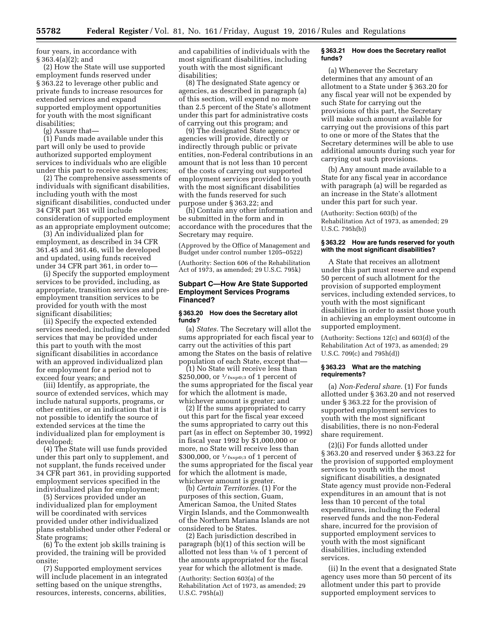four years, in accordance with § 363.4(a)(2); and

(2) How the State will use supported employment funds reserved under § 363.22 to leverage other public and private funds to increase resources for extended services and expand supported employment opportunities for youth with the most significant disabilities;

(g) Assure that—

(1) Funds made available under this part will only be used to provide authorized supported employment services to individuals who are eligible under this part to receive such services;

(2) The comprehensive assessments of individuals with significant disabilities, including youth with the most significant disabilities, conducted under 34 CFR part 361 will include consideration of supported employment as an appropriate employment outcome;

(3) An individualized plan for employment, as described in 34 CFR 361.45 and 361.46, will be developed and updated, using funds received under 34 CFR part 361, in order to—

(i) Specify the supported employment services to be provided, including, as appropriate, transition services and preemployment transition services to be provided for youth with the most significant disabilities;

(ii) Specify the expected extended services needed, including the extended services that may be provided under this part to youth with the most significant disabilities in accordance with an approved individualized plan for employment for a period not to exceed four years; and

(iii) Identify, as appropriate, the source of extended services, which may include natural supports, programs, or other entities, or an indication that it is not possible to identify the source of extended services at the time the individualized plan for employment is developed;

(4) The State will use funds provided under this part only to supplement, and not supplant, the funds received under 34 CFR part 361, in providing supported employment services specified in the individualized plan for employment;

(5) Services provided under an individualized plan for employment will be coordinated with services provided under other individualized plans established under other Federal or State programs;

(6) To the extent job skills training is provided, the training will be provided onsite;

(7) Supported employment services will include placement in an integrated setting based on the unique strengths, resources, interests, concerns, abilities,

and capabilities of individuals with the most significant disabilities, including youth with the most significant disabilities;

(8) The designated State agency or agencies, as described in paragraph (a) of this section, will expend no more than 2.5 percent of the State's allotment under this part for administrative costs of carrying out this program; and

(9) The designated State agency or agencies will provide, directly or indirectly through public or private entities, non-Federal contributions in an amount that is not less than 10 percent of the costs of carrying out supported employment services provided to youth with the most significant disabilities with the funds reserved for such purpose under § 363.22; and

(h) Contain any other information and be submitted in the form and in accordance with the procedures that the Secretary may require.

(Approved by the Office of Management and Budget under control number 1205–0522)

(Authority: Section 606 of the Rehabilitation Act of 1973, as amended; 29 U.S.C. 795k)

# **Subpart C—How Are State Supported Employment Services Programs Financed?**

# **§ 363.20 How does the Secretary allot funds?**

(a) *States.* The Secretary will allot the sums appropriated for each fiscal year to carry out the activities of this part among the States on the basis of relative population of each State, except that—

(1) No State will receive less than \$250,000, or 1⁄ fxsp0;3 of 1 percent of the sums appropriated for the fiscal year for which the allotment is made, whichever amount is greater; and

(2) If the sums appropriated to carry out this part for the fiscal year exceed the sums appropriated to carry out this part (as in effect on September 30, 1992) in fiscal year 1992 by \$1,000,000 or more, no State will receive less than \$300,000, or  $\frac{1}{5}$  fxsp0;3 of 1 percent of the sums appropriated for the fiscal year for which the allotment is made, whichever amount is greater.

(b) *Certain Territories.* (1) For the purposes of this section, Guam, American Samoa, the United States Virgin Islands, and the Commonwealth of the Northern Mariana Islands are not considered to be States.

(2) Each jurisdiction described in paragraph (b)(1) of this section will be allotted not less than 1⁄8 of 1 percent of the amounts appropriated for the fiscal year for which the allotment is made.

(Authority: Section 603(a) of the Rehabilitation Act of 1973, as amended; 29 U.S.C. 795h(a))

### **§ 363.21 How does the Secretary reallot funds?**

(a) Whenever the Secretary determines that any amount of an allotment to a State under § 363.20 for any fiscal year will not be expended by such State for carrying out the provisions of this part, the Secretary will make such amount available for carrying out the provisions of this part to one or more of the States that the Secretary determines will be able to use additional amounts during such year for carrying out such provisions.

(b) Any amount made available to a State for any fiscal year in accordance with paragraph (a) will be regarded as an increase in the State's allotment under this part for such year.

(Authority: Section 603(b) of the Rehabilitation Act of 1973, as amended; 29 U.S.C. 795h(b))

# **§ 363.22 How are funds reserved for youth with the most significant disabilities?**

A State that receives an allotment under this part must reserve and expend 50 percent of such allotment for the provision of supported employment services, including extended services, to youth with the most significant disabilities in order to assist those youth in achieving an employment outcome in supported employment.

(Authority: Sections 12(c) and 603(d) of the Rehabilitation Act of 1973, as amended; 29 U.S.C. 709(c) and 795h(d))

## **§ 363.23 What are the matching requirements?**

(a) *Non-Federal share.* (1) For funds allotted under § 363.20 and not reserved under § 363.22 for the provision of supported employment services to youth with the most significant disabilities, there is no non-Federal share requirement.

(2)(i) For funds allotted under § 363.20 and reserved under § 363.22 for the provision of supported employment services to youth with the most significant disabilities, a designated State agency must provide non-Federal expenditures in an amount that is not less than 10 percent of the total expenditures, including the Federal reserved funds and the non-Federal share, incurred for the provision of supported employment services to youth with the most significant disabilities, including extended services.

(ii) In the event that a designated State agency uses more than 50 percent of its allotment under this part to provide supported employment services to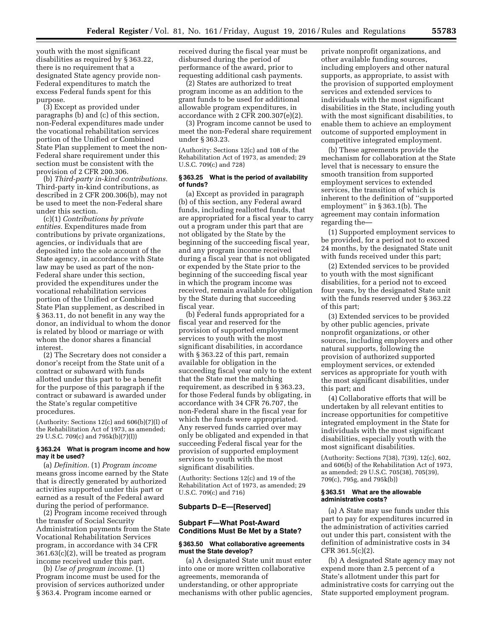youth with the most significant disabilities as required by § 363.22, there is no requirement that a designated State agency provide non-Federal expenditures to match the excess Federal funds spent for this purpose.

(3) Except as provided under paragraphs (b) and (c) of this section, non-Federal expenditures made under the vocational rehabilitation services portion of the Unified or Combined State Plan supplement to meet the non-Federal share requirement under this section must be consistent with the provision of 2 CFR 200.306.

(b) *Third-party in-kind contributions.*  Third-party in-kind contributions, as described in 2 CFR 200.306(b), may not be used to meet the non-Federal share under this section.

(c)(1) *Contributions by private entities.* Expenditures made from contributions by private organizations, agencies, or individuals that are deposited into the sole account of the State agency, in accordance with State law may be used as part of the non-Federal share under this section, provided the expenditures under the vocational rehabilitation services portion of the Unified or Combined State Plan supplement, as described in § 363.11, do not benefit in any way the donor, an individual to whom the donor is related by blood or marriage or with whom the donor shares a financial interest.

(2) The Secretary does not consider a donor's receipt from the State unit of a contract or subaward with funds allotted under this part to be a benefit for the purpose of this paragraph if the contract or subaward is awarded under the State's regular competitive procedures.

(Authority: Sections  $12(c)$  and  $606(b)(7)(I)$  of the Rehabilitation Act of 1973, as amended; 29 U.S.C. 709(c) and 795k(b)(7)(I))

## **§ 363.24 What is program income and how may it be used?**

(a) *Definition.* (1) *Program income*  means gross income earned by the State that is directly generated by authorized activities supported under this part or earned as a result of the Federal award during the period of performance.

(2) Program income received through the transfer of Social Security Administration payments from the State Vocational Rehabilitation Services program, in accordance with 34 CFR 361.63(c)(2), will be treated as program income received under this part.

(b) *Use of program income.* (1) Program income must be used for the provision of services authorized under § 363.4. Program income earned or

received during the fiscal year must be disbursed during the period of performance of the award, prior to requesting additional cash payments.

(2) States are authorized to treat program income as an addition to the grant funds to be used for additional allowable program expenditures, in accordance with 2 CFR 200.307(e)(2).

(3) Program income cannot be used to meet the non-Federal share requirement under § 363.23.

(Authority: Sections 12(c) and 108 of the Rehabilitation Act of 1973, as amended; 29 U.S.C. 709(c) and 728)

# **§ 363.25 What is the period of availability of funds?**

(a) Except as provided in paragraph (b) of this section, any Federal award funds, including reallotted funds, that are appropriated for a fiscal year to carry out a program under this part that are not obligated by the State by the beginning of the succeeding fiscal year, and any program income received during a fiscal year that is not obligated or expended by the State prior to the beginning of the succeeding fiscal year in which the program income was received, remain available for obligation by the State during that succeeding fiscal year.

(b) Federal funds appropriated for a fiscal year and reserved for the provision of supported employment services to youth with the most significant disabilities, in accordance with § 363.22 of this part, remain available for obligation in the succeeding fiscal year only to the extent that the State met the matching requirement, as described in § 363.23, for those Federal funds by obligating, in accordance with 34 CFR 76.707, the non-Federal share in the fiscal year for which the funds were appropriated. Any reserved funds carried over may only be obligated and expended in that succeeding Federal fiscal year for the provision of supported employment services to youth with the most significant disabilities.

(Authority: Sections 12(c) and 19 of the Rehabilitation Act of 1973, as amended; 29 U.S.C. 709(c) and 716)

## **Subparts D–E—[Reserved]**

# **Subpart F—What Post-Award Conditions Must Be Met by a State?**

## **§ 363.50 What collaborative agreements must the State develop?**

(a) A designated State unit must enter into one or more written collaborative agreements, memoranda of understanding, or other appropriate mechanisms with other public agencies,

private nonprofit organizations, and other available funding sources, including employers and other natural supports, as appropriate, to assist with the provision of supported employment services and extended services to individuals with the most significant disabilities in the State, including youth with the most significant disabilities, to enable them to achieve an employment outcome of supported employment in competitive integrated employment.

(b) These agreements provide the mechanism for collaboration at the State level that is necessary to ensure the smooth transition from supported employment services to extended services, the transition of which is inherent to the definition of ''supported employment'' in § 363.1(b). The agreement may contain information regarding the—

(1) Supported employment services to be provided, for a period not to exceed 24 months, by the designated State unit with funds received under this part;

(2) Extended services to be provided to youth with the most significant disabilities, for a period not to exceed four years, by the designated State unit with the funds reserved under § 363.22 of this part;

(3) Extended services to be provided by other public agencies, private nonprofit organizations, or other sources, including employers and other natural supports, following the provision of authorized supported employment services, or extended services as appropriate for youth with the most significant disabilities, under this part; and

(4) Collaborative efforts that will be undertaken by all relevant entities to increase opportunities for competitive integrated employment in the State for individuals with the most significant disabilities, especially youth with the most significant disabilities.

(Authority: Sections 7(38), 7(39), 12(c), 602, and 606(b) of the Rehabilitation Act of 1973, as amended; 29 U.S.C. 705(38), 705(39), 709(c), 795g, and 795k(b))

## **§ 363.51 What are the allowable administrative costs?**

(a) A State may use funds under this part to pay for expenditures incurred in the administration of activities carried out under this part, consistent with the definition of administrative costs in 34 CFR 361.5(c)(2).

(b) A designated State agency may not expend more than 2.5 percent of a State's allotment under this part for administrative costs for carrying out the State supported employment program.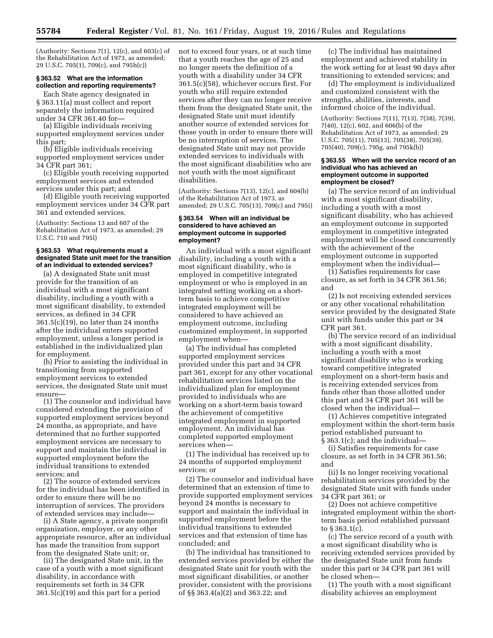(Authority: Sections  $7(1)$ ,  $12(c)$ , and  $603(c)$  of the Rehabilitation Act of 1973, as amended; 29 U.S.C. 705(1), 709(c), and 795h(c))

# **§ 363.52 What are the information collection and reporting requirements?**

Each State agency designated in § 363.11(a) must collect and report separately the information required under 34 CFR 361.40 for—

(a) Eligible individuals receiving supported employment services under this part;

(b) Eligible individuals receiving supported employment services under 34 CFR part 361;

(c) Eligible youth receiving supported employment services and extended services under this part; and

(d) Eligible youth receiving supported employment services under 34 CFR part 361 and extended services.

(Authority: Sections 13 and 607 of the Rehabilitation Act of 1973, as amended; 29 U.S.C. 710 and 795l)

## **§ 363.53 What requirements must a designated State unit meet for the transition of an individual to extended services?**

(a) A designated State unit must provide for the transition of an individual with a most significant disability, including a youth with a most significant disability, to extended services, as defined in 34 CFR 361.5(c)(19), no later than 24 months after the individual enters supported employment, unless a longer period is established in the individualized plan for employment.

(b) Prior to assisting the individual in transitioning from supported employment services to extended services, the designated State unit must ensure—

(1) The counselor and individual have considered extending the provision of supported employment services beyond 24 months, as appropriate, and have determined that no further supported employment services are necessary to support and maintain the individual in supported employment before the individual transitions to extended services; and

(2) The source of extended services for the individual has been identified in order to ensure there will be no interruption of services. The providers of extended services may include—

(i) A State agency, a private nonprofit organization, employer, or any other appropriate resource, after an individual has made the transition from support from the designated State unit; or,

(ii) The designated State unit, in the case of a youth with a most significant disability, in accordance with requirements set forth in 34 CFR 361.5(c)(19) and this part for a period

not to exceed four years, or at such time that a youth reaches the age of 25 and no longer meets the definition of a youth with a disability under 34 CFR 361.5(c)(58), whichever occurs first. For youth who still require extended services after they can no longer receive them from the designated State unit, the designated State unit must identify another source of extended services for those youth in order to ensure there will be no interruption of services. The designated State unit may not provide extended services to individuals with the most significant disabilities who are not youth with the most significant disabilities.

(Authority: Sections 7(13), 12(c), and 604(b) of the Rehabilitation Act of 1973, as amended; 29 U.S.C. 705(13), 709(c) and 795i)

#### **§ 363.54 When will an individual be considered to have achieved an employment outcome in supported employment?**

An individual with a most significant disability, including a youth with a most significant disability, who is employed in competitive integrated employment or who is employed in an integrated setting working on a shortterm basis to achieve competitive integrated employment will be considered to have achieved an employment outcome, including customized employment, in supported employment when—

(a) The individual has completed supported employment services provided under this part and 34 CFR part 361, except for any other vocational rehabilitation services listed on the individualized plan for employment provided to individuals who are working on a short-term basis toward the achievement of competitive integrated employment in supported employment. An individual has completed supported employment services when—

(1) The individual has received up to 24 months of supported employment services; or

(2) The counselor and individual have determined that an extension of time to provide supported employment services beyond 24 months is necessary to support and maintain the individual in supported employment before the individual transitions to extended services and that extension of time has concluded; and

(b) The individual has transitioned to extended services provided by either the designated State unit for youth with the most significant disabilities, or another provider, consistent with the provisions of §§ 363.4(a)(2) and 363.22; and

(c) The individual has maintained employment and achieved stability in the work setting for at least 90 days after transitioning to extended services; and

(d) The employment is individualized and customized consistent with the strengths, abilities, interests, and informed choice of the individual.

(Authority: Sections 7(11), 7(13), 7(38), 7(39), 7(40), 12(c), 602, and 606(b) of the Rehabilitation Act of 1973, as amended; 29 U.S.C. 705(11), 705(13), 705(38), 705(39), 705(40), 709(c), 795g, and 795k(b))

## **§ 363.55 When will the service record of an individual who has achieved an employment outcome in supported employment be closed?**

(a) The service record of an individual with a most significant disability, including a youth with a most significant disability, who has achieved an employment outcome in supported employment in competitive integrated employment will be closed concurrently with the achievement of the employment outcome in supported employment when the individual—

(1) Satisfies requirements for case closure, as set forth in 34 CFR 361.56; and

(2) Is not receiving extended services or any other vocational rehabilitation service provided by the designated State unit with funds under this part or 34 CFR part 361.

(b) The service record of an individual with a most significant disability, including a youth with a most significant disability who is working toward competitive integrated employment on a short-term basis and is receiving extended services from funds other than those allotted under this part and 34 CFR part 361 will be closed when the individual—

(1) Achieves competitive integrated employment within the short-term basis period established pursuant to § 363.1(c); and the individual—

(i) Satisfies requirements for case closure, as set forth in 34 CFR 361.56; and

(ii) Is no longer receiving vocational rehabilitation services provided by the designated State unit with funds under 34 CFR part 361; or

(2) Does not achieve competitive integrated employment within the shortterm basis period established pursuant to § 363.1(c).

(c) The service record of a youth with a most significant disability who is receiving extended services provided by the designated State unit from funds under this part or 34 CFR part 361 will be closed when—

(1) The youth with a most significant disability achieves an employment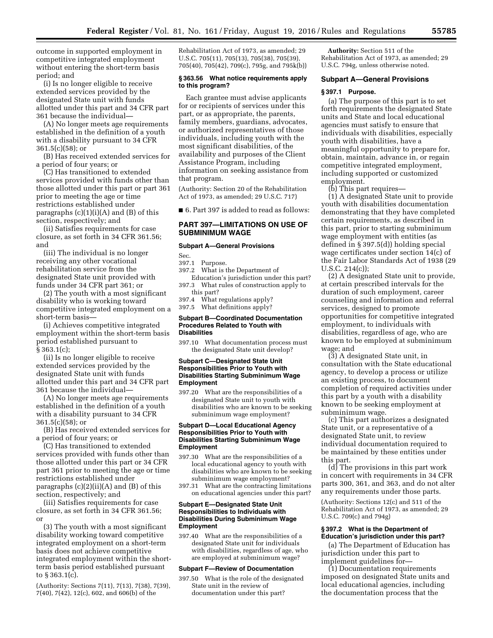outcome in supported employment in competitive integrated employment without entering the short-term basis period; and

(i) Is no longer eligible to receive extended services provided by the designated State unit with funds allotted under this part and 34 CFR part 361 because the individual—

(A) No longer meets age requirements established in the definition of a youth with a disability pursuant to 34 CFR 361.5(c)(58); or

(B) Has received extended services for a period of four years; or

(C) Has transitioned to extended services provided with funds other than those allotted under this part or part 361 prior to meeting the age or time restrictions established under paragraphs  $(c)(1)(i)(A)$  and  $(B)$  of this section, respectively; and

(ii) Satisfies requirements for case closure, as set forth in 34 CFR 361.56; and

(iii) The individual is no longer receiving any other vocational rehabilitation service from the designated State unit provided with funds under 34 CFR part 361; or

(2) The youth with a most significant disability who is working toward competitive integrated employment on a short-term basis—

(i) Achieves competitive integrated employment within the short-term basis period established pursuant to § 363.1(c);

(ii) Is no longer eligible to receive extended services provided by the designated State unit with funds allotted under this part and 34 CFR part 361 because the individual—

(A) No longer meets age requirements established in the definition of a youth with a disability pursuant to 34 CFR 361.5(c)(58); or

(B) Has received extended services for a period of four years; or

(C) Has transitioned to extended services provided with funds other than those allotted under this part or 34 CFR part 361 prior to meeting the age or time restrictions established under paragraphs  $(c)(2)(ii)(A)$  and  $(B)$  of this section, respectively; and

(iii) Satisfies requirements for case closure, as set forth in 34 CFR 361.56; or

(3) The youth with a most significant disability working toward competitive integrated employment on a short-term basis does not achieve competitive integrated employment within the shortterm basis period established pursuant to § 363.1(c).

(Authority: Sections 7(11), 7(13), 7(38), 7(39), 7(40), 7(42), 12(c), 602, and 606(b) of the

Rehabilitation Act of 1973, as amended; 29 U.S.C. 705(11), 705(13), 705(38), 705(39), 705(40), 705(42), 709(c), 795g, and 795k(b))

#### **§ 363.56 What notice requirements apply to this program?**

Each grantee must advise applicants for or recipients of services under this part, or as appropriate, the parents, family members, guardians, advocates, or authorized representatives of those individuals, including youth with the most significant disabilities, of the availability and purposes of the Client Assistance Program, including information on seeking assistance from that program.

(Authority: Section 20 of the Rehabilitation Act of 1973, as amended; 29 U.S.C. 717)

■ 6. Part 397 is added to read as follows:

# **PART 397—LIMITATIONS ON USE OF SUBMINIMUM WAGE**

#### **Subpart A—General Provisions**

Sec.

397.1 Purpose.

- 397.2 What is the Department of
- Education's jurisdiction under this part? 397.3 What rules of construction apply to this part?

397.4 What regulations apply? 397.5 What definitions apply?

### **Subpart B—Coordinated Documentation Procedures Related to Youth with Disabilities**

397.10 What documentation process must the designated State unit develop?

## **Subpart C—Designated State Unit Responsibilities Prior to Youth with Disabilities Starting Subminimum Wage Employment**

397.20 What are the responsibilities of a designated State unit to youth with disabilities who are known to be seeking subminimum wage employment?

## **Subpart D—Local Educational Agency Responsibilities Prior to Youth with Disabilities Starting Subminimum Wage Employment**

- 397.30 What are the responsibilities of a local educational agency to youth with disabilities who are known to be seeking subminimum wage employment?
- 397.31 What are the contracting limitations on educational agencies under this part?

# **Subpart E—Designated State Unit Responsibilities to Individuals with Disabilities During Subminimum Wage Employment**

397.40 What are the responsibilities of a designated State unit for individuals with disabilities, regardless of age, who are employed at subminimum wage?

#### **Subpart F—Review of Documentation**

397.50 What is the role of the designated State unit in the review of documentation under this part?

**Authority:** Section 511 of the Rehabilitation Act of 1973, as amended; 29 U.S.C. 794g, unless otherwise noted.

### **Subpart A—General Provisions**

# **§ 397.1 Purpose.**

(a) The purpose of this part is to set forth requirements the designated State units and State and local educational agencies must satisfy to ensure that individuals with disabilities, especially youth with disabilities, have a meaningful opportunity to prepare for, obtain, maintain, advance in, or regain competitive integrated employment, including supported or customized employment.

(b) This part requires—

(1) A designated State unit to provide youth with disabilities documentation demonstrating that they have completed certain requirements, as described in this part, prior to starting subminimum wage employment with entities (as defined in § 397.5(d)) holding special wage certificates under section 14(c) of the Fair Labor Standards Act of 1938 (29 U.S.C. 214(c));

(2) A designated State unit to provide, at certain prescribed intervals for the duration of such employment, career counseling and information and referral services, designed to promote opportunities for competitive integrated employment, to individuals with disabilities, regardless of age, who are known to be employed at subminimum wage; and

(3) A designated State unit, in consultation with the State educational agency, to develop a process or utilize an existing process, to document completion of required activities under this part by a youth with a disability known to be seeking employment at subminimum wage.

(c) This part authorizes a designated State unit, or a representative of a designated State unit, to review individual documentation required to be maintained by these entities under this part.

(d) The provisions in this part work in concert with requirements in 34 CFR parts 300, 361, and 363, and do not alter any requirements under those parts.

(Authority: Sections 12(c) and 511 of the Rehabilitation Act of 1973, as amended; 29 U.S.C. 709(c) and 794g)

### **§ 397.2 What is the Department of Education's jurisdiction under this part?**

(a) The Department of Education has jurisdiction under this part to implement guidelines for—

(1) Documentation requirements imposed on designated State units and local educational agencies, including the documentation process that the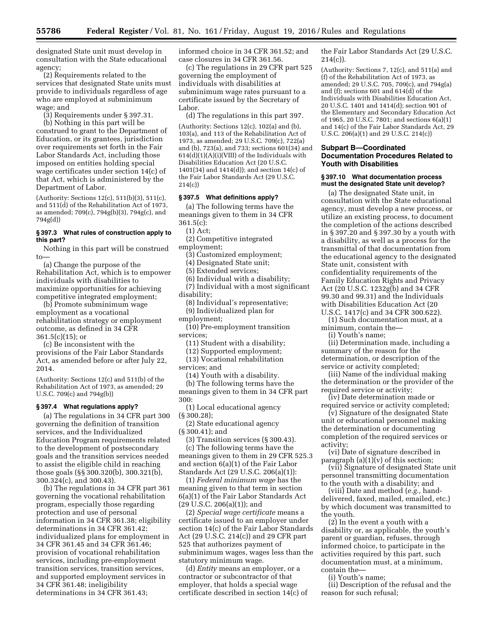designated State unit must develop in consultation with the State educational agency;

(2) Requirements related to the services that designated State units must provide to individuals regardless of age who are employed at subminimum wage; and

(3) Requirements under § 397.31.

(b) Nothing in this part will be construed to grant to the Department of Education, or its grantees, jurisdiction over requirements set forth in the Fair Labor Standards Act, including those imposed on entities holding special wage certificates under section 14(c) of that Act, which is administered by the Department of Labor.

(Authority: Sections 12(c), 511(b)(3), 511(c), and 511(d) of the Rehabilitation Act of 1973, as amended; 709(c), 794g(b)(3), 794g(c), and 794g(d))

# **§ 397.3 What rules of construction apply to this part?**

Nothing in this part will be construed to—

(a) Change the purpose of the Rehabilitation Act, which is to empower individuals with disabilities to maximize opportunities for achieving competitive integrated employment;

(b) Promote subminimum wage employment as a vocational rehabilitation strategy or employment outcome, as defined in 34 CFR 361.5(c)(15); or

(c) Be inconsistent with the provisions of the Fair Labor Standards Act, as amended before or after July 22, 2014.

(Authority: Sections 12(c) and 511(b) of the Rehabilitation Act of 1973, as amended; 29 U.S.C. 709(c) and 794g(b))

### **§ 397.4 What regulations apply?**

(a) The regulations in 34 CFR part 300 governing the definition of transition services, and the Individualized Education Program requirements related to the development of postsecondary goals and the transition services needed to assist the eligible child in reaching those goals (§§ 300.320(b), 300.321(b), 300.324(c), and 300.43).

(b) The regulations in 34 CFR part 361 governing the vocational rehabilitation program, especially those regarding protection and use of personal information in 34 CFR 361.38; eligibility determinations in 34 CFR 361.42; individualized plans for employment in 34 CFR 361.45 and 34 CFR 361.46; provision of vocational rehabilitation services, including pre-employment transition services, transition services, and supported employment services in 34 CFR 361.48; ineligibility determinations in 34 CFR 361.43;

informed choice in 34 CFR 361.52; and case closures in 34 CFR 361.56.

(c) The regulations in 29 CFR part 525 governing the employment of individuals with disabilities at subminimum wage rates pursuant to a certificate issued by the Secretary of Labor.

(d) The regulations in this part 397.

(Authority: Sections 12(c), 102(a) and (b), 103(a), and 113 of the Rehabilitation Act of 1973, as amended; 29 U.S.C. 709(c), 722(a) and (b), 723(a), and 733; sections 601(34) and  $614(d)(1)(A)(i)(VIII)$  of the Individuals with Disabilities Education Act (20 U.S.C. 1401(34) and 1414(d)); and section 14(c) of the Fair Labor Standards Act (29 U.S.C. 214(c))

#### **§ 397.5 What definitions apply?**

(a) The following terms have the meanings given to them in 34 CFR  $361.5(c)$ :

(1) Act;

(2) Competitive integrated

employment;

(3) Customized employment;

(4) Designated State unit;

(5) Extended services;

(6) Individual with a disability; (7) Individual with a most significant disability;

(8) Individual's representative;

(9) Individualized plan for

employment;

(10) Pre-employment transition services;

(11) Student with a disability;

(12) Supported employment;

(13) Vocational rehabilitation

services; and

(14) Youth with a disability.

(b) The following terms have the meanings given to them in 34 CFR part 300:

(1) Local educational agency (§ 300.28);

(2) State educational agency (§ 300.41); and

(3) Transition services (§ 300.43). (c) The following terms have the meanings given to them in 29 CFR 525.3 and section 6(a)(1) of the Fair Labor Standards Act (29 U.S.C. 206(a)(1)):

(1) *Federal minimum wage* has the meaning given to that term in section 6(a)(1) of the Fair Labor Standards Act  $(29 \text{ U.S.C. } 206(a)(1));$  and

(2) *Special wage certificate* means a certificate issued to an employer under section 14(c) of the Fair Labor Standards Act (29 U.S.C. 214(c)) and 29 CFR part 525 that authorizes payment of subminimum wages, wages less than the statutory minimum wage.

(d) *Entity* means an employer, or a contractor or subcontractor of that employer, that holds a special wage certificate described in section 14(c) of the Fair Labor Standards Act (29 U.S.C.  $214(c)$ ).

(Authority: Sections 7, 12(c), and 511(a) and (f) of the Rehabilitation Act of 1973, as amended; 29 U.S.C. 705, 709(c), and 794g(a) and (f); sections 601 and 614(d) of the Individuals with Disabilities Education Act, 20 U.S.C. 1401 and 1414(d); section 901 of the Elementary and Secondary Education Act of 1965, 20 U.S.C. 7801; and sections 6(a)(1) and 14(c) of the Fair Labor Standards Act, 29 U.S.C. 206(a)(1) and 29 U.S.C. 214(c))

## **Subpart B—Coordinated Documentation Procedures Related to Youth with Disabilities**

### **§ 397.10 What documentation process must the designated State unit develop?**

(a) The designated State unit, in consultation with the State educational agency, must develop a new process, or utilize an existing process, to document the completion of the actions described in § 397.20 and § 397.30 by a youth with a disability, as well as a process for the transmittal of that documentation from the educational agency to the designated State unit, consistent with confidentiality requirements of the Family Education Rights and Privacy Act (20 U.S.C. 1232g(b) and 34 CFR 99.30 and 99.31) and the Individuals with Disabilities Education Act (20 U.S.C. 1417(c) and 34 CFR 300.622).

(1) Such documentation must, at a minimum, contain the—

(i) Youth's name;

(ii) Determination made, including a summary of the reason for the determination, or description of the service or activity completed;

(iii) Name of the individual making the determination or the provider of the required service or activity;

(iv) Date determination made or required service or activity completed;

(v) Signature of the designated State unit or educational personnel making the determination or documenting completion of the required services or activity;

(vi) Date of signature described in paragraph  $(a)(1)(v)$  of this section;

(vii) Signature of designated State unit personnel transmitting documentation to the youth with a disability; and

(viii) Date and method (*e.g.,* handdelivered, faxed, mailed, emailed, etc.) by which document was transmitted to the youth.

(2) In the event a youth with a disability or, as applicable, the youth's parent or guardian, refuses, through informed choice, to participate in the activities required by this part, such documentation must, at a minimum, contain the—

(i) Youth's name;

(ii) Description of the refusal and the reason for such refusal;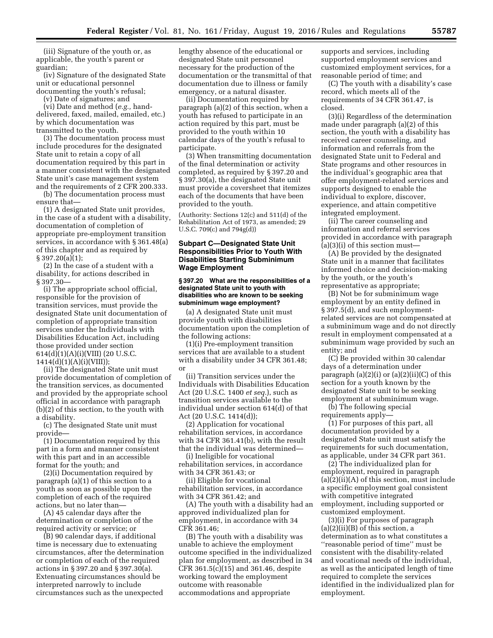(iii) Signature of the youth or, as applicable, the youth's parent or guardian;

(iv) Signature of the designated State unit or educational personnel documenting the youth's refusal;

(v) Date of signatures; and

(vi) Date and method (*e.g.,* handdelivered, faxed, mailed, emailed, etc.) by which documentation was transmitted to the youth.

(3) The documentation process must include procedures for the designated State unit to retain a copy of all documentation required by this part in a manner consistent with the designated State unit's case management system and the requirements of 2 CFR 200.333.

(b) The documentation process must ensure that—

(1) A designated State unit provides, in the case of a student with a disability, documentation of completion of appropriate pre-employment transition services, in accordance with § 361.48(a) of this chapter and as required by  $§ 397.20(a)(1);$ 

(2) In the case of a student with a disability, for actions described in § 397.30—

(i) The appropriate school official, responsible for the provision of transition services, must provide the designated State unit documentation of completion of appropriate transition services under the Individuals with Disabilities Education Act, including those provided under section 614(d)(1)(A)(i)(VIII) (20 U.S.C.  $1414(d)(1)(A)(i)(VIII));$ 

(ii) The designated State unit must provide documentation of completion of the transition services, as documented and provided by the appropriate school official in accordance with paragraph (b)(2) of this section, to the youth with a disability.

(c) The designated State unit must provide—

(1) Documentation required by this part in a form and manner consistent with this part and in an accessible format for the youth; and

(2)(i) Documentation required by paragraph (a)(1) of this section to a youth as soon as possible upon the completion of each of the required actions, but no later than—

(A) 45 calendar days after the determination or completion of the required activity or service; or

(B) 90 calendar days, if additional time is necessary due to extenuating circumstances, after the determination or completion of each of the required actions in § 397.20 and § 397.30(a). Extenuating circumstances should be interpreted narrowly to include circumstances such as the unexpected

lengthy absence of the educational or designated State unit personnel necessary for the production of the documentation or the transmittal of that documentation due to illness or family emergency, or a natural disaster.

(ii) Documentation required by paragraph (a)(2) of this section, when a youth has refused to participate in an action required by this part, must be provided to the youth within 10 calendar days of the youth's refusal to participate.

(3) When transmitting documentation of the final determination or activity completed, as required by § 397.20 and § 397.30(a), the designated State unit must provide a coversheet that itemizes each of the documents that have been provided to the youth.

(Authority: Sections 12(c) and 511(d) of the Rehabilitation Act of 1973, as amended; 29 U.S.C. 709(c) and 794g(d))

# **Subpart C—Designated State Unit Responsibilities Prior to Youth With Disabilities Starting Subminimum Wage Employment**

## **§ 397.20 What are the responsibilities of a designated State unit to youth with disabilities who are known to be seeking subminimum wage employment?**

(a) A designated State unit must provide youth with disabilities documentation upon the completion of the following actions:

(1)(i) Pre-employment transition services that are available to a student with a disability under 34 CFR 361.48; or

(ii) Transition services under the Individuals with Disabilities Education Act (20 U.S.C. 1400 *et seq.*), such as transition services available to the individual under section 614(d) of that Act (20 U.S.C. 1414(d));

(2) Application for vocational rehabilitation services, in accordance with 34 CFR 361.41(b), with the result that the individual was determined—

(i) Ineligible for vocational rehabilitation services, in accordance with 34 CFR 361.43; or

(ii) Eligible for vocational rehabilitation services, in accordance with 34 CFR 361.42; and

(A) The youth with a disability had an approved individualized plan for employment, in accordance with 34 CFR 361.46;

(B) The youth with a disability was unable to achieve the employment outcome specified in the individualized plan for employment, as described in 34 CFR 361.5(c)(15) and 361.46, despite working toward the employment outcome with reasonable accommodations and appropriate

supports and services, including supported employment services and customized employment services, for a reasonable period of time; and

(C) The youth with a disability's case record, which meets all of the requirements of 34 CFR 361.47, is closed.

(3)(i) Regardless of the determination made under paragraph (a)(2) of this section, the youth with a disability has received career counseling, and information and referrals from the designated State unit to Federal and State programs and other resources in the individual's geographic area that offer employment-related services and supports designed to enable the individual to explore, discover, experience, and attain competitive integrated employment.

(ii) The career counseling and information and referral services provided in accordance with paragraph  $(a)(3)(i)$  of this section must-

(A) Be provided by the designated State unit in a manner that facilitates informed choice and decision-making by the youth, or the youth's representative as appropriate;

(B) Not be for subminimum wage employment by an entity defined in § 397.5(d), and such employmentrelated services are not compensated at a subminimum wage and do not directly result in employment compensated at a subminimum wage provided by such an entity; and

(C) Be provided within 30 calendar days of a determination under paragraph  $(a)(2)(i)$  or  $(a)(2)(ii)(C)$  of this section for a youth known by the designated State unit to be seeking employment at subminimum wage.

(b) The following special requirements apply—

(1) For purposes of this part, all documentation provided by a designated State unit must satisfy the requirements for such documentation, as applicable, under 34 CFR part 361.

(2) The individualized plan for employment, required in paragraph (a)(2)(ii)(A) of this section, must include a specific employment goal consistent with competitive integrated employment, including supported or customized employment.

(3)(i) For purposes of paragraph (a)(2)(ii)(B) of this section, a determination as to what constitutes a ''reasonable period of time'' must be consistent with the disability-related and vocational needs of the individual, as well as the anticipated length of time required to complete the services identified in the individualized plan for employment.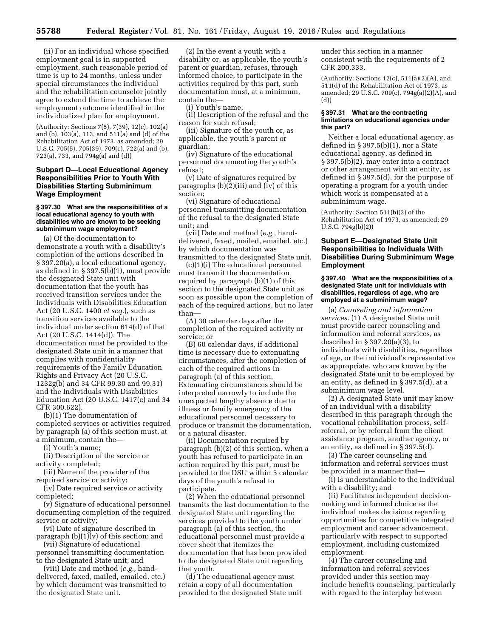(ii) For an individual whose specified employment goal is in supported employment, such reasonable period of time is up to 24 months, unless under special circumstances the individual and the rehabilitation counselor jointly agree to extend the time to achieve the employment outcome identified in the individualized plan for employment.

(Authority: Sections 7(5), 7(39), 12(c), 102(a) and (b), 103(a), 113, and 511(a) and (d) of the Rehabilitation Act of 1973, as amended; 29 U.S.C. 705(5), 705(39), 709(c), 722(a) and (b), 723(a), 733, and 794g(a) and (d))

# **Subpart D—Local Educational Agency Responsibilities Prior to Youth With Disabilities Starting Subminimum Wage Employment**

# **§ 397.30 What are the responsibilities of a local educational agency to youth with disabilities who are known to be seeking subminimum wage employment?**

(a) Of the documentation to demonstrate a youth with a disability's completion of the actions described in § 397.20(a), a local educational agency, as defined in § 397.5(b)(1), must provide the designated State unit with documentation that the youth has received transition services under the Individuals with Disabilities Education Act (20 U.S.C. 1400 *et seq.*), such as transition services available to the individual under section 614(d) of that Act (20 U.S.C. 1414(d)). The documentation must be provided to the designated State unit in a manner that complies with confidentiality requirements of the Family Education Rights and Privacy Act (20 U.S.C. 1232g(b) and 34 CFR 99.30 and 99.31) and the Individuals with Disabilities Education Act (20 U.S.C. 1417(c) and 34 CFR 300.622).

(b)(1) The documentation of completed services or activities required by paragraph (a) of this section must, at a minimum, contain the—

(i) Youth's name;

(ii) Description of the service or activity completed;

(iii) Name of the provider of the required service or activity;

(iv) Date required service or activity completed;

(v) Signature of educational personnel documenting completion of the required service or activity;

(vi) Date of signature described in paragraph  $(b)(1)(v)$  of this section; and

(vii) Signature of educational personnel transmitting documentation to the designated State unit; and

(viii) Date and method (*e.g.,* handdelivered, faxed, mailed, emailed, etc.) by which document was transmitted to the designated State unit.

(2) In the event a youth with a disability or, as applicable, the youth's parent or guardian, refuses, through informed choice, to participate in the activities required by this part, such documentation must, at a minimum, contain the—

(i) Youth's name;

(ii) Description of the refusal and the reason for such refusal;

(iii) Signature of the youth or, as applicable, the youth's parent or guardian;

(iv) Signature of the educational personnel documenting the youth's refusal;

(v) Date of signatures required by paragraphs (b)(2)(iii) and (iv) of this section;

(vi) Signature of educational personnel transmitting documentation of the refusal to the designated State unit; and

(vii) Date and method (*e.g.,* handdelivered, faxed, mailed, emailed, etc.) by which documentation was transmitted to the designated State unit.

(c)(1)(i) The educational personnel must transmit the documentation required by paragraph (b)(1) of this section to the designated State unit as soon as possible upon the completion of each of the required actions, but no later than—

(A) 30 calendar days after the completion of the required activity or service; or

(B) 60 calendar days, if additional time is necessary due to extenuating circumstances, after the completion of each of the required actions in paragraph (a) of this section. Extenuating circumstances should be interpreted narrowly to include the unexpected lengthy absence due to illness or family emergency of the educational personnel necessary to produce or transmit the documentation, or a natural disaster.

(ii) Documentation required by paragraph (b)(2) of this section, when a youth has refused to participate in an action required by this part, must be provided to the DSU within 5 calendar days of the youth's refusal to participate.

(2) When the educational personnel transmits the last documentation to the designated State unit regarding the services provided to the youth under paragraph (a) of this section, the educational personnel must provide a cover sheet that itemizes the documentation that has been provided to the designated State unit regarding that youth.

(d) The educational agency must retain a copy of all documentation provided to the designated State unit

under this section in a manner consistent with the requirements of 2 CFR 200.333.

(Authority: Sections 12(c), 511(a)(2)(A), and 511(d) of the Rehabilitation Act of 1973, as amended; 29 U.S.C. 709(c), 794g(a)(2)(A), and (d))

## **§ 397.31 What are the contracting limitations on educational agencies under this part?**

Neither a local educational agency, as defined in § 397.5(b)(1), nor a State educational agency, as defined in § 397.5(b)(2), may enter into a contract or other arrangement with an entity, as defined in § 397.5(d), for the purpose of operating a program for a youth under which work is compensated at a subminimum wage.

(Authority: Section 511(b)(2) of the Rehabilitation Act of 1973, as amended; 29 U.S.C. 794g(b)(2))

# **Subpart E—Designated State Unit Responsibilities to Individuals With Disabilities During Subminimum Wage Employment**

## **§ 397.40 What are the responsibilities of a designated State unit for individuals with disabilities, regardless of age, who are employed at a subminimum wage?**

(a) *Counseling and information services.* (1) A designated State unit must provide career counseling and information and referral services, as described in § 397.20(a)(3), to individuals with disabilities, regardless of age, or the individual's representative as appropriate, who are known by the designated State unit to be employed by an entity, as defined in § 397.5(d), at a subminimum wage level.

(2) A designated State unit may know of an individual with a disability described in this paragraph through the vocational rehabilitation process, selfreferral, or by referral from the client assistance program, another agency, or an entity, as defined in § 397.5(d).

(3) The career counseling and information and referral services must be provided in a manner that—

(i) Is understandable to the individual with a disability; and

(ii) Facilitates independent decisionmaking and informed choice as the individual makes decisions regarding opportunities for competitive integrated employment and career advancement, particularly with respect to supported employment, including customized employment.

(4) The career counseling and information and referral services provided under this section may include benefits counseling, particularly with regard to the interplay between